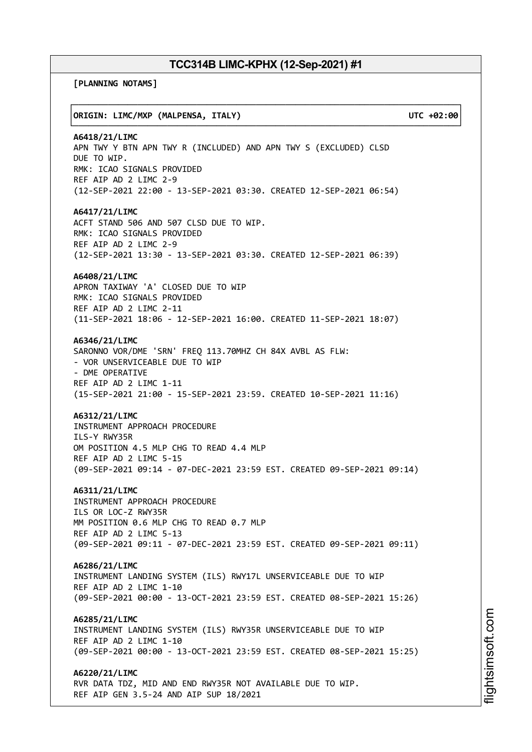┌──────────────────────────────────────────────────────────────────────────────┐

└──────────────────────────────────────────────────────────────────────────────┘

**[PLANNING NOTAMS]**

### │**ORIGIN: LIMC/MXP (MALPENSA, ITALY) UTC +02:00**│

**A6418/21/LIMC** APN TWY Y BTN APN TWY R (INCLUDED) AND APN TWY S (EXCLUDED) CLSD DUE TO WIP. RMK: ICAO SIGNALS PROVIDED REF AIP AD 2 LIMC 2-9 (12-SEP-2021 22:00 - 13-SEP-2021 03:30. CREATED 12-SEP-2021 06:54)

## **A6417/21/LIMC**

ACFT STAND 506 AND 507 CLSD DUE TO WIP. RMK: ICAO SIGNALS PROVIDED REF AIP AD 2 LIMC 2-9 (12-SEP-2021 13:30 - 13-SEP-2021 03:30. CREATED 12-SEP-2021 06:39)

## **A6408/21/LIMC**

APRON TAXIWAY 'A' CLOSED DUE TO WIP RMK: ICAO SIGNALS PROVIDED REF AIP AD 2 LIMC 2-11 (11-SEP-2021 18:06 - 12-SEP-2021 16:00. CREATED 11-SEP-2021 18:07)

## **A6346/21/LIMC**

SARONNO VOR/DME 'SRN' FREQ 113.70MHZ CH 84X AVBL AS FLW: - VOR UNSERVICEABLE DUE TO WIP - DME OPERATIVE REF AIP AD 2 LIMC 1-11 (15-SEP-2021 21:00 - 15-SEP-2021 23:59. CREATED 10-SEP-2021 11:16)

### **A6312/21/LIMC**

INSTRUMENT APPROACH PROCEDURE ILS-Y RWY35R OM POSITION 4.5 MLP CHG TO READ 4.4 MLP REF AIP AD 2 LIMC 5-15 (09-SEP-2021 09:14 - 07-DEC-2021 23:59 EST. CREATED 09-SEP-2021 09:14)

**A6311/21/LIMC**

INSTRUMENT APPROACH PROCEDURE ILS OR LOC-Z RWY35R MM POSITION 0.6 MLP CHG TO READ 0.7 MLP REF AIP AD 2 LIMC 5-13 (09-SEP-2021 09:11 - 07-DEC-2021 23:59 EST. CREATED 09-SEP-2021 09:11)

**A6286/21/LIMC** INSTRUMENT LANDING SYSTEM (ILS) RWY17L UNSERVICEABLE DUE TO WIP REF AIP AD 2 LIMC 1-10 (09-SEP-2021 00:00 - 13-OCT-2021 23:59 EST. CREATED 08-SEP-2021 15:26)

**A6285/21/LIMC** INSTRUMENT LANDING SYSTEM (ILS) RWY35R UNSERVICEABLE DUE TO WIP REF AIP AD 2 LIMC 1-10 (09-SEP-2021 00:00 - 13-OCT-2021 23:59 EST. CREATED 08-SEP-2021 15:25)

**A6220/21/LIMC** RVR DATA TDZ, MID AND END RWY35R NOT AVAILABLE DUE TO WIP. REF AIP GEN 3.5-24 AND AIP SUP 18/2021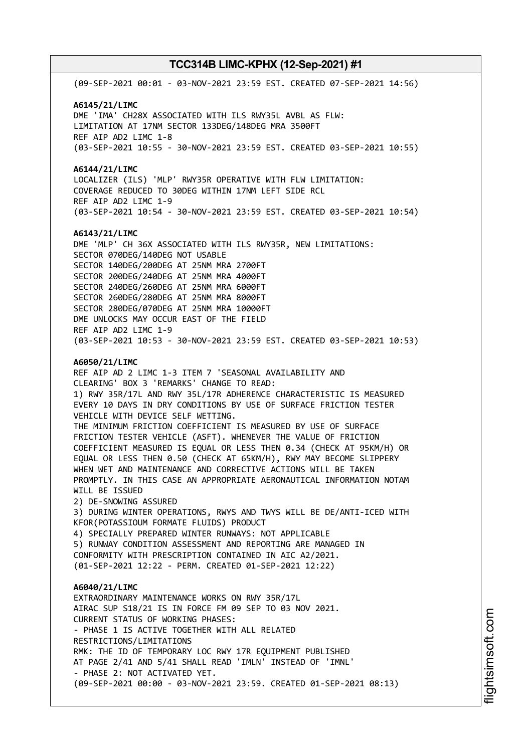(09-SEP-2021 00:01 - 03-NOV-2021 23:59 EST. CREATED 07-SEP-2021 14:56) **A6145/21/LIMC** DME 'IMA' CH28X ASSOCIATED WITH ILS RWY35L AVBL AS FLW: LIMITATION AT 17NM SECTOR 133DEG/148DEG MRA 3500FT REF AIP AD2 LIMC 1-8 (03-SEP-2021 10:55 - 30-NOV-2021 23:59 EST. CREATED 03-SEP-2021 10:55) **A6144/21/LIMC** LOCALIZER (ILS) 'MLP' RWY35R OPERATIVE WITH FLW LIMITATION: COVERAGE REDUCED TO 30DEG WITHIN 17NM LEFT SIDE RCL REF AIP AD2 LIMC 1-9 (03-SEP-2021 10:54 - 30-NOV-2021 23:59 EST. CREATED 03-SEP-2021 10:54) **A6143/21/LIMC** DME 'MLP' CH 36X ASSOCIATED WITH ILS RWY35R, NEW LIMITATIONS: SECTOR 070DEG/140DEG NOT USABLE SECTOR 140DEG/200DEG AT 25NM MRA 2700FT SECTOR 200DEG/240DEG AT 25NM MRA 4000FT SECTOR 240DEG/260DEG AT 25NM MRA 6000FT SECTOR 260DEG/280DEG AT 25NM MRA 8000FT SECTOR 280DEG/070DEG AT 25NM MRA 10000FT DME UNLOCKS MAY OCCUR EAST OF THE FIELD REF AIP AD2 LIMC 1-9 (03-SEP-2021 10:53 - 30-NOV-2021 23:59 EST. CREATED 03-SEP-2021 10:53) **A6050/21/LIMC** REF AIP AD 2 LIMC 1-3 ITEM 7 'SEASONAL AVAILABILITY AND CLEARING' BOX 3 'REMARKS' CHANGE TO READ: 1) RWY 35R/17L AND RWY 35L/17R ADHERENCE CHARACTERISTIC IS MEASURED EVERY 10 DAYS IN DRY CONDITIONS BY USE OF SURFACE FRICTION TESTER VEHICLE WITH DEVICE SELF WETTING. THE MINIMUM FRICTION COEFFICIENT IS MEASURED BY USE OF SURFACE FRICTION TESTER VEHICLE (ASFT). WHENEVER THE VALUE OF FRICTION COEFFICIENT MEASURED IS EQUAL OR LESS THEN 0.34 (CHECK AT 95KM/H) OR EQUAL OR LESS THEN 0.50 (CHECK AT 65KM/H), RWY MAY BECOME SLIPPERY WHEN WET AND MAINTENANCE AND CORRECTIVE ACTIONS WILL BE TAKEN PROMPTLY. IN THIS CASE AN APPROPRIATE AERONAUTICAL INFORMATION NOTAM WILL BE ISSUED 2) DE-SNOWING ASSURED 3) DURING WINTER OPERATIONS, RWYS AND TWYS WILL BE DE/ANTI-ICED WITH KFOR(POTASSIOUM FORMATE FLUIDS) PRODUCT 4) SPECIALLY PREPARED WINTER RUNWAYS: NOT APPLICABLE 5) RUNWAY CONDITION ASSESSMENT AND REPORTING ARE MANAGED IN CONFORMITY WITH PRESCRIPTION CONTAINED IN AIC A2/2021. (01-SEP-2021 12:22 - PERM. CREATED 01-SEP-2021 12:22) **A6040/21/LIMC** EXTRAORDINARY MAINTENANCE WORKS ON RWY 35R/17L AIRAC SUP S18/21 IS IN FORCE FM 09 SEP TO 03 NOV 2021. CURRENT STATUS OF WORKING PHASES: - PHASE 1 IS ACTIVE TOGETHER WITH ALL RELATED RESTRICTIONS/LIMITATIONS RMK: THE ID OF TEMPORARY LOC RWY 17R EQUIPMENT PUBLISHED AT PAGE 2/41 AND 5/41 SHALL READ 'IMLN' INSTEAD OF 'IMNL' - PHASE 2: NOT ACTIVATED YET. (09-SEP-2021 00:00 - 03-NOV-2021 23:59. CREATED 01-SEP-2021 08:13)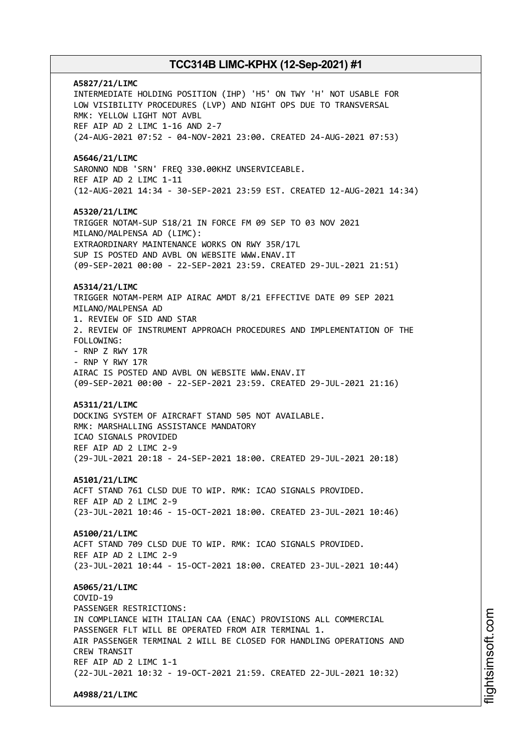**A5827/21/LIMC** INTERMEDIATE HOLDING POSITION (IHP) 'H5' ON TWY 'H' NOT USABLE FOR LOW VISIBILITY PROCEDURES (LVP) AND NIGHT OPS DUE TO TRANSVERSAL RMK: YELLOW LIGHT NOT AVBL REF AIP AD 2 LIMC 1-16 AND 2-7 (24-AUG-2021 07:52 - 04-NOV-2021 23:00. CREATED 24-AUG-2021 07:53) **A5646/21/LIMC** SARONNO NDB 'SRN' FREQ 330.00KHZ UNSERVICEABLE. REF AIP AD 2 LIMC 1-11 (12-AUG-2021 14:34 - 30-SEP-2021 23:59 EST. CREATED 12-AUG-2021 14:34) **A5320/21/LIMC** TRIGGER NOTAM-SUP S18/21 IN FORCE FM 09 SEP TO 03 NOV 2021 MILANO/MALPENSA AD (LIMC): EXTRAORDINARY MAINTENANCE WORKS ON RWY 35R/17L SUP IS POSTED AND AVBL ON WEBSITE WWW.ENAV.IT (09-SEP-2021 00:00 - 22-SEP-2021 23:59. CREATED 29-JUL-2021 21:51) **A5314/21/LIMC** TRIGGER NOTAM-PERM AIP AIRAC AMDT 8/21 EFFECTIVE DATE 09 SEP 2021 MILANO/MALPENSA AD 1. REVIEW OF SID AND STAR 2. REVIEW OF INSTRUMENT APPROACH PROCEDURES AND IMPLEMENTATION OF THE FOLLOWING: - RNP Z RWY 17R - RNP Y RWY 17R AIRAC IS POSTED AND AVBL ON WEBSITE WWW.ENAV.IT (09-SEP-2021 00:00 - 22-SEP-2021 23:59. CREATED 29-JUL-2021 21:16) **A5311/21/LIMC** DOCKING SYSTEM OF AIRCRAFT STAND 505 NOT AVAILABLE. RMK: MARSHALLING ASSISTANCE MANDATORY ICAO SIGNALS PROVIDED REF AIP AD 2 LIMC 2-9 (29-JUL-2021 20:18 - 24-SEP-2021 18:00. CREATED 29-JUL-2021 20:18) **A5101/21/LIMC** ACFT STAND 761 CLSD DUE TO WIP. RMK: ICAO SIGNALS PROVIDED. REF AIP AD 2 LIMC 2-9 (23-JUL-2021 10:46 - 15-OCT-2021 18:00. CREATED 23-JUL-2021 10:46) **A5100/21/LIMC** ACFT STAND 709 CLSD DUE TO WIP. RMK: ICAO SIGNALS PROVIDED. REF AIP AD 2 LIMC 2-9 (23-JUL-2021 10:44 - 15-OCT-2021 18:00. CREATED 23-JUL-2021 10:44) **A5065/21/LIMC** COVID-19 PASSENGER RESTRICTIONS: IN COMPLIANCE WITH ITALIAN CAA (ENAC) PROVISIONS ALL COMMERCIAL PASSENGER FLT WILL BE OPERATED FROM AIR TERMINAL 1. AIR PASSENGER TERMINAL 2 WILL BE CLOSED FOR HANDLING OPERATIONS AND CREW TRANSIT REF AIP AD 2 LIMC 1-1 (22-JUL-2021 10:32 - 19-OCT-2021 21:59. CREATED 22-JUL-2021 10:32) **A4988/21/LIMC**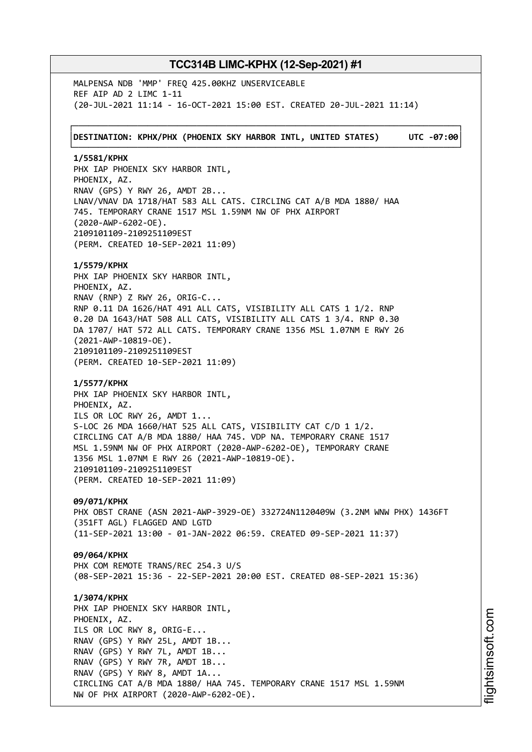MALPENSA NDB 'MMP' FREQ 425.00KHZ UNSERVICEABLE REF AIP AD 2 LIMC 1-11 (20-JUL-2021 11:14 - 16-OCT-2021 15:00 EST. CREATED 20-JUL-2021 11:14)

┌──────────────────────────────────────────────────────────────────────────────┐ │**DESTINATION: KPHX/PHX (PHOENIX SKY HARBOR INTL, UNITED STATES) UTC -07:00**│ └──────────────────────────────────────────────────────────────────────────────┘

**1/5581/KPHX** PHX IAP PHOENIX SKY HARBOR INTL, PHOENIX, AZ. RNAV (GPS) Y RWY 26, AMDT 2B... LNAV/VNAV DA 1718/HAT 583 ALL CATS. CIRCLING CAT A/B MDA 1880/ HAA 745. TEMPORARY CRANE 1517 MSL 1.59NM NW OF PHX AIRPORT (2020-AWP-6202-OE). 2109101109-2109251109EST (PERM. CREATED 10-SEP-2021 11:09)

**1/5579/KPHX** PHX IAP PHOENIX SKY HARBOR INTL, PHOENIX, AZ. RNAV (RNP) Z RWY 26, ORIG-C... RNP 0.11 DA 1626/HAT 491 ALL CATS, VISIBILITY ALL CATS 1 1/2. RNP 0.20 DA 1643/HAT 508 ALL CATS, VISIBILITY ALL CATS 1 3/4. RNP 0.30 DA 1707/ HAT 572 ALL CATS. TEMPORARY CRANE 1356 MSL 1.07NM E RWY 26 (2021-AWP-10819-OE). 2109101109-2109251109EST (PERM. CREATED 10-SEP-2021 11:09)

**1/5577/KPHX** PHX IAP PHOENIX SKY HARBOR INTL, PHOENIX, AZ. ILS OR LOC RWY 26, AMDT 1... S-LOC 26 MDA 1660/HAT 525 ALL CATS, VISIBILITY CAT C/D 1 1/2. CIRCLING CAT A/B MDA 1880/ HAA 745. VDP NA. TEMPORARY CRANE 1517 MSL 1.59NM NW OF PHX AIRPORT (2020-AWP-6202-OE), TEMPORARY CRANE 1356 MSL 1.07NM E RWY 26 (2021-AWP-10819-OE). 2109101109-2109251109EST (PERM. CREATED 10-SEP-2021 11:09)

**09/071/KPHX**

PHX OBST CRANE (ASN 2021-AWP-3929-OE) 332724N1120409W (3.2NM WNW PHX) 1436FT (351FT AGL) FLAGGED AND LGTD (11-SEP-2021 13:00 - 01-JAN-2022 06:59. CREATED 09-SEP-2021 11:37)

**09/064/KPHX** PHX COM REMOTE TRANS/REC 254.3 U/S (08-SEP-2021 15:36 - 22-SEP-2021 20:00 EST. CREATED 08-SEP-2021 15:36)

**1/3074/KPHX** PHX IAP PHOENIX SKY HARBOR INTL, PHOENIX, AZ. ILS OR LOC RWY 8, ORIG-E... RNAV (GPS) Y RWY 25L, AMDT 1B... RNAV (GPS) Y RWY 7L, AMDT 1B... RNAV (GPS) Y RWY 7R, AMDT 1B... RNAV (GPS) Y RWY 8, AMDT 1A... CIRCLING CAT A/B MDA 1880/ HAA 745. TEMPORARY CRANE 1517 MSL 1.59NM NW OF PHX AIRPORT (2020-AWP-6202-OE).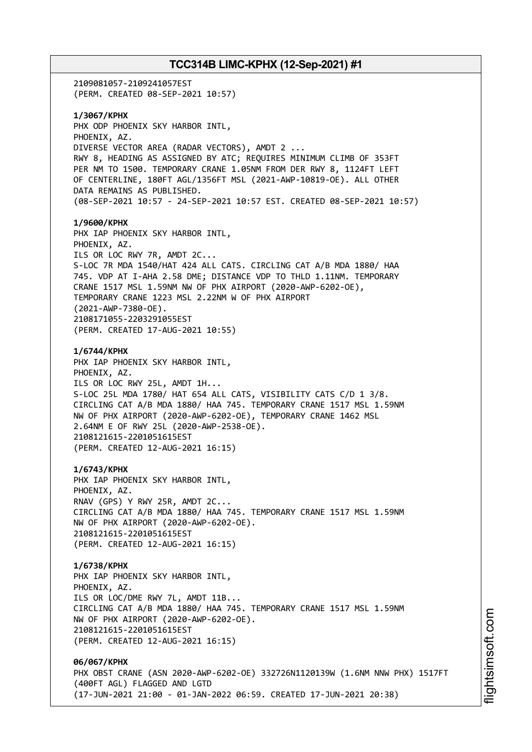# **TCC314B LIMC-KPHX (12-Sep-2021) #1** 2109081057-2109241057EST (PERM. CREATED 08-SEP-2021 10:57) **1/3067/KPHX** PHX ODP PHOENIX SKY HARBOR INTL, PHOENIX, AZ. DIVERSE VECTOR AREA (RADAR VECTORS), AMDT 2 ... RWY 8, HEADING AS ASSIGNED BY ATC; REQUIRES MINIMUM CLIMB OF 353FT PER NM TO 1500. TEMPORARY CRANE 1.05NM FROM DER RWY 8, 1124FT LEFT OF CENTERLINE, 180FT AGL/1356FT MSL (2021-AWP-10819-OE). ALL OTHER DATA REMAINS AS PUBLISHED. (08-SEP-2021 10:57 - 24-SEP-2021 10:57 EST. CREATED 08-SEP-2021 10:57) **1/9600/KPHX** PHX IAP PHOENIX SKY HARBOR INTL, PHOENIX, AZ. ILS OR LOC RWY 7R, AMDT 2C... S-LOC 7R MDA 1540/HAT 424 ALL CATS. CIRCLING CAT A/B MDA 1880/ HAA 745. VDP AT I-AHA 2.58 DME; DISTANCE VDP TO THLD 1.11NM. TEMPORARY CRANE 1517 MSL 1.59NM NW OF PHX AIRPORT (2020-AWP-6202-OE), TEMPORARY CRANE 1223 MSL 2.22NM W OF PHX AIRPORT (2021-AWP-7380-OE). 2108171055-2203291055EST (PERM. CREATED 17-AUG-2021 10:55) **1/6744/KPHX** PHX IAP PHOENIX SKY HARBOR INTL, PHOENIX, AZ. ILS OR LOC RWY 25L, AMDT 1H... S-LOC 25L MDA 1780/ HAT 654 ALL CATS, VISIBILITY CATS C/D 1 3/8. CIRCLING CAT A/B MDA 1880/ HAA 745. TEMPORARY CRANE 1517 MSL 1.59NM NW OF PHX AIRPORT (2020-AWP-6202-OE), TEMPORARY CRANE 1462 MSL 2.64NM E OF RWY 25L (2020-AWP-2538-OE). 2108121615-2201051615EST (PERM. CREATED 12-AUG-2021 16:15) **1/6743/KPHX** PHX IAP PHOENIX SKY HARBOR INTL, PHOENIX, AZ. RNAV (GPS) Y RWY 25R, AMDT 2C... CIRCLING CAT A/B MDA 1880/ HAA 745. TEMPORARY CRANE 1517 MSL 1.59NM NW OF PHX AIRPORT (2020-AWP-6202-OE). 2108121615-2201051615EST (PERM. CREATED 12-AUG-2021 16:15) **1/6738/KPHX** PHX IAP PHOENIX SKY HARBOR INTL, PHOENIX, AZ. ILS OR LOC/DME RWY 7L, AMDT 11B... CIRCLING CAT A/B MDA 1880/ HAA 745. TEMPORARY CRANE 1517 MSL 1.59NM NW OF PHX AIRPORT (2020-AWP-6202-OE). 2108121615-2201051615EST (PERM. CREATED 12-AUG-2021 16:15) **06/067/KPHX** PHX OBST CRANE (ASN 2020-AWP-6202-OE) 332726N1120139W (1.6NM NNW PHX) 1517FT (400FT AGL) FLAGGED AND LGTD (17-JUN-2021 21:00 - 01-JAN-2022 06:59. CREATED 17-JUN-2021 20:38)

i⊒<br>⊫ htsim s oft.c o

m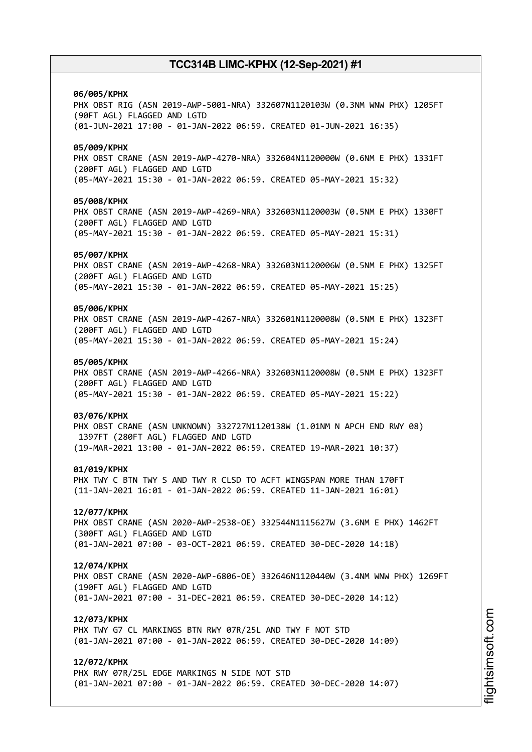### **06/005/KPHX**

PHX OBST RIG (ASN 2019-AWP-5001-NRA) 332607N1120103W (0.3NM WNW PHX) 1205FT (90FT AGL) FLAGGED AND LGTD (01-JUN-2021 17:00 - 01-JAN-2022 06:59. CREATED 01-JUN-2021 16:35)

### **05/009/KPHX**

PHX OBST CRANE (ASN 2019-AWP-4270-NRA) 332604N1120000W (0.6NM E PHX) 1331FT (200FT AGL) FLAGGED AND LGTD (05-MAY-2021 15:30 - 01-JAN-2022 06:59. CREATED 05-MAY-2021 15:32)

### **05/008/KPHX**

PHX OBST CRANE (ASN 2019-AWP-4269-NRA) 332603N1120003W (0.5NM E PHX) 1330FT (200FT AGL) FLAGGED AND LGTD (05-MAY-2021 15:30 - 01-JAN-2022 06:59. CREATED 05-MAY-2021 15:31)

### **05/007/KPHX**

PHX OBST CRANE (ASN 2019-AWP-4268-NRA) 332603N1120006W (0.5NM E PHX) 1325FT (200FT AGL) FLAGGED AND LGTD (05-MAY-2021 15:30 - 01-JAN-2022 06:59. CREATED 05-MAY-2021 15:25)

## **05/006/KPHX**

PHX OBST CRANE (ASN 2019-AWP-4267-NRA) 332601N1120008W (0.5NM E PHX) 1323FT (200FT AGL) FLAGGED AND LGTD (05-MAY-2021 15:30 - 01-JAN-2022 06:59. CREATED 05-MAY-2021 15:24)

### **05/005/KPHX**

PHX OBST CRANE (ASN 2019-AWP-4266-NRA) 332603N1120008W (0.5NM E PHX) 1323FT (200FT AGL) FLAGGED AND LGTD (05-MAY-2021 15:30 - 01-JAN-2022 06:59. CREATED 05-MAY-2021 15:22)

### **03/076/KPHX**

PHX OBST CRANE (ASN UNKNOWN) 332727N1120138W (1.01NM N APCH END RWY 08) 1397FT (280FT AGL) FLAGGED AND LGTD (19-MAR-2021 13:00 - 01-JAN-2022 06:59. CREATED 19-MAR-2021 10:37)

### **01/019/KPHX**

PHX TWY C BTN TWY S AND TWY R CLSD TO ACFT WINGSPAN MORE THAN 170FT (11-JAN-2021 16:01 - 01-JAN-2022 06:59. CREATED 11-JAN-2021 16:01)

## **12/077/KPHX**

PHX OBST CRANE (ASN 2020-AWP-2538-OE) 332544N1115627W (3.6NM E PHX) 1462FT (300FT AGL) FLAGGED AND LGTD (01-JAN-2021 07:00 - 03-OCT-2021 06:59. CREATED 30-DEC-2020 14:18)

#### **12/074/KPHX**

PHX OBST CRANE (ASN 2020-AWP-6806-OE) 332646N1120440W (3.4NM WNW PHX) 1269FT (190FT AGL) FLAGGED AND LGTD (01-JAN-2021 07:00 - 31-DEC-2021 06:59. CREATED 30-DEC-2020 14:12)

## **12/073/KPHX**

PHX TWY G7 CL MARKINGS BTN RWY 07R/25L AND TWY F NOT STD (01-JAN-2021 07:00 - 01-JAN-2022 06:59. CREATED 30-DEC-2020 14:09)

## **12/072/KPHX**

PHX RWY 07R/25L EDGE MARKINGS N SIDE NOT STD (01-JAN-2021 07:00 - 01-JAN-2022 06:59. CREATED 30-DEC-2020 14:07)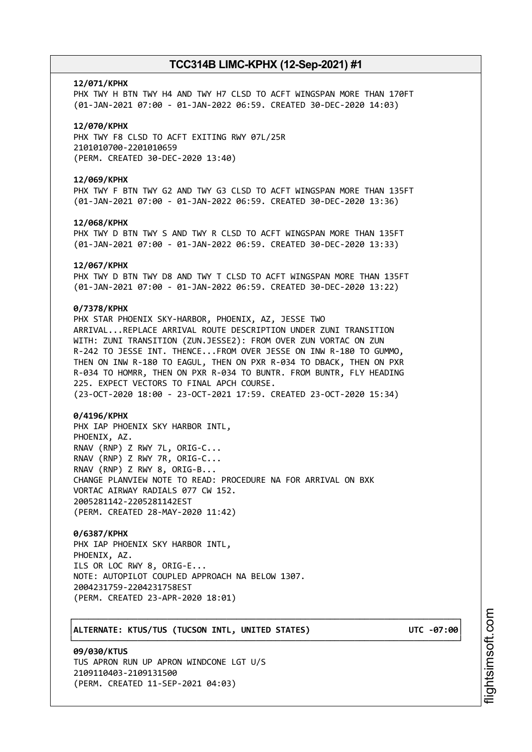#### **12/071/KPHX**

PHX TWY H BTN TWY H4 AND TWY H7 CLSD TO ACFT WINGSPAN MORE THAN 170FT (01-JAN-2021 07:00 - 01-JAN-2022 06:59. CREATED 30-DEC-2020 14:03)

### **12/070/KPHX**

PHX TWY F8 CLSD TO ACFT EXITING RWY 07L/25R 2101010700-2201010659 (PERM. CREATED 30-DEC-2020 13:40)

### **12/069/KPHX**

PHX TWY F BTN TWY G2 AND TWY G3 CLSD TO ACFT WINGSPAN MORE THAN 135FT (01-JAN-2021 07:00 - 01-JAN-2022 06:59. CREATED 30-DEC-2020 13:36)

### **12/068/KPHX**

PHX TWY D BTN TWY S AND TWY R CLSD TO ACFT WINGSPAN MORE THAN 135FT (01-JAN-2021 07:00 - 01-JAN-2022 06:59. CREATED 30-DEC-2020 13:33)

#### **12/067/KPHX**

PHX TWY D BTN TWY D8 AND TWY T CLSD TO ACFT WINGSPAN MORE THAN 135FT (01-JAN-2021 07:00 - 01-JAN-2022 06:59. CREATED 30-DEC-2020 13:22)

## **0/7378/KPHX**

PHX STAR PHOENIX SKY-HARBOR, PHOENIX, AZ, JESSE TWO ARRIVAL...REPLACE ARRIVAL ROUTE DESCRIPTION UNDER ZUNI TRANSITION WITH: ZUNI TRANSITION (ZUN.JESSE2): FROM OVER ZUN VORTAC ON ZUN R-242 TO JESSE INT. THENCE...FROM OVER JESSE ON INW R-180 TO GUMMO, THEN ON INW R-180 TO EAGUL, THEN ON PXR R-034 TO DBACK, THEN ON PXR R-034 TO HOMRR, THEN ON PXR R-034 TO BUNTR. FROM BUNTR, FLY HEADING 225. EXPECT VECTORS TO FINAL APCH COURSE. (23-OCT-2020 18:00 - 23-OCT-2021 17:59. CREATED 23-OCT-2020 15:34)

### **0/4196/KPHX**

PHX IAP PHOENIX SKY HARBOR INTL, PHOENIX, AZ. RNAV (RNP) Z RWY 7L, ORIG-C... RNAV (RNP) Z RWY 7R, ORIG-C... RNAV (RNP) Z RWY 8, ORIG-B... CHANGE PLANVIEW NOTE TO READ: PROCEDURE NA FOR ARRIVAL ON BXK VORTAC AIRWAY RADIALS 077 CW 152. 2005281142-2205281142EST (PERM. CREATED 28-MAY-2020 11:42)

┌──────────────────────────────────────────────────────────────────────────────┐

└──────────────────────────────────────────────────────────────────────────────┘

### **0/6387/KPHX**

PHX IAP PHOENIX SKY HARBOR INTL, PHOENIX, AZ. ILS OR LOC RWY 8, ORIG-E... NOTE: AUTOPILOT COUPLED APPROACH NA BELOW 1307. 2004231759-2204231758EST (PERM. CREATED 23-APR-2020 18:01)

## │**ALTERNATE: KTUS/TUS (TUCSON INTL, UNITED STATES) UTC -07:00**│

**09/030/KTUS** TUS APRON RUN UP APRON WINDCONE LGT U/S 2109110403-2109131500 (PERM. CREATED 11-SEP-2021 04:03)

m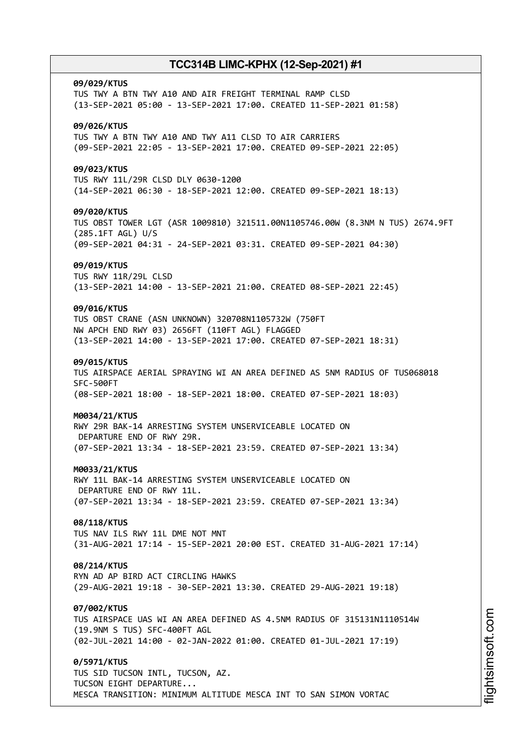### **09/029/KTUS**

TUS TWY A BTN TWY A10 AND AIR FREIGHT TERMINAL RAMP CLSD (13-SEP-2021 05:00 - 13-SEP-2021 17:00. CREATED 11-SEP-2021 01:58)

## **09/026/KTUS**

TUS TWY A BTN TWY A10 AND TWY A11 CLSD TO AIR CARRIERS (09-SEP-2021 22:05 - 13-SEP-2021 17:00. CREATED 09-SEP-2021 22:05)

### **09/023/KTUS**

TUS RWY 11L/29R CLSD DLY 0630-1200 (14-SEP-2021 06:30 - 18-SEP-2021 12:00. CREATED 09-SEP-2021 18:13)

### **09/020/KTUS**

TUS OBST TOWER LGT (ASR 1009810) 321511.00N1105746.00W (8.3NM N TUS) 2674.9FT (285.1FT AGL) U/S (09-SEP-2021 04:31 - 24-SEP-2021 03:31. CREATED 09-SEP-2021 04:30)

### **09/019/KTUS**

TUS RWY 11R/29L CLSD (13-SEP-2021 14:00 - 13-SEP-2021 21:00. CREATED 08-SEP-2021 22:45)

## **09/016/KTUS**

TUS OBST CRANE (ASN UNKNOWN) 320708N1105732W (750FT NW APCH END RWY 03) 2656FT (110FT AGL) FLAGGED (13-SEP-2021 14:00 - 13-SEP-2021 17:00. CREATED 07-SEP-2021 18:31)

## **09/015/KTUS**

TUS AIRSPACE AERIAL SPRAYING WI AN AREA DEFINED AS 5NM RADIUS OF TUS068018 SFC-500FT (08-SEP-2021 18:00 - 18-SEP-2021 18:00. CREATED 07-SEP-2021 18:03)

### **M0034/21/KTUS**

RWY 29R BAK-14 ARRESTING SYSTEM UNSERVICEABLE LOCATED ON DEPARTURE END OF RWY 29R. (07-SEP-2021 13:34 - 18-SEP-2021 23:59. CREATED 07-SEP-2021 13:34)

#### **M0033/21/KTUS**

RWY 11L BAK-14 ARRESTING SYSTEM UNSERVICEABLE LOCATED ON DEPARTURE END OF RWY 11L. (07-SEP-2021 13:34 - 18-SEP-2021 23:59. CREATED 07-SEP-2021 13:34)

### **08/118/KTUS**

TUS NAV ILS RWY 11L DME NOT MNT (31-AUG-2021 17:14 - 15-SEP-2021 20:00 EST. CREATED 31-AUG-2021 17:14)

## **08/214/KTUS**

RYN AD AP BIRD ACT CIRCLING HAWKS (29-AUG-2021 19:18 - 30-SEP-2021 13:30. CREATED 29-AUG-2021 19:18)

### **07/002/KTUS**

TUS AIRSPACE UAS WI AN AREA DEFINED AS 4.5NM RADIUS OF 315131N1110514W (19.9NM S TUS) SFC-400FT AGL (02-JUL-2021 14:00 - 02-JAN-2022 01:00. CREATED 01-JUL-2021 17:19)

### **0/5971/KTUS**

TUS SID TUCSON INTL, TUCSON, AZ. TUCSON EIGHT DEPARTURE... MESCA TRANSITION: MINIMUM ALTITUDE MESCA INT TO SAN SIMON VORTAC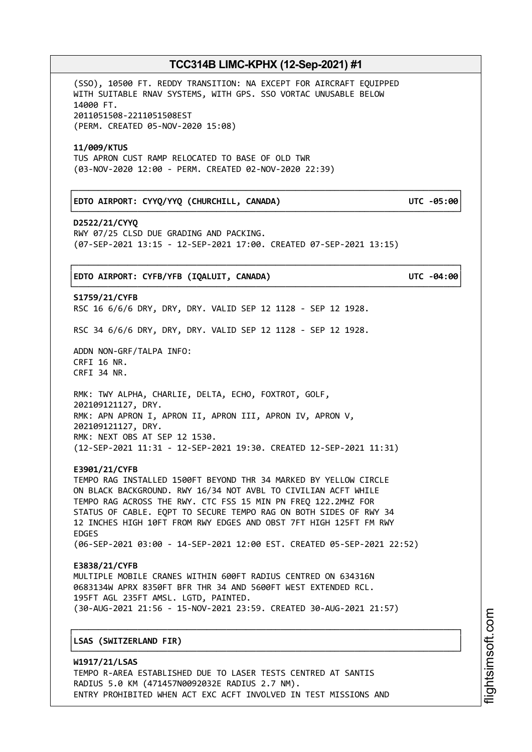┌──────────────────────────────────────────────────────────────────────────────┐

└──────────────────────────────────────────────────────────────────────────────┘

(SSO), 10500 FT. REDDY TRANSITION: NA EXCEPT FOR AIRCRAFT EQUIPPED WITH SUITABLE RNAV SYSTEMS, WITH GPS. SSO VORTAC UNUSABLE BELOW 14000 FT. 2011051508-2211051508EST (PERM. CREATED 05-NOV-2020 15:08)

### **11/009/KTUS**

TUS APRON CUST RAMP RELOCATED TO BASE OF OLD TWR (03-NOV-2020 12:00 - PERM. CREATED 02-NOV-2020 22:39)

## │**EDTO AIRPORT: CYYQ/YYQ (CHURCHILL, CANADA) UTC -05:00**│

**D2522/21/CYYQ** RWY 07/25 CLSD DUE GRADING AND PACKING. (07-SEP-2021 13:15 - 12-SEP-2021 17:00. CREATED 07-SEP-2021 13:15)

## ┌──────────────────────────────────────────────────────────────────────────────┐ │**EDTO AIRPORT: CYFB/YFB (IQALUIT, CANADA) UTC -04:00**│

└──────────────────────────────────────────────────────────────────────────────┘ **S1759/21/CYFB** RSC 16 6/6/6 DRY, DRY, DRY. VALID SEP 12 1128 - SEP 12 1928.

RSC 34 6/6/6 DRY, DRY, DRY. VALID SEP 12 1128 - SEP 12 1928.

ADDN NON-GRF/TALPA INFO: CRFI 16 NR. CRFI 34 NR.

RMK: TWY ALPHA, CHARLIE, DELTA, ECHO, FOXTROT, GOLF, 202109121127, DRY. RMK: APN APRON I, APRON II, APRON III, APRON IV, APRON V, 202109121127, DRY. RMK: NEXT OBS AT SEP 12 1530. (12-SEP-2021 11:31 - 12-SEP-2021 19:30. CREATED 12-SEP-2021 11:31)

### **E3901/21/CYFB**

TEMPO RAG INSTALLED 1500FT BEYOND THR 34 MARKED BY YELLOW CIRCLE ON BLACK BACKGROUND. RWY 16/34 NOT AVBL TO CIVILIAN ACFT WHILE TEMPO RAG ACROSS THE RWY. CTC FSS 15 MIN PN FREQ 122.2MHZ FOR STATUS OF CABLE. EQPT TO SECURE TEMPO RAG ON BOTH SIDES OF RWY 34 12 INCHES HIGH 10FT FROM RWY EDGES AND OBST 7FT HIGH 125FT FM RWY EDGES (06-SEP-2021 03:00 - 14-SEP-2021 12:00 EST. CREATED 05-SEP-2021 22:52)

# **E3838/21/CYFB**

MULTIPLE MOBILE CRANES WITHIN 600FT RADIUS CENTRED ON 634316N 0683134W APRX 8350FT BFR THR 34 AND 5600FT WEST EXTENDED RCL. 195FT AGL 235FT AMSL. LGTD, PAINTED. (30-AUG-2021 21:56 - 15-NOV-2021 23:59. CREATED 30-AUG-2021 21:57)

┌──────────────────────────────────────────────────────────────────────────────┐

└──────────────────────────────────────────────────────────────────────────────┘

## │**LSAS (SWITZERLAND FIR)** │

**W1917/21/LSAS** TEMPO R-AREA ESTABLISHED DUE TO LASER TESTS CENTRED AT SANTIS RADIUS 5.0 KM (471457N0092032E RADIUS 2.7 NM). ENTRY PROHIBITED WHEN ACT EXC ACFT INVOLVED IN TEST MISSIONS AND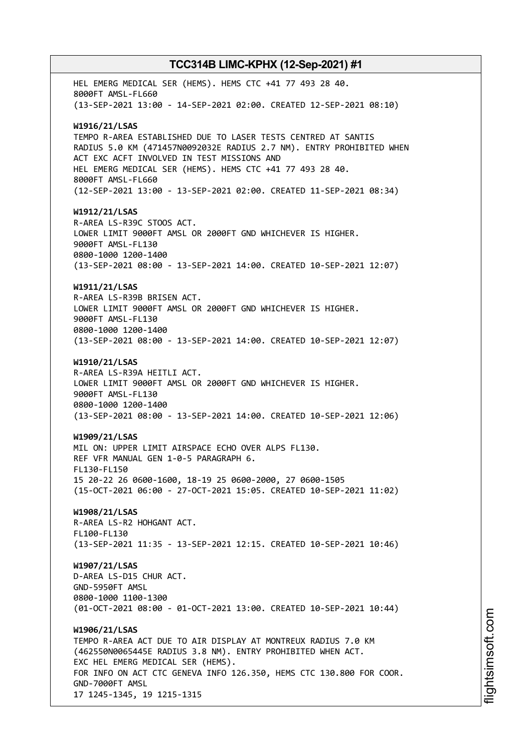HEL EMERG MEDICAL SER (HEMS). HEMS CTC +41 77 493 28 40. 8000FT AMSL-FL660 (13-SEP-2021 13:00 - 14-SEP-2021 02:00. CREATED 12-SEP-2021 08:10) **W1916/21/LSAS** TEMPO R-AREA ESTABLISHED DUE TO LASER TESTS CENTRED AT SANTIS RADIUS 5.0 KM (471457N0092032E RADIUS 2.7 NM). ENTRY PROHIBITED WHEN ACT EXC ACFT INVOLVED IN TEST MISSIONS AND HEL EMERG MEDICAL SER (HEMS). HEMS CTC +41 77 493 28 40. 8000FT AMSL-FL660 (12-SEP-2021 13:00 - 13-SEP-2021 02:00. CREATED 11-SEP-2021 08:34) **W1912/21/LSAS** R-AREA LS-R39C STOOS ACT. LOWER LIMIT 9000FT AMSL OR 2000FT GND WHICHEVER IS HIGHER. 9000FT AMSL-FL130 0800-1000 1200-1400 (13-SEP-2021 08:00 - 13-SEP-2021 14:00. CREATED 10-SEP-2021 12:07) **W1911/21/LSAS** R-AREA LS-R39B BRISEN ACT. LOWER LIMIT 9000FT AMSL OR 2000FT GND WHICHEVER IS HIGHER. 9000FT AMSL-FL130 0800-1000 1200-1400 (13-SEP-2021 08:00 - 13-SEP-2021 14:00. CREATED 10-SEP-2021 12:07) **W1910/21/LSAS** R-AREA LS-R39A HEITLI ACT. LOWER LIMIT 9000FT AMSL OR 2000FT GND WHICHEVER IS HIGHER. 9000FT AMSL-FL130 0800-1000 1200-1400 (13-SEP-2021 08:00 - 13-SEP-2021 14:00. CREATED 10-SEP-2021 12:06) **W1909/21/LSAS** MIL ON: UPPER LIMIT AIRSPACE ECHO OVER ALPS FL130. REF VFR MANUAL GEN 1-0-5 PARAGRAPH 6. FL130-FL150 15 20-22 26 0600-1600, 18-19 25 0600-2000, 27 0600-1505 (15-OCT-2021 06:00 - 27-OCT-2021 15:05. CREATED 10-SEP-2021 11:02) **W1908/21/LSAS** R-AREA LS-R2 HOHGANT ACT. FL100-FL130 (13-SEP-2021 11:35 - 13-SEP-2021 12:15. CREATED 10-SEP-2021 10:46) **W1907/21/LSAS** D-AREA LS-D15 CHUR ACT. GND-5950FT AMSL 0800-1000 1100-1300 (01-OCT-2021 08:00 - 01-OCT-2021 13:00. CREATED 10-SEP-2021 10:44) **W1906/21/LSAS** TEMPO R-AREA ACT DUE TO AIR DISPLAY AT MONTREUX RADIUS 7.0 KM (462550N0065445E RADIUS 3.8 NM). ENTRY PROHIBITED WHEN ACT. EXC HEL EMERG MEDICAL SER (HEMS). FOR INFO ON ACT CTC GENEVA INFO 126.350, HEMS CTC 130.800 FOR COOR. GND-7000FT AMSL 17 1245-1345, 19 1215-1315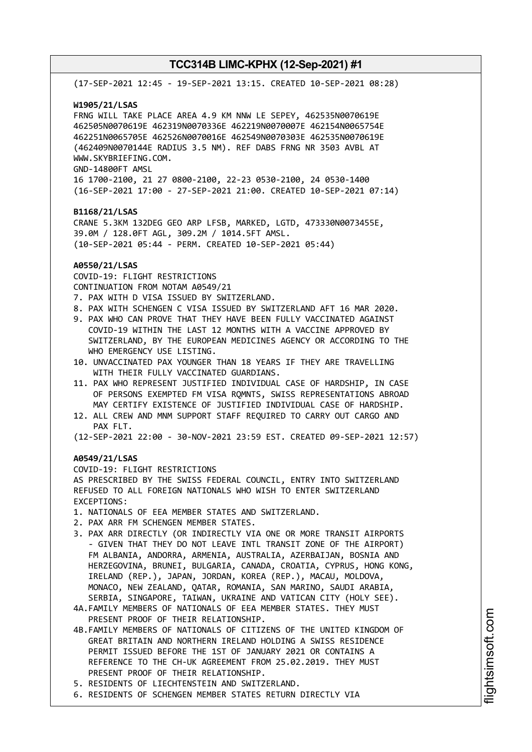(17-SEP-2021 12:45 - 19-SEP-2021 13:15. CREATED 10-SEP-2021 08:28) **W1905/21/LSAS** FRNG WILL TAKE PLACE AREA 4.9 KM NNW LE SEPEY, 462535N0070619E 462505N0070619E 462319N0070336E 462219N0070007E 462154N0065754E 462251N0065705E 462526N0070016E 462549N0070303E 462535N0070619E (462409N0070144E RADIUS 3.5 NM). REF DABS FRNG NR 3503 AVBL AT WWW.SKYBRIEFING.COM. GND-14800FT AMSL 16 1700-2100, 21 27 0800-2100, 22-23 0530-2100, 24 0530-1400 (16-SEP-2021 17:00 - 27-SEP-2021 21:00. CREATED 10-SEP-2021 07:14) **B1168/21/LSAS** CRANE 5.3KM 132DEG GEO ARP LFSB, MARKED, LGTD, 473330N0073455E, 39.0M / 128.0FT AGL, 309.2M / 1014.5FT AMSL. (10-SEP-2021 05:44 - PERM. CREATED 10-SEP-2021 05:44) **A0550/21/LSAS** COVID-19: FLIGHT RESTRICTIONS CONTINUATION FROM NOTAM A0549/21 7. PAX WITH D VISA ISSUED BY SWITZERLAND. 8. PAX WITH SCHENGEN C VISA ISSUED BY SWITZERLAND AFT 16 MAR 2020. 9. PAX WHO CAN PROVE THAT THEY HAVE BEEN FULLY VACCINATED AGAINST COVID-19 WITHIN THE LAST 12 MONTHS WITH A VACCINE APPROVED BY SWITZERLAND, BY THE EUROPEAN MEDICINES AGENCY OR ACCORDING TO THE WHO EMERGENCY USE LISTING. 10. UNVACCINATED PAX YOUNGER THAN 18 YEARS IF THEY ARE TRAVELLING WITH THEIR FULLY VACCINATED GUARDIANS. 11. PAX WHO REPRESENT JUSTIFIED INDIVIDUAL CASE OF HARDSHIP, IN CASE OF PERSONS EXEMPTED FM VISA RQMNTS, SWISS REPRESENTATIONS ABROAD MAY CERTIFY EXISTENCE OF JUSTIFIED INDIVIDUAL CASE OF HARDSHIP. 12. ALL CREW AND MNM SUPPORT STAFF REQUIRED TO CARRY OUT CARGO AND PAX FLT. (12-SEP-2021 22:00 - 30-NOV-2021 23:59 EST. CREATED 09-SEP-2021 12:57) **A0549/21/LSAS** COVID-19: FLIGHT RESTRICTIONS AS PRESCRIBED BY THE SWISS FEDERAL COUNCIL, ENTRY INTO SWITZERLAND REFUSED TO ALL FOREIGN NATIONALS WHO WISH TO ENTER SWITZERLAND EXCEPTIONS: 1. NATIONALS OF EEA MEMBER STATES AND SWITZERLAND. 2. PAX ARR FM SCHENGEN MEMBER STATES. 3. PAX ARR DIRECTLY (OR INDIRECTLY VIA ONE OR MORE TRANSIT AIRPORTS - GIVEN THAT THEY DO NOT LEAVE INTL TRANSIT ZONE OF THE AIRPORT) FM ALBANIA, ANDORRA, ARMENIA, AUSTRALIA, AZERBAIJAN, BOSNIA AND HERZEGOVINA, BRUNEI, BULGARIA, CANADA, CROATIA, CYPRUS, HONG KONG, IRELAND (REP.), JAPAN, JORDAN, KOREA (REP.), MACAU, MOLDOVA, MONACO, NEW ZEALAND, QATAR, ROMANIA, SAN MARINO, SAUDI ARABIA, SERBIA, SINGAPORE, TAIWAN, UKRAINE AND VATICAN CITY (HOLY SEE). 4A.FAMILY MEMBERS OF NATIONALS OF EEA MEMBER STATES. THEY MUST PRESENT PROOF OF THEIR RELATIONSHIP. 4B.FAMILY MEMBERS OF NATIONALS OF CITIZENS OF THE UNITED KINGDOM OF GREAT BRITAIN AND NORTHERN IRELAND HOLDING A SWISS RESIDENCE PERMIT ISSUED BEFORE THE 1ST OF JANUARY 2021 OR CONTAINS A REFERENCE TO THE CH-UK AGREEMENT FROM 25.02.2019. THEY MUST PRESENT PROOF OF THEIR RELATIONSHIP. 5. RESIDENTS OF LIECHTENSTEIN AND SWITZERLAND. 6. RESIDENTS OF SCHENGEN MEMBER STATES RETURN DIRECTLY VIA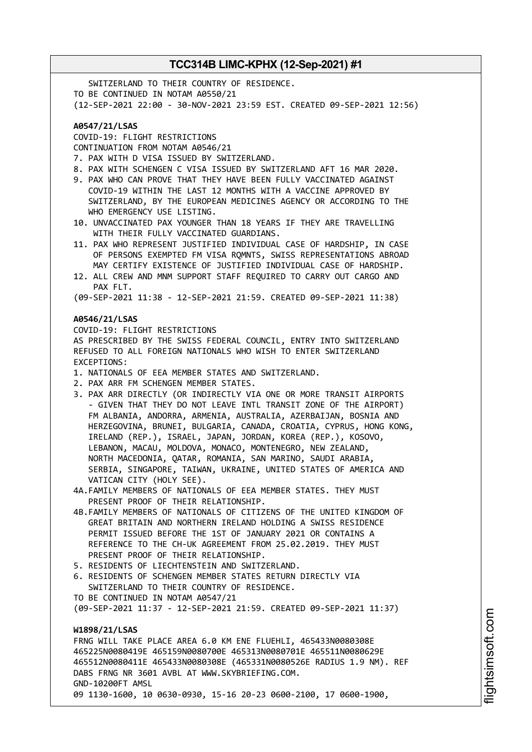**TCC314B LIMC-KPHX (12-Sep-2021) #1** SWITZERLAND TO THEIR COUNTRY OF RESIDENCE. TO BE CONTINUED IN NOTAM A0550/21 (12-SEP-2021 22:00 - 30-NOV-2021 23:59 EST. CREATED 09-SEP-2021 12:56) **A0547/21/LSAS** COVID-19: FLIGHT RESTRICTIONS CONTINUATION FROM NOTAM A0546/21 7. PAX WITH D VISA ISSUED BY SWITZERLAND. 8. PAX WITH SCHENGEN C VISA ISSUED BY SWITZERLAND AFT 16 MAR 2020. 9. PAX WHO CAN PROVE THAT THEY HAVE BEEN FULLY VACCINATED AGAINST COVID-19 WITHIN THE LAST 12 MONTHS WITH A VACCINE APPROVED BY SWITZERLAND, BY THE EUROPEAN MEDICINES AGENCY OR ACCORDING TO THE WHO EMERGENCY USE LISTING. 10. UNVACCINATED PAX YOUNGER THAN 18 YEARS IF THEY ARE TRAVELLING WITH THEIR FULLY VACCINATED GUARDIANS. 11. PAX WHO REPRESENT JUSTIFIED INDIVIDUAL CASE OF HARDSHIP, IN CASE OF PERSONS EXEMPTED FM VISA RQMNTS, SWISS REPRESENTATIONS ABROAD MAY CERTIFY EXISTENCE OF JUSTIFIED INDIVIDUAL CASE OF HARDSHIP. 12. ALL CREW AND MNM SUPPORT STAFF REQUIRED TO CARRY OUT CARGO AND PAX FLT. (09-SEP-2021 11:38 - 12-SEP-2021 21:59. CREATED 09-SEP-2021 11:38) **A0546/21/LSAS** COVID-19: FLIGHT RESTRICTIONS

AS PRESCRIBED BY THE SWISS FEDERAL COUNCIL, ENTRY INTO SWITZERLAND REFUSED TO ALL FOREIGN NATIONALS WHO WISH TO ENTER SWITZERLAND EXCEPTIONS:

- 1. NATIONALS OF EEA MEMBER STATES AND SWITZERLAND.
- 2. PAX ARR FM SCHENGEN MEMBER STATES.
- 3. PAX ARR DIRECTLY (OR INDIRECTLY VIA ONE OR MORE TRANSIT AIRPORTS - GIVEN THAT THEY DO NOT LEAVE INTL TRANSIT ZONE OF THE AIRPORT) FM ALBANIA, ANDORRA, ARMENIA, AUSTRALIA, AZERBAIJAN, BOSNIA AND HERZEGOVINA, BRUNEI, BULGARIA, CANADA, CROATIA, CYPRUS, HONG KONG, IRELAND (REP.), ISRAEL, JAPAN, JORDAN, KOREA (REP.), KOSOVO, LEBANON, MACAU, MOLDOVA, MONACO, MONTENEGRO, NEW ZEALAND, NORTH MACEDONIA, QATAR, ROMANIA, SAN MARINO, SAUDI ARABIA, SERBIA, SINGAPORE, TAIWAN, UKRAINE, UNITED STATES OF AMERICA AND VATICAN CITY (HOLY SEE).
- 4A.FAMILY MEMBERS OF NATIONALS OF EEA MEMBER STATES. THEY MUST PRESENT PROOF OF THEIR RELATIONSHIP.
- 4B.FAMILY MEMBERS OF NATIONALS OF CITIZENS OF THE UNITED KINGDOM OF GREAT BRITAIN AND NORTHERN IRELAND HOLDING A SWISS RESIDENCE PERMIT ISSUED BEFORE THE 1ST OF JANUARY 2021 OR CONTAINS A REFERENCE TO THE CH-UK AGREEMENT FROM 25.02.2019. THEY MUST PRESENT PROOF OF THEIR RELATIONSHIP.
- 5. RESIDENTS OF LIECHTENSTEIN AND SWITZERLAND.
- 6. RESIDENTS OF SCHENGEN MEMBER STATES RETURN DIRECTLY VIA SWITZERLAND TO THEIR COUNTRY OF RESIDENCE.
- TO BE CONTINUED IN NOTAM A0547/21

(09-SEP-2021 11:37 - 12-SEP-2021 21:59. CREATED 09-SEP-2021 11:37)

## **W1898/21/LSAS**

FRNG WILL TAKE PLACE AREA 6.0 KM ENE FLUEHLI, 465433N0080308E 465225N0080419E 465159N0080700E 465313N0080701E 465511N0080629E 465512N0080411E 465433N0080308E (465331N0080526E RADIUS 1.9 NM). REF DABS FRNG NR 3601 AVBL AT WWW.SKYBRIEFING.COM. GND-10200FT AMSL 09 1130-1600, 10 0630-0930, 15-16 20-23 0600-2100, 17 0600-1900,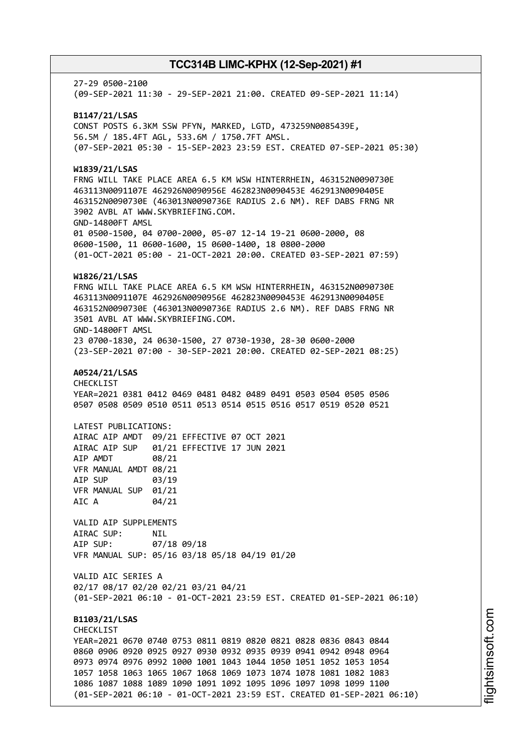27-29 0500-2100 (09-SEP-2021 11:30 - 29-SEP-2021 21:00. CREATED 09-SEP-2021 11:14) **B1147/21/LSAS** CONST POSTS 6.3KM SSW PFYN, MARKED, LGTD, 473259N0085439E, 56.5M / 185.4FT AGL, 533.6M / 1750.7FT AMSL. (07-SEP-2021 05:30 - 15-SEP-2023 23:59 EST. CREATED 07-SEP-2021 05:30) **W1839/21/LSAS** FRNG WILL TAKE PLACE AREA 6.5 KM WSW HINTERRHEIN, 463152N0090730E 463113N0091107E 462926N0090956E 462823N0090453E 462913N0090405E 463152N0090730E (463013N0090736E RADIUS 2.6 NM). REF DABS FRNG NR 3902 AVBL AT WWW.SKYBRIEFING.COM. GND-14800FT AMSL 01 0500-1500, 04 0700-2000, 05-07 12-14 19-21 0600-2000, 08 0600-1500, 11 0600-1600, 15 0600-1400, 18 0800-2000 (01-OCT-2021 05:00 - 21-OCT-2021 20:00. CREATED 03-SEP-2021 07:59) **W1826/21/LSAS** FRNG WILL TAKE PLACE AREA 6.5 KM WSW HINTERRHEIN, 463152N0090730E 463113N0091107E 462926N0090956E 462823N0090453E 462913N0090405E 463152N0090730E (463013N0090736E RADIUS 2.6 NM). REF DABS FRNG NR 3501 AVBL AT WWW.SKYBRIEFING.COM. GND-14800FT AMSL 23 0700-1830, 24 0630-1500, 27 0730-1930, 28-30 0600-2000 (23-SEP-2021 07:00 - 30-SEP-2021 20:00. CREATED 02-SEP-2021 08:25) **A0524/21/LSAS** CHECKLIST YEAR=2021 0381 0412 0469 0481 0482 0489 0491 0503 0504 0505 0506 0507 0508 0509 0510 0511 0513 0514 0515 0516 0517 0519 0520 0521 LATEST PUBLICATIONS: AIRAC AIP AMDT 09/21 EFFECTIVE 07 OCT 2021 AIRAC AIP SUP 01/21 EFFECTIVE 17 JUN 2021 AIP AMDT 08/21 VFR MANUAL AMDT 08/21 AIP SUP 03/19 VFR MANUAL SUP 01/21 AIC A 04/21 VALID AIP SUPPLEMENTS AIRAC SUP: NIL AIP SUP: 07/18 09/18 VFR MANUAL SUP: 05/16 03/18 05/18 04/19 01/20 VALID AIC SERIES A 02/17 08/17 02/20 02/21 03/21 04/21 (01-SEP-2021 06:10 - 01-OCT-2021 23:59 EST. CREATED 01-SEP-2021 06:10) **B1103/21/LSAS CHECKLIST** YEAR=2021 0670 0740 0753 0811 0819 0820 0821 0828 0836 0843 0844 0860 0906 0920 0925 0927 0930 0932 0935 0939 0941 0942 0948 0964 0973 0974 0976 0992 1000 1001 1043 1044 1050 1051 1052 1053 1054 1057 1058 1063 1065 1067 1068 1069 1073 1074 1078 1081 1082 1083 1086 1087 1088 1089 1090 1091 1092 1095 1096 1097 1098 1099 1100 (01-SEP-2021 06:10 - 01-OCT-2021 23:59 EST. CREATED 01-SEP-2021 06:10)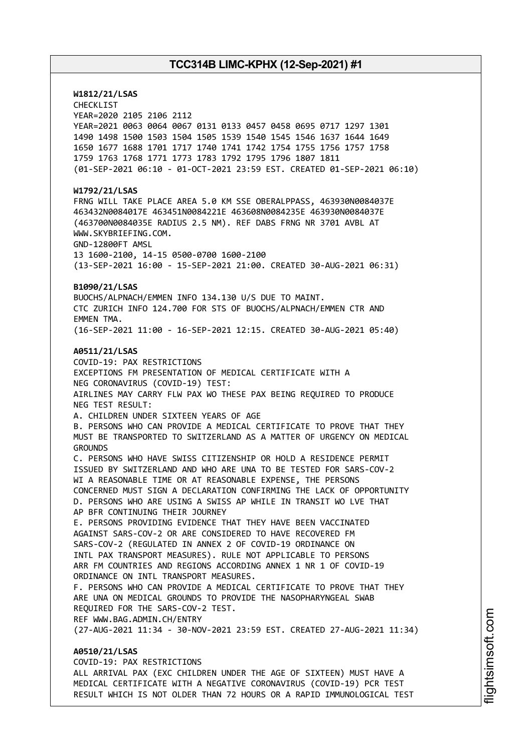**W1812/21/LSAS** CHECKLIST YEAR=2020 2105 2106 2112 YEAR=2021 0063 0064 0067 0131 0133 0457 0458 0695 0717 1297 1301 1490 1498 1500 1503 1504 1505 1539 1540 1545 1546 1637 1644 1649 1650 1677 1688 1701 1717 1740 1741 1742 1754 1755 1756 1757 1758 1759 1763 1768 1771 1773 1783 1792 1795 1796 1807 1811 (01-SEP-2021 06:10 - 01-OCT-2021 23:59 EST. CREATED 01-SEP-2021 06:10) **W1792/21/LSAS** FRNG WILL TAKE PLACE AREA 5.0 KM SSE OBERALPPASS, 463930N0084037E 463432N0084017E 463451N0084221E 463608N0084235E 463930N0084037E (463700N0084035E RADIUS 2.5 NM). REF DABS FRNG NR 3701 AVBL AT WWW.SKYBRIEFING.COM. GND-12800FT AMSL 13 1600-2100, 14-15 0500-0700 1600-2100 (13-SEP-2021 16:00 - 15-SEP-2021 21:00. CREATED 30-AUG-2021 06:31) **B1090/21/LSAS** BUOCHS/ALPNACH/EMMEN INFO 134.130 U/S DUE TO MAINT. CTC ZURICH INFO 124.700 FOR STS OF BUOCHS/ALPNACH/EMMEN CTR AND EMMEN TMA. (16-SEP-2021 11:00 - 16-SEP-2021 12:15. CREATED 30-AUG-2021 05:40) **A0511/21/LSAS** COVID-19: PAX RESTRICTIONS EXCEPTIONS FM PRESENTATION OF MEDICAL CERTIFICATE WITH A NEG CORONAVIRUS (COVID-19) TEST: AIRLINES MAY CARRY FLW PAX WO THESE PAX BEING REQUIRED TO PRODUCE NEG TEST RESULT: A. CHILDREN UNDER SIXTEEN YEARS OF AGE B. PERSONS WHO CAN PROVIDE A MEDICAL CERTIFICATE TO PROVE THAT THEY MUST BE TRANSPORTED TO SWITZERLAND AS A MATTER OF URGENCY ON MEDICAL GROUNDS C. PERSONS WHO HAVE SWISS CITIZENSHIP OR HOLD A RESIDENCE PERMIT ISSUED BY SWITZERLAND AND WHO ARE UNA TO BE TESTED FOR SARS-COV-2 WI A REASONABLE TIME OR AT REASONABLE EXPENSE, THE PERSONS CONCERNED MUST SIGN A DECLARATION CONFIRMING THE LACK OF OPPORTUNITY D. PERSONS WHO ARE USING A SWISS AP WHILE IN TRANSIT WO LVE THAT AP BFR CONTINUING THEIR JOURNEY E. PERSONS PROVIDING EVIDENCE THAT THEY HAVE BEEN VACCINATED AGAINST SARS-COV-2 OR ARE CONSIDERED TO HAVE RECOVERED FM SARS-COV-2 (REGULATED IN ANNEX 2 OF COVID-19 ORDINANCE ON INTL PAX TRANSPORT MEASURES). RULE NOT APPLICABLE TO PERSONS ARR FM COUNTRIES AND REGIONS ACCORDING ANNEX 1 NR 1 OF COVID-19 ORDINANCE ON INTL TRANSPORT MEASURES. F. PERSONS WHO CAN PROVIDE A MEDICAL CERTIFICATE TO PROVE THAT THEY ARE UNA ON MEDICAL GROUNDS TO PROVIDE THE NASOPHARYNGEAL SWAB REQUIRED FOR THE SARS-COV-2 TEST. REF WWW.BAG.ADMIN.CH/ENTRY (27-AUG-2021 11:34 - 30-NOV-2021 23:59 EST. CREATED 27-AUG-2021 11:34) **A0510/21/LSAS** COVID-19: PAX RESTRICTIONS

ALL ARRIVAL PAX (EXC CHILDREN UNDER THE AGE OF SIXTEEN) MUST HAVE A MEDICAL CERTIFICATE WITH A NEGATIVE CORONAVIRUS (COVID-19) PCR TEST RESULT WHICH IS NOT OLDER THAN 72 HOURS OR A RAPID IMMUNOLOGICAL TEST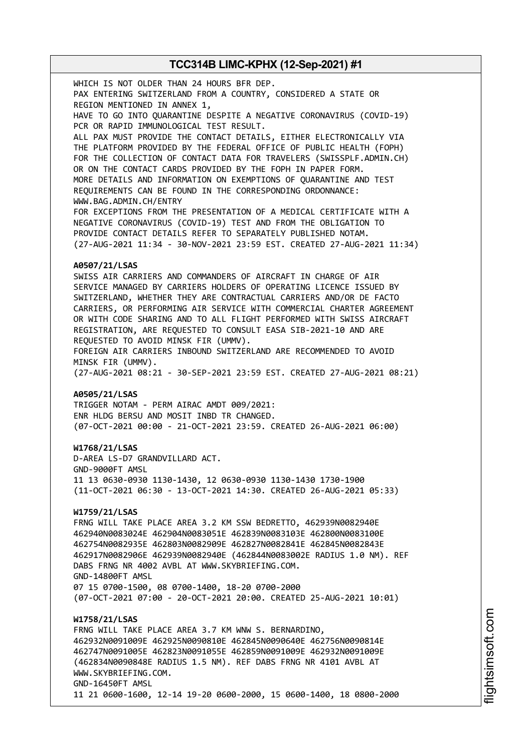WHICH IS NOT OLDER THAN 24 HOURS BFR DEP. PAX ENTERING SWITZERLAND FROM A COUNTRY, CONSIDERED A STATE OR REGION MENTIONED IN ANNEX 1, HAVE TO GO INTO QUARANTINE DESPITE A NEGATIVE CORONAVIRUS (COVID-19) PCR OR RAPID IMMUNOLOGICAL TEST RESULT. ALL PAX MUST PROVIDE THE CONTACT DETAILS, EITHER ELECTRONICALLY VIA THE PLATFORM PROVIDED BY THE FEDERAL OFFICE OF PUBLIC HEALTH (FOPH) FOR THE COLLECTION OF CONTACT DATA FOR TRAVELERS (SWISSPLF.ADMIN.CH) OR ON THE CONTACT CARDS PROVIDED BY THE FOPH IN PAPER FORM. MORE DETAILS AND INFORMATION ON EXEMPTIONS OF QUARANTINE AND TEST REQUIREMENTS CAN BE FOUND IN THE CORRESPONDING ORDONNANCE: WWW.BAG.ADMIN.CH/ENTRY FOR EXCEPTIONS FROM THE PRESENTATION OF A MEDICAL CERTIFICATE WITH A NEGATIVE CORONAVIRUS (COVID-19) TEST AND FROM THE OBLIGATION TO PROVIDE CONTACT DETAILS REFER TO SEPARATELY PUBLISHED NOTAM. (27-AUG-2021 11:34 - 30-NOV-2021 23:59 EST. CREATED 27-AUG-2021 11:34) **A0507/21/LSAS** SWISS AIR CARRIERS AND COMMANDERS OF AIRCRAFT IN CHARGE OF AIR SERVICE MANAGED BY CARRIERS HOLDERS OF OPERATING LICENCE ISSUED BY SWITZERLAND, WHETHER THEY ARE CONTRACTUAL CARRIERS AND/OR DE FACTO CARRIERS, OR PERFORMING AIR SERVICE WITH COMMERCIAL CHARTER AGREEMENT OR WITH CODE SHARING AND TO ALL FLIGHT PERFORMED WITH SWISS AIRCRAFT REGISTRATION, ARE REQUESTED TO CONSULT EASA SIB-2021-10 AND ARE REQUESTED TO AVOID MINSK FIR (UMMV). FOREIGN AIR CARRIERS INBOUND SWITZERLAND ARE RECOMMENDED TO AVOID MINSK FIR (UMMV). (27-AUG-2021 08:21 - 30-SEP-2021 23:59 EST. CREATED 27-AUG-2021 08:21) **A0505/21/LSAS** TRIGGER NOTAM - PERM AIRAC AMDT 009/2021: ENR HLDG BERSU AND MOSIT INBD TR CHANGED. (07-OCT-2021 00:00 - 21-OCT-2021 23:59. CREATED 26-AUG-2021 06:00) **W1768/21/LSAS** D-AREA LS-D7 GRANDVILLARD ACT. GND-9000FT AMSL 11 13 0630-0930 1130-1430, 12 0630-0930 1130-1430 1730-1900 (11-OCT-2021 06:30 - 13-OCT-2021 14:30. CREATED 26-AUG-2021 05:33) **W1759/21/LSAS** FRNG WILL TAKE PLACE AREA 3.2 KM SSW BEDRETTO, 462939N0082940E 462940N0083024E 462904N0083051E 462839N0083103E 462800N0083100E 462754N0082935E 462803N0082909E 462827N0082841E 462845N0082843E 462917N0082906E 462939N0082940E (462844N0083002E RADIUS 1.0 NM). REF DABS FRNG NR 4002 AVBL AT WWW.SKYBRIEFING.COM. GND-14800FT AMSL 07 15 0700-1500, 08 0700-1400, 18-20 0700-2000 (07-OCT-2021 07:00 - 20-OCT-2021 20:00. CREATED 25-AUG-2021 10:01) **W1758/21/LSAS** FRNG WILL TAKE PLACE AREA 3.7 KM WNW S. BERNARDINO, 462932N0091009E 462925N0090810E 462845N0090640E 462756N0090814E 462747N0091005E 462823N0091055E 462859N0091009E 462932N0091009E (462834N0090848E RADIUS 1.5 NM). REF DABS FRNG NR 4101 AVBL AT WWW.SKYBRIEFING.COM. GND-16450FT AMSL 11 21 0600-1600, 12-14 19-20 0600-2000, 15 0600-1400, 18 0800-2000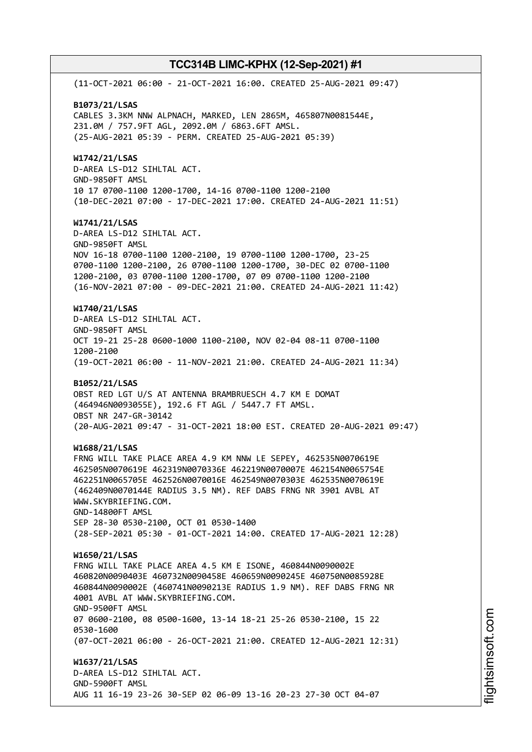(11-OCT-2021 06:00 - 21-OCT-2021 16:00. CREATED 25-AUG-2021 09:47) **B1073/21/LSAS** CABLES 3.3KM NNW ALPNACH, MARKED, LEN 2865M, 465807N0081544E, 231.0M / 757.9FT AGL, 2092.0M / 6863.6FT AMSL. (25-AUG-2021 05:39 - PERM. CREATED 25-AUG-2021 05:39) **W1742/21/LSAS** D-AREA LS-D12 SIHLTAL ACT. GND-9850FT AMSL 10 17 0700-1100 1200-1700, 14-16 0700-1100 1200-2100 (10-DEC-2021 07:00 - 17-DEC-2021 17:00. CREATED 24-AUG-2021 11:51) **W1741/21/LSAS** D-AREA LS-D12 SIHLTAL ACT. GND-9850FT AMSL NOV 16-18 0700-1100 1200-2100, 19 0700-1100 1200-1700, 23-25 0700-1100 1200-2100, 26 0700-1100 1200-1700, 30-DEC 02 0700-1100 1200-2100, 03 0700-1100 1200-1700, 07 09 0700-1100 1200-2100 (16-NOV-2021 07:00 - 09-DEC-2021 21:00. CREATED 24-AUG-2021 11:42) **W1740/21/LSAS** D-AREA LS-D12 SIHLTAL ACT. GND-9850FT AMSL OCT 19-21 25-28 0600-1000 1100-2100, NOV 02-04 08-11 0700-1100 1200-2100 (19-OCT-2021 06:00 - 11-NOV-2021 21:00. CREATED 24-AUG-2021 11:34) **B1052/21/LSAS** OBST RED LGT U/S AT ANTENNA BRAMBRUESCH 4.7 KM E DOMAT (464946N0093055E), 192.6 FT AGL / 5447.7 FT AMSL. OBST NR 247-GR-30142 (20-AUG-2021 09:47 - 31-OCT-2021 18:00 EST. CREATED 20-AUG-2021 09:47) **W1688/21/LSAS** FRNG WILL TAKE PLACE AREA 4.9 KM NNW LE SEPEY, 462535N0070619E 462505N0070619E 462319N0070336E 462219N0070007E 462154N0065754E 462251N0065705E 462526N0070016E 462549N0070303E 462535N0070619E (462409N0070144E RADIUS 3.5 NM). REF DABS FRNG NR 3901 AVBL AT WWW.SKYBRIEFING.COM. GND-14800FT AMSL SEP 28-30 0530-2100, OCT 01 0530-1400 (28-SEP-2021 05:30 - 01-OCT-2021 14:00. CREATED 17-AUG-2021 12:28) **W1650/21/LSAS** FRNG WILL TAKE PLACE AREA 4.5 KM E ISONE, 460844N0090002E 460820N0090403E 460732N0090458E 460659N0090245E 460750N0085928E 460844N0090002E (460741N0090213E RADIUS 1.9 NM). REF DABS FRNG NR 4001 AVBL AT WWW.SKYBRIEFING.COM. GND-9500FT AMSL 07 0600-2100, 08 0500-1600, 13-14 18-21 25-26 0530-2100, 15 22 0530-1600 (07-OCT-2021 06:00 - 26-OCT-2021 21:00. CREATED 12-AUG-2021 12:31) **W1637/21/LSAS** D-AREA LS-D12 SIHLTAL ACT. GND-5900FT AMSL AUG 11 16-19 23-26 30-SEP 02 06-09 13-16 20-23 27-30 OCT 04-07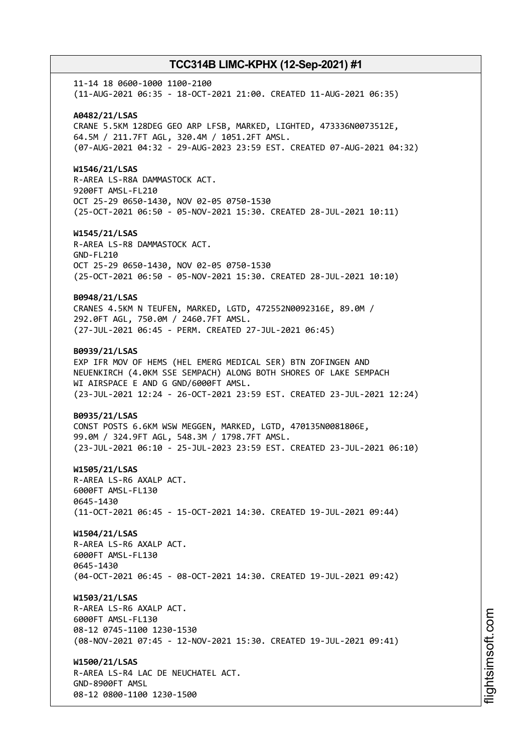11-14 18 0600-1000 1100-2100 (11-AUG-2021 06:35 - 18-OCT-2021 21:00. CREATED 11-AUG-2021 06:35) **A0482/21/LSAS** CRANE 5.5KM 128DEG GEO ARP LFSB, MARKED, LIGHTED, 473336N0073512E, 64.5M / 211.7FT AGL, 320.4M / 1051.2FT AMSL. (07-AUG-2021 04:32 - 29-AUG-2023 23:59 EST. CREATED 07-AUG-2021 04:32) **W1546/21/LSAS** R-AREA LS-R8A DAMMASTOCK ACT. 9200FT AMSL-FL210 OCT 25-29 0650-1430, NOV 02-05 0750-1530 (25-OCT-2021 06:50 - 05-NOV-2021 15:30. CREATED 28-JUL-2021 10:11) **W1545/21/LSAS** R-AREA LS-R8 DAMMASTOCK ACT. GND-FL210 OCT 25-29 0650-1430, NOV 02-05 0750-1530 (25-OCT-2021 06:50 - 05-NOV-2021 15:30. CREATED 28-JUL-2021 10:10) **B0948/21/LSAS** CRANES 4.5KM N TEUFEN, MARKED, LGTD, 472552N0092316E, 89.0M / 292.0FT AGL, 750.0M / 2460.7FT AMSL. (27-JUL-2021 06:45 - PERM. CREATED 27-JUL-2021 06:45) **B0939/21/LSAS** EXP IFR MOV OF HEMS (HEL EMERG MEDICAL SER) BTN ZOFINGEN AND NEUENKIRCH (4.0KM SSE SEMPACH) ALONG BOTH SHORES OF LAKE SEMPACH WI AIRSPACE E AND G GND/6000FT AMSL. (23-JUL-2021 12:24 - 26-OCT-2021 23:59 EST. CREATED 23-JUL-2021 12:24) **B0935/21/LSAS** CONST POSTS 6.6KM WSW MEGGEN, MARKED, LGTD, 470135N0081806E, 99.0M / 324.9FT AGL, 548.3M / 1798.7FT AMSL. (23-JUL-2021 06:10 - 25-JUL-2023 23:59 EST. CREATED 23-JUL-2021 06:10) **W1505/21/LSAS** R-AREA LS-R6 AXALP ACT. 6000FT AMSL-FL130 0645-1430 (11-OCT-2021 06:45 - 15-OCT-2021 14:30. CREATED 19-JUL-2021 09:44) **W1504/21/LSAS** R-AREA LS-R6 AXALP ACT. 6000FT AMSL-FL130 0645-1430 (04-OCT-2021 06:45 - 08-OCT-2021 14:30. CREATED 19-JUL-2021 09:42) **W1503/21/LSAS** R-AREA LS-R6 AXALP ACT. 6000FT AMSL-FL130 08-12 0745-1100 1230-1530 (08-NOV-2021 07:45 - 12-NOV-2021 15:30. CREATED 19-JUL-2021 09:41) **W1500/21/LSAS** R-AREA LS-R4 LAC DE NEUCHATEL ACT. GND-8900FT AMSL 08-12 0800-1100 1230-1500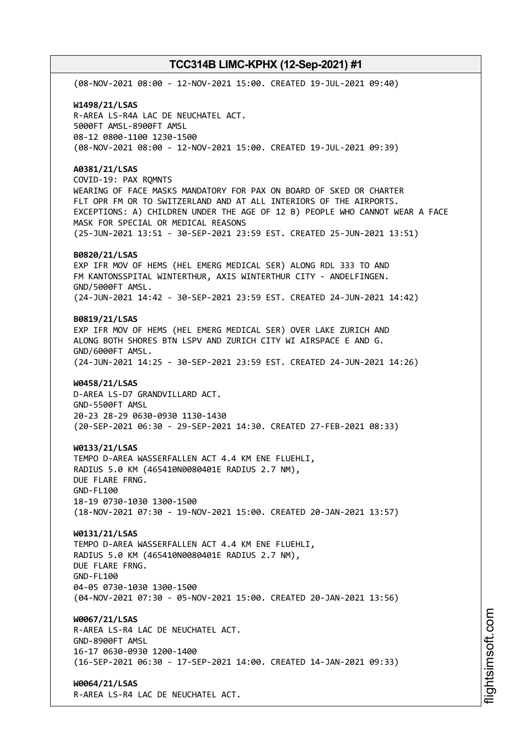(08-NOV-2021 08:00 - 12-NOV-2021 15:00. CREATED 19-JUL-2021 09:40) **W1498/21/LSAS** R-AREA LS-R4A LAC DE NEUCHATEL ACT. 5000FT AMSL-8900FT AMSL 08-12 0800-1100 1230-1500 (08-NOV-2021 08:00 - 12-NOV-2021 15:00. CREATED 19-JUL-2021 09:39) **A0381/21/LSAS** COVID-19: PAX RQMNTS WEARING OF FACE MASKS MANDATORY FOR PAX ON BOARD OF SKED OR CHARTER FLT OPR FM OR TO SWITZERLAND AND AT ALL INTERIORS OF THE AIRPORTS. EXCEPTIONS: A) CHILDREN UNDER THE AGE OF 12 B) PEOPLE WHO CANNOT WEAR A FACE MASK FOR SPECIAL OR MEDICAL REASONS (25-JUN-2021 13:51 - 30-SEP-2021 23:59 EST. CREATED 25-JUN-2021 13:51) **B0820/21/LSAS** EXP IFR MOV OF HEMS (HEL EMERG MEDICAL SER) ALONG RDL 333 TO AND FM KANTONSSPITAL WINTERTHUR, AXIS WINTERTHUR CITY - ANDELFINGEN. GND/5000FT AMSL. (24-JUN-2021 14:42 - 30-SEP-2021 23:59 EST. CREATED 24-JUN-2021 14:42) **B0819/21/LSAS** EXP IFR MOV OF HEMS (HEL EMERG MEDICAL SER) OVER LAKE ZURICH AND ALONG BOTH SHORES BTN LSPV AND ZURICH CITY WI AIRSPACE E AND G. GND/6000FT AMSL. (24-JUN-2021 14:25 - 30-SEP-2021 23:59 EST. CREATED 24-JUN-2021 14:26) **W0458/21/LSAS** D-AREA LS-D7 GRANDVILLARD ACT. GND-5500FT AMSL 20-23 28-29 0630-0930 1130-1430 (20-SEP-2021 06:30 - 29-SEP-2021 14:30. CREATED 27-FEB-2021 08:33) **W0133/21/LSAS** TEMPO D-AREA WASSERFALLEN ACT 4.4 KM ENE FLUEHLI, RADIUS 5.0 KM (465410N0080401E RADIUS 2.7 NM), DUE FLARE FRNG. GND-FL100 18-19 0730-1030 1300-1500 (18-NOV-2021 07:30 - 19-NOV-2021 15:00. CREATED 20-JAN-2021 13:57) **W0131/21/LSAS** TEMPO D-AREA WASSERFALLEN ACT 4.4 KM ENE FLUEHLI, RADIUS 5.0 KM (465410N0080401E RADIUS 2.7 NM), DUE FLARE FRNG. GND-FL100 04-05 0730-1030 1300-1500 (04-NOV-2021 07:30 - 05-NOV-2021 15:00. CREATED 20-JAN-2021 13:56) **W0067/21/LSAS** R-AREA LS-R4 LAC DE NEUCHATEL ACT. GND-8900FT AMSL 16-17 0630-0930 1200-1400 (16-SEP-2021 06:30 - 17-SEP-2021 14:00. CREATED 14-JAN-2021 09:33) **W0064/21/LSAS** R-AREA LS-R4 LAC DE NEUCHATEL ACT.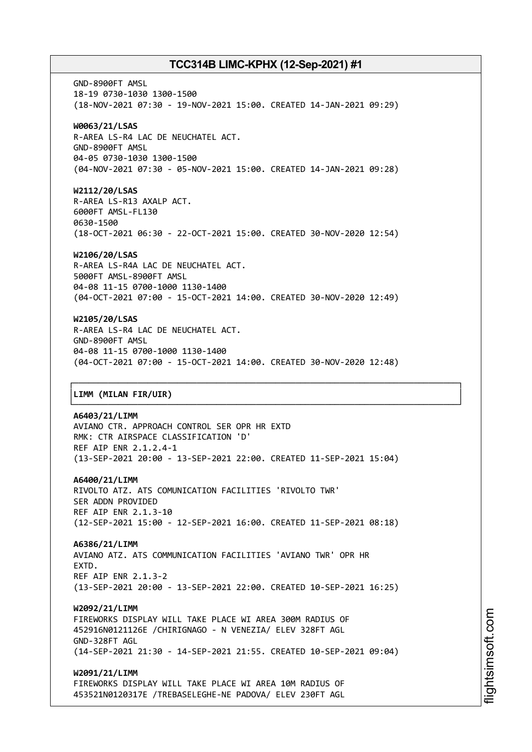GND-8900FT AMSL 18-19 0730-1030 1300-1500 (18-NOV-2021 07:30 - 19-NOV-2021 15:00. CREATED 14-JAN-2021 09:29) **W0063/21/LSAS** R-AREA LS-R4 LAC DE NEUCHATEL ACT. GND-8900FT AMSL 04-05 0730-1030 1300-1500 (04-NOV-2021 07:30 - 05-NOV-2021 15:00. CREATED 14-JAN-2021 09:28) **W2112/20/LSAS** R-AREA LS-R13 AXALP ACT. 6000FT AMSL-FL130 0630-1500 (18-OCT-2021 06:30 - 22-OCT-2021 15:00. CREATED 30-NOV-2020 12:54) **W2106/20/LSAS** R-AREA LS-R4A LAC DE NEUCHATEL ACT.

5000FT AMSL-8900FT AMSL 04-08 11-15 0700-1000 1130-1400 (04-OCT-2021 07:00 - 15-OCT-2021 14:00. CREATED 30-NOV-2020 12:49)

# **W2105/20/LSAS**

R-AREA LS-R4 LAC DE NEUCHATEL ACT. GND-8900FT AMSL 04-08 11-15 0700-1000 1130-1400 (04-OCT-2021 07:00 - 15-OCT-2021 14:00. CREATED 30-NOV-2020 12:48)

┌──────────────────────────────────────────────────────────────────────────────┐

└──────────────────────────────────────────────────────────────────────────────┘

## │**LIMM (MILAN FIR/UIR)** │

### **A6403/21/LIMM**

AVIANO CTR. APPROACH CONTROL SER OPR HR EXTD RMK: CTR AIRSPACE CLASSIFICATION 'D' REF AIP ENR 2.1.2.4-1 (13-SEP-2021 20:00 - 13-SEP-2021 22:00. CREATED 11-SEP-2021 15:04)

### **A6400/21/LIMM**

RIVOLTO ATZ. ATS COMUNICATION FACILITIES 'RIVOLTO TWR' SER ADDN PROVIDED REF AIP ENR 2.1.3-10 (12-SEP-2021 15:00 - 12-SEP-2021 16:00. CREATED 11-SEP-2021 08:18)

### **A6386/21/LIMM**

AVIANO ATZ. ATS COMMUNICATION FACILITIES 'AVIANO TWR' OPR HR **EXTD.** REF AIP ENR 2.1.3-2 (13-SEP-2021 20:00 - 13-SEP-2021 22:00. CREATED 10-SEP-2021 16:25)

### **W2092/21/LIMM**

FIREWORKS DISPLAY WILL TAKE PLACE WI AREA 300M RADIUS OF 452916N0121126E /CHIRIGNAGO - N VENEZIA/ ELEV 328FT AGL GND-328FT AGL (14-SEP-2021 21:30 - 14-SEP-2021 21:55. CREATED 10-SEP-2021 09:04)

**W2091/21/LIMM**

FIREWORKS DISPLAY WILL TAKE PLACE WI AREA 10M RADIUS OF 453521N0120317E /TREBASELEGHE-NE PADOVA/ ELEV 230FT AGL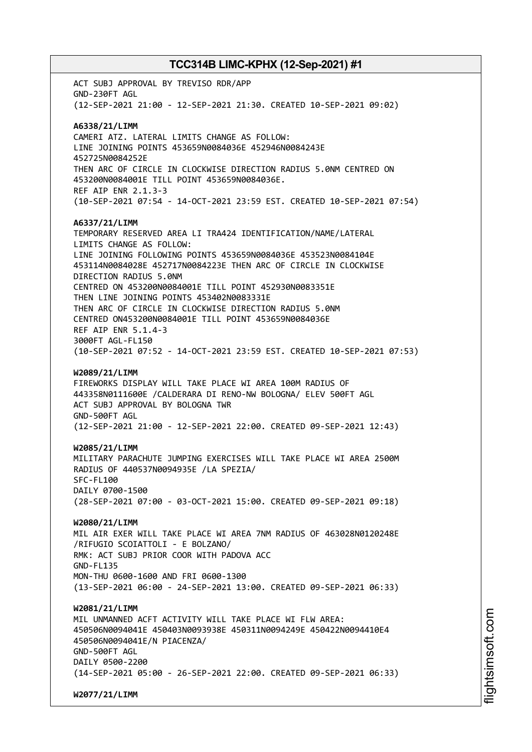ACT SUBJ APPROVAL BY TREVISO RDR/APP GND-230FT AGL (12-SEP-2021 21:00 - 12-SEP-2021 21:30. CREATED 10-SEP-2021 09:02) **A6338/21/LIMM** CAMERI ATZ. LATERAL LIMITS CHANGE AS FOLLOW: LINE JOINING POINTS 453659N0084036E 452946N0084243E 452725N0084252E THEN ARC OF CIRCLE IN CLOCKWISE DIRECTION RADIUS 5.0NM CENTRED ON 453200N0084001E TILL POINT 453659N0084036E. REF AIP ENR 2.1.3-3 (10-SEP-2021 07:54 - 14-OCT-2021 23:59 EST. CREATED 10-SEP-2021 07:54) **A6337/21/LIMM** TEMPORARY RESERVED AREA LI TRA424 IDENTIFICATION/NAME/LATERAL LIMITS CHANGE AS FOLLOW: LINE JOINING FOLLOWING POINTS 453659N0084036E 453523N0084104E 453114N0084028E 452717N0084223E THEN ARC OF CIRCLE IN CLOCKWISE DIRECTION RADIUS 5.0NM CENTRED ON 453200N0084001E TILL POINT 452930N0083351E THEN LINE JOINING POINTS 453402N0083331E THEN ARC OF CIRCLE IN CLOCKWISE DIRECTION RADIUS 5.0NM CENTRED ON453200N0084001E TILL POINT 453659N0084036E REF AIP ENR 5.1.4-3 3000FT AGL-FL150 (10-SEP-2021 07:52 - 14-OCT-2021 23:59 EST. CREATED 10-SEP-2021 07:53) **W2089/21/LIMM** FIREWORKS DISPLAY WILL TAKE PLACE WI AREA 100M RADIUS OF 443358N0111600E /CALDERARA DI RENO-NW BOLOGNA/ ELEV 500FT AGL ACT SUBJ APPROVAL BY BOLOGNA TWR GND-500FT AGL (12-SEP-2021 21:00 - 12-SEP-2021 22:00. CREATED 09-SEP-2021 12:43) **W2085/21/LIMM** MILITARY PARACHUTE JUMPING EXERCISES WILL TAKE PLACE WI AREA 2500M RADIUS OF 440537N0094935E /LA SPEZIA/ SFC-FL100 DAILY 0700-1500 (28-SEP-2021 07:00 - 03-OCT-2021 15:00. CREATED 09-SEP-2021 09:18) **W2080/21/LIMM** MIL AIR EXER WILL TAKE PLACE WI AREA 7NM RADIUS OF 463028N0120248E /RIFUGIO SCOIATTOLI - E BOLZANO/ RMK: ACT SUBJ PRIOR COOR WITH PADOVA ACC GND-FL135 MON-THU 0600-1600 AND FRI 0600-1300 (13-SEP-2021 06:00 - 24-SEP-2021 13:00. CREATED 09-SEP-2021 06:33) **W2081/21/LIMM** MIL UNMANNED ACFT ACTIVITY WILL TAKE PLACE WI FLW AREA: 450506N0094041E 450403N0093938E 450311N0094249E 450422N0094410E4 450506N0094041E/N PIACENZA/ GND-500FT AGL DAILY 0500-2200 (14-SEP-2021 05:00 - 26-SEP-2021 22:00. CREATED 09-SEP-2021 06:33) **W2077/21/LIMM**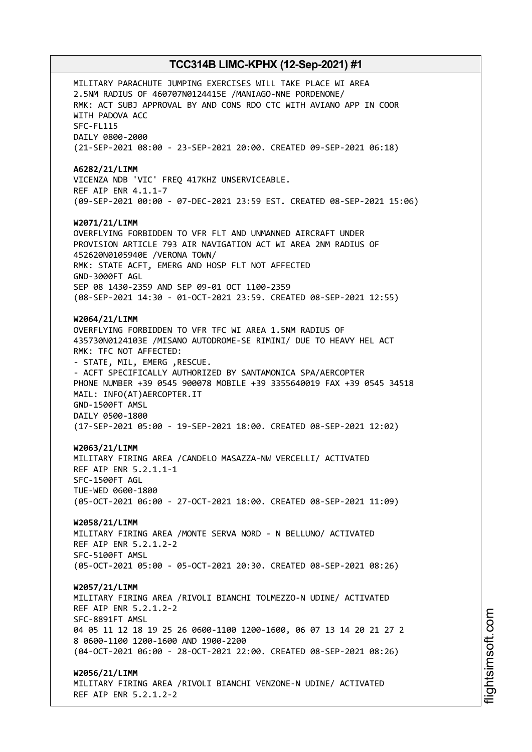MILITARY PARACHUTE JUMPING EXERCISES WILL TAKE PLACE WI AREA 2.5NM RADIUS OF 460707N0124415E /MANIAGO-NNE PORDENONE/ RMK: ACT SUBJ APPROVAL BY AND CONS RDO CTC WITH AVIANO APP IN COOR WITH PADOVA ACC SFC-FL115 DAILY 0800-2000 (21-SEP-2021 08:00 - 23-SEP-2021 20:00. CREATED 09-SEP-2021 06:18) **A6282/21/LIMM** VICENZA NDB 'VIC' FREQ 417KHZ UNSERVICEABLE. REF AIP ENR 4.1.1-7 (09-SEP-2021 00:00 - 07-DEC-2021 23:59 EST. CREATED 08-SEP-2021 15:06) **W2071/21/LIMM** OVERFLYING FORBIDDEN TO VFR FLT AND UNMANNED AIRCRAFT UNDER PROVISION ARTICLE 793 AIR NAVIGATION ACT WI AREA 2NM RADIUS OF 452620N0105940E /VERONA TOWN/ RMK: STATE ACFT, EMERG AND HOSP FLT NOT AFFECTED GND-3000FT AGL SEP 08 1430-2359 AND SEP 09-01 OCT 1100-2359 (08-SEP-2021 14:30 - 01-OCT-2021 23:59. CREATED 08-SEP-2021 12:55) **W2064/21/LIMM** OVERFLYING FORBIDDEN TO VFR TFC WI AREA 1.5NM RADIUS OF 435730N0124103E /MISANO AUTODROME-SE RIMINI/ DUE TO HEAVY HEL ACT RMK: TFC NOT AFFECTED: - STATE, MIL, EMERG ,RESCUE. - ACFT SPECIFICALLY AUTHORIZED BY SANTAMONICA SPA/AERCOPTER PHONE NUMBER +39 0545 900078 MOBILE +39 3355640019 FAX +39 0545 34518 MAIL: INFO(AT)AERCOPTER.IT GND-1500FT AMSL DAILY 0500-1800 (17-SEP-2021 05:00 - 19-SEP-2021 18:00. CREATED 08-SEP-2021 12:02) **W2063/21/LIMM** MILITARY FIRING AREA /CANDELO MASAZZA-NW VERCELLI/ ACTIVATED REF AIP ENR 5.2.1.1-1 SFC-1500FT AGL TUE-WED 0600-1800 (05-OCT-2021 06:00 - 27-OCT-2021 18:00. CREATED 08-SEP-2021 11:09) **W2058/21/LIMM** MILITARY FIRING AREA /MONTE SERVA NORD - N BELLUNO/ ACTIVATED REF AIP ENR 5.2.1.2-2 SFC-5100FT AMSL (05-OCT-2021 05:00 - 05-OCT-2021 20:30. CREATED 08-SEP-2021 08:26) **W2057/21/LIMM** MILITARY FIRING AREA /RIVOLI BIANCHI TOLMEZZO-N UDINE/ ACTIVATED REF AIP ENR 5.2.1.2-2 SFC-8891FT AMSL 04 05 11 12 18 19 25 26 0600-1100 1200-1600, 06 07 13 14 20 21 27 2 8 0600-1100 1200-1600 AND 1900-2200 (04-OCT-2021 06:00 - 28-OCT-2021 22:00. CREATED 08-SEP-2021 08:26) **W2056/21/LIMM** MILITARY FIRING AREA /RIVOLI BIANCHI VENZONE-N UDINE/ ACTIVATED REF AIP ENR 5.2.1.2-2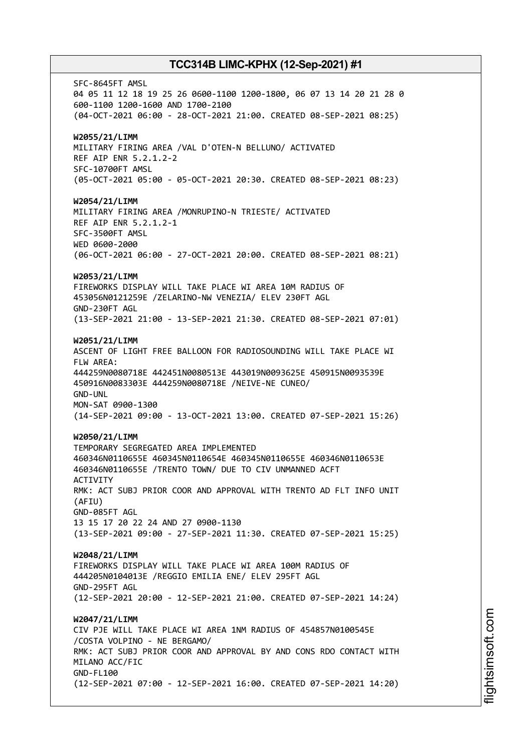SFC-8645FT AMSL 04 05 11 12 18 19 25 26 0600-1100 1200-1800, 06 07 13 14 20 21 28 0 600-1100 1200-1600 AND 1700-2100 (04-OCT-2021 06:00 - 28-OCT-2021 21:00. CREATED 08-SEP-2021 08:25) **W2055/21/LIMM** MILITARY FIRING AREA /VAL D'OTEN-N BELLUNO/ ACTIVATED REF AIP ENR 5.2.1.2-2 SFC-10700FT AMSL (05-OCT-2021 05:00 - 05-OCT-2021 20:30. CREATED 08-SEP-2021 08:23) **W2054/21/LIMM** MILITARY FIRING AREA /MONRUPINO-N TRIESTE/ ACTIVATED REF AIP ENR 5.2.1.2-1 SFC-3500FT AMSL WED 0600-2000 (06-OCT-2021 06:00 - 27-OCT-2021 20:00. CREATED 08-SEP-2021 08:21) **W2053/21/LIMM** FIREWORKS DISPLAY WILL TAKE PLACE WI AREA 10M RADIUS OF 453056N0121259E /ZELARINO-NW VENEZIA/ ELEV 230FT AGL GND-230FT AGL (13-SEP-2021 21:00 - 13-SEP-2021 21:30. CREATED 08-SEP-2021 07:01) **W2051/21/LIMM** ASCENT OF LIGHT FREE BALLOON FOR RADIOSOUNDING WILL TAKE PLACE WI FLW AREA: 444259N0080718E 442451N0080513E 443019N0093625E 450915N0093539E 450916N0083303E 444259N0080718E /NEIVE-NE CUNEO/ GND-UNL MON-SAT 0900-1300 (14-SEP-2021 09:00 - 13-OCT-2021 13:00. CREATED 07-SEP-2021 15:26) **W2050/21/LIMM** TEMPORARY SEGREGATED AREA IMPLEMENTED 460346N0110655E 460345N0110654E 460345N0110655E 460346N0110653E 460346N0110655E /TRENTO TOWN/ DUE TO CIV UNMANNED ACFT **ACTIVITY** RMK: ACT SUBJ PRIOR COOR AND APPROVAL WITH TRENTO AD FLT INFO UNIT (AFIU) GND-085FT AGL 13 15 17 20 22 24 AND 27 0900-1130 (13-SEP-2021 09:00 - 27-SEP-2021 11:30. CREATED 07-SEP-2021 15:25) **W2048/21/LIMM** FIREWORKS DISPLAY WILL TAKE PLACE WI AREA 100M RADIUS OF 444205N0104013E /REGGIO EMILIA ENE/ ELEV 295FT AGL GND-295FT AGL (12-SEP-2021 20:00 - 12-SEP-2021 21:00. CREATED 07-SEP-2021 14:24) **W2047/21/LIMM** CIV PJE WILL TAKE PLACE WI AREA 1NM RADIUS OF 454857N0100545E /COSTA VOLPINO - NE BERGAMO/ RMK: ACT SUBJ PRIOR COOR AND APPROVAL BY AND CONS RDO CONTACT WITH MILANO ACC/FIC GND-FL100 (12-SEP-2021 07:00 - 12-SEP-2021 16:00. CREATED 07-SEP-2021 14:20)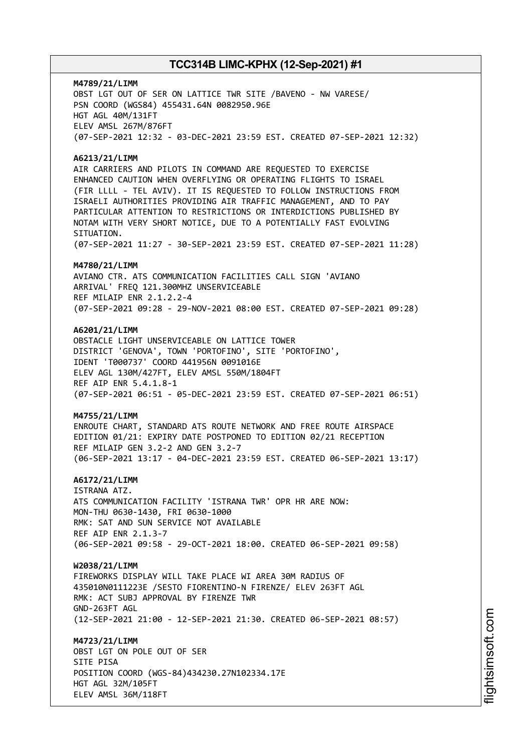**M4789/21/LIMM** OBST LGT OUT OF SER ON LATTICE TWR SITE /BAVENO - NW VARESE/ PSN COORD (WGS84) 455431.64N 0082950.96E HGT AGL 40M/131FT ELEV AMSL 267M/876FT (07-SEP-2021 12:32 - 03-DEC-2021 23:59 EST. CREATED 07-SEP-2021 12:32)

### **A6213/21/LIMM**

AIR CARRIERS AND PILOTS IN COMMAND ARE REQUESTED TO EXERCISE ENHANCED CAUTION WHEN OVERFLYING OR OPERATING FLIGHTS TO ISRAEL (FIR LLLL - TEL AVIV). IT IS REQUESTED TO FOLLOW INSTRUCTIONS FROM ISRAELI AUTHORITIES PROVIDING AIR TRAFFIC MANAGEMENT, AND TO PAY PARTICULAR ATTENTION TO RESTRICTIONS OR INTERDICTIONS PUBLISHED BY NOTAM WITH VERY SHORT NOTICE, DUE TO A POTENTIALLY FAST EVOLVING STTUATTON.

(07-SEP-2021 11:27 - 30-SEP-2021 23:59 EST. CREATED 07-SEP-2021 11:28)

### **M4780/21/LIMM**

AVIANO CTR. ATS COMMUNICATION FACILITIES CALL SIGN 'AVIANO ARRIVAL' FREQ 121.300MHZ UNSERVICEABLE REF MILAIP ENR 2.1.2.2-4 (07-SEP-2021 09:28 - 29-NOV-2021 08:00 EST. CREATED 07-SEP-2021 09:28)

## **A6201/21/LIMM**

OBSTACLE LIGHT UNSERVICEABLE ON LATTICE TOWER DISTRICT 'GENOVA', TOWN 'PORTOFINO', SITE 'PORTOFINO', IDENT 'T000737' COORD 441956N 0091016E ELEV AGL 130M/427FT, ELEV AMSL 550M/1804FT REF AIP ENR 5.4.1.8-1 (07-SEP-2021 06:51 - 05-DEC-2021 23:59 EST. CREATED 07-SEP-2021 06:51)

### **M4755/21/LIMM**

ENROUTE CHART, STANDARD ATS ROUTE NETWORK AND FREE ROUTE AIRSPACE EDITION 01/21: EXPIRY DATE POSTPONED TO EDITION 02/21 RECEPTION REF MILAIP GEN 3.2-2 AND GEN 3.2-7 (06-SEP-2021 13:17 - 04-DEC-2021 23:59 EST. CREATED 06-SEP-2021 13:17)

### **A6172/21/LIMM**

ISTRANA ATZ. ATS COMMUNICATION FACILITY 'ISTRANA TWR' OPR HR ARE NOW: MON-THU 0630-1430, FRI 0630-1000 RMK: SAT AND SUN SERVICE NOT AVAILABLE REF AIP ENR 2.1.3-7 (06-SEP-2021 09:58 - 29-OCT-2021 18:00. CREATED 06-SEP-2021 09:58)

### **W2038/21/LIMM**

FIREWORKS DISPLAY WILL TAKE PLACE WI AREA 30M RADIUS OF 435010N0111223E /SESTO FIORENTINO-N FIRENZE/ ELEV 263FT AGL RMK: ACT SUBJ APPROVAL BY FIRENZE TWR GND-263FT AGL (12-SEP-2021 21:00 - 12-SEP-2021 21:30. CREATED 06-SEP-2021 08:57)

### **M4723/21/LIMM** OBST LGT ON POLE OUT OF SER

SITE PISA POSITION COORD (WGS-84)434230.27N102334.17E HGT AGL 32M/105FT ELEV AMSL 36M/118FT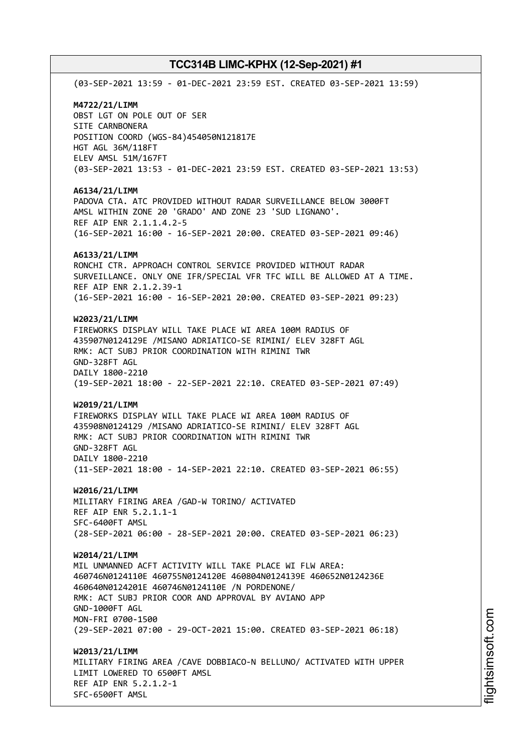(03-SEP-2021 13:59 - 01-DEC-2021 23:59 EST. CREATED 03-SEP-2021 13:59) **M4722/21/LIMM** OBST LGT ON POLE OUT OF SER SITE CARNBONERA POSITION COORD (WGS-84)454050N121817E HGT AGL 36M/118FT ELEV AMSL 51M/167FT (03-SEP-2021 13:53 - 01-DEC-2021 23:59 EST. CREATED 03-SEP-2021 13:53) **A6134/21/LIMM** PADOVA CTA. ATC PROVIDED WITHOUT RADAR SURVEILLANCE BELOW 3000FT AMSL WITHIN ZONE 20 'GRADO' AND ZONE 23 'SUD LIGNANO'. REF AIP ENR 2.1.1.4.2-5 (16-SEP-2021 16:00 - 16-SEP-2021 20:00. CREATED 03-SEP-2021 09:46) **A6133/21/LIMM** RONCHI CTR. APPROACH CONTROL SERVICE PROVIDED WITHOUT RADAR SURVEILLANCE. ONLY ONE IFR/SPECIAL VFR TFC WILL BE ALLOWED AT A TIME. REF AIP ENR 2.1.2.39-1 (16-SEP-2021 16:00 - 16-SEP-2021 20:00. CREATED 03-SEP-2021 09:23) **W2023/21/LIMM** FIREWORKS DISPLAY WILL TAKE PLACE WI AREA 100M RADIUS OF 435907N0124129E /MISANO ADRIATICO-SE RIMINI/ ELEV 328FT AGL RMK: ACT SUBJ PRIOR COORDINATION WITH RIMINI TWR GND-328FT AGL DAILY 1800-2210 (19-SEP-2021 18:00 - 22-SEP-2021 22:10. CREATED 03-SEP-2021 07:49) **W2019/21/LIMM** FIREWORKS DISPLAY WILL TAKE PLACE WI AREA 100M RADIUS OF 435908N0124129 /MISANO ADRIATICO-SE RIMINI/ ELEV 328FT AGL RMK: ACT SUBJ PRIOR COORDINATION WITH RIMINI TWR GND-328FT AGL DAILY 1800-2210 (11-SEP-2021 18:00 - 14-SEP-2021 22:10. CREATED 03-SEP-2021 06:55) **W2016/21/LIMM** MILITARY FIRING AREA /GAD-W TORINO/ ACTIVATED REF AIP ENR 5.2.1.1-1 SFC-6400FT AMSL (28-SEP-2021 06:00 - 28-SEP-2021 20:00. CREATED 03-SEP-2021 06:23) **W2014/21/LIMM** MIL UNMANNED ACFT ACTIVITY WILL TAKE PLACE WI FLW AREA: 460746N0124110E 460755N0124120E 460804N0124139E 460652N0124236E 460640N0124201E 460746N0124110E /N PORDENONE/ RMK: ACT SUBJ PRIOR COOR AND APPROVAL BY AVIANO APP GND-1000FT AGL MON-FRI 0700-1500 (29-SEP-2021 07:00 - 29-OCT-2021 15:00. CREATED 03-SEP-2021 06:18) **W2013/21/LIMM** MILITARY FIRING AREA /CAVE DOBBIACO-N BELLUNO/ ACTIVATED WITH UPPER LIMIT LOWERED TO 6500FT AMSL REF AIP ENR 5.2.1.2-1 SFC-6500FT AMSL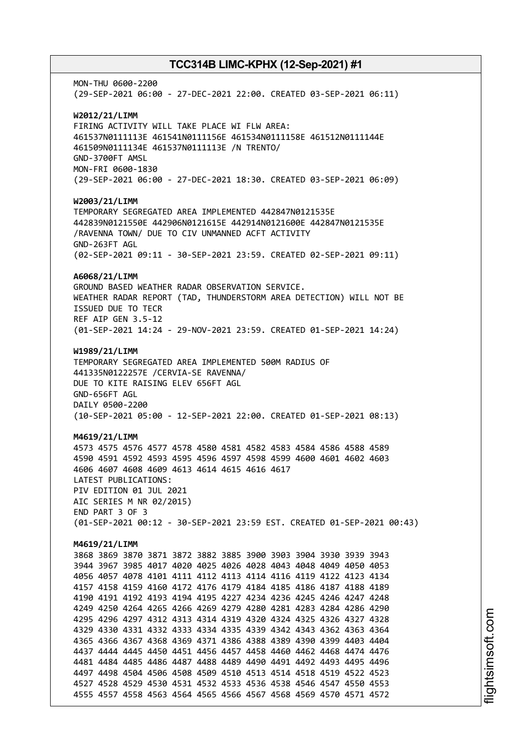MON-THU 0600-2200 (29-SEP-2021 06:00 - 27-DEC-2021 22:00. CREATED 03-SEP-2021 06:11) **W2012/21/LIMM** FIRING ACTIVITY WILL TAKE PLACE WI FLW AREA: 461537N0111113E 461541N0111156E 461534N0111158E 461512N0111144E 461509N0111134E 461537N0111113E /N TRENTO/ GND-3700FT AMSL MON-FRI 0600-1830 (29-SEP-2021 06:00 - 27-DEC-2021 18:30. CREATED 03-SEP-2021 06:09) **W2003/21/LIMM** TEMPORARY SEGREGATED AREA IMPLEMENTED 442847N0121535E 442839N0121550E 442906N0121615E 442914N0121600E 442847N0121535E /RAVENNA TOWN/ DUE TO CIV UNMANNED ACFT ACTIVITY GND-263FT AGL (02-SEP-2021 09:11 - 30-SEP-2021 23:59. CREATED 02-SEP-2021 09:11) **A6068/21/LIMM** GROUND BASED WEATHER RADAR OBSERVATION SERVICE. WEATHER RADAR REPORT (TAD, THUNDERSTORM AREA DETECTION) WILL NOT BE ISSUED DUE TO TECR REF AIP GEN 3.5-12 (01-SEP-2021 14:24 - 29-NOV-2021 23:59. CREATED 01-SEP-2021 14:24) **W1989/21/LIMM** TEMPORARY SEGREGATED AREA IMPLEMENTED 500M RADIUS OF 441335N0122257E /CERVIA-SE RAVENNA/ DUE TO KITE RAISING ELEV 656FT AGL GND-656FT AGL DAILY 0500-2200 (10-SEP-2021 05:00 - 12-SEP-2021 22:00. CREATED 01-SEP-2021 08:13) **M4619/21/LIMM** 4573 4575 4576 4577 4578 4580 4581 4582 4583 4584 4586 4588 4589 4590 4591 4592 4593 4595 4596 4597 4598 4599 4600 4601 4602 4603 4606 4607 4608 4609 4613 4614 4615 4616 4617 LATEST PUBLICATIONS: PIV EDITION 01 JUL 2021 AIC SERIES M NR 02/2015) END PART 3 OF 3 (01-SEP-2021 00:12 - 30-SEP-2021 23:59 EST. CREATED 01-SEP-2021 00:43) **M4619/21/LIMM** 3868 3869 3870 3871 3872 3882 3885 3900 3903 3904 3930 3939 3943 3944 3967 3985 4017 4020 4025 4026 4028 4043 4048 4049 4050 4053 4056 4057 4078 4101 4111 4112 4113 4114 4116 4119 4122 4123 4134 4157 4158 4159 4160 4172 4176 4179 4184 4185 4186 4187 4188 4189 4190 4191 4192 4193 4194 4195 4227 4234 4236 4245 4246 4247 4248 4249 4250 4264 4265 4266 4269 4279 4280 4281 4283 4284 4286 4290 4295 4296 4297 4312 4313 4314 4319 4320 4324 4325 4326 4327 4328 4329 4330 4331 4332 4333 4334 4335 4339 4342 4343 4362 4363 4364 4365 4366 4367 4368 4369 4371 4386 4388 4389 4390 4399 4403 4404 4437 4444 4445 4450 4451 4456 4457 4458 4460 4462 4468 4474 4476 4481 4484 4485 4486 4487 4488 4489 4490 4491 4492 4493 4495 4496 4497 4498 4504 4506 4508 4509 4510 4513 4514 4518 4519 4522 4523 4527 4528 4529 4530 4531 4532 4533 4536 4538 4546 4547 4550 4553 4555 4557 4558 4563 4564 4565 4566 4567 4568 4569 4570 4571 4572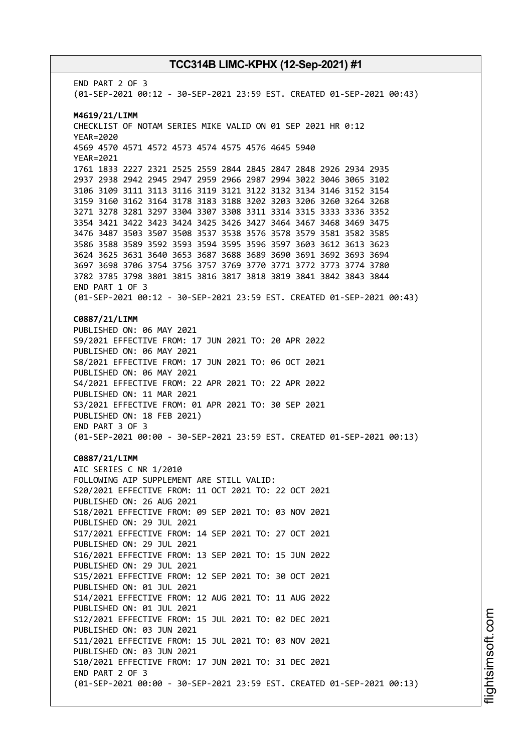END PART 2 OF 3 (01-SEP-2021 00:12 - 30-SEP-2021 23:59 EST. CREATED 01-SEP-2021 00:43) **M4619/21/LIMM** CHECKLIST OF NOTAM SERIES MIKE VALID ON 01 SEP 2021 HR 0:12 YEAR=2020 4569 4570 4571 4572 4573 4574 4575 4576 4645 5940 YEAR=2021 1761 1833 2227 2321 2525 2559 2844 2845 2847 2848 2926 2934 2935 2937 2938 2942 2945 2947 2959 2966 2987 2994 3022 3046 3065 3102 3106 3109 3111 3113 3116 3119 3121 3122 3132 3134 3146 3152 3154 3159 3160 3162 3164 3178 3183 3188 3202 3203 3206 3260 3264 3268 3271 3278 3281 3297 3304 3307 3308 3311 3314 3315 3333 3336 3352 3354 3421 3422 3423 3424 3425 3426 3427 3464 3467 3468 3469 3475 3476 3487 3503 3507 3508 3537 3538 3576 3578 3579 3581 3582 3585 3586 3588 3589 3592 3593 3594 3595 3596 3597 3603 3612 3613 3623 3624 3625 3631 3640 3653 3687 3688 3689 3690 3691 3692 3693 3694 3697 3698 3706 3754 3756 3757 3769 3770 3771 3772 3773 3774 3780 3782 3785 3798 3801 3815 3816 3817 3818 3819 3841 3842 3843 3844 END PART 1 OF 3 (01-SEP-2021 00:12 - 30-SEP-2021 23:59 EST. CREATED 01-SEP-2021 00:43) **C0887/21/LIMM** PUBLISHED ON: 06 MAY 2021 S9/2021 EFFECTIVE FROM: 17 JUN 2021 TO: 20 APR 2022 PUBLISHED ON: 06 MAY 2021 S8/2021 EFFECTIVE FROM: 17 JUN 2021 TO: 06 OCT 2021 PUBLISHED ON: 06 MAY 2021 S4/2021 EFFECTIVE FROM: 22 APR 2021 TO: 22 APR 2022 PUBLISHED ON: 11 MAR 2021 S3/2021 EFFECTIVE FROM: 01 APR 2021 TO: 30 SEP 2021 PUBLISHED ON: 18 FEB 2021) END PART 3 OF 3 (01-SEP-2021 00:00 - 30-SEP-2021 23:59 EST. CREATED 01-SEP-2021 00:13) **C0887/21/LIMM** AIC SERIES C NR 1/2010 FOLLOWING AIP SUPPLEMENT ARE STILL VALID: S20/2021 EFFECTIVE FROM: 11 OCT 2021 TO: 22 OCT 2021 PUBLISHED ON: 26 AUG 2021 S18/2021 EFFECTIVE FROM: 09 SEP 2021 TO: 03 NOV 2021 PUBLISHED ON: 29 JUL 2021 S17/2021 EFFECTIVE FROM: 14 SEP 2021 TO: 27 OCT 2021 PUBLISHED ON: 29 JUL 2021 S16/2021 EFFECTIVE FROM: 13 SEP 2021 TO: 15 JUN 2022 PUBLISHED ON: 29 JUL 2021 S15/2021 EFFECTIVE FROM: 12 SEP 2021 TO: 30 OCT 2021 PUBLISHED ON: 01 JUL 2021 S14/2021 EFFECTIVE FROM: 12 AUG 2021 TO: 11 AUG 2022 PUBLISHED ON: 01 JUL 2021 S12/2021 EFFECTIVE FROM: 15 JUL 2021 TO: 02 DEC 2021 PUBLISHED ON: 03 JUN 2021 S11/2021 EFFECTIVE FROM: 15 JUL 2021 TO: 03 NOV 2021 PUBLISHED ON: 03 JUN 2021 S10/2021 EFFECTIVE FROM: 17 JUN 2021 TO: 31 DEC 2021 END PART 2 OF 3 (01-SEP-2021 00:00 - 30-SEP-2021 23:59 EST. CREATED 01-SEP-2021 00:13)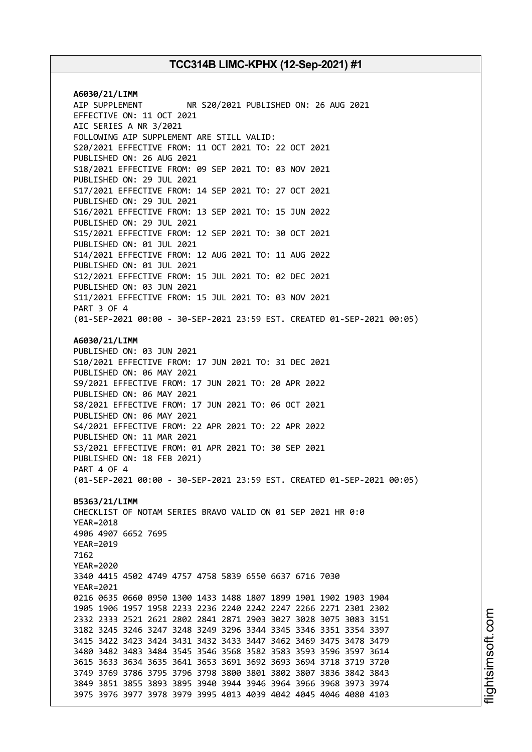**A6030/21/LIMM** AIP SUPPLEMENT NR S20/2021 PUBLISHED ON: 26 AUG 2021 EFFECTIVE ON: 11 OCT 2021 AIC SERIES A NR 3/2021 FOLLOWING AIP SUPPLEMENT ARE STILL VALID: S20/2021 EFFECTIVE FROM: 11 OCT 2021 TO: 22 OCT 2021 PUBLISHED ON: 26 AUG 2021 S18/2021 EFFECTIVE FROM: 09 SEP 2021 TO: 03 NOV 2021 PUBLISHED ON: 29 JUL 2021 S17/2021 EFFECTIVE FROM: 14 SEP 2021 TO: 27 OCT 2021 PUBLISHED ON: 29 JUL 2021 S16/2021 EFFECTIVE FROM: 13 SEP 2021 TO: 15 JUN 2022 PUBLISHED ON: 29 JUL 2021 S15/2021 EFFECTIVE FROM: 12 SEP 2021 TO: 30 OCT 2021 PUBLISHED ON: 01 JUL 2021 S14/2021 EFFECTIVE FROM: 12 AUG 2021 TO: 11 AUG 2022 PUBLISHED ON: 01 JUL 2021 S12/2021 EFFECTIVE FROM: 15 JUL 2021 TO: 02 DEC 2021 PUBLISHED ON: 03 JUN 2021 S11/2021 EFFECTIVE FROM: 15 JUL 2021 TO: 03 NOV 2021 PART 3 OF 4 (01-SEP-2021 00:00 - 30-SEP-2021 23:59 EST. CREATED 01-SEP-2021 00:05) **A6030/21/LIMM** PUBLISHED ON: 03 JUN 2021 S10/2021 EFFECTIVE FROM: 17 JUN 2021 TO: 31 DEC 2021 PUBLISHED ON: 06 MAY 2021 S9/2021 EFFECTIVE FROM: 17 JUN 2021 TO: 20 APR 2022 PUBLISHED ON: 06 MAY 2021 S8/2021 EFFECTIVE FROM: 17 JUN 2021 TO: 06 OCT 2021 PUBLISHED ON: 06 MAY 2021 S4/2021 EFFECTIVE FROM: 22 APR 2021 TO: 22 APR 2022 PUBLISHED ON: 11 MAR 2021 S3/2021 EFFECTIVE FROM: 01 APR 2021 TO: 30 SEP 2021 PUBLISHED ON: 18 FEB 2021) PART 4 OF 4 (01-SEP-2021 00:00 - 30-SEP-2021 23:59 EST. CREATED 01-SEP-2021 00:05) **B5363/21/LIMM** CHECKLIST OF NOTAM SERIES BRAVO VALID ON 01 SEP 2021 HR 0:0 YEAR=2018 4906 4907 6652 7695 YEAR=2019 7162 YEAR=2020 3340 4415 4502 4749 4757 4758 5839 6550 6637 6716 7030 YEAR=2021 0216 0635 0660 0950 1300 1433 1488 1807 1899 1901 1902 1903 1904 1905 1906 1957 1958 2233 2236 2240 2242 2247 2266 2271 2301 2302 2332 2333 2521 2621 2802 2841 2871 2903 3027 3028 3075 3083 3151 3182 3245 3246 3247 3248 3249 3296 3344 3345 3346 3351 3354 3397 3415 3422 3423 3424 3431 3432 3433 3447 3462 3469 3475 3478 3479 3480 3482 3483 3484 3545 3546 3568 3582 3583 3593 3596 3597 3614 3615 3633 3634 3635 3641 3653 3691 3692 3693 3694 3718 3719 3720 3749 3769 3786 3795 3796 3798 3800 3801 3802 3807 3836 3842 3843 3849 3851 3855 3893 3895 3940 3944 3946 3964 3966 3968 3973 3974 3975 3976 3977 3978 3979 3995 4013 4039 4042 4045 4046 4080 4103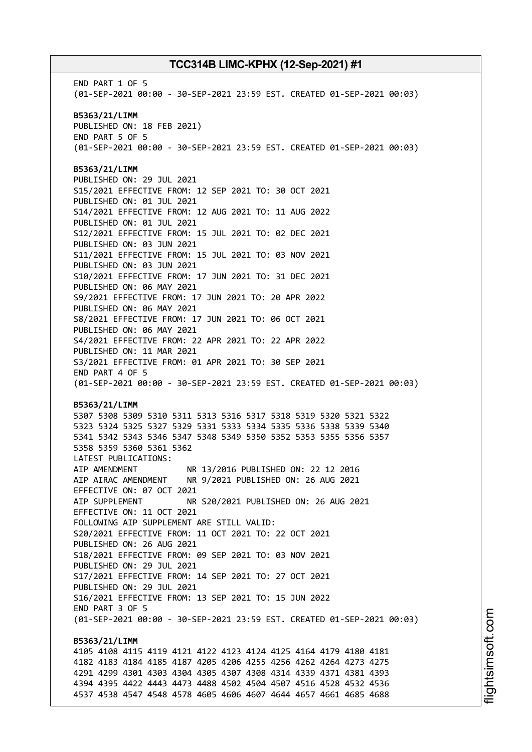END PART 1 OF 5 (01-SEP-2021 00:00 - 30-SEP-2021 23:59 EST. CREATED 01-SEP-2021 00:03) **B5363/21/LIMM** PUBLISHED ON: 18 FEB 2021) END PART 5 OF 5 (01-SEP-2021 00:00 - 30-SEP-2021 23:59 EST. CREATED 01-SEP-2021 00:03) **B5363/21/LIMM** PUBLISHED ON: 29 JUL 2021 S15/2021 EFFECTIVE FROM: 12 SEP 2021 TO: 30 OCT 2021 PUBLISHED ON: 01 JUL 2021 S14/2021 EFFECTIVE FROM: 12 AUG 2021 TO: 11 AUG 2022 PUBLISHED ON: 01 JUL 2021 S12/2021 EFFECTIVE FROM: 15 JUL 2021 TO: 02 DEC 2021 PUBLISHED ON: 03 JUN 2021 S11/2021 EFFECTIVE FROM: 15 JUL 2021 TO: 03 NOV 2021 PUBLISHED ON: 03 JUN 2021 S10/2021 EFFECTIVE FROM: 17 JUN 2021 TO: 31 DEC 2021 PUBLISHED ON: 06 MAY 2021 S9/2021 EFFECTIVE FROM: 17 JUN 2021 TO: 20 APR 2022 PUBLISHED ON: 06 MAY 2021 S8/2021 EFFECTIVE FROM: 17 JUN 2021 TO: 06 OCT 2021 PUBLISHED ON: 06 MAY 2021 S4/2021 EFFECTIVE FROM: 22 APR 2021 TO: 22 APR 2022 PUBLISHED ON: 11 MAR 2021 S3/2021 EFFECTIVE FROM: 01 APR 2021 TO: 30 SEP 2021 END PART 4 OF 5 (01-SEP-2021 00:00 - 30-SEP-2021 23:59 EST. CREATED 01-SEP-2021 00:03) **B5363/21/LIMM** 5307 5308 5309 5310 5311 5313 5316 5317 5318 5319 5320 5321 5322 5323 5324 5325 5327 5329 5331 5333 5334 5335 5336 5338 5339 5340 5341 5342 5343 5346 5347 5348 5349 5350 5352 5353 5355 5356 5357 5358 5359 5360 5361 5362 LATEST PUBLICATIONS: AIP AMENDMENT NR 13/2016 PUBLISHED ON: 22 12 2016 AIP AIRAC AMENDMENT NR 9/2021 PUBLISHED ON: 26 AUG 2021 EFFECTIVE ON: 07 OCT 2021 AIP SUPPLEMENT NR S20/2021 PUBLISHED ON: 26 AUG 2021 EFFECTIVE ON: 11 OCT 2021 FOLLOWING AIP SUPPLEMENT ARE STILL VALID: S20/2021 EFFECTIVE FROM: 11 OCT 2021 TO: 22 OCT 2021 PUBLISHED ON: 26 AUG 2021 S18/2021 EFFECTIVE FROM: 09 SEP 2021 TO: 03 NOV 2021 PUBLISHED ON: 29 JUL 2021 S17/2021 EFFECTIVE FROM: 14 SEP 2021 TO: 27 OCT 2021 PUBLISHED ON: 29 JUL 2021 S16/2021 EFFECTIVE FROM: 13 SEP 2021 TO: 15 JUN 2022 END PART 3 OF 5 (01-SEP-2021 00:00 - 30-SEP-2021 23:59 EST. CREATED 01-SEP-2021 00:03) **B5363/21/LIMM** 4105 4108 4115 4119 4121 4122 4123 4124 4125 4164 4179 4180 4181 4182 4183 4184 4185 4187 4205 4206 4255 4256 4262 4264 4273 4275 4291 4299 4301 4303 4304 4305 4307 4308 4314 4339 4371 4381 4393 4394 4395 4422 4443 4473 4488 4502 4504 4507 4516 4528 4532 4536 4537 4538 4547 4548 4578 4605 4606 4607 4644 4657 4661 4685 4688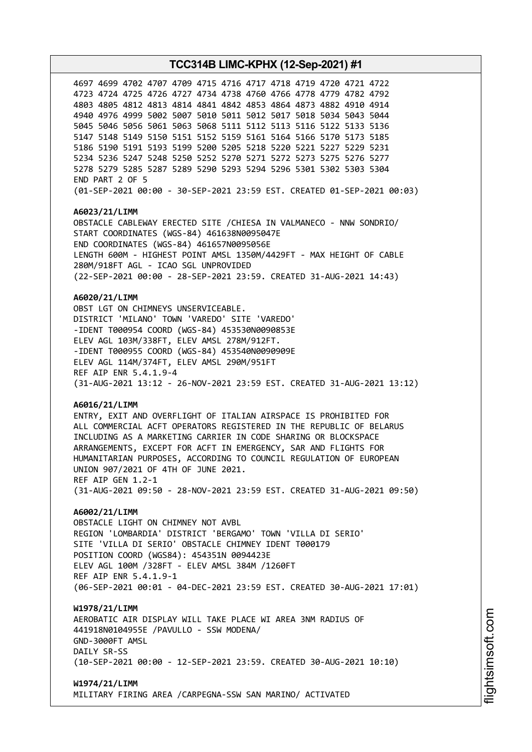4699 4702 4707 4709 4715 4716 4717 4718 4719 4720 4721 4722 4724 4725 4726 4727 4734 4738 4760 4766 4778 4779 4782 4792 4805 4812 4813 4814 4841 4842 4853 4864 4873 4882 4910 4914 4976 4999 5002 5007 5010 5011 5012 5017 5018 5034 5043 5044 5046 5056 5061 5063 5068 5111 5112 5113 5116 5122 5133 5136 5148 5149 5150 5151 5152 5159 5161 5164 5166 5170 5173 5185 5190 5191 5193 5199 5200 5205 5218 5220 5221 5227 5229 5231 5236 5247 5248 5250 5252 5270 5271 5272 5273 5275 5276 5277 5279 5285 5287 5289 5290 5293 5294 5296 5301 5302 5303 5304 END PART 2 OF 5 (01-SEP-2021 00:00 - 30-SEP-2021 23:59 EST. CREATED 01-SEP-2021 00:03)

## **A6023/21/LIMM**

OBSTACLE CABLEWAY ERECTED SITE /CHIESA IN VALMANECO - NNW SONDRIO/ START COORDINATES (WGS-84) 461638N0095047E END COORDINATES (WGS-84) 461657N0095056E LENGTH 600M - HIGHEST POINT AMSL 1350M/4429FT - MAX HEIGHT OF CABLE 280M/918FT AGL - ICAO SGL UNPROVIDED (22-SEP-2021 00:00 - 28-SEP-2021 23:59. CREATED 31-AUG-2021 14:43)

### **A6020/21/LIMM**

OBST LGT ON CHIMNEYS UNSERVICEABLE. DISTRICT 'MILANO' TOWN 'VAREDO' SITE 'VAREDO' -IDENT T000954 COORD (WGS-84) 453530N0090853E ELEV AGL 103M/338FT, ELEV AMSL 278M/912FT. -IDENT T000955 COORD (WGS-84) 453540N0090909E ELEV AGL 114M/374FT, ELEV AMSL 290M/951FT REF AIP ENR 5.4.1.9-4 (31-AUG-2021 13:12 - 26-NOV-2021 23:59 EST. CREATED 31-AUG-2021 13:12)

### **A6016/21/LIMM**

ENTRY, EXIT AND OVERFLIGHT OF ITALIAN AIRSPACE IS PROHIBITED FOR ALL COMMERCIAL ACFT OPERATORS REGISTERED IN THE REPUBLIC OF BELARUS INCLUDING AS A MARKETING CARRIER IN CODE SHARING OR BLOCKSPACE ARRANGEMENTS, EXCEPT FOR ACFT IN EMERGENCY, SAR AND FLIGHTS FOR HUMANITARIAN PURPOSES, ACCORDING TO COUNCIL REGULATION OF EUROPEAN UNION 907/2021 OF 4TH OF JUNE 2021. REF AIP GEN 1.2-1 (31-AUG-2021 09:50 - 28-NOV-2021 23:59 EST. CREATED 31-AUG-2021 09:50)

## **A6002/21/LIMM**

OBSTACLE LIGHT ON CHIMNEY NOT AVBL REGION 'LOMBARDIA' DISTRICT 'BERGAMO' TOWN 'VILLA DI SERIO' SITE 'VILLA DI SERIO' OBSTACLE CHIMNEY IDENT T000179 POSITION COORD (WGS84): 454351N 0094423E ELEV AGL 100M /328FT - ELEV AMSL 384M /1260FT REF AIP ENR 5.4.1.9-1 (06-SEP-2021 00:01 - 04-DEC-2021 23:59 EST. CREATED 30-AUG-2021 17:01)

### **W1978/21/LIMM**

AEROBATIC AIR DISPLAY WILL TAKE PLACE WI AREA 3NM RADIUS OF 441918N0104955E /PAVULLO - SSW MODENA/ GND-3000FT AMSL DATLY SR-SS (10-SEP-2021 00:00 - 12-SEP-2021 23:59. CREATED 30-AUG-2021 10:10)

# **W1974/21/LIMM**

MILITARY FIRING AREA /CARPEGNA-SSW SAN MARINO/ ACTIVATED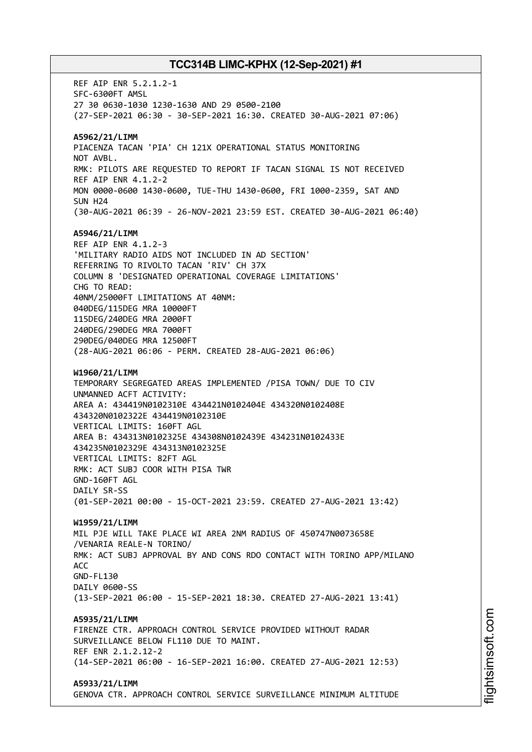REF AIP ENR 5.2.1.2-1 SFC-6300FT AMSL 27 30 0630-1030 1230-1630 AND 29 0500-2100 (27-SEP-2021 06:30 - 30-SEP-2021 16:30. CREATED 30-AUG-2021 07:06) **A5962/21/LIMM** PIACENZA TACAN 'PIA' CH 121X OPERATIONAL STATUS MONITORING NOT AVBL. RMK: PILOTS ARE REQUESTED TO REPORT IF TACAN SIGNAL IS NOT RECEIVED REF AIP ENR 4.1.2-2 MON 0000-0600 1430-0600, TUE-THU 1430-0600, FRI 1000-2359, SAT AND SUN H24 (30-AUG-2021 06:39 - 26-NOV-2021 23:59 EST. CREATED 30-AUG-2021 06:40) **A5946/21/LIMM** REF AIP ENR 4.1.2-3 'MILITARY RADIO AIDS NOT INCLUDED IN AD SECTION' REFERRING TO RIVOLTO TACAN 'RIV' CH 37X COLUMN 8 'DESIGNATED OPERATIONAL COVERAGE LIMITATIONS' CHG TO READ: 40NM/25000FT LIMITATIONS AT 40NM: 040DEG/115DEG MRA 10000FT 115DEG/240DEG MRA 2000FT 240DEG/290DEG MRA 7000FT 290DEG/040DEG MRA 12500FT (28-AUG-2021 06:06 - PERM. CREATED 28-AUG-2021 06:06) **W1960/21/LIMM** TEMPORARY SEGREGATED AREAS IMPLEMENTED /PISA TOWN/ DUE TO CIV UNMANNED ACFT ACTIVITY: AREA A: 434419N0102310E 434421N0102404E 434320N0102408E 434320N0102322E 434419N0102310E VERTICAL LIMITS: 160FT AGL AREA B: 434313N0102325E 434308N0102439E 434231N0102433E 434235N0102329E 434313N0102325E VERTICAL LIMITS: 82FT AGL RMK: ACT SUBJ COOR WITH PISA TWR GND-160FT AGL DAILY SR-SS (01-SEP-2021 00:00 - 15-OCT-2021 23:59. CREATED 27-AUG-2021 13:42) **W1959/21/LIMM** MIL PJE WILL TAKE PLACE WI AREA 2NM RADIUS OF 450747N0073658E /VENARIA REALE-N TORINO/ RMK: ACT SUBJ APPROVAL BY AND CONS RDO CONTACT WITH TORINO APP/MILANO ACC GND-FL130 DATLY 0600-SS (13-SEP-2021 06:00 - 15-SEP-2021 18:30. CREATED 27-AUG-2021 13:41) **A5935/21/LIMM** FIRENZE CTR. APPROACH CONTROL SERVICE PROVIDED WITHOUT RADAR SURVEILLANCE BELOW FL110 DUE TO MAINT. REF ENR 2.1.2.12-2 (14-SEP-2021 06:00 - 16-SEP-2021 16:00. CREATED 27-AUG-2021 12:53) **A5933/21/LIMM** GENOVA CTR. APPROACH CONTROL SERVICE SURVEILLANCE MINIMUM ALTITUDE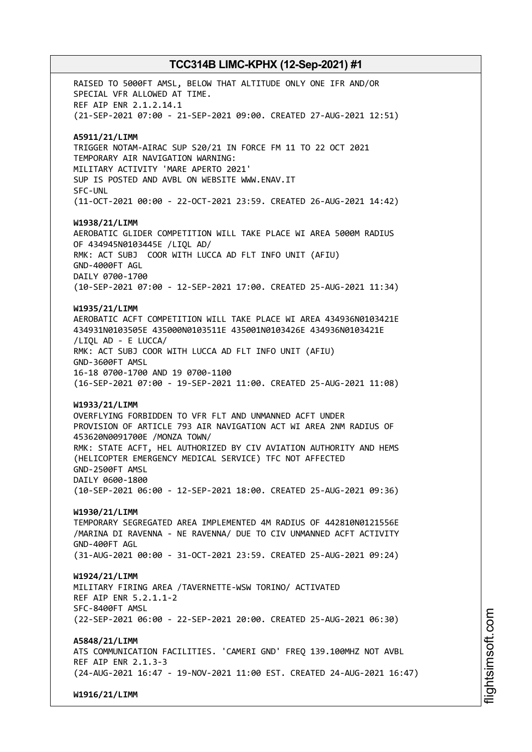RAISED TO 5000FT AMSL, BELOW THAT ALTITUDE ONLY ONE IFR AND/OR SPECIAL VFR ALLOWED AT TIME. REF AIP ENR 2.1.2.14.1 (21-SEP-2021 07:00 - 21-SEP-2021 09:00. CREATED 27-AUG-2021 12:51) **A5911/21/LIMM** TRIGGER NOTAM-AIRAC SUP S20/21 IN FORCE FM 11 TO 22 OCT 2021 TEMPORARY AIR NAVIGATION WARNING: MILITARY ACTIVITY 'MARE APERTO 2021' SUP IS POSTED AND AVBL ON WEBSITE WWW.ENAV.IT SFC-UNL (11-OCT-2021 00:00 - 22-OCT-2021 23:59. CREATED 26-AUG-2021 14:42) **W1938/21/LIMM** AEROBATIC GLIDER COMPETITION WILL TAKE PLACE WI AREA 5000M RADIUS OF 434945N0103445E /LIQL AD/ RMK: ACT SUBJ COOR WITH LUCCA AD FLT INFO UNIT (AFIU) GND-4000FT AGL DAILY 0700-1700 (10-SEP-2021 07:00 - 12-SEP-2021 17:00. CREATED 25-AUG-2021 11:34) **W1935/21/LIMM** AEROBATIC ACFT COMPETITION WILL TAKE PLACE WI AREA 434936N0103421E 434931N0103505E 435000N0103511E 435001N0103426E 434936N0103421E /LIQL AD - E LUCCA/ RMK: ACT SUBJ COOR WITH LUCCA AD FLT INFO UNIT (AFIU) GND-3600FT AMSL 16-18 0700-1700 AND 19 0700-1100 (16-SEP-2021 07:00 - 19-SEP-2021 11:00. CREATED 25-AUG-2021 11:08) **W1933/21/LIMM** OVERFLYING FORBIDDEN TO VFR FLT AND UNMANNED ACFT UNDER PROVISION OF ARTICLE 793 AIR NAVIGATION ACT WI AREA 2NM RADIUS OF 453620N0091700E /MONZA TOWN/ RMK: STATE ACFT, HEL AUTHORIZED BY CIV AVIATION AUTHORITY AND HEMS (HELICOPTER EMERGENCY MEDICAL SERVICE) TFC NOT AFFECTED GND-2500FT AMSL DAILY 0600-1800 (10-SEP-2021 06:00 - 12-SEP-2021 18:00. CREATED 25-AUG-2021 09:36) **W1930/21/LIMM** TEMPORARY SEGREGATED AREA IMPLEMENTED 4M RADIUS OF 442810N0121556E /MARINA DI RAVENNA - NE RAVENNA/ DUE TO CIV UNMANNED ACFT ACTIVITY GND-400FT AGL (31-AUG-2021 00:00 - 31-OCT-2021 23:59. CREATED 25-AUG-2021 09:24) **W1924/21/LIMM** MILITARY FIRING AREA /TAVERNETTE-WSW TORINO/ ACTIVATED REF AIP ENR 5.2.1.1-2 SFC-8400FT AMSL (22-SEP-2021 06:00 - 22-SEP-2021 20:00. CREATED 25-AUG-2021 06:30) **A5848/21/LIMM** ATS COMMUNICATION FACILITIES. 'CAMERI GND' FREQ 139.100MHZ NOT AVBL REF AIP ENR 2.1.3-3 (24-AUG-2021 16:47 - 19-NOV-2021 11:00 EST. CREATED 24-AUG-2021 16:47) **W1916/21/LIMM**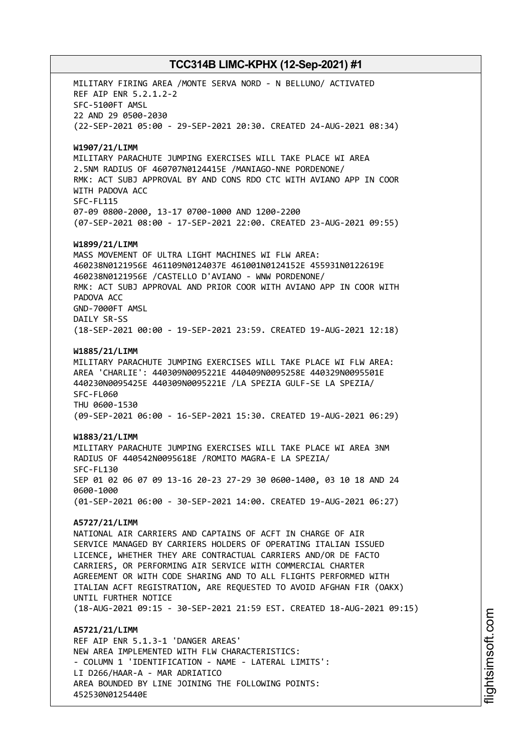MILITARY FIRING AREA /MONTE SERVA NORD - N BELLUNO/ ACTIVATED REF AIP ENR 5.2.1.2-2 SFC-5100FT AMSL 22 AND 29 0500-2030 (22-SEP-2021 05:00 - 29-SEP-2021 20:30. CREATED 24-AUG-2021 08:34) **W1907/21/LIMM** MILITARY PARACHUTE JUMPING EXERCISES WILL TAKE PLACE WI AREA 2.5NM RADIUS OF 460707N0124415E /MANIAGO-NNE PORDENONE/ RMK: ACT SUBJ APPROVAL BY AND CONS RDO CTC WITH AVIANO APP IN COOR WITH PADOVA ACC SFC-FL115 07-09 0800-2000, 13-17 0700-1000 AND 1200-2200 (07-SEP-2021 08:00 - 17-SEP-2021 22:00. CREATED 23-AUG-2021 09:55) **W1899/21/LIMM** MASS MOVEMENT OF ULTRA LIGHT MACHINES WI FLW AREA: 460238N0121956E 461109N0124037E 461001N0124152E 455931N0122619E 460238N0121956E /CASTELLO D'AVIANO - WNW PORDENONE/ RMK: ACT SUBJ APPROVAL AND PRIOR COOR WITH AVIANO APP IN COOR WITH PADOVA ACC GND-7000FT AMSL DAILY SR-SS (18-SEP-2021 00:00 - 19-SEP-2021 23:59. CREATED 19-AUG-2021 12:18) **W1885/21/LIMM** MILITARY PARACHUTE JUMPING EXERCISES WILL TAKE PLACE WI FLW AREA: AREA 'CHARLIE': 440309N0095221E 440409N0095258E 440329N0095501E 440230N0095425E 440309N0095221E /LA SPEZIA GULF-SE LA SPEZIA/ SFC-FL060 THU 0600-1530 (09-SEP-2021 06:00 - 16-SEP-2021 15:30. CREATED 19-AUG-2021 06:29) **W1883/21/LIMM** MILITARY PARACHUTE JUMPING EXERCISES WILL TAKE PLACE WI AREA 3NM RADIUS OF 440542N0095618E /ROMITO MAGRA-E LA SPEZIA/ SFC-FL130 SEP 01 02 06 07 09 13-16 20-23 27-29 30 0600-1400, 03 10 18 AND 24 0600-1000 (01-SEP-2021 06:00 - 30-SEP-2021 14:00. CREATED 19-AUG-2021 06:27) **A5727/21/LIMM** NATIONAL AIR CARRIERS AND CAPTAINS OF ACFT IN CHARGE OF AIR SERVICE MANAGED BY CARRIERS HOLDERS OF OPERATING ITALIAN ISSUED LICENCE, WHETHER THEY ARE CONTRACTUAL CARRIERS AND/OR DE FACTO CARRIERS, OR PERFORMING AIR SERVICE WITH COMMERCIAL CHARTER AGREEMENT OR WITH CODE SHARING AND TO ALL FLIGHTS PERFORMED WITH ITALIAN ACFT REGISTRATION, ARE REQUESTED TO AVOID AFGHAN FIR (OAKX) UNTIL FURTHER NOTICE (18-AUG-2021 09:15 - 30-SEP-2021 21:59 EST. CREATED 18-AUG-2021 09:15) **A5721/21/LIMM** REF AIP ENR 5.1.3-1 'DANGER AREAS' NEW AREA IMPLEMENTED WITH FLW CHARACTERISTICS: - COLUMN 1 'IDENTIFICATION - NAME - LATERAL LIMITS': LI D266/HAAR-A - MAR ADRIATICO AREA BOUNDED BY LINE JOINING THE FOLLOWING POINTS:

452530N0125440E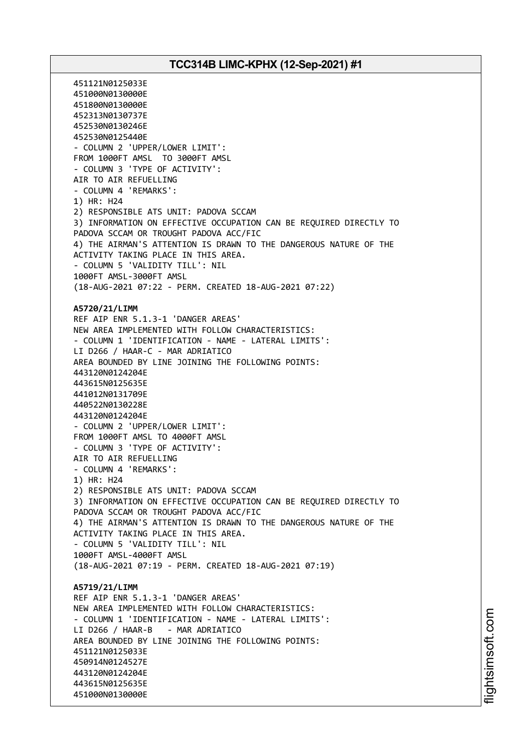451121N0125033E 451000N0130000E 451800N0130000E 452313N0130737E 452530N0130246E 452530N0125440E - COLUMN 2 'UPPER/LOWER LIMIT': FROM 1000FT AMSL TO 3000FT AMSL - COLUMN 3 'TYPE OF ACTIVITY': AIR TO AIR REFUELLING - COLUMN 4 'REMARKS': 1) HR: H24 2) RESPONSIBLE ATS UNIT: PADOVA SCCAM 3) INFORMATION ON EFFECTIVE OCCUPATION CAN BE REQUIRED DIRECTLY TO PADOVA SCCAM OR TROUGHT PADOVA ACC/FIC 4) THE AIRMAN'S ATTENTION IS DRAWN TO THE DANGEROUS NATURE OF THE ACTIVITY TAKING PLACE IN THIS AREA. - COLUMN 5 'VALIDITY TILL': NIL 1000FT AMSL-3000FT AMSL (18-AUG-2021 07:22 - PERM. CREATED 18-AUG-2021 07:22) **A5720/21/LIMM** REF AIP ENR 5.1.3-1 'DANGER AREAS' NEW AREA IMPLEMENTED WITH FOLLOW CHARACTERISTICS: - COLUMN 1 'IDENTIFICATION - NAME - LATERAL LIMITS': LI D266 / HAAR-C - MAR ADRIATICO AREA BOUNDED BY LINE JOINING THE FOLLOWING POINTS: 443120N0124204E 443615N0125635E 441012N0131709E 440522N0130228E 443120N0124204E - COLUMN 2 'UPPER/LOWER LIMIT': FROM 1000FT AMSL TO 4000FT AMSL - COLUMN 3 'TYPE OF ACTIVITY': AIR TO AIR REFUELLING - COLUMN 4 'REMARKS': 1) HR: H24 2) RESPONSIBLE ATS UNIT: PADOVA SCCAM 3) INFORMATION ON EFFECTIVE OCCUPATION CAN BE REQUIRED DIRECTLY TO PADOVA SCCAM OR TROUGHT PADOVA ACC/FIC 4) THE AIRMAN'S ATTENTION IS DRAWN TO THE DANGEROUS NATURE OF THE ACTIVITY TAKING PLACE IN THIS AREA. - COLUMN 5 'VALIDITY TILL': NIL 1000FT AMSL-4000FT AMSL (18-AUG-2021 07:19 - PERM. CREATED 18-AUG-2021 07:19) **A5719/21/LIMM** REF AIP ENR 5.1.3-1 'DANGER AREAS' NEW AREA IMPLEMENTED WITH FOLLOW CHARACTERISTICS: - COLUMN 1 'IDENTIFICATION - NAME - LATERAL LIMITS': LI D266 / HAAR-B - MAR ADRIATICO AREA BOUNDED BY LINE JOINING THE FOLLOWING POINTS: 451121N0125033E 450914N0124527E 443120N0124204E 443615N0125635E 451000N0130000E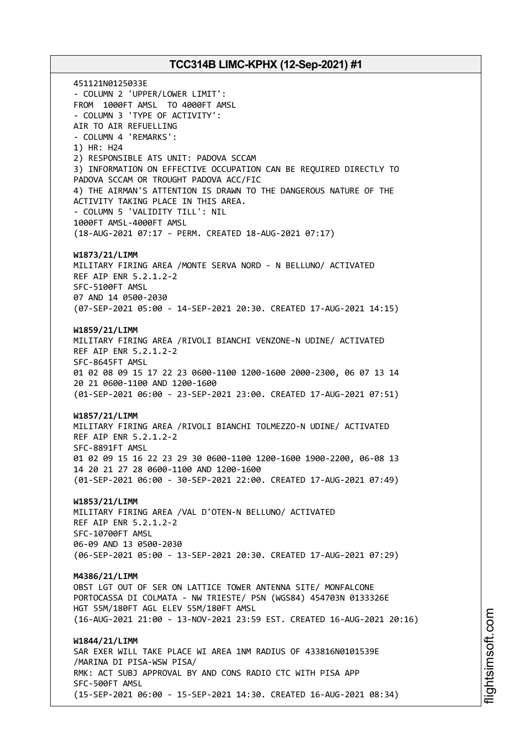451121N0125033E - COLUMN 2 'UPPER/LOWER LIMIT': FROM 1000FT AMSL TO 4000FT AMSL - COLUMN 3 'TYPE OF ACTIVITY': AIR TO AIR REFUELLING - COLUMN 4 'REMARKS': 1) HR: H24 2) RESPONSIBLE ATS UNIT: PADOVA SCCAM 3) INFORMATION ON EFFECTIVE OCCUPATION CAN BE REQUIRED DIRECTLY TO PADOVA SCCAM OR TROUGHT PADOVA ACC/FIC 4) THE AIRMAN'S ATTENTION IS DRAWN TO THE DANGEROUS NATURE OF THE ACTIVITY TAKING PLACE IN THIS AREA. - COLUMN 5 'VALIDITY TILL': NIL 1000FT AMSL-4000FT AMSL (18-AUG-2021 07:17 - PERM. CREATED 18-AUG-2021 07:17) **W1873/21/LIMM** MILITARY FIRING AREA /MONTE SERVA NORD - N BELLUNO/ ACTIVATED REF AIP ENR 5.2.1.2-2 SFC-5100FT AMSL 07 AND 14 0500-2030 (07-SEP-2021 05:00 - 14-SEP-2021 20:30. CREATED 17-AUG-2021 14:15) **W1859/21/LIMM** MILITARY FIRING AREA /RIVOLI BIANCHI VENZONE-N UDINE/ ACTIVATED REF AIP ENR 5.2.1.2-2 SFC-8645FT AMSL 01 02 08 09 15 17 22 23 0600-1100 1200-1600 2000-2300, 06 07 13 14 20 21 0600-1100 AND 1200-1600 (01-SEP-2021 06:00 - 23-SEP-2021 23:00. CREATED 17-AUG-2021 07:51) **W1857/21/LIMM** MILITARY FIRING AREA /RIVOLI BIANCHI TOLMEZZO-N UDINE/ ACTIVATED REF AIP ENR 5.2.1.2-2 SFC-8891FT AMSL 01 02 09 15 16 22 23 29 30 0600-1100 1200-1600 1900-2200, 06-08 13 14 20 21 27 28 0600-1100 AND 1200-1600 (01-SEP-2021 06:00 - 30-SEP-2021 22:00. CREATED 17-AUG-2021 07:49) **W1853/21/LIMM** MILITARY FIRING AREA /VAL D'OTEN-N BELLUNO/ ACTIVATED REF AIP ENR 5.2.1.2-2 SFC-10700FT AMSL 06-09 AND 13 0500-2030 (06-SEP-2021 05:00 - 13-SEP-2021 20:30. CREATED 17-AUG-2021 07:29) **M4386/21/LIMM** OBST LGT OUT OF SER ON LATTICE TOWER ANTENNA SITE/ MONFALCONE PORTOCASSA DI COLMATA - NW TRIESTE/ PSN (WGS84) 454703N 0133326E HGT 55M/180FT AGL ELEV 55M/180FT AMSL (16-AUG-2021 21:00 - 13-NOV-2021 23:59 EST. CREATED 16-AUG-2021 20:16) **W1844/21/LIMM** SAR EXER WILL TAKE PLACE WI AREA 1NM RADIUS OF 433816N0101539E /MARINA DI PISA-WSW PISA/ RMK: ACT SUBJ APPROVAL BY AND CONS RADIO CTC WITH PISA APP SFC-500FT AMSL (15-SEP-2021 06:00 - 15-SEP-2021 14:30. CREATED 16-AUG-2021 08:34)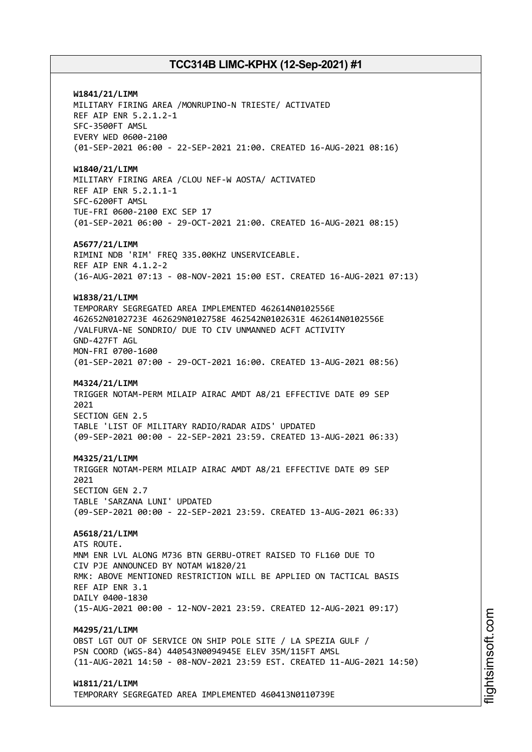**W1841/21/LIMM** MILITARY FIRING AREA /MONRUPINO-N TRIESTE/ ACTIVATED REF AIP ENR 5.2.1.2-1 SFC-3500FT AMSL EVERY WED 0600-2100 (01-SEP-2021 06:00 - 22-SEP-2021 21:00. CREATED 16-AUG-2021 08:16) **W1840/21/LIMM** MILITARY FIRING AREA /CLOU NEF-W AOSTA/ ACTIVATED REF AIP ENR 5.2.1.1-1 SFC-6200FT AMSL TUE-FRI 0600-2100 EXC SEP 17 (01-SEP-2021 06:00 - 29-OCT-2021 21:00. CREATED 16-AUG-2021 08:15) **A5677/21/LIMM** RIMINI NDB 'RIM' FREQ 335.00KHZ UNSERVICEABLE. REF AIP ENR 4.1.2-2 (16-AUG-2021 07:13 - 08-NOV-2021 15:00 EST. CREATED 16-AUG-2021 07:13) **W1838/21/LIMM** TEMPORARY SEGREGATED AREA IMPLEMENTED 462614N0102556E 462652N0102723E 462629N0102758E 462542N0102631E 462614N0102556E /VALFURVA-NE SONDRIO/ DUE TO CIV UNMANNED ACFT ACTIVITY GND-427FT AGL MON-FRI 0700-1600 (01-SEP-2021 07:00 - 29-OCT-2021 16:00. CREATED 13-AUG-2021 08:56) **M4324/21/LIMM** TRIGGER NOTAM-PERM MILAIP AIRAC AMDT A8/21 EFFECTIVE DATE 09 SEP 2021 SECTION GEN 2.5 TABLE 'LIST OF MILITARY RADIO/RADAR AIDS' UPDATED (09-SEP-2021 00:00 - 22-SEP-2021 23:59. CREATED 13-AUG-2021 06:33) **M4325/21/LIMM** TRIGGER NOTAM-PERM MILAIP AIRAC AMDT A8/21 EFFECTIVE DATE 09 SEP  $2021$ SECTION GEN 2.7 TABLE 'SARZANA LUNI' UPDATED (09-SEP-2021 00:00 - 22-SEP-2021 23:59. CREATED 13-AUG-2021 06:33) **A5618/21/LIMM** ATS ROUTE. MNM ENR LVL ALONG M736 BTN GERBU-OTRET RAISED TO FL160 DUE TO CIV PJE ANNOUNCED BY NOTAM W1820/21 RMK: ABOVE MENTIONED RESTRICTION WILL BE APPLIED ON TACTICAL BASIS REF AIP ENR 3.1 DAILY 0400-1830 (15-AUG-2021 00:00 - 12-NOV-2021 23:59. CREATED 12-AUG-2021 09:17) **M4295/21/LIMM** OBST LGT OUT OF SERVICE ON SHIP POLE SITE / LA SPEZIA GULF / PSN COORD (WGS-84) 440543N0094945E ELEV 35M/115FT AMSL (11-AUG-2021 14:50 - 08-NOV-2021 23:59 EST. CREATED 11-AUG-2021 14:50) **W1811/21/LIMM** TEMPORARY SEGREGATED AREA IMPLEMENTED 460413N0110739E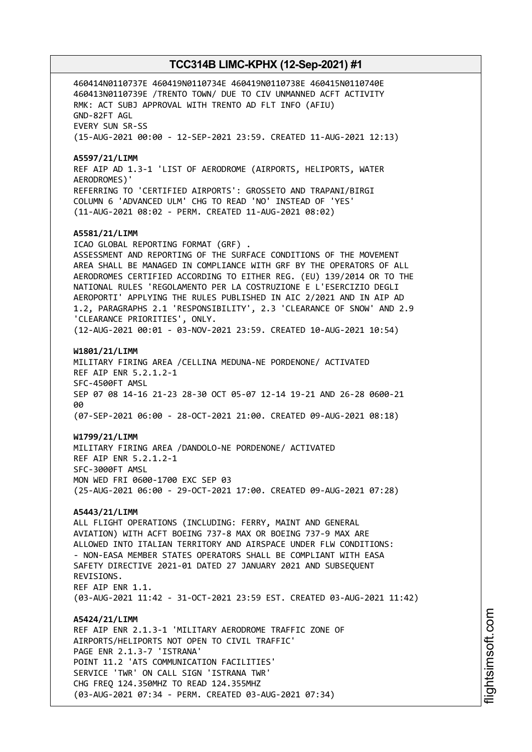460414N0110737E 460419N0110734E 460419N0110738E 460415N0110740E 460413N0110739E /TRENTO TOWN/ DUE TO CIV UNMANNED ACFT ACTIVITY RMK: ACT SUBJ APPROVAL WITH TRENTO AD FLT INFO (AFIU) GND-82FT AGL EVERY SUN SR-SS (15-AUG-2021 00:00 - 12-SEP-2021 23:59. CREATED 11-AUG-2021 12:13) **A5597/21/LIMM** REF AIP AD 1.3-1 'LIST OF AERODROME (AIRPORTS, HELIPORTS, WATER AERODROMES)' REFERRING TO 'CERTIFIED AIRPORTS': GROSSETO AND TRAPANI/BIRGI COLUMN 6 'ADVANCED ULM' CHG TO READ 'NO' INSTEAD OF 'YES' (11-AUG-2021 08:02 - PERM. CREATED 11-AUG-2021 08:02) **A5581/21/LIMM** ICAO GLOBAL REPORTING FORMAT (GRF) . ASSESSMENT AND REPORTING OF THE SURFACE CONDITIONS OF THE MOVEMENT AREA SHALL BE MANAGED IN COMPLIANCE WITH GRF BY THE OPERATORS OF ALL AERODROMES CERTIFIED ACCORDING TO EITHER REG. (EU) 139/2014 OR TO THE NATIONAL RULES 'REGOLAMENTO PER LA COSTRUZIONE E L'ESERCIZIO DEGLI AEROPORTI' APPLYING THE RULES PUBLISHED IN AIC 2/2021 AND IN AIP AD 1.2, PARAGRAPHS 2.1 'RESPONSIBILITY', 2.3 'CLEARANCE OF SNOW' AND 2.9 'CLEARANCE PRIORITIES', ONLY. (12-AUG-2021 00:01 - 03-NOV-2021 23:59. CREATED 10-AUG-2021 10:54) **W1801/21/LIMM** MILITARY FIRING AREA /CELLINA MEDUNA-NE PORDENONE/ ACTIVATED REF AIP ENR 5.2.1.2-1 SFC-4500FT AMSL SEP 07 08 14-16 21-23 28-30 OCT 05-07 12-14 19-21 AND 26-28 0600-21 aa (07-SEP-2021 06:00 - 28-OCT-2021 21:00. CREATED 09-AUG-2021 08:18) **W1799/21/LIMM** MILITARY FIRING AREA /DANDOLO-NE PORDENONE/ ACTIVATED REF AIP ENR 5.2.1.2-1 SFC-3000FT AMSL MON WED FRI 0600-1700 EXC SEP 03 (25-AUG-2021 06:00 - 29-OCT-2021 17:00. CREATED 09-AUG-2021 07:28) **A5443/21/LIMM** ALL FLIGHT OPERATIONS (INCLUDING: FERRY, MAINT AND GENERAL AVIATION) WITH ACFT BOEING 737-8 MAX OR BOEING 737-9 MAX ARE ALLOWED INTO ITALIAN TERRITORY AND AIRSPACE UNDER FLW CONDITIONS: - NON-EASA MEMBER STATES OPERATORS SHALL BE COMPLIANT WITH EASA SAFETY DIRECTIVE 2021-01 DATED 27 JANUARY 2021 AND SUBSEQUENT REVISIONS. REF AIP ENR 1.1. (03-AUG-2021 11:42 - 31-OCT-2021 23:59 EST. CREATED 03-AUG-2021 11:42) **A5424/21/LIMM** REF AIP ENR 2.1.3-1 'MILITARY AERODROME TRAFFIC ZONE OF AIRPORTS/HELIPORTS NOT OPEN TO CIVIL TRAFFIC' PAGE ENR 2.1.3-7 'ISTRANA' POINT 11.2 'ATS COMMUNICATION FACILITIES' SERVICE 'TWR' ON CALL SIGN 'ISTRANA TWR' CHG FREQ 124.350MHZ TO READ 124.355MHZ (03-AUG-2021 07:34 - PERM. CREATED 03-AUG-2021 07:34)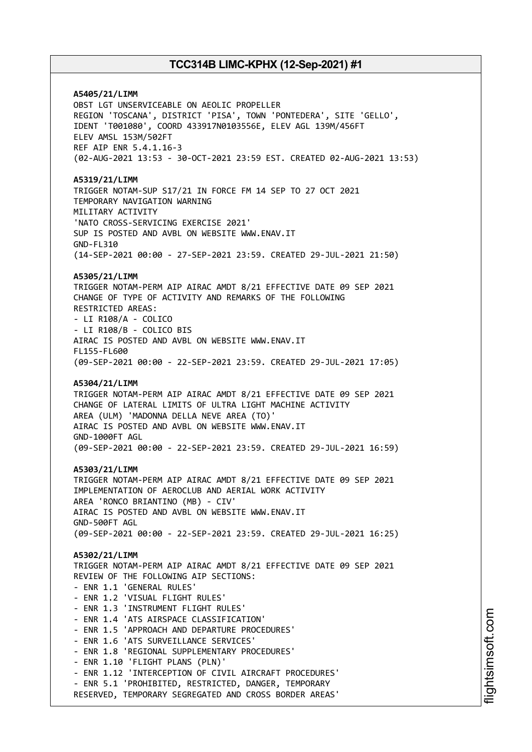**A5405/21/LIMM** OBST LGT UNSERVICEABLE ON AEOLIC PROPELLER REGION 'TOSCANA', DISTRICT 'PISA', TOWN 'PONTEDERA', SITE 'GELLO', IDENT 'T001080', COORD 433917N0103556E, ELEV AGL 139M/456FT ELEV AMSL 153M/502FT REF AIP ENR 5.4.1.16-3 (02-AUG-2021 13:53 - 30-OCT-2021 23:59 EST. CREATED 02-AUG-2021 13:53) **A5319/21/LIMM** TRIGGER NOTAM-SUP S17/21 IN FORCE FM 14 SEP TO 27 OCT 2021 TEMPORARY NAVIGATION WARNING MILITARY ACTIVITY 'NATO CROSS-SERVICING EXERCISE 2021' SUP IS POSTED AND AVBL ON WEBSITE WWW.ENAV.IT GND-FL310 (14-SEP-2021 00:00 - 27-SEP-2021 23:59. CREATED 29-JUL-2021 21:50) **A5305/21/LIMM** TRIGGER NOTAM-PERM AIP AIRAC AMDT 8/21 EFFECTIVE DATE 09 SEP 2021 CHANGE OF TYPE OF ACTIVITY AND REMARKS OF THE FOLLOWING RESTRICTED AREAS: - LI R108/A - COLICO - LI R108/B - COLICO BIS AIRAC IS POSTED AND AVBL ON WEBSITE WWW.ENAV.IT FL155-FL600 (09-SEP-2021 00:00 - 22-SEP-2021 23:59. CREATED 29-JUL-2021 17:05) **A5304/21/LIMM** TRIGGER NOTAM-PERM AIP AIRAC AMDT 8/21 EFFECTIVE DATE 09 SEP 2021 CHANGE OF LATERAL LIMITS OF ULTRA LIGHT MACHINE ACTIVITY AREA (ULM) 'MADONNA DELLA NEVE AREA (TO)' AIRAC IS POSTED AND AVBL ON WEBSITE WWW.ENAV.IT GND-1000FT AGL (09-SEP-2021 00:00 - 22-SEP-2021 23:59. CREATED 29-JUL-2021 16:59) **A5303/21/LIMM** TRIGGER NOTAM-PERM AIP AIRAC AMDT 8/21 EFFECTIVE DATE 09 SEP 2021 IMPLEMENTATION OF AEROCLUB AND AERIAL WORK ACTIVITY AREA 'RONCO BRIANTINO (MB) - CIV' AIRAC IS POSTED AND AVBL ON WEBSITE WWW.ENAV.IT GND-500FT AGL (09-SEP-2021 00:00 - 22-SEP-2021 23:59. CREATED 29-JUL-2021 16:25) **A5302/21/LIMM** TRIGGER NOTAM-PERM AIP AIRAC AMDT 8/21 EFFECTIVE DATE 09 SEP 2021 REVIEW OF THE FOLLOWING AIP SECTIONS: - ENR 1.1 'GENERAL RULES' - ENR 1.2 'VISUAL FLIGHT RULES' - ENR 1.3 'INSTRUMENT FLIGHT RULES' - ENR 1.4 'ATS AIRSPACE CLASSIFICATION' - ENR 1.5 'APPROACH AND DEPARTURE PROCEDURES' - ENR 1.6 'ATS SURVEILLANCE SERVICES' - ENR 1.8 'REGIONAL SUPPLEMENTARY PROCEDURES' - ENR 1.10 'FLIGHT PLANS (PLN)' - ENR 1.12 'INTERCEPTION OF CIVIL AIRCRAFT PROCEDURES' - ENR 5.1 'PROHIBITED, RESTRICTED, DANGER, TEMPORARY RESERVED, TEMPORARY SEGREGATED AND CROSS BORDER AREAS'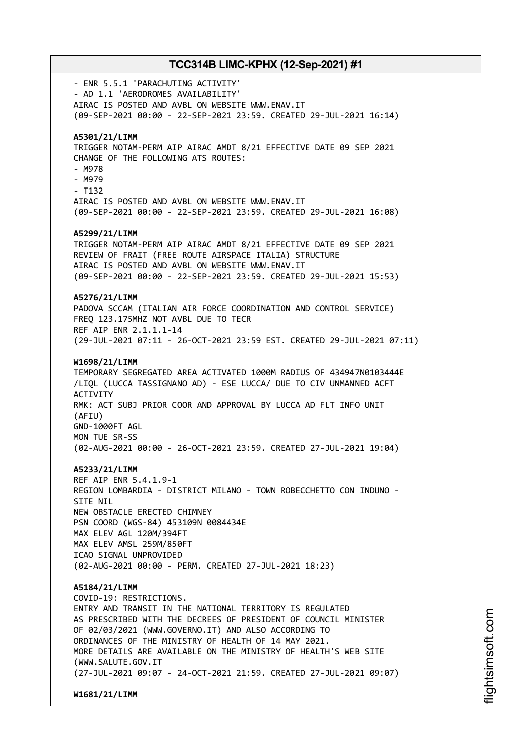- ENR 5.5.1 'PARACHUTING ACTIVITY' - AD 1.1 'AERODROMES AVAILABILITY' AIRAC IS POSTED AND AVBL ON WEBSITE WWW.ENAV.IT (09-SEP-2021 00:00 - 22-SEP-2021 23:59. CREATED 29-JUL-2021 16:14) **A5301/21/LIMM** TRIGGER NOTAM-PERM AIP AIRAC AMDT 8/21 EFFECTIVE DATE 09 SEP 2021 CHANGE OF THE FOLLOWING ATS ROUTES: - M978 - M979 - T132 AIRAC IS POSTED AND AVBL ON WEBSITE WWW.ENAV.IT (09-SEP-2021 00:00 - 22-SEP-2021 23:59. CREATED 29-JUL-2021 16:08) **A5299/21/LIMM** TRIGGER NOTAM-PERM AIP AIRAC AMDT 8/21 EFFECTIVE DATE 09 SEP 2021 REVIEW OF FRAIT (FREE ROUTE AIRSPACE ITALIA) STRUCTURE AIRAC IS POSTED AND AVBL ON WEBSITE WWW.ENAV.IT (09-SEP-2021 00:00 - 22-SEP-2021 23:59. CREATED 29-JUL-2021 15:53) **A5276/21/LIMM** PADOVA SCCAM (ITALIAN AIR FORCE COORDINATION AND CONTROL SERVICE) FREQ 123.175MHZ NOT AVBL DUE TO TECR REF AIP ENR 2.1.1.1-14 (29-JUL-2021 07:11 - 26-OCT-2021 23:59 EST. CREATED 29-JUL-2021 07:11) **W1698/21/LIMM** TEMPORARY SEGREGATED AREA ACTIVATED 1000M RADIUS OF 434947N0103444E /LIQL (LUCCA TASSIGNANO AD) - ESE LUCCA/ DUE TO CIV UNMANNED ACFT **ACTIVITY** RMK: ACT SUBJ PRIOR COOR AND APPROVAL BY LUCCA AD FLT INFO UNIT (AFIU) GND-1000FT AGL MON TUE SR-SS (02-AUG-2021 00:00 - 26-OCT-2021 23:59. CREATED 27-JUL-2021 19:04) **A5233/21/LIMM** REF AIP ENR 5.4.1.9-1 REGION LOMBARDIA - DISTRICT MILANO - TOWN ROBECCHETTO CON INDUNO - SITE NIL NEW OBSTACLE ERECTED CHIMNEY PSN COORD (WGS-84) 453109N 0084434E MAX ELEV AGL 120M/394FT MAX ELEV AMSL 259M/850FT ICAO SIGNAL UNPROVIDED (02-AUG-2021 00:00 - PERM. CREATED 27-JUL-2021 18:23) **A5184/21/LIMM** COVID-19: RESTRICTIONS. ENTRY AND TRANSIT IN THE NATIONAL TERRITORY IS REGULATED AS PRESCRIBED WITH THE DECREES OF PRESIDENT OF COUNCIL MINISTER OF 02/03/2021 (WWW.GOVERNO.IT) AND ALSO ACCORDING TO ORDINANCES OF THE MINISTRY OF HEALTH OF 14 MAY 2021. MORE DETAILS ARE AVAILABLE ON THE MINISTRY OF HEALTH'S WEB SITE (WWW.SALUTE.GOV.IT (27-JUL-2021 09:07 - 24-OCT-2021 21:59. CREATED 27-JUL-2021 09:07)

**W1681/21/LIMM**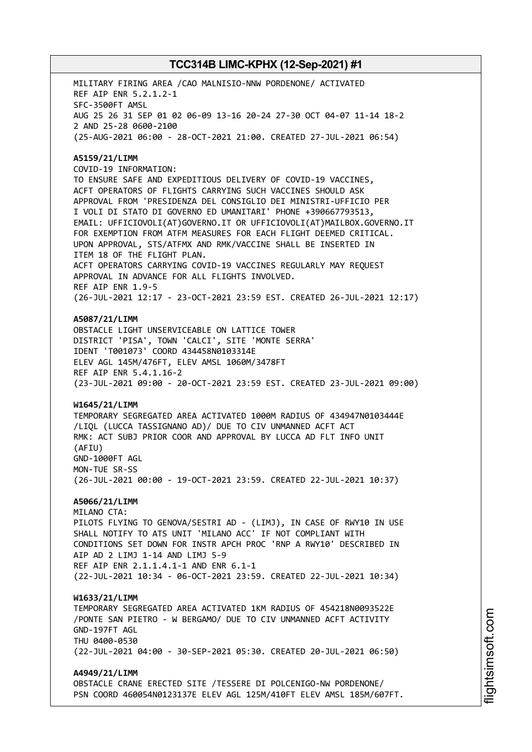MILITARY FIRING AREA /CAO MALNISIO-NNW PORDENONE/ ACTIVATED REF AIP ENR 5.2.1.2-1 SFC-3500FT AMSL AUG 25 26 31 SEP 01 02 06-09 13-16 20-24 27-30 OCT 04-07 11-14 18-2 2 AND 25-28 0600-2100 (25-AUG-2021 06:00 - 28-OCT-2021 21:00. CREATED 27-JUL-2021 06:54) **A5159/21/LIMM** COVID-19 INFORMATION: TO ENSURE SAFE AND EXPEDITIOUS DELIVERY OF COVID-19 VACCINES, ACFT OPERATORS OF FLIGHTS CARRYING SUCH VACCINES SHOULD ASK APPROVAL FROM 'PRESIDENZA DEL CONSIGLIO DEI MINISTRI-UFFICIO PER I VOLI DI STATO DI GOVERNO ED UMANITARI' PHONE +390667793513, EMAIL: UFFICIOVOLI(AT)GOVERNO.IT OR UFFICIOVOLI(AT)MAILBOX.GOVERNO.IT FOR EXEMPTION FROM ATFM MEASURES FOR EACH FLIGHT DEEMED CRITICAL. UPON APPROVAL, STS/ATFMX AND RMK/VACCINE SHALL BE INSERTED IN ITEM 18 OF THE FLIGHT PLAN. ACFT OPERATORS CARRYING COVID-19 VACCINES REGULARLY MAY REQUEST APPROVAL IN ADVANCE FOR ALL FLIGHTS INVOLVED. REF AIP ENR 1.9-5 (26-JUL-2021 12:17 - 23-OCT-2021 23:59 EST. CREATED 26-JUL-2021 12:17) **A5087/21/LIMM** OBSTACLE LIGHT UNSERVICEABLE ON LATTICE TOWER DISTRICT 'PISA', TOWN 'CALCI', SITE 'MONTE SERRA' IDENT 'T001073' COORD 434458N0103314E ELEV AGL 145M/476FT, ELEV AMSL 1060M/3478FT REF AIP ENR 5.4.1.16-2 (23-JUL-2021 09:00 - 20-OCT-2021 23:59 EST. CREATED 23-JUL-2021 09:00) **W1645/21/LIMM** TEMPORARY SEGREGATED AREA ACTIVATED 1000M RADIUS OF 434947N0103444E /LIQL (LUCCA TASSIGNANO AD)/ DUE TO CIV UNMANNED ACFT ACT RMK: ACT SUBJ PRIOR COOR AND APPROVAL BY LUCCA AD FLT INFO UNIT (AFIU) GND-1000FT AGL MON-TUE SR-SS (26-JUL-2021 00:00 - 19-OCT-2021 23:59. CREATED 22-JUL-2021 10:37) **A5066/21/LIMM** MILANO CTA: PILOTS FLYING TO GENOVA/SESTRI AD - (LIMJ), IN CASE OF RWY10 IN USE SHALL NOTIFY TO ATS UNIT 'MILANO ACC' IF NOT COMPLIANT WITH CONDITIONS SET DOWN FOR INSTR APCH PROC 'RNP A RWY10' DESCRIBED IN AIP AD 2 LIMJ 1-14 AND LIMJ 5-9 REF AIP ENR 2.1.1.4.1-1 AND ENR 6.1-1 (22-JUL-2021 10:34 - 06-OCT-2021 23:59. CREATED 22-JUL-2021 10:34) **W1633/21/LIMM** TEMPORARY SEGREGATED AREA ACTIVATED 1KM RADIUS OF 454218N0093522E /PONTE SAN PIETRO - W BERGAMO/ DUE TO CIV UNMANNED ACFT ACTIVITY GND-197FT AGL THU 0400-0530 (22-JUL-2021 04:00 - 30-SEP-2021 05:30. CREATED 20-JUL-2021 06:50) **A4949/21/LIMM** OBSTACLE CRANE ERECTED SITE /TESSERE DI POLCENIGO-NW PORDENONE/ PSN COORD 460054N0123137E ELEV AGL 125M/410FT ELEV AMSL 185M/607FT.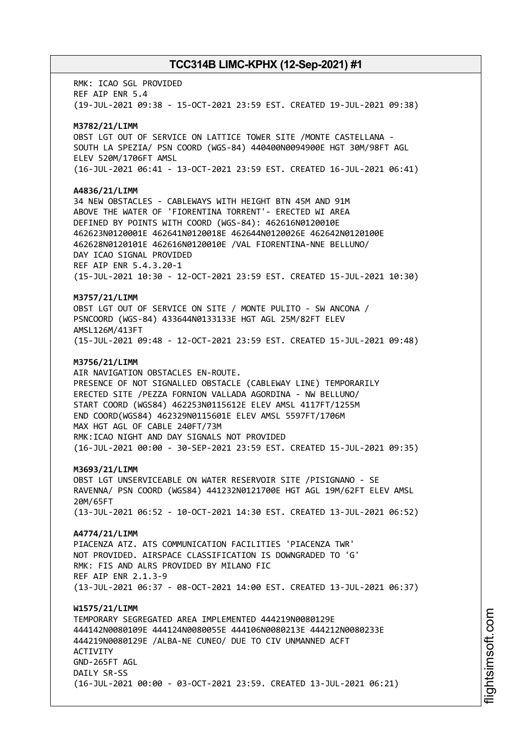RMK: ICAO SGL PROVIDED REF AIP ENR 5.4 (19-JUL-2021 09:38 - 15-OCT-2021 23:59 EST. CREATED 19-JUL-2021 09:38) **M3782/21/LIMM** OBST LGT OUT OF SERVICE ON LATTICE TOWER SITE /MONTE CASTELLANA - SOUTH LA SPEZIA/ PSN COORD (WGS-84) 440400N0094900E HGT 30M/98FT AGL ELEV 520M/1706FT AMSL (16-JUL-2021 06:41 - 13-OCT-2021 23:59 EST. CREATED 16-JUL-2021 06:41) **A4836/21/LIMM** 34 NEW OBSTACLES - CABLEWAYS WITH HEIGHT BTN 45M AND 91M ABOVE THE WATER OF 'FIORENTINA TORRENT'- ERECTED WI AREA DEFINED BY POINTS WITH COORD (WGS-84): 462616N0120010E 462623N0120001E 462641N0120018E 462644N0120026E 462642N0120100E 462628N0120101E 462616N0120010E /VAL FIORENTINA-NNE BELLUNO/ DAY ICAO SIGNAL PROVIDED REF AIP ENR 5.4.3.20-1 (15-JUL-2021 10:30 - 12-OCT-2021 23:59 EST. CREATED 15-JUL-2021 10:30) **M3757/21/LIMM** OBST LGT OUT OF SERVICE ON SITE / MONTE PULITO - SW ANCONA / PSNCOORD (WGS-84) 433644N0133133E HGT AGL 25M/82FT ELEV AMSL126M/413FT (15-JUL-2021 09:48 - 12-OCT-2021 23:59 EST. CREATED 15-JUL-2021 09:48) **M3756/21/LIMM** AIR NAVIGATION OBSTACLES EN-ROUTE. PRESENCE OF NOT SIGNALLED OBSTACLE (CABLEWAY LINE) TEMPORARILY ERECTED SITE /PEZZA FORNION VALLADA AGORDINA - NW BELLUNO/ START COORD (WGS84) 462253N0115612E ELEV AMSL 4117FT/1255M END COORD(WGS84) 462329N0115601E ELEV AMSL 5597FT/1706M MAX HGT AGL OF CABLE 240FT/73M RMK:ICAO NIGHT AND DAY SIGNALS NOT PROVIDED (16-JUL-2021 00:00 - 30-SEP-2021 23:59 EST. CREATED 15-JUL-2021 09:35) **M3693/21/LIMM** OBST LGT UNSERVICEABLE ON WATER RESERVOIR SITE /PISIGNANO - SE RAVENNA/ PSN COORD (WGS84) 441232N0121700E HGT AGL 19M/62FT ELEV AMSL 20M/65FT (13-JUL-2021 06:52 - 10-OCT-2021 14:30 EST. CREATED 13-JUL-2021 06:52) **A4774/21/LIMM** PIACENZA ATZ. ATS COMMUNICATION FACILITIES 'PIACENZA TWR' NOT PROVIDED. AIRSPACE CLASSIFICATION IS DOWNGRADED TO 'G' RMK: FIS AND ALRS PROVIDED BY MILANO FIC REF AIP ENR 2.1.3-9 (13-JUL-2021 06:37 - 08-OCT-2021 14:00 EST. CREATED 13-JUL-2021 06:37) **W1575/21/LIMM** TEMPORARY SEGREGATED AREA IMPLEMENTED 444219N0080129E 444142N0080109E 444124N0080055E 444106N0080213E 444212N0080233E 444219N0080129E /ALBA-NE CUNEO/ DUE TO CIV UNMANNED ACFT ACTIVITY GND-265FT AGL DATLY SR-SS (16-JUL-2021 00:00 - 03-OCT-2021 23:59. CREATED 13-JUL-2021 06:21)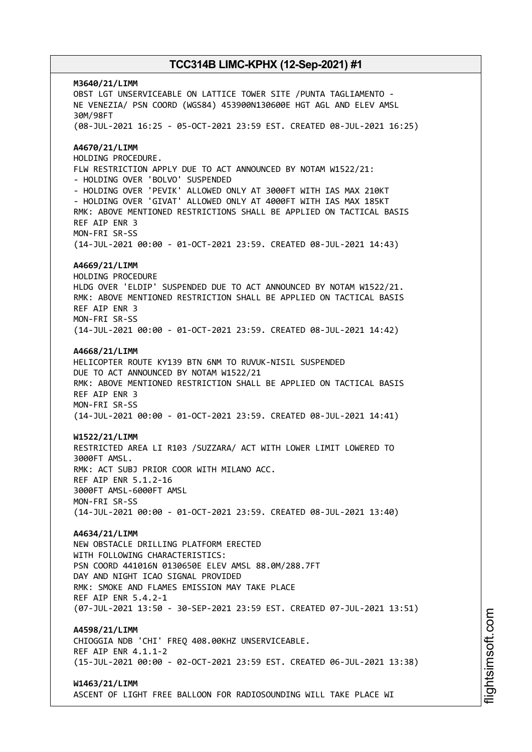**M3640/21/LIMM** OBST LGT UNSERVICEABLE ON LATTICE TOWER SITE /PUNTA TAGLIAMENTO - NE VENEZIA/ PSN COORD (WGS84) 453900N130600E HGT AGL AND ELEV AMSL 30M/98FT (08-JUL-2021 16:25 - 05-OCT-2021 23:59 EST. CREATED 08-JUL-2021 16:25) **A4670/21/LIMM** HOLDING PROCEDURE. FLW RESTRICTION APPLY DUE TO ACT ANNOUNCED BY NOTAM W1522/21: - HOLDING OVER 'BOLVO' SUSPENDED - HOLDING OVER 'PEVIK' ALLOWED ONLY AT 3000FT WITH IAS MAX 210KT - HOLDING OVER 'GIVAT' ALLOWED ONLY AT 4000FT WITH IAS MAX 185KT RMK: ABOVE MENTIONED RESTRICTIONS SHALL BE APPLIED ON TACTICAL BASIS REF AIP ENR 3 MON-FRI SR-SS (14-JUL-2021 00:00 - 01-OCT-2021 23:59. CREATED 08-JUL-2021 14:43) **A4669/21/LIMM** HOLDING PROCEDURE HLDG OVER 'ELDIP' SUSPENDED DUE TO ACT ANNOUNCED BY NOTAM W1522/21. RMK: ABOVE MENTIONED RESTRICTION SHALL BE APPLIED ON TACTICAL BASIS REF AIP ENR 3 MON-FRI SR-SS (14-JUL-2021 00:00 - 01-OCT-2021 23:59. CREATED 08-JUL-2021 14:42) **A4668/21/LIMM** HELICOPTER ROUTE KY139 BTN 6NM TO RUVUK-NISIL SUSPENDED DUE TO ACT ANNOUNCED BY NOTAM W1522/21 RMK: ABOVE MENTIONED RESTRICTION SHALL BE APPLIED ON TACTICAL BASIS REF AIP ENR 3 MON-FRI SR-SS (14-JUL-2021 00:00 - 01-OCT-2021 23:59. CREATED 08-JUL-2021 14:41) **W1522/21/LIMM** RESTRICTED AREA LI R103 /SUZZARA/ ACT WITH LOWER LIMIT LOWERED TO 3000FT AMSL. RMK: ACT SUBJ PRIOR COOR WITH MILANO ACC. REF AIP ENR 5.1.2-16 3000FT AMSL-6000FT AMSL MON-FRI SR-SS (14-JUL-2021 00:00 - 01-OCT-2021 23:59. CREATED 08-JUL-2021 13:40) **A4634/21/LIMM** NEW OBSTACLE DRILLING PLATFORM ERECTED WITH FOLLOWING CHARACTERISTICS: PSN COORD 441016N 0130650E ELEV AMSL 88.0M/288.7FT DAY AND NIGHT ICAO SIGNAL PROVIDED RMK: SMOKE AND FLAMES EMISSION MAY TAKE PLACE REF AIP ENR 5.4.2-1 (07-JUL-2021 13:50 - 30-SEP-2021 23:59 EST. CREATED 07-JUL-2021 13:51) **A4598/21/LIMM** CHIOGGIA NDB 'CHI' FREQ 408.00KHZ UNSERVICEABLE. REF AIP ENR 4.1.1-2 (15-JUL-2021 00:00 - 02-OCT-2021 23:59 EST. CREATED 06-JUL-2021 13:38) **W1463/21/LIMM** ASCENT OF LIGHT FREE BALLOON FOR RADIOSOUNDING WILL TAKE PLACE WI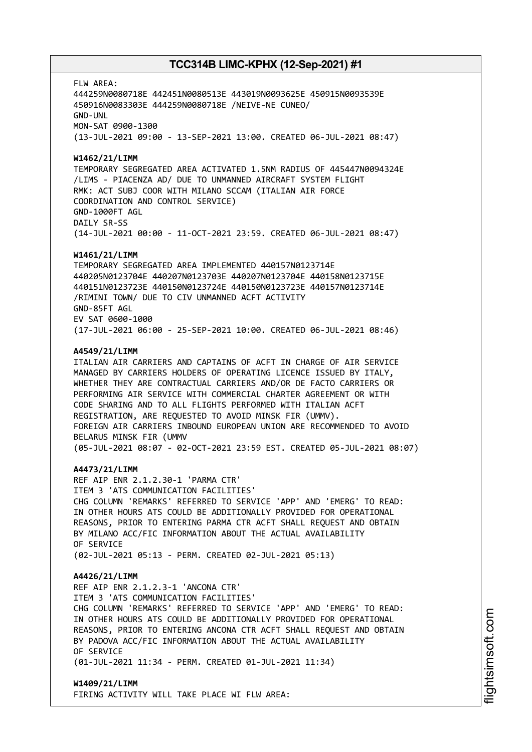FLW AREA:

444259N0080718E 442451N0080513E 443019N0093625E 450915N0093539E 450916N0083303E 444259N0080718E /NEIVE-NE CUNEO/ GND-UNL MON-SAT 0900-1300

(13-JUL-2021 09:00 - 13-SEP-2021 13:00. CREATED 06-JUL-2021 08:47)

### **W1462/21/LIMM**

TEMPORARY SEGREGATED AREA ACTIVATED 1.5NM RADIUS OF 445447N0094324E /LIMS - PIACENZA AD/ DUE TO UNMANNED AIRCRAFT SYSTEM FLIGHT RMK: ACT SUBJ COOR WITH MILANO SCCAM (ITALIAN AIR FORCE COORDINATION AND CONTROL SERVICE) GND-1000FT AGL DAILY SR-SS (14-JUL-2021 00:00 - 11-OCT-2021 23:59. CREATED 06-JUL-2021 08:47)

#### **W1461/21/LIMM**

TEMPORARY SEGREGATED AREA IMPLEMENTED 440157N0123714E 440205N0123704E 440207N0123703E 440207N0123704E 440158N0123715E 440151N0123723E 440150N0123724E 440150N0123723E 440157N0123714E /RIMINI TOWN/ DUE TO CIV UNMANNED ACFT ACTIVITY GND-85FT AGL EV SAT 0600-1000 (17-JUL-2021 06:00 - 25-SEP-2021 10:00. CREATED 06-JUL-2021 08:46)

#### **A4549/21/LIMM**

ITALIAN AIR CARRIERS AND CAPTAINS OF ACFT IN CHARGE OF AIR SERVICE MANAGED BY CARRIERS HOLDERS OF OPERATING LICENCE ISSUED BY ITALY, WHETHER THEY ARE CONTRACTUAL CARRIERS AND/OR DE FACTO CARRIERS OR PERFORMING AIR SERVICE WITH COMMERCIAL CHARTER AGREEMENT OR WITH CODE SHARING AND TO ALL FLIGHTS PERFORMED WITH ITALIAN ACFT REGISTRATION, ARE REQUESTED TO AVOID MINSK FIR (UMMV). FOREIGN AIR CARRIERS INBOUND EUROPEAN UNION ARE RECOMMENDED TO AVOID BELARUS MINSK FIR (UMMV (05-JUL-2021 08:07 - 02-OCT-2021 23:59 EST. CREATED 05-JUL-2021 08:07)

#### **A4473/21/LIMM**

REF AIP ENR 2.1.2.30-1 'PARMA CTR' ITEM 3 'ATS COMMUNICATION FACILITIES' CHG COLUMN 'REMARKS' REFERRED TO SERVICE 'APP' AND 'EMERG' TO READ: IN OTHER HOURS ATS COULD BE ADDITIONALLY PROVIDED FOR OPERATIONAL REASONS, PRIOR TO ENTERING PARMA CTR ACFT SHALL REQUEST AND OBTAIN BY MILANO ACC/FIC INFORMATION ABOUT THE ACTUAL AVAILABILITY OF SERVICE (02-JUL-2021 05:13 - PERM. CREATED 02-JUL-2021 05:13)

#### **A4426/21/LIMM**

REF AIP ENR 2.1.2.3-1 'ANCONA CTR' ITEM 3 'ATS COMMUNICATION FACILITIES' CHG COLUMN 'REMARKS' REFERRED TO SERVICE 'APP' AND 'EMERG' TO READ: IN OTHER HOURS ATS COULD BE ADDITIONALLY PROVIDED FOR OPERATIONAL REASONS, PRIOR TO ENTERING ANCONA CTR ACFT SHALL REQUEST AND OBTAIN BY PADOVA ACC/FIC INFORMATION ABOUT THE ACTUAL AVAILABILITY OF SERVICE (01-JUL-2021 11:34 - PERM. CREATED 01-JUL-2021 11:34)

**W1409/21/LIMM** FIRING ACTIVITY WILL TAKE PLACE WI FLW AREA: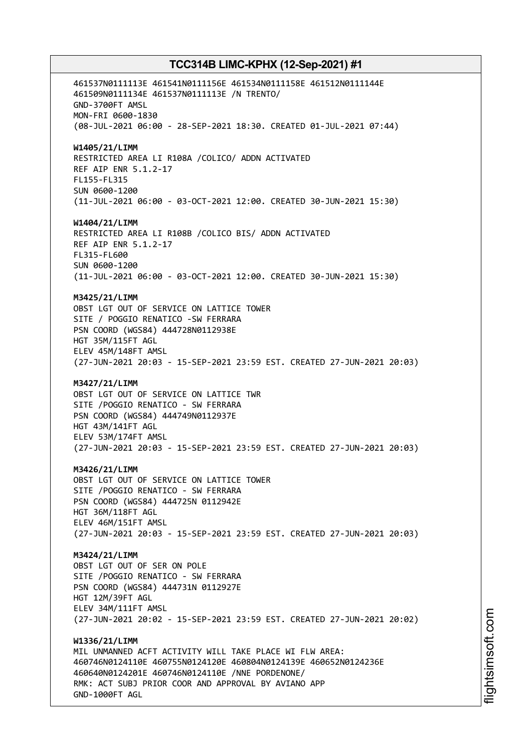461537N0111113E 461541N0111156E 461534N0111158E 461512N0111144E 461509N0111134E 461537N0111113E /N TRENTO/ GND-3700FT AMSL MON-FRI 0600-1830 (08-JUL-2021 06:00 - 28-SEP-2021 18:30. CREATED 01-JUL-2021 07:44) **W1405/21/LIMM** RESTRICTED AREA LI R108A /COLICO/ ADDN ACTIVATED REF AIP ENR 5.1.2-17 FL155-FL315 SUN 0600-1200 (11-JUL-2021 06:00 - 03-OCT-2021 12:00. CREATED 30-JUN-2021 15:30) **W1404/21/LIMM** RESTRICTED AREA LI R108B /COLICO BIS/ ADDN ACTIVATED REF AIP ENR 5.1.2-17 FL315-FL600 SUN 0600-1200 (11-JUL-2021 06:00 - 03-OCT-2021 12:00. CREATED 30-JUN-2021 15:30) **M3425/21/LIMM** OBST LGT OUT OF SERVICE ON LATTICE TOWER SITE / POGGIO RENATICO -SW FERRARA PSN COORD (WGS84) 444728N0112938E HGT 35M/115FT AGL ELEV 45M/148FT AMSL (27-JUN-2021 20:03 - 15-SEP-2021 23:59 EST. CREATED 27-JUN-2021 20:03) **M3427/21/LIMM** OBST LGT OUT OF SERVICE ON LATTICE TWR SITE /POGGIO RENATICO - SW FERRARA PSN COORD (WGS84) 444749N0112937E HGT 43M/141FT AGL ELEV 53M/174FT AMSL (27-JUN-2021 20:03 - 15-SEP-2021 23:59 EST. CREATED 27-JUN-2021 20:03) **M3426/21/LIMM** OBST LGT OUT OF SERVICE ON LATTICE TOWER SITE /POGGIO RENATICO - SW FERRARA PSN COORD (WGS84) 444725N 0112942E HGT 36M/118FT AGL ELEV 46M/151FT AMSL (27-JUN-2021 20:03 - 15-SEP-2021 23:59 EST. CREATED 27-JUN-2021 20:03) **M3424/21/LIMM** OBST LGT OUT OF SER ON POLE SITE /POGGIO RENATICO - SW FERRARA PSN COORD (WGS84) 444731N 0112927E HGT 12M/39FT AGL ELEV 34M/111FT AMSL (27-JUN-2021 20:02 - 15-SEP-2021 23:59 EST. CREATED 27-JUN-2021 20:02) **W1336/21/LIMM** MIL UNMANNED ACFT ACTIVITY WILL TAKE PLACE WI FLW AREA: 460746N0124110E 460755N0124120E 460804N0124139E 460652N0124236E 460640N0124201E 460746N0124110E /NNE PORDENONE/ RMK: ACT SUBJ PRIOR COOR AND APPROVAL BY AVIANO APP GND-1000FT AGL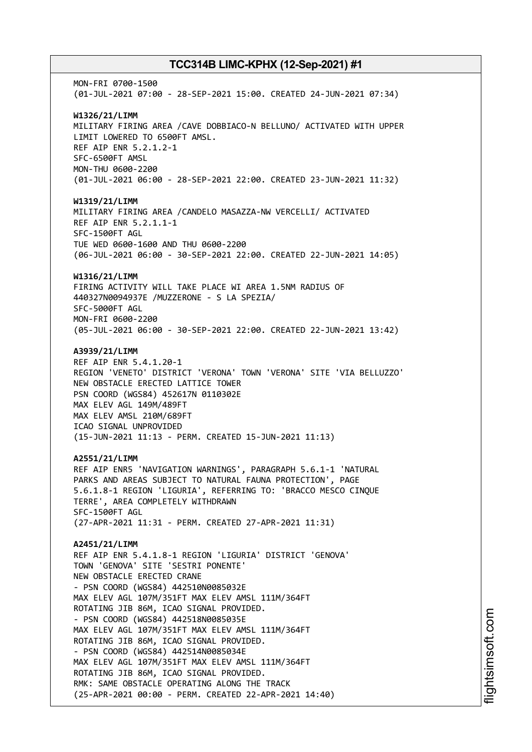MON-FRI 0700-1500 (01-JUL-2021 07:00 - 28-SEP-2021 15:00. CREATED 24-JUN-2021 07:34) **W1326/21/LIMM** MILITARY FIRING AREA /CAVE DOBBIACO-N BELLUNO/ ACTIVATED WITH UPPER LIMIT LOWERED TO 6500FT AMSL. REF AIP ENR 5.2.1.2-1 SFC-6500FT AMSL MON-THU 0600-2200 (01-JUL-2021 06:00 - 28-SEP-2021 22:00. CREATED 23-JUN-2021 11:32) **W1319/21/LIMM** MILITARY FIRING AREA /CANDELO MASAZZA-NW VERCELLI/ ACTIVATED REF AIP ENR 5.2.1.1-1 SFC-1500FT AGL TUE WED 0600-1600 AND THU 0600-2200 (06-JUL-2021 06:00 - 30-SEP-2021 22:00. CREATED 22-JUN-2021 14:05) **W1316/21/LIMM** FIRING ACTIVITY WILL TAKE PLACE WI AREA 1.5NM RADIUS OF 440327N0094937E /MUZZERONE - S LA SPEZIA/ SFC-5000FT AGL MON-FRI 0600-2200 (05-JUL-2021 06:00 - 30-SEP-2021 22:00. CREATED 22-JUN-2021 13:42) **A3939/21/LIMM** REF AIP ENR 5.4.1.20-1 REGION 'VENETO' DISTRICT 'VERONA' TOWN 'VERONA' SITE 'VIA BELLUZZO' NEW OBSTACLE ERECTED LATTICE TOWER PSN COORD (WGS84) 452617N 0110302E MAX ELEV AGL 149M/489FT MAX ELEV AMSL 210M/689FT ICAO SIGNAL UNPROVIDED (15-JUN-2021 11:13 - PERM. CREATED 15-JUN-2021 11:13) **A2551/21/LIMM** REF AIP ENR5 'NAVIGATION WARNINGS', PARAGRAPH 5.6.1-1 'NATURAL PARKS AND AREAS SUBJECT TO NATURAL FAUNA PROTECTION', PAGE 5.6.1.8-1 REGION 'LIGURIA', REFERRING TO: 'BRACCO MESCO CINQUE TERRE', AREA COMPLETELY WITHDRAWN SFC-1500FT AGL (27-APR-2021 11:31 - PERM. CREATED 27-APR-2021 11:31) **A2451/21/LIMM** REF AIP ENR 5.4.1.8-1 REGION 'LIGURIA' DISTRICT 'GENOVA' TOWN 'GENOVA' SITE 'SESTRI PONENTE' NEW OBSTACLE ERECTED CRANE - PSN COORD (WGS84) 442510N0085032E MAX ELEV AGL 107M/351FT MAX ELEV AMSL 111M/364FT ROTATING JIB 86M, ICAO SIGNAL PROVIDED. - PSN COORD (WGS84) 442518N0085035E MAX ELEV AGL 107M/351FT MAX ELEV AMSL 111M/364FT ROTATING JIB 86M, ICAO SIGNAL PROVIDED. - PSN COORD (WGS84) 442514N0085034E MAX ELEV AGL 107M/351FT MAX ELEV AMSL 111M/364FT ROTATING JIB 86M, ICAO SIGNAL PROVIDED. RMK: SAME OBSTACLE OPERATING ALONG THE TRACK (25-APR-2021 00:00 - PERM. CREATED 22-APR-2021 14:40)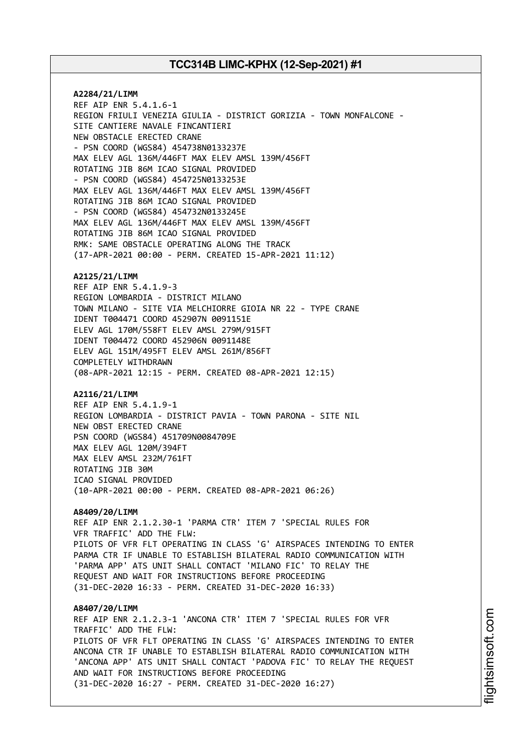**A2284/21/LIMM** REF AIP ENR 5.4.1.6-1 REGION FRIULI VENEZIA GIULIA - DISTRICT GORIZIA - TOWN MONFALCONE - SITE CANTIERE NAVALE FINCANTIERI NEW OBSTACLE ERECTED CRANE - PSN COORD (WGS84) 454738N0133237E MAX ELEV AGL 136M/446FT MAX ELEV AMSL 139M/456FT ROTATING JIB 86M ICAO SIGNAL PROVIDED - PSN COORD (WGS84) 454725N0133253E MAX ELEV AGL 136M/446FT MAX ELEV AMSL 139M/456FT ROTATING JIB 86M ICAO SIGNAL PROVIDED - PSN COORD (WGS84) 454732N0133245E MAX ELEV AGL 136M/446FT MAX ELEV AMSL 139M/456FT ROTATING JIB 86M ICAO SIGNAL PROVIDED RMK: SAME OBSTACLE OPERATING ALONG THE TRACK (17-APR-2021 00:00 - PERM. CREATED 15-APR-2021 11:12)

#### **A2125/21/LIMM**

REF AIP ENR 5.4.1.9-3 REGION LOMBARDIA - DISTRICT MILANO TOWN MILANO - SITE VIA MELCHIORRE GIOIA NR 22 - TYPE CRANE IDENT T004471 COORD 452907N 0091151E ELEV AGL 170M/558FT ELEV AMSL 279M/915FT IDENT T004472 COORD 452906N 0091148E ELEV AGL 151M/495FT ELEV AMSL 261M/856FT COMPLETELY WITHDRAWN (08-APR-2021 12:15 - PERM. CREATED 08-APR-2021 12:15)

#### **A2116/21/LIMM**

REF AIP ENR 5.4.1.9-1 REGION LOMBARDIA - DISTRICT PAVIA - TOWN PARONA - SITE NIL NEW OBST ERECTED CRANE PSN COORD (WGS84) 451709N0084709E MAX ELEV AGL 120M/394FT MAX ELEV AMSL 232M/761FT ROTATING JIB 30M ICAO SIGNAL PROVIDED (10-APR-2021 00:00 - PERM. CREATED 08-APR-2021 06:26)

### **A8409/20/LIMM**

REF AIP ENR 2.1.2.30-1 'PARMA CTR' ITEM 7 'SPECIAL RULES FOR VFR TRAFFIC' ADD THE FLW: PILOTS OF VFR FLT OPERATING IN CLASS 'G' AIRSPACES INTENDING TO ENTER PARMA CTR IF UNABLE TO ESTABLISH BILATERAL RADIO COMMUNICATION WITH 'PARMA APP' ATS UNIT SHALL CONTACT 'MILANO FIC' TO RELAY THE REQUEST AND WAIT FOR INSTRUCTIONS BEFORE PROCEEDING (31-DEC-2020 16:33 - PERM. CREATED 31-DEC-2020 16:33)

**A8407/20/LIMM** REF AIP ENR 2.1.2.3-1 'ANCONA CTR' ITEM 7 'SPECIAL RULES FOR VFR TRAFFIC' ADD THE FLW: PILOTS OF VFR FLT OPERATING IN CLASS 'G' AIRSPACES INTENDING TO ENTER ANCONA CTR IF UNABLE TO ESTABLISH BILATERAL RADIO COMMUNICATION WITH 'ANCONA APP' ATS UNIT SHALL CONTACT 'PADOVA FIC' TO RELAY THE REQUEST AND WAIT FOR INSTRUCTIONS BEFORE PROCEEDING (31-DEC-2020 16:27 - PERM. CREATED 31-DEC-2020 16:27)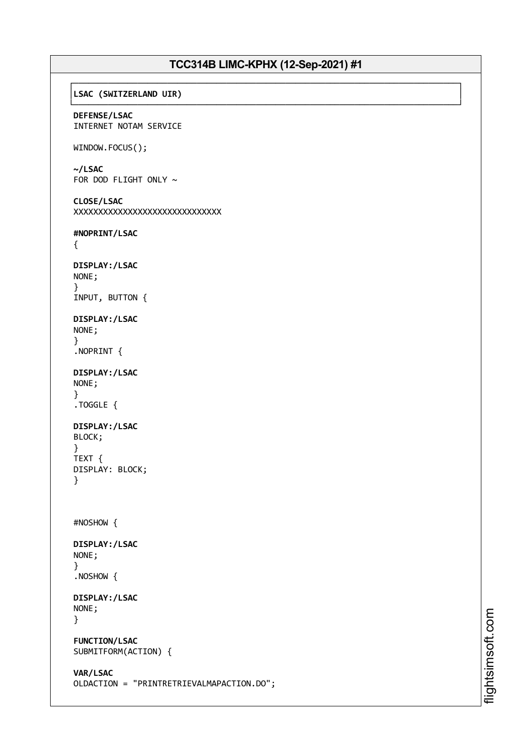#### ┌──────────────────────────────────────────────────────────────────────────────┐ │**LSAC (SWITZERLAND UIR)** │

└──────────────────────────────────────────────────────────────────────────────┘ **DEFENSE/LSAC** INTERNET NOTAM SERVICE

## WINDOW.FOCUS();

**~/LSAC**

FOR DOD FLIGHT ONLY  $\sim$ 

```
CLOSE/LSAC
XXXXXXXXXXXXXXXXXXXXXXXXXXXXXX
```
**#NOPRINT/LSAC**

```
{
```

```
DISPLAY:/LSAC
NONE;
}
INPUT, BUTTON {
```
**DISPLAY:/LSAC** NONE; }

```
.NOPRINT {
```

```
DISPLAY:/LSAC
NONE;
}
.TOGGLE {
```

```
DISPLAY:/LSAC
BLOCK;
```

```
}
TEXT {
DISPLAY: BLOCK;
}
```

```
#NOSHOW {
```

```
DISPLAY:/LSAC
NONE;
}
```

```
.NOSHOW {
```

```
DISPLAY:/LSAC
NONE;
}
```

```
FUNCTION/LSAC
SUBMITFORM(ACTION) {
```

```
VAR/LSAC
OLDACTION = "PRINTRETRIEVALMAPACTION.DO";
```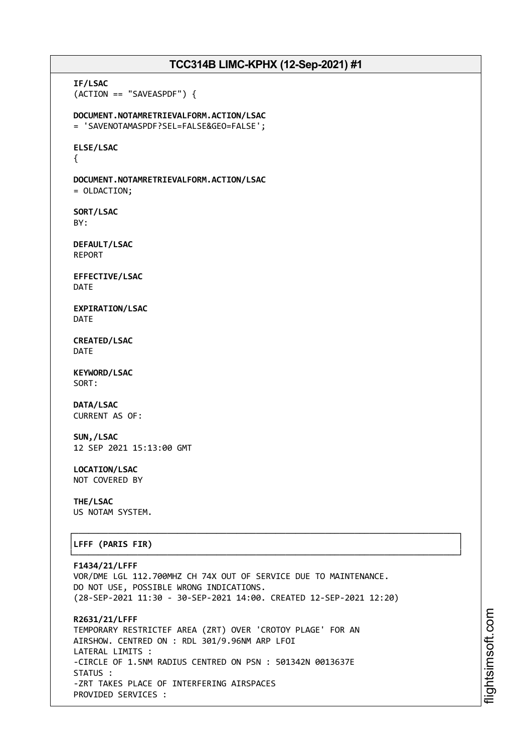**IF/LSAC** (ACTION == "SAVEASPDF") { **DOCUMENT.NOTAMRETRIEVALFORM.ACTION/LSAC** = 'SAVENOTAMASPDF?SEL=FALSE&GEO=FALSE'; **ELSE/LSAC** { **DOCUMENT.NOTAMRETRIEVALFORM.ACTION/LSAC** = OLDACTION; **SORT/LSAC** BY: **DEFAULT/LSAC** REPORT **EFFECTIVE/LSAC** DATE **EXPIRATION/LSAC** DATE **CREATED/LSAC** DATE **KEYWORD/LSAC** SORT: **DATA/LSAC** CURRENT AS OF: **SUN,/LSAC** 12 SEP 2021 15:13:00 GMT **LOCATION/LSAC** NOT COVERED BY **THE/LSAC** US NOTAM SYSTEM. ┌──────────────────────────────────────────────────────────────────────────────┐ │**LFFF (PARIS FIR)** │ └──────────────────────────────────────────────────────────────────────────────┘ **F1434/21/LFFF** VOR/DME LGL 112.700MHZ CH 74X OUT OF SERVICE DUE TO MAINTENANCE. DO NOT USE, POSSIBLE WRONG INDICATIONS. (28-SEP-2021 11:30 - 30-SEP-2021 14:00. CREATED 12-SEP-2021 12:20) **R2631/21/LFFF** TEMPORARY RESTRICTEF AREA (ZRT) OVER 'CROTOY PLAGE' FOR AN AIRSHOW. CENTRED ON : RDL 301/9.96NM ARP LFOI LATERAL LIMITS : -CIRCLE OF 1.5NM RADIUS CENTRED ON PSN : 501342N 0013637E STATUS :

-ZRT TAKES PLACE OF INTERFERING AIRSPACES

PROVIDED SERVICES :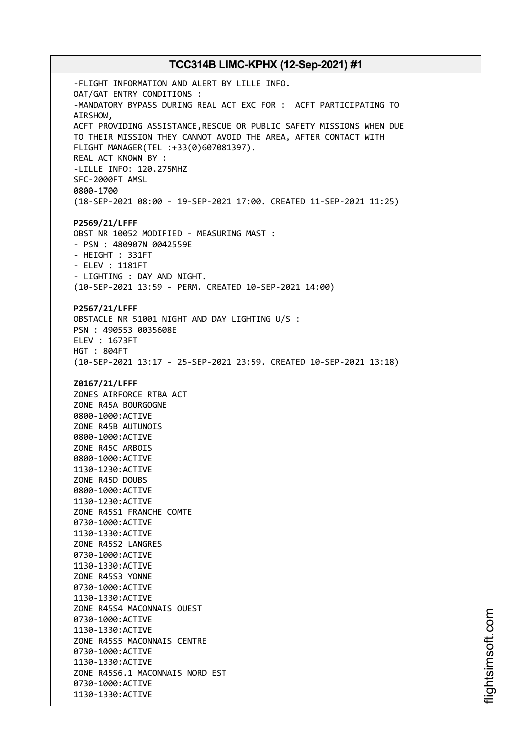-FLIGHT INFORMATION AND ALERT BY LILLE INFO. OAT/GAT ENTRY CONDITIONS : -MANDATORY BYPASS DURING REAL ACT EXC FOR : ACFT PARTICIPATING TO AIRSHOW, ACFT PROVIDING ASSISTANCE,RESCUE OR PUBLIC SAFETY MISSIONS WHEN DUE TO THEIR MISSION THEY CANNOT AVOID THE AREA, AFTER CONTACT WITH FLIGHT MANAGER(TEL :+33(0)607081397). REAL ACT KNOWN BY : -LILLE INFO: 120.275MHZ SFC-2000FT AMSL 0800-1700 (18-SEP-2021 08:00 - 19-SEP-2021 17:00. CREATED 11-SEP-2021 11:25) **P2569/21/LFFF** OBST NR 10052 MODIFIED - MEASURING MAST : - PSN : 480907N 0042559E - HEIGHT : 331FT - ELEV : 1181FT - LIGHTING : DAY AND NIGHT. (10-SEP-2021 13:59 - PERM. CREATED 10-SEP-2021 14:00) **P2567/21/LFFF** OBSTACLE NR 51001 NIGHT AND DAY LIGHTING U/S : PSN : 490553 0035608E ELEV : 1673FT HGT : 804FT (10-SEP-2021 13:17 - 25-SEP-2021 23:59. CREATED 10-SEP-2021 13:18) **Z0167/21/LFFF** ZONES AIRFORCE RTBA ACT ZONE R45A BOURGOGNE 0800-1000:ACTIVE ZONE R45B AUTUNOIS 0800-1000:ACTIVE ZONE R45C ARBOIS 0800-1000:ACTIVE 1130-1230:ACTIVE ZONE R45D DOUBS 0800-1000:ACTIVE 1130-1230:ACTIVE ZONE R45S1 FRANCHE COMTE 0730-1000:ACTIVE 1130-1330:ACTIVE ZONE R45S2 LANGRES 0730-1000:ACTIVE 1130-1330:ACTIVE ZONE R45S3 YONNE 0730-1000:ACTIVE 1130-1330:ACTIVE ZONE R45S4 MACONNAIS OUEST 0730-1000:ACTIVE 1130-1330:ACTIVE ZONE R45S5 MACONNAIS CENTRE 0730-1000:ACTIVE 1130-1330:ACTIVE ZONE R45S6.1 MACONNAIS NORD EST 0730-1000:ACTIVE 1130-1330:ACTIVE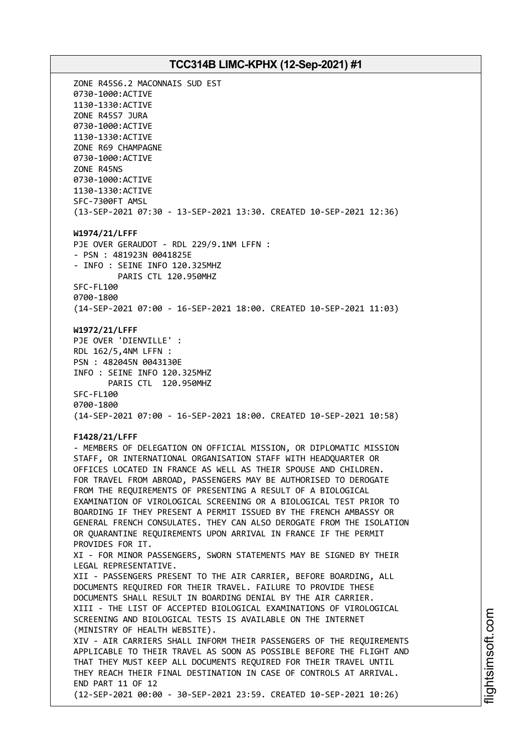ZONE R45S6.2 MACONNAIS SUD EST 0730-1000:ACTIVE 1130-1330:ACTIVE ZONE R45S7 JURA 0730-1000:ACTIVE 1130-1330:ACTIVE ZONE R69 CHAMPAGNE 0730-1000:ACTIVE ZONE R45NS 0730-1000:ACTIVE 1130-1330:ACTIVE SFC-7300FT AMSL (13-SEP-2021 07:30 - 13-SEP-2021 13:30. CREATED 10-SEP-2021 12:36) **W1974/21/LFFF** PJE OVER GERAUDOT - RDL 229/9.1NM LFFN : - PSN : 481923N 0041825E - INFO : SEINE INFO 120.325MHZ PARIS CTL 120.950MHZ SFC-FL100 0700-1800 (14-SEP-2021 07:00 - 16-SEP-2021 18:00. CREATED 10-SEP-2021 11:03) **W1972/21/LFFF** PJE OVER 'DIENVILLE' : RDL 162/5,4NM LFFN : PSN : 482045N 0043130E INFO : SEINE INFO 120.325MHZ PARIS CTL 120.950MHZ SFC-FL100 0700-1800 (14-SEP-2021 07:00 - 16-SEP-2021 18:00. CREATED 10-SEP-2021 10:58) **F1428/21/LFFF** - MEMBERS OF DELEGATION ON OFFICIAL MISSION, OR DIPLOMATIC MISSION STAFF, OR INTERNATIONAL ORGANISATION STAFF WITH HEADQUARTER OR OFFICES LOCATED IN FRANCE AS WELL AS THEIR SPOUSE AND CHILDREN. FOR TRAVEL FROM ABROAD, PASSENGERS MAY BE AUTHORISED TO DEROGATE FROM THE REQUIREMENTS OF PRESENTING A RESULT OF A BIOLOGICAL EXAMINATION OF VIROLOGICAL SCREENING OR A BIOLOGICAL TEST PRIOR TO BOARDING IF THEY PRESENT A PERMIT ISSUED BY THE FRENCH AMBASSY OR GENERAL FRENCH CONSULATES. THEY CAN ALSO DEROGATE FROM THE ISOLATION OR QUARANTINE REQUIREMENTS UPON ARRIVAL IN FRANCE IF THE PERMIT PROVIDES FOR IT. XI - FOR MINOR PASSENGERS, SWORN STATEMENTS MAY BE SIGNED BY THEIR LEGAL REPRESENTATIVE. XII - PASSENGERS PRESENT TO THE AIR CARRIER, BEFORE BOARDING, ALL DOCUMENTS REQUIRED FOR THEIR TRAVEL. FAILURE TO PROVIDE THESE DOCUMENTS SHALL RESULT IN BOARDING DENIAL BY THE AIR CARRIER. XIII - THE LIST OF ACCEPTED BIOLOGICAL EXAMINATIONS OF VIROLOGICAL SCREENING AND BIOLOGICAL TESTS IS AVAILABLE ON THE INTERNET (MINISTRY OF HEALTH WEBSITE). XIV - AIR CARRIERS SHALL INFORM THEIR PASSENGERS OF THE REQUIREMENTS APPLICABLE TO THEIR TRAVEL AS SOON AS POSSIBLE BEFORE THE FLIGHT AND THAT THEY MUST KEEP ALL DOCUMENTS REQUIRED FOR THEIR TRAVEL UNTIL THEY REACH THEIR FINAL DESTINATION IN CASE OF CONTROLS AT ARRIVAL. END PART 11 OF 12 (12-SEP-2021 00:00 - 30-SEP-2021 23:59. CREATED 10-SEP-2021 10:26)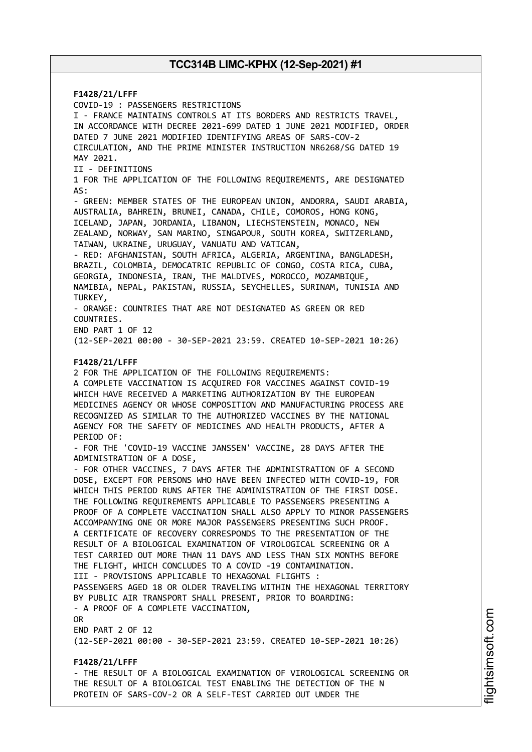**F1428/21/LFFF** COVID-19 : PASSENGERS RESTRICTIONS I - FRANCE MAINTAINS CONTROLS AT ITS BORDERS AND RESTRICTS TRAVEL, IN ACCORDANCE WITH DECREE 2021-699 DATED 1 JUNE 2021 MODIFIED, ORDER DATED 7 JUNE 2021 MODIFIED IDENTIFYING AREAS OF SARS-COV-2 CIRCULATION, AND THE PRIME MINISTER INSTRUCTION NR6268/SG DATED 19 MAY 2021. II - DEFINITIONS 1 FOR THE APPLICATION OF THE FOLLOWING REQUIREMENTS, ARE DESIGNATED AS: - GREEN: MEMBER STATES OF THE EUROPEAN UNION, ANDORRA, SAUDI ARABIA, AUSTRALIA, BAHREIN, BRUNEI, CANADA, CHILE, COMOROS, HONG KONG, ICELAND, JAPAN, JORDANIA, LIBANON, LIECHSTENSTEIN, MONACO, NEW ZEALAND, NORWAY, SAN MARINO, SINGAPOUR, SOUTH KOREA, SWITZERLAND, TAIWAN, UKRAINE, URUGUAY, VANUATU AND VATICAN, - RED: AFGHANISTAN, SOUTH AFRICA, ALGERIA, ARGENTINA, BANGLADESH, BRAZIL, COLOMBIA, DEMOCATRIC REPUBLIC OF CONGO, COSTA RICA, CUBA, GEORGIA, INDONESIA, IRAN, THE MALDIVES, MOROCCO, MOZAMBIQUE, NAMIBIA, NEPAL, PAKISTAN, RUSSIA, SEYCHELLES, SURINAM, TUNISIA AND TURKEY, - ORANGE: COUNTRIES THAT ARE NOT DESIGNATED AS GREEN OR RED COUNTRIES. END PART 1 OF 12 (12-SEP-2021 00:00 - 30-SEP-2021 23:59. CREATED 10-SEP-2021 10:26) **F1428/21/LFFF** 2 FOR THE APPLICATION OF THE FOLLOWING REQUIREMENTS: A COMPLETE VACCINATION IS ACQUIRED FOR VACCINES AGAINST COVID-19 WHICH HAVE RECEIVED A MARKETING AUTHORIZATION BY THE EUROPEAN MEDICINES AGENCY OR WHOSE COMPOSITION AND MANUFACTURING PROCESS ARE RECOGNIZED AS SIMILAR TO THE AUTHORIZED VACCINES BY THE NATIONAL AGENCY FOR THE SAFETY OF MEDICINES AND HEALTH PRODUCTS, AFTER A PERIOD OF: - FOR THE 'COVID-19 VACCINE JANSSEN' VACCINE, 28 DAYS AFTER THE ADMINISTRATION OF A DOSE, - FOR OTHER VACCINES, 7 DAYS AFTER THE ADMINISTRATION OF A SECOND DOSE, EXCEPT FOR PERSONS WHO HAVE BEEN INFECTED WITH COVID-19, FOR WHICH THIS PERIOD RUNS AFTER THE ADMINISTRATION OF THE FIRST DOSE. THE FOLLOWING REQUIREMENTS APPLICABLE TO PASSENGERS PRESENTING A PROOF OF A COMPLETE VACCINATION SHALL ALSO APPLY TO MINOR PASSENGERS ACCOMPANYING ONE OR MORE MAJOR PASSENGERS PRESENTING SUCH PROOF. A CERTIFICATE OF RECOVERY CORRESPONDS TO THE PRESENTATION OF THE RESULT OF A BIOLOGICAL EXAMINATION OF VIROLOGICAL SCREENING OR A TEST CARRIED OUT MORE THAN 11 DAYS AND LESS THAN SIX MONTHS BEFORE THE FLIGHT, WHICH CONCLUDES TO A COVID -19 CONTAMINATION. III - PROVISIONS APPLICABLE TO HEXAGONAL FLIGHTS : PASSENGERS AGED 18 OR OLDER TRAVELING WITHIN THE HEXAGONAL TERRITORY BY PUBLIC AIR TRANSPORT SHALL PRESENT, PRIOR TO BOARDING: - A PROOF OF A COMPLETE VACCINATION, OR END PART 2 OF 12 (12-SEP-2021 00:00 - 30-SEP-2021 23:59. CREATED 10-SEP-2021 10:26) **F1428/21/LFFF** - THE RESULT OF A BIOLOGICAL EXAMINATION OF VIROLOGICAL SCREENING OR THE RESULT OF A BIOLOGICAL TEST ENABLING THE DETECTION OF THE N

PROTEIN OF SARS-COV-2 OR A SELF-TEST CARRIED OUT UNDER THE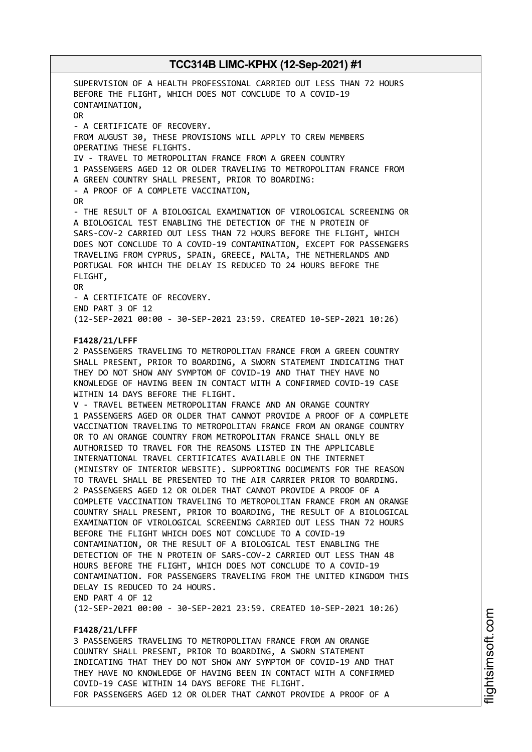SUPERVISION OF A HEALTH PROFESSIONAL CARRIED OUT LESS THAN 72 HOURS BEFORE THE FLIGHT, WHICH DOES NOT CONCLUDE TO A COVID-19 CONTAMINATION, OR - A CERTIFICATE OF RECOVERY. FROM AUGUST 30, THESE PROVISIONS WILL APPLY TO CREW MEMBERS OPERATING THESE FLIGHTS. IV - TRAVEL TO METROPOLITAN FRANCE FROM A GREEN COUNTRY 1 PASSENGERS AGED 12 OR OLDER TRAVELING TO METROPOLITAN FRANCE FROM A GREEN COUNTRY SHALL PRESENT, PRIOR TO BOARDING: - A PROOF OF A COMPLETE VACCINATION, OR - THE RESULT OF A BIOLOGICAL EXAMINATION OF VIROLOGICAL SCREENING OR A BIOLOGICAL TEST ENABLING THE DETECTION OF THE N PROTEIN OF SARS-COV-2 CARRIED OUT LESS THAN 72 HOURS BEFORE THE FLIGHT, WHICH DOES NOT CONCLUDE TO A COVID-19 CONTAMINATION, EXCEPT FOR PASSENGERS TRAVELING FROM CYPRUS, SPAIN, GREECE, MALTA, THE NETHERLANDS AND PORTUGAL FOR WHICH THE DELAY IS REDUCED TO 24 HOURS BEFORE THE FLIGHT, OR - A CERTIFICATE OF RECOVERY. END PART 3 OF 12 (12-SEP-2021 00:00 - 30-SEP-2021 23:59. CREATED 10-SEP-2021 10:26) **F1428/21/LFFF** 2 PASSENGERS TRAVELING TO METROPOLITAN FRANCE FROM A GREEN COUNTRY SHALL PRESENT, PRIOR TO BOARDING, A SWORN STATEMENT INDICATING THAT THEY DO NOT SHOW ANY SYMPTOM OF COVID-19 AND THAT THEY HAVE NO KNOWLEDGE OF HAVING BEEN IN CONTACT WITH A CONFIRMED COVID-19 CASE WITHIN 14 DAYS BEFORE THE FLIGHT. V - TRAVEL BETWEEN METROPOLITAN FRANCE AND AN ORANGE COUNTRY 1 PASSENGERS AGED OR OLDER THAT CANNOT PROVIDE A PROOF OF A COMPLETE VACCINATION TRAVELING TO METROPOLITAN FRANCE FROM AN ORANGE COUNTRY OR TO AN ORANGE COUNTRY FROM METROPOLITAN FRANCE SHALL ONLY BE AUTHORISED TO TRAVEL FOR THE REASONS LISTED IN THE APPLICABLE INTERNATIONAL TRAVEL CERTIFICATES AVAILABLE ON THE INTERNET (MINISTRY OF INTERIOR WEBSITE). SUPPORTING DOCUMENTS FOR THE REASON TO TRAVEL SHALL BE PRESENTED TO THE AIR CARRIER PRIOR TO BOARDING. 2 PASSENGERS AGED 12 OR OLDER THAT CANNOT PROVIDE A PROOF OF A COMPLETE VACCINATION TRAVELING TO METROPOLITAN FRANCE FROM AN ORANGE COUNTRY SHALL PRESENT, PRIOR TO BOARDING, THE RESULT OF A BIOLOGICAL EXAMINATION OF VIROLOGICAL SCREENING CARRIED OUT LESS THAN 72 HOURS BEFORE THE FLIGHT WHICH DOES NOT CONCLUDE TO A COVID-19 CONTAMINATION, OR THE RESULT OF A BIOLOGICAL TEST ENABLING THE DETECTION OF THE N PROTEIN OF SARS-COV-2 CARRIED OUT LESS THAN 48 HOURS BEFORE THE FLIGHT, WHICH DOES NOT CONCLUDE TO A COVID-19 CONTAMINATION. FOR PASSENGERS TRAVELING FROM THE UNITED KINGDOM THIS DELAY IS REDUCED TO 24 HOURS. END PART 4 OF 12 (12-SEP-2021 00:00 - 30-SEP-2021 23:59. CREATED 10-SEP-2021 10:26) **F1428/21/LFFF**

3 PASSENGERS TRAVELING TO METROPOLITAN FRANCE FROM AN ORANGE COUNTRY SHALL PRESENT, PRIOR TO BOARDING, A SWORN STATEMENT INDICATING THAT THEY DO NOT SHOW ANY SYMPTOM OF COVID-19 AND THAT THEY HAVE NO KNOWLEDGE OF HAVING BEEN IN CONTACT WITH A CONFIRMED COVID-19 CASE WITHIN 14 DAYS BEFORE THE FLIGHT. FOR PASSENGERS AGED 12 OR OLDER THAT CANNOT PROVIDE A PROOF OF A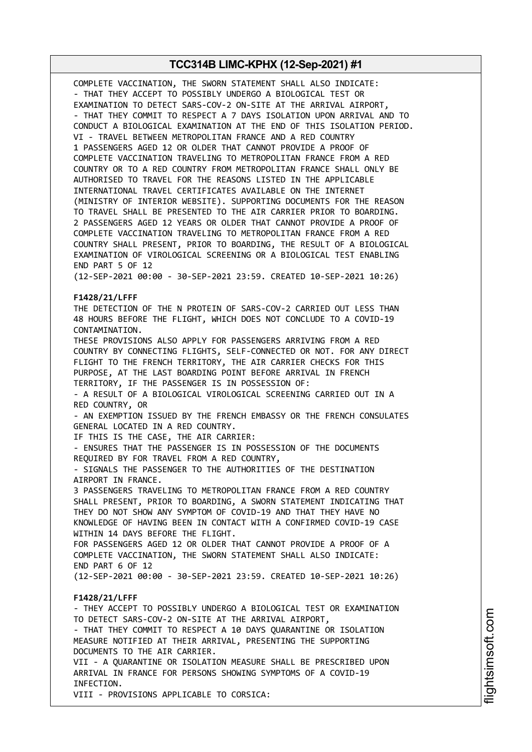COMPLETE VACCINATION, THE SWORN STATEMENT SHALL ALSO INDICATE: - THAT THEY ACCEPT TO POSSIBLY UNDERGO A BIOLOGICAL TEST OR EXAMINATION TO DETECT SARS-COV-2 ON-SITE AT THE ARRIVAL AIRPORT, - THAT THEY COMMIT TO RESPECT A 7 DAYS ISOLATION UPON ARRIVAL AND TO CONDUCT A BIOLOGICAL EXAMINATION AT THE END OF THIS ISOLATION PERIOD. VI - TRAVEL BETWEEN METROPOLITAN FRANCE AND A RED COUNTRY 1 PASSENGERS AGED 12 OR OLDER THAT CANNOT PROVIDE A PROOF OF COMPLETE VACCINATION TRAVELING TO METROPOLITAN FRANCE FROM A RED COUNTRY OR TO A RED COUNTRY FROM METROPOLITAN FRANCE SHALL ONLY BE AUTHORISED TO TRAVEL FOR THE REASONS LISTED IN THE APPLICABLE INTERNATIONAL TRAVEL CERTIFICATES AVAILABLE ON THE INTERNET (MINISTRY OF INTERIOR WEBSITE). SUPPORTING DOCUMENTS FOR THE REASON TO TRAVEL SHALL BE PRESENTED TO THE AIR CARRIER PRIOR TO BOARDING. 2 PASSENGERS AGED 12 YEARS OR OLDER THAT CANNOT PROVIDE A PROOF OF COMPLETE VACCINATION TRAVELING TO METROPOLITAN FRANCE FROM A RED COUNTRY SHALL PRESENT, PRIOR TO BOARDING, THE RESULT OF A BIOLOGICAL EXAMINATION OF VIROLOGICAL SCREENING OR A BIOLOGICAL TEST ENABLING END PART 5 OF 12

(12-SEP-2021 00:00 - 30-SEP-2021 23:59. CREATED 10-SEP-2021 10:26)

#### **F1428/21/LFFF**

THE DETECTION OF THE N PROTEIN OF SARS-COV-2 CARRIED OUT LESS THAN 48 HOURS BEFORE THE FLIGHT, WHICH DOES NOT CONCLUDE TO A COVID-19 CONTAMINATION.

THESE PROVISIONS ALSO APPLY FOR PASSENGERS ARRIVING FROM A RED COUNTRY BY CONNECTING FLIGHTS, SELF-CONNECTED OR NOT. FOR ANY DIRECT FLIGHT TO THE FRENCH TERRITORY, THE AIR CARRIER CHECKS FOR THIS PURPOSE, AT THE LAST BOARDING POINT BEFORE ARRIVAL IN FRENCH TERRITORY, IF THE PASSENGER IS IN POSSESSION OF:

- A RESULT OF A BIOLOGICAL VIROLOGICAL SCREENING CARRIED OUT IN A RED COUNTRY, OR

- AN EXEMPTION ISSUED BY THE FRENCH EMBASSY OR THE FRENCH CONSULATES GENERAL LOCATED IN A RED COUNTRY.

IF THIS IS THE CASE, THE AIR CARRIER:

- ENSURES THAT THE PASSENGER IS IN POSSESSION OF THE DOCUMENTS REQUIRED BY FOR TRAVEL FROM A RED COUNTRY,

- SIGNALS THE PASSENGER TO THE AUTHORITIES OF THE DESTINATION AIRPORT IN FRANCE.

3 PASSENGERS TRAVELING TO METROPOLITAN FRANCE FROM A RED COUNTRY SHALL PRESENT, PRIOR TO BOARDING, A SWORN STATEMENT INDICATING THAT THEY DO NOT SHOW ANY SYMPTOM OF COVID-19 AND THAT THEY HAVE NO KNOWLEDGE OF HAVING BEEN IN CONTACT WITH A CONFIRMED COVID-19 CASE WITHIN 14 DAYS BEFORE THE FLIGHT. FOR PASSENGERS AGED 12 OR OLDER THAT CANNOT PROVIDE A PROOF OF A COMPLETE VACCINATION, THE SWORN STATEMENT SHALL ALSO INDICATE:

END PART 6 OF 12

(12-SEP-2021 00:00 - 30-SEP-2021 23:59. CREATED 10-SEP-2021 10:26)

#### **F1428/21/LFFF**

- THEY ACCEPT TO POSSIBLY UNDERGO A BIOLOGICAL TEST OR EXAMINATION TO DETECT SARS-COV-2 ON-SITE AT THE ARRIVAL AIRPORT, - THAT THEY COMMIT TO RESPECT A 10 DAYS QUARANTINE OR ISOLATION MEASURE NOTIFIED AT THEIR ARRIVAL, PRESENTING THE SUPPORTING DOCUMENTS TO THE AIR CARRIER. VII - A QUARANTINE OR ISOLATION MEASURE SHALL BE PRESCRIBED UPON ARRIVAL IN FRANCE FOR PERSONS SHOWING SYMPTOMS OF A COVID-19 INFECTION. VIII - PROVISIONS APPLICABLE TO CORSICA: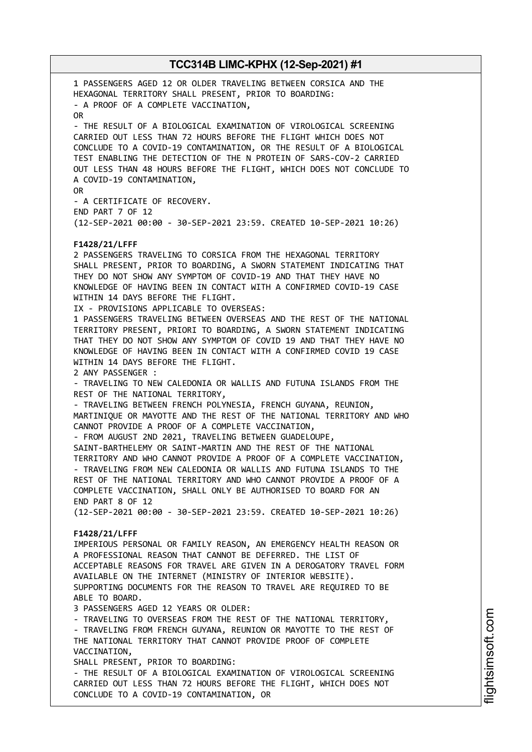1 PASSENGERS AGED 12 OR OLDER TRAVELING BETWEEN CORSICA AND THE HEXAGONAL TERRITORY SHALL PRESENT, PRIOR TO BOARDING: - A PROOF OF A COMPLETE VACCINATION, OR - THE RESULT OF A BIOLOGICAL EXAMINATION OF VIROLOGICAL SCREENING CARRIED OUT LESS THAN 72 HOURS BEFORE THE FLIGHT WHICH DOES NOT CONCLUDE TO A COVID-19 CONTAMINATION, OR THE RESULT OF A BIOLOGICAL TEST ENABLING THE DETECTION OF THE N PROTEIN OF SARS-COV-2 CARRIED OUT LESS THAN 48 HOURS BEFORE THE FLIGHT, WHICH DOES NOT CONCLUDE TO A COVID-19 CONTAMINATION, OR - A CERTIFICATE OF RECOVERY. END PART 7 OF 12 (12-SEP-2021 00:00 - 30-SEP-2021 23:59. CREATED 10-SEP-2021 10:26) **F1428/21/LFFF** 2 PASSENGERS TRAVELING TO CORSICA FROM THE HEXAGONAL TERRITORY SHALL PRESENT, PRIOR TO BOARDING, A SWORN STATEMENT INDICATING THAT THEY DO NOT SHOW ANY SYMPTOM OF COVID-19 AND THAT THEY HAVE NO KNOWLEDGE OF HAVING BEEN IN CONTACT WITH A CONFIRMED COVID-19 CASE WITHIN 14 DAYS BEFORE THE FLIGHT. IX - PROVISIONS APPLICABLE TO OVERSEAS: 1 PASSENGERS TRAVELING BETWEEN OVERSEAS AND THE REST OF THE NATIONAL TERRITORY PRESENT, PRIORI TO BOARDING, A SWORN STATEMENT INDICATING THAT THEY DO NOT SHOW ANY SYMPTOM OF COVID 19 AND THAT THEY HAVE NO KNOWLEDGE OF HAVING BEEN IN CONTACT WITH A CONFIRMED COVID 19 CASE WITHIN 14 DAYS BEFORE THE FLIGHT. 2 ANY PASSENGER : - TRAVELING TO NEW CALEDONIA OR WALLIS AND FUTUNA ISLANDS FROM THE REST OF THE NATIONAL TERRITORY, - TRAVELING BETWEEN FRENCH POLYNESIA, FRENCH GUYANA, REUNION, MARTINIQUE OR MAYOTTE AND THE REST OF THE NATIONAL TERRITORY AND WHO CANNOT PROVIDE A PROOF OF A COMPLETE VACCINATION, - FROM AUGUST 2ND 2021, TRAVELING BETWEEN GUADELOUPE, SAINT-BARTHELEMY OR SAINT-MARTIN AND THE REST OF THE NATIONAL TERRITORY AND WHO CANNOT PROVIDE A PROOF OF A COMPLETE VACCINATION, - TRAVELING FROM NEW CALEDONIA OR WALLIS AND FUTUNA ISLANDS TO THE REST OF THE NATIONAL TERRITORY AND WHO CANNOT PROVIDE A PROOF OF A COMPLETE VACCINATION, SHALL ONLY BE AUTHORISED TO BOARD FOR AN END PART 8 OF 12 (12-SEP-2021 00:00 - 30-SEP-2021 23:59. CREATED 10-SEP-2021 10:26) **F1428/21/LFFF** IMPERIOUS PERSONAL OR FAMILY REASON, AN EMERGENCY HEALTH REASON OR A PROFESSIONAL REASON THAT CANNOT BE DEFERRED. THE LIST OF ACCEPTABLE REASONS FOR TRAVEL ARE GIVEN IN A DEROGATORY TRAVEL FORM AVAILABLE ON THE INTERNET (MINISTRY OF INTERIOR WEBSITE). SUPPORTING DOCUMENTS FOR THE REASON TO TRAVEL ARE REQUIRED TO BE ABLE TO BOARD. 3 PASSENGERS AGED 12 YEARS OR OLDER: - TRAVELING TO OVERSEAS FROM THE REST OF THE NATIONAL TERRITORY, - TRAVELING FROM FRENCH GUYANA, REUNION OR MAYOTTE TO THE REST OF THE NATIONAL TERRITORY THAT CANNOT PROVIDE PROOF OF COMPLETE VACCINATION, SHALL PRESENT, PRIOR TO BOARDING: - THE RESULT OF A BIOLOGICAL EXAMINATION OF VIROLOGICAL SCREENING CARRIED OUT LESS THAN 72 HOURS BEFORE THE FLIGHT, WHICH DOES NOT CONCLUDE TO A COVID-19 CONTAMINATION, OR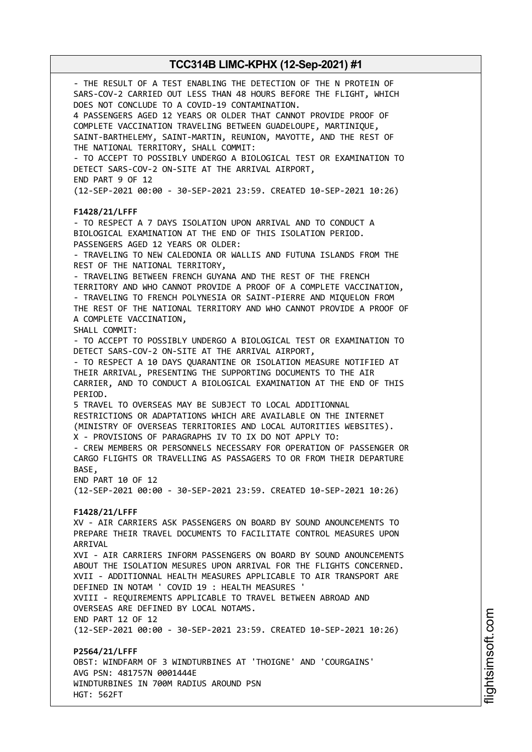- THE RESULT OF A TEST ENABLING THE DETECTION OF THE N PROTEIN OF SARS-COV-2 CARRIED OUT LESS THAN 48 HOURS BEFORE THE FLIGHT, WHICH DOES NOT CONCLUDE TO A COVID-19 CONTAMINATION. 4 PASSENGERS AGED 12 YEARS OR OLDER THAT CANNOT PROVIDE PROOF OF COMPLETE VACCINATION TRAVELING BETWEEN GUADELOUPE, MARTINIQUE, SAINT-BARTHELEMY, SAINT-MARTIN, REUNION, MAYOTTE, AND THE REST OF THE NATIONAL TERRITORY, SHALL COMMIT: - TO ACCEPT TO POSSIBLY UNDERGO A BIOLOGICAL TEST OR EXAMINATION TO DETECT SARS-COV-2 ON-SITE AT THE ARRIVAL AIRPORT, END PART 9 OF 12 (12-SEP-2021 00:00 - 30-SEP-2021 23:59. CREATED 10-SEP-2021 10:26) **F1428/21/LFFF** - TO RESPECT A 7 DAYS ISOLATION UPON ARRIVAL AND TO CONDUCT A BIOLOGICAL EXAMINATION AT THE END OF THIS ISOLATION PERIOD. PASSENGERS AGED 12 YEARS OR OLDER: - TRAVELING TO NEW CALEDONIA OR WALLIS AND FUTUNA ISLANDS FROM THE REST OF THE NATIONAL TERRITORY, - TRAVELING BETWEEN FRENCH GUYANA AND THE REST OF THE FRENCH TERRITORY AND WHO CANNOT PROVIDE A PROOF OF A COMPLETE VACCINATION, - TRAVELING TO FRENCH POLYNESIA OR SAINT-PIERRE AND MIQUELON FROM THE REST OF THE NATIONAL TERRITORY AND WHO CANNOT PROVIDE A PROOF OF A COMPLETE VACCINATION, SHALL COMMIT: - TO ACCEPT TO POSSIBLY UNDERGO A BIOLOGICAL TEST OR EXAMINATION TO DETECT SARS-COV-2 ON-SITE AT THE ARRIVAL AIRPORT, - TO RESPECT A 10 DAYS QUARANTINE OR ISOLATION MEASURE NOTIFIED AT THEIR ARRIVAL, PRESENTING THE SUPPORTING DOCUMENTS TO THE AIR CARRIER, AND TO CONDUCT A BIOLOGICAL EXAMINATION AT THE END OF THIS PERIOD. 5 TRAVEL TO OVERSEAS MAY BE SUBJECT TO LOCAL ADDITIONNAL RESTRICTIONS OR ADAPTATIONS WHICH ARE AVAILABLE ON THE INTERNET (MINISTRY OF OVERSEAS TERRITORIES AND LOCAL AUTORITIES WEBSITES). X - PROVISIONS OF PARAGRAPHS IV TO IX DO NOT APPLY TO: - CREW MEMBERS OR PERSONNELS NECESSARY FOR OPERATION OF PASSENGER OR CARGO FLIGHTS OR TRAVELLING AS PASSAGERS TO OR FROM THEIR DEPARTURE BASE, END PART 10 OF 12 (12-SEP-2021 00:00 - 30-SEP-2021 23:59. CREATED 10-SEP-2021 10:26) **F1428/21/LFFF** XV - AIR CARRIERS ASK PASSENGERS ON BOARD BY SOUND ANOUNCEMENTS TO PREPARE THEIR TRAVEL DOCUMENTS TO FACILITATE CONTROL MEASURES UPON ARRIVAL XVI - AIR CARRIERS INFORM PASSENGERS ON BOARD BY SOUND ANOUNCEMENTS ABOUT THE ISOLATION MESURES UPON ARRIVAL FOR THE FLIGHTS CONCERNED. XVII - ADDITIONNAL HEALTH MEASURES APPLICABLE TO AIR TRANSPORT ARE DEFINED IN NOTAM ' COVID 19 : HEALTH MEASURES ' XVIII - REQUIREMENTS APPLICABLE TO TRAVEL BETWEEN ABROAD AND OVERSEAS ARE DEFINED BY LOCAL NOTAMS. END PART 12 OF 12 (12-SEP-2021 00:00 - 30-SEP-2021 23:59. CREATED 10-SEP-2021 10:26) **P2564/21/LFFF** OBST: WINDFARM OF 3 WINDTURBINES AT 'THOIGNE' AND 'COURGAINS' AVG PSN: 481757N 0001444E WINDTURBINES IN 700M RADIUS AROUND PSN HGT: 562FT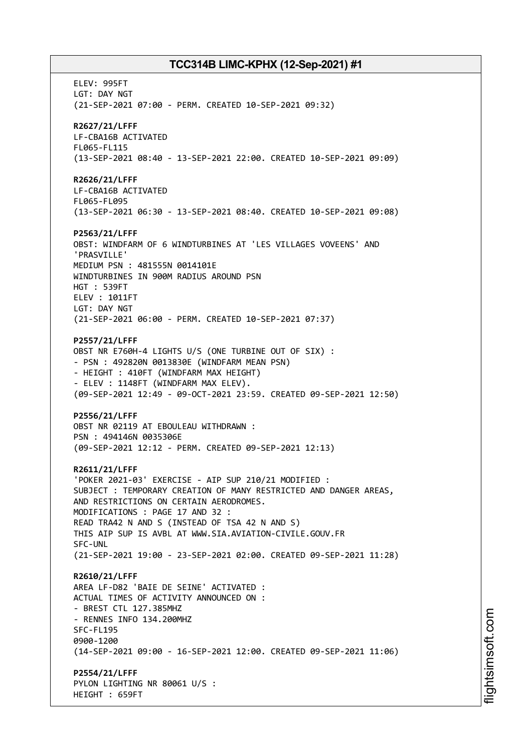ELEV: 995FT LGT: DAY NGT (21-SEP-2021 07:00 - PERM. CREATED 10-SEP-2021 09:32) **R2627/21/LFFF** LF-CBA16B ACTIVATED FL065-FL115 (13-SEP-2021 08:40 - 13-SEP-2021 22:00. CREATED 10-SEP-2021 09:09) **R2626/21/LFFF** LF-CBA16B ACTIVATED FL065-FL095 (13-SEP-2021 06:30 - 13-SEP-2021 08:40. CREATED 10-SEP-2021 09:08) **P2563/21/LFFF** OBST: WINDFARM OF 6 WINDTURBINES AT 'LES VILLAGES VOVEENS' AND 'PRASVILLE' MEDIUM PSN : 481555N 0014101E WINDTURBINES IN 900M RADIUS AROUND PSN HGT : 539FT ELEV : 1011FT LGT: DAY NGT (21-SEP-2021 06:00 - PERM. CREATED 10-SEP-2021 07:37) **P2557/21/LFFF** OBST NR E760H-4 LIGHTS U/S (ONE TURBINE OUT OF SIX) : - PSN : 492820N 0013830E (WINDFARM MEAN PSN) - HEIGHT : 410FT (WINDFARM MAX HEIGHT) - ELEV : 1148FT (WINDFARM MAX ELEV). (09-SEP-2021 12:49 - 09-OCT-2021 23:59. CREATED 09-SEP-2021 12:50) **P2556/21/LFFF** OBST NR 02119 AT EBOULEAU WITHDRAWN : PSN : 494146N 0035306E (09-SEP-2021 12:12 - PERM. CREATED 09-SEP-2021 12:13) **R2611/21/LFFF** 'POKER 2021-03' EXERCISE - AIP SUP 210/21 MODIFIED : SUBJECT : TEMPORARY CREATION OF MANY RESTRICTED AND DANGER AREAS, AND RESTRICTIONS ON CERTAIN AERODROMES. MODIFICATIONS : PAGE 17 AND 32 : READ TRA42 N AND S (INSTEAD OF TSA 42 N AND S) THIS AIP SUP IS AVBL AT WWW.SIA.AVIATION-CIVILE.GOUV.FR SFC-UNL (21-SEP-2021 19:00 - 23-SEP-2021 02:00. CREATED 09-SEP-2021 11:28) **R2610/21/LFFF** AREA LF-D82 'BAIE DE SEINE' ACTIVATED : ACTUAL TIMES OF ACTIVITY ANNOUNCED ON : - BREST CTL 127.385MHZ - RENNES INFO 134.200MHZ SFC-FL195 0900-1200 (14-SEP-2021 09:00 - 16-SEP-2021 12:00. CREATED 09-SEP-2021 11:06) **P2554/21/LFFF** PYLON LIGHTING NR 80061 U/S : HEIGHT : 659FT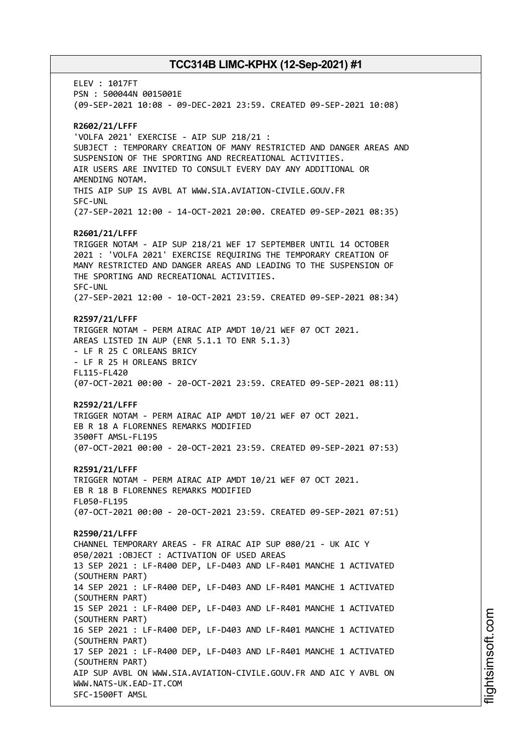ELEV : 1017FT PSN : 500044N 0015001E (09-SEP-2021 10:08 - 09-DEC-2021 23:59. CREATED 09-SEP-2021 10:08) **R2602/21/LFFF** 'VOLFA 2021' EXERCISE - AIP SUP 218/21 : SUBJECT : TEMPORARY CREATION OF MANY RESTRICTED AND DANGER AREAS AND SUSPENSION OF THE SPORTING AND RECREATIONAL ACTIVITIES. AIR USERS ARE INVITED TO CONSULT EVERY DAY ANY ADDITIONAL OR AMENDING NOTAM. THIS AIP SUP IS AVBL AT WWW.SIA.AVIATION-CIVILE.GOUV.FR SFC-UNL (27-SEP-2021 12:00 - 14-OCT-2021 20:00. CREATED 09-SEP-2021 08:35) **R2601/21/LFFF** TRIGGER NOTAM - AIP SUP 218/21 WEF 17 SEPTEMBER UNTIL 14 OCTOBER 2021 : 'VOLFA 2021' EXERCISE REQUIRING THE TEMPORARY CREATION OF MANY RESTRICTED AND DANGER AREAS AND LEADING TO THE SUSPENSION OF THE SPORTING AND RECREATIONAL ACTIVITIES. SFC-UNL (27-SEP-2021 12:00 - 10-OCT-2021 23:59. CREATED 09-SEP-2021 08:34) **R2597/21/LFFF** TRIGGER NOTAM - PERM AIRAC AIP AMDT 10/21 WEF 07 OCT 2021. AREAS LISTED IN AUP (ENR 5.1.1 TO ENR 5.1.3) - LF R 25 C ORLEANS BRICY - LF R 25 H ORLEANS BRICY FL115-FL420 (07-OCT-2021 00:00 - 20-OCT-2021 23:59. CREATED 09-SEP-2021 08:11) **R2592/21/LFFF** TRIGGER NOTAM - PERM AIRAC AIP AMDT 10/21 WEF 07 OCT 2021. EB R 18 A FLORENNES REMARKS MODIFIED 3500FT AMSL-FL195 (07-OCT-2021 00:00 - 20-OCT-2021 23:59. CREATED 09-SEP-2021 07:53) **R2591/21/LFFF** TRIGGER NOTAM - PERM AIRAC AIP AMDT 10/21 WEF 07 OCT 2021. EB R 18 B FLORENNES REMARKS MODIFIED FL050-FL195 (07-OCT-2021 00:00 - 20-OCT-2021 23:59. CREATED 09-SEP-2021 07:51) **R2590/21/LFFF** CHANNEL TEMPORARY AREAS - FR AIRAC AIP SUP 080/21 - UK AIC Y 050/2021 :OBJECT : ACTIVATION OF USED AREAS 13 SEP 2021 : LF-R400 DEP, LF-D403 AND LF-R401 MANCHE 1 ACTIVATED (SOUTHERN PART) 14 SEP 2021 : LF-R400 DEP, LF-D403 AND LF-R401 MANCHE 1 ACTIVATED (SOUTHERN PART) 15 SEP 2021 : LF-R400 DEP, LF-D403 AND LF-R401 MANCHE 1 ACTIVATED (SOUTHERN PART) 16 SEP 2021 : LF-R400 DEP, LF-D403 AND LF-R401 MANCHE 1 ACTIVATED (SOUTHERN PART) 17 SEP 2021 : LF-R400 DEP, LF-D403 AND LF-R401 MANCHE 1 ACTIVATED (SOUTHERN PART) AIP SUP AVBL ON WWW.SIA.AVIATION-CIVILE.GOUV.FR AND AIC Y AVBL ON WWW.NATS-UK.EAD-IT.COM SFC-1500FT AMSL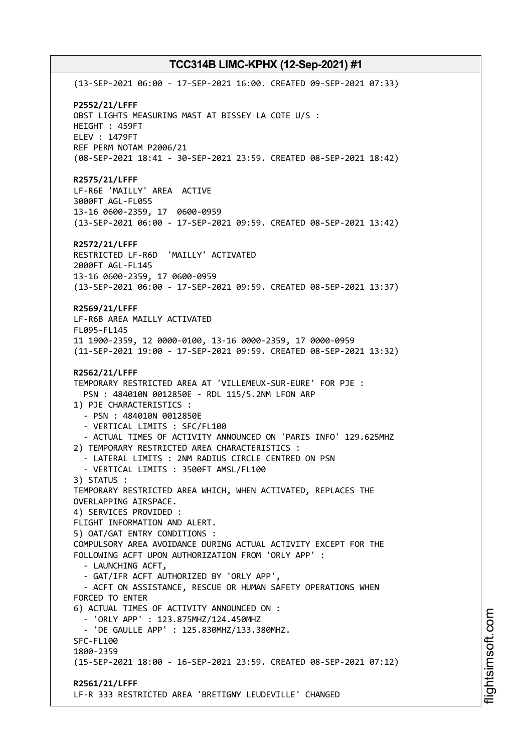(13-SEP-2021 06:00 - 17-SEP-2021 16:00. CREATED 09-SEP-2021 07:33) **P2552/21/LFFF** OBST LIGHTS MEASURING MAST AT BISSEY LA COTE U/S : HEIGHT : 459FT ELEV : 1479FT REF PERM NOTAM P2006/21 (08-SEP-2021 18:41 - 30-SEP-2021 23:59. CREATED 08-SEP-2021 18:42) **R2575/21/LFFF** LF-R6E 'MAILLY' AREA ACTIVE 3000FT AGL-FL055 13-16 0600-2359, 17 0600-0959 (13-SEP-2021 06:00 - 17-SEP-2021 09:59. CREATED 08-SEP-2021 13:42) **R2572/21/LFFF** RESTRICTED LF-R6D 'MAILLY' ACTIVATED 2000FT AGL-FL145 13-16 0600-2359, 17 0600-0959 (13-SEP-2021 06:00 - 17-SEP-2021 09:59. CREATED 08-SEP-2021 13:37) **R2569/21/LFFF** LF-R6B AREA MAILLY ACTIVATED FL095-FL145 11 1900-2359, 12 0000-0100, 13-16 0000-2359, 17 0000-0959 (11-SEP-2021 19:00 - 17-SEP-2021 09:59. CREATED 08-SEP-2021 13:32) **R2562/21/LFFF** TEMPORARY RESTRICTED AREA AT 'VILLEMEUX-SUR-EURE' FOR PJE : PSN : 484010N 0012850E - RDL 115/5.2NM LFON ARP 1) PJE CHARACTERISTICS : - PSN : 484010N 0012850E - VERTICAL LIMITS : SFC/FL100 - ACTUAL TIMES OF ACTIVITY ANNOUNCED ON 'PARIS INFO' 129.625MHZ 2) TEMPORARY RESTRICTED AREA CHARACTERISTICS : - LATERAL LIMITS : 2NM RADIUS CIRCLE CENTRED ON PSN - VERTICAL LIMITS : 3500FT AMSL/FL100 3) STATUS : TEMPORARY RESTRICTED AREA WHICH, WHEN ACTIVATED, REPLACES THE OVERLAPPING AIRSPACE. 4) SERVICES PROVIDED : FLIGHT INFORMATION AND ALERT. 5) OAT/GAT ENTRY CONDITIONS : COMPULSORY AREA AVOIDANCE DURING ACTUAL ACTIVITY EXCEPT FOR THE FOLLOWING ACFT UPON AUTHORIZATION FROM 'ORLY APP' : - LAUNCHING ACFT, - GAT/IFR ACFT AUTHORIZED BY 'ORLY APP', - ACFT ON ASSISTANCE, RESCUE OR HUMAN SAFETY OPERATIONS WHEN FORCED TO ENTER 6) ACTUAL TIMES OF ACTIVITY ANNOUNCED ON : - 'ORLY APP' : 123.875MHZ/124.450MHZ - 'DE GAULLE APP' : 125.830MHZ/133.380MHZ. SFC-FL100 1800-2359 (15-SEP-2021 18:00 - 16-SEP-2021 23:59. CREATED 08-SEP-2021 07:12) **R2561/21/LFFF** LF-R 333 RESTRICTED AREA 'BRETIGNY LEUDEVILLE' CHANGED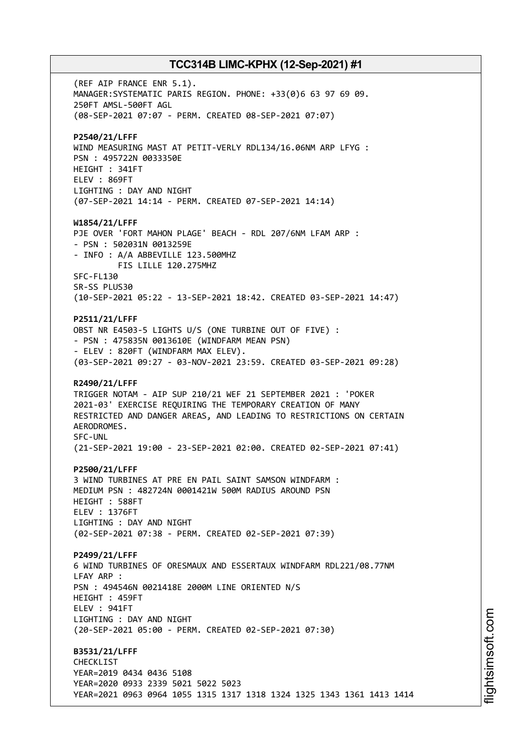(REF AIP FRANCE ENR 5.1). MANAGER:SYSTEMATIC PARIS REGION. PHONE: +33(0)6 63 97 69 09. 250FT AMSL-500FT AGL (08-SEP-2021 07:07 - PERM. CREATED 08-SEP-2021 07:07) **P2540/21/LFFF** WIND MEASURING MAST AT PETIT-VERLY RDL134/16.06NM ARP LFYG : PSN : 495722N 0033350E HEIGHT : 341FT ELEV : 869FT LIGHTING : DAY AND NIGHT (07-SEP-2021 14:14 - PERM. CREATED 07-SEP-2021 14:14) **W1854/21/LFFF** PJE OVER 'FORT MAHON PLAGE' BEACH - RDL 207/6NM LFAM ARP : - PSN : 502031N 0013259E - INFO : A/A ABBEVILLE 123.500MHZ FIS LILLE 120.275MHZ SFC-FL130 SR-SS PLUS30 (10-SEP-2021 05:22 - 13-SEP-2021 18:42. CREATED 03-SEP-2021 14:47) **P2511/21/LFFF** OBST NR E4503-5 LIGHTS U/S (ONE TURBINE OUT OF FIVE) : - PSN : 475835N 0013610E (WINDFARM MEAN PSN) - ELEV : 820FT (WINDFARM MAX ELEV). (03-SEP-2021 09:27 - 03-NOV-2021 23:59. CREATED 03-SEP-2021 09:28) **R2490/21/LFFF** TRIGGER NOTAM - AIP SUP 210/21 WEF 21 SEPTEMBER 2021 : 'POKER 2021-03' EXERCISE REQUIRING THE TEMPORARY CREATION OF MANY RESTRICTED AND DANGER AREAS, AND LEADING TO RESTRICTIONS ON CERTAIN AERODROMES. SFC-UNL (21-SEP-2021 19:00 - 23-SEP-2021 02:00. CREATED 02-SEP-2021 07:41) **P2500/21/LFFF** 3 WIND TURBINES AT PRE EN PAIL SAINT SAMSON WINDFARM : MEDIUM PSN : 482724N 0001421W 500M RADIUS AROUND PSN HEIGHT : 588FT ELEV : 1376FT LIGHTING : DAY AND NIGHT (02-SEP-2021 07:38 - PERM. CREATED 02-SEP-2021 07:39) **P2499/21/LFFF** 6 WIND TURBINES OF ORESMAUX AND ESSERTAUX WINDFARM RDL221/08.77NM LFAY ARP : PSN : 494546N 0021418E 2000M LINE ORIENTED N/S HEIGHT : 459FT ELEV : 941FT LIGHTING : DAY AND NIGHT (20-SEP-2021 05:00 - PERM. CREATED 02-SEP-2021 07:30) **B3531/21/LFFF** CHECKLIST YEAR=2019 0434 0436 5108 YEAR=2020 0933 2339 5021 5022 5023 YEAR=2021 0963 0964 1055 1315 1317 1318 1324 1325 1343 1361 1413 1414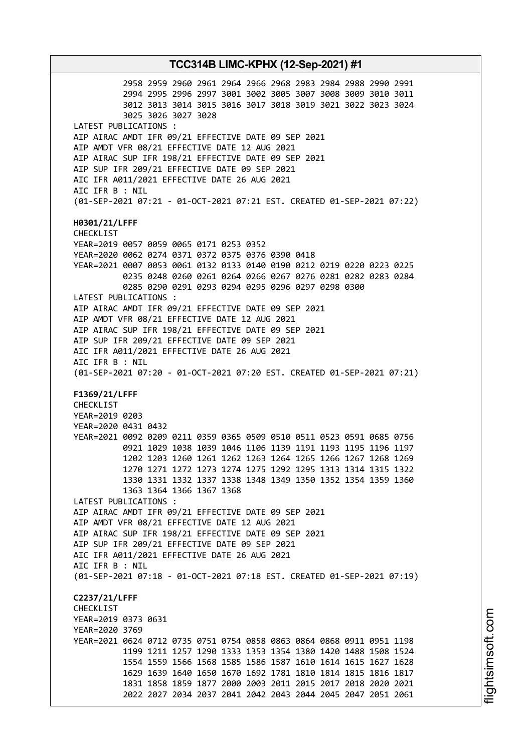**TCC314B LIMC-KPHX (12-Sep-2021) #1** 2958 2959 2960 2961 2964 2966 2968 2983 2984 2988 2990 2991 2994 2995 2996 2997 3001 3002 3005 3007 3008 3009 3010 3011 3012 3013 3014 3015 3016 3017 3018 3019 3021 3022 3023 3024 3025 3026 3027 3028 LATEST PUBLICATIONS : AIP AIRAC AMDT IFR 09/21 EFFECTIVE DATE 09 SEP 2021 AIP AMDT VFR 08/21 EFFECTIVE DATE 12 AUG 2021 AIP AIRAC SUP IFR 198/21 EFFECTIVE DATE 09 SEP 2021 AIP SUP IFR 209/21 EFFECTIVE DATE 09 SEP 2021 AIC IFR A011/2021 EFFECTIVE DATE 26 AUG 2021 AIC IFR B : NIL (01-SEP-2021 07:21 - 01-OCT-2021 07:21 EST. CREATED 01-SEP-2021 07:22) **H0301/21/LFFF** CHECKLIST YEAR=2019 0057 0059 0065 0171 0253 0352 YEAR=2020 0062 0274 0371 0372 0375 0376 0390 0418 YEAR=2021 0007 0053 0061 0132 0133 0140 0190 0212 0219 0220 0223 0225 0235 0248 0260 0261 0264 0266 0267 0276 0281 0282 0283 0284 0285 0290 0291 0293 0294 0295 0296 0297 0298 0300 LATEST PUBLICATIONS : AIP AIRAC AMDT IFR 09/21 EFFECTIVE DATE 09 SEP 2021 AIP AMDT VFR 08/21 EFFECTIVE DATE 12 AUG 2021 AIP AIRAC SUP IFR 198/21 EFFECTIVE DATE 09 SEP 2021 AIP SUP IFR 209/21 EFFECTIVE DATE 09 SEP 2021 AIC IFR A011/2021 EFFECTIVE DATE 26 AUG 2021 AIC IFR B : NIL (01-SEP-2021 07:20 - 01-OCT-2021 07:20 EST. CREATED 01-SEP-2021 07:21) **F1369/21/LFFF** CHECKLIST YEAR=2019 0203 YEAR=2020 0431 0432 YEAR=2021 0092 0209 0211 0359 0365 0509 0510 0511 0523 0591 0685 0756 0921 1029 1038 1039 1046 1106 1139 1191 1193 1195 1196 1197 1202 1203 1260 1261 1262 1263 1264 1265 1266 1267 1268 1269 1270 1271 1272 1273 1274 1275 1292 1295 1313 1314 1315 1322 1330 1331 1332 1337 1338 1348 1349 1350 1352 1354 1359 1360 1363 1364 1366 1367 1368 LATEST PUBLICATIONS : AIP AIRAC AMDT IFR 09/21 EFFECTIVE DATE 09 SEP 2021 AIP AMDT VFR 08/21 EFFECTIVE DATE 12 AUG 2021 AIP AIRAC SUP IFR 198/21 EFFECTIVE DATE 09 SEP 2021 AIP SUP IFR 209/21 EFFECTIVE DATE 09 SEP 2021 AIC IFR A011/2021 EFFECTIVE DATE 26 AUG 2021 AIC IFR B : NIL (01-SEP-2021 07:18 - 01-OCT-2021 07:18 EST. CREATED 01-SEP-2021 07:19) **C2237/21/LFFF** CHECKLIST YEAR=2019 0373 0631 YEAR=2020 3769 YEAR=2021 0624 0712 0735 0751 0754 0858 0863 0864 0868 0911 0951 1198 1199 1211 1257 1290 1333 1353 1354 1380 1420 1488 1508 1524 1554 1559 1566 1568 1585 1586 1587 1610 1614 1615 1627 1628 1629 1639 1640 1650 1670 1692 1781 1810 1814 1815 1816 1817 1831 1858 1859 1877 2000 2003 2011 2015 2017 2018 2020 2021 2022 2027 2034 2037 2041 2042 2043 2044 2045 2047 2051 2061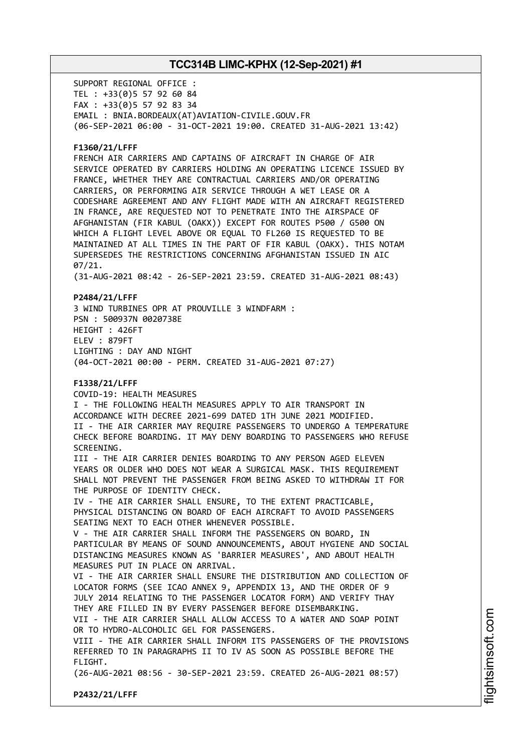SUPPORT REGIONAL OFFICE : TEL : +33(0)5 57 92 60 84 FAX : +33(0)5 57 92 83 34 EMAIL : BNIA.BORDEAUX(AT)AVIATION-CIVILE.GOUV.FR (06-SEP-2021 06:00 - 31-OCT-2021 19:00. CREATED 31-AUG-2021 13:42)

### **F1360/21/LFFF**

FRENCH AIR CARRIERS AND CAPTAINS OF AIRCRAFT IN CHARGE OF AIR SERVICE OPERATED BY CARRIERS HOLDING AN OPERATING LICENCE ISSUED BY FRANCE, WHETHER THEY ARE CONTRACTUAL CARRIERS AND/OR OPERATING CARRIERS, OR PERFORMING AIR SERVICE THROUGH A WET LEASE OR A CODESHARE AGREEMENT AND ANY FLIGHT MADE WITH AN AIRCRAFT REGISTERED IN FRANCE, ARE REQUESTED NOT TO PENETRATE INTO THE AIRSPACE OF AFGHANISTAN (FIR KABUL (OAKX)) EXCEPT FOR ROUTES P500 / G500 ON WHICH A FLIGHT LEVEL ABOVE OR EQUAL TO FL260 IS REQUESTED TO BE MAINTAINED AT ALL TIMES IN THE PART OF FIR KABUL (OAKX). THIS NOTAM SUPERSEDES THE RESTRICTIONS CONCERNING AFGHANISTAN ISSUED IN AIC 07/21.

(31-AUG-2021 08:42 - 26-SEP-2021 23:59. CREATED 31-AUG-2021 08:43)

#### **P2484/21/LFFF**

3 WIND TURBINES OPR AT PROUVILLE 3 WINDFARM : PSN : 500937N 0020738E HEIGHT : 426FT ELEV : 879FT LIGHTING : DAY AND NIGHT (04-OCT-2021 00:00 - PERM. CREATED 31-AUG-2021 07:27)

### **F1338/21/LFFF**

COVID-19: HEALTH MEASURES I - THE FOLLOWING HEALTH MEASURES APPLY TO AIR TRANSPORT IN ACCORDANCE WITH DECREE 2021-699 DATED 1TH JUNE 2021 MODIFIED. II - THE AIR CARRIER MAY REQUIRE PASSENGERS TO UNDERGO A TEMPERATURE CHECK BEFORE BOARDING. IT MAY DENY BOARDING TO PASSENGERS WHO REFUSE SCREENING. III - THE AIR CARRIER DENIES BOARDING TO ANY PERSON AGED ELEVEN YEARS OR OLDER WHO DOES NOT WEAR A SURGICAL MASK. THIS REQUIREMENT SHALL NOT PREVENT THE PASSENGER FROM BEING ASKED TO WITHDRAW IT FOR THE PURPOSE OF IDENTITY CHECK. IV - THE AIR CARRIER SHALL ENSURE, TO THE EXTENT PRACTICABLE, PHYSICAL DISTANCING ON BOARD OF EACH AIRCRAFT TO AVOID PASSENGERS SEATING NEXT TO EACH OTHER WHENEVER POSSIBLE. V - THE AIR CARRIER SHALL INFORM THE PASSENGERS ON BOARD, IN PARTICULAR BY MEANS OF SOUND ANNOUNCEMENTS, ABOUT HYGIENE AND SOCIAL DISTANCING MEASURES KNOWN AS 'BARRIER MEASURES', AND ABOUT HEALTH MEASURES PUT IN PLACE ON ARRIVAL. VI - THE AIR CARRIER SHALL ENSURE THE DISTRIBUTION AND COLLECTION OF LOCATOR FORMS (SEE ICAO ANNEX 9, APPENDIX 13, AND THE ORDER OF 9 JULY 2014 RELATING TO THE PASSENGER LOCATOR FORM) AND VERIFY THAY THEY ARE FILLED IN BY EVERY PASSENGER BEFORE DISEMBARKING. VII - THE AIR CARRIER SHALL ALLOW ACCESS TO A WATER AND SOAP POINT OR TO HYDRO-ALCOHOLIC GEL FOR PASSENGERS. VIII - THE AIR CARRIER SHALL INFORM ITS PASSENGERS OF THE PROVISIONS

REFERRED TO IN PARAGRAPHS II TO IV AS SOON AS POSSIBLE BEFORE THE FLIGHT.

(26-AUG-2021 08:56 - 30-SEP-2021 23:59. CREATED 26-AUG-2021 08:57)

**P2432/21/LFFF**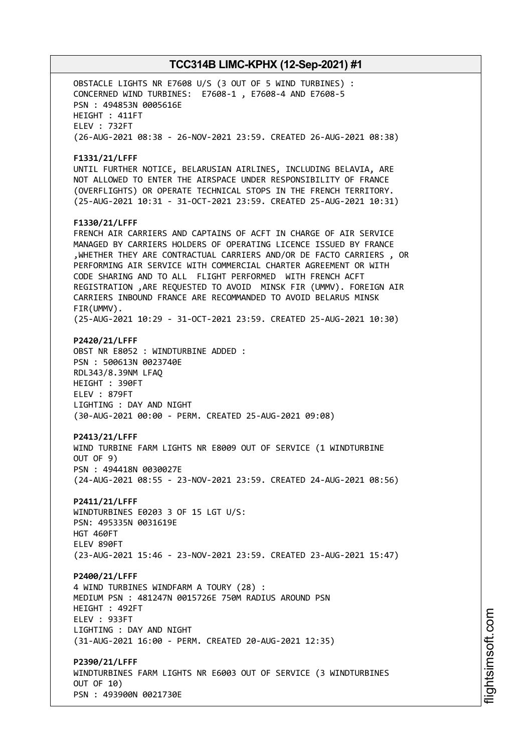OBSTACLE LIGHTS NR E7608 U/S (3 OUT OF 5 WIND TURBINES) : CONCERNED WIND TURBINES: E7608-1 , E7608-4 AND E7608-5 PSN : 494853N 0005616E HEIGHT : 411FT ELEV : 732FT (26-AUG-2021 08:38 - 26-NOV-2021 23:59. CREATED 26-AUG-2021 08:38) **F1331/21/LFFF** UNTIL FURTHER NOTICE, BELARUSIAN AIRLINES, INCLUDING BELAVIA, ARE NOT ALLOWED TO ENTER THE AIRSPACE UNDER RESPONSIBILITY OF FRANCE (OVERFLIGHTS) OR OPERATE TECHNICAL STOPS IN THE FRENCH TERRITORY. (25-AUG-2021 10:31 - 31-OCT-2021 23:59. CREATED 25-AUG-2021 10:31) **F1330/21/LFFF** FRENCH AIR CARRIERS AND CAPTAINS OF ACFT IN CHARGE OF AIR SERVICE MANAGED BY CARRIERS HOLDERS OF OPERATING LICENCE ISSUED BY FRANCE ,WHETHER THEY ARE CONTRACTUAL CARRIERS AND/OR DE FACTO CARRIERS , OR PERFORMING AIR SERVICE WITH COMMERCIAL CHARTER AGREEMENT OR WITH CODE SHARING AND TO ALL FLIGHT PERFORMED WITH FRENCH ACFT REGISTRATION ,ARE REQUESTED TO AVOID MINSK FIR (UMMV). FOREIGN AIR CARRIERS INBOUND FRANCE ARE RECOMMANDED TO AVOID BELARUS MINSK FIR(UMMV). (25-AUG-2021 10:29 - 31-OCT-2021 23:59. CREATED 25-AUG-2021 10:30) **P2420/21/LFFF** OBST NR E8052 : WINDTURBINE ADDED : PSN : 500613N 0023740E RDL343/8.39NM LFAQ HEIGHT : 390FT ELEV : 879FT LIGHTING : DAY AND NIGHT (30-AUG-2021 00:00 - PERM. CREATED 25-AUG-2021 09:08) **P2413/21/LFFF** WIND TURBINE FARM LIGHTS NR E8009 OUT OF SERVICE (1 WINDTURBINE OUT OF 9) PSN : 494418N 0030027E (24-AUG-2021 08:55 - 23-NOV-2021 23:59. CREATED 24-AUG-2021 08:56) **P2411/21/LFFF** WINDTURBINES E0203 3 OF 15 LGT U/S: PSN: 495335N 0031619E HGT 460FT ELEV 890FT (23-AUG-2021 15:46 - 23-NOV-2021 23:59. CREATED 23-AUG-2021 15:47) **P2400/21/LFFF** 4 WIND TURBINES WINDFARM A TOURY (28) : MEDIUM PSN : 481247N 0015726E 750M RADIUS AROUND PSN HEIGHT : 492FT ELEV : 933FT LIGHTING : DAY AND NIGHT (31-AUG-2021 16:00 - PERM. CREATED 20-AUG-2021 12:35) **P2390/21/LFFF** WINDTURBINES FARM LIGHTS NR E6003 OUT OF SERVICE (3 WINDTURBINES OUT OF 10) PSN : 493900N 0021730E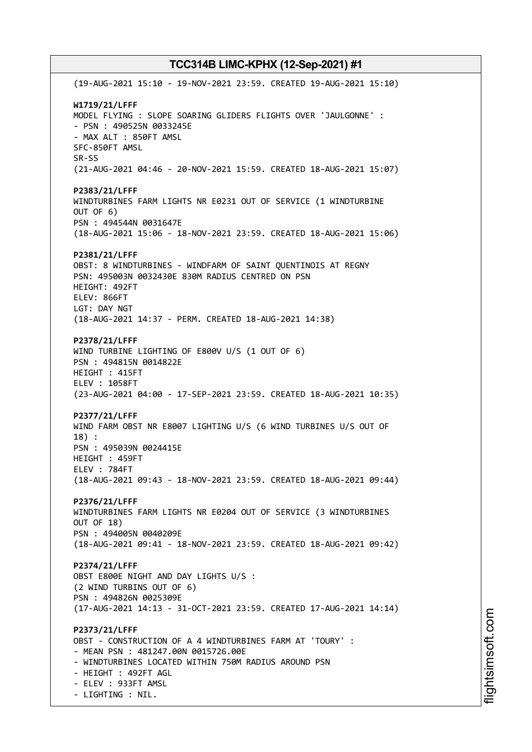(19-AUG-2021 15:10 - 19-NOV-2021 23:59. CREATED 19-AUG-2021 15:10) **W1719/21/LFFF** MODEL FLYING : SLOPE SOARING GLIDERS FLIGHTS OVER 'JAULGONNE' : - PSN : 490525N 0033245E - MAX ALT : 850FT AMSL SFC-850FT AMSL SR-SS (21-AUG-2021 04:46 - 20-NOV-2021 15:59. CREATED 18-AUG-2021 15:07) **P2383/21/LFFF** WINDTURBINES FARM LIGHTS NR E0231 OUT OF SERVICE (1 WINDTURBINE OUT OF 6) PSN : 494544N 0031647E (18-AUG-2021 15:06 - 18-NOV-2021 23:59. CREATED 18-AUG-2021 15:06) **P2381/21/LFFF** OBST: 8 WINDTURBINES - WINDFARM OF SAINT QUENTINOIS AT REGNY PSN: 495003N 0032430E 830M RADIUS CENTRED ON PSN HEIGHT: 492FT ELEV: 866FT LGT: DAY NGT (18-AUG-2021 14:37 - PERM. CREATED 18-AUG-2021 14:38) **P2378/21/LFFF** WIND TURBINE LIGHTING OF E800V U/S (1 OUT OF 6) PSN : 494815N 0014822E HEIGHT : 415FT ELEV : 1058FT (23-AUG-2021 04:00 - 17-SEP-2021 23:59. CREATED 18-AUG-2021 10:35) **P2377/21/LFFF** WIND FARM OBST NR E8007 LIGHTING U/S (6 WIND TURBINES U/S OUT OF 18) : PSN : 495039N 0024415E HEIGHT : 459FT ELEV : 784FT (18-AUG-2021 09:43 - 18-NOV-2021 23:59. CREATED 18-AUG-2021 09:44) **P2376/21/LFFF** WINDTURBINES FARM LIGHTS NR E0204 OUT OF SERVICE (3 WINDTURBINES OUT OF 18) PSN : 494005N 0040209E (18-AUG-2021 09:41 - 18-NOV-2021 23:59. CREATED 18-AUG-2021 09:42) **P2374/21/LFFF** OBST E800E NIGHT AND DAY LIGHTS U/S : (2 WIND TURBINS OUT OF 6) PSN : 494826N 0025309E (17-AUG-2021 14:13 - 31-OCT-2021 23:59. CREATED 17-AUG-2021 14:14) **P2373/21/LFFF** OBST - CONSTRUCTION OF A 4 WINDTURBINES FARM AT 'TOURY' : - MEAN PSN : 481247.00N 0015726.00E - WINDTURBINES LOCATED WITHIN 750M RADIUS AROUND PSN - HEIGHT : 492FT AGL - ELEV : 933FT AMSL - LIGHTING : NIL.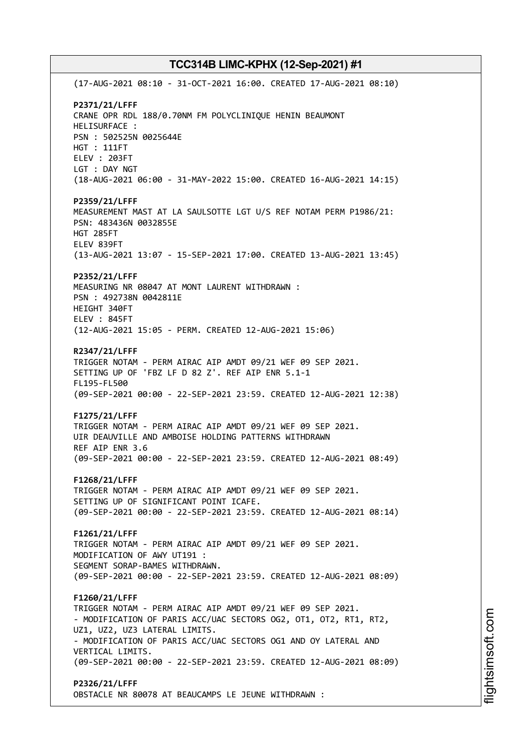(17-AUG-2021 08:10 - 31-OCT-2021 16:00. CREATED 17-AUG-2021 08:10) **P2371/21/LFFF** CRANE OPR RDL 188/0.70NM FM POLYCLINIQUE HENIN BEAUMONT HELISURFACE : PSN : 502525N 0025644E HGT : 111FT ELEV : 203FT LGT : DAY NGT (18-AUG-2021 06:00 - 31-MAY-2022 15:00. CREATED 16-AUG-2021 14:15) **P2359/21/LFFF** MEASUREMENT MAST AT LA SAULSOTTE LGT U/S REF NOTAM PERM P1986/21: PSN: 483436N 0032855E HGT 285FT ELEV 839FT (13-AUG-2021 13:07 - 15-SEP-2021 17:00. CREATED 13-AUG-2021 13:45) **P2352/21/LFFF** MEASURING NR 08047 AT MONT LAURENT WITHDRAWN : PSN : 492738N 0042811E HEIGHT 340FT ELEV : 845FT (12-AUG-2021 15:05 - PERM. CREATED 12-AUG-2021 15:06) **R2347/21/LFFF** TRIGGER NOTAM - PERM AIRAC AIP AMDT 09/21 WEF 09 SEP 2021. SETTING UP OF 'FBZ LF D 82 Z'. REF AIP ENR 5.1-1 FL195-FL500 (09-SEP-2021 00:00 - 22-SEP-2021 23:59. CREATED 12-AUG-2021 12:38) **F1275/21/LFFF** TRIGGER NOTAM - PERM AIRAC AIP AMDT 09/21 WEF 09 SEP 2021. UIR DEAUVILLE AND AMBOISE HOLDING PATTERNS WITHDRAWN REF AIP ENR 3.6 (09-SEP-2021 00:00 - 22-SEP-2021 23:59. CREATED 12-AUG-2021 08:49) **F1268/21/LFFF** TRIGGER NOTAM - PERM AIRAC AIP AMDT 09/21 WEF 09 SEP 2021. SETTING UP OF SIGNIFICANT POINT ICAFE. (09-SEP-2021 00:00 - 22-SEP-2021 23:59. CREATED 12-AUG-2021 08:14) **F1261/21/LFFF** TRIGGER NOTAM - PERM AIRAC AIP AMDT 09/21 WEF 09 SEP 2021. MODIFICATION OF AWY UT191 : SEGMENT SORAP-BAMES WITHDRAWN. (09-SEP-2021 00:00 - 22-SEP-2021 23:59. CREATED 12-AUG-2021 08:09) **F1260/21/LFFF** TRIGGER NOTAM - PERM AIRAC AIP AMDT 09/21 WEF 09 SEP 2021. - MODIFICATION OF PARIS ACC/UAC SECTORS OG2, OT1, OT2, RT1, RT2, UZ1, UZ2, UZ3 LATERAL LIMITS. - MODIFICATION OF PARIS ACC/UAC SECTORS OG1 AND OY LATERAL AND VERTICAL LIMITS. (09-SEP-2021 00:00 - 22-SEP-2021 23:59. CREATED 12-AUG-2021 08:09) **P2326/21/LFFF**

OBSTACLE NR 80078 AT BEAUCAMPS LE JEUNE WITHDRAWN :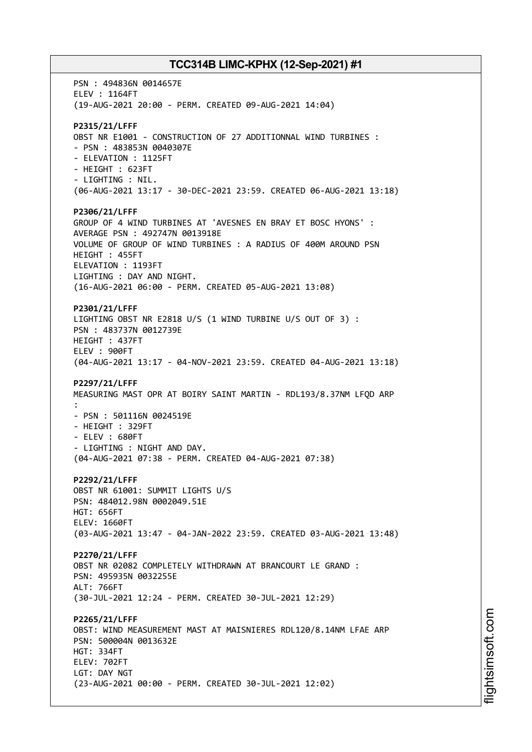PSN : 494836N 0014657E ELEV : 1164FT (19-AUG-2021 20:00 - PERM. CREATED 09-AUG-2021 14:04) **P2315/21/LFFF** OBST NR E1001 - CONSTRUCTION OF 27 ADDITIONNAL WIND TURBINES : - PSN : 483853N 0040307E - ELEVATION : 1125FT - HEIGHT : 623FT - LIGHTING : NIL. (06-AUG-2021 13:17 - 30-DEC-2021 23:59. CREATED 06-AUG-2021 13:18) **P2306/21/LFFF** GROUP OF 4 WIND TURBINES AT 'AVESNES EN BRAY ET BOSC HYONS' : AVERAGE PSN : 492747N 0013918E VOLUME OF GROUP OF WIND TURBINES : A RADIUS OF 400M AROUND PSN HEIGHT : 455FT ELEVATION : 1193FT LIGHTING : DAY AND NIGHT. (16-AUG-2021 06:00 - PERM. CREATED 05-AUG-2021 13:08) **P2301/21/LFFF** LIGHTING OBST NR E2818 U/S (1 WIND TURBINE U/S OUT OF 3) : PSN : 483737N 0012739E HEIGHT : 437FT ELEV : 900FT (04-AUG-2021 13:17 - 04-NOV-2021 23:59. CREATED 04-AUG-2021 13:18) **P2297/21/LFFF** MEASURING MAST OPR AT BOIRY SAINT MARTIN - RDL193/8.37NM LFQD ARP : - PSN : 501116N 0024519E - HEIGHT : 329FT - ELEV : 680FT - LIGHTING : NIGHT AND DAY. (04-AUG-2021 07:38 - PERM. CREATED 04-AUG-2021 07:38) **P2292/21/LFFF** OBST NR 61001: SUMMIT LIGHTS U/S PSN: 484012.98N 0002049.51E HGT: 656FT ELEV: 1660FT (03-AUG-2021 13:47 - 04-JAN-2022 23:59. CREATED 03-AUG-2021 13:48) **P2270/21/LFFF** OBST NR 02082 COMPLETELY WITHDRAWN AT BRANCOURT LE GRAND : PSN: 495935N 0032255E ALT: 766FT (30-JUL-2021 12:24 - PERM. CREATED 30-JUL-2021 12:29) **P2265/21/LFFF** OBST: WIND MEASUREMENT MAST AT MAISNIERES RDL120/8.14NM LFAE ARP PSN: 500004N 0013632E HGT: 334FT ELEV: 702FT LGT: DAY NGT (23-AUG-2021 00:00 - PERM. CREATED 30-JUL-2021 12:02)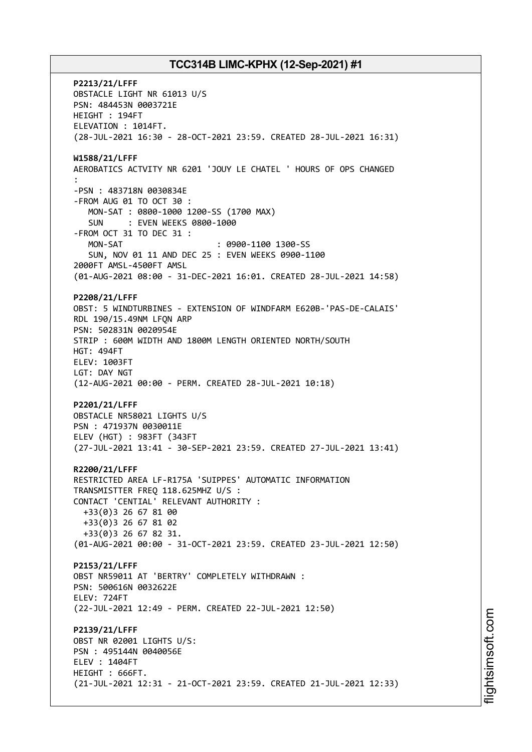**P2213/21/LFFF** OBSTACLE LIGHT NR 61013 U/S PSN: 484453N 0003721E HEIGHT : 194FT ELEVATION : 1014FT. (28-JUL-2021 16:30 - 28-OCT-2021 23:59. CREATED 28-JUL-2021 16:31) **W1588/21/LFFF** AEROBATICS ACTVITY NR 6201 'JOUY LE CHATEL ' HOURS OF OPS CHANGED : -PSN : 483718N 0030834E -FROM AUG 01 TO OCT 30 : MON-SAT : 0800-1000 1200-SS (1700 MAX) SUN : EVEN WEEKS 0800-1000 -FROM OCT 31 TO DEC 31 : MON-SAT : 0900-1100 1300-SS SUN, NOV 01 11 AND DEC 25 : EVEN WEEKS 0900-1100 2000FT AMSL-4500FT AMSL (01-AUG-2021 08:00 - 31-DEC-2021 16:01. CREATED 28-JUL-2021 14:58) **P2208/21/LFFF** OBST: 5 WINDTURBINES - EXTENSION OF WINDFARM E620B-'PAS-DE-CALAIS' RDL 190/15.49NM LFQN ARP PSN: 502831N 0020954E STRIP : 600M WIDTH AND 1800M LENGTH ORIENTED NORTH/SOUTH HGT: 494FT ELEV: 1003FT LGT: DAY NGT (12-AUG-2021 00:00 - PERM. CREATED 28-JUL-2021 10:18) **P2201/21/LFFF** OBSTACLE NR58021 LIGHTS U/S PSN : 471937N 0030011E ELEV (HGT) : 983FT (343FT (27-JUL-2021 13:41 - 30-SEP-2021 23:59. CREATED 27-JUL-2021 13:41) **R2200/21/LFFF** RESTRICTED AREA LF-R175A 'SUIPPES' AUTOMATIC INFORMATION TRANSMISTTER FREQ 118.625MHZ U/S : CONTACT 'CENTIAL' RELEVANT AUTHORITY : +33(0)3 26 67 81 00 +33(0)3 26 67 81 02 +33(0)3 26 67 82 31. (01-AUG-2021 00:00 - 31-OCT-2021 23:59. CREATED 23-JUL-2021 12:50) **P2153/21/LFFF** OBST NR59011 AT 'BERTRY' COMPLETELY WITHDRAWN : PSN: 500616N 0032622E ELEV: 724FT (22-JUL-2021 12:49 - PERM. CREATED 22-JUL-2021 12:50) **P2139/21/LFFF** OBST NR 02001 LIGHTS U/S: PSN : 495144N 0040056E ELEV : 1404FT HEIGHT : 666FT. (21-JUL-2021 12:31 - 21-OCT-2021 23:59. CREATED 21-JUL-2021 12:33)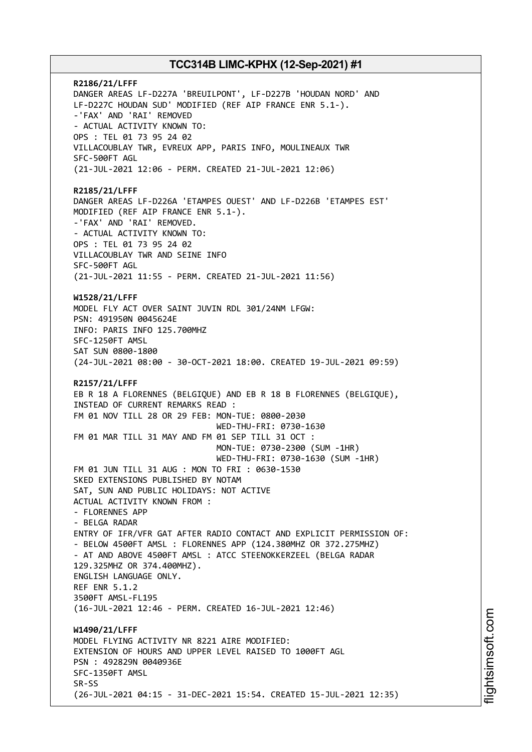**R2186/21/LFFF** DANGER AREAS LF-D227A 'BREUILPONT', LF-D227B 'HOUDAN NORD' AND LF-D227C HOUDAN SUD' MODIFIED (REF AIP FRANCE ENR 5.1-). -'FAX' AND 'RAI' REMOVED - ACTUAL ACTIVITY KNOWN TO: OPS : TEL 01 73 95 24 02 VILLACOUBLAY TWR, EVREUX APP, PARIS INFO, MOULINEAUX TWR SFC-500FT AGL (21-JUL-2021 12:06 - PERM. CREATED 21-JUL-2021 12:06) **R2185/21/LFFF** DANGER AREAS LF-D226A 'ETAMPES OUEST' AND LF-D226B 'ETAMPES EST' MODIFIED (REF AIP FRANCE ENR 5.1-). -'FAX' AND 'RAI' REMOVED. - ACTUAL ACTIVITY KNOWN TO: OPS : TEL 01 73 95 24 02 VILLACOUBLAY TWR AND SEINE INFO SFC-500FT AGL (21-JUL-2021 11:55 - PERM. CREATED 21-JUL-2021 11:56) **W1528/21/LFFF** MODEL FLY ACT OVER SAINT JUVIN RDL 301/24NM LFGW: PSN: 491950N 0045624E INFO: PARIS INFO 125.700MHZ SFC-1250FT AMSL SAT SUN 0800-1800 (24-JUL-2021 08:00 - 30-OCT-2021 18:00. CREATED 19-JUL-2021 09:59) **R2157/21/LFFF** EB R 18 A FLORENNES (BELGIQUE) AND EB R 18 B FLORENNES (BELGIQUE), INSTEAD OF CURRENT REMARKS READ : FM 01 NOV TILL 28 OR 29 FEB: MON-TUE: 0800-2030 WED-THU-FRI: 0730-1630 FM 01 MAR TILL 31 MAY AND FM 01 SEP TILL 31 OCT : MON-TUE: 0730-2300 (SUM -1HR) WED-THU-FRI: 0730-1630 (SUM -1HR) FM 01 JUN TILL 31 AUG : MON TO FRI : 0630-1530 SKED EXTENSIONS PUBLISHED BY NOTAM SAT, SUN AND PUBLIC HOLIDAYS: NOT ACTIVE ACTUAL ACTIVITY KNOWN FROM : - FLORENNES APP - BELGA RADAR ENTRY OF IFR/VFR GAT AFTER RADIO CONTACT AND EXPLICIT PERMISSION OF: - BELOW 4500FT AMSL : FLORENNES APP (124.380MHZ OR 372.275MHZ) - AT AND ABOVE 4500FT AMSL : ATCC STEENOKKERZEEL (BELGA RADAR 129.325MHZ OR 374.400MHZ). ENGLISH LANGUAGE ONLY. REF ENR 5.1.2 3500FT AMSL-FL195 (16-JUL-2021 12:46 - PERM. CREATED 16-JUL-2021 12:46) **W1490/21/LFFF** MODEL FLYING ACTIVITY NR 8221 AIRE MODIFIED: EXTENSION OF HOURS AND UPPER LEVEL RAISED TO 1000FT AGL PSN : 492829N 0040936E SFC-1350FT AMSL SR-SS (26-JUL-2021 04:15 - 31-DEC-2021 15:54. CREATED 15-JUL-2021 12:35)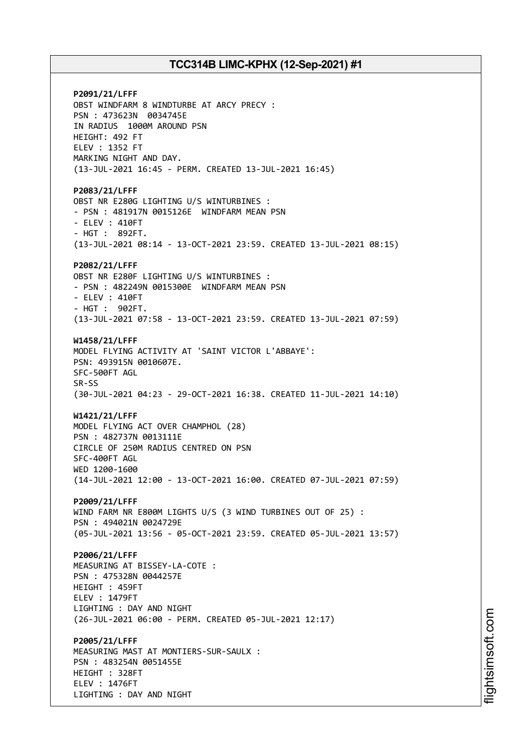**P2091/21/LFFF** OBST WINDFARM 8 WINDTURBE AT ARCY PRECY : PSN : 473623N 0034745E IN RADIUS 1000M AROUND PSN HEIGHT: 492 FT ELEV : 1352 FT MARKING NIGHT AND DAY. (13-JUL-2021 16:45 - PERM. CREATED 13-JUL-2021 16:45) **P2083/21/LFFF** OBST NR E280G LIGHTING U/S WINTURBINES : - PSN : 481917N 0015126E WINDFARM MEAN PSN - ELEV : 410FT - HGT : 892FT. (13-JUL-2021 08:14 - 13-OCT-2021 23:59. CREATED 13-JUL-2021 08:15) **P2082/21/LFFF** OBST NR E280F LIGHTING U/S WINTURBINES : - PSN : 482249N 0015300E WINDFARM MEAN PSN - ELEV : 410FT - HGT : 902FT. (13-JUL-2021 07:58 - 13-OCT-2021 23:59. CREATED 13-JUL-2021 07:59) **W1458/21/LFFF** MODEL FLYING ACTIVITY AT 'SAINT VICTOR L'ABBAYE': PSN: 493915N 0010607E. SFC-500FT AGL SR-SS (30-JUL-2021 04:23 - 29-OCT-2021 16:38. CREATED 11-JUL-2021 14:10) **W1421/21/LFFF** MODEL FLYING ACT OVER CHAMPHOL (28) PSN : 482737N 0013111E CIRCLE OF 250M RADIUS CENTRED ON PSN SFC-400FT AGL WED 1200-1600 (14-JUL-2021 12:00 - 13-OCT-2021 16:00. CREATED 07-JUL-2021 07:59) **P2009/21/LFFF** WIND FARM NR E800M LIGHTS U/S (3 WIND TURBINES OUT OF 25) : PSN : 494021N 0024729E (05-JUL-2021 13:56 - 05-OCT-2021 23:59. CREATED 05-JUL-2021 13:57) **P2006/21/LFFF** MEASURING AT BISSEY-LA-COTE : PSN : 475328N 0044257E HEIGHT : 459FT ELEV : 1479FT LIGHTING : DAY AND NIGHT (26-JUL-2021 06:00 - PERM. CREATED 05-JUL-2021 12:17) **P2005/21/LFFF** MEASURING MAST AT MONTIERS-SUR-SAULX : PSN : 483254N 0051455E HEIGHT : 328FT ELEV : 1476FT LIGHTING : DAY AND NIGHT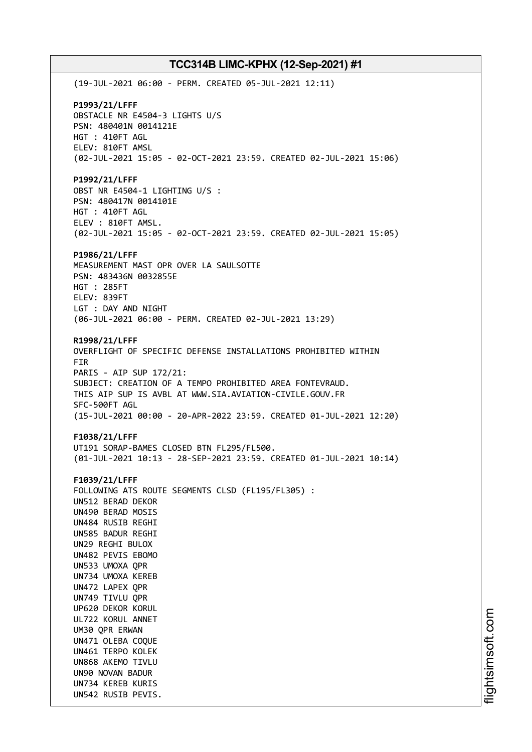(19-JUL-2021 06:00 - PERM. CREATED 05-JUL-2021 12:11) **P1993/21/LFFF** OBSTACLE NR E4504-3 LIGHTS U/S PSN: 480401N 0014121E HGT : 410FT AGL ELEV: 810FT AMSL (02-JUL-2021 15:05 - 02-OCT-2021 23:59. CREATED 02-JUL-2021 15:06) **P1992/21/LFFF** OBST NR E4504-1 LIGHTING U/S : PSN: 480417N 0014101E HGT : 410FT AGL ELEV : 810FT AMSL. (02-JUL-2021 15:05 - 02-OCT-2021 23:59. CREATED 02-JUL-2021 15:05) **P1986/21/LFFF** MEASUREMENT MAST OPR OVER LA SAULSOTTE PSN: 483436N 0032855E HGT : 285FT ELEV: 839FT LGT : DAY AND NIGHT (06-JUL-2021 06:00 - PERM. CREATED 02-JUL-2021 13:29) **R1998/21/LFFF** OVERFLIGHT OF SPECIFIC DEFENSE INSTALLATIONS PROHIBITED WITHIN FIR PARIS - AIP SUP 172/21: SUBJECT: CREATION OF A TEMPO PROHIBITED AREA FONTEVRAUD. THIS AIP SUP IS AVBL AT WWW.SIA.AVIATION-CIVILE.GOUV.FR SFC-500FT AGL (15-JUL-2021 00:00 - 20-APR-2022 23:59. CREATED 01-JUL-2021 12:20) **F1038/21/LFFF** UT191 SORAP-BAMES CLOSED BTN FL295/FL500. (01-JUL-2021 10:13 - 28-SEP-2021 23:59. CREATED 01-JUL-2021 10:14) **F1039/21/LFFF** FOLLOWING ATS ROUTE SEGMENTS CLSD (FL195/FL305) : UN512 BERAD DEKOR UN490 BERAD MOSIS UN484 RUSIB REGHI UN585 BADUR REGHI UN29 REGHI BULOX UN482 PEVIS EBOMO UN533 UMOXA QPR UN734 UMOXA KEREB UN472 LAPEX QPR UN749 TIVLU QPR UP620 DEKOR KORUL UL722 KORUL ANNET UM30 QPR ERWAN UN471 OLEBA COQUE UN461 TERPO KOLEK UN868 AKEMO TIVLU UN90 NOVAN BADUR UN734 KEREB KURIS UN542 RUSIB PEVIS.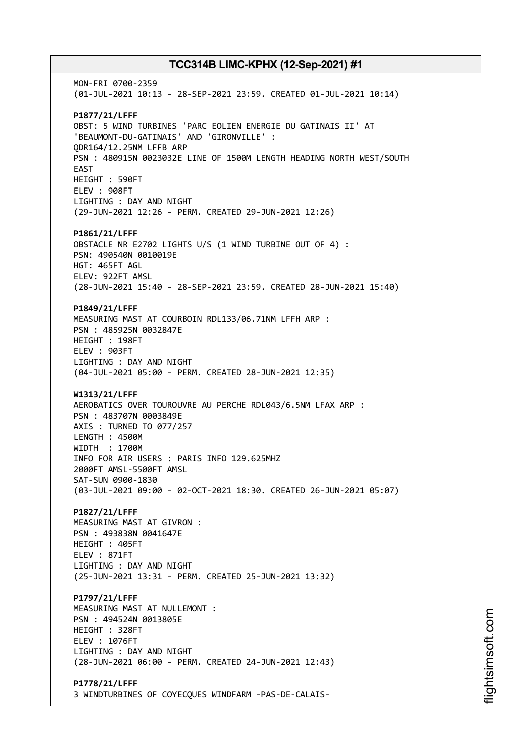MON-FRI 0700-2359 (01-JUL-2021 10:13 - 28-SEP-2021 23:59. CREATED 01-JUL-2021 10:14) **P1877/21/LFFF** OBST: 5 WIND TURBINES 'PARC EOLIEN ENERGIE DU GATINAIS II' AT 'BEAUMONT-DU-GATINAIS' AND 'GIRONVILLE' : QDR164/12.25NM LFFB ARP PSN : 480915N 0023032E LINE OF 1500M LENGTH HEADING NORTH WEST/SOUTH EAST HEIGHT : 590FT ELEV : 908FT LIGHTING : DAY AND NIGHT (29-JUN-2021 12:26 - PERM. CREATED 29-JUN-2021 12:26) **P1861/21/LFFF** OBSTACLE NR E2702 LIGHTS U/S (1 WIND TURBINE OUT OF 4) : PSN: 490540N 0010019E HGT: 465FT AGL ELEV: 922FT AMSL (28-JUN-2021 15:40 - 28-SEP-2021 23:59. CREATED 28-JUN-2021 15:40) **P1849/21/LFFF** MEASURING MAST AT COURBOIN RDL133/06.71NM LFFH ARP : PSN : 485925N 0032847E HEIGHT : 198FT ELEV : 903FT LIGHTING : DAY AND NIGHT (04-JUL-2021 05:00 - PERM. CREATED 28-JUN-2021 12:35) **W1313/21/LFFF** AEROBATICS OVER TOUROUVRE AU PERCHE RDL043/6.5NM LFAX ARP : PSN : 483707N 0003849E AXIS : TURNED TO 077/257 LENGTH : 4500M WIDTH : 1700M INFO FOR AIR USERS : PARIS INFO 129.625MHZ 2000FT AMSL-5500FT AMSL SAT-SUN 0900-1830 (03-JUL-2021 09:00 - 02-OCT-2021 18:30. CREATED 26-JUN-2021 05:07) **P1827/21/LFFF** MEASURING MAST AT GIVRON : PSN : 493838N 0041647E HEIGHT : 405FT ELEV : 871FT LIGHTING : DAY AND NIGHT (25-JUN-2021 13:31 - PERM. CREATED 25-JUN-2021 13:32) **P1797/21/LFFF** MEASURING MAST AT NULLEMONT : PSN : 494524N 0013805E HEIGHT : 328FT ELEV : 1076FT LIGHTING : DAY AND NIGHT (28-JUN-2021 06:00 - PERM. CREATED 24-JUN-2021 12:43) **P1778/21/LFFF** 3 WINDTURBINES OF COYECQUES WINDFARM -PAS-DE-CALAIS-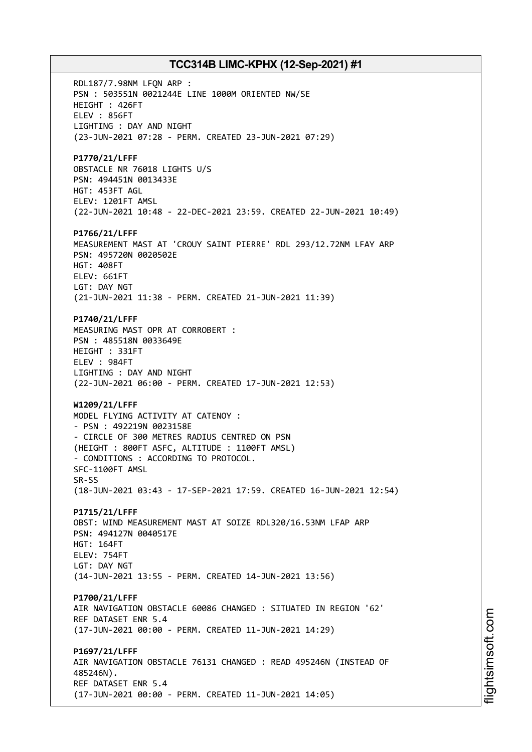RDL187/7.98NM LFQN ARP : PSN : 503551N 0021244E LINE 1000M ORIENTED NW/SE HEIGHT : 426FT ELEV : 856FT LIGHTING : DAY AND NIGHT (23-JUN-2021 07:28 - PERM. CREATED 23-JUN-2021 07:29) **P1770/21/LFFF** OBSTACLE NR 76018 LIGHTS U/S PSN: 494451N 0013433E HGT: 453FT AGL ELEV: 1201FT AMSL (22-JUN-2021 10:48 - 22-DEC-2021 23:59. CREATED 22-JUN-2021 10:49) **P1766/21/LFFF** MEASUREMENT MAST AT 'CROUY SAINT PIERRE' RDL 293/12.72NM LFAY ARP PSN: 495720N 0020502E HGT: 408FT ELEV: 661FT LGT: DAY NGT (21-JUN-2021 11:38 - PERM. CREATED 21-JUN-2021 11:39) **P1740/21/LFFF** MEASURING MAST OPR AT CORROBERT : PSN : 485518N 0033649E HEIGHT : 331FT ELEV : 984FT LIGHTING : DAY AND NIGHT (22-JUN-2021 06:00 - PERM. CREATED 17-JUN-2021 12:53) **W1209/21/LFFF** MODEL FLYING ACTIVITY AT CATENOY : - PSN : 492219N 0023158E - CIRCLE OF 300 METRES RADIUS CENTRED ON PSN (HEIGHT : 800FT ASFC, ALTITUDE : 1100FT AMSL) - CONDITIONS : ACCORDING TO PROTOCOL. SFC-1100FT AMSL SR-SS (18-JUN-2021 03:43 - 17-SEP-2021 17:59. CREATED 16-JUN-2021 12:54) **P1715/21/LFFF** OBST: WIND MEASUREMENT MAST AT SOIZE RDL320/16.53NM LFAP ARP PSN: 494127N 0040517E HGT: 164FT ELEV: 754FT LGT: DAY NGT (14-JUN-2021 13:55 - PERM. CREATED 14-JUN-2021 13:56) **P1700/21/LFFF** AIR NAVIGATION OBSTACLE 60086 CHANGED : SITUATED IN REGION '62' REF DATASET ENR 5.4 (17-JUN-2021 00:00 - PERM. CREATED 11-JUN-2021 14:29) **P1697/21/LFFF** AIR NAVIGATION OBSTACLE 76131 CHANGED : READ 495246N (INSTEAD OF 485246N). REF DATASET ENR 5.4 (17-JUN-2021 00:00 - PERM. CREATED 11-JUN-2021 14:05)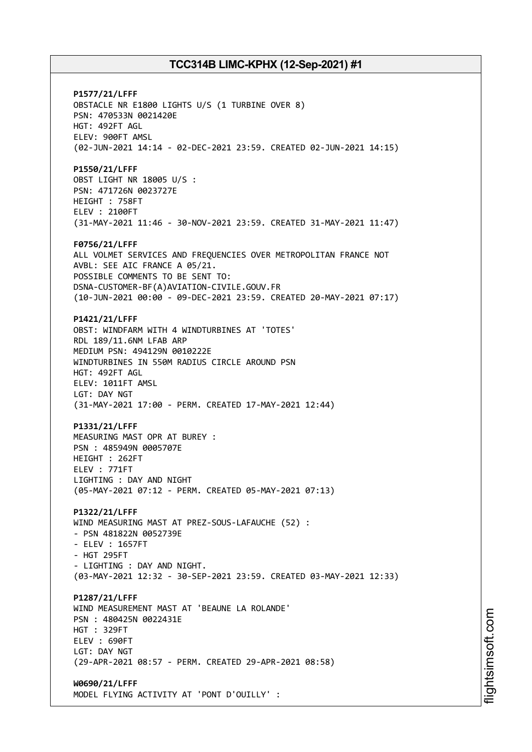**P1577/21/LFFF** OBSTACLE NR E1800 LIGHTS U/S (1 TURBINE OVER 8) PSN: 470533N 0021420E HGT: 492FT AGL ELEV: 900FT AMSL (02-JUN-2021 14:14 - 02-DEC-2021 23:59. CREATED 02-JUN-2021 14:15) **P1550/21/LFFF** OBST LIGHT NR 18005 U/S : PSN: 471726N 0023727E HEIGHT : 758FT ELEV : 2100FT (31-MAY-2021 11:46 - 30-NOV-2021 23:59. CREATED 31-MAY-2021 11:47) **F0756/21/LFFF** ALL VOLMET SERVICES AND FREQUENCIES OVER METROPOLITAN FRANCE NOT AVBL: SEE AIC FRANCE A 05/21. POSSIBLE COMMENTS TO BE SENT TO: DSNA-CUSTOMER-BF(A)AVIATION-CIVILE.GOUV.FR (10-JUN-2021 00:00 - 09-DEC-2021 23:59. CREATED 20-MAY-2021 07:17) **P1421/21/LFFF** OBST: WINDFARM WITH 4 WINDTURBINES AT 'TOTES' RDL 189/11.6NM LFAB ARP MEDIUM PSN: 494129N 0010222E WINDTURBINES IN 550M RADIUS CIRCLE AROUND PSN HGT: 492FT AGL ELEV: 1011FT AMSL LGT: DAY NGT (31-MAY-2021 17:00 - PERM. CREATED 17-MAY-2021 12:44) **P1331/21/LFFF** MEASURING MAST OPR AT BUREY : PSN : 485949N 0005707E HEIGHT : 262FT ELEV : 771FT LIGHTING : DAY AND NIGHT (05-MAY-2021 07:12 - PERM. CREATED 05-MAY-2021 07:13) **P1322/21/LFFF** WIND MEASURING MAST AT PREZ-SOUS-LAFAUCHE (52) : - PSN 481822N 0052739E - ELEV : 1657FT - HGT 295FT - LIGHTING : DAY AND NIGHT. (03-MAY-2021 12:32 - 30-SEP-2021 23:59. CREATED 03-MAY-2021 12:33) **P1287/21/LFFF** WIND MEASUREMENT MAST AT 'BEAUNE LA ROLANDE' PSN : 480425N 0022431E HGT : 329FT ELEV : 690FT LGT: DAY NGT (29-APR-2021 08:57 - PERM. CREATED 29-APR-2021 08:58) **W0690/21/LFFF** MODEL FLYING ACTIVITY AT 'PONT D'OUILLY' :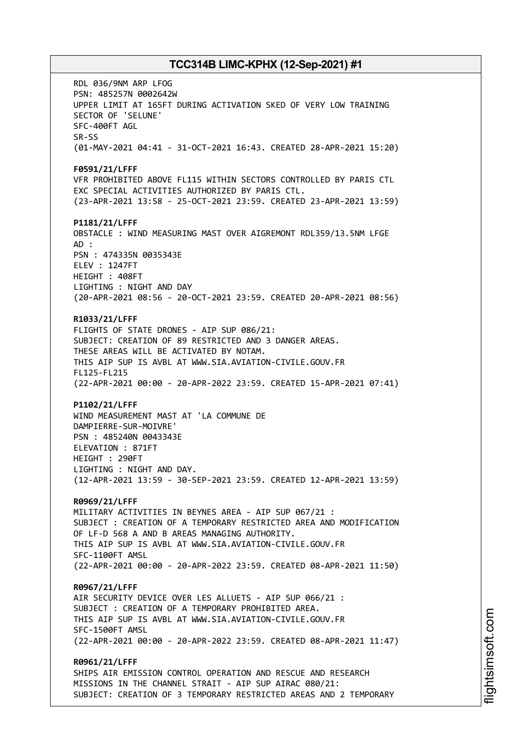RDL 036/9NM ARP LFOG PSN: 485257N 0002642W UPPER LIMIT AT 165FT DURING ACTIVATION SKED OF VERY LOW TRAINING SECTOR OF 'SELUNE' SFC-400FT AGL SR-SS (01-MAY-2021 04:41 - 31-OCT-2021 16:43. CREATED 28-APR-2021 15:20) **F0591/21/LFFF** VFR PROHIBITED ABOVE FL115 WITHIN SECTORS CONTROLLED BY PARIS CTL EXC SPECIAL ACTIVITIES AUTHORIZED BY PARIS CTL. (23-APR-2021 13:58 - 25-OCT-2021 23:59. CREATED 23-APR-2021 13:59) **P1181/21/LFFF** OBSTACLE : WIND MEASURING MAST OVER AIGREMONT RDL359/13.5NM LFGE AD : PSN : 474335N 0035343E ELEV : 1247FT HEIGHT : 408FT LIGHTING : NIGHT AND DAY (20-APR-2021 08:56 - 20-OCT-2021 23:59. CREATED 20-APR-2021 08:56) **R1033/21/LFFF** FLIGHTS OF STATE DRONES - AIP SUP 086/21: SUBJECT: CREATION OF 89 RESTRICTED AND 3 DANGER AREAS. THESE AREAS WILL BE ACTIVATED BY NOTAM. THIS AIP SUP IS AVBL AT WWW.SIA.AVIATION-CIVILE.GOUV.FR FL125-FL215 (22-APR-2021 00:00 - 20-APR-2022 23:59. CREATED 15-APR-2021 07:41) **P1102/21/LFFF** WIND MEASUREMENT MAST AT 'LA COMMUNE DE DAMPIERRE-SUR-MOIVRE' PSN : 485240N 0043343E ELEVATION : 871FT HEIGHT : 290FT LIGHTING : NIGHT AND DAY. (12-APR-2021 13:59 - 30-SEP-2021 23:59. CREATED 12-APR-2021 13:59) **R0969/21/LFFF** MILITARY ACTIVITIES IN BEYNES AREA - AIP SUP 067/21 : SUBJECT : CREATION OF A TEMPORARY RESTRICTED AREA AND MODIFICATION OF LF-D 568 A AND B AREAS MANAGING AUTHORITY. THIS AIP SUP IS AVBL AT WWW.SIA.AVIATION-CIVILE.GOUV.FR SFC-1100FT AMSL (22-APR-2021 00:00 - 20-APR-2022 23:59. CREATED 08-APR-2021 11:50) **R0967/21/LFFF** AIR SECURITY DEVICE OVER LES ALLUETS - AIP SUP 066/21 : SUBJECT : CREATION OF A TEMPORARY PROHIBITED AREA. THIS AIP SUP IS AVBL AT WWW.SIA.AVIATION-CIVILE.GOUV.FR SFC-1500FT AMSL (22-APR-2021 00:00 - 20-APR-2022 23:59. CREATED 08-APR-2021 11:47) **R0961/21/LFFF** SHIPS AIR EMISSION CONTROL OPERATION AND RESCUE AND RESEARCH MISSIONS IN THE CHANNEL STRAIT - AIP SUP AIRAC 080/21:

SUBJECT: CREATION OF 3 TEMPORARY RESTRICTED AREAS AND 2 TEMPORARY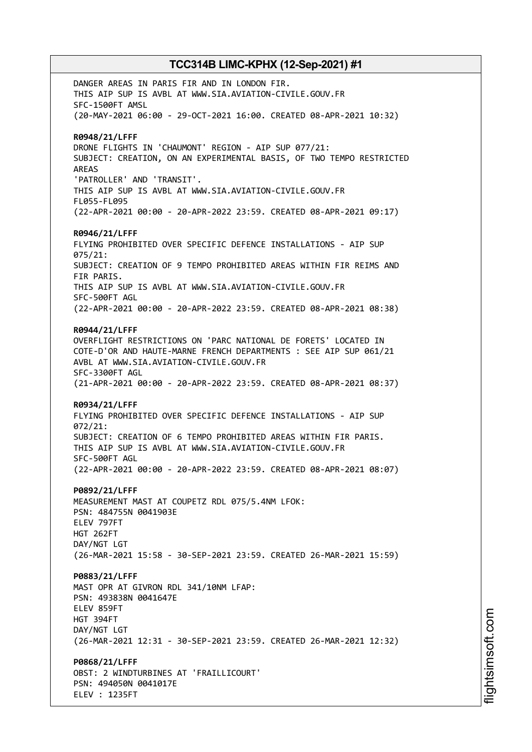DANGER AREAS IN PARIS FIR AND IN LONDON FIR. THIS AIP SUP IS AVBL AT WWW.SIA.AVIATION-CIVILE.GOUV.FR SFC-1500FT AMSL (20-MAY-2021 06:00 - 29-OCT-2021 16:00. CREATED 08-APR-2021 10:32) **R0948/21/LFFF** DRONE FLIGHTS IN 'CHAUMONT' REGION - AIP SUP 077/21: SUBJECT: CREATION, ON AN EXPERIMENTAL BASIS, OF TWO TEMPO RESTRICTED AREAS 'PATROLLER' AND 'TRANSIT'. THIS AIP SUP IS AVBL AT WWW.SIA.AVIATION-CIVILE.GOUV.FR FL055-FL095 (22-APR-2021 00:00 - 20-APR-2022 23:59. CREATED 08-APR-2021 09:17) **R0946/21/LFFF** FLYING PROHIBITED OVER SPECIFIC DEFENCE INSTALLATIONS - AIP SUP 075/21: SUBJECT: CREATION OF 9 TEMPO PROHIBITED AREAS WITHIN FIR REIMS AND FIR PARIS. THIS AIP SUP IS AVBL AT WWW.SIA.AVIATION-CIVILE.GOUV.FR SFC-500FT AGL (22-APR-2021 00:00 - 20-APR-2022 23:59. CREATED 08-APR-2021 08:38) **R0944/21/LFFF** OVERFLIGHT RESTRICTIONS ON 'PARC NATIONAL DE FORETS' LOCATED IN COTE-D'OR AND HAUTE-MARNE FRENCH DEPARTMENTS : SEE AIP SUP 061/21 AVBL AT WWW.SIA.AVIATION-CIVILE.GOUV.FR SFC-3300FT AGL (21-APR-2021 00:00 - 20-APR-2022 23:59. CREATED 08-APR-2021 08:37) **R0934/21/LFFF** FLYING PROHIBITED OVER SPECIFIC DEFENCE INSTALLATIONS - AIP SUP 072/21: SUBJECT: CREATION OF 6 TEMPO PROHIBITED AREAS WITHIN FIR PARIS. THIS AIP SUP IS AVBL AT WWW.SIA.AVIATION-CIVILE.GOUV.FR SFC-500FT AGL (22-APR-2021 00:00 - 20-APR-2022 23:59. CREATED 08-APR-2021 08:07) **P0892/21/LFFF** MEASUREMENT MAST AT COUPETZ RDL 075/5.4NM LFOK: PSN: 484755N 0041903E ELEV 797FT HGT 262FT DAY/NGT LGT (26-MAR-2021 15:58 - 30-SEP-2021 23:59. CREATED 26-MAR-2021 15:59) **P0883/21/LFFF** MAST OPR AT GIVRON RDL 341/10NM LFAP: PSN: 493838N 0041647E ELEV 859FT HGT 394FT DAY/NGT LGT (26-MAR-2021 12:31 - 30-SEP-2021 23:59. CREATED 26-MAR-2021 12:32) **P0868/21/LFFF** OBST: 2 WINDTURBINES AT 'FRAILLICOURT' PSN: 494050N 0041017E

ELEV : 1235FT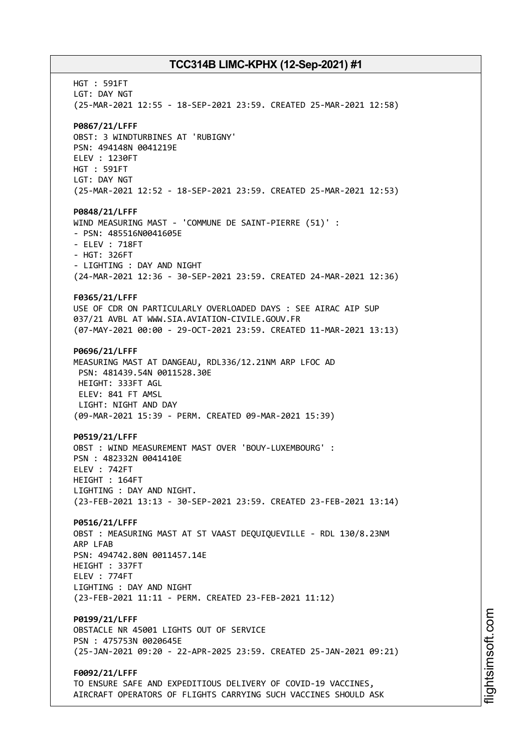HGT : 591FT LGT: DAY NGT (25-MAR-2021 12:55 - 18-SEP-2021 23:59. CREATED 25-MAR-2021 12:58) **P0867/21/LFFF** OBST: 3 WINDTURBINES AT 'RUBIGNY' PSN: 494148N 0041219E ELEV : 1230FT HGT : 591FT LGT: DAY NGT (25-MAR-2021 12:52 - 18-SEP-2021 23:59. CREATED 25-MAR-2021 12:53) **P0848/21/LFFF** WIND MEASURING MAST - 'COMMUNE DE SAINT-PIERRE (51)' : - PSN: 485516N0041605E - ELEV : 718FT - HGT: 326FT - LIGHTING : DAY AND NIGHT (24-MAR-2021 12:36 - 30-SEP-2021 23:59. CREATED 24-MAR-2021 12:36) **F0365/21/LFFF** USE OF CDR ON PARTICULARLY OVERLOADED DAYS : SEE AIRAC AIP SUP 037/21 AVBL AT WWW.SIA.AVIATION-CIVILE.GOUV.FR (07-MAY-2021 00:00 - 29-OCT-2021 23:59. CREATED 11-MAR-2021 13:13) **P0696/21/LFFF** MEASURING MAST AT DANGEAU, RDL336/12.21NM ARP LFOC AD PSN: 481439.54N 0011528.30E HEIGHT: 333FT AGL ELEV: 841 FT AMSL LIGHT: NIGHT AND DAY (09-MAR-2021 15:39 - PERM. CREATED 09-MAR-2021 15:39) **P0519/21/LFFF** OBST : WIND MEASUREMENT MAST OVER 'BOUY-LUXEMBOURG' : PSN : 482332N 0041410E ELEV : 742FT HEIGHT : 164FT LIGHTING : DAY AND NIGHT. (23-FEB-2021 13:13 - 30-SEP-2021 23:59. CREATED 23-FEB-2021 13:14) **P0516/21/LFFF** OBST : MEASURING MAST AT ST VAAST DEQUIQUEVILLE - RDL 130/8.23NM ARP LFAB PSN: 494742.80N 0011457.14E HEIGHT : 337FT ELEV : 774FT LIGHTING : DAY AND NIGHT (23-FEB-2021 11:11 - PERM. CREATED 23-FEB-2021 11:12) **P0199/21/LFFF** OBSTACLE NR 45001 LIGHTS OUT OF SERVICE PSN : 475753N 0020645E (25-JAN-2021 09:20 - 22-APR-2025 23:59. CREATED 25-JAN-2021 09:21) **F0092/21/LFFF** TO ENSURE SAFE AND EXPEDITIOUS DELIVERY OF COVID-19 VACCINES, AIRCRAFT OPERATORS OF FLIGHTS CARRYING SUCH VACCINES SHOULD ASK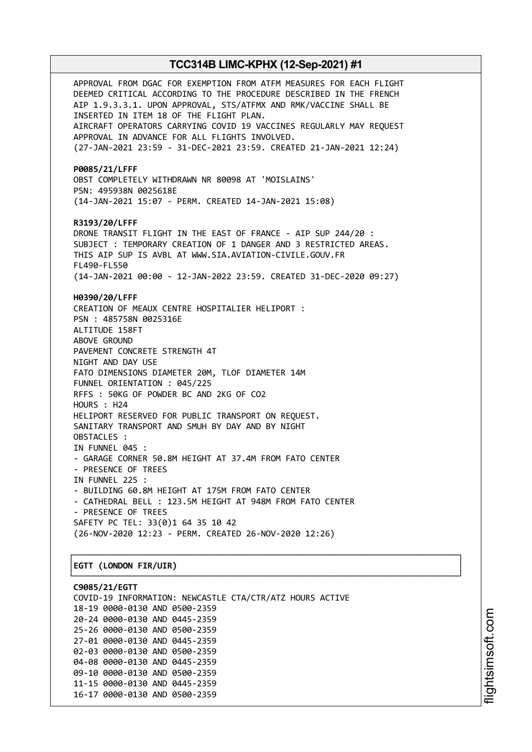APPROVAL FROM DGAC FOR EXEMPTION FROM ATFM MEASURES FOR EACH FLIGHT DEEMED CRITICAL ACCORDING TO THE PROCEDURE DESCRIBED IN THE FRENCH AIP 1.9.3.3.1. UPON APPROVAL, STS/ATFMX AND RMK/VACCINE SHALL BE INSERTED IN ITEM 18 OF THE FLIGHT PLAN. AIRCRAFT OPERATORS CARRYING COVID 19 VACCINES REGULARLY MAY REQUEST APPROVAL IN ADVANCE FOR ALL FLIGHTS INVOLVED. (27-JAN-2021 23:59 - 31-DEC-2021 23:59. CREATED 21-JAN-2021 12:24) **P0085/21/LFFF** OBST COMPLETELY WITHDRAWN NR 80098 AT 'MOISLAINS' PSN: 495938N 0025618E (14-JAN-2021 15:07 - PERM. CREATED 14-JAN-2021 15:08) **R3193/20/LFFF** DRONE TRANSIT FLIGHT IN THE EAST OF FRANCE - AIP SUP 244/20 : SUBJECT : TEMPORARY CREATION OF 1 DANGER AND 3 RESTRICTED AREAS. THIS AIP SUP IS AVBL AT WWW.SIA.AVIATION-CIVILE.GOUV.FR FL490-FL550 (14-JAN-2021 00:00 - 12-JAN-2022 23:59. CREATED 31-DEC-2020 09:27) **H0390/20/LFFF** CREATION OF MEAUX CENTRE HOSPITALIER HELIPORT : PSN : 485758N 0025316E ALTITUDE 158FT ABOVE GROUND PAVEMENT CONCRETE STRENGTH 4T NIGHT AND DAY USE FATO DIMENSIONS DIAMETER 20M, TLOF DIAMETER 14M FUNNEL ORIENTATION : 045/225 RFFS : 50KG OF POWDER BC AND 2KG OF CO2 HOURS : H24 HELIPORT RESERVED FOR PUBLIC TRANSPORT ON REQUEST. SANITARY TRANSPORT AND SMUH BY DAY AND BY NIGHT OBSTACLES : IN FUNNEL 045 : - GARAGE CORNER 50.8M HEIGHT AT 37.4M FROM FATO CENTER - PRESENCE OF TREES IN FUNNEL 225 : - BUILDING 60.8M HEIGHT AT 175M FROM FATO CENTER - CATHEDRAL BELL : 123.5M HEIGHT AT 948M FROM FATO CENTER - PRESENCE OF TREES SAFETY PC TEL: 33(0)1 64 35 10 42 (26-NOV-2020 12:23 - PERM. CREATED 26-NOV-2020 12:26) ┌──────────────────────────────────────────────────────────────────────────────┐ │**EGTT (LONDON FIR/UIR)** │

# └──────────────────────────────────────────────────────────────────────────────┘

**C9085/21/EGTT** COVID-19 INFORMATION: NEWCASTLE CTA/CTR/ATZ HOURS ACTIVE 18-19 0000-0130 AND 0500-2359 20-24 0000-0130 AND 0445-2359 25-26 0000-0130 AND 0500-2359 27-01 0000-0130 AND 0445-2359 02-03 0000-0130 AND 0500-2359 04-08 0000-0130 AND 0445-2359 09-10 0000-0130 AND 0500-2359 11-15 0000-0130 AND 0445-2359 16-17 0000-0130 AND 0500-2359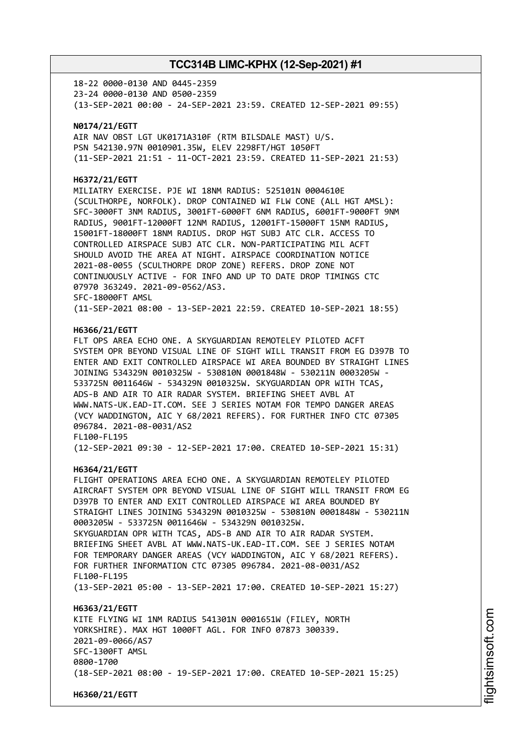18-22 0000-0130 AND 0445-2359 23-24 0000-0130 AND 0500-2359 (13-SEP-2021 00:00 - 24-SEP-2021 23:59. CREATED 12-SEP-2021 09:55)

#### **N0174/21/EGTT**

AIR NAV OBST LGT UK0171A310F (RTM BILSDALE MAST) U/S. PSN 542130.97N 0010901.35W, ELEV 2298FT/HGT 1050FT (11-SEP-2021 21:51 - 11-OCT-2021 23:59. CREATED 11-SEP-2021 21:53)

#### **H6372/21/EGTT**

MILIATRY EXERCISE. PJE WI 18NM RADIUS: 525101N 0004610E (SCULTHORPE, NORFOLK). DROP CONTAINED WI FLW CONE (ALL HGT AMSL): SFC-3000FT 3NM RADIUS, 3001FT-6000FT 6NM RADIUS, 6001FT-9000FT 9NM RADIUS, 9001FT-12000FT 12NM RADIUS, 12001FT-15000FT 15NM RADIUS, 15001FT-18000FT 18NM RADIUS. DROP HGT SUBJ ATC CLR. ACCESS TO CONTROLLED AIRSPACE SUBJ ATC CLR. NON-PARTICIPATING MIL ACFT SHOULD AVOID THE AREA AT NIGHT. AIRSPACE COORDINATION NOTICE 2021-08-0055 (SCULTHORPE DROP ZONE) REFERS. DROP ZONE NOT CONTINUOUSLY ACTIVE - FOR INFO AND UP TO DATE DROP TIMINGS CTC 07970 363249. 2021-09-0562/AS3. SFC-18000FT AMSL (11-SEP-2021 08:00 - 13-SEP-2021 22:59. CREATED 10-SEP-2021 18:55)

#### **H6366/21/EGTT**

FLT OPS AREA ECHO ONE. A SKYGUARDIAN REMOTELEY PILOTED ACFT SYSTEM OPR BEYOND VISUAL LINE OF SIGHT WILL TRANSIT FROM EG D397B TO ENTER AND EXIT CONTROLLED AIRSPACE WI AREA BOUNDED BY STRAIGHT LINES JOINING 534329N 0010325W - 530810N 0001848W - 530211N 0003205W - 533725N 0011646W - 534329N 0010325W. SKYGUARDIAN OPR WITH TCAS, ADS-B AND AIR TO AIR RADAR SYSTEM. BRIEFING SHEET AVBL AT WWW.NATS-UK.EAD-IT.COM. SEE J SERIES NOTAM FOR TEMPO DANGER AREAS (VCY WADDINGTON, AIC Y 68/2021 REFERS). FOR FURTHER INFO CTC 07305 096784. 2021-08-0031/AS2 FL100-FL195

(12-SEP-2021 09:30 - 12-SEP-2021 17:00. CREATED 10-SEP-2021 15:31)

#### **H6364/21/EGTT**

**H6360/21/EGTT**

FLIGHT OPERATIONS AREA ECHO ONE. A SKYGUARDIAN REMOTELEY PILOTED AIRCRAFT SYSTEM OPR BEYOND VISUAL LINE OF SIGHT WILL TRANSIT FROM EG D397B TO ENTER AND EXIT CONTROLLED AIRSPACE WI AREA BOUNDED BY STRAIGHT LINES JOINING 534329N 0010325W - 530810N 0001848W - 530211N 0003205W - 533725N 0011646W - 534329N 0010325W. SKYGUARDIAN OPR WITH TCAS, ADS-B AND AIR TO AIR RADAR SYSTEM. BRIEFING SHEET AVBL AT WWW.NATS-UK.EAD-IT.COM. SEE J SERIES NOTAM FOR TEMPORARY DANGER AREAS (VCY WADDINGTON, AIC Y 68/2021 REFERS). FOR FURTHER INFORMATION CTC 07305 096784. 2021-08-0031/AS2 FL100-FL195 (13-SEP-2021 05:00 - 13-SEP-2021 17:00. CREATED 10-SEP-2021 15:27) **H6363/21/EGTT** KITE FLYING WI 1NM RADIUS 541301N 0001651W (FILEY, NORTH YORKSHIRE). MAX HGT 1000FT AGL. FOR INFO 07873 300339. 2021-09-0066/AS7 SFC-1300FT AMSL 0800-1700

(18-SEP-2021 08:00 - 19-SEP-2021 17:00. CREATED 10-SEP-2021 15:25)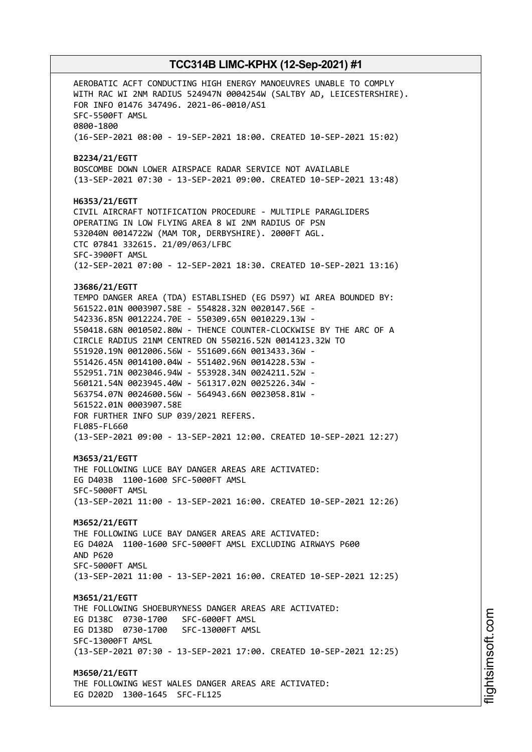AEROBATIC ACFT CONDUCTING HIGH ENERGY MANOEUVRES UNABLE TO COMPLY WITH RAC WI 2NM RADIUS 524947N 0004254W (SALTBY AD, LEICESTERSHIRE). FOR INFO 01476 347496. 2021-06-0010/AS1 SFC-5500FT AMSL 0800-1800 (16-SEP-2021 08:00 - 19-SEP-2021 18:00. CREATED 10-SEP-2021 15:02) **B2234/21/EGTT** BOSCOMBE DOWN LOWER AIRSPACE RADAR SERVICE NOT AVAILABLE (13-SEP-2021 07:30 - 13-SEP-2021 09:00. CREATED 10-SEP-2021 13:48) **H6353/21/EGTT** CIVIL AIRCRAFT NOTIFICATION PROCEDURE - MULTIPLE PARAGLIDERS OPERATING IN LOW FLYING AREA 8 WI 2NM RADIUS OF PSN 532040N 0014722W (MAM TOR, DERBYSHIRE). 2000FT AGL. CTC 07841 332615. 21/09/063/LFBC SFC-3900FT AMSL (12-SEP-2021 07:00 - 12-SEP-2021 18:30. CREATED 10-SEP-2021 13:16) **J3686/21/EGTT** TEMPO DANGER AREA (TDA) ESTABLISHED (EG D597) WI AREA BOUNDED BY: 561522.01N 0003907.58E - 554828.32N 0020147.56E - 542336.85N 0012224.70E - 550309.65N 0010229.13W - 550418.68N 0010502.80W - THENCE COUNTER-CLOCKWISE BY THE ARC OF A CIRCLE RADIUS 21NM CENTRED ON 550216.52N 0014123.32W TO 551920.19N 0012006.56W - 551609.66N 0013433.36W - 551426.45N 0014100.04W - 551402.96N 0014228.53W - 552951.71N 0023046.94W - 553928.34N 0024211.52W - 560121.54N 0023945.40W - 561317.02N 0025226.34W - 563754.07N 0024600.56W - 564943.66N 0023058.81W - 561522.01N 0003907.58E FOR FURTHER INFO SUP 039/2021 REFERS. FL085-FL660 (13-SEP-2021 09:00 - 13-SEP-2021 12:00. CREATED 10-SEP-2021 12:27) **M3653/21/EGTT** THE FOLLOWING LUCE BAY DANGER AREAS ARE ACTIVATED: EG D403B 1100-1600 SFC-5000FT AMSL SFC-5000FT AMSL (13-SEP-2021 11:00 - 13-SEP-2021 16:00. CREATED 10-SEP-2021 12:26) **M3652/21/EGTT** THE FOLLOWING LUCE BAY DANGER AREAS ARE ACTIVATED: EG D402A 1100-1600 SFC-5000FT AMSL EXCLUDING AIRWAYS P600 AND P620 SFC-5000FT AMSL (13-SEP-2021 11:00 - 13-SEP-2021 16:00. CREATED 10-SEP-2021 12:25) **M3651/21/EGTT** THE FOLLOWING SHOEBURYNESS DANGER AREAS ARE ACTIVATED: EG D138C 0730-1700 SFC-6000FT AMSL EG D138D 0730-1700 SFC-13000FT AMSL SFC-13000FT AMSL (13-SEP-2021 07:30 - 13-SEP-2021 17:00. CREATED 10-SEP-2021 12:25) **M3650/21/EGTT** THE FOLLOWING WEST WALES DANGER AREAS ARE ACTIVATED: EG D202D 1300-1645 SFC-FL125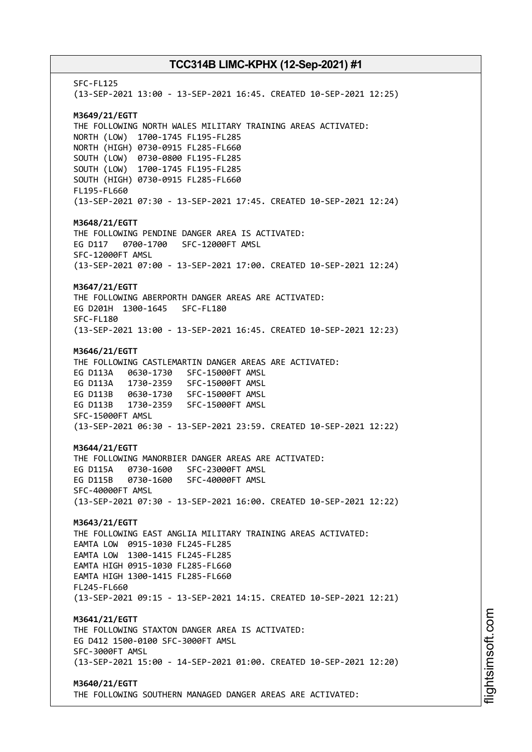SFC-FL125 (13-SEP-2021 13:00 - 13-SEP-2021 16:45. CREATED 10-SEP-2021 12:25) **M3649/21/EGTT** THE FOLLOWING NORTH WALES MILITARY TRAINING AREAS ACTIVATED: NORTH (LOW) 1700-1745 FL195-FL285 NORTH (HIGH) 0730-0915 FL285-FL660 SOUTH (LOW) 0730-0800 FL195-FL285 SOUTH (LOW) 1700-1745 FL195-FL285 SOUTH (HIGH) 0730-0915 FL285-FL660 FL195-FL660 (13-SEP-2021 07:30 - 13-SEP-2021 17:45. CREATED 10-SEP-2021 12:24) **M3648/21/EGTT** THE FOLLOWING PENDINE DANGER AREA IS ACTIVATED: EG D117 0700-1700 SFC-12000FT AMSL SFC-12000FT AMSL (13-SEP-2021 07:00 - 13-SEP-2021 17:00. CREATED 10-SEP-2021 12:24) **M3647/21/EGTT** THE FOLLOWING ABERPORTH DANGER AREAS ARE ACTIVATED: EG D201H 1300-1645 SFC-FL180 SFC-FL180 (13-SEP-2021 13:00 - 13-SEP-2021 16:45. CREATED 10-SEP-2021 12:23) **M3646/21/EGTT** THE FOLLOWING CASTLEMARTIN DANGER AREAS ARE ACTIVATED: EG D113A 0630-1730 SFC-15000FT AMSL EG D113A 1730-2359 SFC-15000FT AMSL EG D113B 0630-1730 SFC-15000FT AMSL EG D113B 1730-2359 SFC-15000FT AMSL SFC-15000FT AMSL (13-SEP-2021 06:30 - 13-SEP-2021 23:59. CREATED 10-SEP-2021 12:22) **M3644/21/EGTT** THE FOLLOWING MANORBIER DANGER AREAS ARE ACTIVATED: EG D115A 0730-1600 SFC-23000FT AMSL EG D115B 0730-1600 SFC-40000FT AMSL SFC-40000FT AMSL (13-SEP-2021 07:30 - 13-SEP-2021 16:00. CREATED 10-SEP-2021 12:22) **M3643/21/EGTT** THE FOLLOWING EAST ANGLIA MILITARY TRAINING AREAS ACTIVATED: EAMTA LOW 0915-1030 FL245-FL285 EAMTA LOW 1300-1415 FL245-FL285 EAMTA HIGH 0915-1030 FL285-FL660 EAMTA HIGH 1300-1415 FL285-FL660 FL245-FL660 (13-SEP-2021 09:15 - 13-SEP-2021 14:15. CREATED 10-SEP-2021 12:21) **M3641/21/EGTT** THE FOLLOWING STAXTON DANGER AREA IS ACTIVATED: EG D412 1500-0100 SFC-3000FT AMSL SFC-3000FT AMSL (13-SEP-2021 15:00 - 14-SEP-2021 01:00. CREATED 10-SEP-2021 12:20) **M3640/21/EGTT** THE FOLLOWING SOUTHERN MANAGED DANGER AREAS ARE ACTIVATED: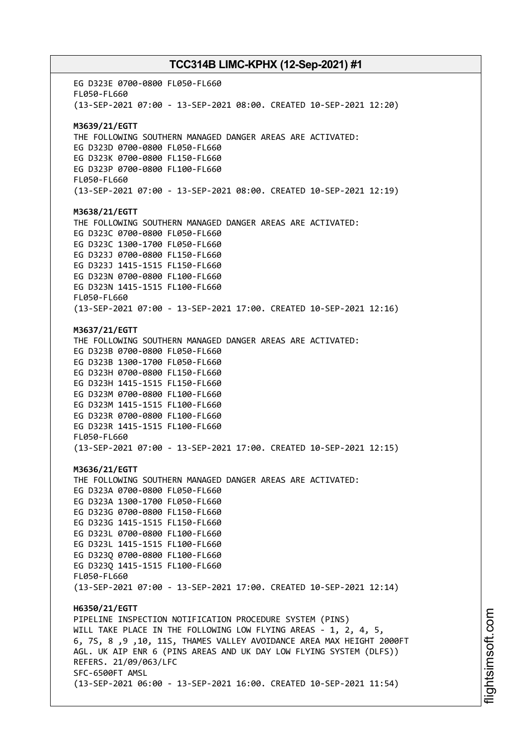EG D323E 0700-0800 FL050-FL660 FL050-FL660 (13-SEP-2021 07:00 - 13-SEP-2021 08:00. CREATED 10-SEP-2021 12:20) **M3639/21/EGTT** THE FOLLOWING SOUTHERN MANAGED DANGER AREAS ARE ACTIVATED: EG D323D 0700-0800 FL050-FL660 EG D323K 0700-0800 FL150-FL660 EG D323P 0700-0800 FL100-FL660 FL050-FL660 (13-SEP-2021 07:00 - 13-SEP-2021 08:00. CREATED 10-SEP-2021 12:19) **M3638/21/EGTT** THE FOLLOWING SOUTHERN MANAGED DANGER AREAS ARE ACTIVATED: EG D323C 0700-0800 FL050-FL660 EG D323C 1300-1700 FL050-FL660 EG D323J 0700-0800 FL150-FL660 EG D323J 1415-1515 FL150-FL660 EG D323N 0700-0800 FL100-FL660 EG D323N 1415-1515 FL100-FL660 FL050-FL660 (13-SEP-2021 07:00 - 13-SEP-2021 17:00. CREATED 10-SEP-2021 12:16) **M3637/21/EGTT** THE FOLLOWING SOUTHERN MANAGED DANGER AREAS ARE ACTIVATED: EG D323B 0700-0800 FL050-FL660 EG D323B 1300-1700 FL050-FL660 EG D323H 0700-0800 FL150-FL660 EG D323H 1415-1515 FL150-FL660 EG D323M 0700-0800 FL100-FL660 EG D323M 1415-1515 FL100-FL660 EG D323R 0700-0800 FL100-FL660 EG D323R 1415-1515 FL100-FL660 FL050-FL660 (13-SEP-2021 07:00 - 13-SEP-2021 17:00. CREATED 10-SEP-2021 12:15) **M3636/21/EGTT** THE FOLLOWING SOUTHERN MANAGED DANGER AREAS ARE ACTIVATED: EG D323A 0700-0800 FL050-FL660 EG D323A 1300-1700 FL050-FL660 EG D323G 0700-0800 FL150-FL660 EG D323G 1415-1515 FL150-FL660 EG D323L 0700-0800 FL100-FL660 EG D323L 1415-1515 FL100-FL660 EG D323Q 0700-0800 FL100-FL660 EG D323Q 1415-1515 FL100-FL660 FL050-FL660 (13-SEP-2021 07:00 - 13-SEP-2021 17:00. CREATED 10-SEP-2021 12:14) **H6350/21/EGTT** PIPELINE INSPECTION NOTIFICATION PROCEDURE SYSTEM (PINS) WILL TAKE PLACE IN THE FOLLOWING LOW FLYING AREAS - 1, 2, 4, 5, 6, 7S, 8 ,9 ,10, 11S, THAMES VALLEY AVOIDANCE AREA MAX HEIGHT 2000FT AGL. UK AIP ENR 6 (PINS AREAS AND UK DAY LOW FLYING SYSTEM (DLFS)) REFERS. 21/09/063/LFC SFC-6500FT AMSL (13-SEP-2021 06:00 - 13-SEP-2021 16:00. CREATED 10-SEP-2021 11:54)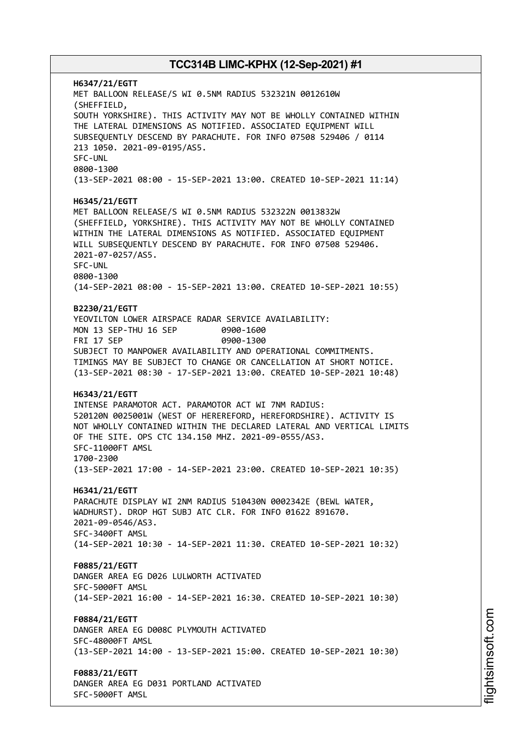**H6347/21/EGTT** MET BALLOON RELEASE/S WI 0.5NM RADIUS 532321N 0012610W (SHEFFIELD, SOUTH YORKSHIRE). THIS ACTIVITY MAY NOT BE WHOLLY CONTAINED WITHIN THE LATERAL DIMENSIONS AS NOTIFIED. ASSOCIATED EQUIPMENT WILL SUBSEQUENTLY DESCEND BY PARACHUTE. FOR INFO 07508 529406 / 0114 213 1050. 2021-09-0195/AS5. SFC-UNL 0800-1300 (13-SEP-2021 08:00 - 15-SEP-2021 13:00. CREATED 10-SEP-2021 11:14) **H6345/21/EGTT** MET BALLOON RELEASE/S WI 0.5NM RADIUS 532322N 0013832W (SHEFFIELD, YORKSHIRE). THIS ACTIVITY MAY NOT BE WHOLLY CONTAINED WITHIN THE LATERAL DIMENSIONS AS NOTIFIED. ASSOCIATED EQUIPMENT WILL SUBSEQUENTLY DESCEND BY PARACHUTE. FOR INFO 07508 529406. 2021-07-0257/AS5. SFC-UNL 0800-1300 (14-SEP-2021 08:00 - 15-SEP-2021 13:00. CREATED 10-SEP-2021 10:55) **B2230/21/EGTT** YEOVILTON LOWER AIRSPACE RADAR SERVICE AVAILABILITY: MON 13 SEP-THU 16 SEP 0900-1600 FRI 17 SEP 0900-1300 SUBJECT TO MANPOWER AVAILABILITY AND OPERATIONAL COMMITMENTS. TIMINGS MAY BE SUBJECT TO CHANGE OR CANCELLATION AT SHORT NOTICE. (13-SEP-2021 08:30 - 17-SEP-2021 13:00. CREATED 10-SEP-2021 10:48) **H6343/21/EGTT** INTENSE PARAMOTOR ACT. PARAMOTOR ACT WI 7NM RADIUS: 520120N 0025001W (WEST OF HEREREFORD, HEREFORDSHIRE). ACTIVITY IS NOT WHOLLY CONTAINED WITHIN THE DECLARED LATERAL AND VERTICAL LIMITS OF THE SITE. OPS CTC 134.150 MHZ. 2021-09-0555/AS3. SFC-11000FT AMSL 1700-2300 (13-SEP-2021 17:00 - 14-SEP-2021 23:00. CREATED 10-SEP-2021 10:35) **H6341/21/EGTT** PARACHUTE DISPLAY WI 2NM RADIUS 510430N 0002342E (BEWL WATER, WADHURST). DROP HGT SUBJ ATC CLR. FOR INFO 01622 891670. 2021-09-0546/AS3. SFC-3400FT AMSL (14-SEP-2021 10:30 - 14-SEP-2021 11:30. CREATED 10-SEP-2021 10:32) **F0885/21/EGTT** DANGER AREA EG D026 LULWORTH ACTIVATED SFC-5000FT AMSL (14-SEP-2021 16:00 - 14-SEP-2021 16:30. CREATED 10-SEP-2021 10:30) **F0884/21/EGTT** DANGER AREA EG D008C PLYMOUTH ACTIVATED SFC-48000FT AMSL (13-SEP-2021 14:00 - 13-SEP-2021 15:00. CREATED 10-SEP-2021 10:30) **F0883/21/EGTT** DANGER AREA EG D031 PORTLAND ACTIVATED SFC-5000FT AMSL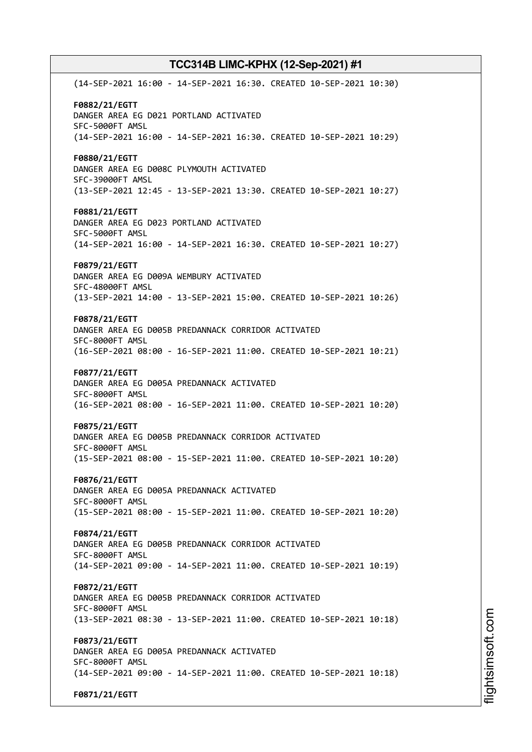(14-SEP-2021 16:00 - 14-SEP-2021 16:30. CREATED 10-SEP-2021 10:30) **F0882/21/EGTT** DANGER AREA EG D021 PORTLAND ACTIVATED SFC-5000FT AMSL (14-SEP-2021 16:00 - 14-SEP-2021 16:30. CREATED 10-SEP-2021 10:29) **F0880/21/EGTT** DANGER AREA EG D008C PLYMOUTH ACTIVATED SFC-39000FT AMSL (13-SEP-2021 12:45 - 13-SEP-2021 13:30. CREATED 10-SEP-2021 10:27) **F0881/21/EGTT** DANGER AREA EG D023 PORTLAND ACTIVATED SFC-5000FT AMSL (14-SEP-2021 16:00 - 14-SEP-2021 16:30. CREATED 10-SEP-2021 10:27) **F0879/21/EGTT** DANGER AREA EG D009A WEMBURY ACTIVATED SFC-48000FT AMSL (13-SEP-2021 14:00 - 13-SEP-2021 15:00. CREATED 10-SEP-2021 10:26) **F0878/21/EGTT** DANGER AREA EG D005B PREDANNACK CORRIDOR ACTIVATED SFC-8000FT AMSL (16-SEP-2021 08:00 - 16-SEP-2021 11:00. CREATED 10-SEP-2021 10:21) **F0877/21/EGTT** DANGER AREA EG D005A PREDANNACK ACTIVATED SFC-8000FT AMSL (16-SEP-2021 08:00 - 16-SEP-2021 11:00. CREATED 10-SEP-2021 10:20) **F0875/21/EGTT** DANGER AREA EG D005B PREDANNACK CORRIDOR ACTIVATED SFC-8000FT AMSL (15-SEP-2021 08:00 - 15-SEP-2021 11:00. CREATED 10-SEP-2021 10:20) **F0876/21/EGTT** DANGER AREA EG D005A PREDANNACK ACTIVATED SFC-8000FT AMSL (15-SEP-2021 08:00 - 15-SEP-2021 11:00. CREATED 10-SEP-2021 10:20) **F0874/21/EGTT** DANGER AREA EG D005B PREDANNACK CORRIDOR ACTIVATED SFC-8000FT AMSL (14-SEP-2021 09:00 - 14-SEP-2021 11:00. CREATED 10-SEP-2021 10:19) **F0872/21/EGTT** DANGER AREA EG D005B PREDANNACK CORRIDOR ACTIVATED SFC-8000FT AMSL (13-SEP-2021 08:30 - 13-SEP-2021 11:00. CREATED 10-SEP-2021 10:18) **F0873/21/EGTT** DANGER AREA EG D005A PREDANNACK ACTIVATED SFC-8000FT AMSL (14-SEP-2021 09:00 - 14-SEP-2021 11:00. CREATED 10-SEP-2021 10:18) **F0871/21/EGTT**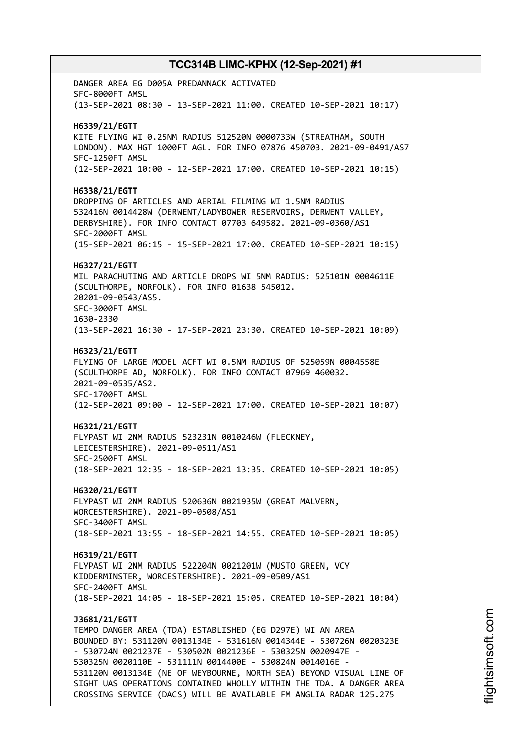DANGER AREA EG D005A PREDANNACK ACTIVATED SFC-8000FT AMSL (13-SEP-2021 08:30 - 13-SEP-2021 11:00. CREATED 10-SEP-2021 10:17) **H6339/21/EGTT** KITE FLYING WI 0.25NM RADIUS 512520N 0000733W (STREATHAM, SOUTH LONDON). MAX HGT 1000FT AGL. FOR INFO 07876 450703. 2021-09-0491/AS7 SFC-1250FT AMSL (12-SEP-2021 10:00 - 12-SEP-2021 17:00. CREATED 10-SEP-2021 10:15) **H6338/21/EGTT** DROPPING OF ARTICLES AND AERIAL FILMING WI 1.5NM RADIUS 532416N 0014428W (DERWENT/LADYBOWER RESERVOIRS, DERWENT VALLEY, DERBYSHIRE). FOR INFO CONTACT 07703 649582. 2021-09-0360/AS1 SFC-2000FT AMSL (15-SEP-2021 06:15 - 15-SEP-2021 17:00. CREATED 10-SEP-2021 10:15) **H6327/21/EGTT** MIL PARACHUTING AND ARTICLE DROPS WI 5NM RADIUS: 525101N 0004611E (SCULTHORPE, NORFOLK). FOR INFO 01638 545012. 20201-09-0543/AS5. SFC-3000FT AMSL 1630-2330 (13-SEP-2021 16:30 - 17-SEP-2021 23:30. CREATED 10-SEP-2021 10:09) **H6323/21/EGTT** FLYING OF LARGE MODEL ACFT WI 0.5NM RADIUS OF 525059N 0004558E (SCULTHORPE AD, NORFOLK). FOR INFO CONTACT 07969 460032. 2021-09-0535/AS2. SFC-1700FT AMSL (12-SEP-2021 09:00 - 12-SEP-2021 17:00. CREATED 10-SEP-2021 10:07) **H6321/21/EGTT** FLYPAST WI 2NM RADIUS 523231N 0010246W (FLECKNEY, LEICESTERSHIRE). 2021-09-0511/AS1 SFC-2500FT AMSL (18-SEP-2021 12:35 - 18-SEP-2021 13:35. CREATED 10-SEP-2021 10:05) **H6320/21/EGTT** FLYPAST WI 2NM RADIUS 520636N 0021935W (GREAT MALVERN, WORCESTERSHIRE). 2021-09-0508/AS1 SFC-3400FT AMSL (18-SEP-2021 13:55 - 18-SEP-2021 14:55. CREATED 10-SEP-2021 10:05) **H6319/21/EGTT** FLYPAST WI 2NM RADIUS 522204N 0021201W (MUSTO GREEN, VCY KIDDERMINSTER, WORCESTERSHIRE). 2021-09-0509/AS1 SFC-2400FT AMSL (18-SEP-2021 14:05 - 18-SEP-2021 15:05. CREATED 10-SEP-2021 10:04) **J3681/21/EGTT** TEMPO DANGER AREA (TDA) ESTABLISHED (EG D297E) WI AN AREA BOUNDED BY: 531120N 0013134E - 531616N 0014344E - 530726N 0020323E - 530724N 0021237E - 530502N 0021236E - 530325N 0020947E - 530325N 0020110E - 531111N 0014400E - 530824N 0014016E - 531120N 0013134E (NE OF WEYBOURNE, NORTH SEA) BEYOND VISUAL LINE OF SIGHT UAS OPERATIONS CONTAINED WHOLLY WITHIN THE TDA. A DANGER AREA CROSSING SERVICE (DACS) WILL BE AVAILABLE FM ANGLIA RADAR 125.275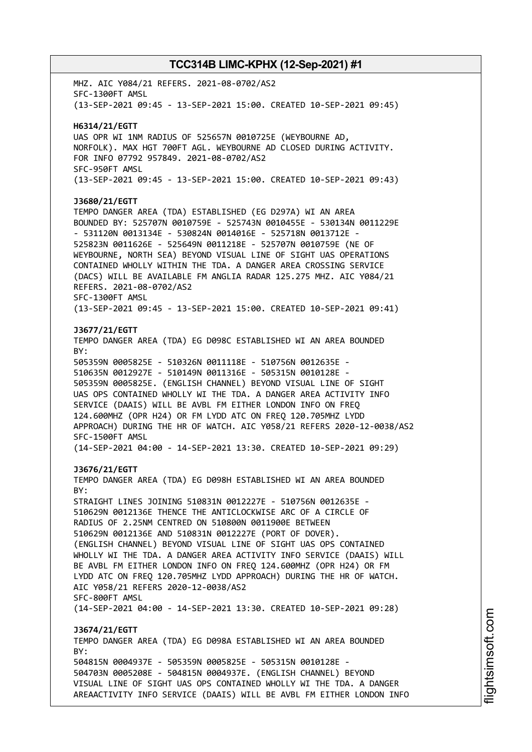MHZ. AIC Y084/21 REFERS. 2021-08-0702/AS2 SFC-1300FT AMSL (13-SEP-2021 09:45 - 13-SEP-2021 15:00. CREATED 10-SEP-2021 09:45) **H6314/21/EGTT** UAS OPR WI 1NM RADIUS OF 525657N 0010725E (WEYBOURNE AD, NORFOLK). MAX HGT 700FT AGL. WEYBOURNE AD CLOSED DURING ACTIVITY. FOR INFO 07792 957849. 2021-08-0702/AS2 SFC-950FT AMSL (13-SEP-2021 09:45 - 13-SEP-2021 15:00. CREATED 10-SEP-2021 09:43) **J3680/21/EGTT** TEMPO DANGER AREA (TDA) ESTABLISHED (EG D297A) WI AN AREA BOUNDED BY: 525707N 0010759E - 525743N 0010455E - 530134N 0011229E - 531120N 0013134E - 530824N 0014016E - 525718N 0013712E - 525823N 0011626E - 525649N 0011218E - 525707N 0010759E (NE OF WEYBOURNE, NORTH SEA) BEYOND VISUAL LINE OF SIGHT UAS OPERATIONS CONTAINED WHOLLY WITHIN THE TDA. A DANGER AREA CROSSING SERVICE (DACS) WILL BE AVAILABLE FM ANGLIA RADAR 125.275 MHZ. AIC Y084/21 REFERS. 2021-08-0702/AS2 SFC-1300FT AMSL (13-SEP-2021 09:45 - 13-SEP-2021 15:00. CREATED 10-SEP-2021 09:41) **J3677/21/EGTT** TEMPO DANGER AREA (TDA) EG D098C ESTABLISHED WI AN AREA BOUNDED BY: 505359N 0005825E - 510326N 0011118E - 510756N 0012635E - 510635N 0012927E - 510149N 0011316E - 505315N 0010128E - 505359N 0005825E. (ENGLISH CHANNEL) BEYOND VISUAL LINE OF SIGHT UAS OPS CONTAINED WHOLLY WI THE TDA. A DANGER AREA ACTIVITY INFO SERVICE (DAAIS) WILL BE AVBL FM EITHER LONDON INFO ON FREQ 124.600MHZ (OPR H24) OR FM LYDD ATC ON FREQ 120.705MHZ LYDD APPROACH) DURING THE HR OF WATCH. AIC Y058/21 REFERS 2020-12-0038/AS2 SFC-1500FT AMSL (14-SEP-2021 04:00 - 14-SEP-2021 13:30. CREATED 10-SEP-2021 09:29) **J3676/21/EGTT** TEMPO DANGER AREA (TDA) EG D098H ESTABLISHED WI AN AREA BOUNDED  $RY$ STRAIGHT LINES JOINING 510831N 0012227E - 510756N 0012635E - 510629N 0012136E THENCE THE ANTICLOCKWISE ARC OF A CIRCLE OF RADIUS OF 2.25NM CENTRED ON 510800N 0011900E BETWEEN 510629N 0012136E AND 510831N 0012227E (PORT OF DOVER). (ENGLISH CHANNEL) BEYOND VISUAL LINE OF SIGHT UAS OPS CONTAINED WHOLLY WI THE TDA. A DANGER AREA ACTIVITY INFO SERVICE (DAAIS) WILL BE AVBL FM EITHER LONDON INFO ON FREQ 124.600MHZ (OPR H24) OR FM LYDD ATC ON FREQ 120.705MHZ LYDD APPROACH) DURING THE HR OF WATCH. AIC Y058/21 REFERS 2020-12-0038/AS2 SFC-800FT AMSL (14-SEP-2021 04:00 - 14-SEP-2021 13:30. CREATED 10-SEP-2021 09:28) **J3674/21/EGTT** TEMPO DANGER AREA (TDA) EG D098A ESTABLISHED WI AN AREA BOUNDED BY: 504815N 0004937E - 505359N 0005825E - 505315N 0010128E - 504703N 0005208E - 504815N 0004937E. (ENGLISH CHANNEL) BEYOND VISUAL LINE OF SIGHT UAS OPS CONTAINED WHOLLY WI THE TDA. A DANGER AREAACTIVITY INFO SERVICE (DAAIS) WILL BE AVBL FM EITHER LONDON INFO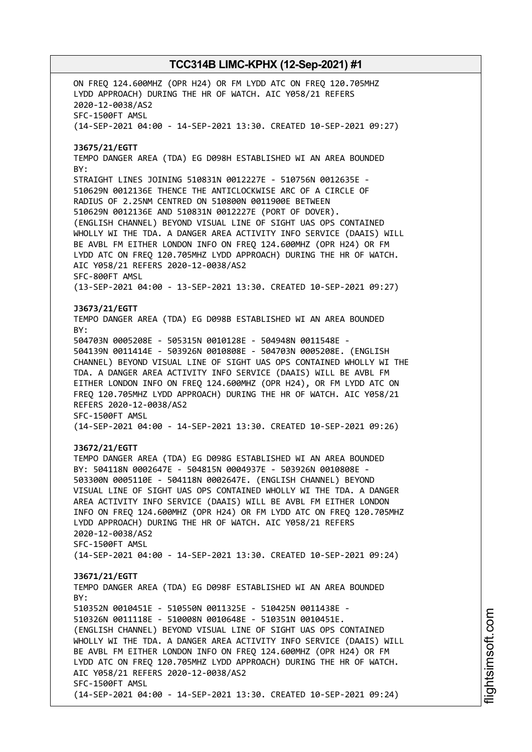ON FREQ 124.600MHZ (OPR H24) OR FM LYDD ATC ON FREQ 120.705MHZ LYDD APPROACH) DURING THE HR OF WATCH. AIC Y058/21 REFERS 2020-12-0038/AS2 SFC-1500FT AMSL (14-SEP-2021 04:00 - 14-SEP-2021 13:30. CREATED 10-SEP-2021 09:27) **J3675/21/EGTT** TEMPO DANGER AREA (TDA) EG D098H ESTABLISHED WI AN AREA BOUNDED BY: STRAIGHT LINES JOINING 510831N 0012227E - 510756N 0012635E - 510629N 0012136E THENCE THE ANTICLOCKWISE ARC OF A CIRCLE OF RADIUS OF 2.25NM CENTRED ON 510800N 0011900E BETWEEN 510629N 0012136E AND 510831N 0012227E (PORT OF DOVER). (ENGLISH CHANNEL) BEYOND VISUAL LINE OF SIGHT UAS OPS CONTAINED WHOLLY WI THE TDA. A DANGER AREA ACTIVITY INFO SERVICE (DAAIS) WILL BE AVBL FM EITHER LONDON INFO ON FREQ 124.600MHZ (OPR H24) OR FM LYDD ATC ON FREQ 120.705MHZ LYDD APPROACH) DURING THE HR OF WATCH. AIC Y058/21 REFERS 2020-12-0038/AS2 SFC-800FT AMSL (13-SEP-2021 04:00 - 13-SEP-2021 13:30. CREATED 10-SEP-2021 09:27) **J3673/21/EGTT** TEMPO DANGER AREA (TDA) EG D098B ESTABLISHED WI AN AREA BOUNDED BY: 504703N 0005208E - 505315N 0010128E - 504948N 0011548E - 504139N 0011414E - 503926N 0010808E - 504703N 0005208E. (ENGLISH CHANNEL) BEYOND VISUAL LINE OF SIGHT UAS OPS CONTAINED WHOLLY WI THE TDA. A DANGER AREA ACTIVITY INFO SERVICE (DAAIS) WILL BE AVBL FM EITHER LONDON INFO ON FREQ 124.600MHZ (OPR H24), OR FM LYDD ATC ON FREQ 120.705MHZ LYDD APPROACH) DURING THE HR OF WATCH. AIC Y058/21 REFERS 2020-12-0038/AS2 SFC-1500FT AMSL (14-SEP-2021 04:00 - 14-SEP-2021 13:30. CREATED 10-SEP-2021 09:26) **J3672/21/EGTT** TEMPO DANGER AREA (TDA) EG D098G ESTABLISHED WI AN AREA BOUNDED BY: 504118N 0002647E - 504815N 0004937E - 503926N 0010808E - 503300N 0005110E - 504118N 0002647E. (ENGLISH CHANNEL) BEYOND VISUAL LINE OF SIGHT UAS OPS CONTAINED WHOLLY WI THE TDA. A DANGER AREA ACTIVITY INFO SERVICE (DAAIS) WILL BE AVBL FM EITHER LONDON INFO ON FREQ 124.600MHZ (OPR H24) OR FM LYDD ATC ON FREQ 120.705MHZ LYDD APPROACH) DURING THE HR OF WATCH. AIC Y058/21 REFERS 2020-12-0038/AS2 SFC-1500FT AMSL (14-SEP-2021 04:00 - 14-SEP-2021 13:30. CREATED 10-SEP-2021 09:24) **J3671/21/EGTT** TEMPO DANGER AREA (TDA) EG D098F ESTABLISHED WI AN AREA BOUNDED  $RY$ 510352N 0010451E - 510550N 0011325E - 510425N 0011438E - 510326N 0011118E - 510008N 0010648E - 510351N 0010451E. (ENGLISH CHANNEL) BEYOND VISUAL LINE OF SIGHT UAS OPS CONTAINED WHOLLY WI THE TDA. A DANGER AREA ACTIVITY INFO SERVICE (DAAIS) WILL BE AVBL FM EITHER LONDON INFO ON FREQ 124.600MHZ (OPR H24) OR FM LYDD ATC ON FREQ 120.705MHZ LYDD APPROACH) DURING THE HR OF WATCH. AIC Y058/21 REFERS 2020-12-0038/AS2 SFC-1500FT AMSL (14-SEP-2021 04:00 - 14-SEP-2021 13:30. CREATED 10-SEP-2021 09:24)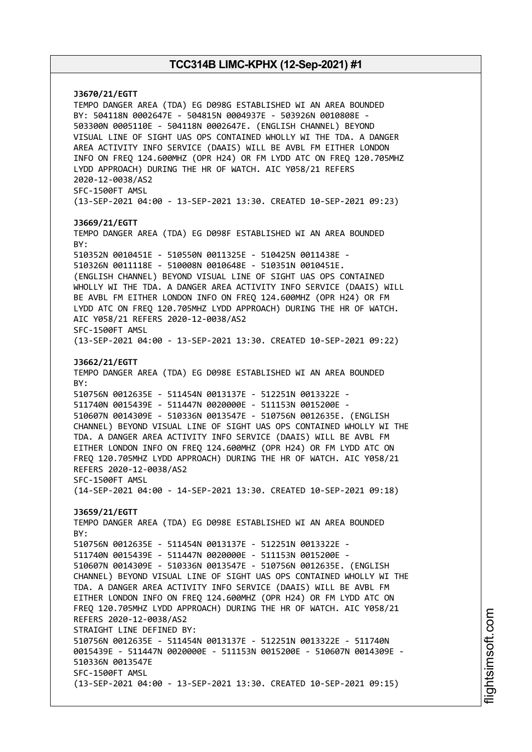**J3670/21/EGTT** TEMPO DANGER AREA (TDA) EG D098G ESTABLISHED WI AN AREA BOUNDED BY: 504118N 0002647E - 504815N 0004937E - 503926N 0010808E - 503300N 0005110E - 504118N 0002647E. (ENGLISH CHANNEL) BEYOND VISUAL LINE OF SIGHT UAS OPS CONTAINED WHOLLY WI THE TDA. A DANGER AREA ACTIVITY INFO SERVICE (DAAIS) WILL BE AVBL FM EITHER LONDON INFO ON FREQ 124.600MHZ (OPR H24) OR FM LYDD ATC ON FREQ 120.705MHZ LYDD APPROACH) DURING THE HR OF WATCH. AIC Y058/21 REFERS 2020-12-0038/AS2 SFC-1500FT AMSL (13-SEP-2021 04:00 - 13-SEP-2021 13:30. CREATED 10-SEP-2021 09:23) **J3669/21/EGTT** TEMPO DANGER AREA (TDA) EG D098F ESTABLISHED WI AN AREA BOUNDED BY: 510352N 0010451E - 510550N 0011325E - 510425N 0011438E - 510326N 0011118E - 510008N 0010648E - 510351N 0010451E. (ENGLISH CHANNEL) BEYOND VISUAL LINE OF SIGHT UAS OPS CONTAINED WHOLLY WI THE TDA. A DANGER AREA ACTIVITY INFO SERVICE (DAAIS) WILL BE AVBL FM EITHER LONDON INFO ON FREQ 124.600MHZ (OPR H24) OR FM LYDD ATC ON FREQ 120.705MHZ LYDD APPROACH) DURING THE HR OF WATCH. AIC Y058/21 REFERS 2020-12-0038/AS2 SFC-1500FT AMSL (13-SEP-2021 04:00 - 13-SEP-2021 13:30. CREATED 10-SEP-2021 09:22) **J3662/21/EGTT** TEMPO DANGER AREA (TDA) EG D098E ESTABLISHED WI AN AREA BOUNDED BY: 510756N 0012635E - 511454N 0013137E - 512251N 0013322E - 511740N 0015439E - 511447N 0020000E - 511153N 0015200E - 510607N 0014309E - 510336N 0013547E - 510756N 0012635E. (ENGLISH CHANNEL) BEYOND VISUAL LINE OF SIGHT UAS OPS CONTAINED WHOLLY WI THE TDA. A DANGER AREA ACTIVITY INFO SERVICE (DAAIS) WILL BE AVBL FM EITHER LONDON INFO ON FREQ 124.600MHZ (OPR H24) OR FM LYDD ATC ON FREQ 120.705MHZ LYDD APPROACH) DURING THE HR OF WATCH. AIC Y058/21 REFERS 2020-12-0038/AS2 SFC-1500FT AMSL (14-SEP-2021 04:00 - 14-SEP-2021 13:30. CREATED 10-SEP-2021 09:18) **J3659/21/EGTT** TEMPO DANGER AREA (TDA) EG D098E ESTABLISHED WI AN AREA BOUNDED BY: 510756N 0012635E - 511454N 0013137E - 512251N 0013322E - 511740N 0015439E - 511447N 0020000E - 511153N 0015200E - 510607N 0014309E - 510336N 0013547E - 510756N 0012635E. (ENGLISH CHANNEL) BEYOND VISUAL LINE OF SIGHT UAS OPS CONTAINED WHOLLY WI THE TDA. A DANGER AREA ACTIVITY INFO SERVICE (DAAIS) WILL BE AVBL FM EITHER LONDON INFO ON FREQ 124.600MHZ (OPR H24) OR FM LYDD ATC ON FREQ 120.705MHZ LYDD APPROACH) DURING THE HR OF WATCH. AIC Y058/21 REFERS 2020-12-0038/AS2 STRAIGHT LINE DEFINED BY: 510756N 0012635E - 511454N 0013137E - 512251N 0013322E - 511740N 0015439E - 511447N 0020000E - 511153N 0015200E - 510607N 0014309E - 510336N 0013547E SFC-1500FT AMSL (13-SEP-2021 04:00 - 13-SEP-2021 13:30. CREATED 10-SEP-2021 09:15)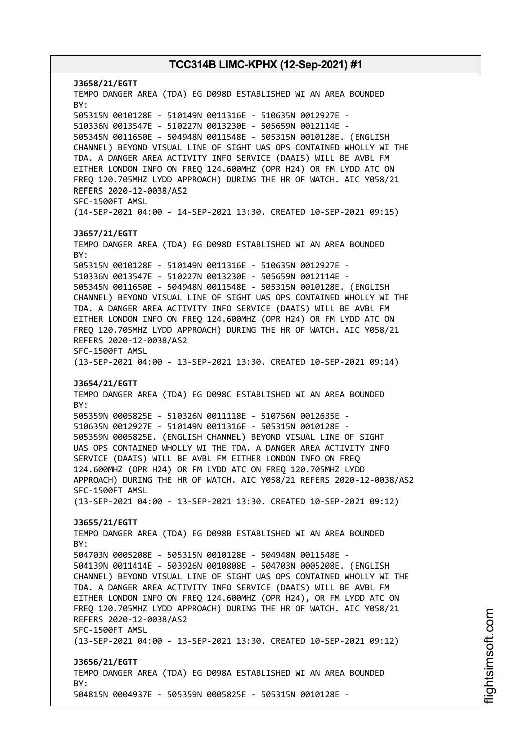**J3658/21/EGTT** TEMPO DANGER AREA (TDA) EG D098D ESTABLISHED WI AN AREA BOUNDED BY: 505315N 0010128E - 510149N 0011316E - 510635N 0012927E - 510336N 0013547E - 510227N 0013230E - 505659N 0012114E - 505345N 0011650E - 504948N 0011548E - 505315N 0010128E. (ENGLISH CHANNEL) BEYOND VISUAL LINE OF SIGHT UAS OPS CONTAINED WHOLLY WI THE TDA. A DANGER AREA ACTIVITY INFO SERVICE (DAAIS) WILL BE AVBL FM EITHER LONDON INFO ON FREQ 124.600MHZ (OPR H24) OR FM LYDD ATC ON FREQ 120.705MHZ LYDD APPROACH) DURING THE HR OF WATCH. AIC Y058/21 REFERS 2020-12-0038/AS2 SFC-1500FT AMSL (14-SEP-2021 04:00 - 14-SEP-2021 13:30. CREATED 10-SEP-2021 09:15) **J3657/21/EGTT** TEMPO DANGER AREA (TDA) EG D098D ESTABLISHED WI AN AREA BOUNDED BY: 505315N 0010128E - 510149N 0011316E - 510635N 0012927E - 510336N 0013547E - 510227N 0013230E - 505659N 0012114E - 505345N 0011650E - 504948N 0011548E - 505315N 0010128E. (ENGLISH CHANNEL) BEYOND VISUAL LINE OF SIGHT UAS OPS CONTAINED WHOLLY WI THE TDA. A DANGER AREA ACTIVITY INFO SERVICE (DAAIS) WILL BE AVBL FM EITHER LONDON INFO ON FREQ 124.600MHZ (OPR H24) OR FM LYDD ATC ON FREQ 120.705MHZ LYDD APPROACH) DURING THE HR OF WATCH. AIC Y058/21 REFERS 2020-12-0038/AS2 SFC-1500FT AMSL (13-SEP-2021 04:00 - 13-SEP-2021 13:30. CREATED 10-SEP-2021 09:14) **J3654/21/EGTT** TEMPO DANGER AREA (TDA) EG D098C ESTABLISHED WI AN AREA BOUNDED BY: 505359N 0005825E - 510326N 0011118E - 510756N 0012635E - 510635N 0012927E - 510149N 0011316E - 505315N 0010128E - 505359N 0005825E. (ENGLISH CHANNEL) BEYOND VISUAL LINE OF SIGHT UAS OPS CONTAINED WHOLLY WI THE TDA. A DANGER AREA ACTIVITY INFO SERVICE (DAAIS) WILL BE AVBL FM EITHER LONDON INFO ON FREQ 124.600MHZ (OPR H24) OR FM LYDD ATC ON FREQ 120.705MHZ LYDD APPROACH) DURING THE HR OF WATCH. AIC Y058/21 REFERS 2020-12-0038/AS2 SFC-1500FT AMSL (13-SEP-2021 04:00 - 13-SEP-2021 13:30. CREATED 10-SEP-2021 09:12) **J3655/21/EGTT** TEMPO DANGER AREA (TDA) EG D098B ESTABLISHED WI AN AREA BOUNDED  $RY$ 504703N 0005208E - 505315N 0010128E - 504948N 0011548E - 504139N 0011414E - 503926N 0010808E - 504703N 0005208E. (ENGLISH CHANNEL) BEYOND VISUAL LINE OF SIGHT UAS OPS CONTAINED WHOLLY WI THE TDA. A DANGER AREA ACTIVITY INFO SERVICE (DAAIS) WILL BE AVBL FM EITHER LONDON INFO ON FREQ 124.600MHZ (OPR H24), OR FM LYDD ATC ON FREQ 120.705MHZ LYDD APPROACH) DURING THE HR OF WATCH. AIC Y058/21 REFERS 2020-12-0038/AS2 SFC-1500FT AMSL (13-SEP-2021 04:00 - 13-SEP-2021 13:30. CREATED 10-SEP-2021 09:12) **J3656/21/EGTT** TEMPO DANGER AREA (TDA) EG D098A ESTABLISHED WI AN AREA BOUNDED BY: 504815N 0004937E - 505359N 0005825E - 505315N 0010128E -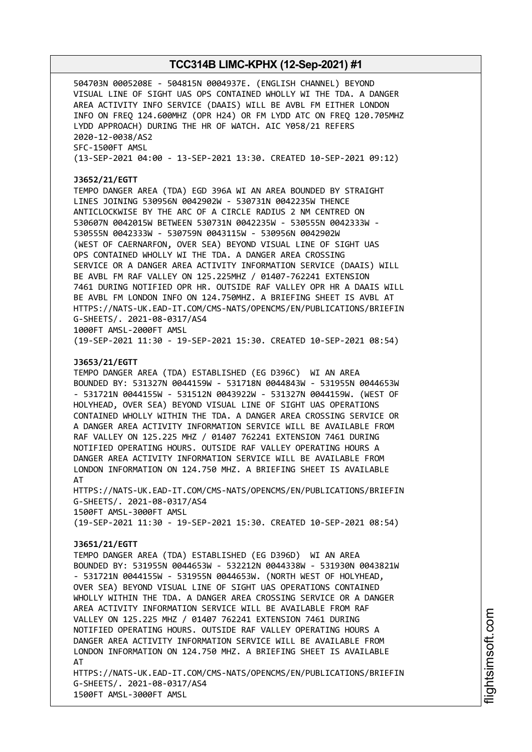504703N 0005208E - 504815N 0004937E. (ENGLISH CHANNEL) BEYOND VISUAL LINE OF SIGHT UAS OPS CONTAINED WHOLLY WI THE TDA. A DANGER AREA ACTIVITY INFO SERVICE (DAAIS) WILL BE AVBL FM EITHER LONDON INFO ON FREQ 124.600MHZ (OPR H24) OR FM LYDD ATC ON FREQ 120.705MHZ LYDD APPROACH) DURING THE HR OF WATCH. AIC Y058/21 REFERS 2020-12-0038/AS2 SFC-1500FT AMSL (13-SEP-2021 04:00 - 13-SEP-2021 13:30. CREATED 10-SEP-2021 09:12)

#### **J3652/21/EGTT**

TEMPO DANGER AREA (TDA) EGD 396A WI AN AREA BOUNDED BY STRAIGHT LINES JOINING 530956N 0042902W - 530731N 0042235W THENCE ANTICLOCKWISE BY THE ARC OF A CIRCLE RADIUS 2 NM CENTRED ON 530607N 0042015W BETWEEN 530731N 0042235W - 530555N 0042333W - 530555N 0042333W - 530759N 0043115W - 530956N 0042902W (WEST OF CAERNARFON, OVER SEA) BEYOND VISUAL LINE OF SIGHT UAS OPS CONTAINED WHOLLY WI THE TDA. A DANGER AREA CROSSING SERVICE OR A DANGER AREA ACTIVITY INFORMATION SERVICE (DAAIS) WILL BE AVBL FM RAF VALLEY ON 125.225MHZ / 01407-762241 EXTENSION 7461 DURING NOTIFIED OPR HR. OUTSIDE RAF VALLEY OPR HR A DAAIS WILL BE AVBL FM LONDON INFO ON 124.750MHZ. A BRIEFING SHEET IS AVBL AT HTTPS://NATS-UK.EAD-IT.COM/CMS-NATS/OPENCMS/EN/PUBLICATIONS/BRIEFIN G-SHEETS/. 2021-08-0317/AS4 1000FT AMSL-2000FT AMSL

(19-SEP-2021 11:30 - 19-SEP-2021 15:30. CREATED 10-SEP-2021 08:54)

#### **J3653/21/EGTT**

TEMPO DANGER AREA (TDA) ESTABLISHED (EG D396C) WI AN AREA BOUNDED BY: 531327N 0044159W - 531718N 0044843W - 531955N 0044653W - 531721N 0044155W - 531512N 0043922W - 531327N 0044159W. (WEST OF HOLYHEAD, OVER SEA) BEYOND VISUAL LINE OF SIGHT UAS OPERATIONS CONTAINED WHOLLY WITHIN THE TDA. A DANGER AREA CROSSING SERVICE OR A DANGER AREA ACTIVITY INFORMATION SERVICE WILL BE AVAILABLE FROM RAF VALLEY ON 125.225 MHZ / 01407 762241 EXTENSION 7461 DURING NOTIFIED OPERATING HOURS. OUTSIDE RAF VALLEY OPERATING HOURS A DANGER AREA ACTIVITY INFORMATION SERVICE WILL BE AVAILABLE FROM LONDON INFORMATION ON 124.750 MHZ. A BRIEFING SHEET IS AVAILABLE AT

HTTPS://NATS-UK.EAD-IT.COM/CMS-NATS/OPENCMS/EN/PUBLICATIONS/BRIEFIN G-SHEETS/. 2021-08-0317/AS4 1500FT AMSL-3000FT AMSL

(19-SEP-2021 11:30 - 19-SEP-2021 15:30. CREATED 10-SEP-2021 08:54)

#### **J3651/21/EGTT**

TEMPO DANGER AREA (TDA) ESTABLISHED (EG D396D) WI AN AREA BOUNDED BY: 531955N 0044653W - 532212N 0044338W - 531930N 0043821W - 531721N 0044155W - 531955N 0044653W. (NORTH WEST OF HOLYHEAD, OVER SEA) BEYOND VISUAL LINE OF SIGHT UAS OPERATIONS CONTAINED WHOLLY WITHIN THE TDA. A DANGER AREA CROSSING SERVICE OR A DANGER AREA ACTIVITY INFORMATION SERVICE WILL BE AVAILABLE FROM RAF VALLEY ON 125.225 MHZ / 01407 762241 EXTENSION 7461 DURING NOTIFIED OPERATING HOURS. OUTSIDE RAF VALLEY OPERATING HOURS A DANGER AREA ACTIVITY INFORMATION SERVICE WILL BE AVAILABLE FROM LONDON INFORMATION ON 124.750 MHZ. A BRIEFING SHEET IS AVAILABLE AT

HTTPS://NATS-UK.EAD-IT.COM/CMS-NATS/OPENCMS/EN/PUBLICATIONS/BRIEFIN G-SHEETS/. 2021-08-0317/AS4 1500FT AMSL-3000FT AMSL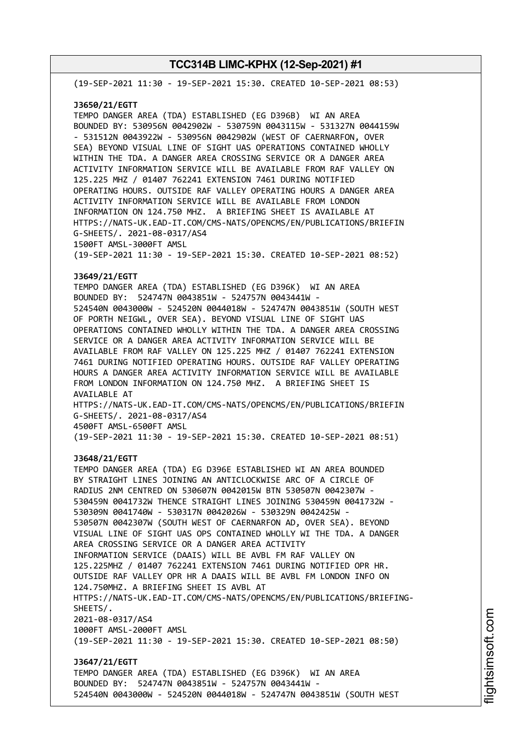(19-SEP-2021 11:30 - 19-SEP-2021 15:30. CREATED 10-SEP-2021 08:53)

#### **J3650/21/EGTT**

TEMPO DANGER AREA (TDA) ESTABLISHED (EG D396B) WI AN AREA BOUNDED BY: 530956N 0042902W - 530759N 0043115W - 531327N 0044159W - 531512N 0043922W - 530956N 0042902W (WEST OF CAERNARFON, OVER SEA) BEYOND VISUAL LINE OF SIGHT UAS OPERATIONS CONTAINED WHOLLY WITHIN THE TDA. A DANGER AREA CROSSING SERVICE OR A DANGER AREA ACTIVITY INFORMATION SERVICE WILL BE AVAILABLE FROM RAF VALLEY ON 125.225 MHZ / 01407 762241 EXTENSION 7461 DURING NOTIFIED OPERATING HOURS. OUTSIDE RAF VALLEY OPERATING HOURS A DANGER AREA ACTIVITY INFORMATION SERVICE WILL BE AVAILABLE FROM LONDON INFORMATION ON 124.750 MHZ. A BRIEFING SHEET IS AVAILABLE AT HTTPS://NATS-UK.EAD-IT.COM/CMS-NATS/OPENCMS/EN/PUBLICATIONS/BRIEFIN G-SHEETS/. 2021-08-0317/AS4 1500FT AMSL-3000FT AMSL

(19-SEP-2021 11:30 - 19-SEP-2021 15:30. CREATED 10-SEP-2021 08:52)

#### **J3649/21/EGTT**

TEMPO DANGER AREA (TDA) ESTABLISHED (EG D396K) WI AN AREA BOUNDED BY: 524747N 0043851W - 524757N 0043441W - 524540N 0043000W - 524520N 0044018W - 524747N 0043851W (SOUTH WEST OF PORTH NEIGWL, OVER SEA). BEYOND VISUAL LINE OF SIGHT UAS OPERATIONS CONTAINED WHOLLY WITHIN THE TDA. A DANGER AREA CROSSING SERVICE OR A DANGER AREA ACTIVITY INFORMATION SERVICE WILL BE AVAILABLE FROM RAF VALLEY ON 125.225 MHZ / 01407 762241 EXTENSION 7461 DURING NOTIFIED OPERATING HOURS. OUTSIDE RAF VALLEY OPERATING HOURS A DANGER AREA ACTIVITY INFORMATION SERVICE WILL BE AVAILABLE FROM LONDON INFORMATION ON 124.750 MHZ. A BRIEFING SHEET IS AVAILABLE AT HTTPS://NATS-UK.EAD-IT.COM/CMS-NATS/OPENCMS/EN/PUBLICATIONS/BRIEFIN G-SHEETS/. 2021-08-0317/AS4 4500FT AMSL-6500FT AMSL

(19-SEP-2021 11:30 - 19-SEP-2021 15:30. CREATED 10-SEP-2021 08:51)

#### **J3648/21/EGTT**

TEMPO DANGER AREA (TDA) EG D396E ESTABLISHED WI AN AREA BOUNDED BY STRAIGHT LINES JOINING AN ANTICLOCKWISE ARC OF A CIRCLE OF RADIUS 2NM CENTRED ON 530607N 0042015W BTN 530507N 0042307W - 530459N 0041732W THENCE STRAIGHT LINES JOINING 530459N 0041732W - 530309N 0041740W - 530317N 0042026W - 530329N 0042425W - 530507N 0042307W (SOUTH WEST OF CAERNARFON AD, OVER SEA). BEYOND VISUAL LINE OF SIGHT UAS OPS CONTAINED WHOLLY WI THE TDA. A DANGER AREA CROSSING SERVICE OR A DANGER AREA ACTIVITY INFORMATION SERVICE (DAAIS) WILL BE AVBL FM RAF VALLEY ON 125.225MHZ / 01407 762241 EXTENSION 7461 DURING NOTIFIED OPR HR. OUTSIDE RAF VALLEY OPR HR A DAAIS WILL BE AVBL FM LONDON INFO ON 124.750MHZ. A BRIEFING SHEET IS AVBL AT HTTPS://NATS-UK.EAD-IT.COM/CMS-NATS/OPENCMS/EN/PUBLICATIONS/BRIEFING-SHEETS/. 2021-08-0317/AS4 1000FT AMSL-2000FT AMSL (19-SEP-2021 11:30 - 19-SEP-2021 15:30. CREATED 10-SEP-2021 08:50) **J3647/21/EGTT** TEMPO DANGER AREA (TDA) ESTABLISHED (EG D396K) WI AN AREA BOUNDED BY: 524747N 0043851W - 524757N 0043441W -

524540N 0043000W - 524520N 0044018W - 524747N 0043851W (SOUTH WEST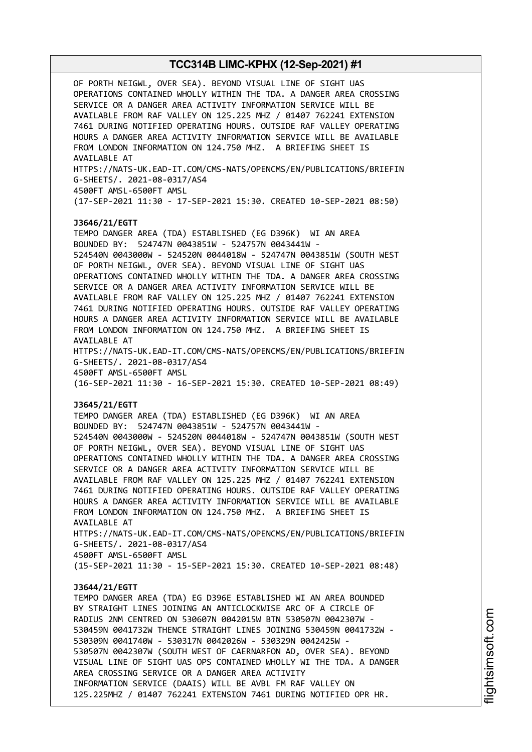OF PORTH NEIGWL, OVER SEA). BEYOND VISUAL LINE OF SIGHT UAS OPERATIONS CONTAINED WHOLLY WITHIN THE TDA. A DANGER AREA CROSSING SERVICE OR A DANGER AREA ACTIVITY INFORMATION SERVICE WILL BE AVAILABLE FROM RAF VALLEY ON 125.225 MHZ / 01407 762241 EXTENSION 7461 DURING NOTIFIED OPERATING HOURS. OUTSIDE RAF VALLEY OPERATING HOURS A DANGER AREA ACTIVITY INFORMATION SERVICE WILL BE AVAILABLE FROM LONDON INFORMATION ON 124.750 MHZ. A BRIEFING SHEET IS AVAILABLE AT HTTPS://NATS-UK.EAD-IT.COM/CMS-NATS/OPENCMS/EN/PUBLICATIONS/BRIEFIN G-SHEETS/. 2021-08-0317/AS4 4500FT AMSL-6500FT AMSL (17-SEP-2021 11:30 - 17-SEP-2021 15:30. CREATED 10-SEP-2021 08:50) **J3646/21/EGTT** TEMPO DANGER AREA (TDA) ESTABLISHED (EG D396K) WI AN AREA BOUNDED BY: 524747N 0043851W - 524757N 0043441W - 524540N 0043000W - 524520N 0044018W - 524747N 0043851W (SOUTH WEST OF PORTH NEIGWL, OVER SEA). BEYOND VISUAL LINE OF SIGHT UAS OPERATIONS CONTAINED WHOLLY WITHIN THE TDA. A DANGER AREA CROSSING SERVICE OR A DANGER AREA ACTIVITY INFORMATION SERVICE WILL BE AVAILABLE FROM RAF VALLEY ON 125.225 MHZ / 01407 762241 EXTENSION 7461 DURING NOTIFIED OPERATING HOURS. OUTSIDE RAF VALLEY OPERATING HOURS A DANGER AREA ACTIVITY INFORMATION SERVICE WILL BE AVAILABLE FROM LONDON INFORMATION ON 124.750 MHZ. A BRIEFING SHEET IS AVAILABLE AT HTTPS://NATS-UK.EAD-IT.COM/CMS-NATS/OPENCMS/EN/PUBLICATIONS/BRIEFIN G-SHEETS/. 2021-08-0317/AS4 4500FT AMSL-6500FT AMSL (16-SEP-2021 11:30 - 16-SEP-2021 15:30. CREATED 10-SEP-2021 08:49) **J3645/21/EGTT** TEMPO DANGER AREA (TDA) ESTABLISHED (EG D396K) WI AN AREA BOUNDED BY: 524747N 0043851W - 524757N 0043441W - 524540N 0043000W - 524520N 0044018W - 524747N 0043851W (SOUTH WEST OF PORTH NEIGWL, OVER SEA). BEYOND VISUAL LINE OF SIGHT UAS OPERATIONS CONTAINED WHOLLY WITHIN THE TDA. A DANGER AREA CROSSING SERVICE OR A DANGER AREA ACTIVITY INFORMATION SERVICE WILL BE AVAILABLE FROM RAF VALLEY ON 125.225 MHZ / 01407 762241 EXTENSION 7461 DURING NOTIFIED OPERATING HOURS. OUTSIDE RAF VALLEY OPERATING HOURS A DANGER AREA ACTIVITY INFORMATION SERVICE WILL BE AVAILABLE FROM LONDON INFORMATION ON 124.750 MHZ. A BRIEFING SHEET IS AVAILABLE AT HTTPS://NATS-UK.EAD-IT.COM/CMS-NATS/OPENCMS/EN/PUBLICATIONS/BRIEFIN G-SHEETS/. 2021-08-0317/AS4 4500FT AMSL-6500FT AMSL (15-SEP-2021 11:30 - 15-SEP-2021 15:30. CREATED 10-SEP-2021 08:48) **J3644/21/EGTT** TEMPO DANGER AREA (TDA) EG D396E ESTABLISHED WI AN AREA BOUNDED BY STRAIGHT LINES JOINING AN ANTICLOCKWISE ARC OF A CIRCLE OF RADIUS 2NM CENTRED ON 530607N 0042015W BTN 530507N 0042307W - 530459N 0041732W THENCE STRAIGHT LINES JOINING 530459N 0041732W - 530309N 0041740W - 530317N 0042026W - 530329N 0042425W - 530507N 0042307W (SOUTH WEST OF CAERNARFON AD, OVER SEA). BEYOND VISUAL LINE OF SIGHT UAS OPS CONTAINED WHOLLY WI THE TDA. A DANGER AREA CROSSING SERVICE OR A DANGER AREA ACTIVITY INFORMATION SERVICE (DAAIS) WILL BE AVBL FM RAF VALLEY ON 125.225MHZ / 01407 762241 EXTENSION 7461 DURING NOTIFIED OPR HR.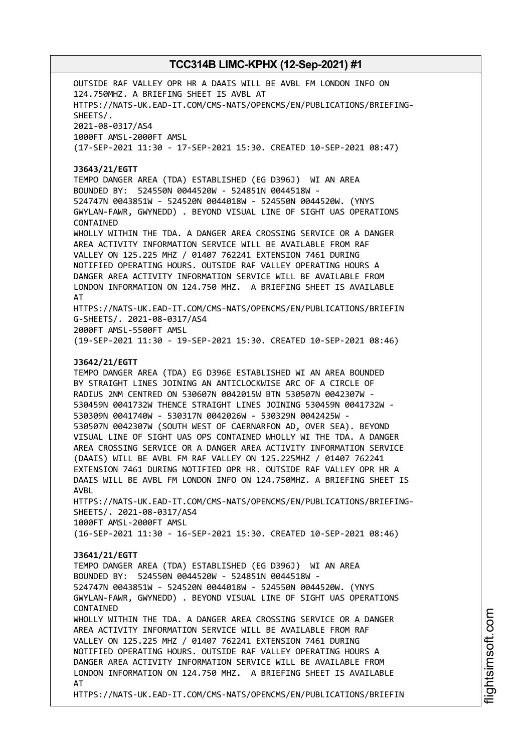OUTSIDE RAF VALLEY OPR HR A DAAIS WILL BE AVBL FM LONDON INFO ON 124.750MHZ. A BRIEFING SHEET IS AVBL AT HTTPS://NATS-UK.EAD-IT.COM/CMS-NATS/OPENCMS/EN/PUBLICATIONS/BRIEFING-SHEETS/. 2021-08-0317/AS4 1000FT AMSL-2000FT AMSL (17-SEP-2021 11:30 - 17-SEP-2021 15:30. CREATED 10-SEP-2021 08:47) **J3643/21/EGTT** TEMPO DANGER AREA (TDA) ESTABLISHED (EG D396J) WI AN AREA BOUNDED BY: 524550N 0044520W - 524851N 0044518W - 524747N 0043851W - 524520N 0044018W - 524550N 0044520W. (YNYS GWYLAN-FAWR, GWYNEDD) . BEYOND VISUAL LINE OF SIGHT UAS OPERATIONS CONTAINED WHOLLY WITHIN THE TDA. A DANGER AREA CROSSING SERVICE OR A DANGER AREA ACTIVITY INFORMATION SERVICE WILL BE AVAILABLE FROM RAF VALLEY ON 125.225 MHZ / 01407 762241 EXTENSION 7461 DURING NOTIFIED OPERATING HOURS. OUTSIDE RAF VALLEY OPERATING HOURS A DANGER AREA ACTIVITY INFORMATION SERVICE WILL BE AVAILABLE FROM LONDON INFORMATION ON 124.750 MHZ. A BRIEFING SHEET IS AVAILABLE AT HTTPS://NATS-UK.EAD-IT.COM/CMS-NATS/OPENCMS/EN/PUBLICATIONS/BRIEFIN G-SHEETS/. 2021-08-0317/AS4 2000FT AMSL-5500FT AMSL (19-SEP-2021 11:30 - 19-SEP-2021 15:30. CREATED 10-SEP-2021 08:46) **J3642/21/EGTT** TEMPO DANGER AREA (TDA) EG D396E ESTABLISHED WI AN AREA BOUNDED BY STRAIGHT LINES JOINING AN ANTICLOCKWISE ARC OF A CIRCLE OF RADIUS 2NM CENTRED ON 530607N 0042015W BTN 530507N 0042307W - 530459N 0041732W THENCE STRAIGHT LINES JOINING 530459N 0041732W - 530309N 0041740W - 530317N 0042026W - 530329N 0042425W - 530507N 0042307W (SOUTH WEST OF CAERNARFON AD, OVER SEA). BEYOND VISUAL LINE OF SIGHT UAS OPS CONTAINED WHOLLY WI THE TDA. A DANGER AREA CROSSING SERVICE OR A DANGER AREA ACTIVITY INFORMATION SERVICE (DAAIS) WILL BE AVBL FM RAF VALLEY ON 125.225MHZ / 01407 762241 EXTENSION 7461 DURING NOTIFIED OPR HR. OUTSIDE RAF VALLEY OPR HR A DAAIS WILL BE AVBL FM LONDON INFO ON 124.750MHZ. A BRIEFING SHEET IS AVBL HTTPS://NATS-UK.EAD-IT.COM/CMS-NATS/OPENCMS/EN/PUBLICATIONS/BRIEFING-SHEETS/. 2021-08-0317/AS4 1000FT AMSL-2000FT AMSL (16-SEP-2021 11:30 - 16-SEP-2021 15:30. CREATED 10-SEP-2021 08:46) **J3641/21/EGTT** TEMPO DANGER AREA (TDA) ESTABLISHED (EG D396J) WI AN AREA BOUNDED BY: 524550N 0044520W - 524851N 0044518W - 524747N 0043851W - 524520N 0044018W - 524550N 0044520W. (YNYS GWYLAN-FAWR, GWYNEDD) . BEYOND VISUAL LINE OF SIGHT UAS OPERATIONS CONTAINED WHOLLY WITHIN THE TDA. A DANGER AREA CROSSING SERVICE OR A DANGER AREA ACTIVITY INFORMATION SERVICE WILL BE AVAILABLE FROM RAF VALLEY ON 125.225 MHZ / 01407 762241 EXTENSION 7461 DURING NOTIFIED OPERATING HOURS. OUTSIDE RAF VALLEY OPERATING HOURS A DANGER AREA ACTIVITY INFORMATION SERVICE WILL BE AVAILABLE FROM LONDON INFORMATION ON 124.750 MHZ. A BRIEFING SHEET IS AVAILABLE AT HTTPS://NATS-UK.EAD-IT.COM/CMS-NATS/OPENCMS/EN/PUBLICATIONS/BRIEFIN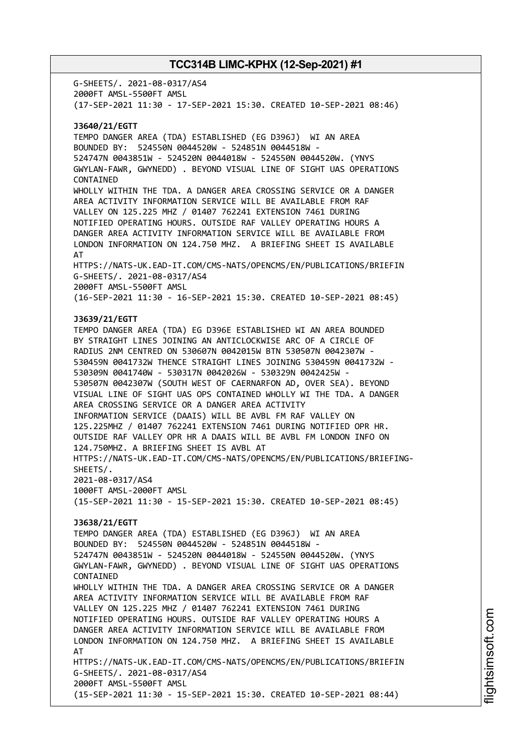G-SHEETS/. 2021-08-0317/AS4 2000FT AMSL-5500FT AMSL (17-SEP-2021 11:30 - 17-SEP-2021 15:30. CREATED 10-SEP-2021 08:46) **J3640/21/EGTT** TEMPO DANGER AREA (TDA) ESTABLISHED (EG D396J) WI AN AREA BOUNDED BY: 524550N 0044520W - 524851N 0044518W - 524747N 0043851W - 524520N 0044018W - 524550N 0044520W. (YNYS GWYLAN-FAWR, GWYNEDD) . BEYOND VISUAL LINE OF SIGHT UAS OPERATIONS CONTAINED WHOLLY WITHIN THE TDA. A DANGER AREA CROSSING SERVICE OR A DANGER AREA ACTIVITY INFORMATION SERVICE WILL BE AVAILABLE FROM RAF VALLEY ON 125.225 MHZ / 01407 762241 EXTENSION 7461 DURING NOTIFIED OPERATING HOURS. OUTSIDE RAF VALLEY OPERATING HOURS A DANGER AREA ACTIVITY INFORMATION SERVICE WILL BE AVAILABLE FROM LONDON INFORMATION ON 124.750 MHZ. A BRIEFING SHEET IS AVAILABLE AT HTTPS://NATS-UK.EAD-IT.COM/CMS-NATS/OPENCMS/EN/PUBLICATIONS/BRIEFIN G-SHEETS/. 2021-08-0317/AS4 2000FT AMSL-5500FT AMSL (16-SEP-2021 11:30 - 16-SEP-2021 15:30. CREATED 10-SEP-2021 08:45) **J3639/21/EGTT** TEMPO DANGER AREA (TDA) EG D396E ESTABLISHED WI AN AREA BOUNDED BY STRAIGHT LINES JOINING AN ANTICLOCKWISE ARC OF A CIRCLE OF RADIUS 2NM CENTRED ON 530607N 0042015W BTN 530507N 0042307W - 530459N 0041732W THENCE STRAIGHT LINES JOINING 530459N 0041732W - 530309N 0041740W - 530317N 0042026W - 530329N 0042425W - 530507N 0042307W (SOUTH WEST OF CAERNARFON AD, OVER SEA). BEYOND VISUAL LINE OF SIGHT UAS OPS CONTAINED WHOLLY WI THE TDA. A DANGER AREA CROSSING SERVICE OR A DANGER AREA ACTIVITY INFORMATION SERVICE (DAAIS) WILL BE AVBL FM RAF VALLEY ON 125.225MHZ / 01407 762241 EXTENSION 7461 DURING NOTIFIED OPR HR. OUTSIDE RAF VALLEY OPR HR A DAAIS WILL BE AVBL FM LONDON INFO ON 124.750MHZ. A BRIEFING SHEET IS AVBL AT HTTPS://NATS-UK.EAD-IT.COM/CMS-NATS/OPENCMS/EN/PUBLICATIONS/BRIEFING-SHEETS/. 2021-08-0317/AS4 1000FT AMSL-2000FT AMSL (15-SEP-2021 11:30 - 15-SEP-2021 15:30. CREATED 10-SEP-2021 08:45) **J3638/21/EGTT** TEMPO DANGER AREA (TDA) ESTABLISHED (EG D396J) WI AN AREA BOUNDED BY: 524550N 0044520W - 524851N 0044518W - 524747N 0043851W - 524520N 0044018W - 524550N 0044520W. (YNYS GWYLAN-FAWR, GWYNEDD) . BEYOND VISUAL LINE OF SIGHT UAS OPERATIONS CONTAINED WHOLLY WITHIN THE TDA. A DANGER AREA CROSSING SERVICE OR A DANGER AREA ACTIVITY INFORMATION SERVICE WILL BE AVAILABLE FROM RAF VALLEY ON 125.225 MHZ / 01407 762241 EXTENSION 7461 DURING NOTIFIED OPERATING HOURS. OUTSIDE RAF VALLEY OPERATING HOURS A DANGER AREA ACTIVITY INFORMATION SERVICE WILL BE AVAILABLE FROM LONDON INFORMATION ON 124.750 MHZ. A BRIEFING SHEET IS AVAILABLE AT HTTPS://NATS-UK.EAD-IT.COM/CMS-NATS/OPENCMS/EN/PUBLICATIONS/BRIEFIN G-SHEETS/. 2021-08-0317/AS4 2000FT AMSL-5500FT AMSL (15-SEP-2021 11:30 - 15-SEP-2021 15:30. CREATED 10-SEP-2021 08:44)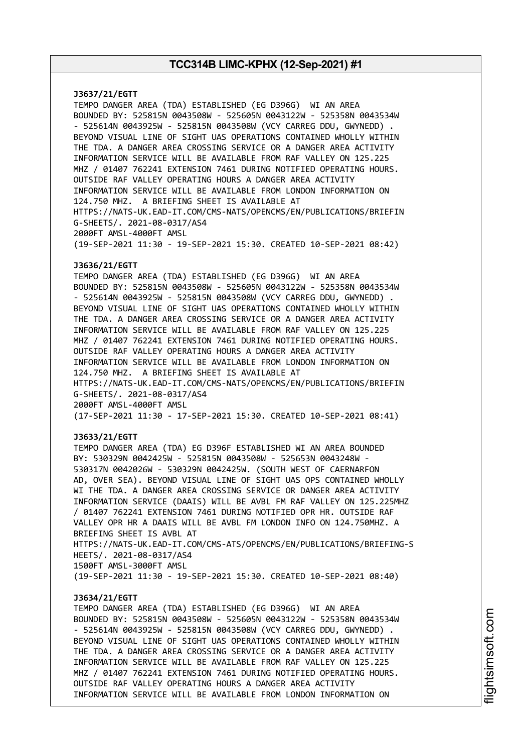**J3637/21/EGTT** TEMPO DANGER AREA (TDA) ESTABLISHED (EG D396G) WI AN AREA BOUNDED BY: 525815N 0043508W - 525605N 0043122W - 525358N 0043534W - 525614N 0043925W - 525815N 0043508W (VCY CARREG DDU, GWYNEDD) . BEYOND VISUAL LINE OF SIGHT UAS OPERATIONS CONTAINED WHOLLY WITHIN THE TDA. A DANGER AREA CROSSING SERVICE OR A DANGER AREA ACTIVITY INFORMATION SERVICE WILL BE AVAILABLE FROM RAF VALLEY ON 125.225 MHZ / 01407 762241 EXTENSION 7461 DURING NOTIFIED OPERATING HOURS. OUTSIDE RAF VALLEY OPERATING HOURS A DANGER AREA ACTIVITY INFORMATION SERVICE WILL BE AVAILABLE FROM LONDON INFORMATION ON 124.750 MHZ. A BRIEFING SHEET IS AVAILABLE AT HTTPS://NATS-UK.EAD-IT.COM/CMS-NATS/OPENCMS/EN/PUBLICATIONS/BRIEFIN G-SHEETS/. 2021-08-0317/AS4 2000FT AMSL-4000FT AMSL (19-SEP-2021 11:30 - 19-SEP-2021 15:30. CREATED 10-SEP-2021 08:42) **J3636/21/EGTT** TEMPO DANGER AREA (TDA) ESTABLISHED (EG D396G) WI AN AREA BOUNDED BY: 525815N 0043508W - 525605N 0043122W - 525358N 0043534W - 525614N 0043925W - 525815N 0043508W (VCY CARREG DDU, GWYNEDD) . BEYOND VISUAL LINE OF SIGHT UAS OPERATIONS CONTAINED WHOLLY WITHIN THE TDA. A DANGER AREA CROSSING SERVICE OR A DANGER AREA ACTIVITY INFORMATION SERVICE WILL BE AVAILABLE FROM RAF VALLEY ON 125.225 MHZ / 01407 762241 EXTENSION 7461 DURING NOTIFIED OPERATING HOURS. OUTSIDE RAF VALLEY OPERATING HOURS A DANGER AREA ACTIVITY INFORMATION SERVICE WILL BE AVAILABLE FROM LONDON INFORMATION ON 124.750 MHZ. A BRIEFING SHEET IS AVAILABLE AT HTTPS://NATS-UK.EAD-IT.COM/CMS-NATS/OPENCMS/EN/PUBLICATIONS/BRIEFIN G-SHEETS/. 2021-08-0317/AS4 2000FT AMSL-4000FT AMSL (17-SEP-2021 11:30 - 17-SEP-2021 15:30. CREATED 10-SEP-2021 08:41) **J3633/21/EGTT** TEMPO DANGER AREA (TDA) EG D396F ESTABLISHED WI AN AREA BOUNDED BY: 530329N 0042425W - 525815N 0043508W - 525653N 0043248W - 530317N 0042026W - 530329N 0042425W. (SOUTH WEST OF CAERNARFON AD, OVER SEA). BEYOND VISUAL LINE OF SIGHT UAS OPS CONTAINED WHOLLY WI THE TDA. A DANGER AREA CROSSING SERVICE OR DANGER AREA ACTIVITY INFORMATION SERVICE (DAAIS) WILL BE AVBL FM RAF VALLEY ON 125.225MHZ / 01407 762241 EXTENSION 7461 DURING NOTIFIED OPR HR. OUTSIDE RAF VALLEY OPR HR A DAAIS WILL BE AVBL FM LONDON INFO ON 124.750MHZ. A BRIEFING SHEET IS AVBL AT HTTPS://NATS-UK.EAD-IT.COM/CMS-ATS/OPENCMS/EN/PUBLICATIONS/BRIEFING-S HEETS/. 2021-08-0317/AS4 1500FT AMSL-3000FT AMSL (19-SEP-2021 11:30 - 19-SEP-2021 15:30. CREATED 10-SEP-2021 08:40) **J3634/21/EGTT** TEMPO DANGER AREA (TDA) ESTABLISHED (EG D396G) WI AN AREA BOUNDED BY: 525815N 0043508W - 525605N 0043122W - 525358N 0043534W - 525614N 0043925W - 525815N 0043508W (VCY CARREG DDU, GWYNEDD) . BEYOND VISUAL LINE OF SIGHT UAS OPERATIONS CONTAINED WHOLLY WITHIN THE TDA. A DANGER AREA CROSSING SERVICE OR A DANGER AREA ACTIVITY INFORMATION SERVICE WILL BE AVAILABLE FROM RAF VALLEY ON 125.225 MHZ / 01407 762241 EXTENSION 7461 DURING NOTIFIED OPERATING HOURS.

OUTSIDE RAF VALLEY OPERATING HOURS A DANGER AREA ACTIVITY INFORMATION SERVICE WILL BE AVAILABLE FROM LONDON INFORMATION ON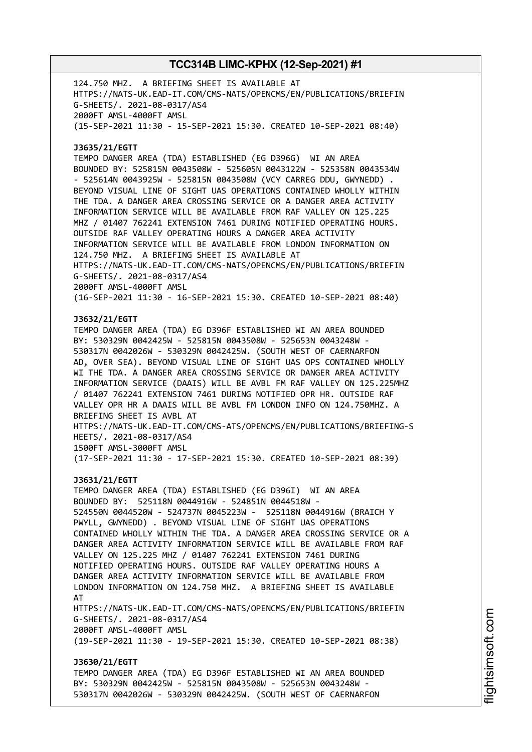124.750 MHZ. A BRIEFING SHEET IS AVAILABLE AT HTTPS://NATS-UK.EAD-IT.COM/CMS-NATS/OPENCMS/EN/PUBLICATIONS/BRIEFIN G-SHEETS/. 2021-08-0317/AS4 2000FT AMSL-4000FT AMSL (15-SEP-2021 11:30 - 15-SEP-2021 15:30. CREATED 10-SEP-2021 08:40) **J3635/21/EGTT** TEMPO DANGER AREA (TDA) ESTABLISHED (EG D396G) WI AN AREA BOUNDED BY: 525815N 0043508W - 525605N 0043122W - 525358N 0043534W - 525614N 0043925W - 525815N 0043508W (VCY CARREG DDU, GWYNEDD) . BEYOND VISUAL LINE OF SIGHT UAS OPERATIONS CONTAINED WHOLLY WITHIN THE TDA. A DANGER AREA CROSSING SERVICE OR A DANGER AREA ACTIVITY INFORMATION SERVICE WILL BE AVAILABLE FROM RAF VALLEY ON 125.225 MHZ / 01407 762241 EXTENSION 7461 DURING NOTIFIED OPERATING HOURS. OUTSIDE RAF VALLEY OPERATING HOURS A DANGER AREA ACTIVITY INFORMATION SERVICE WILL BE AVAILABLE FROM LONDON INFORMATION ON 124.750 MHZ. A BRIEFING SHEET IS AVAILABLE AT HTTPS://NATS-UK.EAD-IT.COM/CMS-NATS/OPENCMS/EN/PUBLICATIONS/BRIEFIN G-SHEETS/. 2021-08-0317/AS4 2000FT AMSL-4000FT AMSL (16-SEP-2021 11:30 - 16-SEP-2021 15:30. CREATED 10-SEP-2021 08:40) **J3632/21/EGTT** TEMPO DANGER AREA (TDA) EG D396F ESTABLISHED WI AN AREA BOUNDED BY: 530329N 0042425W - 525815N 0043508W - 525653N 0043248W - 530317N 0042026W - 530329N 0042425W. (SOUTH WEST OF CAERNARFON AD, OVER SEA). BEYOND VISUAL LINE OF SIGHT UAS OPS CONTAINED WHOLLY WI THE TDA. A DANGER AREA CROSSING SERVICE OR DANGER AREA ACTIVITY INFORMATION SERVICE (DAAIS) WILL BE AVBL FM RAF VALLEY ON 125.225MHZ / 01407 762241 EXTENSION 7461 DURING NOTIFIED OPR HR. OUTSIDE RAF VALLEY OPR HR A DAAIS WILL BE AVBL FM LONDON INFO ON 124.750MHZ. A BRIEFING SHEET IS AVBL AT HTTPS://NATS-UK.EAD-IT.COM/CMS-ATS/OPENCMS/EN/PUBLICATIONS/BRIEFING-S HEETS/. 2021-08-0317/AS4 1500FT AMSL-3000FT AMSL (17-SEP-2021 11:30 - 17-SEP-2021 15:30. CREATED 10-SEP-2021 08:39) **J3631/21/EGTT** TEMPO DANGER AREA (TDA) ESTABLISHED (EG D396I) WI AN AREA BOUNDED BY: 525118N 0044916W - 524851N 0044518W - 524550N 0044520W - 524737N 0045223W - 525118N 0044916W (BRAICH Y PWYLL, GWYNEDD) . BEYOND VISUAL LINE OF SIGHT UAS OPERATIONS CONTAINED WHOLLY WITHIN THE TDA. A DANGER AREA CROSSING SERVICE OR A DANGER AREA ACTIVITY INFORMATION SERVICE WILL BE AVAILABLE FROM RAF VALLEY ON 125.225 MHZ / 01407 762241 EXTENSION 7461 DURING NOTIFIED OPERATING HOURS. OUTSIDE RAF VALLEY OPERATING HOURS A DANGER AREA ACTIVITY INFORMATION SERVICE WILL BE AVAILABLE FROM LONDON INFORMATION ON 124.750 MHZ. A BRIEFING SHEET IS AVAILABLE AT HTTPS://NATS-UK.EAD-IT.COM/CMS-NATS/OPENCMS/EN/PUBLICATIONS/BRIEFIN G-SHEETS/. 2021-08-0317/AS4 2000FT AMSL-4000FT AMSL (19-SEP-2021 11:30 - 19-SEP-2021 15:30. CREATED 10-SEP-2021 08:38) **J3630/21/EGTT** TEMPO DANGER AREA (TDA) EG D396F ESTABLISHED WI AN AREA BOUNDED BY: 530329N 0042425W - 525815N 0043508W - 525653N 0043248W - 530317N 0042026W - 530329N 0042425W. (SOUTH WEST OF CAERNARFON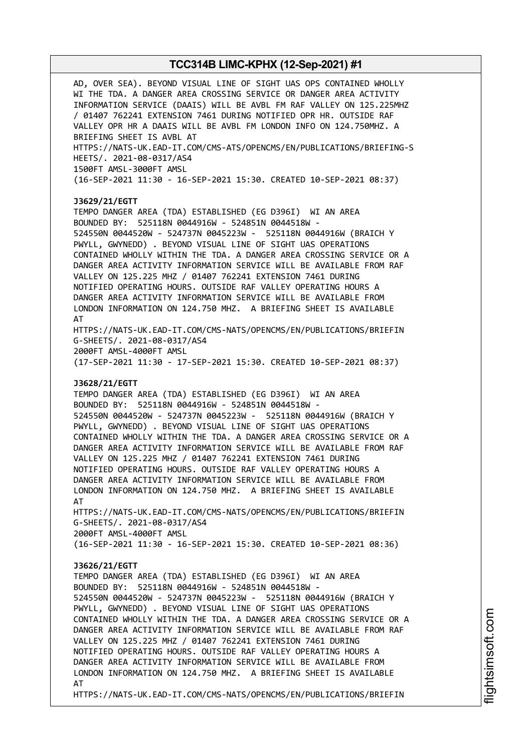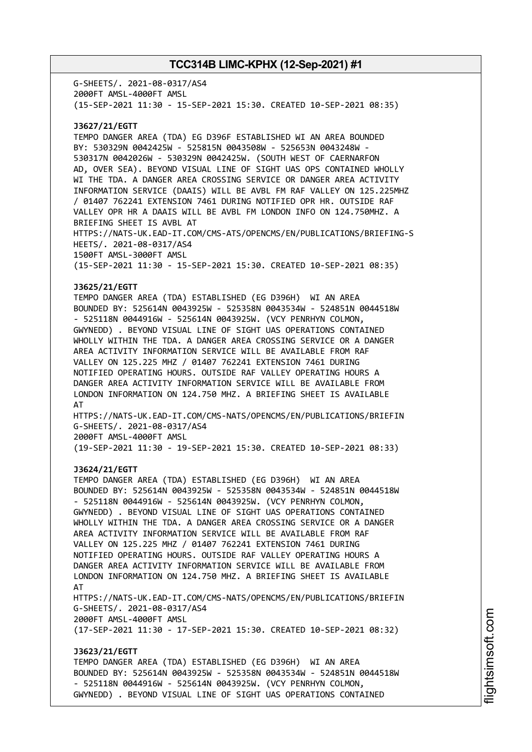G-SHEETS/. 2021-08-0317/AS4 2000FT AMSL-4000FT AMSL (15-SEP-2021 11:30 - 15-SEP-2021 15:30. CREATED 10-SEP-2021 08:35)

#### **J3627/21/EGTT**

TEMPO DANGER AREA (TDA) EG D396F ESTABLISHED WI AN AREA BOUNDED BY: 530329N 0042425W - 525815N 0043508W - 525653N 0043248W - 530317N 0042026W - 530329N 0042425W. (SOUTH WEST OF CAERNARFON AD, OVER SEA). BEYOND VISUAL LINE OF SIGHT UAS OPS CONTAINED WHOLLY WI THE TDA. A DANGER AREA CROSSING SERVICE OR DANGER AREA ACTIVITY INFORMATION SERVICE (DAAIS) WILL BE AVBL FM RAF VALLEY ON 125.225MHZ / 01407 762241 EXTENSION 7461 DURING NOTIFIED OPR HR. OUTSIDE RAF VALLEY OPR HR A DAAIS WILL BE AVBL FM LONDON INFO ON 124.750MHZ. A BRIEFING SHEET IS AVBL AT HTTPS://NATS-UK.EAD-IT.COM/CMS-ATS/OPENCMS/EN/PUBLICATIONS/BRIEFING-S HEETS/. 2021-08-0317/AS4 1500FT AMSL-3000FT AMSL (15-SEP-2021 11:30 - 15-SEP-2021 15:30. CREATED 10-SEP-2021 08:35)

#### **J3625/21/EGTT**

TEMPO DANGER AREA (TDA) ESTABLISHED (EG D396H) WI AN AREA BOUNDED BY: 525614N 0043925W - 525358N 0043534W - 524851N 0044518W - 525118N 0044916W - 525614N 0043925W. (VCY PENRHYN COLMON, GWYNEDD) . BEYOND VISUAL LINE OF SIGHT UAS OPERATIONS CONTAINED WHOLLY WITHIN THE TDA. A DANGER AREA CROSSING SERVICE OR A DANGER AREA ACTIVITY INFORMATION SERVICE WILL BE AVAILABLE FROM RAF VALLEY ON 125.225 MHZ / 01407 762241 EXTENSION 7461 DURING NOTIFIED OPERATING HOURS. OUTSIDE RAF VALLEY OPERATING HOURS A DANGER AREA ACTIVITY INFORMATION SERVICE WILL BE AVAILABLE FROM LONDON INFORMATION ON 124.750 MHZ. A BRIEFING SHEET IS AVAILABLE AT

HTTPS://NATS-UK.EAD-IT.COM/CMS-NATS/OPENCMS/EN/PUBLICATIONS/BRIEFIN G-SHEETS/. 2021-08-0317/AS4 2000FT AMSL-4000FT AMSL

(19-SEP-2021 11:30 - 19-SEP-2021 15:30. CREATED 10-SEP-2021 08:33)

#### **J3624/21/EGTT**

TEMPO DANGER AREA (TDA) ESTABLISHED (EG D396H) WI AN AREA BOUNDED BY: 525614N 0043925W - 525358N 0043534W - 524851N 0044518W - 525118N 0044916W - 525614N 0043925W. (VCY PENRHYN COLMON, GWYNEDD) . BEYOND VISUAL LINE OF SIGHT UAS OPERATIONS CONTAINED WHOLLY WITHIN THE TDA. A DANGER AREA CROSSING SERVICE OR A DANGER AREA ACTIVITY INFORMATION SERVICE WILL BE AVAILABLE FROM RAF VALLEY ON 125.225 MHZ / 01407 762241 EXTENSION 7461 DURING NOTIFIED OPERATING HOURS. OUTSIDE RAF VALLEY OPERATING HOURS A DANGER AREA ACTIVITY INFORMATION SERVICE WILL BE AVAILABLE FROM LONDON INFORMATION ON 124.750 MHZ. A BRIEFING SHEET IS AVAILABLE AT HTTPS://NATS-UK.EAD-IT.COM/CMS-NATS/OPENCMS/EN/PUBLICATIONS/BRIEFIN G-SHEETS/. 2021-08-0317/AS4

2000FT AMSL-4000FT AMSL

(17-SEP-2021 11:30 - 17-SEP-2021 15:30. CREATED 10-SEP-2021 08:32)

#### **J3623/21/EGTT**

TEMPO DANGER AREA (TDA) ESTABLISHED (EG D396H) WI AN AREA BOUNDED BY: 525614N 0043925W - 525358N 0043534W - 524851N 0044518W - 525118N 0044916W - 525614N 0043925W. (VCY PENRHYN COLMON, GWYNEDD) . BEYOND VISUAL LINE OF SIGHT UAS OPERATIONS CONTAINED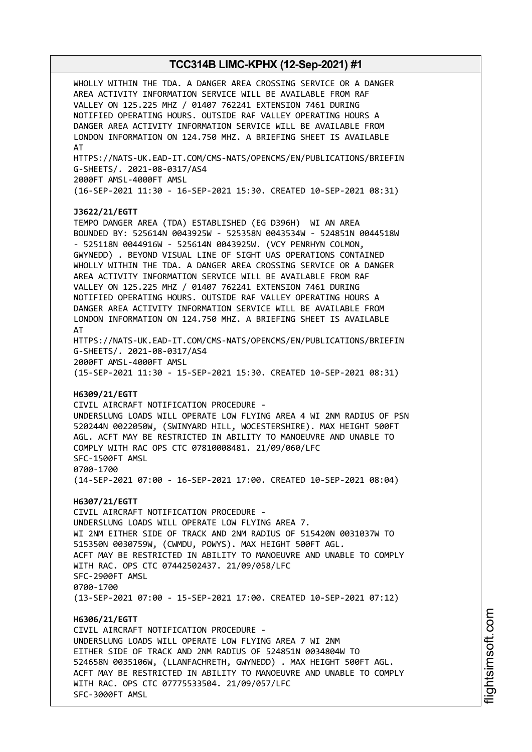WHOLLY WITHIN THE TDA. A DANGER AREA CROSSING SERVICE OR A DANGER AREA ACTIVITY INFORMATION SERVICE WILL BE AVAILABLE FROM RAF VALLEY ON 125.225 MHZ / 01407 762241 EXTENSION 7461 DURING NOTIFIED OPERATING HOURS. OUTSIDE RAF VALLEY OPERATING HOURS A DANGER AREA ACTIVITY INFORMATION SERVICE WILL BE AVAILABLE FROM LONDON INFORMATION ON 124.750 MHZ. A BRIEFING SHEET IS AVAILABLE AT HTTPS://NATS-UK.EAD-IT.COM/CMS-NATS/OPENCMS/EN/PUBLICATIONS/BRIEFIN G-SHEETS/. 2021-08-0317/AS4 2000FT AMSL-4000FT AMSL (16-SEP-2021 11:30 - 16-SEP-2021 15:30. CREATED 10-SEP-2021 08:31) **J3622/21/EGTT** TEMPO DANGER AREA (TDA) ESTABLISHED (EG D396H) WI AN AREA BOUNDED BY: 525614N 0043925W - 525358N 0043534W - 524851N 0044518W - 525118N 0044916W - 525614N 0043925W. (VCY PENRHYN COLMON, GWYNEDD) . BEYOND VISUAL LINE OF SIGHT UAS OPERATIONS CONTAINED WHOLLY WITHIN THE TDA. A DANGER AREA CROSSING SERVICE OR A DANGER AREA ACTIVITY INFORMATION SERVICE WILL BE AVAILABLE FROM RAF VALLEY ON 125.225 MHZ / 01407 762241 EXTENSION 7461 DURING NOTIFIED OPERATING HOURS. OUTSIDE RAF VALLEY OPERATING HOURS A DANGER AREA ACTIVITY INFORMATION SERVICE WILL BE AVAILABLE FROM LONDON INFORMATION ON 124.750 MHZ. A BRIEFING SHEET IS AVAILABLE AT HTTPS://NATS-UK.EAD-IT.COM/CMS-NATS/OPENCMS/EN/PUBLICATIONS/BRIEFIN G-SHEETS/. 2021-08-0317/AS4 2000FT AMSL-4000FT AMSL (15-SEP-2021 11:30 - 15-SEP-2021 15:30. CREATED 10-SEP-2021 08:31) **H6309/21/EGTT** CIVIL AIRCRAFT NOTIFICATION PROCEDURE - UNDERSLUNG LOADS WILL OPERATE LOW FLYING AREA 4 WI 2NM RADIUS OF PSN 520244N 0022050W, (SWINYARD HILL, WOCESTERSHIRE). MAX HEIGHT 500FT AGL. ACFT MAY BE RESTRICTED IN ABILITY TO MANOEUVRE AND UNABLE TO COMPLY WITH RAC OPS CTC 07810008481. 21/09/060/LFC SFC-1500FT AMSL 0700-1700 (14-SEP-2021 07:00 - 16-SEP-2021 17:00. CREATED 10-SEP-2021 08:04) **H6307/21/EGTT** CIVIL AIRCRAFT NOTIFICATION PROCEDURE - UNDERSLUNG LOADS WILL OPERATE LOW FLYING AREA 7. WI 2NM EITHER SIDE OF TRACK AND 2NM RADIUS OF 515420N 0031037W TO 515350N 0030759W, (CWMDU, POWYS). MAX HEIGHT 500FT AGL. ACFT MAY BE RESTRICTED IN ABILITY TO MANOEUVRE AND UNABLE TO COMPLY WITH RAC. OPS CTC 07442502437. 21/09/058/LFC SFC-2900FT AMSL 0700-1700 (13-SEP-2021 07:00 - 15-SEP-2021 17:00. CREATED 10-SEP-2021 07:12) **H6306/21/EGTT** CIVIL AIRCRAFT NOTIFICATION PROCEDURE - UNDERSLUNG LOADS WILL OPERATE LOW FLYING AREA 7 WI 2NM EITHER SIDE OF TRACK AND 2NM RADIUS OF 524851N 0034804W TO 524658N 0035106W, (LLANFACHRETH, GWYNEDD) . MAX HEIGHT 500FT AGL. ACFT MAY BE RESTRICTED IN ABILITY TO MANOEUVRE AND UNABLE TO COMPLY WITH RAC. OPS CTC 07775533504. 21/09/057/LFC SFC-3000FT AMSL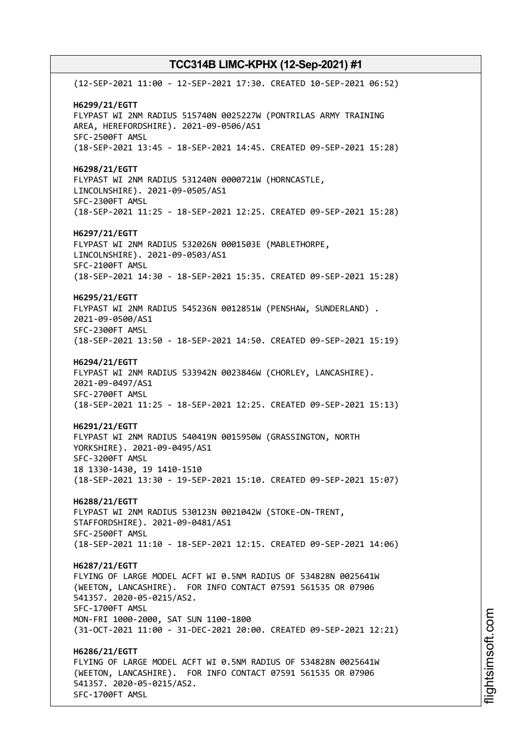(12-SEP-2021 11:00 - 12-SEP-2021 17:30. CREATED 10-SEP-2021 06:52) **H6299/21/EGTT** FLYPAST WI 2NM RADIUS 515740N 0025227W (PONTRILAS ARMY TRAINING AREA, HEREFORDSHIRE). 2021-09-0506/AS1 SFC-2500FT AMSL (18-SEP-2021 13:45 - 18-SEP-2021 14:45. CREATED 09-SEP-2021 15:28) **H6298/21/EGTT** FLYPAST WI 2NM RADIUS 531240N 0000721W (HORNCASTLE, LINCOLNSHIRE). 2021-09-0505/AS1 SFC-2300FT AMSL (18-SEP-2021 11:25 - 18-SEP-2021 12:25. CREATED 09-SEP-2021 15:28) **H6297/21/EGTT** FLYPAST WI 2NM RADIUS 532026N 0001503E (MABLETHORPE, LINCOLNSHIRE). 2021-09-0503/AS1 SFC-2100FT AMSL (18-SEP-2021 14:30 - 18-SEP-2021 15:35. CREATED 09-SEP-2021 15:28) **H6295/21/EGTT** FLYPAST WI 2NM RADIUS 545236N 0012851W (PENSHAW, SUNDERLAND) . 2021-09-0500/AS1 SFC-2300FT AMSL (18-SEP-2021 13:50 - 18-SEP-2021 14:50. CREATED 09-SEP-2021 15:19) **H6294/21/EGTT** FLYPAST WI 2NM RADIUS 533942N 0023846W (CHORLEY, LANCASHIRE). 2021-09-0497/AS1 SFC-2700FT AMSL (18-SEP-2021 11:25 - 18-SEP-2021 12:25. CREATED 09-SEP-2021 15:13) **H6291/21/EGTT** FLYPAST WI 2NM RADIUS 540419N 0015950W (GRASSINGTON, NORTH YORKSHIRE). 2021-09-0495/AS1 SFC-3200FT AMSL 18 1330-1430, 19 1410-1510 (18-SEP-2021 13:30 - 19-SEP-2021 15:10. CREATED 09-SEP-2021 15:07) **H6288/21/EGTT** FLYPAST WI 2NM RADIUS 530123N 0021042W (STOKE-ON-TRENT, STAFFORDSHIRE). 2021-09-0481/AS1 SFC-2500FT AMSL (18-SEP-2021 11:10 - 18-SEP-2021 12:15. CREATED 09-SEP-2021 14:06) **H6287/21/EGTT** FLYING OF LARGE MODEL ACFT WI 0.5NM RADIUS OF 534828N 0025641W (WEETON, LANCASHIRE). FOR INFO CONTACT 07591 561535 OR 07906 541357. 2020-05-0215/AS2. SFC-1700FT AMSL MON-FRI 1000-2000, SAT SUN 1100-1800 (31-OCT-2021 11:00 - 31-DEC-2021 20:00. CREATED 09-SEP-2021 12:21) **H6286/21/EGTT** FLYING OF LARGE MODEL ACFT WI 0.5NM RADIUS OF 534828N 0025641W (WEETON, LANCASHIRE). FOR INFO CONTACT 07591 561535 OR 07906 541357. 2020-05-0215/AS2. SFC-1700FT AMSL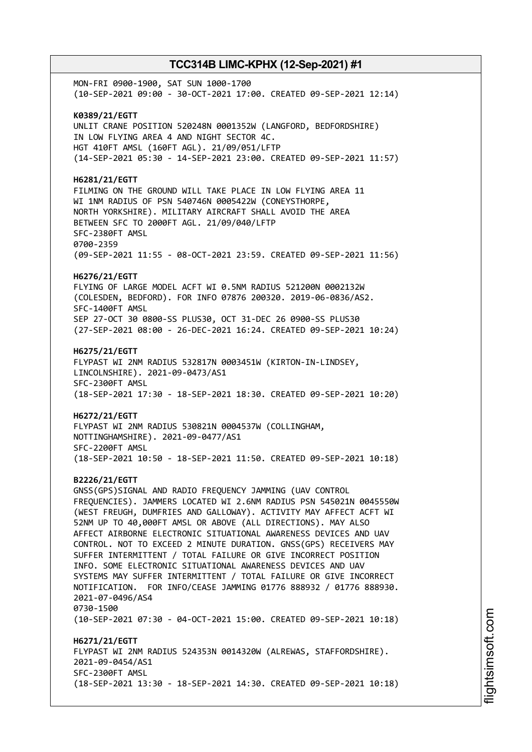MON-FRI 0900-1900, SAT SUN 1000-1700 (10-SEP-2021 09:00 - 30-OCT-2021 17:00. CREATED 09-SEP-2021 12:14) **K0389/21/EGTT** UNLIT CRANE POSITION 520248N 0001352W (LANGFORD, BEDFORDSHIRE) IN LOW FLYING AREA 4 AND NIGHT SECTOR 4C. HGT 410FT AMSL (160FT AGL). 21/09/051/LFTP (14-SEP-2021 05:30 - 14-SEP-2021 23:00. CREATED 09-SEP-2021 11:57) **H6281/21/EGTT** FILMING ON THE GROUND WILL TAKE PLACE IN LOW FLYING AREA 11 WI 1NM RADIUS OF PSN 540746N 0005422W (CONEYSTHORPE, NORTH YORKSHIRE). MILITARY AIRCRAFT SHALL AVOID THE AREA BETWEEN SFC TO 2000FT AGL. 21/09/040/LFTP SFC-2380FT AMSL 0700-2359 (09-SEP-2021 11:55 - 08-OCT-2021 23:59. CREATED 09-SEP-2021 11:56) **H6276/21/EGTT** FLYING OF LARGE MODEL ACFT WI 0.5NM RADIUS 521200N 0002132W (COLESDEN, BEDFORD). FOR INFO 07876 200320. 2019-06-0836/AS2. SFC-1400FT AMSL SEP 27-OCT 30 0800-SS PLUS30, OCT 31-DEC 26 0900-SS PLUS30 (27-SEP-2021 08:00 - 26-DEC-2021 16:24. CREATED 09-SEP-2021 10:24) **H6275/21/EGTT** FLYPAST WI 2NM RADIUS 532817N 0003451W (KIRTON-IN-LINDSEY, LINCOLNSHIRE). 2021-09-0473/AS1 SFC-2300FT AMSL (18-SEP-2021 17:30 - 18-SEP-2021 18:30. CREATED 09-SEP-2021 10:20) **H6272/21/EGTT** FLYPAST WI 2NM RADIUS 530821N 0004537W (COLLINGHAM, NOTTINGHAMSHIRE). 2021-09-0477/AS1 SFC-2200FT AMSL (18-SEP-2021 10:50 - 18-SEP-2021 11:50. CREATED 09-SEP-2021 10:18) **B2226/21/EGTT** GNSS(GPS)SIGNAL AND RADIO FREQUENCY JAMMING (UAV CONTROL FREQUENCIES). JAMMERS LOCATED WI 2.6NM RADIUS PSN 545021N 0045550W (WEST FREUGH, DUMFRIES AND GALLOWAY). ACTIVITY MAY AFFECT ACFT WI 52NM UP TO 40,000FT AMSL OR ABOVE (ALL DIRECTIONS). MAY ALSO AFFECT AIRBORNE ELECTRONIC SITUATIONAL AWARENESS DEVICES AND UAV CONTROL. NOT TO EXCEED 2 MINUTE DURATION. GNSS(GPS) RECEIVERS MAY SUFFER INTERMITTENT / TOTAL FAILURE OR GIVE INCORRECT POSITION INFO. SOME ELECTRONIC SITUATIONAL AWARENESS DEVICES AND UAV SYSTEMS MAY SUFFER INTERMITTENT / TOTAL FAILURE OR GIVE INCORRECT NOTIFICATION. FOR INFO/CEASE JAMMING 01776 888932 / 01776 888930. 2021-07-0496/AS4 0730-1500 (10-SEP-2021 07:30 - 04-OCT-2021 15:00. CREATED 09-SEP-2021 10:18) **H6271/21/EGTT** FLYPAST WI 2NM RADIUS 524353N 0014320W (ALREWAS, STAFFORDSHIRE). 2021-09-0454/AS1 SFC-2300FT AMSL (18-SEP-2021 13:30 - 18-SEP-2021 14:30. CREATED 09-SEP-2021 10:18)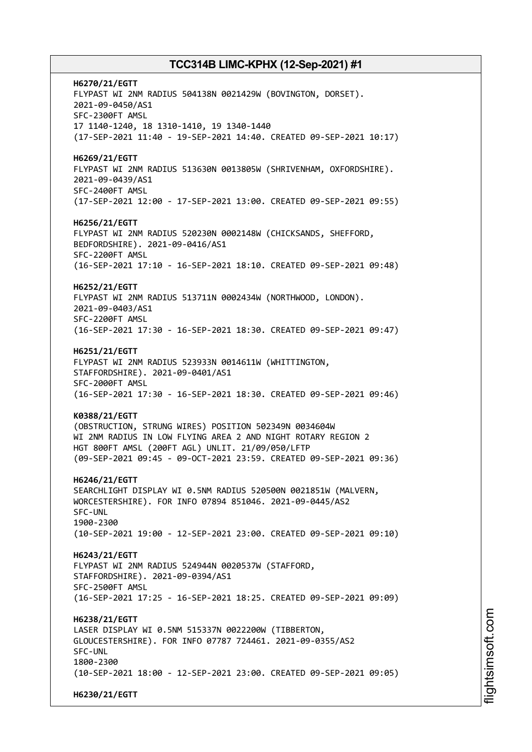**H6270/21/EGTT** FLYPAST WI 2NM RADIUS 504138N 0021429W (BOVINGTON, DORSET). 2021-09-0450/AS1 SFC-2300FT AMSL 17 1140-1240, 18 1310-1410, 19 1340-1440 (17-SEP-2021 11:40 - 19-SEP-2021 14:40. CREATED 09-SEP-2021 10:17) **H6269/21/EGTT** FLYPAST WI 2NM RADIUS 513630N 0013805W (SHRIVENHAM, OXFORDSHIRE). 2021-09-0439/AS1 SFC-2400FT AMSL (17-SEP-2021 12:00 - 17-SEP-2021 13:00. CREATED 09-SEP-2021 09:55) **H6256/21/EGTT** FLYPAST WI 2NM RADIUS 520230N 0002148W (CHICKSANDS, SHEFFORD, BEDFORDSHIRE). 2021-09-0416/AS1 SFC-2200FT AMSL (16-SEP-2021 17:10 - 16-SEP-2021 18:10. CREATED 09-SEP-2021 09:48) **H6252/21/EGTT** FLYPAST WI 2NM RADIUS 513711N 0002434W (NORTHWOOD, LONDON). 2021-09-0403/AS1 SFC-2200FT AMSL (16-SEP-2021 17:30 - 16-SEP-2021 18:30. CREATED 09-SEP-2021 09:47) **H6251/21/EGTT** FLYPAST WI 2NM RADIUS 523933N 0014611W (WHITTINGTON, STAFFORDSHIRE). 2021-09-0401/AS1 SFC-2000FT AMSL (16-SEP-2021 17:30 - 16-SEP-2021 18:30. CREATED 09-SEP-2021 09:46) **K0388/21/EGTT** (OBSTRUCTION, STRUNG WIRES) POSITION 502349N 0034604W WI 2NM RADIUS IN LOW FLYING AREA 2 AND NIGHT ROTARY REGION 2 HGT 800FT AMSL (200FT AGL) UNLIT. 21/09/050/LFTP (09-SEP-2021 09:45 - 09-OCT-2021 23:59. CREATED 09-SEP-2021 09:36) **H6246/21/EGTT** SEARCHLIGHT DISPLAY WI 0.5NM RADIUS 520500N 0021851W (MALVERN, WORCESTERSHIRE). FOR INFO 07894 851046. 2021-09-0445/AS2 SFC-UNL 1900-2300 (10-SEP-2021 19:00 - 12-SEP-2021 23:00. CREATED 09-SEP-2021 09:10) **H6243/21/EGTT** FLYPAST WI 2NM RADIUS 524944N 0020537W (STAFFORD, STAFFORDSHIRE). 2021-09-0394/AS1 SFC-2500FT AMSL (16-SEP-2021 17:25 - 16-SEP-2021 18:25. CREATED 09-SEP-2021 09:09) **H6238/21/EGTT** LASER DISPLAY WI 0.5NM 515337N 0022200W (TIBBERTON, GLOUCESTERSHIRE). FOR INFO 07787 724461. 2021-09-0355/AS2 SFC-UNL 1800-2300 (10-SEP-2021 18:00 - 12-SEP-2021 23:00. CREATED 09-SEP-2021 09:05) **H6230/21/EGTT**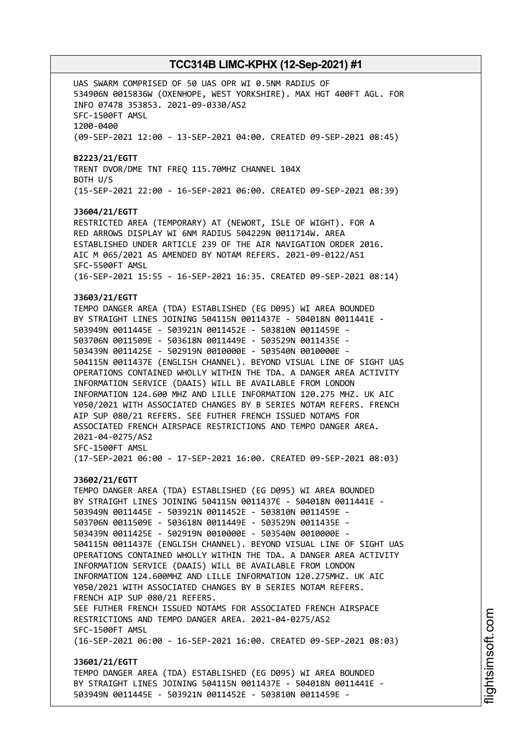UAS SWARM COMPRISED OF 50 UAS OPR WI 0.5NM RADIUS OF 534906N 0015836W (OXENHOPE, WEST YORKSHIRE). MAX HGT 400FT AGL. FOR INFO 07478 353853. 2021-09-0330/AS2 SFC-1500FT AMSL 1200-0400 (09-SEP-2021 12:00 - 13-SEP-2021 04:00. CREATED 09-SEP-2021 08:45) **B2223/21/EGTT** TRENT DVOR/DME TNT FREQ 115.70MHZ CHANNEL 104X BOTH U/S (15-SEP-2021 22:00 - 16-SEP-2021 06:00. CREATED 09-SEP-2021 08:39) **J3604/21/EGTT** RESTRICTED AREA (TEMPORARY) AT (NEWORT, ISLE OF WIGHT). FOR A RED ARROWS DISPLAY WI 6NM RADIUS 504229N 0011714W. AREA ESTABLISHED UNDER ARTICLE 239 OF THE AIR NAVIGATION ORDER 2016. AIC M 065/2021 AS AMENDED BY NOTAM REFERS. 2021-09-0122/AS1 SFC-5500FT AMSL (16-SEP-2021 15:55 - 16-SEP-2021 16:35. CREATED 09-SEP-2021 08:14) **J3603/21/EGTT** TEMPO DANGER AREA (TDA) ESTABLISHED (EG D095) WI AREA BOUNDED BY STRAIGHT LINES JOINING 504115N 0011437E - 504018N 0011441E - 503949N 0011445E - 503921N 0011452E - 503810N 0011459E - 503706N 0011509E - 503618N 0011449E - 503529N 0011435E - 503439N 0011425E - 502919N 0010000E - 503540N 0010000E - 504115N 0011437E (ENGLISH CHANNEL). BEYOND VISUAL LINE OF SIGHT UAS OPERATIONS CONTAINED WHOLLY WITHIN THE TDA. A DANGER AREA ACTIVITY INFORMATION SERVICE (DAAIS) WILL BE AVAILABLE FROM LONDON INFORMATION 124.600 MHZ AND LILLE INFORMATION 120.275 MHZ. UK AIC Y050/2021 WITH ASSOCIATED CHANGES BY B SERIES NOTAM REFERS. FRENCH AIP SUP 080/21 REFERS. SEE FUTHER FRENCH ISSUED NOTAMS FOR ASSOCIATED FRENCH AIRSPACE RESTRICTIONS AND TEMPO DANGER AREA. 2021-04-0275/AS2 SFC-1500FT AMSL (17-SEP-2021 06:00 - 17-SEP-2021 16:00. CREATED 09-SEP-2021 08:03) **J3602/21/EGTT** TEMPO DANGER AREA (TDA) ESTABLISHED (EG D095) WI AREA BOUNDED BY STRAIGHT LINES JOINING 504115N 0011437E - 504018N 0011441E - 503949N 0011445E - 503921N 0011452E - 503810N 0011459E - 503706N 0011509E - 503618N 0011449E - 503529N 0011435E - 503439N 0011425E - 502919N 0010000E - 503540N 0010000E - 504115N 0011437E (ENGLISH CHANNEL). BEYOND VISUAL LINE OF SIGHT UAS OPERATIONS CONTAINED WHOLLY WITHIN THE TDA. A DANGER AREA ACTIVITY INFORMATION SERVICE (DAAIS) WILL BE AVAILABLE FROM LONDON INFORMATION 124.600MHZ AND LILLE INFORMATION 120.275MHZ. UK AIC Y050/2021 WITH ASSOCIATED CHANGES BY B SERIES NOTAM REFERS. FRENCH AIP SUP 080/21 REFERS. SEE FUTHER FRENCH ISSUED NOTAMS FOR ASSOCIATED FRENCH AIRSPACE RESTRICTIONS AND TEMPO DANGER AREA. 2021-04-0275/AS2 SFC-1500FT AMSL (16-SEP-2021 06:00 - 16-SEP-2021 16:00. CREATED 09-SEP-2021 08:03) **J3601/21/EGTT** TEMPO DANGER AREA (TDA) ESTABLISHED (EG D095) WI AREA BOUNDED BY STRAIGHT LINES JOINING 504115N 0011437E - 504018N 0011441E - 503949N 0011445E - 503921N 0011452E - 503810N 0011459E -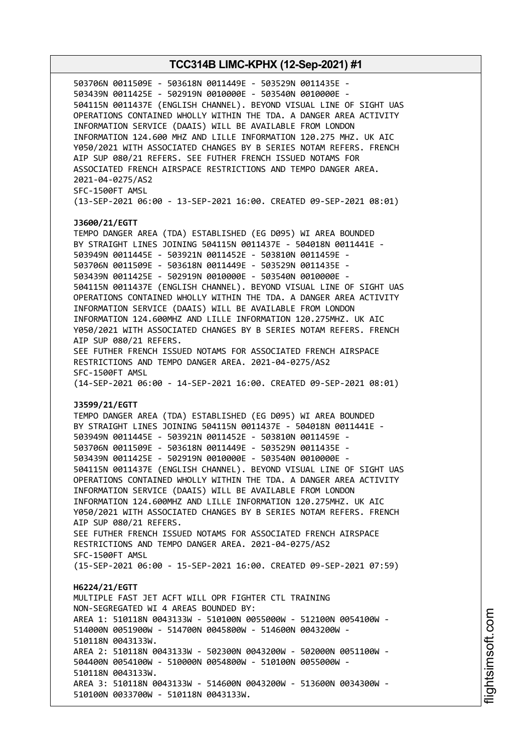503706N 0011509E - 503618N 0011449E - 503529N 0011435E - 503439N 0011425E - 502919N 0010000E - 503540N 0010000E - 504115N 0011437E (ENGLISH CHANNEL). BEYOND VISUAL LINE OF SIGHT UAS OPERATIONS CONTAINED WHOLLY WITHIN THE TDA. A DANGER AREA ACTIVITY INFORMATION SERVICE (DAAIS) WILL BE AVAILABLE FROM LONDON INFORMATION 124.600 MHZ AND LILLE INFORMATION 120.275 MHZ. UK AIC Y050/2021 WITH ASSOCIATED CHANGES BY B SERIES NOTAM REFERS. FRENCH AIP SUP 080/21 REFERS. SEE FUTHER FRENCH ISSUED NOTAMS FOR ASSOCIATED FRENCH AIRSPACE RESTRICTIONS AND TEMPO DANGER AREA. 2021-04-0275/AS2 SFC-1500FT AMSL (13-SEP-2021 06:00 - 13-SEP-2021 16:00. CREATED 09-SEP-2021 08:01) **J3600/21/EGTT** TEMPO DANGER AREA (TDA) ESTABLISHED (EG D095) WI AREA BOUNDED BY STRAIGHT LINES JOINING 504115N 0011437E - 504018N 0011441E - 503949N 0011445E - 503921N 0011452E - 503810N 0011459E - 503706N 0011509E - 503618N 0011449E - 503529N 0011435E - 503439N 0011425E - 502919N 0010000E - 503540N 0010000E - 504115N 0011437E (ENGLISH CHANNEL). BEYOND VISUAL LINE OF SIGHT UAS OPERATIONS CONTAINED WHOLLY WITHIN THE TDA. A DANGER AREA ACTIVITY INFORMATION SERVICE (DAAIS) WILL BE AVAILABLE FROM LONDON INFORMATION 124.600MHZ AND LILLE INFORMATION 120.275MHZ. UK AIC Y050/2021 WITH ASSOCIATED CHANGES BY B SERIES NOTAM REFERS. FRENCH AIP SUP 080/21 REFERS. SEE FUTHER FRENCH ISSUED NOTAMS FOR ASSOCIATED FRENCH AIRSPACE RESTRICTIONS AND TEMPO DANGER AREA. 2021-04-0275/AS2 SFC-1500FT AMSL (14-SEP-2021 06:00 - 14-SEP-2021 16:00. CREATED 09-SEP-2021 08:01) **J3599/21/EGTT** TEMPO DANGER AREA (TDA) ESTABLISHED (EG D095) WI AREA BOUNDED BY STRAIGHT LINES JOINING 504115N 0011437E - 504018N 0011441E - 503949N 0011445E - 503921N 0011452E - 503810N 0011459E - 503706N 0011509E - 503618N 0011449E - 503529N 0011435E - 503439N 0011425E - 502919N 0010000E - 503540N 0010000E - 504115N 0011437E (ENGLISH CHANNEL). BEYOND VISUAL LINE OF SIGHT UAS OPERATIONS CONTAINED WHOLLY WITHIN THE TDA. A DANGER AREA ACTIVITY INFORMATION SERVICE (DAAIS) WILL BE AVAILABLE FROM LONDON INFORMATION 124.600MHZ AND LILLE INFORMATION 120.275MHZ. UK AIC Y050/2021 WITH ASSOCIATED CHANGES BY B SERIES NOTAM REFERS. FRENCH AIP SUP 080/21 REFERS. SEE FUTHER FRENCH ISSUED NOTAMS FOR ASSOCIATED FRENCH AIRSPACE RESTRICTIONS AND TEMPO DANGER AREA. 2021-04-0275/AS2 SFC-1500FT AMSL (15-SEP-2021 06:00 - 15-SEP-2021 16:00. CREATED 09-SEP-2021 07:59) **H6224/21/EGTT** MULTIPLE FAST JET ACFT WILL OPR FIGHTER CTL TRAINING NON-SEGREGATED WI 4 AREAS BOUNDED BY: AREA 1: 510118N 0043133W - 510100N 0055000W - 512100N 0054100W - 514000N 0051900W - 514700N 0045800W - 514600N 0043200W - 510118N 0043133W. AREA 2: 510118N 0043133W - 502300N 0043200W - 502000N 0051100W - 504400N 0054100W - 510000N 0054800W - 510100N 0055000W - 510118N 0043133W. AREA 3: 510118N 0043133W - 514600N 0043200W - 513600N 0034300W - 510100N 0033700W - 510118N 0043133W.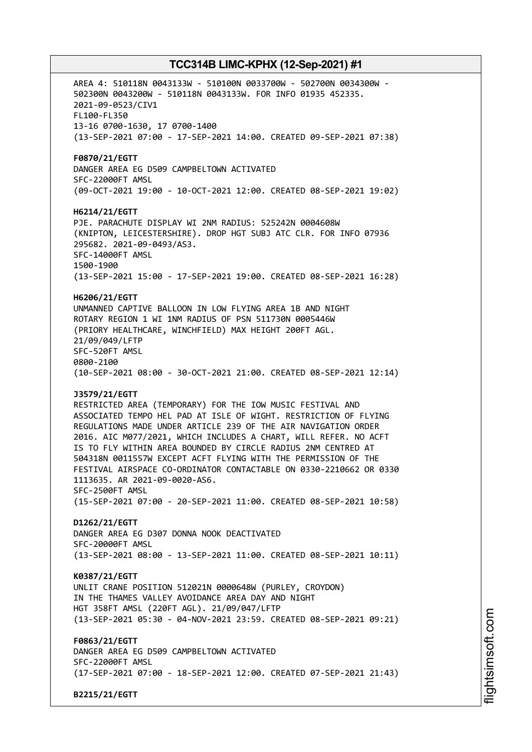AREA 4: 510118N 0043133W - 510100N 0033700W - 502700N 0034300W - 502300N 0043200W - 510118N 0043133W. FOR INFO 01935 452335. 2021-09-0523/CIV1 FL100-FL350 13-16 0700-1630, 17 0700-1400 (13-SEP-2021 07:00 - 17-SEP-2021 14:00. CREATED 09-SEP-2021 07:38) **F0870/21/EGTT** DANGER AREA EG D509 CAMPBELTOWN ACTIVATED SFC-22000FT AMSL (09-OCT-2021 19:00 - 10-OCT-2021 12:00. CREATED 08-SEP-2021 19:02) **H6214/21/EGTT** PJE. PARACHUTE DISPLAY WI 2NM RADIUS: 525242N 0004608W (KNIPTON, LEICESTERSHIRE). DROP HGT SUBJ ATC CLR. FOR INFO 07936 295682. 2021-09-0493/AS3. SFC-14000FT AMSL 1500-1900 (13-SEP-2021 15:00 - 17-SEP-2021 19:00. CREATED 08-SEP-2021 16:28) **H6206/21/EGTT** UNMANNED CAPTIVE BALLOON IN LOW FLYING AREA 1B AND NIGHT ROTARY REGION 1 WI 1NM RADIUS OF PSN 511730N 0005446W (PRIORY HEALTHCARE, WINCHFIELD) MAX HEIGHT 200FT AGL. 21/09/049/LFTP SFC-520FT AMSL 0800-2100 (10-SEP-2021 08:00 - 30-OCT-2021 21:00. CREATED 08-SEP-2021 12:14) **J3579/21/EGTT** RESTRICTED AREA (TEMPORARY) FOR THE IOW MUSIC FESTIVAL AND ASSOCIATED TEMPO HEL PAD AT ISLE OF WIGHT. RESTRICTION OF FLYING REGULATIONS MADE UNDER ARTICLE 239 OF THE AIR NAVIGATION ORDER 2016. AIC M077/2021, WHICH INCLUDES A CHART, WILL REFER. NO ACFT IS TO FLY WITHIN AREA BOUNDED BY CIRCLE RADIUS 2NM CENTRED AT 504318N 0011557W EXCEPT ACFT FLYING WITH THE PERMISSION OF THE FESTIVAL AIRSPACE CO-ORDINATOR CONTACTABLE ON 0330-2210662 OR 0330 1113635. AR 2021-09-0020-AS6. SFC-2500FT AMSL (15-SEP-2021 07:00 - 20-SEP-2021 11:00. CREATED 08-SEP-2021 10:58) **D1262/21/EGTT** DANGER AREA EG D307 DONNA NOOK DEACTIVATED SFC-20000FT AMSL (13-SEP-2021 08:00 - 13-SEP-2021 11:00. CREATED 08-SEP-2021 10:11) **K0387/21/EGTT** UNLIT CRANE POSITION 512021N 0000648W (PURLEY, CROYDON) IN THE THAMES VALLEY AVOIDANCE AREA DAY AND NIGHT HGT 358FT AMSL (220FT AGL). 21/09/047/LFTP (13-SEP-2021 05:30 - 04-NOV-2021 23:59. CREATED 08-SEP-2021 09:21) **F0863/21/EGTT** DANGER AREA EG D509 CAMPBELTOWN ACTIVATED SFC-22000FT AMSL (17-SEP-2021 07:00 - 18-SEP-2021 12:00. CREATED 07-SEP-2021 21:43) **B2215/21/EGTT**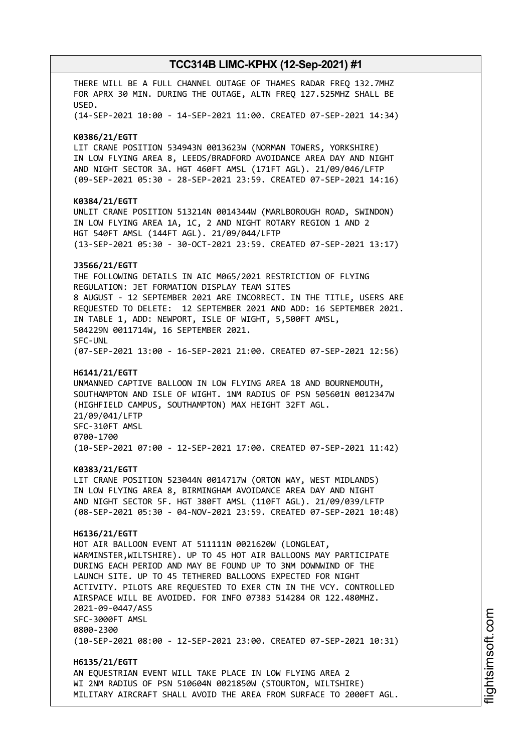THERE WILL BE A FULL CHANNEL OUTAGE OF THAMES RADAR FREQ 132.7MHZ FOR APRX 30 MIN. DURING THE OUTAGE, ALTN FREQ 127.525MHZ SHALL BE USED. (14-SEP-2021 10:00 - 14-SEP-2021 11:00. CREATED 07-SEP-2021 14:34) **K0386/21/EGTT** LIT CRANE POSITION 534943N 0013623W (NORMAN TOWERS, YORKSHIRE) IN LOW FLYING AREA 8, LEEDS/BRADFORD AVOIDANCE AREA DAY AND NIGHT AND NIGHT SECTOR 3A. HGT 460FT AMSL (171FT AGL). 21/09/046/LFTP (09-SEP-2021 05:30 - 28-SEP-2021 23:59. CREATED 07-SEP-2021 14:16) **K0384/21/EGTT** UNLIT CRANE POSITION 513214N 0014344W (MARLBOROUGH ROAD, SWINDON) IN LOW FLYING AREA 1A, 1C, 2 AND NIGHT ROTARY REGION 1 AND 2 HGT 540FT AMSL (144FT AGL). 21/09/044/LFTP (13-SEP-2021 05:30 - 30-OCT-2021 23:59. CREATED 07-SEP-2021 13:17) **J3566/21/EGTT** THE FOLLOWING DETAILS IN AIC M065/2021 RESTRICTION OF FLYING REGULATION: JET FORMATION DISPLAY TEAM SITES 8 AUGUST - 12 SEPTEMBER 2021 ARE INCORRECT. IN THE TITLE, USERS ARE REQUESTED TO DELETE: 12 SEPTEMBER 2021 AND ADD: 16 SEPTEMBER 2021. IN TABLE 1, ADD: NEWPORT, ISLE OF WIGHT, 5,500FT AMSL, 504229N 0011714W, 16 SEPTEMBER 2021. SFC-UNL (07-SEP-2021 13:00 - 16-SEP-2021 21:00. CREATED 07-SEP-2021 12:56) **H6141/21/EGTT** UNMANNED CAPTIVE BALLOON IN LOW FLYING AREA 18 AND BOURNEMOUTH, SOUTHAMPTON AND ISLE OF WIGHT. 1NM RADIUS OF PSN 505601N 0012347W (HIGHFIELD CAMPUS, SOUTHAMPTON) MAX HEIGHT 32FT AGL. 21/09/041/LFTP SFC-310FT AMSL 0700-1700 (10-SEP-2021 07:00 - 12-SEP-2021 17:00. CREATED 07-SEP-2021 11:42) **K0383/21/EGTT** LIT CRANE POSITION 523044N 0014717W (ORTON WAY, WEST MIDLANDS) IN LOW FLYING AREA 8, BIRMINGHAM AVOIDANCE AREA DAY AND NIGHT AND NIGHT SECTOR 5F. HGT 380FT AMSL (110FT AGL). 21/09/039/LFTP (08-SEP-2021 05:30 - 04-NOV-2021 23:59. CREATED 07-SEP-2021 10:48) **H6136/21/EGTT** HOT AIR BALLOON EVENT AT 511111N 0021620W (LONGLEAT, WARMINSTER,WILTSHIRE). UP TO 45 HOT AIR BALLOONS MAY PARTICIPATE DURING EACH PERIOD AND MAY BE FOUND UP TO 3NM DOWNWIND OF THE LAUNCH SITE. UP TO 45 TETHERED BALLOONS EXPECTED FOR NIGHT ACTIVITY. PILOTS ARE REQUESTED TO EXER CTN IN THE VCY. CONTROLLED AIRSPACE WILL BE AVOIDED. FOR INFO 07383 514284 OR 122.480MHZ. 2021-09-0447/AS5 SFC-3000FT AMSL 0800-2300 (10-SEP-2021 08:00 - 12-SEP-2021 23:00. CREATED 07-SEP-2021 10:31) **H6135/21/EGTT** AN EQUESTRIAN EVENT WILL TAKE PLACE IN LOW FLYING AREA 2 WI 2NM RADIUS OF PSN 510604N 0021850W (STOURTON, WILTSHIRE)

MILITARY AIRCRAFT SHALL AVOID THE AREA FROM SURFACE TO 2000FT AGL.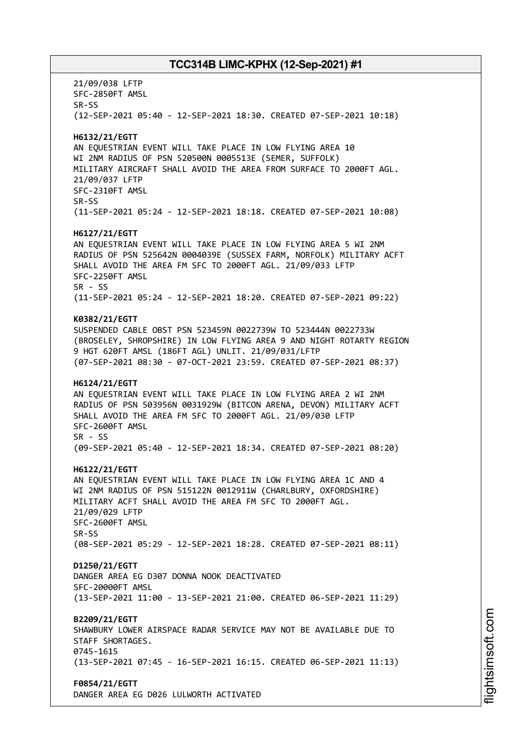21/09/038 LFTP SFC-2850FT AMSL SR-SS (12-SEP-2021 05:40 - 12-SEP-2021 18:30. CREATED 07-SEP-2021 10:18) **H6132/21/EGTT** AN EQUESTRIAN EVENT WILL TAKE PLACE IN LOW FLYING AREA 10 WI 2NM RADIUS OF PSN 520500N 0005513E (SEMER, SUFFOLK) MILITARY AIRCRAFT SHALL AVOID THE AREA FROM SURFACE TO 2000FT AGL. 21/09/037 LFTP SFC-2310FT AMSL SR-SS (11-SEP-2021 05:24 - 12-SEP-2021 18:18. CREATED 07-SEP-2021 10:08) **H6127/21/EGTT** AN EQUESTRIAN EVENT WILL TAKE PLACE IN LOW FLYING AREA 5 WI 2NM RADIUS OF PSN 525642N 0004039E (SUSSEX FARM, NORFOLK) MILITARY ACFT SHALL AVOID THE AREA FM SFC TO 2000FT AGL. 21/09/033 LFTP SFC-2250FT AMSL SR - SS (11-SEP-2021 05:24 - 12-SEP-2021 18:20. CREATED 07-SEP-2021 09:22) **K0382/21/EGTT** SUSPENDED CABLE OBST PSN 523459N 0022739W TO 523444N 0022733W (BROSELEY, SHROPSHIRE) IN LOW FLYING AREA 9 AND NIGHT ROTARTY REGION 9 HGT 620FT AMSL (186FT AGL) UNLIT. 21/09/031/LFTP (07-SEP-2021 08:30 - 07-OCT-2021 23:59. CREATED 07-SEP-2021 08:37) **H6124/21/EGTT** AN EQUESTRIAN EVENT WILL TAKE PLACE IN LOW FLYING AREA 2 WI 2NM RADIUS OF PSN 503956N 0031929W (BITCON ARENA, DEVON) MILITARY ACFT SHALL AVOID THE AREA FM SFC TO 2000FT AGL. 21/09/030 LFTP SFC-2600FT AMSL  $SR - SS$ (09-SEP-2021 05:40 - 12-SEP-2021 18:34. CREATED 07-SEP-2021 08:20) **H6122/21/EGTT** AN EQUESTRIAN EVENT WILL TAKE PLACE IN LOW FLYING AREA 1C AND 4 WI 2NM RADIUS OF PSN 515122N 0012911W (CHARLBURY, OXFORDSHIRE) MILITARY ACFT SHALL AVOID THE AREA FM SFC TO 2000FT AGL. 21/09/029 LFTP SFC-2600FT AMSL SR-SS (08-SEP-2021 05:29 - 12-SEP-2021 18:28. CREATED 07-SEP-2021 08:11) **D1250/21/EGTT** DANGER AREA EG D307 DONNA NOOK DEACTIVATED SFC-20000FT AMSL (13-SEP-2021 11:00 - 13-SEP-2021 21:00. CREATED 06-SEP-2021 11:29) **B2209/21/EGTT** SHAWBURY LOWER AIRSPACE RADAR SERVICE MAY NOT BE AVAILABLE DUE TO STAFF SHORTAGES. 0745-1615 (13-SEP-2021 07:45 - 16-SEP-2021 16:15. CREATED 06-SEP-2021 11:13) **F0854/21/EGTT** DANGER AREA EG D026 LULWORTH ACTIVATED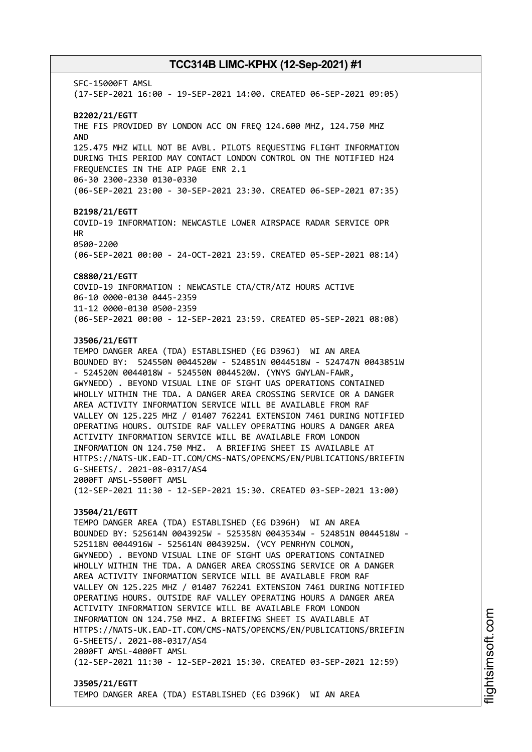SFC-15000FT AMSL (17-SEP-2021 16:00 - 19-SEP-2021 14:00. CREATED 06-SEP-2021 09:05) **B2202/21/EGTT** THE FIS PROVIDED BY LONDON ACC ON FREQ 124.600 MHZ, 124.750 MHZ AND 125.475 MHZ WILL NOT BE AVBL. PILOTS REQUESTING FLIGHT INFORMATION DURING THIS PERIOD MAY CONTACT LONDON CONTROL ON THE NOTIFIED H24 FREQUENCIES IN THE AIP PAGE ENR 2.1 06-30 2300-2330 0130-0330 (06-SEP-2021 23:00 - 30-SEP-2021 23:30. CREATED 06-SEP-2021 07:35) **B2198/21/EGTT** COVID-19 INFORMATION: NEWCASTLE LOWER AIRSPACE RADAR SERVICE OPR HR 0500-2200 (06-SEP-2021 00:00 - 24-OCT-2021 23:59. CREATED 05-SEP-2021 08:14) **C8880/21/EGTT** COVID-19 INFORMATION : NEWCASTLE CTA/CTR/ATZ HOURS ACTIVE 06-10 0000-0130 0445-2359 11-12 0000-0130 0500-2359 (06-SEP-2021 00:00 - 12-SEP-2021 23:59. CREATED 05-SEP-2021 08:08) **J3506/21/EGTT** TEMPO DANGER AREA (TDA) ESTABLISHED (EG D396J) WI AN AREA BOUNDED BY: 524550N 0044520W - 524851N 0044518W - 524747N 0043851W - 524520N 0044018W - 524550N 0044520W. (YNYS GWYLAN-FAWR, GWYNEDD) . BEYOND VISUAL LINE OF SIGHT UAS OPERATIONS CONTAINED WHOLLY WITHIN THE TDA. A DANGER AREA CROSSING SERVICE OR A DANGER AREA ACTIVITY INFORMATION SERVICE WILL BE AVAILABLE FROM RAF VALLEY ON 125.225 MHZ / 01407 762241 EXTENSION 7461 DURING NOTIFIED OPERATING HOURS. OUTSIDE RAF VALLEY OPERATING HOURS A DANGER AREA ACTIVITY INFORMATION SERVICE WILL BE AVAILABLE FROM LONDON INFORMATION ON 124.750 MHZ. A BRIEFING SHEET IS AVAILABLE AT HTTPS://NATS-UK.EAD-IT.COM/CMS-NATS/OPENCMS/EN/PUBLICATIONS/BRIEFIN G-SHEETS/. 2021-08-0317/AS4 2000FT AMSL-5500FT AMSL (12-SEP-2021 11:30 - 12-SEP-2021 15:30. CREATED 03-SEP-2021 13:00) **J3504/21/EGTT** TEMPO DANGER AREA (TDA) ESTABLISHED (EG D396H) WI AN AREA BOUNDED BY: 525614N 0043925W - 525358N 0043534W - 524851N 0044518W - 525118N 0044916W - 525614N 0043925W. (VCY PENRHYN COLMON, GWYNEDD) . BEYOND VISUAL LINE OF SIGHT UAS OPERATIONS CONTAINED WHOLLY WITHIN THE TDA. A DANGER AREA CROSSING SERVICE OR A DANGER AREA ACTIVITY INFORMATION SERVICE WILL BE AVAILABLE FROM RAF VALLEY ON 125.225 MHZ / 01407 762241 EXTENSION 7461 DURING NOTIFIED OPERATING HOURS. OUTSIDE RAF VALLEY OPERATING HOURS A DANGER AREA ACTIVITY INFORMATION SERVICE WILL BE AVAILABLE FROM LONDON INFORMATION ON 124.750 MHZ. A BRIEFING SHEET IS AVAILABLE AT HTTPS://NATS-UK.EAD-IT.COM/CMS-NATS/OPENCMS/EN/PUBLICATIONS/BRIEFIN G-SHEETS/. 2021-08-0317/AS4 2000FT AMSL-4000FT AMSL (12-SEP-2021 11:30 - 12-SEP-2021 15:30. CREATED 03-SEP-2021 12:59)

### **J3505/21/EGTT** TEMPO DANGER AREA (TDA) ESTABLISHED (EG D396K) WI AN AREA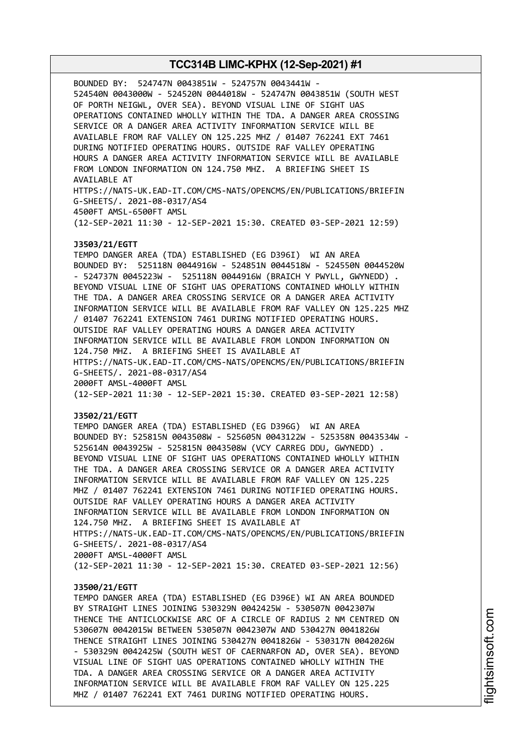BOUNDED BY: 524747N 0043851W - 524757N 0043441W - 524540N 0043000W - 524520N 0044018W - 524747N 0043851W (SOUTH WEST OF PORTH NEIGWL, OVER SEA). BEYOND VISUAL LINE OF SIGHT UAS OPERATIONS CONTAINED WHOLLY WITHIN THE TDA. A DANGER AREA CROSSING SERVICE OR A DANGER AREA ACTIVITY INFORMATION SERVICE WILL BE AVAILABLE FROM RAF VALLEY ON 125.225 MHZ / 01407 762241 EXT 7461 DURING NOTIFIED OPERATING HOURS. OUTSIDE RAF VALLEY OPERATING HOURS A DANGER AREA ACTIVITY INFORMATION SERVICE WILL BE AVAILABLE FROM LONDON INFORMATION ON 124.750 MHZ. A BRIEFING SHEET IS AVAILABLE AT HTTPS://NATS-UK.EAD-IT.COM/CMS-NATS/OPENCMS/EN/PUBLICATIONS/BRIEFIN G-SHEETS/. 2021-08-0317/AS4 4500FT AMSL-6500FT AMSL (12-SEP-2021 11:30 - 12-SEP-2021 15:30. CREATED 03-SEP-2021 12:59) **J3503/21/EGTT** TEMPO DANGER AREA (TDA) ESTABLISHED (EG D396I) WI AN AREA BOUNDED BY: 525118N 0044916W - 524851N 0044518W - 524550N 0044520W - 524737N 0045223W - 525118N 0044916W (BRAICH Y PWYLL, GWYNEDD) . BEYOND VISUAL LINE OF SIGHT UAS OPERATIONS CONTAINED WHOLLY WITHIN THE TDA. A DANGER AREA CROSSING SERVICE OR A DANGER AREA ACTIVITY INFORMATION SERVICE WILL BE AVAILABLE FROM RAF VALLEY ON 125.225 MHZ / 01407 762241 EXTENSION 7461 DURING NOTIFIED OPERATING HOURS. OUTSIDE RAF VALLEY OPERATING HOURS A DANGER AREA ACTIVITY INFORMATION SERVICE WILL BE AVAILABLE FROM LONDON INFORMATION ON 124.750 MHZ. A BRIEFING SHEET IS AVAILABLE AT HTTPS://NATS-UK.EAD-IT.COM/CMS-NATS/OPENCMS/EN/PUBLICATIONS/BRIEFIN G-SHEETS/. 2021-08-0317/AS4 2000FT AMSL-4000FT AMSL (12-SEP-2021 11:30 - 12-SEP-2021 15:30. CREATED 03-SEP-2021 12:58) **J3502/21/EGTT** TEMPO DANGER AREA (TDA) ESTABLISHED (EG D396G) WI AN AREA BOUNDED BY: 525815N 0043508W - 525605N 0043122W - 525358N 0043534W - 525614N 0043925W - 525815N 0043508W (VCY CARREG DDU, GWYNEDD) . BEYOND VISUAL LINE OF SIGHT UAS OPERATIONS CONTAINED WHOLLY WITHIN THE TDA. A DANGER AREA CROSSING SERVICE OR A DANGER AREA ACTIVITY INFORMATION SERVICE WILL BE AVAILABLE FROM RAF VALLEY ON 125.225 MHZ / 01407 762241 EXTENSION 7461 DURING NOTIFIED OPERATING HOURS. OUTSIDE RAF VALLEY OPERATING HOURS A DANGER AREA ACTIVITY INFORMATION SERVICE WILL BE AVAILABLE FROM LONDON INFORMATION ON 124.750 MHZ. A BRIEFING SHEET IS AVAILABLE AT

HTTPS://NATS-UK.EAD-IT.COM/CMS-NATS/OPENCMS/EN/PUBLICATIONS/BRIEFIN G-SHEETS/. 2021-08-0317/AS4

2000FT AMSL-4000FT AMSL

(12-SEP-2021 11:30 - 12-SEP-2021 15:30. CREATED 03-SEP-2021 12:56)

### **J3500/21/EGTT**

TEMPO DANGER AREA (TDA) ESTABLISHED (EG D396E) WI AN AREA BOUNDED BY STRAIGHT LINES JOINING 530329N 0042425W - 530507N 0042307W THENCE THE ANTICLOCKWISE ARC OF A CIRCLE OF RADIUS 2 NM CENTRED ON 530607N 0042015W BETWEEN 530507N 0042307W AND 530427N 0041826W THENCE STRAIGHT LINES JOINING 530427N 0041826W - 530317N 0042026W - 530329N 0042425W (SOUTH WEST OF CAERNARFON AD, OVER SEA). BEYOND VISUAL LINE OF SIGHT UAS OPERATIONS CONTAINED WHOLLY WITHIN THE TDA. A DANGER AREA CROSSING SERVICE OR A DANGER AREA ACTIVITY INFORMATION SERVICE WILL BE AVAILABLE FROM RAF VALLEY ON 125.225 MHZ / 01407 762241 EXT 7461 DURING NOTIFIED OPERATING HOURS.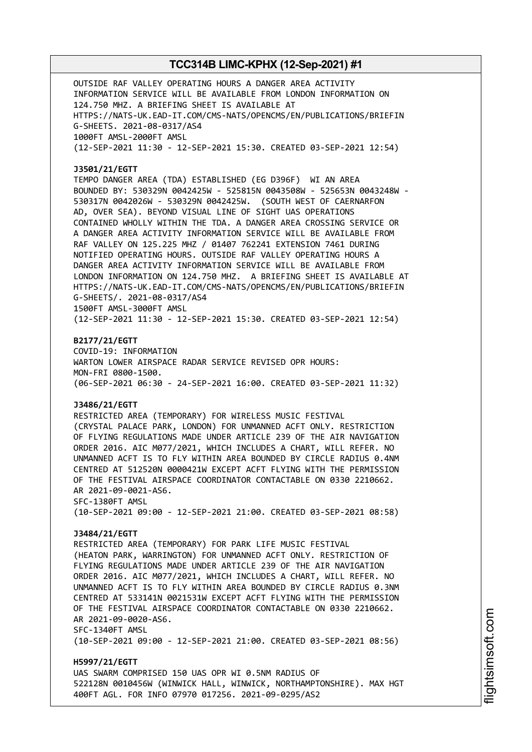OUTSIDE RAF VALLEY OPERATING HOURS A DANGER AREA ACTIVITY INFORMATION SERVICE WILL BE AVAILABLE FROM LONDON INFORMATION ON 124.750 MHZ. A BRIEFING SHEET IS AVAILABLE AT HTTPS://NATS-UK.EAD-IT.COM/CMS-NATS/OPENCMS/EN/PUBLICATIONS/BRIEFIN G-SHEETS. 2021-08-0317/AS4 1000FT AMSL-2000FT AMSL (12-SEP-2021 11:30 - 12-SEP-2021 15:30. CREATED 03-SEP-2021 12:54)

#### **J3501/21/EGTT**

TEMPO DANGER AREA (TDA) ESTABLISHED (EG D396F) WI AN AREA BOUNDED BY: 530329N 0042425W - 525815N 0043508W - 525653N 0043248W - 530317N 0042026W - 530329N 0042425W. (SOUTH WEST OF CAERNARFON AD, OVER SEA). BEYOND VISUAL LINE OF SIGHT UAS OPERATIONS CONTAINED WHOLLY WITHIN THE TDA. A DANGER AREA CROSSING SERVICE OR A DANGER AREA ACTIVITY INFORMATION SERVICE WILL BE AVAILABLE FROM RAF VALLEY ON 125.225 MHZ / 01407 762241 EXTENSION 7461 DURING NOTIFIED OPERATING HOURS. OUTSIDE RAF VALLEY OPERATING HOURS A DANGER AREA ACTIVITY INFORMATION SERVICE WILL BE AVAILABLE FROM LONDON INFORMATION ON 124.750 MHZ. A BRIEFING SHEET IS AVAILABLE AT HTTPS://NATS-UK.EAD-IT.COM/CMS-NATS/OPENCMS/EN/PUBLICATIONS/BRIEFIN G-SHEETS/. 2021-08-0317/AS4 1500FT AMSL-3000FT AMSL

(12-SEP-2021 11:30 - 12-SEP-2021 15:30. CREATED 03-SEP-2021 12:54)

#### **B2177/21/EGTT**

COVID-19: INFORMATION WARTON LOWER AIRSPACE RADAR SERVICE REVISED OPR HOURS: MON-FRI 0800-1500. (06-SEP-2021 06:30 - 24-SEP-2021 16:00. CREATED 03-SEP-2021 11:32)

### **J3486/21/EGTT**

RESTRICTED AREA (TEMPORARY) FOR WIRELESS MUSIC FESTIVAL (CRYSTAL PALACE PARK, LONDON) FOR UNMANNED ACFT ONLY. RESTRICTION OF FLYING REGULATIONS MADE UNDER ARTICLE 239 OF THE AIR NAVIGATION ORDER 2016. AIC M077/2021, WHICH INCLUDES A CHART, WILL REFER. NO UNMANNED ACFT IS TO FLY WITHIN AREA BOUNDED BY CIRCLE RADIUS 0.4NM CENTRED AT 512520N 0000421W EXCEPT ACFT FLYING WITH THE PERMISSION OF THE FESTIVAL AIRSPACE COORDINATOR CONTACTABLE ON 0330 2210662. AR 2021-09-0021-AS6. SFC-1380FT AMSL (10-SEP-2021 09:00 - 12-SEP-2021 21:00. CREATED 03-SEP-2021 08:58)

#### **J3484/21/EGTT**

RESTRICTED AREA (TEMPORARY) FOR PARK LIFE MUSIC FESTIVAL (HEATON PARK, WARRINGTON) FOR UNMANNED ACFT ONLY. RESTRICTION OF FLYING REGULATIONS MADE UNDER ARTICLE 239 OF THE AIR NAVIGATION ORDER 2016. AIC M077/2021, WHICH INCLUDES A CHART, WILL REFER. NO UNMANNED ACFT IS TO FLY WITHIN AREA BOUNDED BY CIRCLE RADIUS 0.3NM CENTRED AT 533141N 0021531W EXCEPT ACFT FLYING WITH THE PERMISSION OF THE FESTIVAL AIRSPACE COORDINATOR CONTACTABLE ON 0330 2210662. AR 2021-09-0020-AS6. SFC-1340FT AMSL (10-SEP-2021 09:00 - 12-SEP-2021 21:00. CREATED 03-SEP-2021 08:56)

**H5997/21/EGTT** UAS SWARM COMPRISED 150 UAS OPR WI 0.5NM RADIUS OF 522128N 0010456W (WINWICK HALL, WINWICK, NORTHAMPTONSHIRE). MAX HGT 400FT AGL. FOR INFO 07970 017256. 2021-09-0295/AS2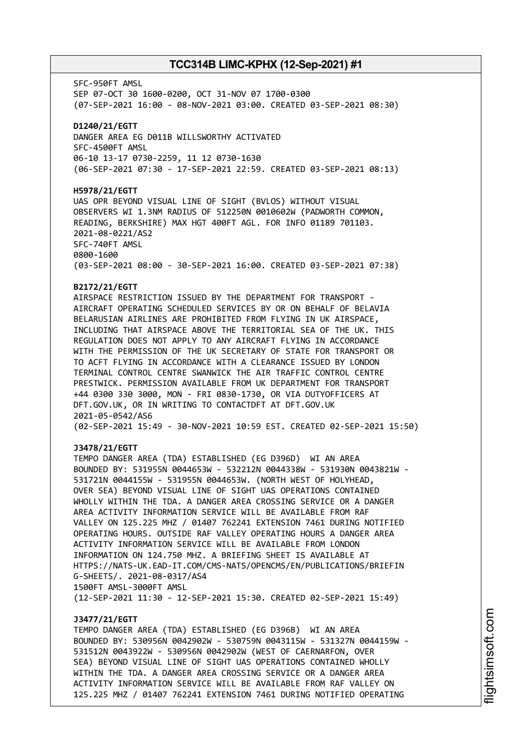SFC-950FT AMSL SEP 07-OCT 30 1600-0200, OCT 31-NOV 07 1700-0300 (07-SEP-2021 16:00 - 08-NOV-2021 03:00. CREATED 03-SEP-2021 08:30) **D1240/21/EGTT** DANGER AREA EG D011B WILLSWORTHY ACTIVATED SFC-4500FT AMSL 06-10 13-17 0730-2259, 11 12 0730-1630 (06-SEP-2021 07:30 - 17-SEP-2021 22:59. CREATED 03-SEP-2021 08:13) **H5978/21/EGTT** UAS OPR BEYOND VISUAL LINE OF SIGHT (BVLOS) WITHOUT VISUAL OBSERVERS WI 1.3NM RADIUS OF 512250N 0010602W (PADWORTH COMMON, READING, BERKSHIRE) MAX HGT 400FT AGL. FOR INFO 01189 701103. 2021-08-0221/AS2 SFC-740FT AMSL 0800-1600 (03-SEP-2021 08:00 - 30-SEP-2021 16:00. CREATED 03-SEP-2021 07:38)

### **B2172/21/EGTT**

AIRSPACE RESTRICTION ISSUED BY THE DEPARTMENT FOR TRANSPORT - AIRCRAFT OPERATING SCHEDULED SERVICES BY OR ON BEHALF OF BELAVIA BELARUSIAN AIRLINES ARE PROHIBITED FROM FLYING IN UK AIRSPACE, INCLUDING THAT AIRSPACE ABOVE THE TERRITORIAL SEA OF THE UK. THIS REGULATION DOES NOT APPLY TO ANY AIRCRAFT FLYING IN ACCORDANCE WITH THE PERMISSION OF THE UK SECRETARY OF STATE FOR TRANSPORT OR TO ACFT FLYING IN ACCORDANCE WITH A CLEARANCE ISSUED BY LONDON TERMINAL CONTROL CENTRE SWANWICK THE AIR TRAFFIC CONTROL CENTRE PRESTWICK. PERMISSION AVAILABLE FROM UK DEPARTMENT FOR TRANSPORT +44 0300 330 3000, MON - FRI 0830-1730, OR VIA DUTYOFFICERS AT DFT.GOV.UK, OR IN WRITING TO CONTACTDFT AT DFT.GOV.UK 2021-05-0542/AS6 (02-SEP-2021 15:49 - 30-NOV-2021 10:59 EST. CREATED 02-SEP-2021 15:50)

### **J3478/21/EGTT**

TEMPO DANGER AREA (TDA) ESTABLISHED (EG D396D) WI AN AREA BOUNDED BY: 531955N 0044653W - 532212N 0044338W - 531930N 0043821W - 531721N 0044155W - 531955N 0044653W. (NORTH WEST OF HOLYHEAD, OVER SEA) BEYOND VISUAL LINE OF SIGHT UAS OPERATIONS CONTAINED WHOLLY WITHIN THE TDA. A DANGER AREA CROSSING SERVICE OR A DANGER AREA ACTIVITY INFORMATION SERVICE WILL BE AVAILABLE FROM RAF VALLEY ON 125.225 MHZ / 01407 762241 EXTENSION 7461 DURING NOTIFIED OPERATING HOURS. OUTSIDE RAF VALLEY OPERATING HOURS A DANGER AREA ACTIVITY INFORMATION SERVICE WILL BE AVAILABLE FROM LONDON INFORMATION ON 124.750 MHZ. A BRIEFING SHEET IS AVAILABLE AT HTTPS://NATS-UK.EAD-IT.COM/CMS-NATS/OPENCMS/EN/PUBLICATIONS/BRIEFIN G-SHEETS/. 2021-08-0317/AS4 1500FT AMSL-3000FT AMSL (12-SEP-2021 11:30 - 12-SEP-2021 15:30. CREATED 02-SEP-2021 15:49)

### **J3477/21/EGTT**

TEMPO DANGER AREA (TDA) ESTABLISHED (EG D396B) WI AN AREA BOUNDED BY: 530956N 0042902W - 530759N 0043115W - 531327N 0044159W - 531512N 0043922W - 530956N 0042902W (WEST OF CAERNARFON, OVER SEA) BEYOND VISUAL LINE OF SIGHT UAS OPERATIONS CONTAINED WHOLLY WITHIN THE TDA. A DANGER AREA CROSSING SERVICE OR A DANGER AREA ACTIVITY INFORMATION SERVICE WILL BE AVAILABLE FROM RAF VALLEY ON 125.225 MHZ / 01407 762241 EXTENSION 7461 DURING NOTIFIED OPERATING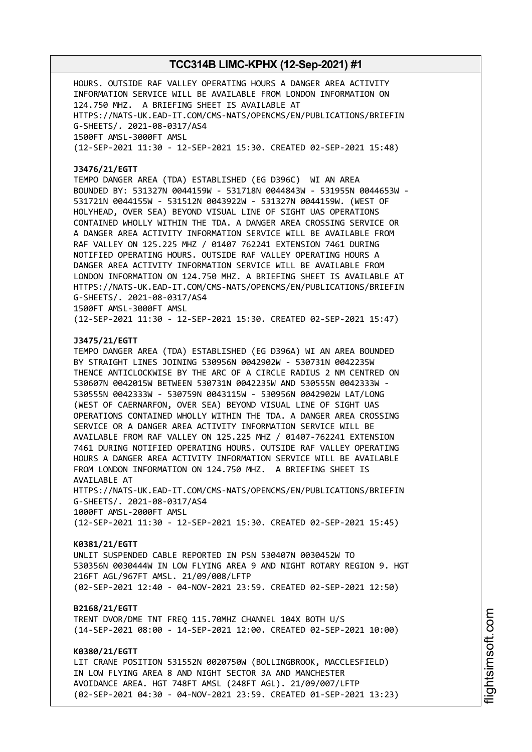HOURS. OUTSIDE RAF VALLEY OPERATING HOURS A DANGER AREA ACTIVITY INFORMATION SERVICE WILL BE AVAILABLE FROM LONDON INFORMATION ON 124.750 MHZ. A BRIEFING SHEET IS AVAILABLE AT HTTPS://NATS-UK.EAD-IT.COM/CMS-NATS/OPENCMS/EN/PUBLICATIONS/BRIEFIN G-SHEETS/. 2021-08-0317/AS4 1500FT AMSL-3000FT AMSL (12-SEP-2021 11:30 - 12-SEP-2021 15:30. CREATED 02-SEP-2021 15:48)

#### **J3476/21/EGTT**

TEMPO DANGER AREA (TDA) ESTABLISHED (EG D396C) WI AN AREA BOUNDED BY: 531327N 0044159W - 531718N 0044843W - 531955N 0044653W - 531721N 0044155W - 531512N 0043922W - 531327N 0044159W. (WEST OF HOLYHEAD, OVER SEA) BEYOND VISUAL LINE OF SIGHT UAS OPERATIONS CONTAINED WHOLLY WITHIN THE TDA. A DANGER AREA CROSSING SERVICE OR A DANGER AREA ACTIVITY INFORMATION SERVICE WILL BE AVAILABLE FROM RAF VALLEY ON 125.225 MHZ / 01407 762241 EXTENSION 7461 DURING NOTIFIED OPERATING HOURS. OUTSIDE RAF VALLEY OPERATING HOURS A DANGER AREA ACTIVITY INFORMATION SERVICE WILL BE AVAILABLE FROM LONDON INFORMATION ON 124.750 MHZ. A BRIEFING SHEET IS AVAILABLE AT HTTPS://NATS-UK.EAD-IT.COM/CMS-NATS/OPENCMS/EN/PUBLICATIONS/BRIEFIN G-SHEETS/. 2021-08-0317/AS4 1500FT AMSL-3000FT AMSL

(12-SEP-2021 11:30 - 12-SEP-2021 15:30. CREATED 02-SEP-2021 15:47)

### **J3475/21/EGTT**

TEMPO DANGER AREA (TDA) ESTABLISHED (EG D396A) WI AN AREA BOUNDED BY STRAIGHT LINES JOINING 530956N 0042902W - 530731N 0042235W THENCE ANTICLOCKWISE BY THE ARC OF A CIRCLE RADIUS 2 NM CENTRED ON 530607N 0042015W BETWEEN 530731N 0042235W AND 530555N 0042333W - 530555N 0042333W - 530759N 0043115W - 530956N 0042902W LAT/LONG (WEST OF CAERNARFON, OVER SEA) BEYOND VISUAL LINE OF SIGHT UAS OPERATIONS CONTAINED WHOLLY WITHIN THE TDA. A DANGER AREA CROSSING SERVICE OR A DANGER AREA ACTIVITY INFORMATION SERVICE WILL BE AVAILABLE FROM RAF VALLEY ON 125.225 MHZ / 01407-762241 EXTENSION 7461 DURING NOTIFIED OPERATING HOURS. OUTSIDE RAF VALLEY OPERATING HOURS A DANGER AREA ACTIVITY INFORMATION SERVICE WILL BE AVAILABLE FROM LONDON INFORMATION ON 124.750 MHZ. A BRIEFING SHEET IS AVAILABLE AT

HTTPS://NATS-UK.EAD-IT.COM/CMS-NATS/OPENCMS/EN/PUBLICATIONS/BRIEFIN G-SHEETS/. 2021-08-0317/AS4 1000FT AMSL-2000FT AMSL

(12-SEP-2021 11:30 - 12-SEP-2021 15:30. CREATED 02-SEP-2021 15:45)

#### **K0381/21/EGTT**

UNLIT SUSPENDED CABLE REPORTED IN PSN 530407N 0030452W TO 530356N 0030444W IN LOW FLYING AREA 9 AND NIGHT ROTARY REGION 9. HGT 216FT AGL/967FT AMSL. 21/09/008/LFTP (02-SEP-2021 12:40 - 04-NOV-2021 23:59. CREATED 02-SEP-2021 12:50)

#### **B2168/21/EGTT**

TRENT DVOR/DME TNT FREQ 115.70MHZ CHANNEL 104X BOTH U/S (14-SEP-2021 08:00 - 14-SEP-2021 12:00. CREATED 02-SEP-2021 10:00)

### **K0380/21/EGTT**

LIT CRANE POSITION 531552N 0020750W (BOLLINGBROOK, MACCLESFIELD) IN LOW FLYING AREA 8 AND NIGHT SECTOR 3A AND MANCHESTER AVOIDANCE AREA. HGT 748FT AMSL (248FT AGL). 21/09/007/LFTP (02-SEP-2021 04:30 - 04-NOV-2021 23:59. CREATED 01-SEP-2021 13:23)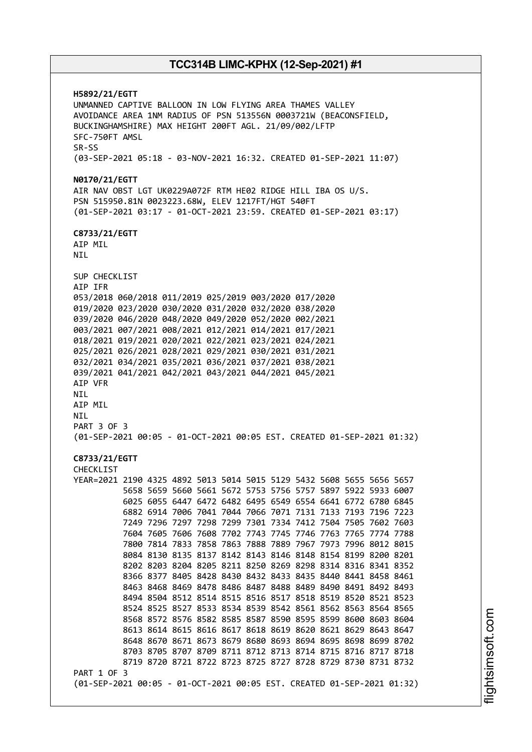**H5892/21/EGTT** UNMANNED CAPTIVE BALLOON IN LOW FLYING AREA THAMES VALLEY AVOIDANCE AREA 1NM RADIUS OF PSN 513556N 0003721W (BEACONSFIELD, BUCKINGHAMSHIRE) MAX HEIGHT 200FT AGL. 21/09/002/LFTP SFC-750FT AMSL SR-SS (03-SEP-2021 05:18 - 03-NOV-2021 16:32. CREATED 01-SEP-2021 11:07) **N0170/21/EGTT** AIR NAV OBST LGT UK0229A072F RTM HE02 RIDGE HILL IBA OS U/S. PSN 515950.81N 0023223.68W, ELEV 1217FT/HGT 540FT (01-SEP-2021 03:17 - 01-OCT-2021 23:59. CREATED 01-SEP-2021 03:17) **C8733/21/EGTT** AIP MIL NIL SUP CHECKLIST AIP IFR 053/2018 060/2018 011/2019 025/2019 003/2020 017/2020 019/2020 023/2020 030/2020 031/2020 032/2020 038/2020 039/2020 046/2020 048/2020 049/2020 052/2020 002/2021 003/2021 007/2021 008/2021 012/2021 014/2021 017/2021 018/2021 019/2021 020/2021 022/2021 023/2021 024/2021 025/2021 026/2021 028/2021 029/2021 030/2021 031/2021 032/2021 034/2021 035/2021 036/2021 037/2021 038/2021 039/2021 041/2021 042/2021 043/2021 044/2021 045/2021 AIP VFR NIL AIP MIL NIL PART 3 OF 3 (01-SEP-2021 00:05 - 01-OCT-2021 00:05 EST. CREATED 01-SEP-2021 01:32) **C8733/21/EGTT** CHECKLIST YEAR=2021 2190 4325 4892 5013 5014 5015 5129 5432 5608 5655 5656 5657 5658 5659 5660 5661 5672 5753 5756 5757 5897 5922 5933 6007 6025 6055 6447 6472 6482 6495 6549 6554 6641 6772 6780 6845 6882 6914 7006 7041 7044 7066 7071 7131 7133 7193 7196 7223 7249 7296 7297 7298 7299 7301 7334 7412 7504 7505 7602 7603 7604 7605 7606 7608 7702 7743 7745 7746 7763 7765 7774 7788 7800 7814 7833 7858 7863 7888 7889 7967 7973 7996 8012 8015 8084 8130 8135 8137 8142 8143 8146 8148 8154 8199 8200 8201 8202 8203 8204 8205 8211 8250 8269 8298 8314 8316 8341 8352 8366 8377 8405 8428 8430 8432 8433 8435 8440 8441 8458 8461 8463 8468 8469 8478 8486 8487 8488 8489 8490 8491 8492 8493 8494 8504 8512 8514 8515 8516 8517 8518 8519 8520 8521 8523 8524 8525 8527 8533 8534 8539 8542 8561 8562 8563 8564 8565 8568 8572 8576 8582 8585 8587 8590 8595 8599 8600 8603 8604 8613 8614 8615 8616 8617 8618 8619 8620 8621 8629 8643 8647 8648 8670 8671 8673 8679 8680 8693 8694 8695 8698 8699 8702 8703 8705 8707 8709 8711 8712 8713 8714 8715 8716 8717 8718 8719 8720 8721 8722 8723 8725 8727 8728 8729 8730 8731 8732 PART 1 OF 3 (01-SEP-2021 00:05 - 01-OCT-2021 00:05 EST. CREATED 01-SEP-2021 01:32)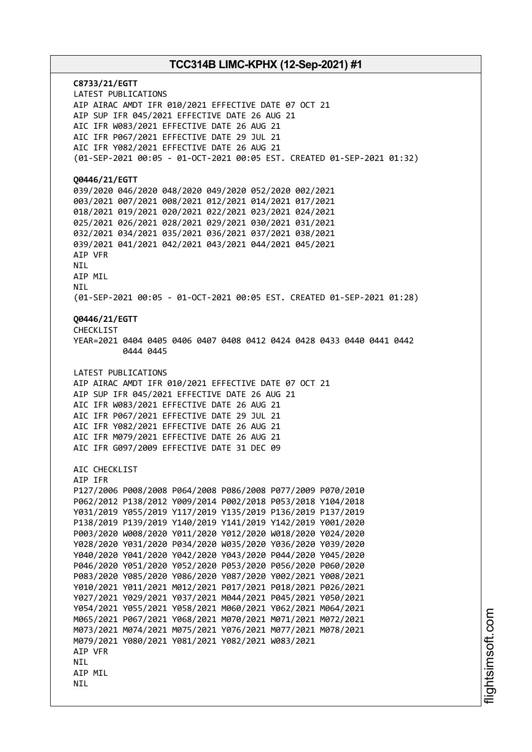**C8733/21/EGTT** LATEST PUBLICATIONS AIP AIRAC AMDT IFR 010/2021 EFFECTIVE DATE 07 OCT 21 AIP SUP IFR 045/2021 EFFECTIVE DATE 26 AUG 21 AIC IFR W083/2021 EFFECTIVE DATE 26 AUG 21 AIC IFR P067/2021 EFFECTIVE DATE 29 JUL 21 AIC IFR Y082/2021 EFFECTIVE DATE 26 AUG 21 (01-SEP-2021 00:05 - 01-OCT-2021 00:05 EST. CREATED 01-SEP-2021 01:32) **Q0446/21/EGTT** 039/2020 046/2020 048/2020 049/2020 052/2020 002/2021 003/2021 007/2021 008/2021 012/2021 014/2021 017/2021 018/2021 019/2021 020/2021 022/2021 023/2021 024/2021 025/2021 026/2021 028/2021 029/2021 030/2021 031/2021 032/2021 034/2021 035/2021 036/2021 037/2021 038/2021 039/2021 041/2021 042/2021 043/2021 044/2021 045/2021 AIP VFR NIL AIP MIL **NTI** (01-SEP-2021 00:05 - 01-OCT-2021 00:05 EST. CREATED 01-SEP-2021 01:28) **Q0446/21/EGTT** CHECKLIST YEAR=2021 0404 0405 0406 0407 0408 0412 0424 0428 0433 0440 0441 0442 0444 0445 LATEST PUBLICATIONS AIP AIRAC AMDT IFR 010/2021 EFFECTIVE DATE 07 OCT 21 AIP SUP IFR 045/2021 EFFECTIVE DATE 26 AUG 21 AIC IFR W083/2021 EFFECTIVE DATE 26 AUG 21 AIC IFR P067/2021 EFFECTIVE DATE 29 JUL 21 AIC IFR Y082/2021 EFFECTIVE DATE 26 AUG 21 AIC IFR M079/2021 EFFECTIVE DATE 26 AUG 21 AIC IFR G097/2009 EFFECTIVE DATE 31 DEC 09 AIC CHECKLIST AIP IFR P127/2006 P008/2008 P064/2008 P086/2008 P077/2009 P070/2010 P062/2012 P138/2012 Y009/2014 P002/2018 P053/2018 Y104/2018 Y031/2019 Y055/2019 Y117/2019 Y135/2019 P136/2019 P137/2019 P138/2019 P139/2019 Y140/2019 Y141/2019 Y142/2019 Y001/2020 P003/2020 W008/2020 Y011/2020 Y012/2020 W018/2020 Y024/2020 Y028/2020 Y031/2020 P034/2020 W035/2020 Y036/2020 Y039/2020 Y040/2020 Y041/2020 Y042/2020 Y043/2020 P044/2020 Y045/2020 P046/2020 Y051/2020 Y052/2020 P053/2020 P056/2020 P060/2020 P083/2020 Y085/2020 Y086/2020 Y087/2020 Y002/2021 Y008/2021 Y010/2021 Y011/2021 M012/2021 P017/2021 P018/2021 P026/2021 Y027/2021 Y029/2021 Y037/2021 M044/2021 P045/2021 Y050/2021 Y054/2021 Y055/2021 Y058/2021 M060/2021 Y062/2021 M064/2021 M065/2021 P067/2021 Y068/2021 M070/2021 M071/2021 M072/2021 M073/2021 M074/2021 M075/2021 Y076/2021 M077/2021 M078/2021 M079/2021 Y080/2021 Y081/2021 Y082/2021 W083/2021 AIP VFR NIL AIP MIL NIL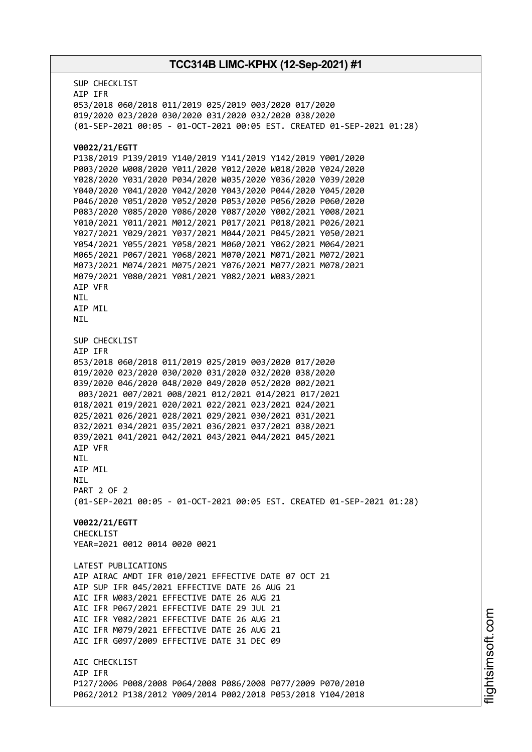SUP CHECKLIST AIP IFR 053/2018 060/2018 011/2019 025/2019 003/2020 017/2020 019/2020 023/2020 030/2020 031/2020 032/2020 038/2020 (01-SEP-2021 00:05 - 01-OCT-2021 00:05 EST. CREATED 01-SEP-2021 01:28) **V0022/21/EGTT** P138/2019 P139/2019 Y140/2019 Y141/2019 Y142/2019 Y001/2020 P003/2020 W008/2020 Y011/2020 Y012/2020 W018/2020 Y024/2020 Y028/2020 Y031/2020 P034/2020 W035/2020 Y036/2020 Y039/2020 Y040/2020 Y041/2020 Y042/2020 Y043/2020 P044/2020 Y045/2020 P046/2020 Y051/2020 Y052/2020 P053/2020 P056/2020 P060/2020 P083/2020 Y085/2020 Y086/2020 Y087/2020 Y002/2021 Y008/2021 Y010/2021 Y011/2021 M012/2021 P017/2021 P018/2021 P026/2021 Y027/2021 Y029/2021 Y037/2021 M044/2021 P045/2021 Y050/2021 Y054/2021 Y055/2021 Y058/2021 M060/2021 Y062/2021 M064/2021 M065/2021 P067/2021 Y068/2021 M070/2021 M071/2021 M072/2021 M073/2021 M074/2021 M075/2021 Y076/2021 M077/2021 M078/2021 M079/2021 Y080/2021 Y081/2021 Y082/2021 W083/2021 AIP VFR NIL AIP MIL NIL SUP CHECKLIST AIP IFR 053/2018 060/2018 011/2019 025/2019 003/2020 017/2020 019/2020 023/2020 030/2020 031/2020 032/2020 038/2020 039/2020 046/2020 048/2020 049/2020 052/2020 002/2021 003/2021 007/2021 008/2021 012/2021 014/2021 017/2021 018/2021 019/2021 020/2021 022/2021 023/2021 024/2021 025/2021 026/2021 028/2021 029/2021 030/2021 031/2021 032/2021 034/2021 035/2021 036/2021 037/2021 038/2021 039/2021 041/2021 042/2021 043/2021 044/2021 045/2021 AIP VFR **NTI** AIP MIL **NTI** PART 2 OF 2 (01-SEP-2021 00:05 - 01-OCT-2021 00:05 EST. CREATED 01-SEP-2021 01:28) **V0022/21/EGTT** CHECKLIST YEAR=2021 0012 0014 0020 0021 LATEST PUBLICATIONS AIP AIRAC AMDT IFR 010/2021 EFFECTIVE DATE 07 OCT 21 AIP SUP IFR 045/2021 EFFECTIVE DATE 26 AUG 21 AIC IFR W083/2021 EFFECTIVE DATE 26 AUG 21 AIC IFR P067/2021 EFFECTIVE DATE 29 JUL 21 AIC IFR Y082/2021 EFFECTIVE DATE 26 AUG 21 AIC IFR M079/2021 EFFECTIVE DATE 26 AUG 21 AIC IFR G097/2009 EFFECTIVE DATE 31 DEC 09 ATC CHECKLIST AIP IFR P127/2006 P008/2008 P064/2008 P086/2008 P077/2009 P070/2010 P062/2012 P138/2012 Y009/2014 P002/2018 P053/2018 Y104/2018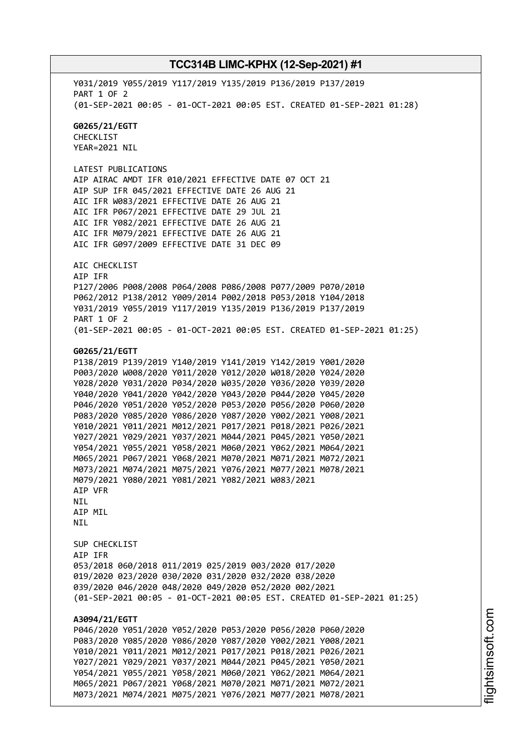Y031/2019 Y055/2019 Y117/2019 Y135/2019 P136/2019 P137/2019 PART 1 OF 2 (01-SEP-2021 00:05 - 01-OCT-2021 00:05 EST. CREATED 01-SEP-2021 01:28) **G0265/21/EGTT** CHECKLIST YEAR=2021 NIL LATEST PUBLICATIONS AIP AIRAC AMDT IFR 010/2021 EFFECTIVE DATE 07 OCT 21 AIP SUP IFR 045/2021 EFFECTIVE DATE 26 AUG 21 AIC IFR W083/2021 EFFECTIVE DATE 26 AUG 21 AIC IFR P067/2021 EFFECTIVE DATE 29 JUL 21 AIC IFR Y082/2021 EFFECTIVE DATE 26 AUG 21 AIC IFR M079/2021 EFFECTIVE DATE 26 AUG 21 AIC IFR G097/2009 EFFECTIVE DATE 31 DEC 09 AIC CHECKLIST AIP IFR P127/2006 P008/2008 P064/2008 P086/2008 P077/2009 P070/2010 P062/2012 P138/2012 Y009/2014 P002/2018 P053/2018 Y104/2018 Y031/2019 Y055/2019 Y117/2019 Y135/2019 P136/2019 P137/2019 PART 1 OF 2 (01-SEP-2021 00:05 - 01-OCT-2021 00:05 EST. CREATED 01-SEP-2021 01:25) **G0265/21/EGTT** P138/2019 P139/2019 Y140/2019 Y141/2019 Y142/2019 Y001/2020 P003/2020 W008/2020 Y011/2020 Y012/2020 W018/2020 Y024/2020 Y028/2020 Y031/2020 P034/2020 W035/2020 Y036/2020 Y039/2020 Y040/2020 Y041/2020 Y042/2020 Y043/2020 P044/2020 Y045/2020 P046/2020 Y051/2020 Y052/2020 P053/2020 P056/2020 P060/2020 P083/2020 Y085/2020 Y086/2020 Y087/2020 Y002/2021 Y008/2021 Y010/2021 Y011/2021 M012/2021 P017/2021 P018/2021 P026/2021 Y027/2021 Y029/2021 Y037/2021 M044/2021 P045/2021 Y050/2021 Y054/2021 Y055/2021 Y058/2021 M060/2021 Y062/2021 M064/2021 M065/2021 P067/2021 Y068/2021 M070/2021 M071/2021 M072/2021 M073/2021 M074/2021 M075/2021 Y076/2021 M077/2021 M078/2021 M079/2021 Y080/2021 Y081/2021 Y082/2021 W083/2021 AIP VFR NIL AIP MIL NIL SUP CHECKLIST AIP IFR 053/2018 060/2018 011/2019 025/2019 003/2020 017/2020 019/2020 023/2020 030/2020 031/2020 032/2020 038/2020 039/2020 046/2020 048/2020 049/2020 052/2020 002/2021 (01-SEP-2021 00:05 - 01-OCT-2021 00:05 EST. CREATED 01-SEP-2021 01:25) **A3094/21/EGTT** P046/2020 Y051/2020 Y052/2020 P053/2020 P056/2020 P060/2020 P083/2020 Y085/2020 Y086/2020 Y087/2020 Y002/2021 Y008/2021 Y010/2021 Y011/2021 M012/2021 P017/2021 P018/2021 P026/2021 Y027/2021 Y029/2021 Y037/2021 M044/2021 P045/2021 Y050/2021 Y054/2021 Y055/2021 Y058/2021 M060/2021 Y062/2021 M064/2021 M065/2021 P067/2021 Y068/2021 M070/2021 M071/2021 M072/2021 M073/2021 M074/2021 M075/2021 Y076/2021 M077/2021 M078/2021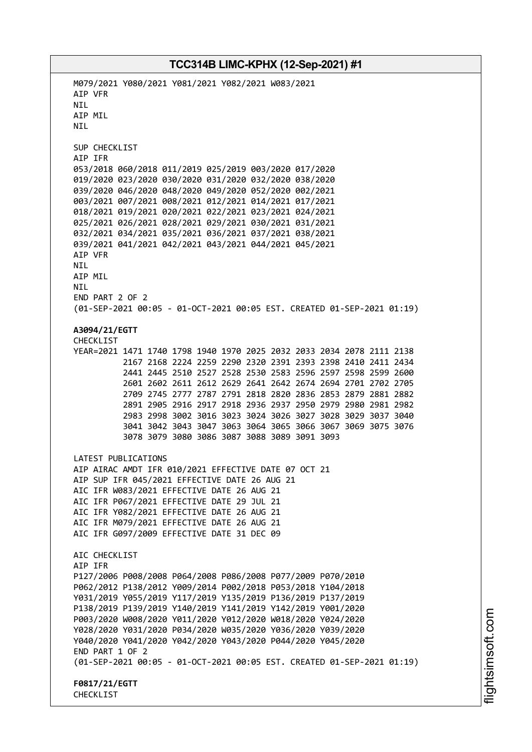M079/2021 Y080/2021 Y081/2021 Y082/2021 W083/2021 AIP VFR NIL AIP MIL **NTI** SUP CHECKLIST AIP IFR 053/2018 060/2018 011/2019 025/2019 003/2020 017/2020 019/2020 023/2020 030/2020 031/2020 032/2020 038/2020 039/2020 046/2020 048/2020 049/2020 052/2020 002/2021 003/2021 007/2021 008/2021 012/2021 014/2021 017/2021 018/2021 019/2021 020/2021 022/2021 023/2021 024/2021 025/2021 026/2021 028/2021 029/2021 030/2021 031/2021 032/2021 034/2021 035/2021 036/2021 037/2021 038/2021 039/2021 041/2021 042/2021 043/2021 044/2021 045/2021 AIP VFR NIL AIP MIL **NTI** END PART 2 OF 2 (01-SEP-2021 00:05 - 01-OCT-2021 00:05 EST. CREATED 01-SEP-2021 01:19) **A3094/21/EGTT** CHECKLIST YEAR=2021 1471 1740 1798 1940 1970 2025 2032 2033 2034 2078 2111 2138 2167 2168 2224 2259 2290 2320 2391 2393 2398 2410 2411 2434 2441 2445 2510 2527 2528 2530 2583 2596 2597 2598 2599 2600 2601 2602 2611 2612 2629 2641 2642 2674 2694 2701 2702 2705 2709 2745 2777 2787 2791 2818 2820 2836 2853 2879 2881 2882 2891 2905 2916 2917 2918 2936 2937 2950 2979 2980 2981 2982 2983 2998 3002 3016 3023 3024 3026 3027 3028 3029 3037 3040 3041 3042 3043 3047 3063 3064 3065 3066 3067 3069 3075 3076 3078 3079 3080 3086 3087 3088 3089 3091 3093 LATEST PUBLICATIONS AIP AIRAC AMDT IFR 010/2021 EFFECTIVE DATE 07 OCT 21 AIP SUP IFR 045/2021 EFFECTIVE DATE 26 AUG 21 AIC IFR W083/2021 EFFECTIVE DATE 26 AUG 21 AIC IFR P067/2021 EFFECTIVE DATE 29 JUL 21 AIC IFR Y082/2021 EFFECTIVE DATE 26 AUG 21 AIC IFR M079/2021 EFFECTIVE DATE 26 AUG 21 AIC IFR G097/2009 EFFECTIVE DATE 31 DEC 09 ATC CHECKLIST AIP IFR P127/2006 P008/2008 P064/2008 P086/2008 P077/2009 P070/2010 P062/2012 P138/2012 Y009/2014 P002/2018 P053/2018 Y104/2018 Y031/2019 Y055/2019 Y117/2019 Y135/2019 P136/2019 P137/2019 P138/2019 P139/2019 Y140/2019 Y141/2019 Y142/2019 Y001/2020 P003/2020 W008/2020 Y011/2020 Y012/2020 W018/2020 Y024/2020 Y028/2020 Y031/2020 P034/2020 W035/2020 Y036/2020 Y039/2020 Y040/2020 Y041/2020 Y042/2020 Y043/2020 P044/2020 Y045/2020 END PART 1 OF 2 (01-SEP-2021 00:05 - 01-OCT-2021 00:05 EST. CREATED 01-SEP-2021 01:19) **F0817/21/EGTT** CHECKLIST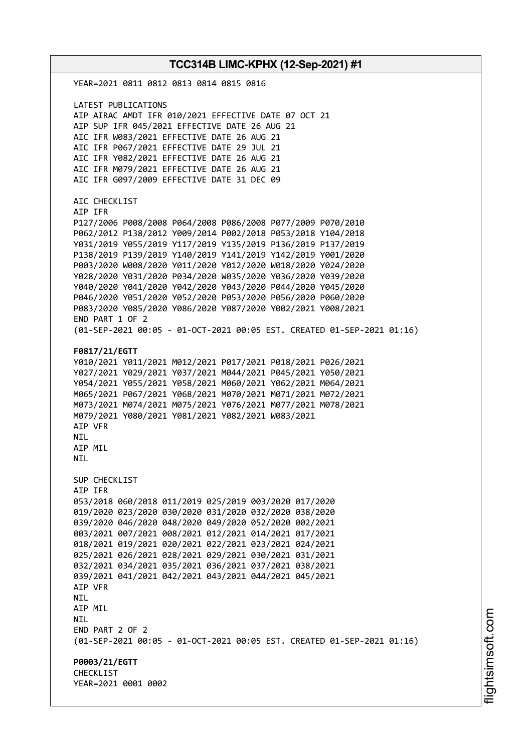YEAR=2021 0811 0812 0813 0814 0815 0816 LATEST PUBLICATIONS AIP AIRAC AMDT IFR 010/2021 EFFECTIVE DATE 07 OCT 21 AIP SUP IFR 045/2021 EFFECTIVE DATE 26 AUG 21 AIC IFR W083/2021 EFFECTIVE DATE 26 AUG 21 AIC IFR P067/2021 EFFECTIVE DATE 29 JUL 21 AIC IFR Y082/2021 EFFECTIVE DATE 26 AUG 21 AIC IFR M079/2021 EFFECTIVE DATE 26 AUG 21 AIC IFR G097/2009 EFFECTIVE DATE 31 DEC 09 AIC CHECKLIST AIP IFR P127/2006 P008/2008 P064/2008 P086/2008 P077/2009 P070/2010 P062/2012 P138/2012 Y009/2014 P002/2018 P053/2018 Y104/2018 Y031/2019 Y055/2019 Y117/2019 Y135/2019 P136/2019 P137/2019 P138/2019 P139/2019 Y140/2019 Y141/2019 Y142/2019 Y001/2020 P003/2020 W008/2020 Y011/2020 Y012/2020 W018/2020 Y024/2020 Y028/2020 Y031/2020 P034/2020 W035/2020 Y036/2020 Y039/2020 Y040/2020 Y041/2020 Y042/2020 Y043/2020 P044/2020 Y045/2020 P046/2020 Y051/2020 Y052/2020 P053/2020 P056/2020 P060/2020 P083/2020 Y085/2020 Y086/2020 Y087/2020 Y002/2021 Y008/2021 END PART 1 OF 2 (01-SEP-2021 00:05 - 01-OCT-2021 00:05 EST. CREATED 01-SEP-2021 01:16) **F0817/21/EGTT** Y010/2021 Y011/2021 M012/2021 P017/2021 P018/2021 P026/2021 Y027/2021 Y029/2021 Y037/2021 M044/2021 P045/2021 Y050/2021 Y054/2021 Y055/2021 Y058/2021 M060/2021 Y062/2021 M064/2021 M065/2021 P067/2021 Y068/2021 M070/2021 M071/2021 M072/2021 M073/2021 M074/2021 M075/2021 Y076/2021 M077/2021 M078/2021 M079/2021 Y080/2021 Y081/2021 Y082/2021 W083/2021 AIP VFR **NTI** AIP MIL **NTL** SUP CHECKLIST AIP IFR 053/2018 060/2018 011/2019 025/2019 003/2020 017/2020 019/2020 023/2020 030/2020 031/2020 032/2020 038/2020 039/2020 046/2020 048/2020 049/2020 052/2020 002/2021 003/2021 007/2021 008/2021 012/2021 014/2021 017/2021 018/2021 019/2021 020/2021 022/2021 023/2021 024/2021 025/2021 026/2021 028/2021 029/2021 030/2021 031/2021 032/2021 034/2021 035/2021 036/2021 037/2021 038/2021 039/2021 041/2021 042/2021 043/2021 044/2021 045/2021 AIP VFR NIL AIP MIL NIL END PART 2 OF 2 (01-SEP-2021 00:05 - 01-OCT-2021 00:05 EST. CREATED 01-SEP-2021 01:16) **P0003/21/EGTT CHECKLIST** YEAR=2021 0001 0002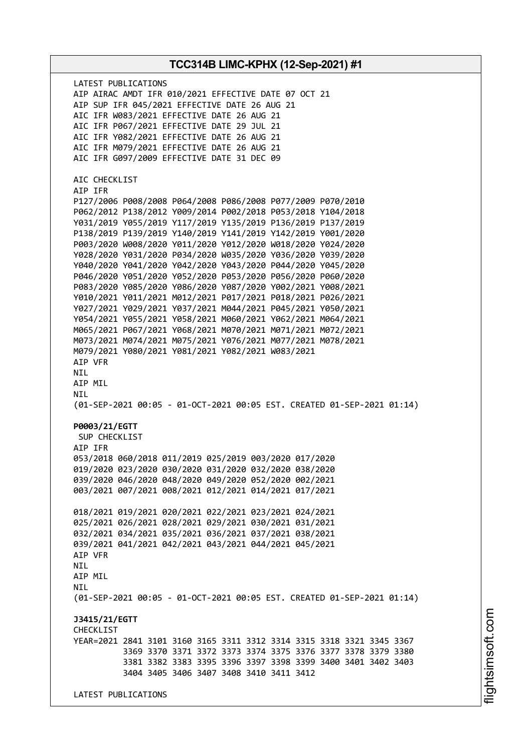**TCC314B LIMC-KPHX (12-Sep-2021) #1** LATEST PUBLICATIONS AIP AIRAC AMDT IFR 010/2021 EFFECTIVE DATE 07 OCT 21 AIP SUP IFR 045/2021 EFFECTIVE DATE 26 AUG 21 AIC IFR W083/2021 EFFECTIVE DATE 26 AUG 21 AIC IFR P067/2021 EFFECTIVE DATE 29 JUL 21 AIC IFR Y082/2021 EFFECTIVE DATE 26 AUG 21 AIC IFR M079/2021 EFFECTIVE DATE 26 AUG 21 AIC IFR G097/2009 EFFECTIVE DATE 31 DEC 09 AIC CHECKLIST AIP IFR P127/2006 P008/2008 P064/2008 P086/2008 P077/2009 P070/2010 P062/2012 P138/2012 Y009/2014 P002/2018 P053/2018 Y104/2018 Y031/2019 Y055/2019 Y117/2019 Y135/2019 P136/2019 P137/2019 P138/2019 P139/2019 Y140/2019 Y141/2019 Y142/2019 Y001/2020 P003/2020 W008/2020 Y011/2020 Y012/2020 W018/2020 Y024/2020 Y028/2020 Y031/2020 P034/2020 W035/2020 Y036/2020 Y039/2020 Y040/2020 Y041/2020 Y042/2020 Y043/2020 P044/2020 Y045/2020 P046/2020 Y051/2020 Y052/2020 P053/2020 P056/2020 P060/2020 P083/2020 Y085/2020 Y086/2020 Y087/2020 Y002/2021 Y008/2021 Y010/2021 Y011/2021 M012/2021 P017/2021 P018/2021 P026/2021 Y027/2021 Y029/2021 Y037/2021 M044/2021 P045/2021 Y050/2021 Y054/2021 Y055/2021 Y058/2021 M060/2021 Y062/2021 M064/2021 M065/2021 P067/2021 Y068/2021 M070/2021 M071/2021 M072/2021 M073/2021 M074/2021 M075/2021 Y076/2021 M077/2021 M078/2021 M079/2021 Y080/2021 Y081/2021 Y082/2021 W083/2021 AIP VFR NIL AIP MIL **NTI** (01-SEP-2021 00:05 - 01-OCT-2021 00:05 EST. CREATED 01-SEP-2021 01:14) **P0003/21/EGTT** SUP CHECKLIST AIP IFR 053/2018 060/2018 011/2019 025/2019 003/2020 017/2020 019/2020 023/2020 030/2020 031/2020 032/2020 038/2020 039/2020 046/2020 048/2020 049/2020 052/2020 002/2021 003/2021 007/2021 008/2021 012/2021 014/2021 017/2021 018/2021 019/2021 020/2021 022/2021 023/2021 024/2021 025/2021 026/2021 028/2021 029/2021 030/2021 031/2021 032/2021 034/2021 035/2021 036/2021 037/2021 038/2021 039/2021 041/2021 042/2021 043/2021 044/2021 045/2021 AIP VFR **NTI** AIP MIL **NTL** (01-SEP-2021 00:05 - 01-OCT-2021 00:05 EST. CREATED 01-SEP-2021 01:14) **J3415/21/EGTT CHECKLIST** YEAR=2021 2841 3101 3160 3165 3311 3312 3314 3315 3318 3321 3345 3367 3369 3370 3371 3372 3373 3374 3375 3376 3377 3378 3379 3380 3381 3382 3383 3395 3396 3397 3398 3399 3400 3401 3402 3403 3404 3405 3406 3407 3408 3410 3411 3412 LATEST PUBLICATIONS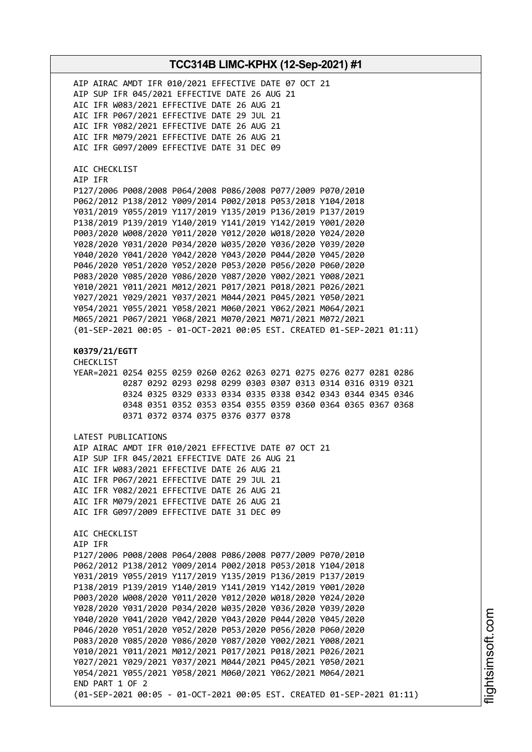| AIP AIRAC AMDT IFR 010/2021 EFFECTIVE DATE 07 OCT 21<br>AIP SUP IFR 045/2021 EFFECTIVE DATE 26 AUG 21<br>AIC IFR W083/2021 EFFECTIVE DATE 26 AUG 21<br>AIC IFR P067/2021 EFFECTIVE DATE 29 JUL 21<br>AIC IFR Y082/2021 EFFECTIVE DATE 26 AUG 21<br>AIC IFR M079/2021 EFFECTIVE DATE 26 AUG 21<br>AIC IFR G097/2009 EFFECTIVE DATE 31 DEC 09                                                                                                                                                                                                                                                                                                                                                                                                                                                                                                                                                                                                           |
|-------------------------------------------------------------------------------------------------------------------------------------------------------------------------------------------------------------------------------------------------------------------------------------------------------------------------------------------------------------------------------------------------------------------------------------------------------------------------------------------------------------------------------------------------------------------------------------------------------------------------------------------------------------------------------------------------------------------------------------------------------------------------------------------------------------------------------------------------------------------------------------------------------------------------------------------------------|
| AIC CHECKLIST<br>AIP IFR<br>P127/2006 P008/2008 P064/2008 P086/2008 P077/2009 P070/2010<br>P062/2012 P138/2012 Y009/2014 P002/2018 P053/2018 Y104/2018<br>Y031/2019 Y055/2019 Y117/2019 Y135/2019 P136/2019 P137/2019<br>P138/2019 P139/2019 Y140/2019 Y141/2019 Y142/2019 Y001/2020<br>P003/2020 W008/2020 Y011/2020 Y012/2020 W018/2020 Y024/2020<br>Y028/2020 Y031/2020 P034/2020 W035/2020 Y036/2020 Y039/2020<br>Y040/2020 Y041/2020 Y042/2020 Y043/2020 P044/2020 Y045/2020<br>P046/2020 Y051/2020 Y052/2020 P053/2020 P056/2020 P060/2020<br>P083/2020 Y085/2020 Y086/2020 Y087/2020 Y002/2021 Y008/2021<br>Y010/2021 Y011/2021 M012/2021 P017/2021 P018/2021 P026/2021<br>Y027/2021 Y029/2021 Y037/2021 M044/2021 P045/2021 Y050/2021<br>Y054/2021 Y055/2021 Y058/2021 M060/2021 Y062/2021 M064/2021<br>M065/2021 P067/2021 Y068/2021 M070/2021 M071/2021 M072/2021<br>(01-SEP-2021 00:05 - 01-OCT-2021 00:05 EST. CREATED 01-SEP-2021 01:11) |
| K0379/21/EGTT<br><b>CHECKLIST</b><br>YEAR=2021 0254 0255 0259 0260 0262 0263 0271 0275 0276 0277 0281 0286<br>0287 0292 0293 0298 0299 0303 0307 0313 0314 0316 0319 0321<br>0324 0325 0329 0333 0334 0335 0338 0342 0343 0344 0345 0346<br>0348 0351 0352 0353 0354 0355 0359 0360 0364 0365 0367 0368<br>0371 0372 0374 0375 0376 0377 0378                                                                                                                                                                                                                                                                                                                                                                                                                                                                                                                                                                                                         |
| LATEST PUBLICATIONS<br>AIP AIRAC AMDT IFR 010/2021 EFFECTIVE DATE 07 OCT 21<br>AIP SUP IFR 045/2021 EFFECTIVE DATE 26 AUG 21<br>AIC IFR W083/2021 EFFECTIVE DATE 26 AUG 21<br>AIC IFR P067/2021 EFFECTIVE DATE 29 JUL 21<br>AIC IFR Y082/2021 EFFECTIVE DATE 26 AUG 21<br>AIC IFR M079/2021 EFFECTIVE DATE 26 AUG 21<br>AIC IFR G097/2009 EFFECTIVE DATE 31 DEC 09                                                                                                                                                                                                                                                                                                                                                                                                                                                                                                                                                                                    |
| AIC CHECKLIST<br>AIP IFR<br>P127/2006 P008/2008 P064/2008 P086/2008 P077/2009 P070/2010<br>P062/2012 P138/2012 Y009/2014 P002/2018 P053/2018 Y104/2018<br>Y031/2019 Y055/2019 Y117/2019 Y135/2019 P136/2019 P137/2019<br>P138/2019 P139/2019 Y140/2019 Y141/2019 Y142/2019 Y001/2020<br>P003/2020 W008/2020 Y011/2020 Y012/2020 W018/2020 Y024/2020<br>Y028/2020 Y031/2020 P034/2020 W035/2020 Y036/2020 Y039/2020<br>Y040/2020 Y041/2020 Y042/2020 Y043/2020 P044/2020 Y045/2020<br>P046/2020 Y051/2020 Y052/2020 P053/2020 P056/2020 P060/2020<br>P083/2020 Y085/2020 Y086/2020 Y087/2020 Y002/2021 Y008/2021<br>Y010/2021 Y011/2021 M012/2021 P017/2021 P018/2021 P026/2021<br>Y027/2021 Y029/2021 Y037/2021 M044/2021 P045/2021 Y050/2021<br>Y054/2021 Y055/2021 Y058/2021 M060/2021 Y062/2021 M064/2021<br>END PART 1 OF 2<br>(01-SEP-2021 00:05 - 01-OCT-2021 00:05 EST. CREATED 01-SEP-2021 01:11)                                             |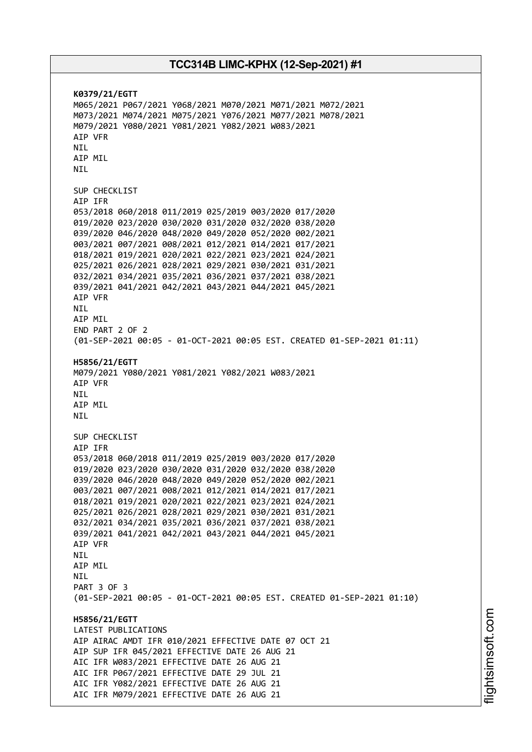**K0379/21/EGTT** M065/2021 P067/2021 Y068/2021 M070/2021 M071/2021 M072/2021 M073/2021 M074/2021 M075/2021 Y076/2021 M077/2021 M078/2021 M079/2021 Y080/2021 Y081/2021 Y082/2021 W083/2021 AIP VFR NIL AIP MIL NIL SUP CHECKLIST AIP IFR 053/2018 060/2018 011/2019 025/2019 003/2020 017/2020 019/2020 023/2020 030/2020 031/2020 032/2020 038/2020 039/2020 046/2020 048/2020 049/2020 052/2020 002/2021 003/2021 007/2021 008/2021 012/2021 014/2021 017/2021 018/2021 019/2021 020/2021 022/2021 023/2021 024/2021 025/2021 026/2021 028/2021 029/2021 030/2021 031/2021 032/2021 034/2021 035/2021 036/2021 037/2021 038/2021 039/2021 041/2021 042/2021 043/2021 044/2021 045/2021 AIP VFR NIL AIP MIL END PART 2 OF 2 (01-SEP-2021 00:05 - 01-OCT-2021 00:05 EST. CREATED 01-SEP-2021 01:11) **H5856/21/EGTT** M079/2021 Y080/2021 Y081/2021 Y082/2021 W083/2021 AIP VFR **NTI** AIP MIL NIL SUP CHECKLIST AIP IFR 053/2018 060/2018 011/2019 025/2019 003/2020 017/2020 019/2020 023/2020 030/2020 031/2020 032/2020 038/2020 039/2020 046/2020 048/2020 049/2020 052/2020 002/2021 003/2021 007/2021 008/2021 012/2021 014/2021 017/2021 018/2021 019/2021 020/2021 022/2021 023/2021 024/2021 025/2021 026/2021 028/2021 029/2021 030/2021 031/2021 032/2021 034/2021 035/2021 036/2021 037/2021 038/2021 039/2021 041/2021 042/2021 043/2021 044/2021 045/2021 AIP VFR **NTI** AIP MIL NIL PART 3 OF 3 (01-SEP-2021 00:05 - 01-OCT-2021 00:05 EST. CREATED 01-SEP-2021 01:10) **H5856/21/EGTT** LATEST PUBLICATIONS AIP AIRAC AMDT IFR 010/2021 EFFECTIVE DATE 07 OCT 21 AIP SUP IFR 045/2021 EFFECTIVE DATE 26 AUG 21 AIC IFR W083/2021 EFFECTIVE DATE 26 AUG 21 AIC IFR P067/2021 EFFECTIVE DATE 29 JUL 21 AIC IFR Y082/2021 EFFECTIVE DATE 26 AUG 21 AIC IFR M079/2021 EFFECTIVE DATE 26 AUG 21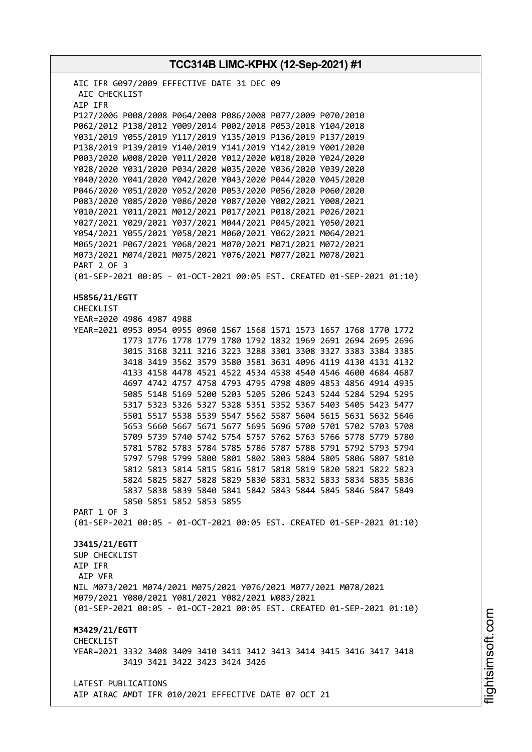**TCC314B LIMC-KPHX (12-Sep-2021) #1** AIC IFR G097/2009 EFFECTIVE DATE 31 DEC 09 AIC CHECKLIST AIP IFR P127/2006 P008/2008 P064/2008 P086/2008 P077/2009 P070/2010 P062/2012 P138/2012 Y009/2014 P002/2018 P053/2018 Y104/2018 Y031/2019 Y055/2019 Y117/2019 Y135/2019 P136/2019 P137/2019 P138/2019 P139/2019 Y140/2019 Y141/2019 Y142/2019 Y001/2020 P003/2020 W008/2020 Y011/2020 Y012/2020 W018/2020 Y024/2020 Y028/2020 Y031/2020 P034/2020 W035/2020 Y036/2020 Y039/2020 Y040/2020 Y041/2020 Y042/2020 Y043/2020 P044/2020 Y045/2020 P046/2020 Y051/2020 Y052/2020 P053/2020 P056/2020 P060/2020 P083/2020 Y085/2020 Y086/2020 Y087/2020 Y002/2021 Y008/2021 Y010/2021 Y011/2021 M012/2021 P017/2021 P018/2021 P026/2021 Y027/2021 Y029/2021 Y037/2021 M044/2021 P045/2021 Y050/2021 Y054/2021 Y055/2021 Y058/2021 M060/2021 Y062/2021 M064/2021 M065/2021 P067/2021 Y068/2021 M070/2021 M071/2021 M072/2021 M073/2021 M074/2021 M075/2021 Y076/2021 M077/2021 M078/2021 PART 2 OF 3 (01-SEP-2021 00:05 - 01-OCT-2021 00:05 EST. CREATED 01-SEP-2021 01:10) **H5856/21/EGTT** CHECKLIST YEAR=2020 4986 4987 4988 YEAR=2021 0953 0954 0955 0960 1567 1568 1571 1573 1657 1768 1770 1772 1773 1776 1778 1779 1780 1792 1832 1969 2691 2694 2695 2696 3015 3168 3211 3216 3223 3288 3301 3308 3327 3383 3384 3385 3418 3419 3562 3579 3580 3581 3631 4096 4119 4130 4131 4132 4133 4158 4478 4521 4522 4534 4538 4540 4546 4600 4684 4687 4697 4742 4757 4758 4793 4795 4798 4809 4853 4856 4914 4935 5085 5148 5169 5200 5203 5205 5206 5243 5244 5284 5294 5295 5317 5323 5326 5327 5328 5351 5352 5367 5403 5405 5423 5477 5501 5517 5538 5539 5547 5562 5587 5604 5615 5631 5632 5646 5653 5660 5667 5671 5677 5695 5696 5700 5701 5702 5703 5708 5709 5739 5740 5742 5754 5757 5762 5763 5766 5778 5779 5780 5781 5782 5783 5784 5785 5786 5787 5788 5791 5792 5793 5794 5797 5798 5799 5800 5801 5802 5803 5804 5805 5806 5807 5810 5812 5813 5814 5815 5816 5817 5818 5819 5820 5821 5822 5823 5824 5825 5827 5828 5829 5830 5831 5832 5833 5834 5835 5836 5837 5838 5839 5840 5841 5842 5843 5844 5845 5846 5847 5849 5850 5851 5852 5853 5855 PART 1 OF 3 (01-SEP-2021 00:05 - 01-OCT-2021 00:05 EST. CREATED 01-SEP-2021 01:10) **J3415/21/EGTT** SUP CHECKLIST AIP IFR AIP VFR NIL M073/2021 M074/2021 M075/2021 Y076/2021 M077/2021 M078/2021 M079/2021 Y080/2021 Y081/2021 Y082/2021 W083/2021 (01-SEP-2021 00:05 - 01-OCT-2021 00:05 EST. CREATED 01-SEP-2021 01:10) **M3429/21/EGTT** CHECKLIST YEAR=2021 3332 3408 3409 3410 3411 3412 3413 3414 3415 3416 3417 3418 3419 3421 3422 3423 3424 3426 LATEST PUBLICATIONS AIP AIRAC AMDT IFR 010/2021 EFFECTIVE DATE 07 OCT 21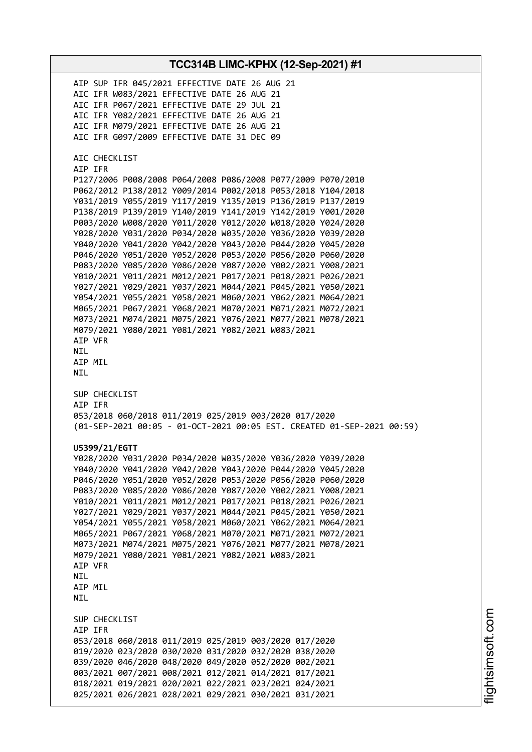**TCC314B LIMC-KPHX (12-Sep-2021) #1** AIP SUP IFR 045/2021 EFFECTIVE DATE 26 AUG 21 AIC IFR W083/2021 EFFECTIVE DATE 26 AUG 21 AIC IFR P067/2021 EFFECTIVE DATE 29 JUL 21 AIC IFR Y082/2021 EFFECTIVE DATE 26 AUG 21 AIC IFR M079/2021 EFFECTIVE DATE 26 AUG 21 AIC IFR G097/2009 EFFECTIVE DATE 31 DEC 09 AIC CHECKLIST AIP IFR P127/2006 P008/2008 P064/2008 P086/2008 P077/2009 P070/2010 P062/2012 P138/2012 Y009/2014 P002/2018 P053/2018 Y104/2018 Y031/2019 Y055/2019 Y117/2019 Y135/2019 P136/2019 P137/2019 P138/2019 P139/2019 Y140/2019 Y141/2019 Y142/2019 Y001/2020 P003/2020 W008/2020 Y011/2020 Y012/2020 W018/2020 Y024/2020 Y028/2020 Y031/2020 P034/2020 W035/2020 Y036/2020 Y039/2020 Y040/2020 Y041/2020 Y042/2020 Y043/2020 P044/2020 Y045/2020 P046/2020 Y051/2020 Y052/2020 P053/2020 P056/2020 P060/2020 P083/2020 Y085/2020 Y086/2020 Y087/2020 Y002/2021 Y008/2021 Y010/2021 Y011/2021 M012/2021 P017/2021 P018/2021 P026/2021 Y027/2021 Y029/2021 Y037/2021 M044/2021 P045/2021 Y050/2021 Y054/2021 Y055/2021 Y058/2021 M060/2021 Y062/2021 M064/2021 M065/2021 P067/2021 Y068/2021 M070/2021 M071/2021 M072/2021 M073/2021 M074/2021 M075/2021 Y076/2021 M077/2021 M078/2021 M079/2021 Y080/2021 Y081/2021 Y082/2021 W083/2021 AIP VFR NIL AIP MIL NIL SUP CHECKLIST AIP IFR 053/2018 060/2018 011/2019 025/2019 003/2020 017/2020 (01-SEP-2021 00:05 - 01-OCT-2021 00:05 EST. CREATED 01-SEP-2021 00:59) **U5399/21/EGTT** Y028/2020 Y031/2020 P034/2020 W035/2020 Y036/2020 Y039/2020 Y040/2020 Y041/2020 Y042/2020 Y043/2020 P044/2020 Y045/2020 P046/2020 Y051/2020 Y052/2020 P053/2020 P056/2020 P060/2020 P083/2020 Y085/2020 Y086/2020 Y087/2020 Y002/2021 Y008/2021 Y010/2021 Y011/2021 M012/2021 P017/2021 P018/2021 P026/2021 Y027/2021 Y029/2021 Y037/2021 M044/2021 P045/2021 Y050/2021 Y054/2021 Y055/2021 Y058/2021 M060/2021 Y062/2021 M064/2021 M065/2021 P067/2021 Y068/2021 M070/2021 M071/2021 M072/2021 M073/2021 M074/2021 M075/2021 Y076/2021 M077/2021 M078/2021 M079/2021 Y080/2021 Y081/2021 Y082/2021 W083/2021 AIP VFR **NTL** AIP MIL **NTI** SUP CHECKLIST AIP IFR 053/2018 060/2018 011/2019 025/2019 003/2020 017/2020 019/2020 023/2020 030/2020 031/2020 032/2020 038/2020 039/2020 046/2020 048/2020 049/2020 052/2020 002/2021 003/2021 007/2021 008/2021 012/2021 014/2021 017/2021 018/2021 019/2021 020/2021 022/2021 023/2021 024/2021 025/2021 026/2021 028/2021 029/2021 030/2021 031/2021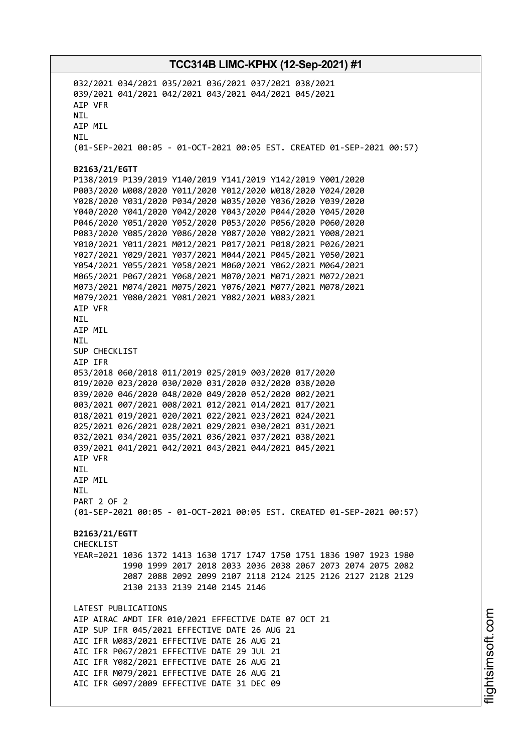032/2021 034/2021 035/2021 036/2021 037/2021 038/2021 039/2021 041/2021 042/2021 043/2021 044/2021 045/2021 AIP VFR NIL AIP MIL NIL (01-SEP-2021 00:05 - 01-OCT-2021 00:05 EST. CREATED 01-SEP-2021 00:57) **B2163/21/EGTT** P138/2019 P139/2019 Y140/2019 Y141/2019 Y142/2019 Y001/2020 P003/2020 W008/2020 Y011/2020 Y012/2020 W018/2020 Y024/2020 Y028/2020 Y031/2020 P034/2020 W035/2020 Y036/2020 Y039/2020 Y040/2020 Y041/2020 Y042/2020 Y043/2020 P044/2020 Y045/2020 P046/2020 Y051/2020 Y052/2020 P053/2020 P056/2020 P060/2020 P083/2020 Y085/2020 Y086/2020 Y087/2020 Y002/2021 Y008/2021 Y010/2021 Y011/2021 M012/2021 P017/2021 P018/2021 P026/2021 Y027/2021 Y029/2021 Y037/2021 M044/2021 P045/2021 Y050/2021 Y054/2021 Y055/2021 Y058/2021 M060/2021 Y062/2021 M064/2021 M065/2021 P067/2021 Y068/2021 M070/2021 M071/2021 M072/2021 M073/2021 M074/2021 M075/2021 Y076/2021 M077/2021 M078/2021 M079/2021 Y080/2021 Y081/2021 Y082/2021 W083/2021 AIP VFR NIL AIP MIL NIL SUP CHECKLIST AIP IFR 053/2018 060/2018 011/2019 025/2019 003/2020 017/2020 019/2020 023/2020 030/2020 031/2020 032/2020 038/2020 039/2020 046/2020 048/2020 049/2020 052/2020 002/2021 003/2021 007/2021 008/2021 012/2021 014/2021 017/2021 018/2021 019/2021 020/2021 022/2021 023/2021 024/2021 025/2021 026/2021 028/2021 029/2021 030/2021 031/2021 032/2021 034/2021 035/2021 036/2021 037/2021 038/2021 039/2021 041/2021 042/2021 043/2021 044/2021 045/2021 AIP VFR NIL AIP MIL NIL PART 2 OF 2 (01-SEP-2021 00:05 - 01-OCT-2021 00:05 EST. CREATED 01-SEP-2021 00:57) **B2163/21/EGTT CHECKLIST** YEAR=2021 1036 1372 1413 1630 1717 1747 1750 1751 1836 1907 1923 1980 1990 1999 2017 2018 2033 2036 2038 2067 2073 2074 2075 2082 2087 2088 2092 2099 2107 2118 2124 2125 2126 2127 2128 2129 2130 2133 2139 2140 2145 2146 LATEST PUBLICATIONS AIP AIRAC AMDT IFR 010/2021 EFFECTIVE DATE 07 OCT 21 AIP SUP IFR 045/2021 EFFECTIVE DATE 26 AUG 21 AIC IFR W083/2021 EFFECTIVE DATE 26 AUG 21 AIC IFR P067/2021 EFFECTIVE DATE 29 JUL 21 AIC IFR Y082/2021 EFFECTIVE DATE 26 AUG 21 AIC IFR M079/2021 EFFECTIVE DATE 26 AUG 21 AIC IFR G097/2009 EFFECTIVE DATE 31 DEC 09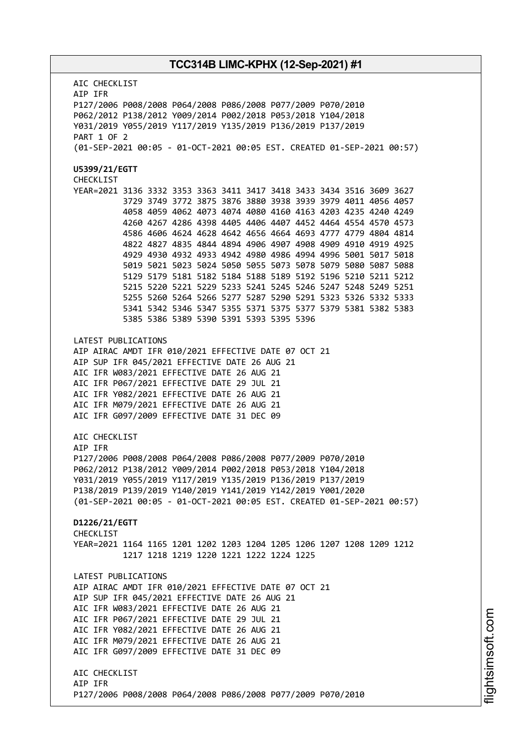AIC CHECKLIST AIP IFR P127/2006 P008/2008 P064/2008 P086/2008 P077/2009 P070/2010 P062/2012 P138/2012 Y009/2014 P002/2018 P053/2018 Y104/2018 Y031/2019 Y055/2019 Y117/2019 Y135/2019 P136/2019 P137/2019 PART 1 OF 2 (01-SEP-2021 00:05 - 01-OCT-2021 00:05 EST. CREATED 01-SEP-2021 00:57) **U5399/21/EGTT** CHECKLIST YEAR=2021 3136 3332 3353 3363 3411 3417 3418 3433 3434 3516 3609 3627 3729 3749 3772 3875 3876 3880 3938 3939 3979 4011 4056 4057 4058 4059 4062 4073 4074 4080 4160 4163 4203 4235 4240 4249 4260 4267 4286 4398 4405 4406 4407 4452 4464 4554 4570 4573 4586 4606 4624 4628 4642 4656 4664 4693 4777 4779 4804 4814 4822 4827 4835 4844 4894 4906 4907 4908 4909 4910 4919 4925 4929 4930 4932 4933 4942 4980 4986 4994 4996 5001 5017 5018 5019 5021 5023 5024 5050 5055 5073 5078 5079 5080 5087 5088 5129 5179 5181 5182 5184 5188 5189 5192 5196 5210 5211 5212 5215 5220 5221 5229 5233 5241 5245 5246 5247 5248 5249 5251 5255 5260 5264 5266 5277 5287 5290 5291 5323 5326 5332 5333 5341 5342 5346 5347 5355 5371 5375 5377 5379 5381 5382 5383 5385 5386 5389 5390 5391 5393 5395 5396 LATEST PUBLICATIONS AIP AIRAC AMDT IFR 010/2021 EFFECTIVE DATE 07 OCT 21 AIP SUP IFR 045/2021 EFFECTIVE DATE 26 AUG 21 AIC IFR W083/2021 EFFECTIVE DATE 26 AUG 21 AIC IFR P067/2021 EFFECTIVE DATE 29 JUL 21 AIC IFR Y082/2021 EFFECTIVE DATE 26 AUG 21 AIC IFR M079/2021 EFFECTIVE DATE 26 AUG 21 AIC IFR G097/2009 EFFECTIVE DATE 31 DEC 09 AIC CHECKLIST AIP IFR P127/2006 P008/2008 P064/2008 P086/2008 P077/2009 P070/2010 P062/2012 P138/2012 Y009/2014 P002/2018 P053/2018 Y104/2018 Y031/2019 Y055/2019 Y117/2019 Y135/2019 P136/2019 P137/2019 P138/2019 P139/2019 Y140/2019 Y141/2019 Y142/2019 Y001/2020 (01-SEP-2021 00:05 - 01-OCT-2021 00:05 EST. CREATED 01-SEP-2021 00:57) **D1226/21/EGTT** CHECKLIST YEAR=2021 1164 1165 1201 1202 1203 1204 1205 1206 1207 1208 1209 1212 1217 1218 1219 1220 1221 1222 1224 1225 LATEST PUBLICATIONS AIP AIRAC AMDT IFR 010/2021 EFFECTIVE DATE 07 OCT 21 AIP SUP IFR 045/2021 EFFECTIVE DATE 26 AUG 21 AIC IFR W083/2021 EFFECTIVE DATE 26 AUG 21 AIC IFR P067/2021 EFFECTIVE DATE 29 JUL 21 AIC IFR Y082/2021 EFFECTIVE DATE 26 AUG 21 AIC IFR M079/2021 EFFECTIVE DATE 26 AUG 21 AIC IFR G097/2009 EFFECTIVE DATE 31 DEC 09 AIC CHECKLIST AIP IFR P127/2006 P008/2008 P064/2008 P086/2008 P077/2009 P070/2010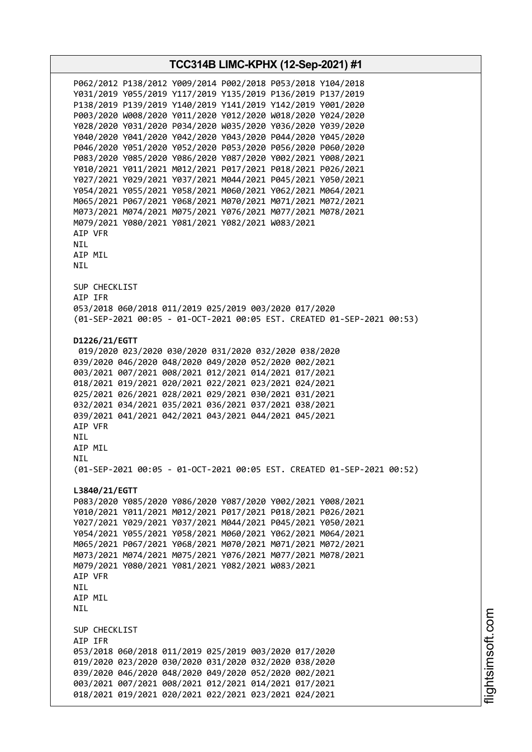**TCC314B LIMC-KPHX (12-Sep-2021) #1** P062/2012 P138/2012 Y009/2014 P002/2018 P053/2018 Y104/2018 Y031/2019 Y055/2019 Y117/2019 Y135/2019 P136/2019 P137/2019 P138/2019 P139/2019 Y140/2019 Y141/2019 Y142/2019 Y001/2020 P003/2020 W008/2020 Y011/2020 Y012/2020 W018/2020 Y024/2020 Y028/2020 Y031/2020 P034/2020 W035/2020 Y036/2020 Y039/2020 Y040/2020 Y041/2020 Y042/2020 Y043/2020 P044/2020 Y045/2020 P046/2020 Y051/2020 Y052/2020 P053/2020 P056/2020 P060/2020 P083/2020 Y085/2020 Y086/2020 Y087/2020 Y002/2021 Y008/2021 Y010/2021 Y011/2021 M012/2021 P017/2021 P018/2021 P026/2021 Y027/2021 Y029/2021 Y037/2021 M044/2021 P045/2021 Y050/2021 Y054/2021 Y055/2021 Y058/2021 M060/2021 Y062/2021 M064/2021 M065/2021 P067/2021 Y068/2021 M070/2021 M071/2021 M072/2021 M073/2021 M074/2021 M075/2021 Y076/2021 M077/2021 M078/2021 M079/2021 Y080/2021 Y081/2021 Y082/2021 W083/2021 AIP VFR NIL AIP MIL NIL SUP CHECKLIST AIP IFR 053/2018 060/2018 011/2019 025/2019 003/2020 017/2020 (01-SEP-2021 00:05 - 01-OCT-2021 00:05 EST. CREATED 01-SEP-2021 00:53) **D1226/21/EGTT** 019/2020 023/2020 030/2020 031/2020 032/2020 038/2020 039/2020 046/2020 048/2020 049/2020 052/2020 002/2021 003/2021 007/2021 008/2021 012/2021 014/2021 017/2021 018/2021 019/2021 020/2021 022/2021 023/2021 024/2021 025/2021 026/2021 028/2021 029/2021 030/2021 031/2021 032/2021 034/2021 035/2021 036/2021 037/2021 038/2021 039/2021 041/2021 042/2021 043/2021 044/2021 045/2021 AIP VFR NIL AIP MIL **NTL** (01-SEP-2021 00:05 - 01-OCT-2021 00:05 EST. CREATED 01-SEP-2021 00:52) **L3840/21/EGTT** P083/2020 Y085/2020 Y086/2020 Y087/2020 Y002/2021 Y008/2021 Y010/2021 Y011/2021 M012/2021 P017/2021 P018/2021 P026/2021 Y027/2021 Y029/2021 Y037/2021 M044/2021 P045/2021 Y050/2021 Y054/2021 Y055/2021 Y058/2021 M060/2021 Y062/2021 M064/2021 M065/2021 P067/2021 Y068/2021 M070/2021 M071/2021 M072/2021 M073/2021 M074/2021 M075/2021 Y076/2021 M077/2021 M078/2021 M079/2021 Y080/2021 Y081/2021 Y082/2021 W083/2021 AIP VFR **NTI** AIP MIL NIL SUP CHECKLIST AIP IFR 053/2018 060/2018 011/2019 025/2019 003/2020 017/2020 019/2020 023/2020 030/2020 031/2020 032/2020 038/2020 039/2020 046/2020 048/2020 049/2020 052/2020 002/2021 003/2021 007/2021 008/2021 012/2021 014/2021 017/2021 018/2021 019/2021 020/2021 022/2021 023/2021 024/2021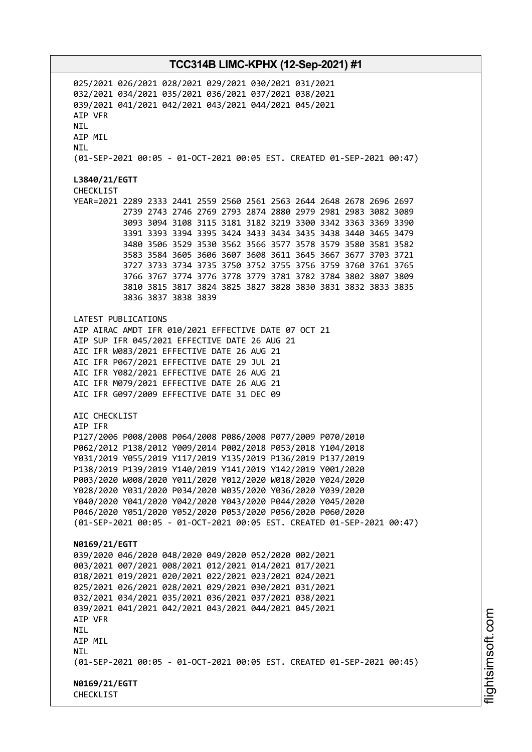025/2021 026/2021 028/2021 029/2021 030/2021 031/2021 032/2021 034/2021 035/2021 036/2021 037/2021 038/2021 039/2021 041/2021 042/2021 043/2021 044/2021 045/2021 AIP VFR **NTI** AIP MIL NIL (01-SEP-2021 00:05 - 01-OCT-2021 00:05 EST. CREATED 01-SEP-2021 00:47) **L3840/21/EGTT** CHECKLIST YEAR=2021 2289 2333 2441 2559 2560 2561 2563 2644 2648 2678 2696 2697 2739 2743 2746 2769 2793 2874 2880 2979 2981 2983 3082 3089 3093 3094 3108 3115 3181 3182 3219 3300 3342 3363 3369 3390 3391 3393 3394 3395 3424 3433 3434 3435 3438 3440 3465 3479 3480 3506 3529 3530 3562 3566 3577 3578 3579 3580 3581 3582 3583 3584 3605 3606 3607 3608 3611 3645 3667 3677 3703 3721 3727 3733 3734 3735 3750 3752 3755 3756 3759 3760 3761 3765 3766 3767 3774 3776 3778 3779 3781 3782 3784 3802 3807 3809 3810 3815 3817 3824 3825 3827 3828 3830 3831 3832 3833 3835 3836 3837 3838 3839 LATEST PUBLICATIONS AIP AIRAC AMDT IFR 010/2021 EFFECTIVE DATE 07 OCT 21 AIP SUP IFR 045/2021 EFFECTIVE DATE 26 AUG 21 AIC IFR W083/2021 EFFECTIVE DATE 26 AUG 21 AIC IFR P067/2021 EFFECTIVE DATE 29 JUL 21 AIC IFR Y082/2021 EFFECTIVE DATE 26 AUG 21 AIC IFR M079/2021 EFFECTIVE DATE 26 AUG 21 AIC IFR G097/2009 EFFECTIVE DATE 31 DEC 09 AIC CHECKLIST AIP IFR P127/2006 P008/2008 P064/2008 P086/2008 P077/2009 P070/2010 P062/2012 P138/2012 Y009/2014 P002/2018 P053/2018 Y104/2018 Y031/2019 Y055/2019 Y117/2019 Y135/2019 P136/2019 P137/2019 P138/2019 P139/2019 Y140/2019 Y141/2019 Y142/2019 Y001/2020 P003/2020 W008/2020 Y011/2020 Y012/2020 W018/2020 Y024/2020 Y028/2020 Y031/2020 P034/2020 W035/2020 Y036/2020 Y039/2020 Y040/2020 Y041/2020 Y042/2020 Y043/2020 P044/2020 Y045/2020 P046/2020 Y051/2020 Y052/2020 P053/2020 P056/2020 P060/2020 (01-SEP-2021 00:05 - 01-OCT-2021 00:05 EST. CREATED 01-SEP-2021 00:47) **N0169/21/EGTT** 039/2020 046/2020 048/2020 049/2020 052/2020 002/2021 003/2021 007/2021 008/2021 012/2021 014/2021 017/2021 018/2021 019/2021 020/2021 022/2021 023/2021 024/2021 025/2021 026/2021 028/2021 029/2021 030/2021 031/2021 032/2021 034/2021 035/2021 036/2021 037/2021 038/2021 039/2021 041/2021 042/2021 043/2021 044/2021 045/2021 AIP VFR NIL AIP MIL **NTL** (01-SEP-2021 00:05 - 01-OCT-2021 00:05 EST. CREATED 01-SEP-2021 00:45) **N0169/21/EGTT** CHECKLIST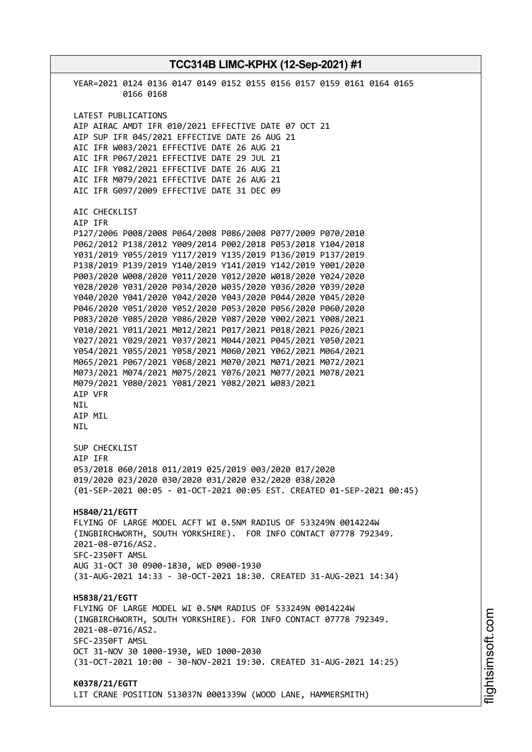**TCC314B LIMC-KPHX (12-Sep-2021) #1** YEAR=2021 0124 0136 0147 0149 0152 0155 0156 0157 0159 0161 0164 0165 0166 0168 LATEST PUBLICATIONS AIP AIRAC AMDT IFR 010/2021 EFFECTIVE DATE 07 OCT 21 AIP SUP IFR 045/2021 EFFECTIVE DATE 26 AUG 21 AIC IFR W083/2021 EFFECTIVE DATE 26 AUG 21 AIC IFR P067/2021 EFFECTIVE DATE 29 JUL 21 AIC IFR Y082/2021 EFFECTIVE DATE 26 AUG 21 AIC IFR M079/2021 EFFECTIVE DATE 26 AUG 21 AIC IFR G097/2009 EFFECTIVE DATE 31 DEC 09 AIC CHECKLIST AIP IFR P127/2006 P008/2008 P064/2008 P086/2008 P077/2009 P070/2010 P062/2012 P138/2012 Y009/2014 P002/2018 P053/2018 Y104/2018 Y031/2019 Y055/2019 Y117/2019 Y135/2019 P136/2019 P137/2019 P138/2019 P139/2019 Y140/2019 Y141/2019 Y142/2019 Y001/2020 P003/2020 W008/2020 Y011/2020 Y012/2020 W018/2020 Y024/2020 Y028/2020 Y031/2020 P034/2020 W035/2020 Y036/2020 Y039/2020 Y040/2020 Y041/2020 Y042/2020 Y043/2020 P044/2020 Y045/2020 P046/2020 Y051/2020 Y052/2020 P053/2020 P056/2020 P060/2020 P083/2020 Y085/2020 Y086/2020 Y087/2020 Y002/2021 Y008/2021 Y010/2021 Y011/2021 M012/2021 P017/2021 P018/2021 P026/2021 Y027/2021 Y029/2021 Y037/2021 M044/2021 P045/2021 Y050/2021 Y054/2021 Y055/2021 Y058/2021 M060/2021 Y062/2021 M064/2021 M065/2021 P067/2021 Y068/2021 M070/2021 M071/2021 M072/2021 M073/2021 M074/2021 M075/2021 Y076/2021 M077/2021 M078/2021 M079/2021 Y080/2021 Y081/2021 Y082/2021 W083/2021 AIP VFR NIL AIP MIL NIL SUP CHECKLIST AIP IFR 053/2018 060/2018 011/2019 025/2019 003/2020 017/2020 019/2020 023/2020 030/2020 031/2020 032/2020 038/2020 (01-SEP-2021 00:05 - 01-OCT-2021 00:05 EST. CREATED 01-SEP-2021 00:45) **H5840/21/EGTT** FLYING OF LARGE MODEL ACFT WI 0.5NM RADIUS OF 533249N 0014224W (INGBIRCHWORTH, SOUTH YORKSHIRE). FOR INFO CONTACT 07778 792349. 2021-08-0716/AS2. SFC-2350FT AMSL AUG 31-OCT 30 0900-1830, WED 0900-1930 (31-AUG-2021 14:33 - 30-OCT-2021 18:30. CREATED 31-AUG-2021 14:34) **H5838/21/EGTT** FLYING OF LARGE MODEL WI 0.5NM RADIUS OF 533249N 0014224W (INGBIRCHWORTH, SOUTH YORKSHIRE). FOR INFO CONTACT 07778 792349. 2021-08-0716/AS2. SFC-2350FT AMSL OCT 31-NOV 30 1000-1930, WED 1000-2030 (31-OCT-2021 10:00 - 30-NOV-2021 19:30. CREATED 31-AUG-2021 14:25) **K0378/21/EGTT** LIT CRANE POSITION 513037N 0001339W (WOOD LANE, HAMMERSMITH)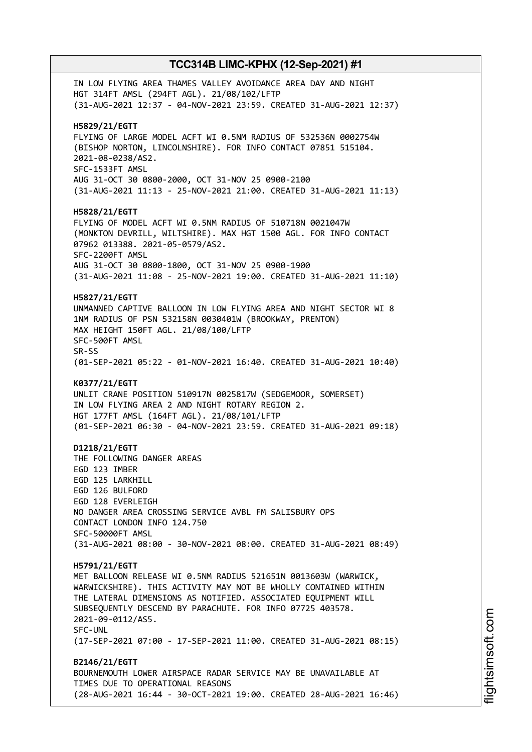IN LOW FLYING AREA THAMES VALLEY AVOIDANCE AREA DAY AND NIGHT HGT 314FT AMSL (294FT AGL). 21/08/102/LFTP (31-AUG-2021 12:37 - 04-NOV-2021 23:59. CREATED 31-AUG-2021 12:37) **H5829/21/EGTT** FLYING OF LARGE MODEL ACFT WI 0.5NM RADIUS OF 532536N 0002754W (BISHOP NORTON, LINCOLNSHIRE). FOR INFO CONTACT 07851 515104. 2021-08-0238/AS2. SFC-1533FT AMSL AUG 31-OCT 30 0800-2000, OCT 31-NOV 25 0900-2100 (31-AUG-2021 11:13 - 25-NOV-2021 21:00. CREATED 31-AUG-2021 11:13) **H5828/21/EGTT** FLYING OF MODEL ACFT WI 0.5NM RADIUS OF 510718N 0021047W (MONKTON DEVRILL, WILTSHIRE). MAX HGT 1500 AGL. FOR INFO CONTACT 07962 013388. 2021-05-0579/AS2. SFC-2200FT AMSL AUG 31-OCT 30 0800-1800, OCT 31-NOV 25 0900-1900 (31-AUG-2021 11:08 - 25-NOV-2021 19:00. CREATED 31-AUG-2021 11:10) **H5827/21/EGTT** UNMANNED CAPTIVE BALLOON IN LOW FLYING AREA AND NIGHT SECTOR WI 8 1NM RADIUS OF PSN 532158N 0030401W (BROOKWAY, PRENTON) MAX HEIGHT 150FT AGL. 21/08/100/LFTP SFC-500FT AMSL SR-SS (01-SEP-2021 05:22 - 01-NOV-2021 16:40. CREATED 31-AUG-2021 10:40) **K0377/21/EGTT** UNLIT CRANE POSITION 510917N 0025817W (SEDGEMOOR, SOMERSET) IN LOW FLYING AREA 2 AND NIGHT ROTARY REGION 2. HGT 177FT AMSL (164FT AGL). 21/08/101/LFTP (01-SEP-2021 06:30 - 04-NOV-2021 23:59. CREATED 31-AUG-2021 09:18) **D1218/21/EGTT** THE FOLLOWING DANGER AREAS EGD 123 IMBER EGD 125 LARKHILL EGD 126 BULFORD EGD 128 EVERLEIGH NO DANGER AREA CROSSING SERVICE AVBL FM SALISBURY OPS CONTACT LONDON INFO 124.750 SFC-50000FT AMSL (31-AUG-2021 08:00 - 30-NOV-2021 08:00. CREATED 31-AUG-2021 08:49) **H5791/21/EGTT** MET BALLOON RELEASE WI 0.5NM RADIUS 521651N 0013603W (WARWICK, WARWICKSHIRE). THIS ACTIVITY MAY NOT BE WHOLLY CONTAINED WITHIN THE LATERAL DIMENSIONS AS NOTIFIED. ASSOCIATED EQUIPMENT WILL SUBSEQUENTLY DESCEND BY PARACHUTE. FOR INFO 07725 403578. 2021-09-0112/AS5. SFC-UNL (17-SEP-2021 07:00 - 17-SEP-2021 11:00. CREATED 31-AUG-2021 08:15) **B2146/21/EGTT** BOURNEMOUTH LOWER AIRSPACE RADAR SERVICE MAY BE UNAVAILABLE AT TIMES DUE TO OPERATIONAL REASONS (28-AUG-2021 16:44 - 30-OCT-2021 19:00. CREATED 28-AUG-2021 16:46)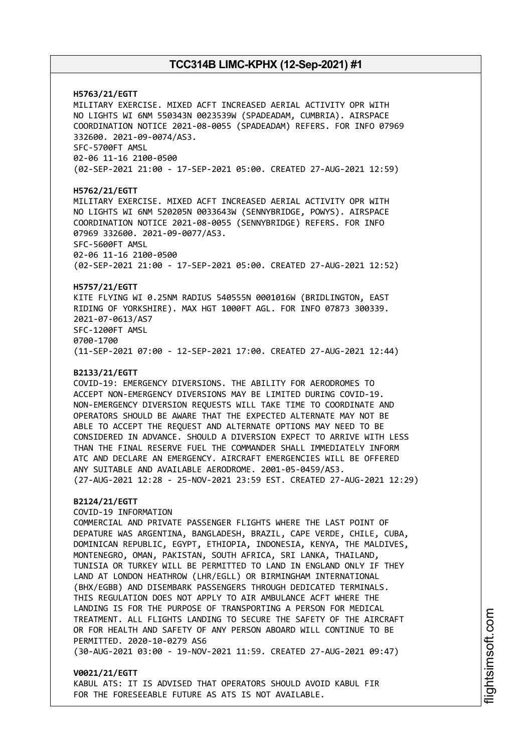**H5763/21/EGTT** MILITARY EXERCISE. MIXED ACFT INCREASED AERIAL ACTIVITY OPR WITH NO LIGHTS WI 6NM 550343N 0023539W (SPADEADAM, CUMBRIA). AIRSPACE COORDINATION NOTICE 2021-08-0055 (SPADEADAM) REFERS. FOR INFO 07969 332600. 2021-09-0074/AS3. SFC-5700FT AMSL 02-06 11-16 2100-0500 (02-SEP-2021 21:00 - 17-SEP-2021 05:00. CREATED 27-AUG-2021 12:59) **H5762/21/EGTT** MILITARY EXERCISE. MIXED ACFT INCREASED AERIAL ACTIVITY OPR WITH NO LIGHTS WI 6NM 520205N 0033643W (SENNYBRIDGE, POWYS). AIRSPACE COORDINATION NOTICE 2021-08-0055 (SENNYBRIDGE) REFERS. FOR INFO 07969 332600. 2021-09-0077/AS3. SFC-5600FT AMSL 02-06 11-16 2100-0500 (02-SEP-2021 21:00 - 17-SEP-2021 05:00. CREATED 27-AUG-2021 12:52) **H5757/21/EGTT** KITE FLYING WI 0.25NM RADIUS 540555N 0001016W (BRIDLINGTON, EAST RIDING OF YORKSHIRE). MAX HGT 1000FT AGL. FOR INFO 07873 300339. 2021-07-0613/AS7 SFC-1200FT AMSL 0700-1700 (11-SEP-2021 07:00 - 12-SEP-2021 17:00. CREATED 27-AUG-2021 12:44) **B2133/21/EGTT** COVID-19: EMERGENCY DIVERSIONS. THE ABILITY FOR AERODROMES TO ACCEPT NON-EMERGENCY DIVERSIONS MAY BE LIMITED DURING COVID-19. NON-EMERGENCY DIVERSION REQUESTS WILL TAKE TIME TO COORDINATE AND OPERATORS SHOULD BE AWARE THAT THE EXPECTED ALTERNATE MAY NOT BE ABLE TO ACCEPT THE REQUEST AND ALTERNATE OPTIONS MAY NEED TO BE CONSIDERED IN ADVANCE. SHOULD A DIVERSION EXPECT TO ARRIVE WITH LESS THAN THE FINAL RESERVE FUEL THE COMMANDER SHALL IMMEDIATELY INFORM ATC AND DECLARE AN EMERGENCY. AIRCRAFT EMERGENCIES WILL BE OFFERED ANY SUITABLE AND AVAILABLE AERODROME. 2001-05-0459/AS3. (27-AUG-2021 12:28 - 25-NOV-2021 23:59 EST. CREATED 27-AUG-2021 12:29) **B2124/21/EGTT** COVID-19 INFORMATION COMMERCIAL AND PRIVATE PASSENGER FLIGHTS WHERE THE LAST POINT OF DEPATURE WAS ARGENTINA, BANGLADESH, BRAZIL, CAPE VERDE, CHILE, CUBA, DOMINICAN REPUBLIC, EGYPT, ETHIOPIA, INDONESIA, KENYA, THE MALDIVES, MONTENEGRO, OMAN, PAKISTAN, SOUTH AFRICA, SRI LANKA, THAILAND, TUNISIA OR TURKEY WILL BE PERMITTED TO LAND IN ENGLAND ONLY IF THEY LAND AT LONDON HEATHROW (LHR/EGLL) OR BIRMINGHAM INTERNATIONAL (BHX/EGBB) AND DISEMBARK PASSENGERS THROUGH DEDICATED TERMINALS. THIS REGULATION DOES NOT APPLY TO AIR AMBULANCE ACFT WHERE THE LANDING IS FOR THE PURPOSE OF TRANSPORTING A PERSON FOR MEDICAL TREATMENT. ALL FLIGHTS LANDING TO SECURE THE SAFETY OF THE AIRCRAFT OR FOR HEALTH AND SAFETY OF ANY PERSON ABOARD WILL CONTINUE TO BE PERMITTED. 2020-10-0279 AS6 (30-AUG-2021 03:00 - 19-NOV-2021 11:59. CREATED 27-AUG-2021 09:47)

**V0021/21/EGTT** KABUL ATS: IT IS ADVISED THAT OPERATORS SHOULD AVOID KABUL FIR FOR THE FORESEEABLE FUTURE AS ATS IS NOT AVAILABLE.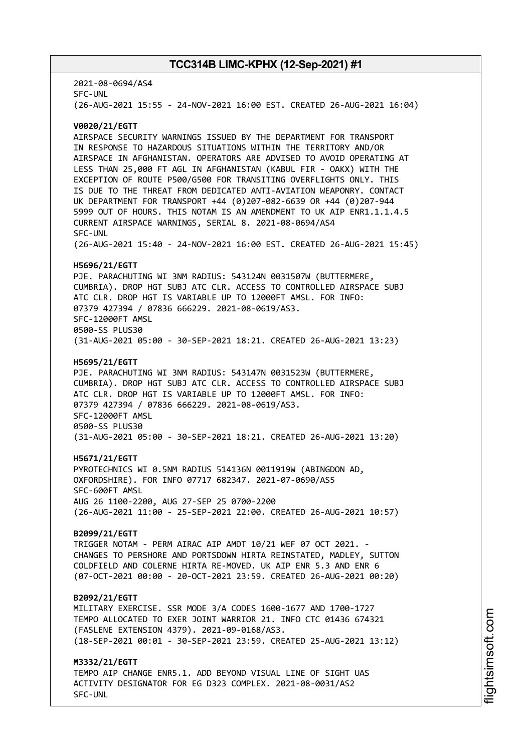2021-08-0694/AS4 SFC-UNL (26-AUG-2021 15:55 - 24-NOV-2021 16:00 EST. CREATED 26-AUG-2021 16:04)

#### **V0020/21/EGTT**

AIRSPACE SECURITY WARNINGS ISSUED BY THE DEPARTMENT FOR TRANSPORT IN RESPONSE TO HAZARDOUS SITUATIONS WITHIN THE TERRITORY AND/OR AIRSPACE IN AFGHANISTAN. OPERATORS ARE ADVISED TO AVOID OPERATING AT LESS THAN 25,000 FT AGL IN AFGHANISTAN (KABUL FIR - OAKX) WITH THE EXCEPTION OF ROUTE P500/G500 FOR TRANSITING OVERFLIGHTS ONLY. THIS IS DUE TO THE THREAT FROM DEDICATED ANTI-AVIATION WEAPONRY. CONTACT UK DEPARTMENT FOR TRANSPORT +44 (0)207-082-6639 OR +44 (0)207-944 5999 OUT OF HOURS. THIS NOTAM IS AN AMENDMENT TO UK AIP ENR1.1.1.4.5 CURRENT AIRSPACE WARNINGS, SERIAL 8. 2021-08-0694/AS4 SFC-UNL (26-AUG-2021 15:40 - 24-NOV-2021 16:00 EST. CREATED 26-AUG-2021 15:45)

#### **H5696/21/EGTT**

PJE. PARACHUTING WI 3NM RADIUS: 543124N 0031507W (BUTTERMERE, CUMBRIA). DROP HGT SUBJ ATC CLR. ACCESS TO CONTROLLED AIRSPACE SUBJ ATC CLR. DROP HGT IS VARIABLE UP TO 12000FT AMSL. FOR INFO: 07379 427394 / 07836 666229. 2021-08-0619/AS3. SFC-12000FT AMSL 0500-SS PLUS30 (31-AUG-2021 05:00 - 30-SEP-2021 18:21. CREATED 26-AUG-2021 13:23)

#### **H5695/21/EGTT**

PJE. PARACHUTING WI 3NM RADIUS: 543147N 0031523W (BUTTERMERE, CUMBRIA). DROP HGT SUBJ ATC CLR. ACCESS TO CONTROLLED AIRSPACE SUBJ ATC CLR. DROP HGT IS VARIABLE UP TO 12000FT AMSL. FOR INFO: 07379 427394 / 07836 666229. 2021-08-0619/AS3. SFC-12000FT AMSL 0500-SS PLUS30 (31-AUG-2021 05:00 - 30-SEP-2021 18:21. CREATED 26-AUG-2021 13:20)

#### **H5671/21/EGTT**

PYROTECHNICS WI 0.5NM RADIUS 514136N 0011919W (ABINGDON AD, OXFORDSHIRE). FOR INFO 07717 682347. 2021-07-0690/AS5 SFC-600FT AMSL AUG 26 1100-2200, AUG 27-SEP 25 0700-2200 (26-AUG-2021 11:00 - 25-SEP-2021 22:00. CREATED 26-AUG-2021 10:57)

#### **B2099/21/EGTT**

TRIGGER NOTAM - PERM AIRAC AIP AMDT 10/21 WEF 07 OCT 2021. - CHANGES TO PERSHORE AND PORTSDOWN HIRTA REINSTATED, MADLEY, SUTTON COLDFIELD AND COLERNE HIRTA RE-MOVED. UK AIP ENR 5.3 AND ENR 6 (07-OCT-2021 00:00 - 20-OCT-2021 23:59. CREATED 26-AUG-2021 00:20)

#### **B2092/21/EGTT**

MILITARY EXERCISE. SSR MODE 3/A CODES 1600-1677 AND 1700-1727 TEMPO ALLOCATED TO EXER JOINT WARRIOR 21. INFO CTC 01436 674321 (FASLENE EXTENSION 4379). 2021-09-0168/AS3. (18-SEP-2021 00:01 - 30-SEP-2021 23:59. CREATED 25-AUG-2021 13:12)

**M3332/21/EGTT** TEMPO AIP CHANGE ENR5.1. ADD BEYOND VISUAL LINE OF SIGHT UAS ACTIVITY DESIGNATOR FOR EG D323 COMPLEX. 2021-08-0031/AS2 SFC-UNL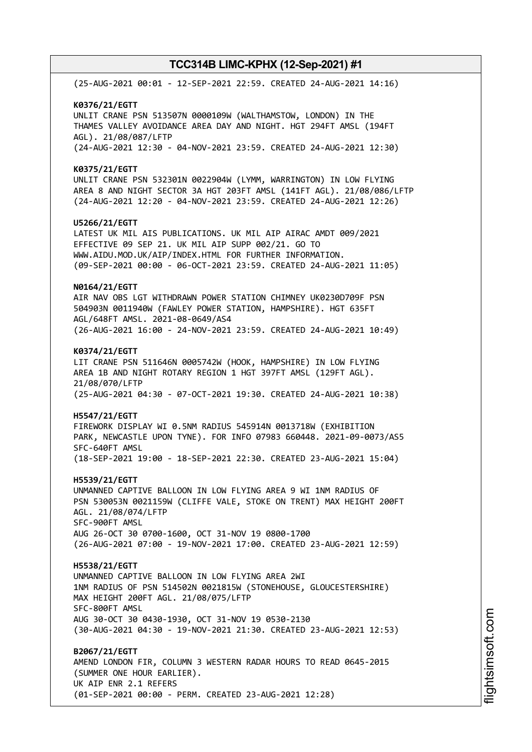(25-AUG-2021 00:01 - 12-SEP-2021 22:59. CREATED 24-AUG-2021 14:16) **K0376/21/EGTT** UNLIT CRANE PSN 513507N 0000109W (WALTHAMSTOW, LONDON) IN THE THAMES VALLEY AVOIDANCE AREA DAY AND NIGHT. HGT 294FT AMSL (194FT AGL). 21/08/087/LFTP (24-AUG-2021 12:30 - 04-NOV-2021 23:59. CREATED 24-AUG-2021 12:30) **K0375/21/EGTT** UNLIT CRANE PSN 532301N 0022904W (LYMM, WARRINGTON) IN LOW FLYING AREA 8 AND NIGHT SECTOR 3A HGT 203FT AMSL (141FT AGL). 21/08/086/LFTP (24-AUG-2021 12:20 - 04-NOV-2021 23:59. CREATED 24-AUG-2021 12:26) **U5266/21/EGTT** LATEST UK MIL AIS PUBLICATIONS. UK MIL AIP AIRAC AMDT 009/2021 EFFECTIVE 09 SEP 21. UK MIL AIP SUPP 002/21. GO TO WWW.AIDU.MOD.UK/AIP/INDEX.HTML FOR FURTHER INFORMATION. (09-SEP-2021 00:00 - 06-OCT-2021 23:59. CREATED 24-AUG-2021 11:05) **N0164/21/EGTT** AIR NAV OBS LGT WITHDRAWN POWER STATION CHIMNEY UK0230D709F PSN 504903N 0011940W (FAWLEY POWER STATION, HAMPSHIRE). HGT 635FT AGL/648FT AMSL. 2021-08-0649/AS4 (26-AUG-2021 16:00 - 24-NOV-2021 23:59. CREATED 24-AUG-2021 10:49) **K0374/21/EGTT** LIT CRANE PSN 511646N 0005742W (HOOK, HAMPSHIRE) IN LOW FLYING AREA 1B AND NIGHT ROTARY REGION 1 HGT 397FT AMSL (129FT AGL). 21/08/070/LFTP (25-AUG-2021 04:30 - 07-OCT-2021 19:30. CREATED 24-AUG-2021 10:38) **H5547/21/EGTT** FIREWORK DISPLAY WI 0.5NM RADIUS 545914N 0013718W (EXHIBITION PARK, NEWCASTLE UPON TYNE). FOR INFO 07983 660448. 2021-09-0073/AS5 SFC-640FT AMSL (18-SEP-2021 19:00 - 18-SEP-2021 22:30. CREATED 23-AUG-2021 15:04) **H5539/21/EGTT** UNMANNED CAPTIVE BALLOON IN LOW FLYING AREA 9 WI 1NM RADIUS OF PSN 530053N 0021159W (CLIFFE VALE, STOKE ON TRENT) MAX HEIGHT 200FT AGL. 21/08/074/LFTP SFC-900FT AMSL AUG 26-OCT 30 0700-1600, OCT 31-NOV 19 0800-1700 (26-AUG-2021 07:00 - 19-NOV-2021 17:00. CREATED 23-AUG-2021 12:59) **H5538/21/EGTT** UNMANNED CAPTIVE BALLOON IN LOW FLYING AREA 2WI 1NM RADIUS OF PSN 514502N 0021815W (STONEHOUSE, GLOUCESTERSHIRE) MAX HEIGHT 200FT AGL. 21/08/075/LFTP SFC-800FT AMSL AUG 30-OCT 30 0430-1930, OCT 31-NOV 19 0530-2130 (30-AUG-2021 04:30 - 19-NOV-2021 21:30. CREATED 23-AUG-2021 12:53) **B2067/21/EGTT** AMEND LONDON FIR, COLUMN 3 WESTERN RADAR HOURS TO READ 0645-2015 (SUMMER ONE HOUR EARLIER). UK AIP ENR 2.1 REFERS (01-SEP-2021 00:00 - PERM. CREATED 23-AUG-2021 12:28)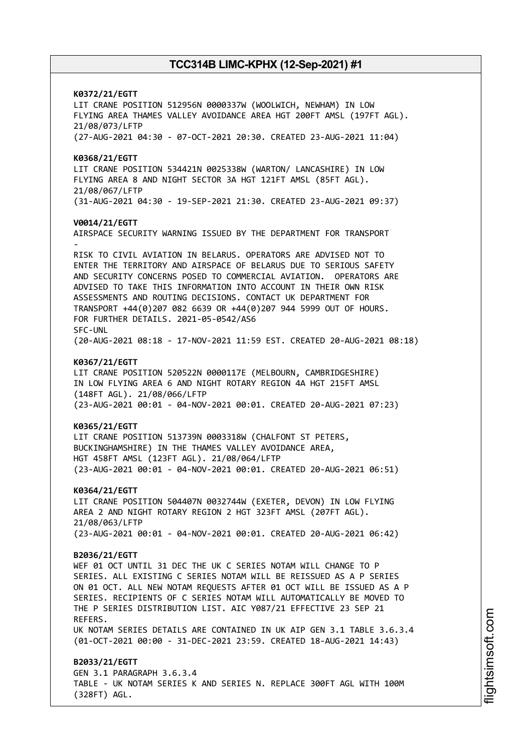**K0372/21/EGTT** LIT CRANE POSITION 512956N 0000337W (WOOLWICH, NEWHAM) IN LOW FLYING AREA THAMES VALLEY AVOIDANCE AREA HGT 200FT AMSL (197FT AGL). 21/08/073/LFTP (27-AUG-2021 04:30 - 07-OCT-2021 20:30. CREATED 23-AUG-2021 11:04) **K0368/21/EGTT** LIT CRANE POSITION 534421N 0025338W (WARTON/ LANCASHIRE) IN LOW FLYING AREA 8 AND NIGHT SECTOR 3A HGT 121FT AMSL (85FT AGL). 21/08/067/LFTP (31-AUG-2021 04:30 - 19-SEP-2021 21:30. CREATED 23-AUG-2021 09:37) **V0014/21/EGTT** AIRSPACE SECURITY WARNING ISSUED BY THE DEPARTMENT FOR TRANSPORT - RISK TO CIVIL AVIATION IN BELARUS. OPERATORS ARE ADVISED NOT TO ENTER THE TERRITORY AND AIRSPACE OF BELARUS DUE TO SERIOUS SAFETY AND SECURITY CONCERNS POSED TO COMMERCIAL AVIATION. OPERATORS ARE ADVISED TO TAKE THIS INFORMATION INTO ACCOUNT IN THEIR OWN RISK ASSESSMENTS AND ROUTING DECISIONS. CONTACT UK DEPARTMENT FOR TRANSPORT +44(0)207 082 6639 OR +44(0)207 944 5999 OUT OF HOURS. FOR FURTHER DETAILS. 2021-05-0542/AS6 SFC-UNL (20-AUG-2021 08:18 - 17-NOV-2021 11:59 EST. CREATED 20-AUG-2021 08:18) **K0367/21/EGTT** LIT CRANE POSITION 520522N 0000117E (MELBOURN, CAMBRIDGESHIRE) IN LOW FLYING AREA 6 AND NIGHT ROTARY REGION 4A HGT 215FT AMSL (148FT AGL). 21/08/066/LFTP (23-AUG-2021 00:01 - 04-NOV-2021 00:01. CREATED 20-AUG-2021 07:23) **K0365/21/EGTT** LIT CRANE POSITION 513739N 0003318W (CHALFONT ST PETERS, BUCKINGHAMSHIRE) IN THE THAMES VALLEY AVOIDANCE AREA, HGT 458FT AMSL (123FT AGL). 21/08/064/LFTP (23-AUG-2021 00:01 - 04-NOV-2021 00:01. CREATED 20-AUG-2021 06:51) **K0364/21/EGTT** LIT CRANE POSITION 504407N 0032744W (EXETER, DEVON) IN LOW FLYING AREA 2 AND NIGHT ROTARY REGION 2 HGT 323FT AMSL (207FT AGL). 21/08/063/LFTP (23-AUG-2021 00:01 - 04-NOV-2021 00:01. CREATED 20-AUG-2021 06:42) **B2036/21/EGTT** WEF 01 OCT UNTIL 31 DEC THE UK C SERIES NOTAM WILL CHANGE TO P SERIES. ALL EXISTING C SERIES NOTAM WILL BE REISSUED AS A P SERIES ON 01 OCT. ALL NEW NOTAM REQUESTS AFTER 01 OCT WILL BE ISSUED AS A P SERIES. RECIPIENTS OF C SERIES NOTAM WILL AUTOMATICALLY BE MOVED TO THE P SERIES DISTRIBUTION LIST. AIC Y087/21 EFFECTIVE 23 SEP 21 REFERS. UK NOTAM SERIES DETAILS ARE CONTAINED IN UK AIP GEN 3.1 TABLE 3.6.3.4 (01-OCT-2021 00:00 - 31-DEC-2021 23:59. CREATED 18-AUG-2021 14:43) **B2033/21/EGTT** GEN 3.1 PARAGRAPH 3.6.3.4 TABLE - UK NOTAM SERIES K AND SERIES N. REPLACE 300FT AGL WITH 100M

(328FT) AGL.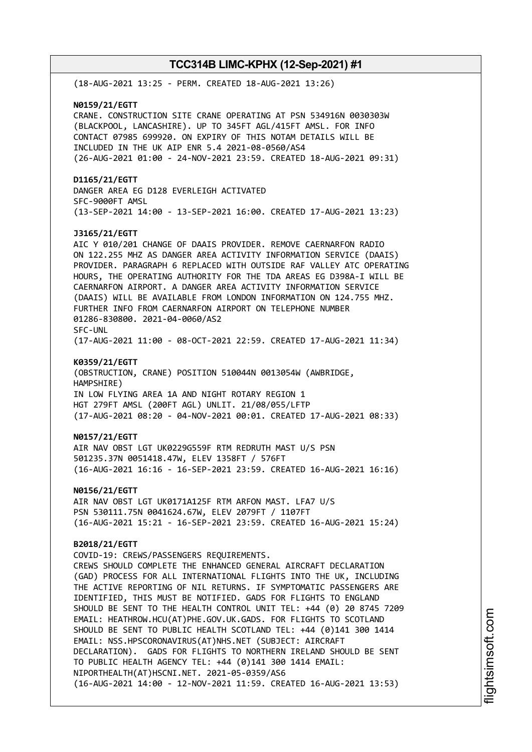(18-AUG-2021 13:25 - PERM. CREATED 18-AUG-2021 13:26) **N0159/21/EGTT** CRANE. CONSTRUCTION SITE CRANE OPERATING AT PSN 534916N 0030303W (BLACKPOOL, LANCASHIRE). UP TO 345FT AGL/415FT AMSL. FOR INFO CONTACT 07985 699920. ON EXPIRY OF THIS NOTAM DETAILS WILL BE INCLUDED IN THE UK AIP ENR 5.4 2021-08-0560/AS4 (26-AUG-2021 01:00 - 24-NOV-2021 23:59. CREATED 18-AUG-2021 09:31) **D1165/21/EGTT** DANGER AREA EG D128 EVERLEIGH ACTIVATED SFC-9000FT AMSL (13-SEP-2021 14:00 - 13-SEP-2021 16:00. CREATED 17-AUG-2021 13:23) **J3165/21/EGTT** AIC Y 010/201 CHANGE OF DAAIS PROVIDER. REMOVE CAERNARFON RADIO ON 122.255 MHZ AS DANGER AREA ACTIVITY INFORMATION SERVICE (DAAIS) PROVIDER. PARAGRAPH 6 REPLACED WITH OUTSIDE RAF VALLEY ATC OPERATING HOURS, THE OPERATING AUTHORITY FOR THE TDA AREAS EG D398A-I WILL BE CAERNARFON AIRPORT. A DANGER AREA ACTIVITY INFORMATION SERVICE (DAAIS) WILL BE AVAILABLE FROM LONDON INFORMATION ON 124.755 MHZ. FURTHER INFO FROM CAERNARFON AIRPORT ON TELEPHONE NUMBER 01286-830800. 2021-04-0060/AS2 SFC-UNL (17-AUG-2021 11:00 - 08-OCT-2021 22:59. CREATED 17-AUG-2021 11:34) **K0359/21/EGTT** (OBSTRUCTION, CRANE) POSITION 510044N 0013054W (AWBRIDGE, HAMPSHIRE) IN LOW FLYING AREA 1A AND NIGHT ROTARY REGION 1 HGT 279FT AMSL (200FT AGL) UNLIT. 21/08/055/LFTP (17-AUG-2021 08:20 - 04-NOV-2021 00:01. CREATED 17-AUG-2021 08:33) **N0157/21/EGTT** AIR NAV OBST LGT UK0229G559F RTM REDRUTH MAST U/S PSN 501235.37N 0051418.47W, ELEV 1358FT / 576FT (16-AUG-2021 16:16 - 16-SEP-2021 23:59. CREATED 16-AUG-2021 16:16) **N0156/21/EGTT** AIR NAV OBST LGT UK0171A125F RTM ARFON MAST. LFA7 U/S PSN 530111.75N 0041624.67W, ELEV 2079FT / 1107FT (16-AUG-2021 15:21 - 16-SEP-2021 23:59. CREATED 16-AUG-2021 15:24) **B2018/21/EGTT** COVID-19: CREWS/PASSENGERS REQUIREMENTS. CREWS SHOULD COMPLETE THE ENHANCED GENERAL AIRCRAFT DECLARATION (GAD) PROCESS FOR ALL INTERNATIONAL FLIGHTS INTO THE UK, INCLUDING THE ACTIVE REPORTING OF NIL RETURNS. IF SYMPTOMATIC PASSENGERS ARE IDENTIFIED, THIS MUST BE NOTIFIED. GADS FOR FLIGHTS TO ENGLAND SHOULD BE SENT TO THE HEALTH CONTROL UNIT TEL: +44 (0) 20 8745 7209 EMAIL: HEATHROW.HCU(AT)PHE.GOV.UK.GADS. FOR FLIGHTS TO SCOTLAND SHOULD BE SENT TO PUBLIC HEALTH SCOTLAND TEL: +44 (0)141 300 1414 EMAIL: NSS.HPSCORONAVIRUS(AT)NHS.NET (SUBJECT: AIRCRAFT DECLARATION). GADS FOR FLIGHTS TO NORTHERN IRELAND SHOULD BE SENT TO PUBLIC HEALTH AGENCY TEL: +44 (0)141 300 1414 EMAIL: NIPORTHEALTH(AT)HSCNI.NET. 2021-05-0359/AS6 (16-AUG-2021 14:00 - 12-NOV-2021 11:59. CREATED 16-AUG-2021 13:53)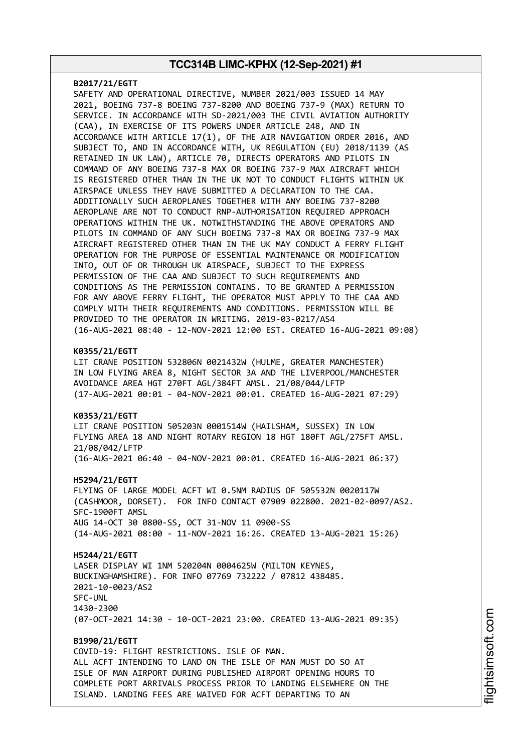#### **B2017/21/EGTT**

SAFETY AND OPERATIONAL DIRECTIVE, NUMBER 2021/003 ISSUED 14 MAY 2021, BOEING 737-8 BOEING 737-8200 AND BOEING 737-9 (MAX) RETURN TO SERVICE. IN ACCORDANCE WITH SD-2021/003 THE CIVIL AVIATION AUTHORITY (CAA), IN EXERCISE OF ITS POWERS UNDER ARTICLE 248, AND IN ACCORDANCE WITH ARTICLE 17(1), OF THE AIR NAVIGATION ORDER 2016, AND SUBJECT TO, AND IN ACCORDANCE WITH, UK REGULATION (EU) 2018/1139 (AS RETAINED IN UK LAW), ARTICLE 70, DIRECTS OPERATORS AND PILOTS IN COMMAND OF ANY BOEING 737-8 MAX OR BOEING 737-9 MAX AIRCRAFT WHICH IS REGISTERED OTHER THAN IN THE UK NOT TO CONDUCT FLIGHTS WITHIN UK AIRSPACE UNLESS THEY HAVE SUBMITTED A DECLARATION TO THE CAA. ADDITIONALLY SUCH AEROPLANES TOGETHER WITH ANY BOEING 737-8200 AEROPLANE ARE NOT TO CONDUCT RNP-AUTHORISATION REQUIRED APPROACH OPERATIONS WITHIN THE UK. NOTWITHSTANDING THE ABOVE OPERATORS AND PILOTS IN COMMAND OF ANY SUCH BOEING 737-8 MAX OR BOEING 737-9 MAX AIRCRAFT REGISTERED OTHER THAN IN THE UK MAY CONDUCT A FERRY FLIGHT OPERATION FOR THE PURPOSE OF ESSENTIAL MAINTENANCE OR MODIFICATION INTO, OUT OF OR THROUGH UK AIRSPACE, SUBJECT TO THE EXPRESS PERMISSION OF THE CAA AND SUBJECT TO SUCH REQUIREMENTS AND CONDITIONS AS THE PERMISSION CONTAINS. TO BE GRANTED A PERMISSION FOR ANY ABOVE FERRY FLIGHT, THE OPERATOR MUST APPLY TO THE CAA AND COMPLY WITH THEIR REQUIREMENTS AND CONDITIONS. PERMISSION WILL BE PROVIDED TO THE OPERATOR IN WRITING. 2019-03-0217/AS4 (16-AUG-2021 08:40 - 12-NOV-2021 12:00 EST. CREATED 16-AUG-2021 09:08)

### **K0355/21/EGTT**

LIT CRANE POSITION 532806N 0021432W (HULME, GREATER MANCHESTER) IN LOW FLYING AREA 8, NIGHT SECTOR 3A AND THE LIVERPOOL/MANCHESTER AVOIDANCE AREA HGT 270FT AGL/384FT AMSL. 21/08/044/LFTP (17-AUG-2021 00:01 - 04-NOV-2021 00:01. CREATED 16-AUG-2021 07:29)

#### **K0353/21/EGTT**

LIT CRANE POSITION 505203N 0001514W (HAILSHAM, SUSSEX) IN LOW FLYING AREA 18 AND NIGHT ROTARY REGION 18 HGT 180FT AGL/275FT AMSL. 21/08/042/LFTP (16-AUG-2021 06:40 - 04-NOV-2021 00:01. CREATED 16-AUG-2021 06:37)

#### **H5294/21/EGTT**

FLYING OF LARGE MODEL ACFT WI 0.5NM RADIUS OF 505532N 0020117W (CASHMOOR, DORSET). FOR INFO CONTACT 07909 022800. 2021-02-0097/AS2. SFC-1900FT AMSL AUG 14-OCT 30 0800-SS, OCT 31-NOV 11 0900-SS (14-AUG-2021 08:00 - 11-NOV-2021 16:26. CREATED 13-AUG-2021 15:26)

#### **H5244/21/EGTT**

LASER DISPLAY WI 1NM 520204N 0004625W (MILTON KEYNES, BUCKINGHAMSHIRE). FOR INFO 07769 732222 / 07812 438485. 2021-10-0023/AS2 SFC-UNL 1430-2300 (07-OCT-2021 14:30 - 10-OCT-2021 23:00. CREATED 13-AUG-2021 09:35)

**B1990/21/EGTT** COVID-19: FLIGHT RESTRICTIONS. ISLE OF MAN. ALL ACFT INTENDING TO LAND ON THE ISLE OF MAN MUST DO SO AT ISLE OF MAN AIRPORT DURING PUBLISHED AIRPORT OPENING HOURS TO COMPLETE PORT ARRIVALS PROCESS PRIOR TO LANDING ELSEWHERE ON THE ISLAND. LANDING FEES ARE WAIVED FOR ACFT DEPARTING TO AN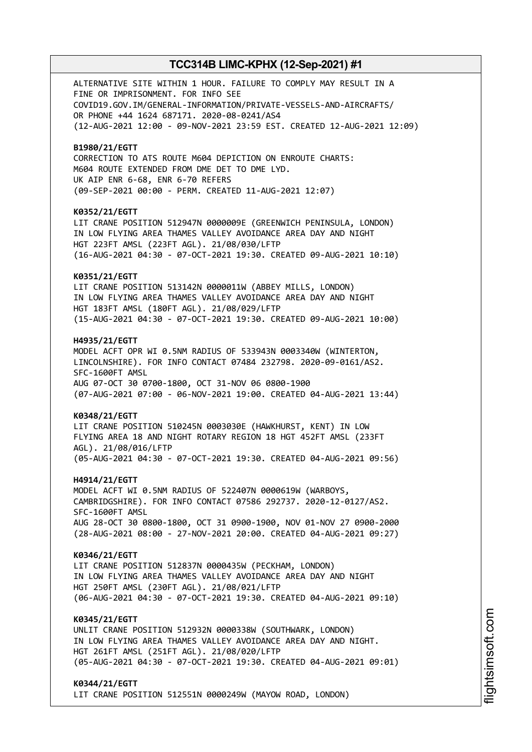ALTERNATIVE SITE WITHIN 1 HOUR. FAILURE TO COMPLY MAY RESULT IN A FINE OR IMPRISONMENT. FOR INFO SEE COVID19.GOV.IM/GENERAL-INFORMATION/PRIVATE-VESSELS-AND-AIRCRAFTS/ OR PHONE +44 1624 687171. 2020-08-0241/AS4 (12-AUG-2021 12:00 - 09-NOV-2021 23:59 EST. CREATED 12-AUG-2021 12:09) **B1980/21/EGTT** CORRECTION TO ATS ROUTE M604 DEPICTION ON ENROUTE CHARTS: M604 ROUTE EXTENDED FROM DME DET TO DME LYD. UK AIP ENR 6-68, ENR 6-70 REFERS (09-SEP-2021 00:00 - PERM. CREATED 11-AUG-2021 12:07) **K0352/21/EGTT** LIT CRANE POSITION 512947N 0000009E (GREENWICH PENINSULA, LONDON) IN LOW FLYING AREA THAMES VALLEY AVOIDANCE AREA DAY AND NIGHT HGT 223FT AMSL (223FT AGL). 21/08/030/LFTP (16-AUG-2021 04:30 - 07-OCT-2021 19:30. CREATED 09-AUG-2021 10:10) **K0351/21/EGTT** LIT CRANE POSITION 513142N 0000011W (ABBEY MILLS, LONDON) IN LOW FLYING AREA THAMES VALLEY AVOIDANCE AREA DAY AND NIGHT HGT 183FT AMSL (180FT AGL). 21/08/029/LFTP (15-AUG-2021 04:30 - 07-OCT-2021 19:30. CREATED 09-AUG-2021 10:00) **H4935/21/EGTT** MODEL ACFT OPR WI 0.5NM RADIUS OF 533943N 0003340W (WINTERTON, LINCOLNSHIRE). FOR INFO CONTACT 07484 232798. 2020-09-0161/AS2. SFC-1600FT AMSL AUG 07-OCT 30 0700-1800, OCT 31-NOV 06 0800-1900 (07-AUG-2021 07:00 - 06-NOV-2021 19:00. CREATED 04-AUG-2021 13:44) **K0348/21/EGTT** LIT CRANE POSITION 510245N 0003030E (HAWKHURST, KENT) IN LOW FLYING AREA 18 AND NIGHT ROTARY REGION 18 HGT 452FT AMSL (233FT AGL). 21/08/016/LFTP (05-AUG-2021 04:30 - 07-OCT-2021 19:30. CREATED 04-AUG-2021 09:56) **H4914/21/EGTT** MODEL ACFT WI 0.5NM RADIUS OF 522407N 0000619W (WARBOYS, CAMBRIDGSHIRE). FOR INFO CONTACT 07586 292737. 2020-12-0127/AS2. SFC-1600FT AMSL AUG 28-OCT 30 0800-1800, OCT 31 0900-1900, NOV 01-NOV 27 0900-2000 (28-AUG-2021 08:00 - 27-NOV-2021 20:00. CREATED 04-AUG-2021 09:27) **K0346/21/EGTT** LIT CRANE POSITION 512837N 0000435W (PECKHAM, LONDON) IN LOW FLYING AREA THAMES VALLEY AVOIDANCE AREA DAY AND NIGHT HGT 250FT AMSL (230FT AGL). 21/08/021/LFTP (06-AUG-2021 04:30 - 07-OCT-2021 19:30. CREATED 04-AUG-2021 09:10) **K0345/21/EGTT** UNLIT CRANE POSITION 512932N 0000338W (SOUTHWARK, LONDON) IN LOW FLYING AREA THAMES VALLEY AVOIDANCE AREA DAY AND NIGHT. HGT 261FT AMSL (251FT AGL). 21/08/020/LFTP (05-AUG-2021 04:30 - 07-OCT-2021 19:30. CREATED 04-AUG-2021 09:01) **K0344/21/EGTT**

LIT CRANE POSITION 512551N 0000249W (MAYOW ROAD, LONDON)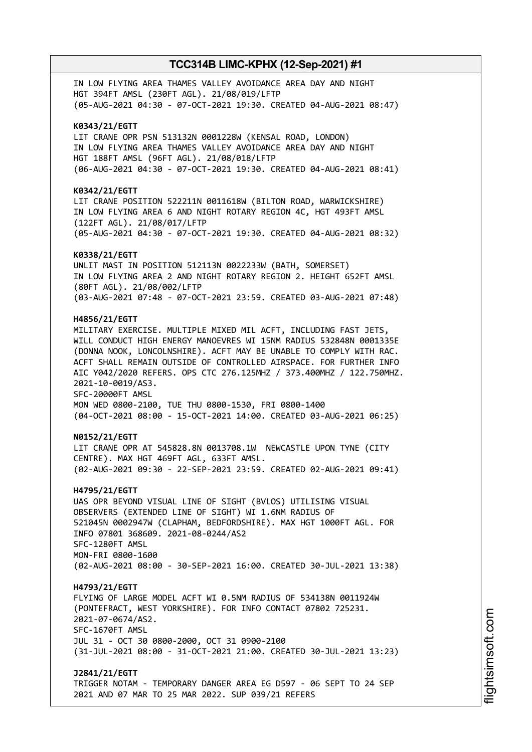IN LOW FLYING AREA THAMES VALLEY AVOIDANCE AREA DAY AND NIGHT HGT 394FT AMSL (230FT AGL). 21/08/019/LFTP (05-AUG-2021 04:30 - 07-OCT-2021 19:30. CREATED 04-AUG-2021 08:47) **K0343/21/EGTT** LIT CRANE OPR PSN 513132N 0001228W (KENSAL ROAD, LONDON) IN LOW FLYING AREA THAMES VALLEY AVOIDANCE AREA DAY AND NIGHT HGT 188FT AMSL (96FT AGL). 21/08/018/LFTP (06-AUG-2021 04:30 - 07-OCT-2021 19:30. CREATED 04-AUG-2021 08:41) **K0342/21/EGTT** LIT CRANE POSITION 522211N 0011618W (BILTON ROAD, WARWICKSHIRE) IN LOW FLYING AREA 6 AND NIGHT ROTARY REGION 4C, HGT 493FT AMSL (122FT AGL). 21/08/017/LFTP (05-AUG-2021 04:30 - 07-OCT-2021 19:30. CREATED 04-AUG-2021 08:32) **K0338/21/EGTT** UNLIT MAST IN POSITION 512113N 0022233W (BATH, SOMERSET) IN LOW FLYING AREA 2 AND NIGHT ROTARY REGION 2. HEIGHT 652FT AMSL (80FT AGL). 21/08/002/LFTP (03-AUG-2021 07:48 - 07-OCT-2021 23:59. CREATED 03-AUG-2021 07:48) **H4856/21/EGTT** MILITARY EXERCISE. MULTIPLE MIXED MIL ACFT, INCLUDING FAST JETS, WILL CONDUCT HIGH ENERGY MANOEVRES WI 15NM RADIUS 532848N 0001335E (DONNA NOOK, LONCOLNSHIRE). ACFT MAY BE UNABLE TO COMPLY WITH RAC. ACFT SHALL REMAIN OUTSIDE OF CONTROLLED AIRSPACE. FOR FURTHER INFO AIC Y042/2020 REFERS. OPS CTC 276.125MHZ / 373.400MHZ / 122.750MHZ. 2021-10-0019/AS3. SFC-20000FT AMSL MON WED 0800-2100, TUE THU 0800-1530, FRI 0800-1400 (04-OCT-2021 08:00 - 15-OCT-2021 14:00. CREATED 03-AUG-2021 06:25) **N0152/21/EGTT** LIT CRANE OPR AT 545828.8N 0013708.1W NEWCASTLE UPON TYNE (CITY CENTRE). MAX HGT 469FT AGL, 633FT AMSL. (02-AUG-2021 09:30 - 22-SEP-2021 23:59. CREATED 02-AUG-2021 09:41) **H4795/21/EGTT** UAS OPR BEYOND VISUAL LINE OF SIGHT (BVLOS) UTILISING VISUAL OBSERVERS (EXTENDED LINE OF SIGHT) WI 1.6NM RADIUS OF 521045N 0002947W (CLAPHAM, BEDFORDSHIRE). MAX HGT 1000FT AGL. FOR INFO 07801 368609. 2021-08-0244/AS2 SFC-1280FT AMSL MON-FRI 0800-1600 (02-AUG-2021 08:00 - 30-SEP-2021 16:00. CREATED 30-JUL-2021 13:38) **H4793/21/EGTT** FLYING OF LARGE MODEL ACFT WI 0.5NM RADIUS OF 534138N 0011924W (PONTEFRACT, WEST YORKSHIRE). FOR INFO CONTACT 07802 725231. 2021-07-0674/AS2. SFC-1670FT AMSL JUL 31 - OCT 30 0800-2000, OCT 31 0900-2100 (31-JUL-2021 08:00 - 31-OCT-2021 21:00. CREATED 30-JUL-2021 13:23) **J2841/21/EGTT** TRIGGER NOTAM - TEMPORARY DANGER AREA EG D597 - 06 SEPT TO 24 SEP 2021 AND 07 MAR TO 25 MAR 2022. SUP 039/21 REFERS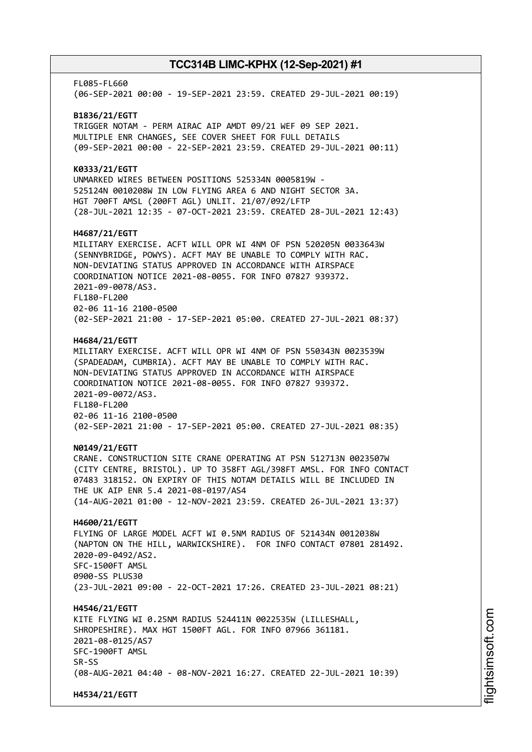FL085-FL660 (06-SEP-2021 00:00 - 19-SEP-2021 23:59. CREATED 29-JUL-2021 00:19) **B1836/21/EGTT** TRIGGER NOTAM - PERM AIRAC AIP AMDT 09/21 WEF 09 SEP 2021. MULTIPLE ENR CHANGES, SEE COVER SHEET FOR FULL DETAILS (09-SEP-2021 00:00 - 22-SEP-2021 23:59. CREATED 29-JUL-2021 00:11) **K0333/21/EGTT** UNMARKED WIRES BETWEEN POSITIONS 525334N 0005819W - 525124N 0010208W IN LOW FLYING AREA 6 AND NIGHT SECTOR 3A. HGT 700FT AMSL (200FT AGL) UNLIT. 21/07/092/LFTP (28-JUL-2021 12:35 - 07-OCT-2021 23:59. CREATED 28-JUL-2021 12:43) **H4687/21/EGTT** MILITARY EXERCISE. ACFT WILL OPR WI 4NM OF PSN 520205N 0033643W (SENNYBRIDGE, POWYS). ACFT MAY BE UNABLE TO COMPLY WITH RAC. NON-DEVIATING STATUS APPROVED IN ACCORDANCE WITH AIRSPACE COORDINATION NOTICE 2021-08-0055. FOR INFO 07827 939372. 2021-09-0078/AS3. FL180-FL200 02-06 11-16 2100-0500 (02-SEP-2021 21:00 - 17-SEP-2021 05:00. CREATED 27-JUL-2021 08:37) **H4684/21/EGTT** MILITARY EXERCISE. ACFT WILL OPR WI 4NM OF PSN 550343N 0023539W (SPADEADAM, CUMBRIA). ACFT MAY BE UNABLE TO COMPLY WITH RAC. NON-DEVIATING STATUS APPROVED IN ACCORDANCE WITH AIRSPACE COORDINATION NOTICE 2021-08-0055. FOR INFO 07827 939372. 2021-09-0072/AS3. FL180-FL200 02-06 11-16 2100-0500 (02-SEP-2021 21:00 - 17-SEP-2021 05:00. CREATED 27-JUL-2021 08:35) **N0149/21/EGTT** CRANE. CONSTRUCTION SITE CRANE OPERATING AT PSN 512713N 0023507W (CITY CENTRE, BRISTOL). UP TO 358FT AGL/398FT AMSL. FOR INFO CONTACT 07483 318152. ON EXPIRY OF THIS NOTAM DETAILS WILL BE INCLUDED IN THE UK AIP ENR 5.4 2021-08-0197/AS4 (14-AUG-2021 01:00 - 12-NOV-2021 23:59. CREATED 26-JUL-2021 13:37) **H4600/21/EGTT** FLYING OF LARGE MODEL ACFT WI 0.5NM RADIUS OF 521434N 0012038W (NAPTON ON THE HILL, WARWICKSHIRE). FOR INFO CONTACT 07801 281492. 2020-09-0492/AS2. SFC-1500FT AMSL 0900-SS PLUS30 (23-JUL-2021 09:00 - 22-OCT-2021 17:26. CREATED 23-JUL-2021 08:21) **H4546/21/EGTT** KITE FLYING WI 0.25NM RADIUS 524411N 0022535W (LILLESHALL, SHROPESHIRE). MAX HGT 1500FT AGL. FOR INFO 07966 361181. 2021-08-0125/AS7 SFC-1900FT AMSL SR-SS (08-AUG-2021 04:40 - 08-NOV-2021 16:27. CREATED 22-JUL-2021 10:39) **H4534/21/EGTT**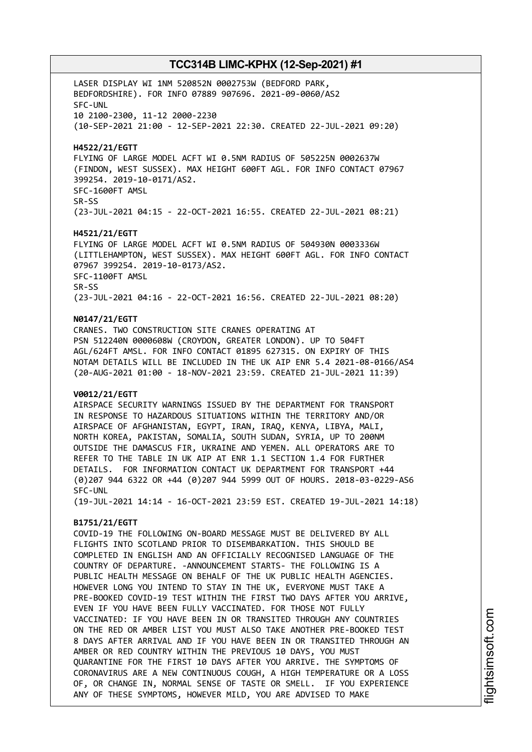LASER DISPLAY WI 1NM 520852N 0002753W (BEDFORD PARK, BEDFORDSHIRE). FOR INFO 07889 907696. 2021-09-0060/AS2 SFC-UNL 10 2100-2300, 11-12 2000-2230 (10-SEP-2021 21:00 - 12-SEP-2021 22:30. CREATED 22-JUL-2021 09:20)

**H4522/21/EGTT**

FLYING OF LARGE MODEL ACFT WI 0.5NM RADIUS OF 505225N 0002637W (FINDON, WEST SUSSEX). MAX HEIGHT 600FT AGL. FOR INFO CONTACT 07967 399254. 2019-10-0171/AS2. SFC-1600FT AMSL SR-SS

(23-JUL-2021 04:15 - 22-OCT-2021 16:55. CREATED 22-JUL-2021 08:21)

### **H4521/21/EGTT**

FLYING OF LARGE MODEL ACFT WI 0.5NM RADIUS OF 504930N 0003336W (LITTLEHAMPTON, WEST SUSSEX). MAX HEIGHT 600FT AGL. FOR INFO CONTACT 07967 399254. 2019-10-0173/AS2. SFC-1100FT AMSL SR-SS (23-JUL-2021 04:16 - 22-OCT-2021 16:56. CREATED 22-JUL-2021 08:20)

#### **N0147/21/EGTT**

CRANES. TWO CONSTRUCTION SITE CRANES OPERATING AT PSN 512240N 0000608W (CROYDON, GREATER LONDON). UP TO 504FT AGL/624FT AMSL. FOR INFO CONTACT 01895 627315. ON EXPIRY OF THIS NOTAM DETAILS WILL BE INCLUDED IN THE UK AIP ENR 5.4 2021-08-0166/AS4 (20-AUG-2021 01:00 - 18-NOV-2021 23:59. CREATED 21-JUL-2021 11:39)

#### **V0012/21/EGTT**

AIRSPACE SECURITY WARNINGS ISSUED BY THE DEPARTMENT FOR TRANSPORT IN RESPONSE TO HAZARDOUS SITUATIONS WITHIN THE TERRITORY AND/OR AIRSPACE OF AFGHANISTAN, EGYPT, IRAN, IRAQ, KENYA, LIBYA, MALI, NORTH KOREA, PAKISTAN, SOMALIA, SOUTH SUDAN, SYRIA, UP TO 200NM OUTSIDE THE DAMASCUS FIR, UKRAINE AND YEMEN. ALL OPERATORS ARE TO REFER TO THE TABLE IN UK AIP AT ENR 1.1 SECTION 1.4 FOR FURTHER DETAILS. FOR INFORMATION CONTACT UK DEPARTMENT FOR TRANSPORT +44 (0)207 944 6322 OR +44 (0)207 944 5999 OUT OF HOURS. 2018-03-0229-AS6 SFC-UNL

(19-JUL-2021 14:14 - 16-OCT-2021 23:59 EST. CREATED 19-JUL-2021 14:18)

### **B1751/21/EGTT**

COVID-19 THE FOLLOWING ON-BOARD MESSAGE MUST BE DELIVERED BY ALL FLIGHTS INTO SCOTLAND PRIOR TO DISEMBARKATION. THIS SHOULD BE COMPLETED IN ENGLISH AND AN OFFICIALLY RECOGNISED LANGUAGE OF THE COUNTRY OF DEPARTURE. -ANNOUNCEMENT STARTS- THE FOLLOWING IS A PUBLIC HEALTH MESSAGE ON BEHALF OF THE UK PUBLIC HEALTH AGENCIES. HOWEVER LONG YOU INTEND TO STAY IN THE UK, EVERYONE MUST TAKE A PRE-BOOKED COVID-19 TEST WITHIN THE FIRST TWO DAYS AFTER YOU ARRIVE, EVEN IF YOU HAVE BEEN FULLY VACCINATED. FOR THOSE NOT FULLY VACCINATED: IF YOU HAVE BEEN IN OR TRANSITED THROUGH ANY COUNTRIES ON THE RED OR AMBER LIST YOU MUST ALSO TAKE ANOTHER PRE-BOOKED TEST 8 DAYS AFTER ARRIVAL AND IF YOU HAVE BEEN IN OR TRANSITED THROUGH AN AMBER OR RED COUNTRY WITHIN THE PREVIOUS 10 DAYS, YOU MUST QUARANTINE FOR THE FIRST 10 DAYS AFTER YOU ARRIVE. THE SYMPTOMS OF CORONAVIRUS ARE A NEW CONTINUOUS COUGH, A HIGH TEMPERATURE OR A LOSS OF, OR CHANGE IN, NORMAL SENSE OF TASTE OR SMELL. IF YOU EXPERIENCE ANY OF THESE SYMPTOMS, HOWEVER MILD, YOU ARE ADVISED TO MAKE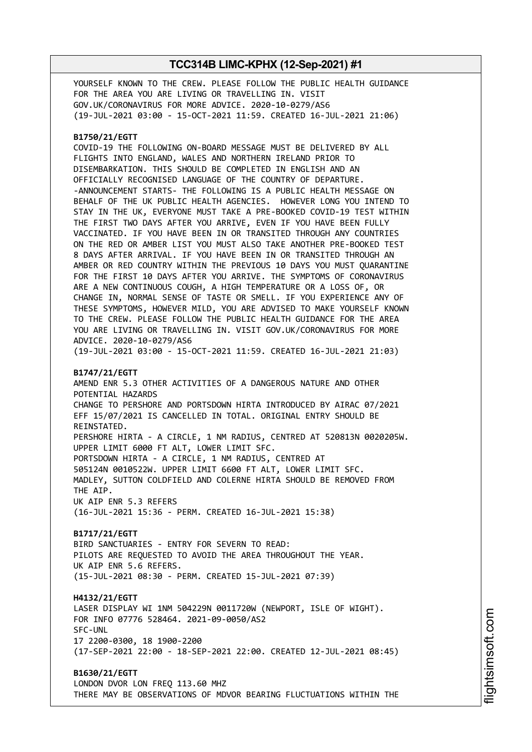YOURSELF KNOWN TO THE CREW. PLEASE FOLLOW THE PUBLIC HEALTH GUIDANCE FOR THE AREA YOU ARE LIVING OR TRAVELLING IN. VISIT GOV.UK/CORONAVIRUS FOR MORE ADVICE. 2020-10-0279/AS6 (19-JUL-2021 03:00 - 15-OCT-2021 11:59. CREATED 16-JUL-2021 21:06)

### **B1750/21/EGTT**

COVID-19 THE FOLLOWING ON-BOARD MESSAGE MUST BE DELIVERED BY ALL FLIGHTS INTO ENGLAND, WALES AND NORTHERN IRELAND PRIOR TO DISEMBARKATION. THIS SHOULD BE COMPLETED IN ENGLISH AND AN OFFICIALLY RECOGNISED LANGUAGE OF THE COUNTRY OF DEPARTURE. -ANNOUNCEMENT STARTS- THE FOLLOWING IS A PUBLIC HEALTH MESSAGE ON BEHALF OF THE UK PUBLIC HEALTH AGENCIES. HOWEVER LONG YOU INTEND TO STAY IN THE UK, EVERYONE MUST TAKE A PRE-BOOKED COVID-19 TEST WITHIN THE FIRST TWO DAYS AFTER YOU ARRIVE, EVEN IF YOU HAVE BEEN FULLY VACCINATED. IF YOU HAVE BEEN IN OR TRANSITED THROUGH ANY COUNTRIES ON THE RED OR AMBER LIST YOU MUST ALSO TAKE ANOTHER PRE-BOOKED TEST 8 DAYS AFTER ARRIVAL. IF YOU HAVE BEEN IN OR TRANSITED THROUGH AN AMBER OR RED COUNTRY WITHIN THE PREVIOUS 10 DAYS YOU MUST QUARANTINE FOR THE FIRST 10 DAYS AFTER YOU ARRIVE. THE SYMPTOMS OF CORONAVIRUS ARE A NEW CONTINUOUS COUGH, A HIGH TEMPERATURE OR A LOSS OF, OR CHANGE IN, NORMAL SENSE OF TASTE OR SMELL. IF YOU EXPERIENCE ANY OF THESE SYMPTOMS, HOWEVER MILD, YOU ARE ADVISED TO MAKE YOURSELF KNOWN TO THE CREW. PLEASE FOLLOW THE PUBLIC HEALTH GUIDANCE FOR THE AREA YOU ARE LIVING OR TRAVELLING IN. VISIT GOV.UK/CORONAVIRUS FOR MORE ADVICE. 2020-10-0279/AS6

# (19-JUL-2021 03:00 - 15-OCT-2021 11:59. CREATED 16-JUL-2021 21:03)

### **B1747/21/EGTT**

AMEND ENR 5.3 OTHER ACTIVITIES OF A DANGEROUS NATURE AND OTHER POTENTIAL HAZARDS CHANGE TO PERSHORE AND PORTSDOWN HIRTA INTRODUCED BY AIRAC 07/2021 EFF 15/07/2021 IS CANCELLED IN TOTAL. ORIGINAL ENTRY SHOULD BE REINSTATED. PERSHORE HIRTA - A CIRCLE, 1 NM RADIUS, CENTRED AT 520813N 0020205W. UPPER LIMIT 6000 FT ALT, LOWER LIMIT SFC. PORTSDOWN HIRTA - A CIRCLE, 1 NM RADIUS, CENTRED AT 505124N 0010522W. UPPER LIMIT 6600 FT ALT, LOWER LIMIT SFC. MADLEY, SUTTON COLDFIELD AND COLERNE HIRTA SHOULD BE REMOVED FROM THE AIP. UK AIP ENR 5.3 REFERS

(16-JUL-2021 15:36 - PERM. CREATED 16-JUL-2021 15:38)

### **B1717/21/EGTT** BIRD SANCTUARIES - ENTRY FOR SEVERN TO READ: PILOTS ARE REQUESTED TO AVOID THE AREA THROUGHOUT THE YEAR. UK AIP ENR 5.6 REFERS. (15-JUL-2021 08:30 - PERM. CREATED 15-JUL-2021 07:39)

**H4132/21/EGTT** LASER DISPLAY WI 1NM 504229N 0011720W (NEWPORT, ISLE OF WIGHT). FOR INFO 07776 528464. 2021-09-0050/AS2 SFC-UNL 17 2200-0300, 18 1900-2200 (17-SEP-2021 22:00 - 18-SEP-2021 22:00. CREATED 12-JUL-2021 08:45)

**B1630/21/EGTT** LONDON DVOR LON FREQ 113.60 MHZ THERE MAY BE OBSERVATIONS OF MDVOR BEARING FLUCTUATIONS WITHIN THE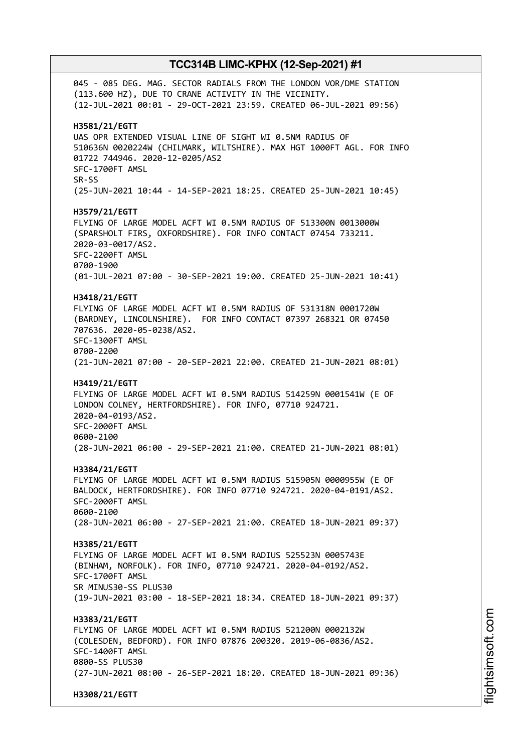045 - 085 DEG. MAG. SECTOR RADIALS FROM THE LONDON VOR/DME STATION (113.600 HZ), DUE TO CRANE ACTIVITY IN THE VICINITY. (12-JUL-2021 00:01 - 29-OCT-2021 23:59. CREATED 06-JUL-2021 09:56) **H3581/21/EGTT** UAS OPR EXTENDED VISUAL LINE OF SIGHT WI 0.5NM RADIUS OF 510636N 0020224W (CHILMARK, WILTSHIRE). MAX HGT 1000FT AGL. FOR INFO 01722 744946. 2020-12-0205/AS2 SFC-1700FT AMSL SR-SS (25-JUN-2021 10:44 - 14-SEP-2021 18:25. CREATED 25-JUN-2021 10:45) **H3579/21/EGTT** FLYING OF LARGE MODEL ACFT WI 0.5NM RADIUS OF 513300N 0013000W (SPARSHOLT FIRS, OXFORDSHIRE). FOR INFO CONTACT 07454 733211. 2020-03-0017/AS2. SFC-2200FT AMSL 0700-1900 (01-JUL-2021 07:00 - 30-SEP-2021 19:00. CREATED 25-JUN-2021 10:41) **H3418/21/EGTT** FLYING OF LARGE MODEL ACFT WI 0.5NM RADIUS OF 531318N 0001720W (BARDNEY, LINCOLNSHIRE). FOR INFO CONTACT 07397 268321 OR 07450 707636. 2020-05-0238/AS2. SFC-1300FT AMSL 0700-2200 (21-JUN-2021 07:00 - 20-SEP-2021 22:00. CREATED 21-JUN-2021 08:01) **H3419/21/EGTT** FLYING OF LARGE MODEL ACFT WI 0.5NM RADIUS 514259N 0001541W (E OF LONDON COLNEY, HERTFORDSHIRE). FOR INFO, 07710 924721. 2020-04-0193/AS2. SFC-2000FT AMSL 0600-2100 (28-JUN-2021 06:00 - 29-SEP-2021 21:00. CREATED 21-JUN-2021 08:01) **H3384/21/EGTT** FLYING OF LARGE MODEL ACFT WI 0.5NM RADIUS 515905N 0000955W (E OF BALDOCK, HERTFORDSHIRE). FOR INFO 07710 924721. 2020-04-0191/AS2. SFC-2000FT AMSL 0600-2100 (28-JUN-2021 06:00 - 27-SEP-2021 21:00. CREATED 18-JUN-2021 09:37) **H3385/21/EGTT** FLYING OF LARGE MODEL ACFT WI 0.5NM RADIUS 525523N 0005743E (BINHAM, NORFOLK). FOR INFO, 07710 924721. 2020-04-0192/AS2. SFC-1700FT AMSL SR MINUS30-SS PLUS30 (19-JUN-2021 03:00 - 18-SEP-2021 18:34. CREATED 18-JUN-2021 09:37) **H3383/21/EGTT** FLYING OF LARGE MODEL ACFT WI 0.5NM RADIUS 521200N 0002132W (COLESDEN, BEDFORD). FOR INFO 07876 200320. 2019-06-0836/AS2. SFC-1400FT AMSL 0800-SS PLUS30 (27-JUN-2021 08:00 - 26-SEP-2021 18:20. CREATED 18-JUN-2021 09:36) **H3308/21/EGTT**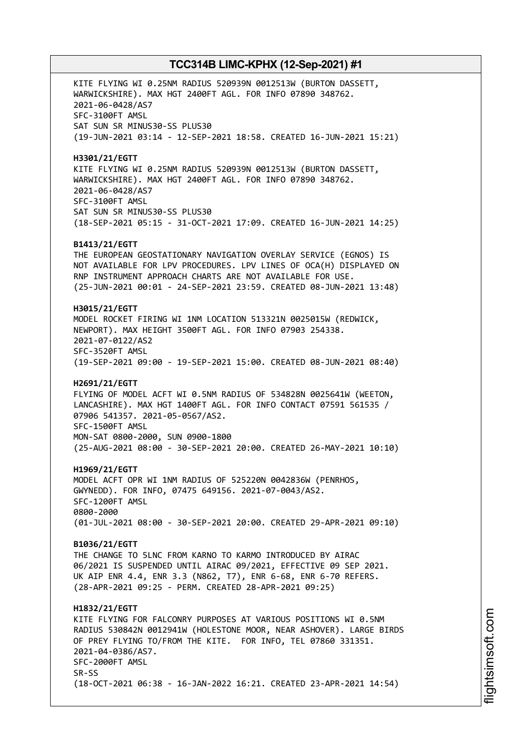KITE FLYING WI 0.25NM RADIUS 520939N 0012513W (BURTON DASSETT, WARWICKSHIRE). MAX HGT 2400FT AGL. FOR INFO 07890 348762. 2021-06-0428/AS7 SFC-3100FT AMSL SAT SUN SR MINUS30-SS PLUS30 (19-JUN-2021 03:14 - 12-SEP-2021 18:58. CREATED 16-JUN-2021 15:21) **H3301/21/EGTT** KITE FLYING WI 0.25NM RADIUS 520939N 0012513W (BURTON DASSETT, WARWICKSHIRE). MAX HGT 2400FT AGL. FOR INFO 07890 348762. 2021-06-0428/AS7 SFC-3100FT AMSL SAT SUN SR MINUS30-SS PLUS30 (18-SEP-2021 05:15 - 31-OCT-2021 17:09. CREATED 16-JUN-2021 14:25) **B1413/21/EGTT** THE EUROPEAN GEOSTATIONARY NAVIGATION OVERLAY SERVICE (EGNOS) IS NOT AVAILABLE FOR LPV PROCEDURES. LPV LINES OF OCA(H) DISPLAYED ON RNP INSTRUMENT APPROACH CHARTS ARE NOT AVAILABLE FOR USE. (25-JUN-2021 00:01 - 24-SEP-2021 23:59. CREATED 08-JUN-2021 13:48) **H3015/21/EGTT** MODEL ROCKET FIRING WI 1NM LOCATION 513321N 0025015W (REDWICK, NEWPORT). MAX HEIGHT 3500FT AGL. FOR INFO 07903 254338. 2021-07-0122/AS2 SFC-3520FT AMSL (19-SEP-2021 09:00 - 19-SEP-2021 15:00. CREATED 08-JUN-2021 08:40) **H2691/21/EGTT** FLYING OF MODEL ACFT WI 0.5NM RADIUS OF 534828N 0025641W (WEETON, LANCASHIRE). MAX HGT 1400FT AGL. FOR INFO CONTACT 07591 561535 / 07906 541357. 2021-05-0567/AS2. SFC-1500FT AMSL MON-SAT 0800-2000, SUN 0900-1800 (25-AUG-2021 08:00 - 30-SEP-2021 20:00. CREATED 26-MAY-2021 10:10) **H1969/21/EGTT** MODEL ACFT OPR WI 1NM RADIUS OF 525220N 0042836W (PENRHOS, GWYNEDD). FOR INFO, 07475 649156. 2021-07-0043/AS2. SFC-1200FT AMSL 0800-2000 (01-JUL-2021 08:00 - 30-SEP-2021 20:00. CREATED 29-APR-2021 09:10) **B1036/21/EGTT** THE CHANGE TO 5LNC FROM KARNO TO KARMO INTRODUCED BY AIRAC 06/2021 IS SUSPENDED UNTIL AIRAC 09/2021, EFFECTIVE 09 SEP 2021. UK AIP ENR 4.4, ENR 3.3 (N862, T7), ENR 6-68, ENR 6-70 REFERS. (28-APR-2021 09:25 - PERM. CREATED 28-APR-2021 09:25) **H1832/21/EGTT** KITE FLYING FOR FALCONRY PURPOSES AT VARIOUS POSITIONS WI 0.5NM RADIUS 530842N 0012941W (HOLESTONE MOOR, NEAR ASHOVER). LARGE BIRDS OF PREY FLYING TO/FROM THE KITE. FOR INFO, TEL 07860 331351. 2021-04-0386/AS7. SFC-2000FT AMSL SR-SS (18-OCT-2021 06:38 - 16-JAN-2022 16:21. CREATED 23-APR-2021 14:54)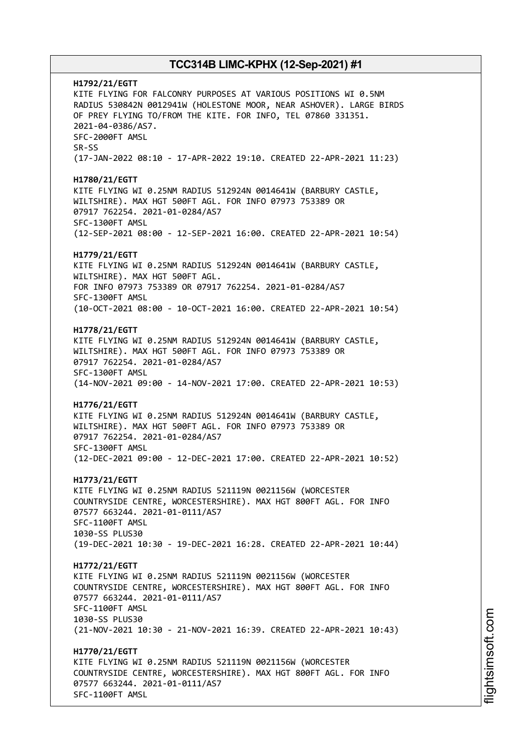**H1792/21/EGTT** KITE FLYING FOR FALCONRY PURPOSES AT VARIOUS POSITIONS WI 0.5NM RADIUS 530842N 0012941W (HOLESTONE MOOR, NEAR ASHOVER). LARGE BIRDS OF PREY FLYING TO/FROM THE KITE. FOR INFO, TEL 07860 331351. 2021-04-0386/AS7. SFC-2000FT AMSL SR-SS (17-JAN-2022 08:10 - 17-APR-2022 19:10. CREATED 22-APR-2021 11:23) **H1780/21/EGTT** KITE FLYING WI 0.25NM RADIUS 512924N 0014641W (BARBURY CASTLE, WILTSHIRE). MAX HGT 500FT AGL. FOR INFO 07973 753389 OR 07917 762254. 2021-01-0284/AS7 SFC-1300FT AMSL (12-SEP-2021 08:00 - 12-SEP-2021 16:00. CREATED 22-APR-2021 10:54) **H1779/21/EGTT** KITE FLYING WI 0.25NM RADIUS 512924N 0014641W (BARBURY CASTLE, WILTSHIRE). MAX HGT 500FT AGL. FOR INFO 07973 753389 OR 07917 762254. 2021-01-0284/AS7 SFC-1300FT AMSL (10-OCT-2021 08:00 - 10-OCT-2021 16:00. CREATED 22-APR-2021 10:54) **H1778/21/EGTT** KITE FLYING WI 0.25NM RADIUS 512924N 0014641W (BARBURY CASTLE, WILTSHIRE). MAX HGT 500FT AGL. FOR INFO 07973 753389 OR 07917 762254. 2021-01-0284/AS7 SFC-1300FT AMSL (14-NOV-2021 09:00 - 14-NOV-2021 17:00. CREATED 22-APR-2021 10:53) **H1776/21/EGTT** KITE FLYING WI 0.25NM RADIUS 512924N 0014641W (BARBURY CASTLE, WILTSHIRE). MAX HGT 500FT AGL. FOR INFO 07973 753389 OR 07917 762254. 2021-01-0284/AS7 SFC-1300FT AMSL (12-DEC-2021 09:00 - 12-DEC-2021 17:00. CREATED 22-APR-2021 10:52) **H1773/21/EGTT** KITE FLYING WI 0.25NM RADIUS 521119N 0021156W (WORCESTER COUNTRYSIDE CENTRE, WORCESTERSHIRE). MAX HGT 800FT AGL. FOR INFO 07577 663244. 2021-01-0111/AS7 SFC-1100FT AMSL 1030-SS PLUS30 (19-DEC-2021 10:30 - 19-DEC-2021 16:28. CREATED 22-APR-2021 10:44) **H1772/21/EGTT** KITE FLYING WI 0.25NM RADIUS 521119N 0021156W (WORCESTER COUNTRYSIDE CENTRE, WORCESTERSHIRE). MAX HGT 800FT AGL. FOR INFO 07577 663244. 2021-01-0111/AS7 SFC-1100FT AMSL 1030-SS PLUS30 (21-NOV-2021 10:30 - 21-NOV-2021 16:39. CREATED 22-APR-2021 10:43) **H1770/21/EGTT** KITE FLYING WI 0.25NM RADIUS 521119N 0021156W (WORCESTER COUNTRYSIDE CENTRE, WORCESTERSHIRE). MAX HGT 800FT AGL. FOR INFO 07577 663244. 2021-01-0111/AS7 SFC-1100FT AMSL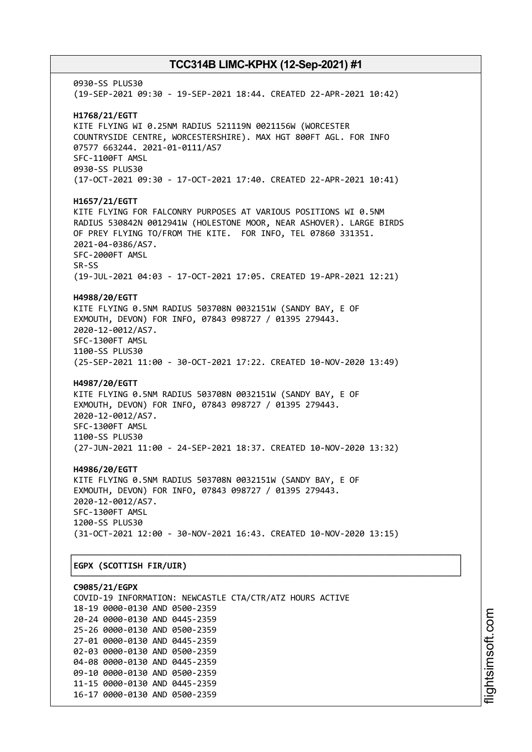0930-SS PLUS30 (19-SEP-2021 09:30 - 19-SEP-2021 18:44. CREATED 22-APR-2021 10:42) **H1768/21/EGTT** KITE FLYING WI 0.25NM RADIUS 521119N 0021156W (WORCESTER COUNTRYSIDE CENTRE, WORCESTERSHIRE). MAX HGT 800FT AGL. FOR INFO 07577 663244. 2021-01-0111/AS7 SFC-1100FT AMSL 0930-SS PLUS30 (17-OCT-2021 09:30 - 17-OCT-2021 17:40. CREATED 22-APR-2021 10:41) **H1657/21/EGTT** KITE FLYING FOR FALCONRY PURPOSES AT VARIOUS POSITIONS WI 0.5NM RADIUS 530842N 0012941W (HOLESTONE MOOR, NEAR ASHOVER). LARGE BIRDS OF PREY FLYING TO/FROM THE KITE. FOR INFO, TEL 07860 331351. 2021-04-0386/AS7. SFC-2000FT AMSL SR-SS (19-JUL-2021 04:03 - 17-OCT-2021 17:05. CREATED 19-APR-2021 12:21) **H4988/20/EGTT** KITE FLYING 0.5NM RADIUS 503708N 0032151W (SANDY BAY, E OF EXMOUTH, DEVON) FOR INFO, 07843 098727 / 01395 279443. 2020-12-0012/AS7. SFC-1300FT AMSL 1100-SS PLUS30 (25-SEP-2021 11:00 - 30-OCT-2021 17:22. CREATED 10-NOV-2020 13:49) **H4987/20/EGTT** KITE FLYING 0.5NM RADIUS 503708N 0032151W (SANDY BAY, E OF EXMOUTH, DEVON) FOR INFO, 07843 098727 / 01395 279443. 2020-12-0012/AS7. SFC-1300FT AMSL 1100-SS PLUS30 (27-JUN-2021 11:00 - 24-SEP-2021 18:37. CREATED 10-NOV-2020 13:32) **H4986/20/EGTT** KITE FLYING 0.5NM RADIUS 503708N 0032151W (SANDY BAY, E OF EXMOUTH, DEVON) FOR INFO, 07843 098727 / 01395 279443. 2020-12-0012/AS7. SFC-1300FT AMSL 1200-SS PLUS30 (31-OCT-2021 12:00 - 30-NOV-2021 16:43. CREATED 10-NOV-2020 13:15) ┌──────────────────────────────────────────────────────────────────────────────┐ │**EGPX (SCOTTISH FIR/UIR)** │

**C9085/21/EGPX** COVID-19 INFORMATION: NEWCASTLE CTA/CTR/ATZ HOURS ACTIVE 18-19 0000-0130 AND 0500-2359 20-24 0000-0130 AND 0445-2359 25-26 0000-0130 AND 0500-2359 27-01 0000-0130 AND 0445-2359 02-03 0000-0130 AND 0500-2359 04-08 0000-0130 AND 0445-2359 09-10 0000-0130 AND 0500-2359 11-15 0000-0130 AND 0445-2359 16-17 0000-0130 AND 0500-2359

└──────────────────────────────────────────────────────────────────────────────┘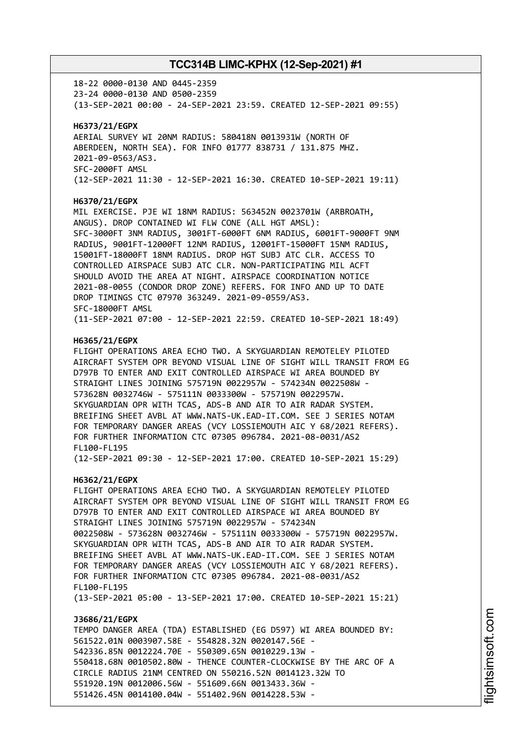18-22 0000-0130 AND 0445-2359 23-24 0000-0130 AND 0500-2359 (13-SEP-2021 00:00 - 24-SEP-2021 23:59. CREATED 12-SEP-2021 09:55) **H6373/21/EGPX** AERIAL SURVEY WI 20NM RADIUS: 580418N 0013931W (NORTH OF ABERDEEN, NORTH SEA). FOR INFO 01777 838731 / 131.875 MHZ. 2021-09-0563/AS3. SFC-2000FT AMSL (12-SEP-2021 11:30 - 12-SEP-2021 16:30. CREATED 10-SEP-2021 19:11) **H6370/21/EGPX** MIL EXERCISE. PJE WI 18NM RADIUS: 563452N 0023701W (ARBROATH, ANGUS). DROP CONTAINED WI FLW CONE (ALL HGT AMSL): SFC-3000FT 3NM RADIUS, 3001FT-6000FT 6NM RADIUS, 6001FT-9000FT 9NM RADIUS, 9001FT-12000FT 12NM RADIUS, 12001FT-15000FT 15NM RADIUS, 15001FT-18000FT 18NM RADIUS. DROP HGT SUBJ ATC CLR. ACCESS TO CONTROLLED AIRSPACE SUBJ ATC CLR. NON-PARTICIPATING MIL ACFT SHOULD AVOID THE AREA AT NIGHT. AIRSPACE COORDINATION NOTICE 2021-08-0055 (CONDOR DROP ZONE) REFERS. FOR INFO AND UP TO DATE DROP TIMINGS CTC 07970 363249. 2021-09-0559/AS3. SFC-18000FT AMSL (11-SEP-2021 07:00 - 12-SEP-2021 22:59. CREATED 10-SEP-2021 18:49) **H6365/21/EGPX** FLIGHT OPERATIONS AREA ECHO TWO. A SKYGUARDIAN REMOTELEY PILOTED AIRCRAFT SYSTEM OPR BEYOND VISUAL LINE OF SIGHT WILL TRANSIT FROM EG D797B TO ENTER AND EXIT CONTROLLED AIRSPACE WI AREA BOUNDED BY STRAIGHT LINES JOINING 575719N 0022957W - 574234N 0022508W - 573628N 0032746W - 575111N 0033300W - 575719N 0022957W. SKYGUARDIAN OPR WITH TCAS, ADS-B AND AIR TO AIR RADAR SYSTEM. BREIFING SHEET AVBL AT WWW.NATS-UK.EAD-IT.COM. SEE J SERIES NOTAM FOR TEMPORARY DANGER AREAS (VCY LOSSIEMOUTH AIC Y 68/2021 REFERS). FOR FURTHER INFORMATION CTC 07305 096784. 2021-08-0031/AS2 FL100-FL195 (12-SEP-2021 09:30 - 12-SEP-2021 17:00. CREATED 10-SEP-2021 15:29) **H6362/21/EGPX** FLIGHT OPERATIONS AREA ECHO TWO. A SKYGUARDIAN REMOTELEY PILOTED AIRCRAFT SYSTEM OPR BEYOND VISUAL LINE OF SIGHT WILL TRANSIT FROM EG D797B TO ENTER AND EXIT CONTROLLED AIRSPACE WI AREA BOUNDED BY STRAIGHT LINES JOINING 575719N 0022957W - 574234N 0022508W - 573628N 0032746W - 575111N 0033300W - 575719N 0022957W. SKYGUARDIAN OPR WITH TCAS, ADS-B AND AIR TO AIR RADAR SYSTEM. BREIFING SHEET AVBL AT WWW.NATS-UK.EAD-IT.COM. SEE J SERIES NOTAM FOR TEMPORARY DANGER AREAS (VCY LOSSIEMOUTH AIC Y 68/2021 REFERS). FOR FURTHER INFORMATION CTC 07305 096784. 2021-08-0031/AS2 FL100-FL195 (13-SEP-2021 05:00 - 13-SEP-2021 17:00. CREATED 10-SEP-2021 15:21) **J3686/21/EGPX** TEMPO DANGER AREA (TDA) ESTABLISHED (EG D597) WI AREA BOUNDED BY: 561522.01N 0003907.58E - 554828.32N 0020147.56E - 542336.85N 0012224.70E - 550309.65N 0010229.13W - 550418.68N 0010502.80W - THENCE COUNTER-CLOCKWISE BY THE ARC OF A

CIRCLE RADIUS 21NM CENTRED ON 550216.52N 0014123.32W TO 551920.19N 0012006.56W - 551609.66N 0013433.36W -

551426.45N 0014100.04W - 551402.96N 0014228.53W -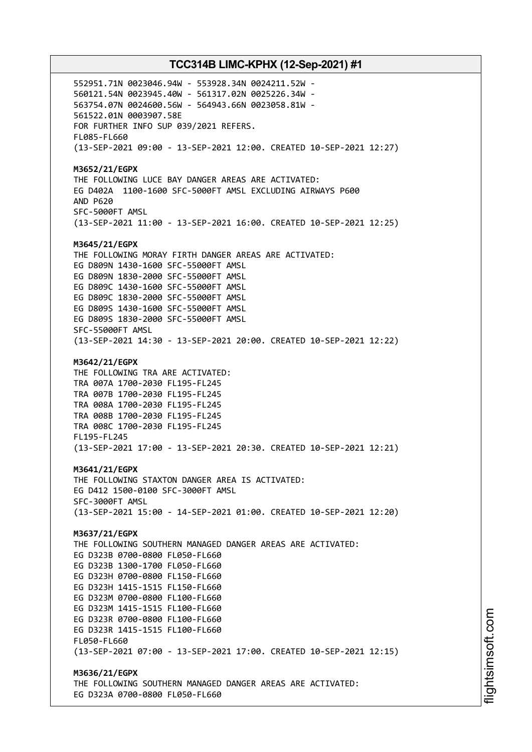552951.71N 0023046.94W - 553928.34N 0024211.52W - 560121.54N 0023945.40W - 561317.02N 0025226.34W - 563754.07N 0024600.56W - 564943.66N 0023058.81W - 561522.01N 0003907.58E FOR FURTHER INFO SUP 039/2021 REFERS. FL085-FL660 (13-SEP-2021 09:00 - 13-SEP-2021 12:00. CREATED 10-SEP-2021 12:27) **M3652/21/EGPX** THE FOLLOWING LUCE BAY DANGER AREAS ARE ACTIVATED: EG D402A 1100-1600 SFC-5000FT AMSL EXCLUDING AIRWAYS P600 AND P620 SFC-5000FT AMSL (13-SEP-2021 11:00 - 13-SEP-2021 16:00. CREATED 10-SEP-2021 12:25) **M3645/21/EGPX** THE FOLLOWING MORAY FIRTH DANGER AREAS ARE ACTIVATED: EG D809N 1430-1600 SFC-55000FT AMSL EG D809N 1830-2000 SFC-55000FT AMSL EG D809C 1430-1600 SFC-55000FT AMSL EG D809C 1830-2000 SFC-55000FT AMSL EG D809S 1430-1600 SFC-55000FT AMSL EG D809S 1830-2000 SFC-55000FT AMSL SFC-55000FT AMSL (13-SEP-2021 14:30 - 13-SEP-2021 20:00. CREATED 10-SEP-2021 12:22) **M3642/21/EGPX** THE FOLLOWING TRA ARE ACTIVATED: TRA 007A 1700-2030 FL195-FL245 TRA 007B 1700-2030 FL195-FL245 TRA 008A 1700-2030 FL195-FL245 TRA 008B 1700-2030 FL195-FL245 TRA 008C 1700-2030 FL195-FL245 FL195-FL245 (13-SEP-2021 17:00 - 13-SEP-2021 20:30. CREATED 10-SEP-2021 12:21) **M3641/21/EGPX** THE FOLLOWING STAXTON DANGER AREA IS ACTIVATED: EG D412 1500-0100 SFC-3000FT AMSL SFC-3000FT AMSL (13-SEP-2021 15:00 - 14-SEP-2021 01:00. CREATED 10-SEP-2021 12:20) **M3637/21/EGPX** THE FOLLOWING SOUTHERN MANAGED DANGER AREAS ARE ACTIVATED: EG D323B 0700-0800 FL050-FL660 EG D323B 1300-1700 FL050-FL660 EG D323H 0700-0800 FL150-FL660 EG D323H 1415-1515 FL150-FL660 EG D323M 0700-0800 FL100-FL660 EG D323M 1415-1515 FL100-FL660 EG D323R 0700-0800 FL100-FL660 EG D323R 1415-1515 FL100-FL660 FL050-FL660 (13-SEP-2021 07:00 - 13-SEP-2021 17:00. CREATED 10-SEP-2021 12:15) **M3636/21/EGPX** THE FOLLOWING SOUTHERN MANAGED DANGER AREAS ARE ACTIVATED:

EG D323A 0700-0800 FL050-FL660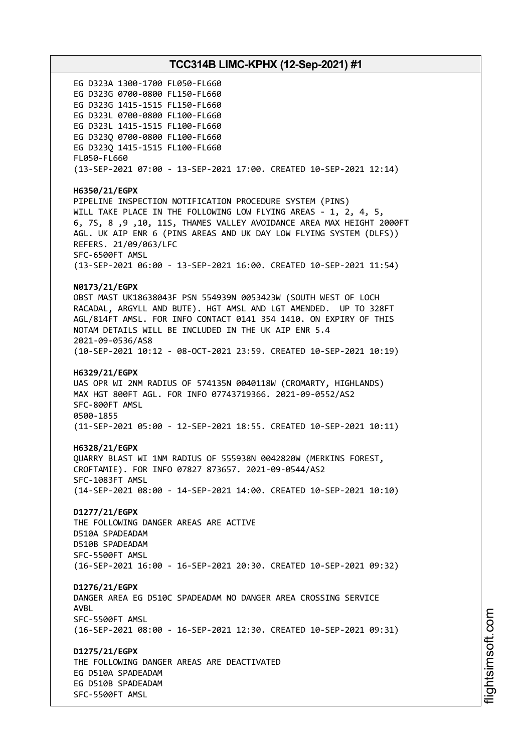EG D323A 1300-1700 FL050-FL660 EG D323G 0700-0800 FL150-FL660 EG D323G 1415-1515 FL150-FL660 EG D323L 0700-0800 FL100-FL660 EG D323L 1415-1515 FL100-FL660 EG D323Q 0700-0800 FL100-FL660 EG D323Q 1415-1515 FL100-FL660 FL050-FL660 (13-SEP-2021 07:00 - 13-SEP-2021 17:00. CREATED 10-SEP-2021 12:14) **H6350/21/EGPX** PIPELINE INSPECTION NOTIFICATION PROCEDURE SYSTEM (PINS) WILL TAKE PLACE IN THE FOLLOWING LOW FLYING AREAS - 1, 2, 4, 5, 6, 7S, 8 ,9 ,10, 11S, THAMES VALLEY AVOIDANCE AREA MAX HEIGHT 2000FT AGL. UK AIP ENR 6 (PINS AREAS AND UK DAY LOW FLYING SYSTEM (DLFS)) REFERS. 21/09/063/LFC SFC-6500FT AMSL (13-SEP-2021 06:00 - 13-SEP-2021 16:00. CREATED 10-SEP-2021 11:54) **N0173/21/EGPX** OBST MAST UK18638043F PSN 554939N 0053423W (SOUTH WEST OF LOCH RACADAL, ARGYLL AND BUTE). HGT AMSL AND LGT AMENDED. UP TO 328FT AGL/814FT AMSL. FOR INFO CONTACT 0141 354 1410. ON EXPIRY OF THIS NOTAM DETAILS WILL BE INCLUDED IN THE UK AIP ENR 5.4 2021-09-0536/AS8 (10-SEP-2021 10:12 - 08-OCT-2021 23:59. CREATED 10-SEP-2021 10:19) **H6329/21/EGPX** UAS OPR WI 2NM RADIUS OF 574135N 0040118W (CROMARTY, HIGHLANDS) MAX HGT 800FT AGL. FOR INFO 07743719366. 2021-09-0552/AS2 SFC-800FT AMSL 0500-1855 (11-SEP-2021 05:00 - 12-SEP-2021 18:55. CREATED 10-SEP-2021 10:11) **H6328/21/EGPX** QUARRY BLAST WI 1NM RADIUS OF 555938N 0042820W (MERKINS FOREST, CROFTAMIE). FOR INFO 07827 873657. 2021-09-0544/AS2 SFC-1083FT AMSL (14-SEP-2021 08:00 - 14-SEP-2021 14:00. CREATED 10-SEP-2021 10:10) **D1277/21/EGPX** THE FOLLOWING DANGER AREAS ARE ACTIVE D510A SPADEADAM D510B SPADEADAM SFC-5500FT AMSL (16-SEP-2021 16:00 - 16-SEP-2021 20:30. CREATED 10-SEP-2021 09:32) **D1276/21/EGPX** DANGER AREA EG D510C SPADEADAM NO DANGER AREA CROSSING SERVICE AVBL SFC-5500FT AMSL (16-SEP-2021 08:00 - 16-SEP-2021 12:30. CREATED 10-SEP-2021 09:31) **D1275/21/EGPX** THE FOLLOWING DANGER AREAS ARE DEACTIVATED EG D510A SPADEADAM EG D510B SPADEADAM SFC-5500FT AMSL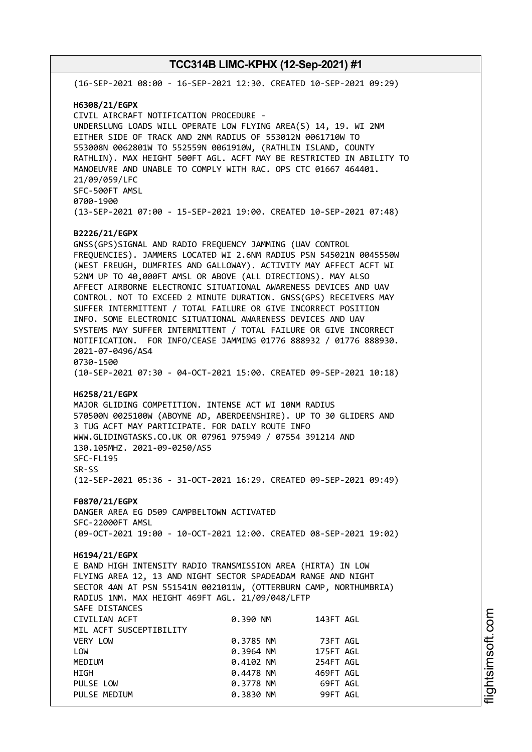(16-SEP-2021 08:00 - 16-SEP-2021 12:30. CREATED 10-SEP-2021 09:29) **H6308/21/EGPX** CIVIL AIRCRAFT NOTIFICATION PROCEDURE - UNDERSLUNG LOADS WILL OPERATE LOW FLYING AREA(S) 14, 19. WI 2NM EITHER SIDE OF TRACK AND 2NM RADIUS OF 553012N 0061710W TO 553008N 0062801W TO 552559N 0061910W, (RATHLIN ISLAND, COUNTY RATHLIN). MAX HEIGHT 500FT AGL. ACFT MAY BE RESTRICTED IN ABILITY TO MANOEUVRE AND UNABLE TO COMPLY WITH RAC. OPS CTC 01667 464401. 21/09/059/LFC SFC-500FT AMSL 0700-1900 (13-SEP-2021 07:00 - 15-SEP-2021 19:00. CREATED 10-SEP-2021 07:48) **B2226/21/EGPX** GNSS(GPS)SIGNAL AND RADIO FREQUENCY JAMMING (UAV CONTROL FREQUENCIES). JAMMERS LOCATED WI 2.6NM RADIUS PSN 545021N 0045550W (WEST FREUGH, DUMFRIES AND GALLOWAY). ACTIVITY MAY AFFECT ACFT WI 52NM UP TO 40,000FT AMSL OR ABOVE (ALL DIRECTIONS). MAY ALSO AFFECT AIRBORNE ELECTRONIC SITUATIONAL AWARENESS DEVICES AND UAV CONTROL. NOT TO EXCEED 2 MINUTE DURATION. GNSS(GPS) RECEIVERS MAY SUFFER INTERMITTENT / TOTAL FAILURE OR GIVE INCORRECT POSITION INFO. SOME ELECTRONIC SITUATIONAL AWARENESS DEVICES AND UAV SYSTEMS MAY SUFFER INTERMITTENT / TOTAL FAILURE OR GIVE INCORRECT NOTIFICATION. FOR INFO/CEASE JAMMING 01776 888932 / 01776 888930. 2021-07-0496/AS4 0730-1500 (10-SEP-2021 07:30 - 04-OCT-2021 15:00. CREATED 09-SEP-2021 10:18) **H6258/21/EGPX** MAJOR GLIDING COMPETITION. INTENSE ACT WI 10NM RADIUS 570500N 0025100W (ABOYNE AD, ABERDEENSHIRE). UP TO 30 GLIDERS AND 3 TUG ACFT MAY PARTICIPATE. FOR DAILY ROUTE INFO WWW.GLIDINGTASKS.CO.UK OR 07961 975949 / 07554 391214 AND 130.105MHZ. 2021-09-0250/AS5 SFC-FL195 SR-SS (12-SEP-2021 05:36 - 31-OCT-2021 16:29. CREATED 09-SEP-2021 09:49) **F0870/21/EGPX** DANGER AREA EG D509 CAMPBELTOWN ACTIVATED SFC-22000FT AMSL (09-OCT-2021 19:00 - 10-OCT-2021 12:00. CREATED 08-SEP-2021 19:02) **H6194/21/EGPX** E BAND HIGH INTENSITY RADIO TRANSMISSION AREA (HIRTA) IN LOW FLYING AREA 12, 13 AND NIGHT SECTOR SPADEADAM RANGE AND NIGHT SECTOR 4AN AT PSN 551541N 0021011W, (OTTERBURN CAMP, NORTHUMBRIA) RADIUS 1NM. MAX HEIGHT 469FT AGL. 21/09/048/LFTP SAFE DISTANCES CIVILIAN ACFT 0.390 NM 143FT AGL MIL ACFT SUSCEPTIBILITY VERY LOW 0.3785 NM 73FT AGL LOW 0.3964 NM 175FT AGL MEDIUM 0.4102 NM 254FT AGL HIGH 0.4478 NM 469FT AGL PULSE LOW **0.3778 NM** 69FT AGL PULSE MEDIUM 0.3830 NM 99FT AGL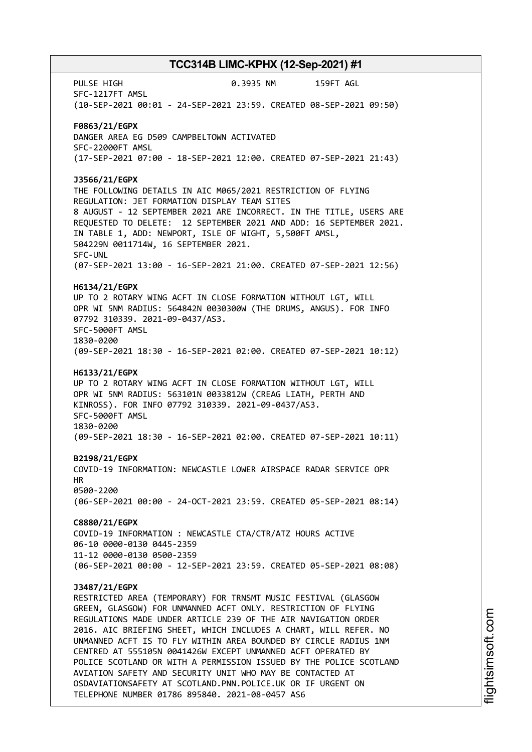PULSE HIGH 0.3935 NM 159FT AGL SFC-1217FT AMSL (10-SEP-2021 00:01 - 24-SEP-2021 23:59. CREATED 08-SEP-2021 09:50) **F0863/21/EGPX** DANGER AREA EG D509 CAMPBELTOWN ACTIVATED SFC-22000FT AMSL (17-SEP-2021 07:00 - 18-SEP-2021 12:00. CREATED 07-SEP-2021 21:43) **J3566/21/EGPX** THE FOLLOWING DETAILS IN AIC M065/2021 RESTRICTION OF FLYING REGULATION: JET FORMATION DISPLAY TEAM SITES 8 AUGUST - 12 SEPTEMBER 2021 ARE INCORRECT. IN THE TITLE, USERS ARE REQUESTED TO DELETE: 12 SEPTEMBER 2021 AND ADD: 16 SEPTEMBER 2021. IN TABLE 1, ADD: NEWPORT, ISLE OF WIGHT, 5,500FT AMSL, 504229N 0011714W, 16 SEPTEMBER 2021. SFC-UNL (07-SEP-2021 13:00 - 16-SEP-2021 21:00. CREATED 07-SEP-2021 12:56) **H6134/21/EGPX** UP TO 2 ROTARY WING ACFT IN CLOSE FORMATION WITHOUT LGT, WILL OPR WI 5NM RADIUS: 564842N 0030300W (THE DRUMS, ANGUS). FOR INFO 07792 310339. 2021-09-0437/AS3. SFC-5000FT AMSL 1830-0200 (09-SEP-2021 18:30 - 16-SEP-2021 02:00. CREATED 07-SEP-2021 10:12) **H6133/21/EGPX** UP TO 2 ROTARY WING ACFT IN CLOSE FORMATION WITHOUT LGT, WILL OPR WI 5NM RADIUS: 563101N 0033812W (CREAG LIATH, PERTH AND KINROSS). FOR INFO 07792 310339. 2021-09-0437/AS3. SFC-5000FT AMSL 1830-0200 (09-SEP-2021 18:30 - 16-SEP-2021 02:00. CREATED 07-SEP-2021 10:11) **B2198/21/EGPX** COVID-19 INFORMATION: NEWCASTLE LOWER AIRSPACE RADAR SERVICE OPR HR 0500-2200 (06-SEP-2021 00:00 - 24-OCT-2021 23:59. CREATED 05-SEP-2021 08:14) **C8880/21/EGPX** COVID-19 INFORMATION : NEWCASTLE CTA/CTR/ATZ HOURS ACTIVE 06-10 0000-0130 0445-2359 11-12 0000-0130 0500-2359 (06-SEP-2021 00:00 - 12-SEP-2021 23:59. CREATED 05-SEP-2021 08:08) **J3487/21/EGPX** RESTRICTED AREA (TEMPORARY) FOR TRNSMT MUSIC FESTIVAL (GLASGOW GREEN, GLASGOW) FOR UNMANNED ACFT ONLY. RESTRICTION OF FLYING REGULATIONS MADE UNDER ARTICLE 239 OF THE AIR NAVIGATION ORDER 2016. AIC BRIEFING SHEET, WHICH INCLUDES A CHART, WILL REFER. NO UNMANNED ACFT IS TO FLY WITHIN AREA BOUNDED BY CIRCLE RADIUS 1NM CENTRED AT 555105N 0041426W EXCEPT UNMANNED ACFT OPERATED BY POLICE SCOTLAND OR WITH A PERMISSION ISSUED BY THE POLICE SCOTLAND AVIATION SAFETY AND SECURITY UNIT WHO MAY BE CONTACTED AT OSDAVIATIONSAFETY AT SCOTLAND.PNN.POLICE.UK OR IF URGENT ON TELEPHONE NUMBER 01786 895840. 2021-08-0457 AS6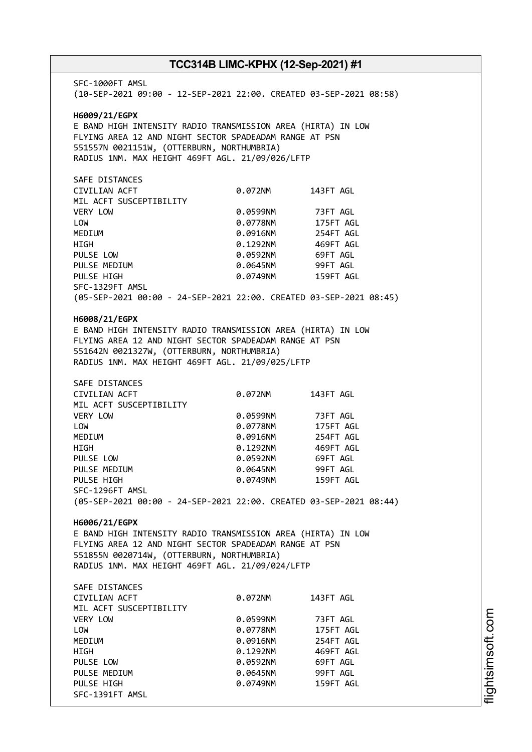SFC-1000FT AMSL (10-SEP-2021 09:00 - 12-SEP-2021 22:00. CREATED 03-SEP-2021 08:58) **H6009/21/EGPX** E BAND HIGH INTENSITY RADIO TRANSMISSION AREA (HIRTA) IN LOW FLYING AREA 12 AND NIGHT SECTOR SPADEADAM RANGE AT PSN 551557N 0021151W, (OTTERBURN, NORTHUMBRIA) RADIUS 1NM. MAX HEIGHT 469FT AGL. 21/09/026/LFTP SAFE DISTANCES CIVILIAN ACFT 0.072NM 143FT AGL MIL ACFT SUSCEPTIBILITY VERY LOW 0.0599NM 73FT AGL LOW 0.0778NM 175FT AGL MEDIUM 0.0916NM 254FT AGL HIGH 0.1292NM 469FT AGL PULSE LOW 0.0592NM 69FT AGL PULSE MEDIUM  $0.0645$ NM 99FT AGL PULSE HIGH 0.0749NM 159FT AGL SFC-1329FT AMSL (05-SEP-2021 00:00 - 24-SEP-2021 22:00. CREATED 03-SEP-2021 08:45) **H6008/21/EGPX** E BAND HIGH INTENSITY RADIO TRANSMISSION AREA (HIRTA) IN LOW FLYING AREA 12 AND NIGHT SECTOR SPADEADAM RANGE AT PSN 551642N 0021327W, (OTTERBURN, NORTHUMBRIA) RADIUS 1NM. MAX HEIGHT 469FT AGL. 21/09/025/LFTP SAFE DISTANCES CIVILIAN ACFT 0.072NM 143FT AGL MIL ACFT SUSCEPTIBILITY VERY LOW 0.0599NM 73FT AGL LOW 0.0778NM 175FT AGL MEDIUM 0.0916NM 254FT AGL HIGH 0.1292NM 469FT AGL PULSE LOW 0.0592NM 69FT AGL PULSE MEDIUM  $0.0645$ NM 99FT AGL PULSE HIGH 0.0749NM 159FT AGL SFC-1296FT AMSL (05-SEP-2021 00:00 - 24-SEP-2021 22:00. CREATED 03-SEP-2021 08:44) **H6006/21/EGPX** E BAND HIGH INTENSITY RADIO TRANSMISSION AREA (HIRTA) IN LOW FLYING AREA 12 AND NIGHT SECTOR SPADEADAM RANGE AT PSN 551855N 0020714W, (OTTERBURN, NORTHUMBRIA) RADIUS 1NM. MAX HEIGHT 469FT AGL. 21/09/024/LFTP SAFE DISTANCES CIVILIAN ACFT 0.072NM 143FT AGL MIL ACFT SUSCEPTIBILITY VERY LOW 0.0599NM 73FT AGL LOW 0.0778NM 175FT AGL MEDIUM 0.0916NM 254FT AGL HIGH 0.1292NM 469FT AGL PULSE LOW 0.0592NM 69FT AGL PULSE MEDIUM  $0.0645$ NM 99FT AGL PULSE HIGH **DELACT CONTROLLY AGENCY OR AGENCY OF AGENCY OF AGENCY CONTROLLY AGENCY OF AGENCY OF AGENCY** SFC-1391FT AMSL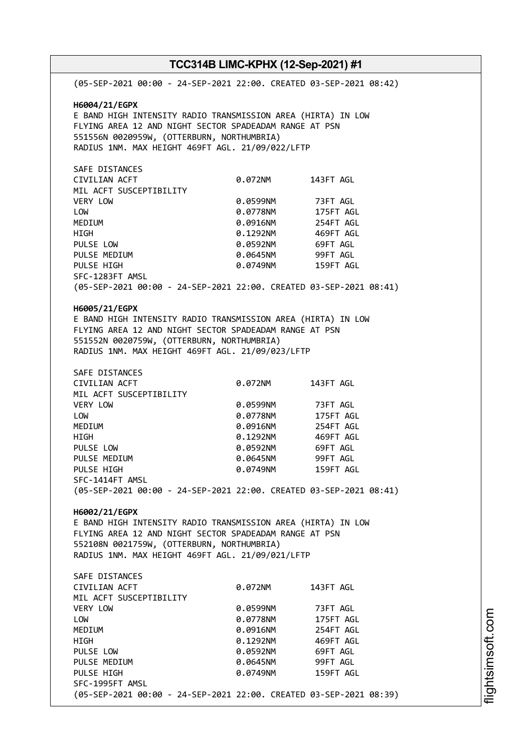| TCC314B LIMC-KPHX (12-Sep-2021) #1                                 |          |           |  |  |  |
|--------------------------------------------------------------------|----------|-----------|--|--|--|
| (05-SEP-2021 00:00 - 24-SEP-2021 22:00. CREATED 03-SEP-2021 08:42) |          |           |  |  |  |
| H6004/21/EGPX                                                      |          |           |  |  |  |
| E BAND HIGH INTENSITY RADIO TRANSMISSION AREA (HIRTA) IN LOW       |          |           |  |  |  |
| FLYING AREA 12 AND NIGHT SECTOR SPADEADAM RANGE AT PSN             |          |           |  |  |  |
| 551556N 0020959W, (OTTERBURN, NORTHUMBRIA)                         |          |           |  |  |  |
| RADIUS 1NM. MAX HEIGHT 469FT AGL. 21/09/022/LFTP                   |          |           |  |  |  |
|                                                                    |          |           |  |  |  |
| SAFE DISTANCES                                                     |          |           |  |  |  |
| CIVILIAN ACFT                                                      | 0.072NM  | 143FT AGL |  |  |  |
| MIL ACFT SUSCEPTIBILITY                                            |          |           |  |  |  |
| VERY LOW                                                           | 0.0599NM | 73FT AGL  |  |  |  |
| LOW                                                                | 0.0778NM | 175FT AGL |  |  |  |
| MEDIUM                                                             | 0.0916NM | 254FT AGL |  |  |  |
| <b>HIGH</b>                                                        | 0.1292NM | 469FT AGL |  |  |  |
| PULSE LOW                                                          | 0.0592NM | 69FT AGL  |  |  |  |
| PULSE MEDIUM                                                       | 0.0645NM | 99FT AGL  |  |  |  |
| PULSE HIGH                                                         | 0.0749NM | 159FT AGL |  |  |  |
| SFC-1283FT AMSL                                                    |          |           |  |  |  |
| (05-SEP-2021 00:00 - 24-SEP-2021 22:00. CREATED 03-SEP-2021 08:41) |          |           |  |  |  |
| H6005/21/EGPX                                                      |          |           |  |  |  |
| E BAND HIGH INTENSITY RADIO TRANSMISSION AREA (HIRTA) IN LOW       |          |           |  |  |  |
| FLYING AREA 12 AND NIGHT SECTOR SPADEADAM RANGE AT PSN             |          |           |  |  |  |
| 551552N 0020759W, (OTTERBURN, NORTHUMBRIA)                         |          |           |  |  |  |
| RADIUS 1NM. MAX HEIGHT 469FT AGL. 21/09/023/LFTP                   |          |           |  |  |  |
| SAFE DISTANCES                                                     |          |           |  |  |  |
| CIVILIAN ACFT                                                      | 0.072NM  | 143FT AGL |  |  |  |
| MIL ACFT SUSCEPTIBILITY                                            |          |           |  |  |  |
| VERY LOW                                                           | 0.0599NM | 73FT AGL  |  |  |  |
| LOW                                                                | 0.0778NM | 175FT AGL |  |  |  |
| MEDIUM                                                             | 0.0916NM | 254FT AGL |  |  |  |
| <b>HIGH</b>                                                        | 0.1292NM | 469FT AGL |  |  |  |
| PULSE LOW                                                          | 0.0592NM | 69FT AGL  |  |  |  |
| PULSE MEDIUM                                                       | 0.0645NM | 99FT AGL  |  |  |  |
| PULSE HIGH                                                         | 0.0749NM | 159FT AGL |  |  |  |
| SFC-1414FT AMSL                                                    |          |           |  |  |  |
| (05-SEP-2021 00:00 - 24-SEP-2021 22:00. CREATED 03-SEP-2021 08:41) |          |           |  |  |  |
| H6002/21/EGPX                                                      |          |           |  |  |  |
| E BAND HIGH INTENSITY RADIO TRANSMISSION AREA (HIRTA) IN LOW       |          |           |  |  |  |
| FLYING AREA 12 AND NIGHT SECTOR SPADEADAM RANGE AT PSN             |          |           |  |  |  |
| 552108N 0021759W, (OTTERBURN, NORTHUMBRIA)                         |          |           |  |  |  |
| RADIUS 1NM. MAX HEIGHT 469FT AGL. 21/09/021/LFTP                   |          |           |  |  |  |
|                                                                    |          |           |  |  |  |
| SAFE DISTANCES                                                     |          |           |  |  |  |
| CIVILIAN ACFT                                                      | 0.072NM  | 143FT AGL |  |  |  |
| MIL ACFT SUSCEPTIBILITY                                            |          |           |  |  |  |
| VERY LOW                                                           | 0.0599NM | 73FT AGL  |  |  |  |
| LOW                                                                | 0.0778NM | 175FT AGL |  |  |  |
| MEDIUM                                                             | 0.0916NM | 254FT AGL |  |  |  |
| HIGH                                                               | 0.1292NM | 469FT AGL |  |  |  |
| PULSE LOW                                                          | 0.0592NM | 69FT AGL  |  |  |  |
| PULSE MEDIUM                                                       | 0.0645NM | 99FT AGL  |  |  |  |
| PULSE HIGH                                                         | 0.0749NM | 159FT AGL |  |  |  |
| SFC-1995FT AMSL                                                    |          |           |  |  |  |
| (05-SEP-2021 00:00 - 24-SEP-2021 22:00. CREATED 03-SEP-2021 08:39) |          |           |  |  |  |

m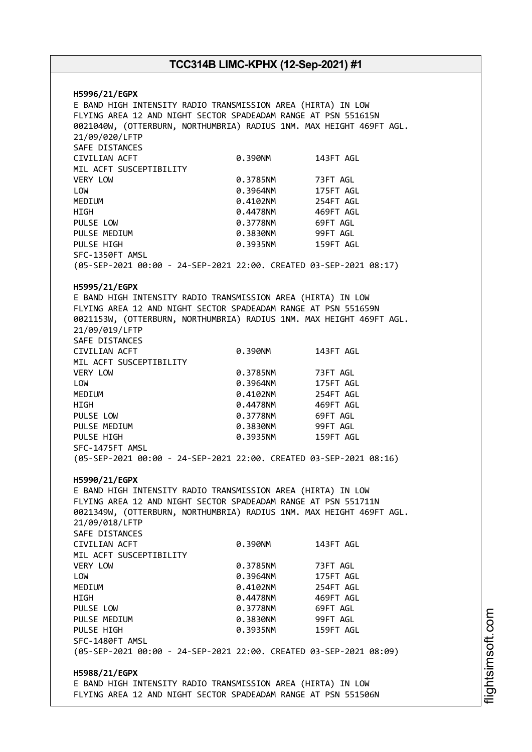**H5996/21/EGPX** E BAND HIGH INTENSITY RADIO TRANSMISSION AREA (HIRTA) IN LOW FLYING AREA 12 AND NIGHT SECTOR SPADEADAM RANGE AT PSN 551615N 0021040W, (OTTERBURN, NORTHUMBRIA) RADIUS 1NM. MAX HEIGHT 469FT AGL. 21/09/020/LFTP SAFE DISTANCES CIVILIAN ACFT 0.390NM 143FT AGL MIL ACFT SUSCEPTIBILITY VERY LOW 0.3785NM 73FT AGL LOW 0.3964NM 175FT AGL MEDIUM 0.4102NM HIGH 0.4478NM 469FT AGL PULSE LOW **0.3778NM** 69FT AGL PULSE MEDIUM  $0.3830N$  99FT AGL PULSE HIGH 0.3935NM 159FT AGL SFC-1350FT AMSL (05-SEP-2021 00:00 - 24-SEP-2021 22:00. CREATED 03-SEP-2021 08:17) **H5995/21/EGPX** E BAND HIGH INTENSITY RADIO TRANSMISSION AREA (HIRTA) IN LOW FLYING AREA 12 AND NIGHT SECTOR SPADEADAM RANGE AT PSN 551659N 0021153W, (OTTERBURN, NORTHUMBRIA) RADIUS 1NM. MAX HEIGHT 469FT AGL. 21/09/019/LFTP SAFE DISTANCES CIVILIAN ACFT 0.390NM 143FT AGL MIL ACFT SUSCEPTIBILITY VERY LOW 0.3785NM 73FT AGL LOW 0.3964NM 175FT AGL MEDIUM 0.4102NM 254FT AGL HIGH 0.4478NM 469FT AGL PULSE LOW 0.3778NM 69FT AGL PULSE MEDIUM 0.3830NM 99FT AGL 0.3935NM 159FT AGL SFC-1475FT AMSL (05-SEP-2021 00:00 - 24-SEP-2021 22:00. CREATED 03-SEP-2021 08:16) **H5990/21/EGPX** E BAND HIGH INTENSITY RADIO TRANSMISSION AREA (HIRTA) IN LOW FLYING AREA 12 AND NIGHT SECTOR SPADEADAM RANGE AT PSN 551711N 0021349W, (OTTERBURN, NORTHUMBRIA) RADIUS 1NM. MAX HEIGHT 469FT AGL. 21/09/018/LFTP SAFE DISTANCES CIVILIAN ACFT 0.390NM 143FT AGL MIL ACFT SUSCEPTIBILITY VERY LOW 0.3785NM 73FT AGL LOW 0.3964NM 175FT AGL MEDIUM 0.4102NM 254FT AGL HIGH 0.4478NM 469FT AGL PULSE LOW **0.3778NM** 69FT AGL PULSE MEDIUM  $0.3830N$ M 99FT AGL PULSE HIGH 0.3935NM 159FT AGL SFC-1480FT AMSL (05-SEP-2021 00:00 - 24-SEP-2021 22:00. CREATED 03-SEP-2021 08:09) **H5988/21/EGPX** E BAND HIGH INTENSITY RADIO TRANSMISSION AREA (HIRTA) IN LOW FLYING AREA 12 AND NIGHT SECTOR SPADEADAM RANGE AT PSN 551506N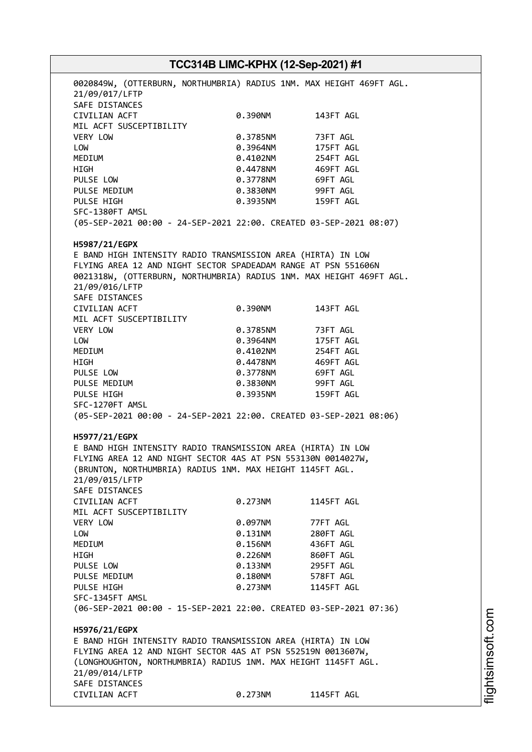# **TCC314B LIMC-KPHX (12-Sep-2021) #1** 0020849W, (OTTERBURN, NORTHUMBRIA) RADIUS 1NM. MAX HEIGHT 469FT AGL. 21/09/017/LFTP SAFE DISTANCES CIVILIAN ACFT 0.390NM 143FT AGL MIL ACFT SUSCEPTIBILITY VERY LOW 0.3785NM 73FT AGL LOW 0.3964NM 175FT AGL MEDIUM 0.4102NM 254FT AGL HIGH 0.4478NM 469FT AGL PULSE LOW 0.3778NM 69FT AGL PULSE MEDIUM  $0.3830N$ M 99FT AGL PULSE HIGH 0.3935NM 159FT AGL SFC-1380FT AMSL (05-SEP-2021 00:00 - 24-SEP-2021 22:00. CREATED 03-SEP-2021 08:07) **H5987/21/EGPX** E BAND HIGH INTENSITY RADIO TRANSMISSION AREA (HIRTA) IN LOW FLYING AREA 12 AND NIGHT SECTOR SPADEADAM RANGE AT PSN 551606N 0021318W, (OTTERBURN, NORTHUMBRIA) RADIUS 1NM. MAX HEIGHT 469FT AGL. 21/09/016/LFTP SAFE DISTANCES CIVILIAN ACFT 0.390NM 143FT AGL MIL ACFT SUSCEPTIBILITY VERY LOW 0.3785NM 73FT AGL LOW 0.3964NM 175FT AGL MEDIUM 0.4102NM 254FT AGL HIGH 0.4478NM 469FT AGL PULSE LOW **0.3778NM** 69FT AGL PULSE MEDIUM 0.3830NM 99FT AGL PULSE HIGH 0.3935NM 159FT AGL SFC-1270FT AMSL (05-SEP-2021 00:00 - 24-SEP-2021 22:00. CREATED 03-SEP-2021 08:06) **H5977/21/EGPX** E BAND HIGH INTENSITY RADIO TRANSMISSION AREA (HIRTA) IN LOW FLYING AREA 12 AND NIGHT SECTOR 4AS AT PSN 553130N 0014027W, (BRUNTON, NORTHUMBRIA) RADIUS 1NM. MAX HEIGHT 1145FT AGL. 21/09/015/LFTP SAFE DISTANCES CIVILIAN ACFT 0.273NM 1145FT AGL MIL ACFT SUSCEPTIBILITY VERY LOW 0.097NM 77FT AGL LOW 0.131NM 280FT AGL MEDIUM 0.156NM 436FT AGL HIGH 0.226NM 860FT AGL PULSE LOW 0.133NM 295FT AGL PULSE MEDIUM 0.180NM 578FT AGL PULSE HTGH 0.273NM 1145FT AGL SFC-1345FT AMSL (06-SEP-2021 00:00 - 15-SEP-2021 22:00. CREATED 03-SEP-2021 07:36) **H5976/21/EGPX** E BAND HIGH INTENSITY RADIO TRANSMISSION AREA (HIRTA) IN LOW FLYING AREA 12 AND NIGHT SECTOR 4AS AT PSN 552519N 0013607W, (LONGHOUGHTON, NORTHUMBRIA) RADIUS 1NM. MAX HEIGHT 1145FT AGL. 21/09/014/LFTP SAFE DISTANCES CIVILIAN ACFT 0.273NM 1145FT AGL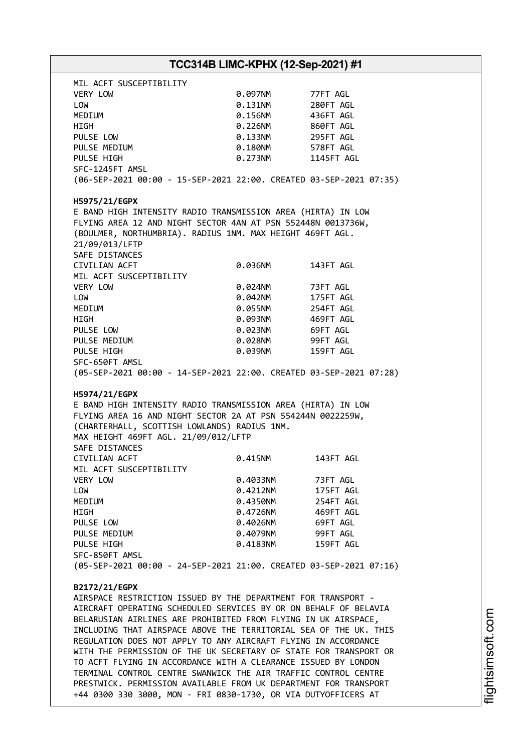|                                                                                                                                                                                                                                                                                                                                                                                                                                                                                                                                                                                                                                                                                                                                                                                                                                                                                                                                                                                                                                                                                                                                                                                                                                                                 | TCC314B LIMC-KPHX (12-Sep-2021) #1 |            |  |
|-----------------------------------------------------------------------------------------------------------------------------------------------------------------------------------------------------------------------------------------------------------------------------------------------------------------------------------------------------------------------------------------------------------------------------------------------------------------------------------------------------------------------------------------------------------------------------------------------------------------------------------------------------------------------------------------------------------------------------------------------------------------------------------------------------------------------------------------------------------------------------------------------------------------------------------------------------------------------------------------------------------------------------------------------------------------------------------------------------------------------------------------------------------------------------------------------------------------------------------------------------------------|------------------------------------|------------|--|
| MIL ACFT SUSCEPTIBILITY                                                                                                                                                                                                                                                                                                                                                                                                                                                                                                                                                                                                                                                                                                                                                                                                                                                                                                                                                                                                                                                                                                                                                                                                                                         |                                    |            |  |
| VERY LOW                                                                                                                                                                                                                                                                                                                                                                                                                                                                                                                                                                                                                                                                                                                                                                                                                                                                                                                                                                                                                                                                                                                                                                                                                                                        | 0.097NM                            | 77FT AGL   |  |
| LOW                                                                                                                                                                                                                                                                                                                                                                                                                                                                                                                                                                                                                                                                                                                                                                                                                                                                                                                                                                                                                                                                                                                                                                                                                                                             | 0.131NM                            | 280FT AGL  |  |
| MEDIUM                                                                                                                                                                                                                                                                                                                                                                                                                                                                                                                                                                                                                                                                                                                                                                                                                                                                                                                                                                                                                                                                                                                                                                                                                                                          | 0.156NM                            | 436FT AGL  |  |
| HIGH                                                                                                                                                                                                                                                                                                                                                                                                                                                                                                                                                                                                                                                                                                                                                                                                                                                                                                                                                                                                                                                                                                                                                                                                                                                            | 0.226NM                            | 860FT AGL  |  |
| PULSE LOW                                                                                                                                                                                                                                                                                                                                                                                                                                                                                                                                                                                                                                                                                                                                                                                                                                                                                                                                                                                                                                                                                                                                                                                                                                                       |                                    | 295FT AGL  |  |
|                                                                                                                                                                                                                                                                                                                                                                                                                                                                                                                                                                                                                                                                                                                                                                                                                                                                                                                                                                                                                                                                                                                                                                                                                                                                 | 0.133NM                            |            |  |
| PULSE MEDIUM                                                                                                                                                                                                                                                                                                                                                                                                                                                                                                                                                                                                                                                                                                                                                                                                                                                                                                                                                                                                                                                                                                                                                                                                                                                    | 0.180NM                            | 578FT AGL  |  |
| PULSE HIGH                                                                                                                                                                                                                                                                                                                                                                                                                                                                                                                                                                                                                                                                                                                                                                                                                                                                                                                                                                                                                                                                                                                                                                                                                                                      | 0.273NM                            | 1145FT AGL |  |
| SFC-1245FT AMSL                                                                                                                                                                                                                                                                                                                                                                                                                                                                                                                                                                                                                                                                                                                                                                                                                                                                                                                                                                                                                                                                                                                                                                                                                                                 |                                    |            |  |
| (06-SEP-2021 00:00 - 15-SEP-2021 22:00. CREATED 03-SEP-2021 07:35)                                                                                                                                                                                                                                                                                                                                                                                                                                                                                                                                                                                                                                                                                                                                                                                                                                                                                                                                                                                                                                                                                                                                                                                              |                                    |            |  |
| H5975/21/EGPX                                                                                                                                                                                                                                                                                                                                                                                                                                                                                                                                                                                                                                                                                                                                                                                                                                                                                                                                                                                                                                                                                                                                                                                                                                                   |                                    |            |  |
| E BAND HIGH INTENSITY RADIO TRANSMISSION AREA (HIRTA) IN LOW                                                                                                                                                                                                                                                                                                                                                                                                                                                                                                                                                                                                                                                                                                                                                                                                                                                                                                                                                                                                                                                                                                                                                                                                    |                                    |            |  |
| FLYING AREA 12 AND NIGHT SECTOR 4AN AT PSN 552448N 0013736W,                                                                                                                                                                                                                                                                                                                                                                                                                                                                                                                                                                                                                                                                                                                                                                                                                                                                                                                                                                                                                                                                                                                                                                                                    |                                    |            |  |
| (BOULMER, NORTHUMBRIA). RADIUS 1NM. MAX HEIGHT 469FT AGL.                                                                                                                                                                                                                                                                                                                                                                                                                                                                                                                                                                                                                                                                                                                                                                                                                                                                                                                                                                                                                                                                                                                                                                                                       |                                    |            |  |
| 21/09/013/LFTP                                                                                                                                                                                                                                                                                                                                                                                                                                                                                                                                                                                                                                                                                                                                                                                                                                                                                                                                                                                                                                                                                                                                                                                                                                                  |                                    |            |  |
| SAFE DISTANCES                                                                                                                                                                                                                                                                                                                                                                                                                                                                                                                                                                                                                                                                                                                                                                                                                                                                                                                                                                                                                                                                                                                                                                                                                                                  |                                    |            |  |
| CIVILIAN ACFT                                                                                                                                                                                                                                                                                                                                                                                                                                                                                                                                                                                                                                                                                                                                                                                                                                                                                                                                                                                                                                                                                                                                                                                                                                                   | 0.036NM                            | 143FT AGL  |  |
| MIL ACFT SUSCEPTIBILITY                                                                                                                                                                                                                                                                                                                                                                                                                                                                                                                                                                                                                                                                                                                                                                                                                                                                                                                                                                                                                                                                                                                                                                                                                                         |                                    |            |  |
|                                                                                                                                                                                                                                                                                                                                                                                                                                                                                                                                                                                                                                                                                                                                                                                                                                                                                                                                                                                                                                                                                                                                                                                                                                                                 |                                    |            |  |
| VERY LOW                                                                                                                                                                                                                                                                                                                                                                                                                                                                                                                                                                                                                                                                                                                                                                                                                                                                                                                                                                                                                                                                                                                                                                                                                                                        | 0.024NM                            | 73FT AGL   |  |
| LOW                                                                                                                                                                                                                                                                                                                                                                                                                                                                                                                                                                                                                                                                                                                                                                                                                                                                                                                                                                                                                                                                                                                                                                                                                                                             | 0.042NM                            | 175FT AGL  |  |
| MEDIUM                                                                                                                                                                                                                                                                                                                                                                                                                                                                                                                                                                                                                                                                                                                                                                                                                                                                                                                                                                                                                                                                                                                                                                                                                                                          | 0.055NM                            | 254FT AGL  |  |
| HIGH                                                                                                                                                                                                                                                                                                                                                                                                                                                                                                                                                                                                                                                                                                                                                                                                                                                                                                                                                                                                                                                                                                                                                                                                                                                            | 0.093NM                            | 469FT AGL  |  |
| PULSE LOW                                                                                                                                                                                                                                                                                                                                                                                                                                                                                                                                                                                                                                                                                                                                                                                                                                                                                                                                                                                                                                                                                                                                                                                                                                                       | 0.023NM                            | 69FT AGL   |  |
| PULSE MEDIUM                                                                                                                                                                                                                                                                                                                                                                                                                                                                                                                                                                                                                                                                                                                                                                                                                                                                                                                                                                                                                                                                                                                                                                                                                                                    | 0.028NM                            | 99FT AGL   |  |
| PULSE HIGH                                                                                                                                                                                                                                                                                                                                                                                                                                                                                                                                                                                                                                                                                                                                                                                                                                                                                                                                                                                                                                                                                                                                                                                                                                                      | 0.039NM                            | 159FT AGL  |  |
| SFC-650FT AMSL                                                                                                                                                                                                                                                                                                                                                                                                                                                                                                                                                                                                                                                                                                                                                                                                                                                                                                                                                                                                                                                                                                                                                                                                                                                  |                                    |            |  |
|                                                                                                                                                                                                                                                                                                                                                                                                                                                                                                                                                                                                                                                                                                                                                                                                                                                                                                                                                                                                                                                                                                                                                                                                                                                                 |                                    |            |  |
|                                                                                                                                                                                                                                                                                                                                                                                                                                                                                                                                                                                                                                                                                                                                                                                                                                                                                                                                                                                                                                                                                                                                                                                                                                                                 |                                    |            |  |
|                                                                                                                                                                                                                                                                                                                                                                                                                                                                                                                                                                                                                                                                                                                                                                                                                                                                                                                                                                                                                                                                                                                                                                                                                                                                 |                                    |            |  |
|                                                                                                                                                                                                                                                                                                                                                                                                                                                                                                                                                                                                                                                                                                                                                                                                                                                                                                                                                                                                                                                                                                                                                                                                                                                                 |                                    |            |  |
|                                                                                                                                                                                                                                                                                                                                                                                                                                                                                                                                                                                                                                                                                                                                                                                                                                                                                                                                                                                                                                                                                                                                                                                                                                                                 |                                    |            |  |
|                                                                                                                                                                                                                                                                                                                                                                                                                                                                                                                                                                                                                                                                                                                                                                                                                                                                                                                                                                                                                                                                                                                                                                                                                                                                 | 0.415NM                            | 143FT AGL  |  |
|                                                                                                                                                                                                                                                                                                                                                                                                                                                                                                                                                                                                                                                                                                                                                                                                                                                                                                                                                                                                                                                                                                                                                                                                                                                                 |                                    |            |  |
|                                                                                                                                                                                                                                                                                                                                                                                                                                                                                                                                                                                                                                                                                                                                                                                                                                                                                                                                                                                                                                                                                                                                                                                                                                                                 | 0.4033NM                           | 73FT AGL   |  |
|                                                                                                                                                                                                                                                                                                                                                                                                                                                                                                                                                                                                                                                                                                                                                                                                                                                                                                                                                                                                                                                                                                                                                                                                                                                                 | 0.4212NM                           | 175FT AGL  |  |
|                                                                                                                                                                                                                                                                                                                                                                                                                                                                                                                                                                                                                                                                                                                                                                                                                                                                                                                                                                                                                                                                                                                                                                                                                                                                 | 0.4350NM                           | 254FT AGL  |  |
|                                                                                                                                                                                                                                                                                                                                                                                                                                                                                                                                                                                                                                                                                                                                                                                                                                                                                                                                                                                                                                                                                                                                                                                                                                                                 | 0.4726NM                           | 469FT AGL  |  |
|                                                                                                                                                                                                                                                                                                                                                                                                                                                                                                                                                                                                                                                                                                                                                                                                                                                                                                                                                                                                                                                                                                                                                                                                                                                                 | 0.4026NM                           | 69FT AGL   |  |
|                                                                                                                                                                                                                                                                                                                                                                                                                                                                                                                                                                                                                                                                                                                                                                                                                                                                                                                                                                                                                                                                                                                                                                                                                                                                 | 0.4079NM                           | 99FT AGL   |  |
|                                                                                                                                                                                                                                                                                                                                                                                                                                                                                                                                                                                                                                                                                                                                                                                                                                                                                                                                                                                                                                                                                                                                                                                                                                                                 | 0.4183NM                           | 159FT AGL  |  |
|                                                                                                                                                                                                                                                                                                                                                                                                                                                                                                                                                                                                                                                                                                                                                                                                                                                                                                                                                                                                                                                                                                                                                                                                                                                                 |                                    |            |  |
|                                                                                                                                                                                                                                                                                                                                                                                                                                                                                                                                                                                                                                                                                                                                                                                                                                                                                                                                                                                                                                                                                                                                                                                                                                                                 |                                    |            |  |
|                                                                                                                                                                                                                                                                                                                                                                                                                                                                                                                                                                                                                                                                                                                                                                                                                                                                                                                                                                                                                                                                                                                                                                                                                                                                 |                                    |            |  |
|                                                                                                                                                                                                                                                                                                                                                                                                                                                                                                                                                                                                                                                                                                                                                                                                                                                                                                                                                                                                                                                                                                                                                                                                                                                                 |                                    |            |  |
|                                                                                                                                                                                                                                                                                                                                                                                                                                                                                                                                                                                                                                                                                                                                                                                                                                                                                                                                                                                                                                                                                                                                                                                                                                                                 |                                    |            |  |
|                                                                                                                                                                                                                                                                                                                                                                                                                                                                                                                                                                                                                                                                                                                                                                                                                                                                                                                                                                                                                                                                                                                                                                                                                                                                 |                                    |            |  |
|                                                                                                                                                                                                                                                                                                                                                                                                                                                                                                                                                                                                                                                                                                                                                                                                                                                                                                                                                                                                                                                                                                                                                                                                                                                                 |                                    |            |  |
|                                                                                                                                                                                                                                                                                                                                                                                                                                                                                                                                                                                                                                                                                                                                                                                                                                                                                                                                                                                                                                                                                                                                                                                                                                                                 |                                    |            |  |
|                                                                                                                                                                                                                                                                                                                                                                                                                                                                                                                                                                                                                                                                                                                                                                                                                                                                                                                                                                                                                                                                                                                                                                                                                                                                 |                                    |            |  |
|                                                                                                                                                                                                                                                                                                                                                                                                                                                                                                                                                                                                                                                                                                                                                                                                                                                                                                                                                                                                                                                                                                                                                                                                                                                                 |                                    |            |  |
|                                                                                                                                                                                                                                                                                                                                                                                                                                                                                                                                                                                                                                                                                                                                                                                                                                                                                                                                                                                                                                                                                                                                                                                                                                                                 |                                    |            |  |
|                                                                                                                                                                                                                                                                                                                                                                                                                                                                                                                                                                                                                                                                                                                                                                                                                                                                                                                                                                                                                                                                                                                                                                                                                                                                 |                                    |            |  |
| (05-SEP-2021 00:00 - 14-SEP-2021 22:00. CREATED 03-SEP-2021 07:28)<br>H5974/21/EGPX<br>E BAND HIGH INTENSITY RADIO TRANSMISSION AREA (HIRTA) IN LOW<br>FLYING AREA 16 AND NIGHT SECTOR 2A AT PSN 554244N 0022259W,<br>(CHARTERHALL, SCOTTISH LOWLANDS) RADIUS 1NM.<br>MAX HEIGHT 469FT AGL. 21/09/012/LFTP<br>SAFE DISTANCES<br>CIVILIAN ACFT<br>MIL ACFT SUSCEPTIBILITY<br>VERY LOW<br>LOW<br>MEDIUM<br>HIGH<br>PULSE LOW<br>PULSE MEDIUM<br>PULSE HIGH<br>SFC-850FT AMSL<br>(05-SEP-2021 00:00 - 24-SEP-2021 21:00. CREATED 03-SEP-2021 07:16)<br>B2172/21/EGPX<br>AIRSPACE RESTRICTION ISSUED BY THE DEPARTMENT FOR TRANSPORT -<br>AIRCRAFT OPERATING SCHEDULED SERVICES BY OR ON BEHALF OF BELAVIA<br>BELARUSIAN AIRLINES ARE PROHIBITED FROM FLYING IN UK AIRSPACE,<br>INCLUDING THAT AIRSPACE ABOVE THE TERRITORIAL SEA OF THE UK. THIS<br>REGULATION DOES NOT APPLY TO ANY AIRCRAFT FLYING IN ACCORDANCE<br>WITH THE PERMISSION OF THE UK SECRETARY OF STATE FOR TRANSPORT OR<br>TO ACFT FLYING IN ACCORDANCE WITH A CLEARANCE ISSUED BY LONDON<br>TERMINAL CONTROL CENTRE SWANWICK THE AIR TRAFFIC CONTROL CENTRE<br>PRESTWICK. PERMISSION AVAILABLE FROM UK DEPARTMENT FOR TRANSPORT<br>+44 0300 330 3000, MON - FRI 0830-1730, OR VIA DUTYOFFICERS AT |                                    |            |  |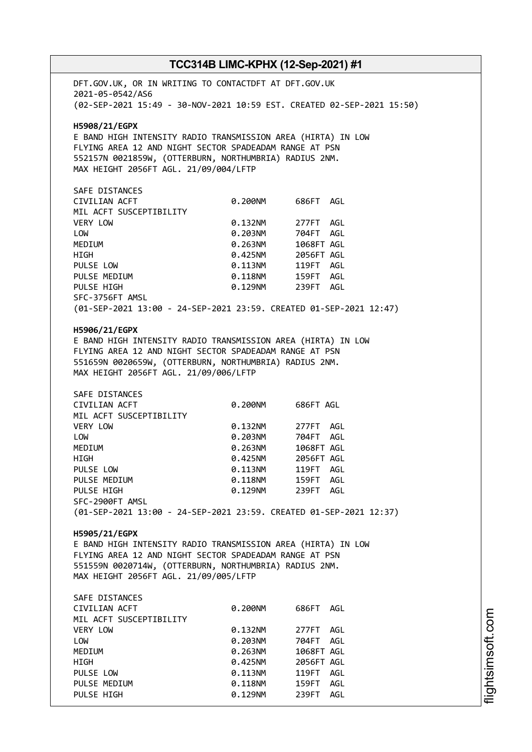DFT.GOV.UK, OR IN WRITING TO CONTACTDFT AT DFT.GOV.UK 2021-05-0542/AS6 (02-SEP-2021 15:49 - 30-NOV-2021 10:59 EST. CREATED 02-SEP-2021 15:50) **H5908/21/EGPX** E BAND HIGH INTENSITY RADIO TRANSMISSION AREA (HIRTA) IN LOW FLYING AREA 12 AND NIGHT SECTOR SPADEADAM RANGE AT PSN 552157N 0021859W, (OTTERBURN, NORTHUMBRIA) RADIUS 2NM. MAX HEIGHT 2056FT AGL. 21/09/004/LFTP SAFE DISTANCES CIVILIAN ACFT 0.200NM 686FT AGL MIL ACFT SUSCEPTIBILITY VERY LOW 0.132NM 277FT AGL LOW 0.203NM 704FT AGL MEDIUM 0.263NM 1068FT AGL HIGH 0.425NM 2056FT AGL PULSE LOW 0.113NM 119FT AGL PULSE MEDIUM  $0.118$ NM 159FT AGL PULSE HIGH 0.129NM 239FT AGL SFC-3756FT AMSL (01-SEP-2021 13:00 - 24-SEP-2021 23:59. CREATED 01-SEP-2021 12:47) **H5906/21/EGPX** E BAND HIGH INTENSITY RADIO TRANSMISSION AREA (HIRTA) IN LOW FLYING AREA 12 AND NIGHT SECTOR SPADEADAM RANGE AT PSN 551659N 0020659W, (OTTERBURN, NORTHUMBRIA) RADIUS 2NM. MAX HEIGHT 2056FT AGL. 21/09/006/LFTP SAFE DISTANCES CIVILIAN ACFT 0.200NM 686FT AGL MIL ACFT SUSCEPTIBILITY VERY LOW 0.132NM 277FT AGL LOW 0.203NM 704FT AGL MEDIUM 0.263NM 1068FT AGL HIGH 0.425NM 2056FT AGL PULSE LOW 0.113NM 119FT AGL PULSE MEDIUM 0.118NM PULSE HIGH 0.129NM 239FT AGL SFC-2900FT AMSL (01-SEP-2021 13:00 - 24-SEP-2021 23:59. CREATED 01-SEP-2021 12:37) **H5905/21/EGPX** E BAND HIGH INTENSITY RADIO TRANSMISSION AREA (HIRTA) IN LOW FLYING AREA 12 AND NIGHT SECTOR SPADEADAM RANGE AT PSN 551559N 0020714W, (OTTERBURN, NORTHUMBRIA) RADIUS 2NM. MAX HEIGHT 2056FT AGL. 21/09/005/LFTP SAFE DISTANCES CIVILIAN ACFT 0.200NM 686FT AGL MIL ACFT SUSCEPTIBILITY VERY LOW 0.132NM 277FT AGL LOW 0.203NM 704FT AGL MEDIUM 0.263NM 1068FT AGL HIGH 0.425NM 2056FT AGL PULSE LOW 0.113NM 119FT AGL PULSE MEDIUM  $0.118$ NM  $159$ FT AGL PULSE HIGH  $0.129$ NM 239FT AGL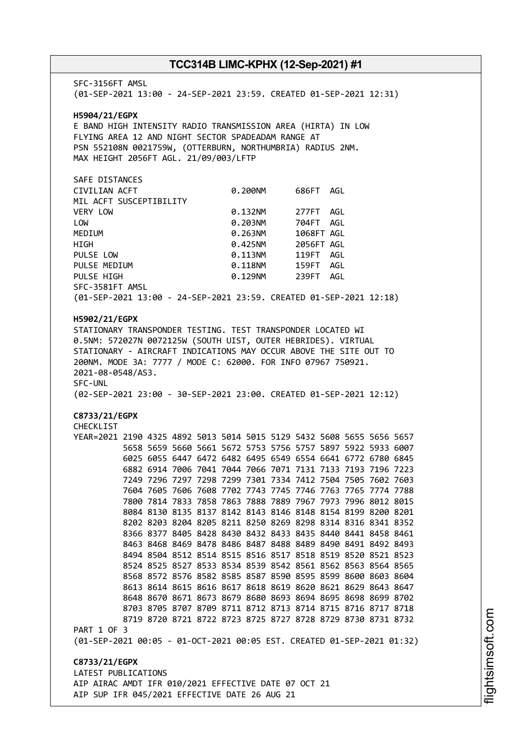SFC-3156FT AMSL (01-SEP-2021 13:00 - 24-SEP-2021 23:59. CREATED 01-SEP-2021 12:31) **H5904/21/EGPX** E BAND HIGH INTENSITY RADIO TRANSMISSION AREA (HIRTA) IN LOW FLYING AREA 12 AND NIGHT SECTOR SPADEADAM RANGE AT PSN 552108N 0021759W, (OTTERBURN, NORTHUMBRIA) RADIUS 2NM. MAX HEIGHT 2056FT AGL. 21/09/003/LFTP SAFE DISTANCES CIVILIAN ACFT 0.200NM 686FT AGL MIL ACFT SUSCEPTIBILITY VERY LOW 0.132NM 277FT AGL LOW 0.203NM 704FT AGL MEDIUM 0.263NM 1068FT AGL HIGH 0.425NM 2056FT AGL PULSE LOW 0.113NM 119FT AGL PULSE MEDIUM  $0.118$ NM 159FT AGL PULSE HIGH 0.129NM 239FT AGL SFC-3581FT AMSL (01-SEP-2021 13:00 - 24-SEP-2021 23:59. CREATED 01-SEP-2021 12:18) **H5902/21/EGPX** STATIONARY TRANSPONDER TESTING. TEST TRANSPONDER LOCATED WI 0.5NM: 572027N 0072125W (SOUTH UIST, OUTER HEBRIDES). VIRTUAL STATIONARY - AIRCRAFT INDICATIONS MAY OCCUR ABOVE THE SITE OUT TO 200NM. MODE 3A: 7777 / MODE C: 62000. FOR INFO 07967 750921. 2021-08-0548/AS3. SFC-UNL (02-SEP-2021 23:00 - 30-SEP-2021 23:00. CREATED 01-SEP-2021 12:12) **C8733/21/EGPX** CHECKLIST YEAR=2021 2190 4325 4892 5013 5014 5015 5129 5432 5608 5655 5656 5657 5658 5659 5660 5661 5672 5753 5756 5757 5897 5922 5933 6007 6025 6055 6447 6472 6482 6495 6549 6554 6641 6772 6780 6845 6882 6914 7006 7041 7044 7066 7071 7131 7133 7193 7196 7223 7249 7296 7297 7298 7299 7301 7334 7412 7504 7505 7602 7603 7604 7605 7606 7608 7702 7743 7745 7746 7763 7765 7774 7788 7800 7814 7833 7858 7863 7888 7889 7967 7973 7996 8012 8015 8084 8130 8135 8137 8142 8143 8146 8148 8154 8199 8200 8201 8202 8203 8204 8205 8211 8250 8269 8298 8314 8316 8341 8352 8366 8377 8405 8428 8430 8432 8433 8435 8440 8441 8458 8461 8463 8468 8469 8478 8486 8487 8488 8489 8490 8491 8492 8493 8494 8504 8512 8514 8515 8516 8517 8518 8519 8520 8521 8523 8524 8525 8527 8533 8534 8539 8542 8561 8562 8563 8564 8565 8568 8572 8576 8582 8585 8587 8590 8595 8599 8600 8603 8604 8613 8614 8615 8616 8617 8618 8619 8620 8621 8629 8643 8647 8648 8670 8671 8673 8679 8680 8693 8694 8695 8698 8699 8702 8703 8705 8707 8709 8711 8712 8713 8714 8715 8716 8717 8718 8719 8720 8721 8722 8723 8725 8727 8728 8729 8730 8731 8732 PART 1 OF 3 (01-SEP-2021 00:05 - 01-OCT-2021 00:05 EST. CREATED 01-SEP-2021 01:32) **C8733/21/EGPX** LATEST PUBLICATIONS AIP AIRAC AMDT IFR 010/2021 EFFECTIVE DATE 07 OCT 21 AIP SUP IFR 045/2021 EFFECTIVE DATE 26 AUG 21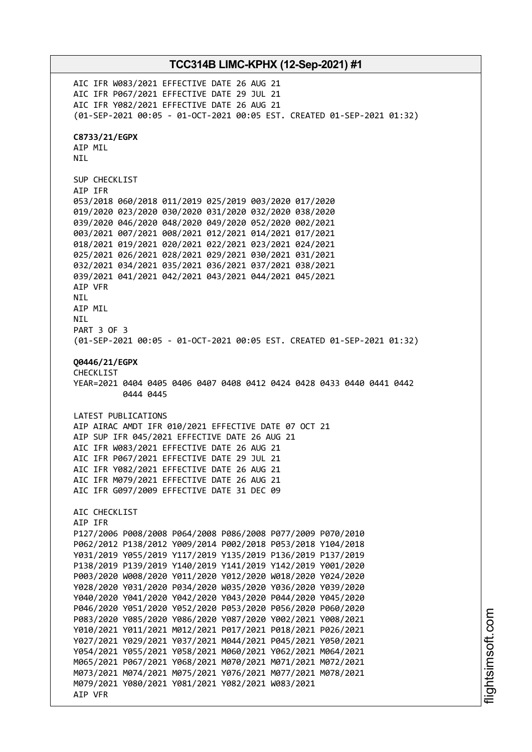**TCC314B LIMC-KPHX (12-Sep-2021) #1** AIC IFR W083/2021 EFFECTIVE DATE 26 AUG 21 AIC IFR P067/2021 EFFECTIVE DATE 29 JUL 21 AIC IFR Y082/2021 EFFECTIVE DATE 26 AUG 21 (01-SEP-2021 00:05 - 01-OCT-2021 00:05 EST. CREATED 01-SEP-2021 01:32) **C8733/21/EGPX** AIP MIL NIL SUP CHECKLIST AIP IFR 053/2018 060/2018 011/2019 025/2019 003/2020 017/2020 019/2020 023/2020 030/2020 031/2020 032/2020 038/2020 039/2020 046/2020 048/2020 049/2020 052/2020 002/2021 003/2021 007/2021 008/2021 012/2021 014/2021 017/2021 018/2021 019/2021 020/2021 022/2021 023/2021 024/2021 025/2021 026/2021 028/2021 029/2021 030/2021 031/2021 032/2021 034/2021 035/2021 036/2021 037/2021 038/2021 039/2021 041/2021 042/2021 043/2021 044/2021 045/2021 AIP VFR NIL AIP MIL **NTI** PART 3 OF 3 (01-SEP-2021 00:05 - 01-OCT-2021 00:05 EST. CREATED 01-SEP-2021 01:32) **Q0446/21/EGPX** CHECKLIST YEAR=2021 0404 0405 0406 0407 0408 0412 0424 0428 0433 0440 0441 0442 0444 0445 LATEST PUBLICATIONS AIP AIRAC AMDT IFR 010/2021 EFFECTIVE DATE 07 OCT 21 AIP SUP IFR 045/2021 EFFECTIVE DATE 26 AUG 21 AIC IFR W083/2021 EFFECTIVE DATE 26 AUG 21 AIC IFR P067/2021 EFFECTIVE DATE 29 JUL 21 AIC IFR Y082/2021 EFFECTIVE DATE 26 AUG 21 AIC IFR M079/2021 EFFECTIVE DATE 26 AUG 21 AIC IFR G097/2009 EFFECTIVE DATE 31 DEC 09 AIC CHECKLIST AIP IFR P127/2006 P008/2008 P064/2008 P086/2008 P077/2009 P070/2010 P062/2012 P138/2012 Y009/2014 P002/2018 P053/2018 Y104/2018 Y031/2019 Y055/2019 Y117/2019 Y135/2019 P136/2019 P137/2019 P138/2019 P139/2019 Y140/2019 Y141/2019 Y142/2019 Y001/2020 P003/2020 W008/2020 Y011/2020 Y012/2020 W018/2020 Y024/2020 Y028/2020 Y031/2020 P034/2020 W035/2020 Y036/2020 Y039/2020 Y040/2020 Y041/2020 Y042/2020 Y043/2020 P044/2020 Y045/2020 P046/2020 Y051/2020 Y052/2020 P053/2020 P056/2020 P060/2020 P083/2020 Y085/2020 Y086/2020 Y087/2020 Y002/2021 Y008/2021 Y010/2021 Y011/2021 M012/2021 P017/2021 P018/2021 P026/2021 Y027/2021 Y029/2021 Y037/2021 M044/2021 P045/2021 Y050/2021 Y054/2021 Y055/2021 Y058/2021 M060/2021 Y062/2021 M064/2021 M065/2021 P067/2021 Y068/2021 M070/2021 M071/2021 M072/2021 M073/2021 M074/2021 M075/2021 Y076/2021 M077/2021 M078/2021 M079/2021 Y080/2021 Y081/2021 Y082/2021 W083/2021 AIP VFR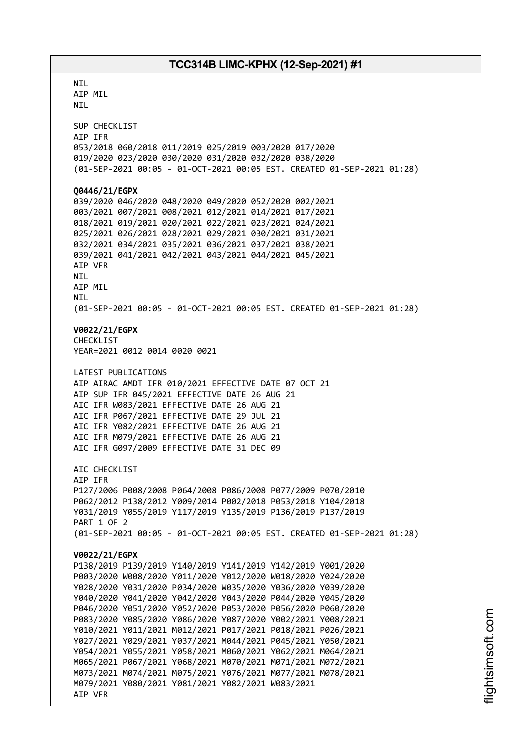**NTI** AIP MIL NIL SUP CHECKLIST AIP IFR 053/2018 060/2018 011/2019 025/2019 003/2020 017/2020 019/2020 023/2020 030/2020 031/2020 032/2020 038/2020 (01-SEP-2021 00:05 - 01-OCT-2021 00:05 EST. CREATED 01-SEP-2021 01:28) **Q0446/21/EGPX** 039/2020 046/2020 048/2020 049/2020 052/2020 002/2021 003/2021 007/2021 008/2021 012/2021 014/2021 017/2021 018/2021 019/2021 020/2021 022/2021 023/2021 024/2021 025/2021 026/2021 028/2021 029/2021 030/2021 031/2021 032/2021 034/2021 035/2021 036/2021 037/2021 038/2021 039/2021 041/2021 042/2021 043/2021 044/2021 045/2021 AIP VFR NIL AIP MIL NIL (01-SEP-2021 00:05 - 01-OCT-2021 00:05 EST. CREATED 01-SEP-2021 01:28) **V0022/21/EGPX** CHECKLIST YEAR=2021 0012 0014 0020 0021 LATEST PUBLICATIONS AIP AIRAC AMDT IFR 010/2021 EFFECTIVE DATE 07 OCT 21 AIP SUP IFR 045/2021 EFFECTIVE DATE 26 AUG 21 AIC IFR W083/2021 EFFECTIVE DATE 26 AUG 21 AIC IFR P067/2021 EFFECTIVE DATE 29 JUL 21 AIC IFR Y082/2021 EFFECTIVE DATE 26 AUG 21 AIC IFR M079/2021 EFFECTIVE DATE 26 AUG 21 AIC IFR G097/2009 EFFECTIVE DATE 31 DEC 09 AIC CHECKLIST AIP IFR P127/2006 P008/2008 P064/2008 P086/2008 P077/2009 P070/2010 P062/2012 P138/2012 Y009/2014 P002/2018 P053/2018 Y104/2018 Y031/2019 Y055/2019 Y117/2019 Y135/2019 P136/2019 P137/2019 PART 1 OF 2 (01-SEP-2021 00:05 - 01-OCT-2021 00:05 EST. CREATED 01-SEP-2021 01:28) **V0022/21/EGPX** P138/2019 P139/2019 Y140/2019 Y141/2019 Y142/2019 Y001/2020 P003/2020 W008/2020 Y011/2020 Y012/2020 W018/2020 Y024/2020 Y028/2020 Y031/2020 P034/2020 W035/2020 Y036/2020 Y039/2020 Y040/2020 Y041/2020 Y042/2020 Y043/2020 P044/2020 Y045/2020 P046/2020 Y051/2020 Y052/2020 P053/2020 P056/2020 P060/2020 P083/2020 Y085/2020 Y086/2020 Y087/2020 Y002/2021 Y008/2021 Y010/2021 Y011/2021 M012/2021 P017/2021 P018/2021 P026/2021 Y027/2021 Y029/2021 Y037/2021 M044/2021 P045/2021 Y050/2021 Y054/2021 Y055/2021 Y058/2021 M060/2021 Y062/2021 M064/2021 M065/2021 P067/2021 Y068/2021 M070/2021 M071/2021 M072/2021 M073/2021 M074/2021 M075/2021 Y076/2021 M077/2021 M078/2021 M079/2021 Y080/2021 Y081/2021 Y082/2021 W083/2021 AIP VFR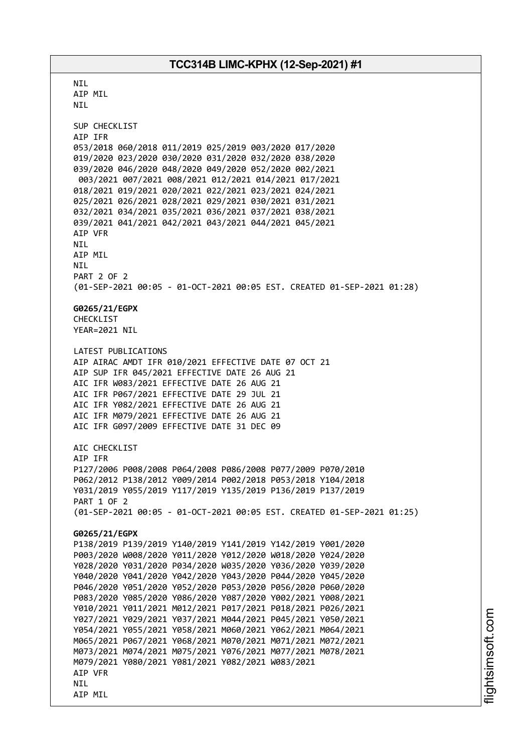**NTI** AIP MIL NIL SUP CHECKLIST AIP IFR 053/2018 060/2018 011/2019 025/2019 003/2020 017/2020 019/2020 023/2020 030/2020 031/2020 032/2020 038/2020 039/2020 046/2020 048/2020 049/2020 052/2020 002/2021 003/2021 007/2021 008/2021 012/2021 014/2021 017/2021 018/2021 019/2021 020/2021 022/2021 023/2021 024/2021 025/2021 026/2021 028/2021 029/2021 030/2021 031/2021 032/2021 034/2021 035/2021 036/2021 037/2021 038/2021 039/2021 041/2021 042/2021 043/2021 044/2021 045/2021 AIP VFR NIL AIP MIL NIL PART 2 OF 2 (01-SEP-2021 00:05 - 01-OCT-2021 00:05 EST. CREATED 01-SEP-2021 01:28) **G0265/21/EGPX** CHECKL<sub>IST</sub> YEAR=2021 NIL LATEST PUBLICATIONS AIP AIRAC AMDT IFR 010/2021 EFFECTIVE DATE 07 OCT 21 AIP SUP IFR 045/2021 EFFECTIVE DATE 26 AUG 21 AIC IFR W083/2021 EFFECTIVE DATE 26 AUG 21 AIC IFR P067/2021 EFFECTIVE DATE 29 JUL 21 AIC IFR Y082/2021 EFFECTIVE DATE 26 AUG 21 AIC IFR M079/2021 EFFECTIVE DATE 26 AUG 21 AIC IFR G097/2009 EFFECTIVE DATE 31 DEC 09 AIC CHECKLIST AIP IFR P127/2006 P008/2008 P064/2008 P086/2008 P077/2009 P070/2010 P062/2012 P138/2012 Y009/2014 P002/2018 P053/2018 Y104/2018 Y031/2019 Y055/2019 Y117/2019 Y135/2019 P136/2019 P137/2019 PART 1 OF 2 (01-SEP-2021 00:05 - 01-OCT-2021 00:05 EST. CREATED 01-SEP-2021 01:25) **G0265/21/EGPX** P138/2019 P139/2019 Y140/2019 Y141/2019 Y142/2019 Y001/2020 P003/2020 W008/2020 Y011/2020 Y012/2020 W018/2020 Y024/2020 Y028/2020 Y031/2020 P034/2020 W035/2020 Y036/2020 Y039/2020 Y040/2020 Y041/2020 Y042/2020 Y043/2020 P044/2020 Y045/2020 P046/2020 Y051/2020 Y052/2020 P053/2020 P056/2020 P060/2020 P083/2020 Y085/2020 Y086/2020 Y087/2020 Y002/2021 Y008/2021 Y010/2021 Y011/2021 M012/2021 P017/2021 P018/2021 P026/2021 Y027/2021 Y029/2021 Y037/2021 M044/2021 P045/2021 Y050/2021 Y054/2021 Y055/2021 Y058/2021 M060/2021 Y062/2021 M064/2021 M065/2021 P067/2021 Y068/2021 M070/2021 M071/2021 M072/2021 M073/2021 M074/2021 M075/2021 Y076/2021 M077/2021 M078/2021 M079/2021 Y080/2021 Y081/2021 Y082/2021 W083/2021 AIP VFR NIL AIP MIL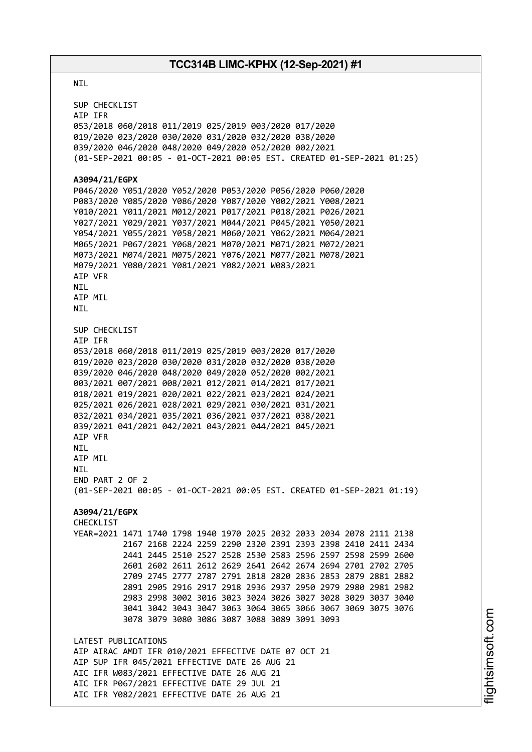#### NIL

SUP CHECKLIST AIP IFR 053/2018 060/2018 011/2019 025/2019 003/2020 017/2020 019/2020 023/2020 030/2020 031/2020 032/2020 038/2020 039/2020 046/2020 048/2020 049/2020 052/2020 002/2021 (01-SEP-2021 00:05 - 01-OCT-2021 00:05 EST. CREATED 01-SEP-2021 01:25) **A3094/21/EGPX** P046/2020 Y051/2020 Y052/2020 P053/2020 P056/2020 P060/2020 P083/2020 Y085/2020 Y086/2020 Y087/2020 Y002/2021 Y008/2021 Y010/2021 Y011/2021 M012/2021 P017/2021 P018/2021 P026/2021 Y027/2021 Y029/2021 Y037/2021 M044/2021 P045/2021 Y050/2021 Y054/2021 Y055/2021 Y058/2021 M060/2021 Y062/2021 M064/2021 M065/2021 P067/2021 Y068/2021 M070/2021 M071/2021 M072/2021 M073/2021 M074/2021 M075/2021 Y076/2021 M077/2021 M078/2021 M079/2021 Y080/2021 Y081/2021 Y082/2021 W083/2021 AIP VFR **NTI** AIP MIL NIL SUP CHECKLIST AIP IFR 053/2018 060/2018 011/2019 025/2019 003/2020 017/2020 019/2020 023/2020 030/2020 031/2020 032/2020 038/2020 039/2020 046/2020 048/2020 049/2020 052/2020 002/2021 003/2021 007/2021 008/2021 012/2021 014/2021 017/2021 018/2021 019/2021 020/2021 022/2021 023/2021 024/2021 025/2021 026/2021 028/2021 029/2021 030/2021 031/2021 032/2021 034/2021 035/2021 036/2021 037/2021 038/2021 039/2021 041/2021 042/2021 043/2021 044/2021 045/2021 AIP VFR NIL AIP MIL NIL END PART 2 OF 2 (01-SEP-2021 00:05 - 01-OCT-2021 00:05 EST. CREATED 01-SEP-2021 01:19) **A3094/21/EGPX** CHECKLIST YEAR=2021 1471 1740 1798 1940 1970 2025 2032 2033 2034 2078 2111 2138 2167 2168 2224 2259 2290 2320 2391 2393 2398 2410 2411 2434 2441 2445 2510 2527 2528 2530 2583 2596 2597 2598 2599 2600 2601 2602 2611 2612 2629 2641 2642 2674 2694 2701 2702 2705 2709 2745 2777 2787 2791 2818 2820 2836 2853 2879 2881 2882 2891 2905 2916 2917 2918 2936 2937 2950 2979 2980 2981 2982 2983 2998 3002 3016 3023 3024 3026 3027 3028 3029 3037 3040 3041 3042 3043 3047 3063 3064 3065 3066 3067 3069 3075 3076 3078 3079 3080 3086 3087 3088 3089 3091 3093 LATEST PUBLICATIONS AIP AIRAC AMDT IFR 010/2021 EFFECTIVE DATE 07 OCT 21 AIP SUP IFR 045/2021 EFFECTIVE DATE 26 AUG 21 AIC IFR W083/2021 EFFECTIVE DATE 26 AUG 21 AIC IFR P067/2021 EFFECTIVE DATE 29 JUL 21 AIC IFR Y082/2021 EFFECTIVE DATE 26 AUG 21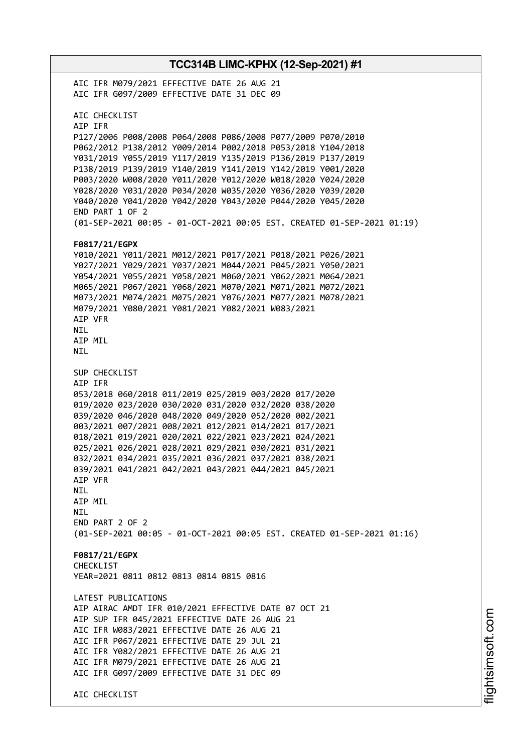**TCC314B LIMC-KPHX (12-Sep-2021) #1** AIC IFR M079/2021 EFFECTIVE DATE 26 AUG 21 AIC IFR G097/2009 EFFECTIVE DATE 31 DEC 09 AIC CHECKLIST AIP IFR P127/2006 P008/2008 P064/2008 P086/2008 P077/2009 P070/2010 P062/2012 P138/2012 Y009/2014 P002/2018 P053/2018 Y104/2018 Y031/2019 Y055/2019 Y117/2019 Y135/2019 P136/2019 P137/2019 P138/2019 P139/2019 Y140/2019 Y141/2019 Y142/2019 Y001/2020 P003/2020 W008/2020 Y011/2020 Y012/2020 W018/2020 Y024/2020 Y028/2020 Y031/2020 P034/2020 W035/2020 Y036/2020 Y039/2020 Y040/2020 Y041/2020 Y042/2020 Y043/2020 P044/2020 Y045/2020 END PART 1 OF 2 (01-SEP-2021 00:05 - 01-OCT-2021 00:05 EST. CREATED 01-SEP-2021 01:19) **F0817/21/EGPX** Y010/2021 Y011/2021 M012/2021 P017/2021 P018/2021 P026/2021 Y027/2021 Y029/2021 Y037/2021 M044/2021 P045/2021 Y050/2021 Y054/2021 Y055/2021 Y058/2021 M060/2021 Y062/2021 M064/2021 M065/2021 P067/2021 Y068/2021 M070/2021 M071/2021 M072/2021 M073/2021 M074/2021 M075/2021 Y076/2021 M077/2021 M078/2021 M079/2021 Y080/2021 Y081/2021 Y082/2021 W083/2021 AIP VFR NIL AIP MIL NIL SUP CHECKLIST AIP IFR 053/2018 060/2018 011/2019 025/2019 003/2020 017/2020 019/2020 023/2020 030/2020 031/2020 032/2020 038/2020 039/2020 046/2020 048/2020 049/2020 052/2020 002/2021 003/2021 007/2021 008/2021 012/2021 014/2021 017/2021 018/2021 019/2021 020/2021 022/2021 023/2021 024/2021 025/2021 026/2021 028/2021 029/2021 030/2021 031/2021 032/2021 034/2021 035/2021 036/2021 037/2021 038/2021 039/2021 041/2021 042/2021 043/2021 044/2021 045/2021 AIP VFR NIL AIP MIL **NTI** END PART 2 OF 2 (01-SEP-2021 00:05 - 01-OCT-2021 00:05 EST. CREATED 01-SEP-2021 01:16) **F0817/21/EGPX** CHECKLIST YEAR=2021 0811 0812 0813 0814 0815 0816 LATEST PUBLICATIONS AIP AIRAC AMDT IFR 010/2021 EFFECTIVE DATE 07 OCT 21 AIP SUP IFR 045/2021 EFFECTIVE DATE 26 AUG 21 AIC IFR W083/2021 EFFECTIVE DATE 26 AUG 21 AIC IFR P067/2021 EFFECTIVE DATE 29 JUL 21 AIC IFR Y082/2021 EFFECTIVE DATE 26 AUG 21 AIC IFR M079/2021 EFFECTIVE DATE 26 AUG 21 AIC IFR G097/2009 EFFECTIVE DATE 31 DEC 09 AIC CHECKLIST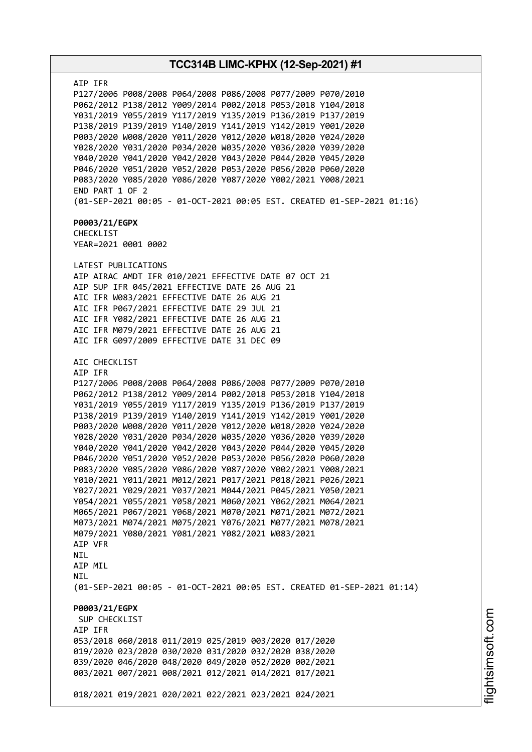**TCC314B LIMC-KPHX (12-Sep-2021) #1** AIP IFR P127/2006 P008/2008 P064/2008 P086/2008 P077/2009 P070/2010 P062/2012 P138/2012 Y009/2014 P002/2018 P053/2018 Y104/2018 Y031/2019 Y055/2019 Y117/2019 Y135/2019 P136/2019 P137/2019 P138/2019 P139/2019 Y140/2019 Y141/2019 Y142/2019 Y001/2020 P003/2020 W008/2020 Y011/2020 Y012/2020 W018/2020 Y024/2020 Y028/2020 Y031/2020 P034/2020 W035/2020 Y036/2020 Y039/2020 Y040/2020 Y041/2020 Y042/2020 Y043/2020 P044/2020 Y045/2020 P046/2020 Y051/2020 Y052/2020 P053/2020 P056/2020 P060/2020 P083/2020 Y085/2020 Y086/2020 Y087/2020 Y002/2021 Y008/2021 END PART 1 OF 2 (01-SEP-2021 00:05 - 01-OCT-2021 00:05 EST. CREATED 01-SEP-2021 01:16) **P0003/21/EGPX** CHECKLIST YEAR=2021 0001 0002 LATEST PUBLICATIONS AIP AIRAC AMDT IFR 010/2021 EFFECTIVE DATE 07 OCT 21 AIP SUP IFR 045/2021 EFFECTIVE DATE 26 AUG 21 AIC IFR W083/2021 EFFECTIVE DATE 26 AUG 21 AIC IFR P067/2021 EFFECTIVE DATE 29 JUL 21 AIC IFR Y082/2021 EFFECTIVE DATE 26 AUG 21 AIC IFR M079/2021 EFFECTIVE DATE 26 AUG 21 AIC IFR G097/2009 EFFECTIVE DATE 31 DEC 09 AIC CHECKLIST AIP IFR P127/2006 P008/2008 P064/2008 P086/2008 P077/2009 P070/2010 P062/2012 P138/2012 Y009/2014 P002/2018 P053/2018 Y104/2018 Y031/2019 Y055/2019 Y117/2019 Y135/2019 P136/2019 P137/2019 P138/2019 P139/2019 Y140/2019 Y141/2019 Y142/2019 Y001/2020 P003/2020 W008/2020 Y011/2020 Y012/2020 W018/2020 Y024/2020 Y028/2020 Y031/2020 P034/2020 W035/2020 Y036/2020 Y039/2020 Y040/2020 Y041/2020 Y042/2020 Y043/2020 P044/2020 Y045/2020 P046/2020 Y051/2020 Y052/2020 P053/2020 P056/2020 P060/2020 P083/2020 Y085/2020 Y086/2020 Y087/2020 Y002/2021 Y008/2021 Y010/2021 Y011/2021 M012/2021 P017/2021 P018/2021 P026/2021 Y027/2021 Y029/2021 Y037/2021 M044/2021 P045/2021 Y050/2021 Y054/2021 Y055/2021 Y058/2021 M060/2021 Y062/2021 M064/2021 M065/2021 P067/2021 Y068/2021 M070/2021 M071/2021 M072/2021 M073/2021 M074/2021 M075/2021 Y076/2021 M077/2021 M078/2021 M079/2021 Y080/2021 Y081/2021 Y082/2021 W083/2021 AIP VFR NIL AIP MIL NIL (01-SEP-2021 00:05 - 01-OCT-2021 00:05 EST. CREATED 01-SEP-2021 01:14) **P0003/21/EGPX** SUP CHECKLIST AIP IFR 053/2018 060/2018 011/2019 025/2019 003/2020 017/2020 019/2020 023/2020 030/2020 031/2020 032/2020 038/2020 039/2020 046/2020 048/2020 049/2020 052/2020 002/2021 003/2021 007/2021 008/2021 012/2021 014/2021 017/2021 018/2021 019/2021 020/2021 022/2021 023/2021 024/2021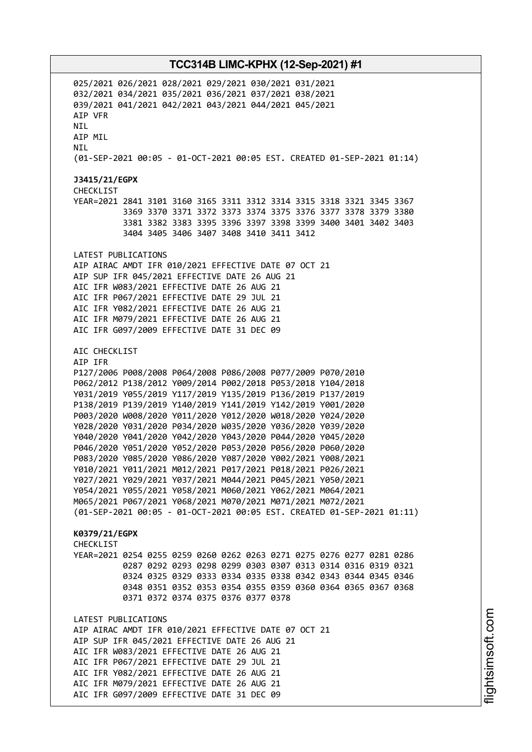025/2021 026/2021 028/2021 029/2021 030/2021 031/2021 032/2021 034/2021 035/2021 036/2021 037/2021 038/2021 039/2021 041/2021 042/2021 043/2021 044/2021 045/2021 AIP VFR **NTI** AIP MIL NIL (01-SEP-2021 00:05 - 01-OCT-2021 00:05 EST. CREATED 01-SEP-2021 01:14) **J3415/21/EGPX** CHECKLIST YEAR=2021 2841 3101 3160 3165 3311 3312 3314 3315 3318 3321 3345 3367 3369 3370 3371 3372 3373 3374 3375 3376 3377 3378 3379 3380 3381 3382 3383 3395 3396 3397 3398 3399 3400 3401 3402 3403 3404 3405 3406 3407 3408 3410 3411 3412 LATEST PUBLICATIONS AIP AIRAC AMDT IFR 010/2021 EFFECTIVE DATE 07 OCT 21 AIP SUP IFR 045/2021 EFFECTIVE DATE 26 AUG 21 AIC IFR W083/2021 EFFECTIVE DATE 26 AUG 21 AIC IFR P067/2021 EFFECTIVE DATE 29 JUL 21 AIC IFR Y082/2021 EFFECTIVE DATE 26 AUG 21 AIC IFR M079/2021 EFFECTIVE DATE 26 AUG 21 AIC IFR G097/2009 EFFECTIVE DATE 31 DEC 09 AIC CHECKLIST AIP IFR P127/2006 P008/2008 P064/2008 P086/2008 P077/2009 P070/2010 P062/2012 P138/2012 Y009/2014 P002/2018 P053/2018 Y104/2018 Y031/2019 Y055/2019 Y117/2019 Y135/2019 P136/2019 P137/2019 P138/2019 P139/2019 Y140/2019 Y141/2019 Y142/2019 Y001/2020 P003/2020 W008/2020 Y011/2020 Y012/2020 W018/2020 Y024/2020 Y028/2020 Y031/2020 P034/2020 W035/2020 Y036/2020 Y039/2020 Y040/2020 Y041/2020 Y042/2020 Y043/2020 P044/2020 Y045/2020 P046/2020 Y051/2020 Y052/2020 P053/2020 P056/2020 P060/2020 P083/2020 Y085/2020 Y086/2020 Y087/2020 Y002/2021 Y008/2021 Y010/2021 Y011/2021 M012/2021 P017/2021 P018/2021 P026/2021 Y027/2021 Y029/2021 Y037/2021 M044/2021 P045/2021 Y050/2021 Y054/2021 Y055/2021 Y058/2021 M060/2021 Y062/2021 M064/2021 M065/2021 P067/2021 Y068/2021 M070/2021 M071/2021 M072/2021 (01-SEP-2021 00:05 - 01-OCT-2021 00:05 EST. CREATED 01-SEP-2021 01:11) **K0379/21/EGPX CHECKLIST** YEAR=2021 0254 0255 0259 0260 0262 0263 0271 0275 0276 0277 0281 0286 0287 0292 0293 0298 0299 0303 0307 0313 0314 0316 0319 0321 0324 0325 0329 0333 0334 0335 0338 0342 0343 0344 0345 0346 0348 0351 0352 0353 0354 0355 0359 0360 0364 0365 0367 0368 0371 0372 0374 0375 0376 0377 0378 LATEST PUBLICATIONS AIP AIRAC AMDT IFR 010/2021 EFFECTIVE DATE 07 OCT 21 AIP SUP IFR 045/2021 EFFECTIVE DATE 26 AUG 21 AIC IFR W083/2021 EFFECTIVE DATE 26 AUG 21 AIC IFR P067/2021 EFFECTIVE DATE 29 JUL 21 AIC IFR Y082/2021 EFFECTIVE DATE 26 AUG 21 AIC IFR M079/2021 EFFECTIVE DATE 26 AUG 21 AIC IFR G097/2009 EFFECTIVE DATE 31 DEC 09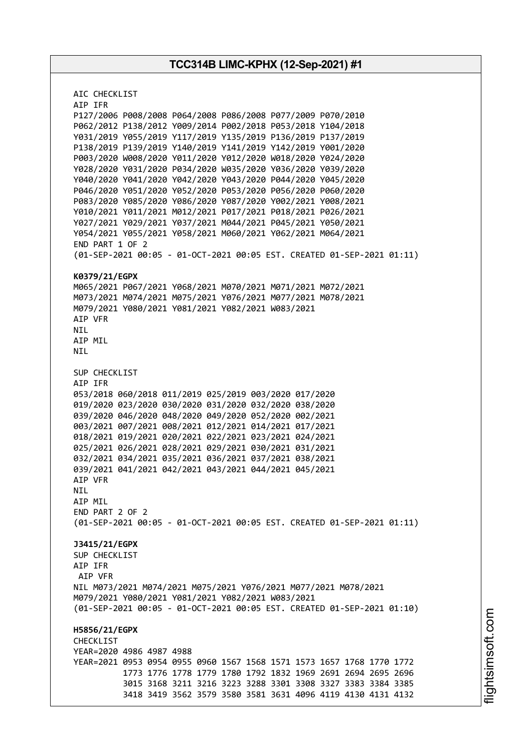AIC CHECKLIST AIP IFR P127/2006 P008/2008 P064/2008 P086/2008 P077/2009 P070/2010 P062/2012 P138/2012 Y009/2014 P002/2018 P053/2018 Y104/2018 Y031/2019 Y055/2019 Y117/2019 Y135/2019 P136/2019 P137/2019 P138/2019 P139/2019 Y140/2019 Y141/2019 Y142/2019 Y001/2020 P003/2020 W008/2020 Y011/2020 Y012/2020 W018/2020 Y024/2020 Y028/2020 Y031/2020 P034/2020 W035/2020 Y036/2020 Y039/2020 Y040/2020 Y041/2020 Y042/2020 Y043/2020 P044/2020 Y045/2020 P046/2020 Y051/2020 Y052/2020 P053/2020 P056/2020 P060/2020 P083/2020 Y085/2020 Y086/2020 Y087/2020 Y002/2021 Y008/2021 Y010/2021 Y011/2021 M012/2021 P017/2021 P018/2021 P026/2021 Y027/2021 Y029/2021 Y037/2021 M044/2021 P045/2021 Y050/2021 Y054/2021 Y055/2021 Y058/2021 M060/2021 Y062/2021 M064/2021 END PART 1 OF 2 (01-SEP-2021 00:05 - 01-OCT-2021 00:05 EST. CREATED 01-SEP-2021 01:11) **K0379/21/EGPX** M065/2021 P067/2021 Y068/2021 M070/2021 M071/2021 M072/2021 M073/2021 M074/2021 M075/2021 Y076/2021 M077/2021 M078/2021 M079/2021 Y080/2021 Y081/2021 Y082/2021 W083/2021 AIP VFR NIL AIP MIL NIL SUP CHECKLIST AIP IFR 053/2018 060/2018 011/2019 025/2019 003/2020 017/2020 019/2020 023/2020 030/2020 031/2020 032/2020 038/2020 039/2020 046/2020 048/2020 049/2020 052/2020 002/2021 003/2021 007/2021 008/2021 012/2021 014/2021 017/2021 018/2021 019/2021 020/2021 022/2021 023/2021 024/2021 025/2021 026/2021 028/2021 029/2021 030/2021 031/2021 032/2021 034/2021 035/2021 036/2021 037/2021 038/2021 039/2021 041/2021 042/2021 043/2021 044/2021 045/2021 AIP VFR NIL AIP MIL END PART 2 OF 2 (01-SEP-2021 00:05 - 01-OCT-2021 00:05 EST. CREATED 01-SEP-2021 01:11) **J3415/21/EGPX** SUP CHECKLIST AIP IFR AIP VFR NIL M073/2021 M074/2021 M075/2021 Y076/2021 M077/2021 M078/2021 M079/2021 Y080/2021 Y081/2021 Y082/2021 W083/2021 (01-SEP-2021 00:05 - 01-OCT-2021 00:05 EST. CREATED 01-SEP-2021 01:10) **H5856/21/EGPX** CHECKLIST YEAR=2020 4986 4987 4988 YEAR=2021 0953 0954 0955 0960 1567 1568 1571 1573 1657 1768 1770 1772 1773 1776 1778 1779 1780 1792 1832 1969 2691 2694 2695 2696 3015 3168 3211 3216 3223 3288 3301 3308 3327 3383 3384 3385 3418 3419 3562 3579 3580 3581 3631 4096 4119 4130 4131 4132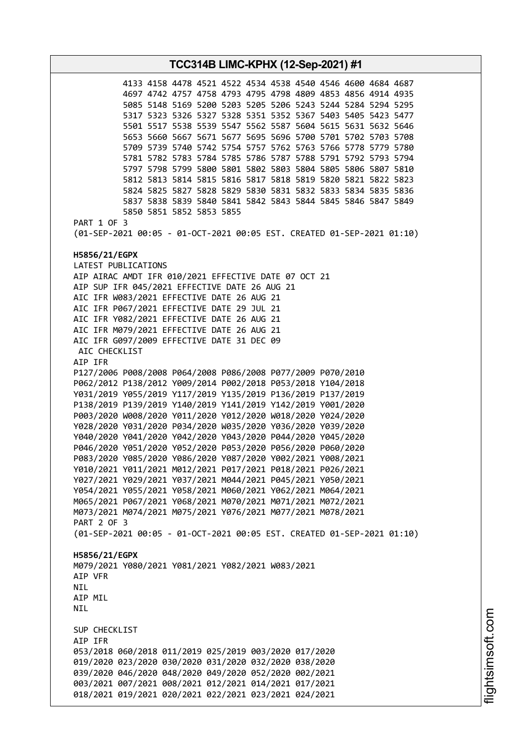**TCC314B LIMC-KPHX (12-Sep-2021) #1** 4133 4158 4478 4521 4522 4534 4538 4540 4546 4600 4684 4687 4697 4742 4757 4758 4793 4795 4798 4809 4853 4856 4914 4935 5085 5148 5169 5200 5203 5205 5206 5243 5244 5284 5294 5295 5317 5323 5326 5327 5328 5351 5352 5367 5403 5405 5423 5477 5501 5517 5538 5539 5547 5562 5587 5604 5615 5631 5632 5646 5653 5660 5667 5671 5677 5695 5696 5700 5701 5702 5703 5708 5709 5739 5740 5742 5754 5757 5762 5763 5766 5778 5779 5780 5781 5782 5783 5784 5785 5786 5787 5788 5791 5792 5793 5794 5797 5798 5799 5800 5801 5802 5803 5804 5805 5806 5807 5810 5812 5813 5814 5815 5816 5817 5818 5819 5820 5821 5822 5823 5824 5825 5827 5828 5829 5830 5831 5832 5833 5834 5835 5836 5837 5838 5839 5840 5841 5842 5843 5844 5845 5846 5847 5849 5850 5851 5852 5853 5855 PART 1 OF 3 (01-SEP-2021 00:05 - 01-OCT-2021 00:05 EST. CREATED 01-SEP-2021 01:10) **H5856/21/EGPX** LATEST PUBLICATIONS AIP AIRAC AMDT IFR 010/2021 EFFECTIVE DATE 07 OCT 21 AIP SUP IFR 045/2021 EFFECTIVE DATE 26 AUG 21 AIC IFR W083/2021 EFFECTIVE DATE 26 AUG 21 AIC IFR P067/2021 EFFECTIVE DATE 29 JUL 21 AIC IFR Y082/2021 EFFECTIVE DATE 26 AUG 21 AIC IFR M079/2021 EFFECTIVE DATE 26 AUG 21 AIC IFR G097/2009 EFFECTIVE DATE 31 DEC 09 AIC CHECKLIST AIP IFR P127/2006 P008/2008 P064/2008 P086/2008 P077/2009 P070/2010 P062/2012 P138/2012 Y009/2014 P002/2018 P053/2018 Y104/2018 Y031/2019 Y055/2019 Y117/2019 Y135/2019 P136/2019 P137/2019 P138/2019 P139/2019 Y140/2019 Y141/2019 Y142/2019 Y001/2020 P003/2020 W008/2020 Y011/2020 Y012/2020 W018/2020 Y024/2020 Y028/2020 Y031/2020 P034/2020 W035/2020 Y036/2020 Y039/2020 Y040/2020 Y041/2020 Y042/2020 Y043/2020 P044/2020 Y045/2020 P046/2020 Y051/2020 Y052/2020 P053/2020 P056/2020 P060/2020 P083/2020 Y085/2020 Y086/2020 Y087/2020 Y002/2021 Y008/2021 Y010/2021 Y011/2021 M012/2021 P017/2021 P018/2021 P026/2021 Y027/2021 Y029/2021 Y037/2021 M044/2021 P045/2021 Y050/2021 Y054/2021 Y055/2021 Y058/2021 M060/2021 Y062/2021 M064/2021 M065/2021 P067/2021 Y068/2021 M070/2021 M071/2021 M072/2021 M073/2021 M074/2021 M075/2021 Y076/2021 M077/2021 M078/2021 PART 2 OF 3 (01-SEP-2021 00:05 - 01-OCT-2021 00:05 EST. CREATED 01-SEP-2021 01:10) **H5856/21/EGPX** M079/2021 Y080/2021 Y081/2021 Y082/2021 W083/2021 AIP VFR **NTI** AIP MIL NIL SUP CHECKLIST AIP IFR 053/2018 060/2018 011/2019 025/2019 003/2020 017/2020 019/2020 023/2020 030/2020 031/2020 032/2020 038/2020 039/2020 046/2020 048/2020 049/2020 052/2020 002/2021 003/2021 007/2021 008/2021 012/2021 014/2021 017/2021 018/2021 019/2021 020/2021 022/2021 023/2021 024/2021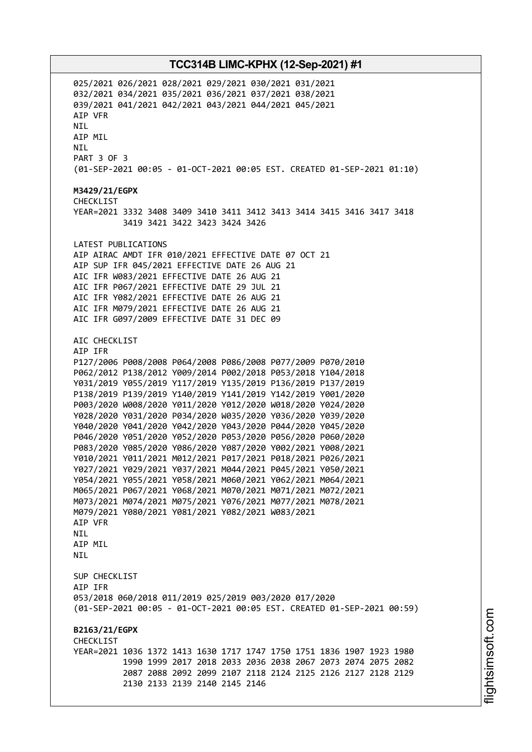025/2021 026/2021 028/2021 029/2021 030/2021 031/2021 032/2021 034/2021 035/2021 036/2021 037/2021 038/2021 039/2021 041/2021 042/2021 043/2021 044/2021 045/2021 AIP VFR **NTI** AIP MIL NIL PART 3 OF 3 (01-SEP-2021 00:05 - 01-OCT-2021 00:05 EST. CREATED 01-SEP-2021 01:10) **M3429/21/EGPX** CHECKL<sub>IST</sub> YEAR=2021 3332 3408 3409 3410 3411 3412 3413 3414 3415 3416 3417 3418 3419 3421 3422 3423 3424 3426 LATEST PUBLICATIONS AIP AIRAC AMDT IFR 010/2021 EFFECTIVE DATE 07 OCT 21 AIP SUP IFR 045/2021 EFFECTIVE DATE 26 AUG 21 AIC IFR W083/2021 EFFECTIVE DATE 26 AUG 21 AIC IFR P067/2021 EFFECTIVE DATE 29 JUL 21 AIC IFR Y082/2021 EFFECTIVE DATE 26 AUG 21 AIC IFR M079/2021 EFFECTIVE DATE 26 AUG 21 AIC IFR G097/2009 EFFECTIVE DATE 31 DEC 09 AIC CHECKLIST AIP IFR P127/2006 P008/2008 P064/2008 P086/2008 P077/2009 P070/2010 P062/2012 P138/2012 Y009/2014 P002/2018 P053/2018 Y104/2018 Y031/2019 Y055/2019 Y117/2019 Y135/2019 P136/2019 P137/2019 P138/2019 P139/2019 Y140/2019 Y141/2019 Y142/2019 Y001/2020 P003/2020 W008/2020 Y011/2020 Y012/2020 W018/2020 Y024/2020 Y028/2020 Y031/2020 P034/2020 W035/2020 Y036/2020 Y039/2020 Y040/2020 Y041/2020 Y042/2020 Y043/2020 P044/2020 Y045/2020 P046/2020 Y051/2020 Y052/2020 P053/2020 P056/2020 P060/2020 P083/2020 Y085/2020 Y086/2020 Y087/2020 Y002/2021 Y008/2021 Y010/2021 Y011/2021 M012/2021 P017/2021 P018/2021 P026/2021 Y027/2021 Y029/2021 Y037/2021 M044/2021 P045/2021 Y050/2021 Y054/2021 Y055/2021 Y058/2021 M060/2021 Y062/2021 M064/2021 M065/2021 P067/2021 Y068/2021 M070/2021 M071/2021 M072/2021 M073/2021 M074/2021 M075/2021 Y076/2021 M077/2021 M078/2021 M079/2021 Y080/2021 Y081/2021 Y082/2021 W083/2021 AIP VFR NIL AIP MIL **NTI** SUP CHECKLIST AIP IFR 053/2018 060/2018 011/2019 025/2019 003/2020 017/2020 (01-SEP-2021 00:05 - 01-OCT-2021 00:05 EST. CREATED 01-SEP-2021 00:59) **B2163/21/EGPX** CHECKLIST YEAR=2021 1036 1372 1413 1630 1717 1747 1750 1751 1836 1907 1923 1980 1990 1999 2017 2018 2033 2036 2038 2067 2073 2074 2075 2082 2087 2088 2092 2099 2107 2118 2124 2125 2126 2127 2128 2129 2130 2133 2139 2140 2145 2146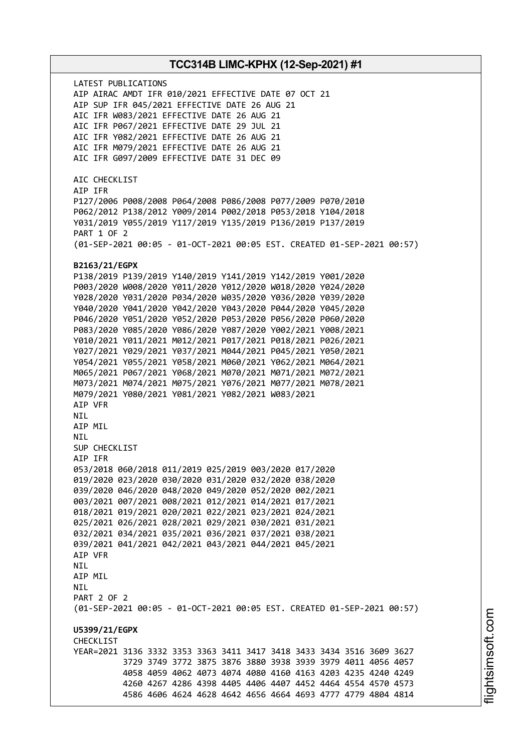LATEST PUBLICATIONS AIP AIRAC AMDT IFR 010/2021 EFFECTIVE DATE 07 OCT 21 AIP SUP IFR 045/2021 EFFECTIVE DATE 26 AUG 21 AIC IFR W083/2021 EFFECTIVE DATE 26 AUG 21 AIC IFR P067/2021 EFFECTIVE DATE 29 JUL 21 AIC IFR Y082/2021 EFFECTIVE DATE 26 AUG 21 AIC IFR M079/2021 EFFECTIVE DATE 26 AUG 21 AIC IFR G097/2009 EFFECTIVE DATE 31 DEC 09 AIC CHECKLIST AIP IFR P127/2006 P008/2008 P064/2008 P086/2008 P077/2009 P070/2010 P062/2012 P138/2012 Y009/2014 P002/2018 P053/2018 Y104/2018 Y031/2019 Y055/2019 Y117/2019 Y135/2019 P136/2019 P137/2019 PART 1 OF 2 (01-SEP-2021 00:05 - 01-OCT-2021 00:05 EST. CREATED 01-SEP-2021 00:57) **B2163/21/EGPX** P138/2019 P139/2019 Y140/2019 Y141/2019 Y142/2019 Y001/2020 P003/2020 W008/2020 Y011/2020 Y012/2020 W018/2020 Y024/2020 Y028/2020 Y031/2020 P034/2020 W035/2020 Y036/2020 Y039/2020 Y040/2020 Y041/2020 Y042/2020 Y043/2020 P044/2020 Y045/2020 P046/2020 Y051/2020 Y052/2020 P053/2020 P056/2020 P060/2020 P083/2020 Y085/2020 Y086/2020 Y087/2020 Y002/2021 Y008/2021 Y010/2021 Y011/2021 M012/2021 P017/2021 P018/2021 P026/2021 Y027/2021 Y029/2021 Y037/2021 M044/2021 P045/2021 Y050/2021 Y054/2021 Y055/2021 Y058/2021 M060/2021 Y062/2021 M064/2021 M065/2021 P067/2021 Y068/2021 M070/2021 M071/2021 M072/2021 M073/2021 M074/2021 M075/2021 Y076/2021 M077/2021 M078/2021 M079/2021 Y080/2021 Y081/2021 Y082/2021 W083/2021 AIP VFR NIL AIP MIL NIL SUP CHECKLIST AIP IFR 053/2018 060/2018 011/2019 025/2019 003/2020 017/2020 019/2020 023/2020 030/2020 031/2020 032/2020 038/2020 039/2020 046/2020 048/2020 049/2020 052/2020 002/2021 003/2021 007/2021 008/2021 012/2021 014/2021 017/2021 018/2021 019/2021 020/2021 022/2021 023/2021 024/2021 025/2021 026/2021 028/2021 029/2021 030/2021 031/2021 032/2021 034/2021 035/2021 036/2021 037/2021 038/2021 039/2021 041/2021 042/2021 043/2021 044/2021 045/2021 AIP VFR NIL AIP MIL **NTI** PART 2 OF 2 (01-SEP-2021 00:05 - 01-OCT-2021 00:05 EST. CREATED 01-SEP-2021 00:57) **U5399/21/EGPX** CHECKLIST YEAR=2021 3136 3332 3353 3363 3411 3417 3418 3433 3434 3516 3609 3627 3729 3749 3772 3875 3876 3880 3938 3939 3979 4011 4056 4057 4058 4059 4062 4073 4074 4080 4160 4163 4203 4235 4240 4249 4260 4267 4286 4398 4405 4406 4407 4452 4464 4554 4570 4573 4586 4606 4624 4628 4642 4656 4664 4693 4777 4779 4804 4814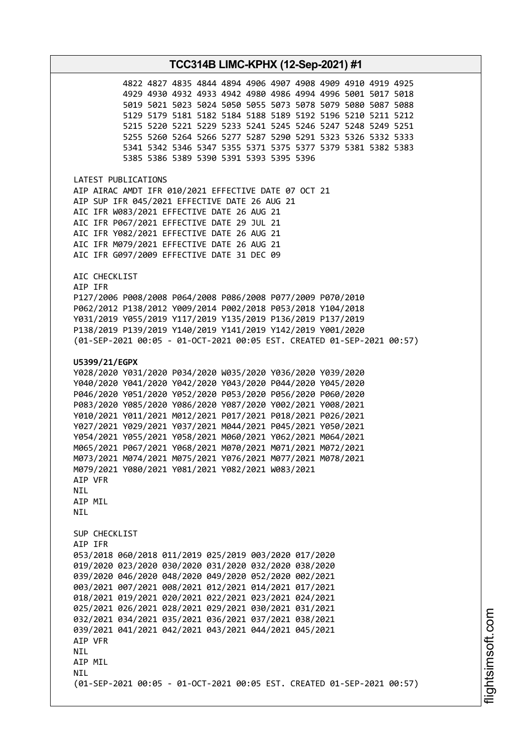4827 4835 4844 4894 4906 4907 4908 4909 4910 4919 4925 4930 4932 4933 4942 4980 4986 4994 4996 5001 5017 5018 5021 5023 5024 5050 5055 5073 5078 5079 5080 5087 5088 5179 5181 5182 5184 5188 5189 5192 5196 5210 5211 5212 5220 5221 5229 5233 5241 5245 5246 5247 5248 5249 5251 5260 5264 5266 5277 5287 5290 5291 5323 5326 5332 5333 5342 5346 5347 5355 5371 5375 5377 5379 5381 5382 5383 5386 5389 5390 5391 5393 5395 5396

LATEST PUBLICATIONS AIP AIRAC AMDT IFR 010/2021 EFFECTIVE DATE 07 OCT 21 AIP SUP IFR 045/2021 EFFECTIVE DATE 26 AUG 21 AIC IFR W083/2021 EFFECTIVE DATE 26 AUG 21 AIC IFR P067/2021 EFFECTIVE DATE 29 JUL 21 AIC IFR Y082/2021 EFFECTIVE DATE 26 AUG 21 AIC IFR M079/2021 EFFECTIVE DATE 26 AUG 21 AIC IFR G097/2009 EFFECTIVE DATE 31 DEC 09

AIC CHECKLIST

AIP IFR P127/2006 P008/2008 P064/2008 P086/2008 P077/2009 P070/2010 P062/2012 P138/2012 Y009/2014 P002/2018 P053/2018 Y104/2018 Y031/2019 Y055/2019 Y117/2019 Y135/2019 P136/2019 P137/2019 P138/2019 P139/2019 Y140/2019 Y141/2019 Y142/2019 Y001/2020 (01-SEP-2021 00:05 - 01-OCT-2021 00:05 EST. CREATED 01-SEP-2021 00:57)

#### **U5399/21/EGPX**

Y028/2020 Y031/2020 P034/2020 W035/2020 Y036/2020 Y039/2020 Y040/2020 Y041/2020 Y042/2020 Y043/2020 P044/2020 Y045/2020 P046/2020 Y051/2020 Y052/2020 P053/2020 P056/2020 P060/2020 P083/2020 Y085/2020 Y086/2020 Y087/2020 Y002/2021 Y008/2021 Y010/2021 Y011/2021 M012/2021 P017/2021 P018/2021 P026/2021 Y027/2021 Y029/2021 Y037/2021 M044/2021 P045/2021 Y050/2021 Y054/2021 Y055/2021 Y058/2021 M060/2021 Y062/2021 M064/2021 M065/2021 P067/2021 Y068/2021 M070/2021 M071/2021 M072/2021 M073/2021 M074/2021 M075/2021 Y076/2021 M077/2021 M078/2021 M079/2021 Y080/2021 Y081/2021 Y082/2021 W083/2021 AIP VFR NIL AIP MIL **NTI** SUP CHECKLIST AIP IFR 053/2018 060/2018 011/2019 025/2019 003/2020 017/2020 019/2020 023/2020 030/2020 031/2020 032/2020 038/2020 039/2020 046/2020 048/2020 049/2020 052/2020 002/2021 003/2021 007/2021 008/2021 012/2021 014/2021 017/2021 018/2021 019/2021 020/2021 022/2021 023/2021 024/2021 025/2021 026/2021 028/2021 029/2021 030/2021 031/2021 032/2021 034/2021 035/2021 036/2021 037/2021 038/2021 039/2021 041/2021 042/2021 043/2021 044/2021 045/2021 AIP VFR **NTL** AIP MIL **NTI** (01-SEP-2021 00:05 - 01-OCT-2021 00:05 EST. CREATED 01-SEP-2021 00:57)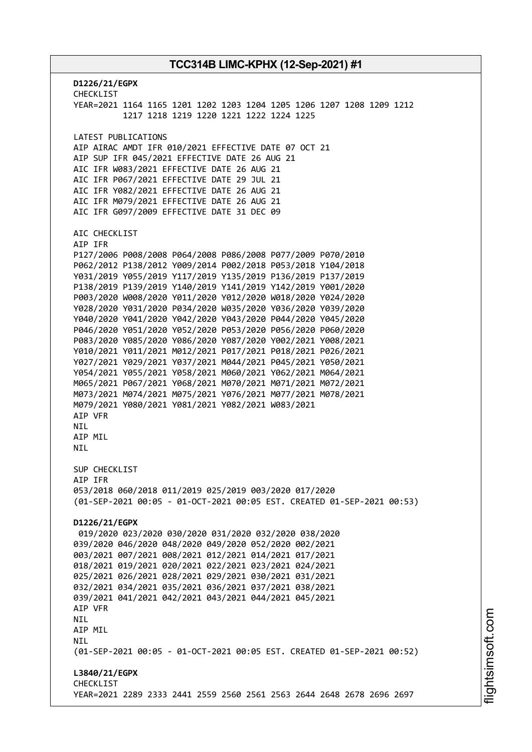**D1226/21/EGPX** CHECKLIST YEAR=2021 1164 1165 1201 1202 1203 1204 1205 1206 1207 1208 1209 1212 1217 1218 1219 1220 1221 1222 1224 1225 LATEST PUBLICATIONS AIP AIRAC AMDT IFR 010/2021 EFFECTIVE DATE 07 OCT 21 AIP SUP IFR 045/2021 EFFECTIVE DATE 26 AUG 21 AIC IFR W083/2021 EFFECTIVE DATE 26 AUG 21 AIC IFR P067/2021 EFFECTIVE DATE 29 JUL 21 AIC IFR Y082/2021 EFFECTIVE DATE 26 AUG 21 AIC IFR M079/2021 EFFECTIVE DATE 26 AUG 21 AIC IFR G097/2009 EFFECTIVE DATE 31 DEC 09 AIC CHECKLIST AIP IFR P127/2006 P008/2008 P064/2008 P086/2008 P077/2009 P070/2010 P062/2012 P138/2012 Y009/2014 P002/2018 P053/2018 Y104/2018 Y031/2019 Y055/2019 Y117/2019 Y135/2019 P136/2019 P137/2019 P138/2019 P139/2019 Y140/2019 Y141/2019 Y142/2019 Y001/2020 P003/2020 W008/2020 Y011/2020 Y012/2020 W018/2020 Y024/2020 Y028/2020 Y031/2020 P034/2020 W035/2020 Y036/2020 Y039/2020 Y040/2020 Y041/2020 Y042/2020 Y043/2020 P044/2020 Y045/2020 P046/2020 Y051/2020 Y052/2020 P053/2020 P056/2020 P060/2020 P083/2020 Y085/2020 Y086/2020 Y087/2020 Y002/2021 Y008/2021 Y010/2021 Y011/2021 M012/2021 P017/2021 P018/2021 P026/2021 Y027/2021 Y029/2021 Y037/2021 M044/2021 P045/2021 Y050/2021 Y054/2021 Y055/2021 Y058/2021 M060/2021 Y062/2021 M064/2021 M065/2021 P067/2021 Y068/2021 M070/2021 M071/2021 M072/2021 M073/2021 M074/2021 M075/2021 Y076/2021 M077/2021 M078/2021 M079/2021 Y080/2021 Y081/2021 Y082/2021 W083/2021 AIP VFR NIL **ATP MTL** NIL SUP CHECKLIST AIP IFR 053/2018 060/2018 011/2019 025/2019 003/2020 017/2020 (01-SEP-2021 00:05 - 01-OCT-2021 00:05 EST. CREATED 01-SEP-2021 00:53) **D1226/21/EGPX** 019/2020 023/2020 030/2020 031/2020 032/2020 038/2020 039/2020 046/2020 048/2020 049/2020 052/2020 002/2021 003/2021 007/2021 008/2021 012/2021 014/2021 017/2021 018/2021 019/2021 020/2021 022/2021 023/2021 024/2021 025/2021 026/2021 028/2021 029/2021 030/2021 031/2021 032/2021 034/2021 035/2021 036/2021 037/2021 038/2021 039/2021 041/2021 042/2021 043/2021 044/2021 045/2021 AIP VFR NIL AIP MIL NIL (01-SEP-2021 00:05 - 01-OCT-2021 00:05 EST. CREATED 01-SEP-2021 00:52) **L3840/21/EGPX** CHECKLIST YEAR=2021 2289 2333 2441 2559 2560 2561 2563 2644 2648 2678 2696 2697

m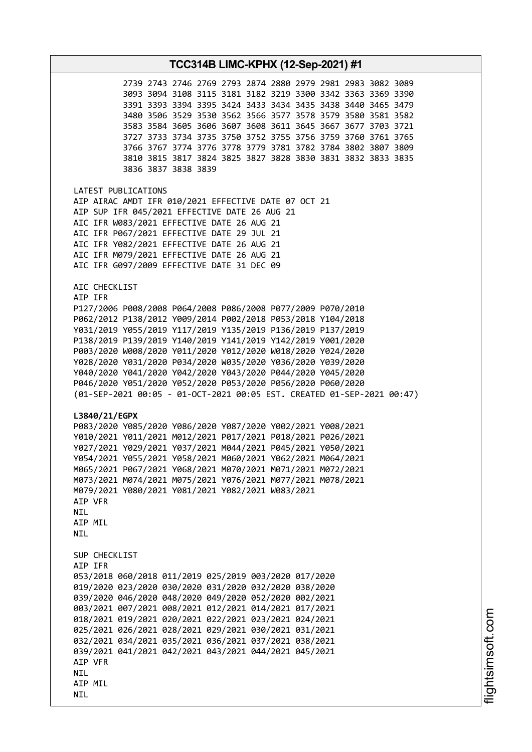| TCC314B LIMC-KPHX (12-Sep-2021) #1                                                                                                                                                                                                                                                                                                                                                                                                                                                                                                                                                                                                                                                                                                                                                                                                                                                                                                                                                                                                                                                         |  |  |  |  |
|--------------------------------------------------------------------------------------------------------------------------------------------------------------------------------------------------------------------------------------------------------------------------------------------------------------------------------------------------------------------------------------------------------------------------------------------------------------------------------------------------------------------------------------------------------------------------------------------------------------------------------------------------------------------------------------------------------------------------------------------------------------------------------------------------------------------------------------------------------------------------------------------------------------------------------------------------------------------------------------------------------------------------------------------------------------------------------------------|--|--|--|--|
| 2739 2743 2746 2769 2793 2874 2880 2979 2981 2983 3082 3089<br>3093 3094 3108 3115 3181 3182 3219 3300 3342 3363 3369 3390<br>3391 3393 3394 3395 3424 3433 3434 3435 3438 3440 3465 3479<br>3480 3506 3529 3530 3562 3566 3577 3578 3579 3580 3581 3582<br>3583 3584 3605 3606 3607 3608 3611 3645 3667 3677 3703 3721<br>3727 3733 3734 3735 3750 3752 3755 3756 3759 3760 3761 3765<br>3766 3767 3774 3776 3778 3779 3781 3782 3784 3802 3807 3809<br>3810 3815 3817 3824 3825 3827 3828 3830 3831 3832 3833 3835<br>3836 3837 3838 3839                                                                                                                                                                                                                                                                                                                                                                                                                                                                                                                                                |  |  |  |  |
| LATEST PUBLICATIONS<br>AIP AIRAC AMDT IFR 010/2021 EFFECTIVE DATE 07 OCT 21<br>AIP SUP IFR 045/2021 EFFECTIVE DATE 26 AUG 21<br>AIC IFR W083/2021 EFFECTIVE DATE 26 AUG 21<br>AIC IFR P067/2021 EFFECTIVE DATE 29 JUL 21<br>AIC IFR Y082/2021 EFFECTIVE DATE 26 AUG 21<br>AIC IFR M079/2021 EFFECTIVE DATE 26 AUG 21<br>AIC IFR G097/2009 EFFECTIVE DATE 31 DEC 09                                                                                                                                                                                                                                                                                                                                                                                                                                                                                                                                                                                                                                                                                                                         |  |  |  |  |
| AIC CHECKLIST<br>AIP IFR<br>P127/2006 P008/2008 P064/2008 P086/2008 P077/2009 P070/2010<br>P062/2012 P138/2012 Y009/2014 P002/2018 P053/2018 Y104/2018<br>Y031/2019 Y055/2019 Y117/2019 Y135/2019 P136/2019 P137/2019<br>P138/2019 P139/2019 Y140/2019 Y141/2019 Y142/2019 Y001/2020<br>P003/2020 W008/2020 Y011/2020 Y012/2020 W018/2020 Y024/2020<br>Y028/2020 Y031/2020 P034/2020 W035/2020 Y036/2020 Y039/2020<br>Y040/2020 Y041/2020 Y042/2020 Y043/2020 P044/2020 Y045/2020<br>P046/2020 Y051/2020 Y052/2020 P053/2020 P056/2020 P060/2020<br>(01-SEP-2021 00:05 - 01-OCT-2021 00:05 EST. CREATED 01-SEP-2021 00:47)<br>L3840/21/EGPX<br>P083/2020 Y085/2020 Y086/2020 Y087/2020 Y002/2021 Y008/2021<br>Y010/2021 Y011/2021 M012/2021 P017/2021 P018/2021 P026/2021<br>Y027/2021 Y029/2021 Y037/2021 M044/2021 P045/2021 Y050/2021<br>Y054/2021 Y055/2021 Y058/2021 M060/2021 Y062/2021 M064/2021<br>M065/2021 P067/2021 Y068/2021 M070/2021 M071/2021 M072/2021<br>M073/2021 M074/2021 M075/2021 Y076/2021 M077/2021 M078/2021<br>M079/2021 Y080/2021 Y081/2021 Y082/2021 W083/2021 |  |  |  |  |
| AIP VFR<br>NIL<br>AIP MIL<br>NIL<br>SUP CHECKLIST<br>AIP IFR<br>053/2018 060/2018 011/2019 025/2019 003/2020 017/2020<br>019/2020 023/2020 030/2020 031/2020 032/2020 038/2020<br>039/2020 046/2020 048/2020 049/2020 052/2020 002/2021<br>003/2021 007/2021 008/2021 012/2021 014/2021 017/2021<br>018/2021 019/2021 020/2021 022/2021 023/2021 024/2021<br>025/2021 026/2021 028/2021 029/2021 030/2021 031/2021<br>032/2021 034/2021 035/2021 036/2021 037/2021 038/2021                                                                                                                                                                                                                                                                                                                                                                                                                                                                                                                                                                                                                |  |  |  |  |
| 039/2021 041/2021 042/2021 043/2021 044/2021 045/2021<br>AIP VFR<br>NIL<br>AIP MIL<br>NIL                                                                                                                                                                                                                                                                                                                                                                                                                                                                                                                                                                                                                                                                                                                                                                                                                                                                                                                                                                                                  |  |  |  |  |

m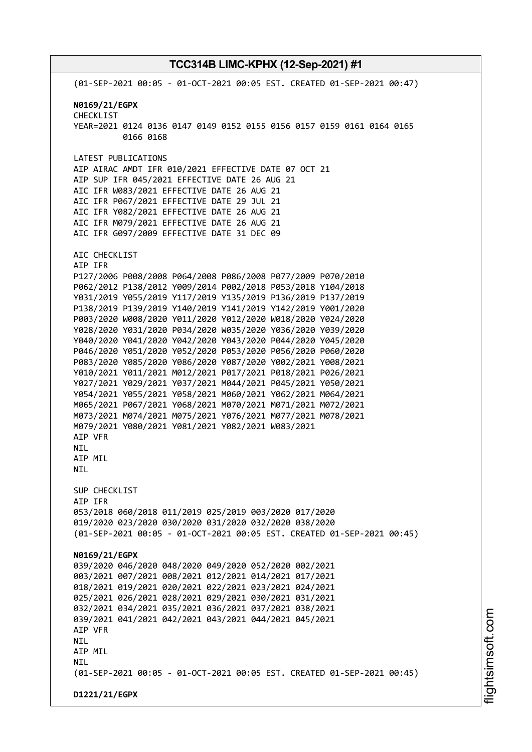(01-SEP-2021 00:05 - 01-OCT-2021 00:05 EST. CREATED 01-SEP-2021 00:47) **N0169/21/EGPX** CHECKLIST YEAR=2021 0124 0136 0147 0149 0152 0155 0156 0157 0159 0161 0164 0165 0166 0168 LATEST PUBLICATIONS AIP AIRAC AMDT IFR 010/2021 EFFECTIVE DATE 07 OCT 21 AIP SUP IFR 045/2021 EFFECTIVE DATE 26 AUG 21 AIC IFR W083/2021 EFFECTIVE DATE 26 AUG 21 AIC IFR P067/2021 EFFECTIVE DATE 29 JUL 21 AIC IFR Y082/2021 EFFECTIVE DATE 26 AUG 21 AIC IFR M079/2021 EFFECTIVE DATE 26 AUG 21 AIC IFR G097/2009 EFFECTIVE DATE 31 DEC 09 AIC CHECKLIST AIP IFR P127/2006 P008/2008 P064/2008 P086/2008 P077/2009 P070/2010 P062/2012 P138/2012 Y009/2014 P002/2018 P053/2018 Y104/2018 Y031/2019 Y055/2019 Y117/2019 Y135/2019 P136/2019 P137/2019 P138/2019 P139/2019 Y140/2019 Y141/2019 Y142/2019 Y001/2020 P003/2020 W008/2020 Y011/2020 Y012/2020 W018/2020 Y024/2020 Y028/2020 Y031/2020 P034/2020 W035/2020 Y036/2020 Y039/2020 Y040/2020 Y041/2020 Y042/2020 Y043/2020 P044/2020 Y045/2020 P046/2020 Y051/2020 Y052/2020 P053/2020 P056/2020 P060/2020 P083/2020 Y085/2020 Y086/2020 Y087/2020 Y002/2021 Y008/2021 Y010/2021 Y011/2021 M012/2021 P017/2021 P018/2021 P026/2021 Y027/2021 Y029/2021 Y037/2021 M044/2021 P045/2021 Y050/2021 Y054/2021 Y055/2021 Y058/2021 M060/2021 Y062/2021 M064/2021 M065/2021 P067/2021 Y068/2021 M070/2021 M071/2021 M072/2021 M073/2021 M074/2021 M075/2021 Y076/2021 M077/2021 M078/2021 M079/2021 Y080/2021 Y081/2021 Y082/2021 W083/2021 AIP VFR NIL AIP MIL NIL SUP CHECKLIST AIP IFR 053/2018 060/2018 011/2019 025/2019 003/2020 017/2020 019/2020 023/2020 030/2020 031/2020 032/2020 038/2020 (01-SEP-2021 00:05 - 01-OCT-2021 00:05 EST. CREATED 01-SEP-2021 00:45) **N0169/21/EGPX** 039/2020 046/2020 048/2020 049/2020 052/2020 002/2021 003/2021 007/2021 008/2021 012/2021 014/2021 017/2021 018/2021 019/2021 020/2021 022/2021 023/2021 024/2021 025/2021 026/2021 028/2021 029/2021 030/2021 031/2021 032/2021 034/2021 035/2021 036/2021 037/2021 038/2021 039/2021 041/2021 042/2021 043/2021 044/2021 045/2021 AIP VFR NIL AIP MIL NIL (01-SEP-2021 00:05 - 01-OCT-2021 00:05 EST. CREATED 01-SEP-2021 00:45) **D1221/21/EGPX**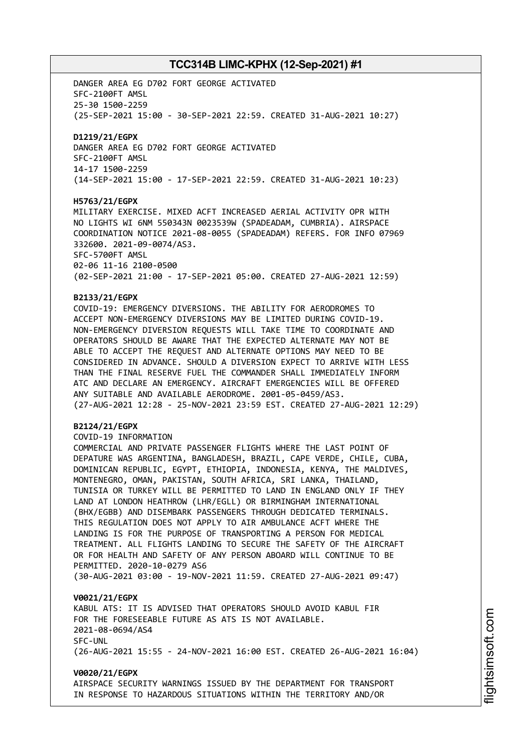DANGER AREA EG D702 FORT GEORGE ACTIVATED SFC-2100FT AMSL 25-30 1500-2259 (25-SEP-2021 15:00 - 30-SEP-2021 22:59. CREATED 31-AUG-2021 10:27) **D1219/21/EGPX** DANGER AREA EG D702 FORT GEORGE ACTIVATED SFC-2100FT AMSL 14-17 1500-2259 (14-SEP-2021 15:00 - 17-SEP-2021 22:59. CREATED 31-AUG-2021 10:23) **H5763/21/EGPX** MILITARY EXERCISE. MIXED ACFT INCREASED AERIAL ACTIVITY OPR WITH NO LIGHTS WI 6NM 550343N 0023539W (SPADEADAM, CUMBRIA). AIRSPACE COORDINATION NOTICE 2021-08-0055 (SPADEADAM) REFERS. FOR INFO 07969 332600. 2021-09-0074/AS3.

SFC-5700FT AMSL 02-06 11-16 2100-0500 (02-SEP-2021 21:00 - 17-SEP-2021 05:00. CREATED 27-AUG-2021 12:59)

#### **B2133/21/EGPX**

COVID-19: EMERGENCY DIVERSIONS. THE ABILITY FOR AERODROMES TO ACCEPT NON-EMERGENCY DIVERSIONS MAY BE LIMITED DURING COVID-19. NON-EMERGENCY DIVERSION REQUESTS WILL TAKE TIME TO COORDINATE AND OPERATORS SHOULD BE AWARE THAT THE EXPECTED ALTERNATE MAY NOT BE ABLE TO ACCEPT THE REQUEST AND ALTERNATE OPTIONS MAY NEED TO BE CONSIDERED IN ADVANCE. SHOULD A DIVERSION EXPECT TO ARRIVE WITH LESS THAN THE FINAL RESERVE FUEL THE COMMANDER SHALL IMMEDIATELY INFORM ATC AND DECLARE AN EMERGENCY. AIRCRAFT EMERGENCIES WILL BE OFFERED ANY SUITABLE AND AVAILABLE AERODROME. 2001-05-0459/AS3. (27-AUG-2021 12:28 - 25-NOV-2021 23:59 EST. CREATED 27-AUG-2021 12:29)

#### **B2124/21/EGPX**

COVID-19 INFORMATION

COMMERCIAL AND PRIVATE PASSENGER FLIGHTS WHERE THE LAST POINT OF DEPATURE WAS ARGENTINA, BANGLADESH, BRAZIL, CAPE VERDE, CHILE, CUBA, DOMINICAN REPUBLIC, EGYPT, ETHIOPIA, INDONESIA, KENYA, THE MALDIVES, MONTENEGRO, OMAN, PAKISTAN, SOUTH AFRICA, SRI LANKA, THAILAND, TUNISIA OR TURKEY WILL BE PERMITTED TO LAND IN ENGLAND ONLY IF THEY LAND AT LONDON HEATHROW (LHR/EGLL) OR BIRMINGHAM INTERNATIONAL (BHX/EGBB) AND DISEMBARK PASSENGERS THROUGH DEDICATED TERMINALS. THIS REGULATION DOES NOT APPLY TO AIR AMBULANCE ACFT WHERE THE LANDING IS FOR THE PURPOSE OF TRANSPORTING A PERSON FOR MEDICAL TREATMENT. ALL FLIGHTS LANDING TO SECURE THE SAFETY OF THE AIRCRAFT OR FOR HEALTH AND SAFETY OF ANY PERSON ABOARD WILL CONTINUE TO BE PERMITTED. 2020-10-0279 AS6 (30-AUG-2021 03:00 - 19-NOV-2021 11:59. CREATED 27-AUG-2021 09:47)

#### **V0021/21/EGPX**

KABUL ATS: IT IS ADVISED THAT OPERATORS SHOULD AVOID KABUL FIR FOR THE FORESEEABLE FUTURE AS ATS IS NOT AVAILABLE. 2021-08-0694/AS4 SFC-UNL (26-AUG-2021 15:55 - 24-NOV-2021 16:00 EST. CREATED 26-AUG-2021 16:04)

#### **V0020/21/EGPX**

AIRSPACE SECURITY WARNINGS ISSUED BY THE DEPARTMENT FOR TRANSPORT IN RESPONSE TO HAZARDOUS SITUATIONS WITHIN THE TERRITORY AND/OR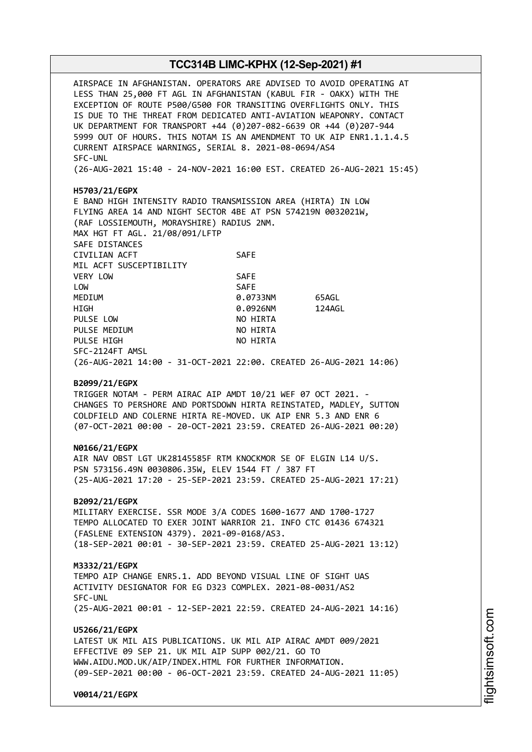AIRSPACE IN AFGHANISTAN. OPERATORS ARE ADVISED TO AVOID OPERATING AT LESS THAN 25,000 FT AGL IN AFGHANISTAN (KABUL FIR - OAKX) WITH THE EXCEPTION OF ROUTE P500/G500 FOR TRANSITING OVERFLIGHTS ONLY. THIS IS DUE TO THE THREAT FROM DEDICATED ANTI-AVIATION WEAPONRY. CONTACT UK DEPARTMENT FOR TRANSPORT +44 (0)207-082-6639 OR +44 (0)207-944 5999 OUT OF HOURS. THIS NOTAM IS AN AMENDMENT TO UK AIP ENR1.1.1.4.5 CURRENT AIRSPACE WARNINGS, SERIAL 8. 2021-08-0694/AS4 SFC-UNL (26-AUG-2021 15:40 - 24-NOV-2021 16:00 EST. CREATED 26-AUG-2021 15:45) **H5703/21/EGPX** E BAND HIGH INTENSITY RADIO TRANSMISSION AREA (HIRTA) IN LOW FLYING AREA 14 AND NIGHT SECTOR 4BE AT PSN 574219N 0032021W, (RAF LOSSIEMOUTH, MORAYSHIRE) RADIUS 2NM. MAX HGT FT AGL. 21/08/091/LFTP SAFE DISTANCES CIVILIAN ACFT SAFE MIL ACFT SUSCEPTIBILITY VERY LOW SAFE LOW SAFE MEDIUM 0.0733NM 65AGL HIGH 0.0926NM 124AGL PULSE LOW NO HIRTA PULSE MEDIUM NO HIRTA PULSE HIGH NO HIRTA SFC-2124FT AMSL (26-AUG-2021 14:00 - 31-OCT-2021 22:00. CREATED 26-AUG-2021 14:06) **B2099/21/EGPX** TRIGGER NOTAM - PERM AIRAC AIP AMDT 10/21 WEF 07 OCT 2021. - CHANGES TO PERSHORE AND PORTSDOWN HIRTA REINSTATED, MADLEY, SUTTON COLDFIELD AND COLERNE HIRTA RE-MOVED. UK AIP ENR 5.3 AND ENR 6 (07-OCT-2021 00:00 - 20-OCT-2021 23:59. CREATED 26-AUG-2021 00:20) **N0166/21/EGPX** AIR NAV OBST LGT UK28145585F RTM KNOCKMOR SE OF ELGIN L14 U/S. PSN 573156.49N 0030806.35W, ELEV 1544 FT / 387 FT (25-AUG-2021 17:20 - 25-SEP-2021 23:59. CREATED 25-AUG-2021 17:21) **B2092/21/EGPX** MILITARY EXERCISE. SSR MODE 3/A CODES 1600-1677 AND 1700-1727 TEMPO ALLOCATED TO EXER JOINT WARRIOR 21. INFO CTC 01436 674321 (FASLENE EXTENSION 4379). 2021-09-0168/AS3. (18-SEP-2021 00:01 - 30-SEP-2021 23:59. CREATED 25-AUG-2021 13:12) **M3332/21/EGPX** TEMPO AIP CHANGE ENR5.1. ADD BEYOND VISUAL LINE OF SIGHT UAS ACTIVITY DESIGNATOR FOR EG D323 COMPLEX. 2021-08-0031/AS2 SFC-UNL (25-AUG-2021 00:01 - 12-SEP-2021 22:59. CREATED 24-AUG-2021 14:16) **U5266/21/EGPX** LATEST UK MIL AIS PUBLICATIONS. UK MIL AIP AIRAC AMDT 009/2021 EFFECTIVE 09 SEP 21. UK MIL AIP SUPP 002/21. GO TO WWW.AIDU.MOD.UK/AIP/INDEX.HTML FOR FURTHER INFORMATION. (09-SEP-2021 00:00 - 06-OCT-2021 23:59. CREATED 24-AUG-2021 11:05) **V0014/21/EGPX**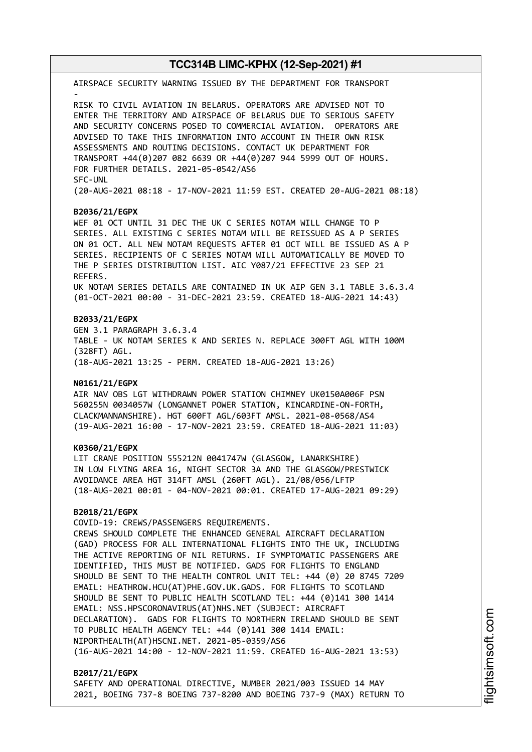AIRSPACE SECURITY WARNING ISSUED BY THE DEPARTMENT FOR TRANSPORT - RISK TO CIVIL AVIATION IN BELARUS. OPERATORS ARE ADVISED NOT TO ENTER THE TERRITORY AND AIRSPACE OF BELARUS DUE TO SERIOUS SAFETY AND SECURITY CONCERNS POSED TO COMMERCIAL AVIATION. OPERATORS ARE ADVISED TO TAKE THIS INFORMATION INTO ACCOUNT IN THEIR OWN RISK ASSESSMENTS AND ROUTING DECISIONS. CONTACT UK DEPARTMENT FOR TRANSPORT +44(0)207 082 6639 OR +44(0)207 944 5999 OUT OF HOURS. FOR FURTHER DETAILS. 2021-05-0542/AS6 SFC-UNL (20-AUG-2021 08:18 - 17-NOV-2021 11:59 EST. CREATED 20-AUG-2021 08:18)

#### **B2036/21/EGPX**

WEF 01 OCT UNTIL 31 DEC THE UK C SERIES NOTAM WILL CHANGE TO P SERIES. ALL EXISTING C SERIES NOTAM WILL BE REISSUED AS A P SERIES ON 01 OCT. ALL NEW NOTAM REQUESTS AFTER 01 OCT WILL BE ISSUED AS A P SERIES. RECIPIENTS OF C SERIES NOTAM WILL AUTOMATICALLY BE MOVED TO THE P SERIES DISTRIBUTION LIST. AIC Y087/21 EFFECTIVE 23 SEP 21 REFERS. UK NOTAM SERIES DETAILS ARE CONTAINED IN UK AIP GEN 3.1 TABLE 3.6.3.4 (01-OCT-2021 00:00 - 31-DEC-2021 23:59. CREATED 18-AUG-2021 14:43)

#### **B2033/21/EGPX**

GEN 3.1 PARAGRAPH 3.6.3.4 TABLE - UK NOTAM SERIES K AND SERIES N. REPLACE 300FT AGL WITH 100M (328FT) AGL. (18-AUG-2021 13:25 - PERM. CREATED 18-AUG-2021 13:26)

#### **N0161/21/EGPX**

AIR NAV OBS LGT WITHDRAWN POWER STATION CHIMNEY UK0150A006F PSN 560255N 0034057W (LONGANNET POWER STATION, KINCARDINE-ON-FORTH, CLACKMANNANSHIRE). HGT 600FT AGL/603FT AMSL. 2021-08-0568/AS4 (19-AUG-2021 16:00 - 17-NOV-2021 23:59. CREATED 18-AUG-2021 11:03)

#### **K0360/21/EGPX**

LIT CRANE POSITION 555212N 0041747W (GLASGOW, LANARKSHIRE) IN LOW FLYING AREA 16, NIGHT SECTOR 3A AND THE GLASGOW/PRESTWICK AVOIDANCE AREA HGT 314FT AMSL (260FT AGL). 21/08/056/LFTP (18-AUG-2021 00:01 - 04-NOV-2021 00:01. CREATED 17-AUG-2021 09:29)

### **B2018/21/EGPX**

COVID-19: CREWS/PASSENGERS REQUIREMENTS. CREWS SHOULD COMPLETE THE ENHANCED GENERAL AIRCRAFT DECLARATION (GAD) PROCESS FOR ALL INTERNATIONAL FLIGHTS INTO THE UK, INCLUDING THE ACTIVE REPORTING OF NIL RETURNS. IF SYMPTOMATIC PASSENGERS ARE IDENTIFIED, THIS MUST BE NOTIFIED. GADS FOR FLIGHTS TO ENGLAND SHOULD BE SENT TO THE HEALTH CONTROL UNIT TEL: +44 (0) 20 8745 7209 EMAIL: HEATHROW.HCU(AT)PHE.GOV.UK.GADS. FOR FLIGHTS TO SCOTLAND SHOULD BE SENT TO PUBLIC HEALTH SCOTLAND TEL: +44 (0)141 300 1414 EMAIL: NSS.HPSCORONAVIRUS(AT)NHS.NET (SUBJECT: AIRCRAFT DECLARATION). GADS FOR FLIGHTS TO NORTHERN IRELAND SHOULD BE SENT TO PUBLIC HEALTH AGENCY TEL: +44 (0)141 300 1414 EMAIL: NIPORTHEALTH(AT)HSCNI.NET. 2021-05-0359/AS6 (16-AUG-2021 14:00 - 12-NOV-2021 11:59. CREATED 16-AUG-2021 13:53)

#### **B2017/21/EGPX**

SAFETY AND OPERATIONAL DIRECTIVE, NUMBER 2021/003 ISSUED 14 MAY 2021, BOEING 737-8 BOEING 737-8200 AND BOEING 737-9 (MAX) RETURN TO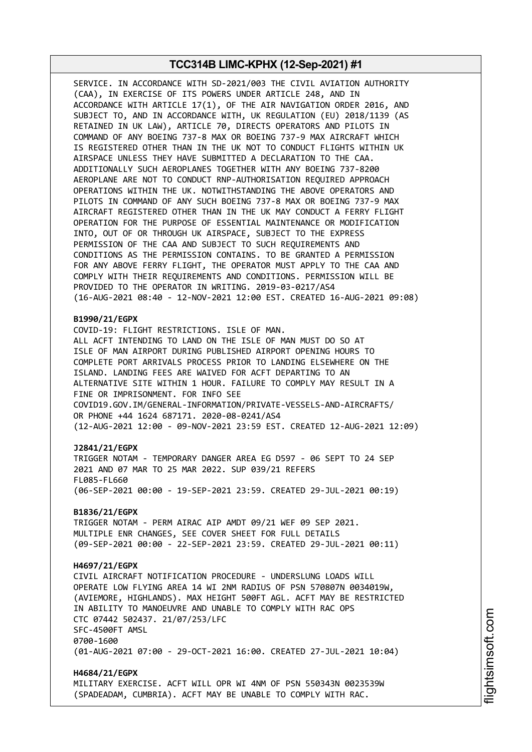SERVICE. IN ACCORDANCE WITH SD-2021/003 THE CIVIL AVIATION AUTHORITY (CAA), IN EXERCISE OF ITS POWERS UNDER ARTICLE 248, AND IN ACCORDANCE WITH ARTICLE 17(1), OF THE AIR NAVIGATION ORDER 2016, AND SUBJECT TO, AND IN ACCORDANCE WITH, UK REGULATION (EU) 2018/1139 (AS RETAINED IN UK LAW), ARTICLE 70, DIRECTS OPERATORS AND PILOTS IN COMMAND OF ANY BOEING 737-8 MAX OR BOEING 737-9 MAX AIRCRAFT WHICH IS REGISTERED OTHER THAN IN THE UK NOT TO CONDUCT FLIGHTS WITHIN UK AIRSPACE UNLESS THEY HAVE SUBMITTED A DECLARATION TO THE CAA. ADDITIONALLY SUCH AEROPLANES TOGETHER WITH ANY BOEING 737-8200 AEROPLANE ARE NOT TO CONDUCT RNP-AUTHORISATION REQUIRED APPROACH OPERATIONS WITHIN THE UK. NOTWITHSTANDING THE ABOVE OPERATORS AND PILOTS IN COMMAND OF ANY SUCH BOEING 737-8 MAX OR BOEING 737-9 MAX AIRCRAFT REGISTERED OTHER THAN IN THE UK MAY CONDUCT A FERRY FLIGHT OPERATION FOR THE PURPOSE OF ESSENTIAL MAINTENANCE OR MODIFICATION INTO, OUT OF OR THROUGH UK AIRSPACE, SUBJECT TO THE EXPRESS PERMISSION OF THE CAA AND SUBJECT TO SUCH REQUIREMENTS AND CONDITIONS AS THE PERMISSION CONTAINS. TO BE GRANTED A PERMISSION FOR ANY ABOVE FERRY FLIGHT, THE OPERATOR MUST APPLY TO THE CAA AND COMPLY WITH THEIR REQUIREMENTS AND CONDITIONS. PERMISSION WILL BE PROVIDED TO THE OPERATOR IN WRITING. 2019-03-0217/AS4 (16-AUG-2021 08:40 - 12-NOV-2021 12:00 EST. CREATED 16-AUG-2021 09:08)

#### **B1990/21/EGPX**

COVID-19: FLIGHT RESTRICTIONS. ISLE OF MAN. ALL ACFT INTENDING TO LAND ON THE ISLE OF MAN MUST DO SO AT ISLE OF MAN AIRPORT DURING PUBLISHED AIRPORT OPENING HOURS TO COMPLETE PORT ARRIVALS PROCESS PRIOR TO LANDING ELSEWHERE ON THE ISLAND. LANDING FEES ARE WAIVED FOR ACFT DEPARTING TO AN ALTERNATIVE SITE WITHIN 1 HOUR. FAILURE TO COMPLY MAY RESULT IN A FINE OR IMPRISONMENT. FOR INFO SEE COVID19.GOV.IM/GENERAL-INFORMATION/PRIVATE-VESSELS-AND-AIRCRAFTS/ OR PHONE +44 1624 687171. 2020-08-0241/AS4 (12-AUG-2021 12:00 - 09-NOV-2021 23:59 EST. CREATED 12-AUG-2021 12:09)

#### **J2841/21/EGPX**

TRIGGER NOTAM - TEMPORARY DANGER AREA EG D597 - 06 SEPT TO 24 SEP 2021 AND 07 MAR TO 25 MAR 2022. SUP 039/21 REFERS FL085-FL660 (06-SEP-2021 00:00 - 19-SEP-2021 23:59. CREATED 29-JUL-2021 00:19)

#### **B1836/21/EGPX**

TRIGGER NOTAM - PERM AIRAC AIP AMDT 09/21 WEF 09 SEP 2021. MULTIPLE ENR CHANGES, SEE COVER SHEET FOR FULL DETAILS (09-SEP-2021 00:00 - 22-SEP-2021 23:59. CREATED 29-JUL-2021 00:11)

#### **H4697/21/EGPX**

CIVIL AIRCRAFT NOTIFICATION PROCEDURE - UNDERSLUNG LOADS WILL OPERATE LOW FLYING AREA 14 WI 2NM RADIUS OF PSN 570807N 0034019W, (AVIEMORE, HIGHLANDS). MAX HEIGHT 500FT AGL. ACFT MAY BE RESTRICTED IN ABILITY TO MANOEUVRE AND UNABLE TO COMPLY WITH RAC OPS CTC 07442 502437. 21/07/253/LFC SFC-4500FT AMSL 0700-1600 (01-AUG-2021 07:00 - 29-OCT-2021 16:00. CREATED 27-JUL-2021 10:04)

**H4684/21/EGPX** MILITARY EXERCISE. ACFT WILL OPR WI 4NM OF PSN 550343N 0023539W (SPADEADAM, CUMBRIA). ACFT MAY BE UNABLE TO COMPLY WITH RAC.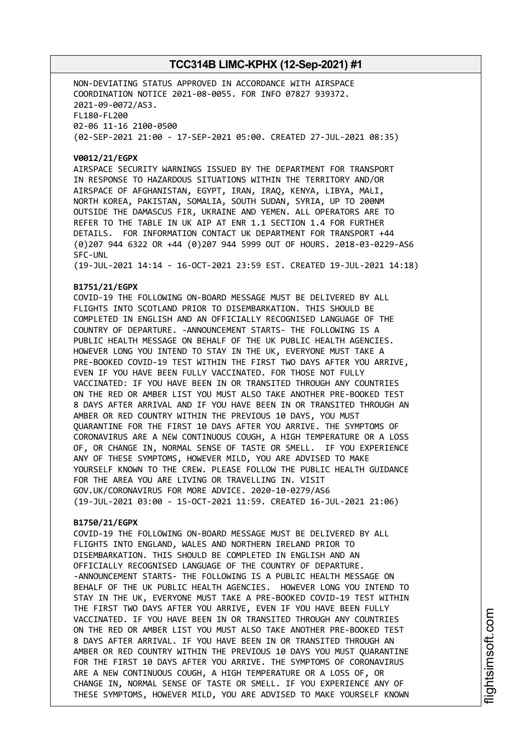NON-DEVIATING STATUS APPROVED IN ACCORDANCE WITH AIRSPACE COORDINATION NOTICE 2021-08-0055. FOR INFO 07827 939372. 2021-09-0072/AS3. FL180-FL200 02-06 11-16 2100-0500 (02-SEP-2021 21:00 - 17-SEP-2021 05:00. CREATED 27-JUL-2021 08:35)

#### **V0012/21/EGPX**

AIRSPACE SECURITY WARNINGS ISSUED BY THE DEPARTMENT FOR TRANSPORT IN RESPONSE TO HAZARDOUS SITUATIONS WITHIN THE TERRITORY AND/OR AIRSPACE OF AFGHANISTAN, EGYPT, IRAN, IRAQ, KENYA, LIBYA, MALI, NORTH KOREA, PAKISTAN, SOMALIA, SOUTH SUDAN, SYRIA, UP TO 200NM OUTSIDE THE DAMASCUS FIR, UKRAINE AND YEMEN. ALL OPERATORS ARE TO REFER TO THE TABLE IN UK AIP AT ENR 1.1 SECTION 1.4 FOR FURTHER DETAILS. FOR INFORMATION CONTACT UK DEPARTMENT FOR TRANSPORT +44 (0)207 944 6322 OR +44 (0)207 944 5999 OUT OF HOURS. 2018-03-0229-AS6 SFC-UNL

(19-JUL-2021 14:14 - 16-OCT-2021 23:59 EST. CREATED 19-JUL-2021 14:18)

### **B1751/21/EGPX**

COVID-19 THE FOLLOWING ON-BOARD MESSAGE MUST BE DELIVERED BY ALL FLIGHTS INTO SCOTLAND PRIOR TO DISEMBARKATION. THIS SHOULD BE COMPLETED IN ENGLISH AND AN OFFICIALLY RECOGNISED LANGUAGE OF THE COUNTRY OF DEPARTURE. -ANNOUNCEMENT STARTS- THE FOLLOWING IS A PUBLIC HEALTH MESSAGE ON BEHALF OF THE UK PUBLIC HEALTH AGENCIES. HOWEVER LONG YOU INTEND TO STAY IN THE UK, EVERYONE MUST TAKE A PRE-BOOKED COVID-19 TEST WITHIN THE FIRST TWO DAYS AFTER YOU ARRIVE, EVEN IF YOU HAVE BEEN FULLY VACCINATED. FOR THOSE NOT FULLY VACCINATED: IF YOU HAVE BEEN IN OR TRANSITED THROUGH ANY COUNTRIES ON THE RED OR AMBER LIST YOU MUST ALSO TAKE ANOTHER PRE-BOOKED TEST 8 DAYS AFTER ARRIVAL AND IF YOU HAVE BEEN IN OR TRANSITED THROUGH AN AMBER OR RED COUNTRY WITHIN THE PREVIOUS 10 DAYS, YOU MUST QUARANTINE FOR THE FIRST 10 DAYS AFTER YOU ARRIVE. THE SYMPTOMS OF CORONAVIRUS ARE A NEW CONTINUOUS COUGH, A HIGH TEMPERATURE OR A LOSS OF, OR CHANGE IN, NORMAL SENSE OF TASTE OR SMELL. IF YOU EXPERIENCE ANY OF THESE SYMPTOMS, HOWEVER MILD, YOU ARE ADVISED TO MAKE YOURSELF KNOWN TO THE CREW. PLEASE FOLLOW THE PUBLIC HEALTH GUIDANCE FOR THE AREA YOU ARE LIVING OR TRAVELLING IN. VISIT GOV.UK/CORONAVIRUS FOR MORE ADVICE. 2020-10-0279/AS6 (19-JUL-2021 03:00 - 15-OCT-2021 11:59. CREATED 16-JUL-2021 21:06)

### **B1750/21/EGPX**

COVID-19 THE FOLLOWING ON-BOARD MESSAGE MUST BE DELIVERED BY ALL FLIGHTS INTO ENGLAND, WALES AND NORTHERN IRELAND PRIOR TO DISEMBARKATION. THIS SHOULD BE COMPLETED IN ENGLISH AND AN OFFICIALLY RECOGNISED LANGUAGE OF THE COUNTRY OF DEPARTURE. -ANNOUNCEMENT STARTS- THE FOLLOWING IS A PUBLIC HEALTH MESSAGE ON BEHALF OF THE UK PUBLIC HEALTH AGENCIES. HOWEVER LONG YOU INTEND TO STAY IN THE UK, EVERYONE MUST TAKE A PRE-BOOKED COVID-19 TEST WITHIN THE FIRST TWO DAYS AFTER YOU ARRIVE, EVEN IF YOU HAVE BEEN FULLY VACCINATED. IF YOU HAVE BEEN IN OR TRANSITED THROUGH ANY COUNTRIES ON THE RED OR AMBER LIST YOU MUST ALSO TAKE ANOTHER PRE-BOOKED TEST 8 DAYS AFTER ARRIVAL. IF YOU HAVE BEEN IN OR TRANSITED THROUGH AN AMBER OR RED COUNTRY WITHIN THE PREVIOUS 10 DAYS YOU MUST QUARANTINE FOR THE FIRST 10 DAYS AFTER YOU ARRIVE. THE SYMPTOMS OF CORONAVIRUS ARE A NEW CONTINUOUS COUGH, A HIGH TEMPERATURE OR A LOSS OF, OR CHANGE IN, NORMAL SENSE OF TASTE OR SMELL. IF YOU EXPERIENCE ANY OF THESE SYMPTOMS, HOWEVER MILD, YOU ARE ADVISED TO MAKE YOURSELF KNOWN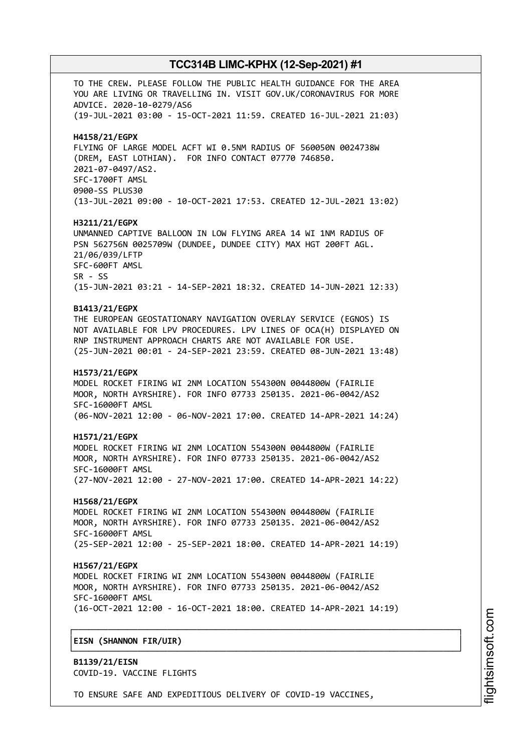TO THE CREW. PLEASE FOLLOW THE PUBLIC HEALTH GUIDANCE FOR THE AREA YOU ARE LIVING OR TRAVELLING IN. VISIT GOV.UK/CORONAVIRUS FOR MORE ADVICE. 2020-10-0279/AS6 (19-JUL-2021 03:00 - 15-OCT-2021 11:59. CREATED 16-JUL-2021 21:03) **H4158/21/EGPX** FLYING OF LARGE MODEL ACFT WI 0.5NM RADIUS OF 560050N 0024738W (DREM, EAST LOTHIAN). FOR INFO CONTACT 07770 746850. 2021-07-0497/AS2. SFC-1700FT AMSL 0900-SS PLUS30 (13-JUL-2021 09:00 - 10-OCT-2021 17:53. CREATED 12-JUL-2021 13:02) **H3211/21/EGPX** UNMANNED CAPTIVE BALLOON IN LOW FLYING AREA 14 WI 1NM RADIUS OF PSN 562756N 0025709W (DUNDEE, DUNDEE CITY) MAX HGT 200FT AGL. 21/06/039/LFTP SFC-600FT AMSL SR - SS (15-JUN-2021 03:21 - 14-SEP-2021 18:32. CREATED 14-JUN-2021 12:33) **B1413/21/EGPX** THE EUROPEAN GEOSTATIONARY NAVIGATION OVERLAY SERVICE (EGNOS) IS NOT AVAILABLE FOR LPV PROCEDURES. LPV LINES OF OCA(H) DISPLAYED ON RNP INSTRUMENT APPROACH CHARTS ARE NOT AVAILABLE FOR USE. (25-JUN-2021 00:01 - 24-SEP-2021 23:59. CREATED 08-JUN-2021 13:48) **H1573/21/EGPX** MODEL ROCKET FIRING WI 2NM LOCATION 554300N 0044800W (FAIRLIE MOOR, NORTH AYRSHIRE). FOR INFO 07733 250135. 2021-06-0042/AS2 SFC-16000FT AMSL (06-NOV-2021 12:00 - 06-NOV-2021 17:00. CREATED 14-APR-2021 14:24) **H1571/21/EGPX** MODEL ROCKET FIRING WI 2NM LOCATION 554300N 0044800W (FAIRLIE MOOR, NORTH AYRSHIRE). FOR INFO 07733 250135. 2021-06-0042/AS2 SFC-16000FT AMSL (27-NOV-2021 12:00 - 27-NOV-2021 17:00. CREATED 14-APR-2021 14:22) **H1568/21/EGPX** MODEL ROCKET FIRING WI 2NM LOCATION 554300N 0044800W (FAIRLIE MOOR, NORTH AYRSHIRE). FOR INFO 07733 250135. 2021-06-0042/AS2 SFC-16000FT AMSL (25-SEP-2021 12:00 - 25-SEP-2021 18:00. CREATED 14-APR-2021 14:19) **H1567/21/EGPX** MODEL ROCKET FIRING WI 2NM LOCATION 554300N 0044800W (FAIRLIE MOOR, NORTH AYRSHIRE). FOR INFO 07733 250135. 2021-06-0042/AS2 SFC-16000FT AMSL (16-OCT-2021 12:00 - 16-OCT-2021 18:00. CREATED 14-APR-2021 14:19) ┌──────────────────────────────────────────────────────────────────────────────┐ │**EISN (SHANNON FIR/UIR)** │ └──────────────────────────────────────────────────────────────────────────────┘

**B1139/21/EISN** COVID-19. VACCINE FLIGHTS

TO ENSURE SAFE AND EXPEDITIOUS DELIVERY OF COVID-19 VACCINES,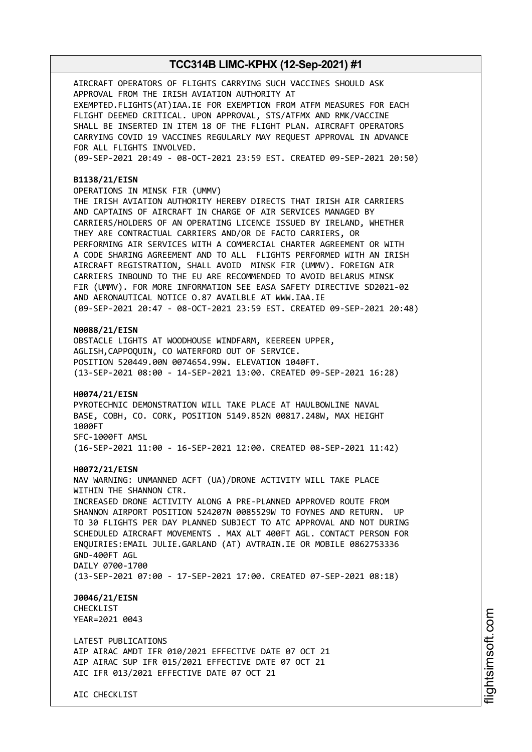AIRCRAFT OPERATORS OF FLIGHTS CARRYING SUCH VACCINES SHOULD ASK APPROVAL FROM THE IRISH AVIATION AUTHORITY AT EXEMPTED.FLIGHTS(AT)IAA.IE FOR EXEMPTION FROM ATFM MEASURES FOR EACH FLIGHT DEEMED CRITICAL. UPON APPROVAL, STS/ATFMX AND RMK/VACCINE SHALL BE INSERTED IN ITEM 18 OF THE FLIGHT PLAN. AIRCRAFT OPERATORS CARRYING COVID 19 VACCINES REGULARLY MAY REQUEST APPROVAL IN ADVANCE FOR ALL FLIGHTS INVOLVED. (09-SEP-2021 20:49 - 08-OCT-2021 23:59 EST. CREATED 09-SEP-2021 20:50)

#### **B1138/21/EISN**

OPERATIONS IN MINSK FIR (UMMV)

THE IRISH AVIATION AUTHORITY HEREBY DIRECTS THAT IRISH AIR CARRIERS AND CAPTAINS OF AIRCRAFT IN CHARGE OF AIR SERVICES MANAGED BY CARRIERS/HOLDERS OF AN OPERATING LICENCE ISSUED BY IRELAND, WHETHER THEY ARE CONTRACTUAL CARRIERS AND/OR DE FACTO CARRIERS, OR PERFORMING AIR SERVICES WITH A COMMERCIAL CHARTER AGREEMENT OR WITH A CODE SHARING AGREEMENT AND TO ALL FLIGHTS PERFORMED WITH AN IRISH AIRCRAFT REGISTRATION, SHALL AVOID MINSK FIR (UMMV). FOREIGN AIR CARRIERS INBOUND TO THE EU ARE RECOMMENDED TO AVOID BELARUS MINSK FIR (UMMV). FOR MORE INFORMATION SEE EASA SAFETY DIRECTIVE SD2021-02 AND AERONAUTICAL NOTICE O.87 AVAILBLE AT WWW.IAA.IE (09-SEP-2021 20:47 - 08-OCT-2021 23:59 EST. CREATED 09-SEP-2021 20:48)

#### **N0088/21/EISN**

OBSTACLE LIGHTS AT WOODHOUSE WINDFARM, KEEREEN UPPER, AGLISH,CAPPOQUIN, CO WATERFORD OUT OF SERVICE. POSITION 520449.00N 0074654.99W. ELEVATION 1040FT. (13-SEP-2021 08:00 - 14-SEP-2021 13:00. CREATED 09-SEP-2021 16:28)

#### **H0074/21/EISN**

PYROTECHNIC DEMONSTRATION WILL TAKE PLACE AT HAULBOWLINE NAVAL BASE, COBH, CO. CORK, POSITION 5149.852N 00817.248W, MAX HEIGHT 1000FT SFC-1000FT AMSL (16-SEP-2021 11:00 - 16-SEP-2021 12:00. CREATED 08-SEP-2021 11:42)

#### **H0072/21/EISN**

NAV WARNING: UNMANNED ACFT (UA)/DRONE ACTIVITY WILL TAKE PLACE WITHIN THE SHANNON CTR. INCREASED DRONE ACTIVITY ALONG A PRE-PLANNED APPROVED ROUTE FROM SHANNON AIRPORT POSITION 524207N 0085529W TO FOYNES AND RETURN. UP TO 30 FLIGHTS PER DAY PLANNED SUBJECT TO ATC APPROVAL AND NOT DURING SCHEDULED AIRCRAFT MOVEMENTS . MAX ALT 400FT AGL. CONTACT PERSON FOR ENQUIRIES:EMAIL JULIE.GARLAND (AT) AVTRAIN.IE OR MOBILE 0862753336 GND-400FT AGL DAILY 0700-1700 (13-SEP-2021 07:00 - 17-SEP-2021 17:00. CREATED 07-SEP-2021 08:18)

**J0046/21/EISN** CHECKLIST YEAR=2021 0043

LATEST PUBLICATIONS AIP AIRAC AMDT IFR 010/2021 EFFECTIVE DATE 07 OCT 21 AIP AIRAC SUP IFR 015/2021 EFFECTIVE DATE 07 OCT 21 AIC IFR 013/2021 EFFECTIVE DATE 07 OCT 21

AIC CHECKLIST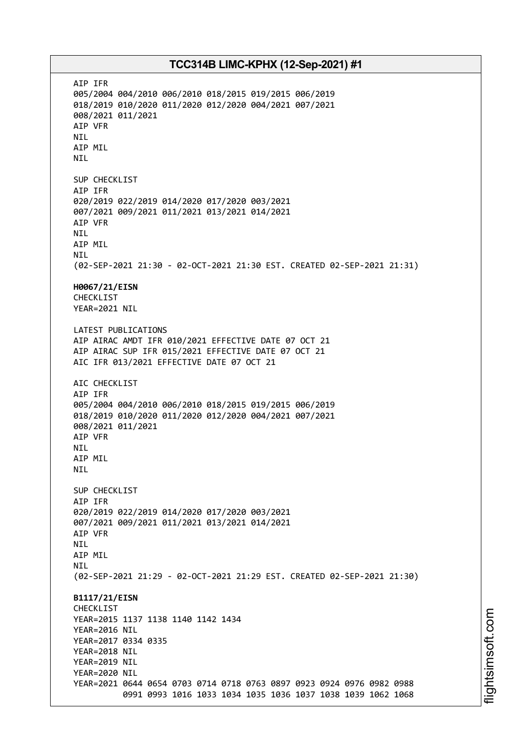AIP IFR 005/2004 004/2010 006/2010 018/2015 019/2015 006/2019 018/2019 010/2020 011/2020 012/2020 004/2021 007/2021 008/2021 011/2021 AIP VFR NIL AIP MIL NIL SUP CHECKLIST AIP IFR 020/2019 022/2019 014/2020 017/2020 003/2021 007/2021 009/2021 011/2021 013/2021 014/2021 AIP VFR NIL AIP MIL NIL (02-SEP-2021 21:30 - 02-OCT-2021 21:30 EST. CREATED 02-SEP-2021 21:31) **H0067/21/EISN** CHECKLIST YEAR=2021 NIL LATEST PUBLICATIONS AIP AIRAC AMDT IFR 010/2021 EFFECTIVE DATE 07 OCT 21 AIP AIRAC SUP IFR 015/2021 EFFECTIVE DATE 07 OCT 21 AIC IFR 013/2021 EFFECTIVE DATE 07 OCT 21 AIC CHECKLIST AIP IFR 005/2004 004/2010 006/2010 018/2015 019/2015 006/2019 018/2019 010/2020 011/2020 012/2020 004/2021 007/2021 008/2021 011/2021 AIP VFR NIL AIP MIL NIL SUP CHECKLIST AIP IFR 020/2019 022/2019 014/2020 017/2020 003/2021 007/2021 009/2021 011/2021 013/2021 014/2021 AIP VFR NIL AIP MIL **NTI** (02-SEP-2021 21:29 - 02-OCT-2021 21:29 EST. CREATED 02-SEP-2021 21:30) **B1117/21/EISN** CHECKLIST YEAR=2015 1137 1138 1140 1142 1434 YEAR=2016 NIL YEAR=2017 0334 0335 YEAR=2018 NIL YEAR=2019 NIL YEAR=2020 NIL YEAR=2021 0644 0654 0703 0714 0718 0763 0897 0923 0924 0976 0982 0988 0991 0993 1016 1033 1034 1035 1036 1037 1038 1039 1062 1068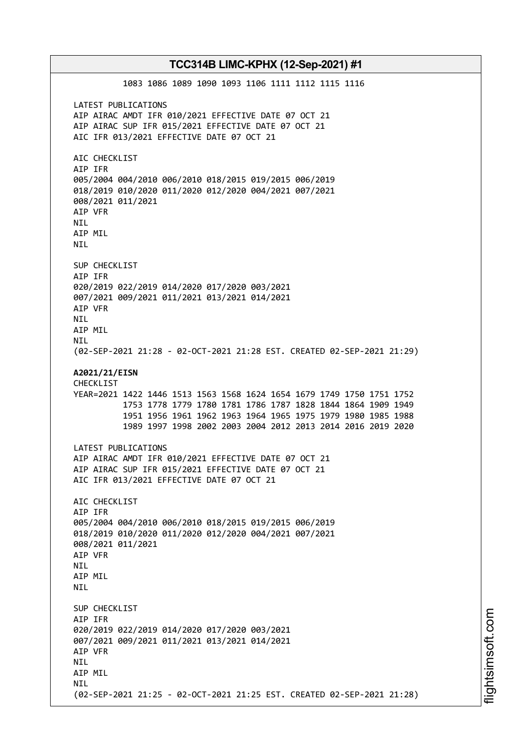1083 1086 1089 1090 1093 1106 1111 1112 1115 1116 LATEST PUBLICATIONS AIP AIRAC AMDT IFR 010/2021 EFFECTIVE DATE 07 OCT 21 AIP AIRAC SUP IFR 015/2021 EFFECTIVE DATE 07 OCT 21 AIC IFR 013/2021 EFFECTIVE DATE 07 OCT 21 AIC CHECKLIST AIP IFR 005/2004 004/2010 006/2010 018/2015 019/2015 006/2019 018/2019 010/2020 011/2020 012/2020 004/2021 007/2021 008/2021 011/2021 AIP VFR NIL AIP MIL NIL SUP CHECKLIST AIP IFR 020/2019 022/2019 014/2020 017/2020 003/2021 007/2021 009/2021 011/2021 013/2021 014/2021 AIP VFR NIL AIP MIL NIL (02-SEP-2021 21:28 - 02-OCT-2021 21:28 EST. CREATED 02-SEP-2021 21:29) **A2021/21/EISN** CHECKLIST YEAR=2021 1422 1446 1513 1563 1568 1624 1654 1679 1749 1750 1751 1752 1753 1778 1779 1780 1781 1786 1787 1828 1844 1864 1909 1949 1951 1956 1961 1962 1963 1964 1965 1975 1979 1980 1985 1988 1989 1997 1998 2002 2003 2004 2012 2013 2014 2016 2019 2020 LATEST PUBLICATIONS AIP AIRAC AMDT IFR 010/2021 EFFECTIVE DATE 07 OCT 21 AIP AIRAC SUP IFR 015/2021 EFFECTIVE DATE 07 OCT 21 AIC IFR 013/2021 EFFECTIVE DATE 07 OCT 21 AIC CHECKLIST AIP IFR 005/2004 004/2010 006/2010 018/2015 019/2015 006/2019 018/2019 010/2020 011/2020 012/2020 004/2021 007/2021 008/2021 011/2021 AIP VFR **NTI** AIP MIL **NTI** SUP CHECKLIST AIP IFR 020/2019 022/2019 014/2020 017/2020 003/2021 007/2021 009/2021 011/2021 013/2021 014/2021 AIP VFR NIL AIP MIL **NTI** (02-SEP-2021 21:25 - 02-OCT-2021 21:25 EST. CREATED 02-SEP-2021 21:28)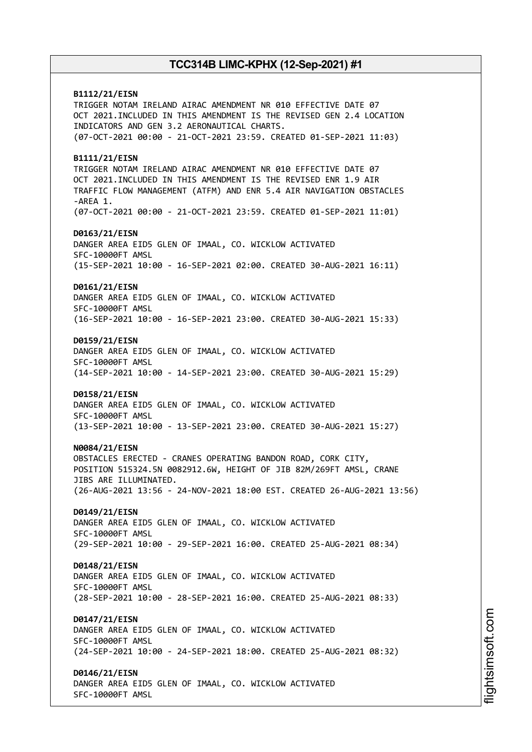**B1112/21/EISN** TRIGGER NOTAM IRELAND AIRAC AMENDMENT NR 010 EFFECTIVE DATE 07 OCT 2021.INCLUDED IN THIS AMENDMENT IS THE REVISED GEN 2.4 LOCATION INDICATORS AND GEN 3.2 AERONAUTICAL CHARTS. (07-OCT-2021 00:00 - 21-OCT-2021 23:59. CREATED 01-SEP-2021 11:03) **B1111/21/EISN** TRIGGER NOTAM IRELAND AIRAC AMENDMENT NR 010 EFFECTIVE DATE 07 OCT 2021.INCLUDED IN THIS AMENDMENT IS THE REVISED ENR 1.9 AIR TRAFFIC FLOW MANAGEMENT (ATFM) AND ENR 5.4 AIR NAVIGATION OBSTACLES -AREA 1. (07-OCT-2021 00:00 - 21-OCT-2021 23:59. CREATED 01-SEP-2021 11:01) **D0163/21/EISN** DANGER AREA EID5 GLEN OF IMAAL, CO. WICKLOW ACTIVATED SFC-10000FT AMSL (15-SEP-2021 10:00 - 16-SEP-2021 02:00. CREATED 30-AUG-2021 16:11) **D0161/21/EISN** DANGER AREA EID5 GLEN OF IMAAL, CO. WICKLOW ACTIVATED SFC-10000FT AMSL (16-SEP-2021 10:00 - 16-SEP-2021 23:00. CREATED 30-AUG-2021 15:33) **D0159/21/EISN** DANGER AREA EID5 GLEN OF IMAAL, CO. WICKLOW ACTIVATED SFC-10000FT AMSL (14-SEP-2021 10:00 - 14-SEP-2021 23:00. CREATED 30-AUG-2021 15:29) **D0158/21/EISN** DANGER AREA EID5 GLEN OF IMAAL, CO. WICKLOW ACTIVATED SFC-10000FT AMSL (13-SEP-2021 10:00 - 13-SEP-2021 23:00. CREATED 30-AUG-2021 15:27) **N0084/21/EISN** OBSTACLES ERECTED - CRANES OPERATING BANDON ROAD, CORK CITY, POSITION 515324.5N 0082912.6W, HEIGHT OF JIB 82M/269FT AMSL, CRANE JIBS ARE ILLUMINATED. (26-AUG-2021 13:56 - 24-NOV-2021 18:00 EST. CREATED 26-AUG-2021 13:56) **D0149/21/EISN** DANGER AREA EID5 GLEN OF IMAAL, CO. WICKLOW ACTIVATED SFC-10000FT AMSL (29-SEP-2021 10:00 - 29-SEP-2021 16:00. CREATED 25-AUG-2021 08:34) **D0148/21/EISN** DANGER AREA EID5 GLEN OF IMAAL, CO. WICKLOW ACTIVATED SFC-10000FT AMSL (28-SEP-2021 10:00 - 28-SEP-2021 16:00. CREATED 25-AUG-2021 08:33) **D0147/21/EISN** DANGER AREA EID5 GLEN OF IMAAL, CO. WICKLOW ACTIVATED SFC-10000FT AMSL (24-SEP-2021 10:00 - 24-SEP-2021 18:00. CREATED 25-AUG-2021 08:32) **D0146/21/EISN** DANGER AREA EID5 GLEN OF IMAAL, CO. WICKLOW ACTIVATED SFC-10000FT AMSL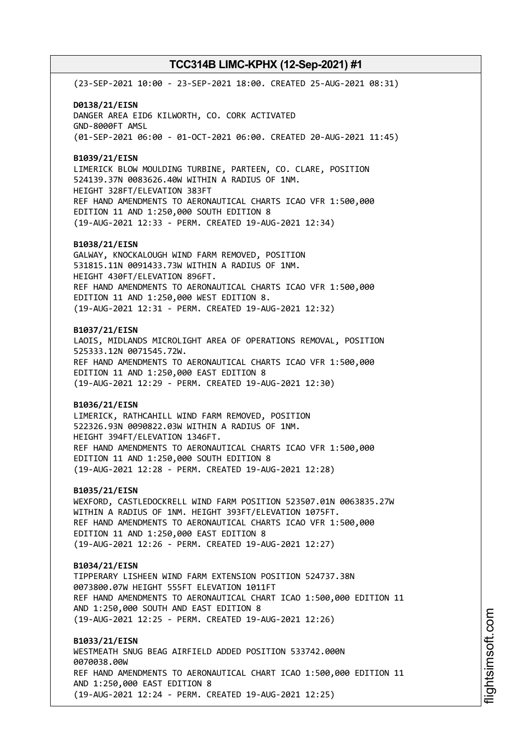(23-SEP-2021 10:00 - 23-SEP-2021 18:00. CREATED 25-AUG-2021 08:31)

**D0138/21/EISN** DANGER AREA EID6 KILWORTH, CO. CORK ACTIVATED GND-8000FT AMSL (01-SEP-2021 06:00 - 01-OCT-2021 06:00. CREATED 20-AUG-2021 11:45)

**B1039/21/EISN**

LIMERICK BLOW MOULDING TURBINE, PARTEEN, CO. CLARE, POSITION 524139.37N 0083626.40W WITHIN A RADIUS OF 1NM. HEIGHT 328FT/ELEVATION 383FT REF HAND AMENDMENTS TO AERONAUTICAL CHARTS ICAO VFR 1:500,000 EDITION 11 AND 1:250,000 SOUTH EDITION 8 (19-AUG-2021 12:33 - PERM. CREATED 19-AUG-2021 12:34)

#### **B1038/21/EISN**

GALWAY, KNOCKALOUGH WIND FARM REMOVED, POSITION 531815.11N 0091433.73W WITHIN A RADIUS OF 1NM. HEIGHT 430FT/ELEVATION 896FT. REF HAND AMENDMENTS TO AERONAUTICAL CHARTS ICAO VFR 1:500,000 EDITION 11 AND 1:250,000 WEST EDITION 8. (19-AUG-2021 12:31 - PERM. CREATED 19-AUG-2021 12:32)

#### **B1037/21/EISN**

LAOIS, MIDLANDS MICROLIGHT AREA OF OPERATIONS REMOVAL, POSITION 525333.12N 0071545.72W. REF HAND AMENDMENTS TO AERONAUTICAL CHARTS ICAO VFR 1:500,000 EDITION 11 AND 1:250,000 EAST EDITION 8 (19-AUG-2021 12:29 - PERM. CREATED 19-AUG-2021 12:30)

#### **B1036/21/EISN**

LIMERICK, RATHCAHILL WIND FARM REMOVED, POSITION 522326.93N 0090822.03W WITHIN A RADIUS OF 1NM. HEIGHT 394FT/ELEVATION 1346FT. REF HAND AMENDMENTS TO AERONAUTICAL CHARTS ICAO VFR 1:500,000 EDITION 11 AND 1:250,000 SOUTH EDITION 8 (19-AUG-2021 12:28 - PERM. CREATED 19-AUG-2021 12:28)

#### **B1035/21/EISN**

WEXFORD, CASTLEDOCKRELL WIND FARM POSITION 523507.01N 0063835.27W WITHIN A RADIUS OF 1NM. HEIGHT 393FT/ELEVATION 1075FT. REF HAND AMENDMENTS TO AERONAUTICAL CHARTS ICAO VFR 1:500,000 EDITION 11 AND 1:250,000 EAST EDITION 8 (19-AUG-2021 12:26 - PERM. CREATED 19-AUG-2021 12:27)

#### **B1034/21/EISN**

TIPPERARY LISHEEN WIND FARM EXTENSION POSITION 524737.38N 0073800.07W HEIGHT 555FT ELEVATION 1011FT REF HAND AMENDMENTS TO AERONAUTICAL CHART ICAO 1:500,000 EDITION 11 AND 1:250,000 SOUTH AND EAST EDITION 8 (19-AUG-2021 12:25 - PERM. CREATED 19-AUG-2021 12:26)

**B1033/21/EISN** WESTMEATH SNUG BEAG AIRFIELD ADDED POSITION 533742.000N 0070038.00W REF HAND AMENDMENTS TO AERONAUTICAL CHART ICAO 1:500,000 EDITION 11 AND 1:250,000 EAST EDITION 8 (19-AUG-2021 12:24 - PERM. CREATED 19-AUG-2021 12:25)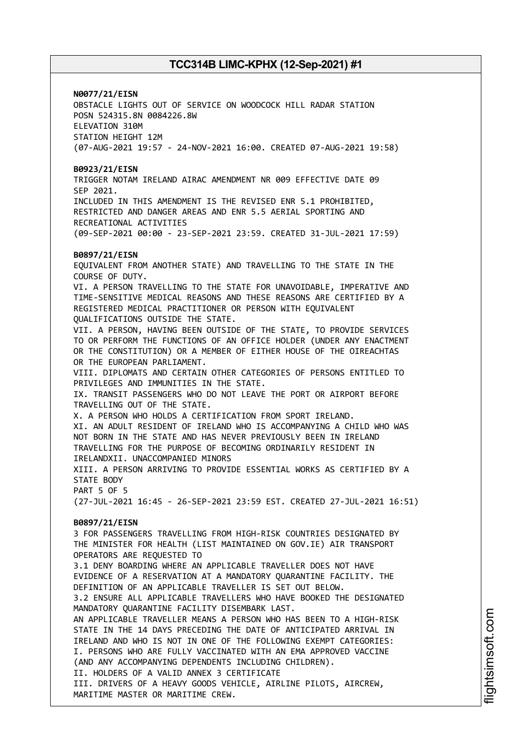**N0077/21/EISN**

OBSTACLE LIGHTS OUT OF SERVICE ON WOODCOCK HILL RADAR STATION POSN 524315.8N 0084226.8W ELEVATION 310M STATION HEIGHT 12M (07-AUG-2021 19:57 - 24-NOV-2021 16:00. CREATED 07-AUG-2021 19:58)

#### **B0923/21/EISN**

TRIGGER NOTAM IRELAND AIRAC AMENDMENT NR 009 EFFECTIVE DATE 09 SEP 2021. INCLUDED IN THIS AMENDMENT IS THE REVISED ENR 5.1 PROHIBITED, RESTRICTED AND DANGER AREAS AND ENR 5.5 AERIAL SPORTING AND RECREATIONAL ACTIVITIES

(09-SEP-2021 00:00 - 23-SEP-2021 23:59. CREATED 31-JUL-2021 17:59)

#### **B0897/21/EISN**

EQUIVALENT FROM ANOTHER STATE) AND TRAVELLING TO THE STATE IN THE COURSE OF DUTY. VI. A PERSON TRAVELLING TO THE STATE FOR UNAVOIDABLE, IMPERATIVE AND TIME-SENSITIVE MEDICAL REASONS AND THESE REASONS ARE CERTIFIED BY A REGISTERED MEDICAL PRACTITIONER OR PERSON WITH EQUIVALENT QUALIFICATIONS OUTSIDE THE STATE. VII. A PERSON, HAVING BEEN OUTSIDE OF THE STATE, TO PROVIDE SERVICES TO OR PERFORM THE FUNCTIONS OF AN OFFICE HOLDER (UNDER ANY ENACTMENT OR THE CONSTITUTION) OR A MEMBER OF EITHER HOUSE OF THE OIREACHTAS OR THE EUROPEAN PARLIAMENT. VIII. DIPLOMATS AND CERTAIN OTHER CATEGORIES OF PERSONS ENTITLED TO PRIVILEGES AND IMMUNITIES IN THE STATE. IX. TRANSIT PASSENGERS WHO DO NOT LEAVE THE PORT OR AIRPORT BEFORE TRAVELLING OUT OF THE STATE. X. A PERSON WHO HOLDS A CERTIFICATION FROM SPORT IRELAND. XI. AN ADULT RESIDENT OF IRELAND WHO IS ACCOMPANYING A CHILD WHO WAS NOT BORN IN THE STATE AND HAS NEVER PREVIOUSLY BEEN IN IRELAND TRAVELLING FOR THE PURPOSE OF BECOMING ORDINARILY RESIDENT IN IRELANDXII. UNACCOMPANIED MINORS XIII. A PERSON ARRIVING TO PROVIDE ESSENTIAL WORKS AS CERTIFIED BY A STATE BODY PART 5 OF 5 (27-JUL-2021 16:45 - 26-SEP-2021 23:59 EST. CREATED 27-JUL-2021 16:51) **B0897/21/EISN** 3 FOR PASSENGERS TRAVELLING FROM HIGH-RISK COUNTRIES DESIGNATED BY THE MINISTER FOR HEALTH (LIST MAINTAINED ON GOV.IE) AIR TRANSPORT OPERATORS ARE REQUESTED TO 3.1 DENY BOARDING WHERE AN APPLICABLE TRAVELLER DOES NOT HAVE EVIDENCE OF A RESERVATION AT A MANDATORY QUARANTINE FACILITY. THE DEFINITION OF AN APPLICABLE TRAVELLER IS SET OUT BELOW. 3.2 ENSURE ALL APPLICABLE TRAVELLERS WHO HAVE BOOKED THE DESIGNATED MANDATORY QUARANTINE FACILITY DISEMBARK LAST. AN APPLICABLE TRAVELLER MEANS A PERSON WHO HAS BEEN TO A HIGH-RISK STATE IN THE 14 DAYS PRECEDING THE DATE OF ANTICIPATED ARRIVAL IN IRELAND AND WHO IS NOT IN ONE OF THE FOLLOWING EXEMPT CATEGORIES: I. PERSONS WHO ARE FULLY VACCINATED WITH AN EMA APPROVED VACCINE (AND ANY ACCOMPANYING DEPENDENTS INCLUDING CHILDREN). II. HOLDERS OF A VALID ANNEX 3 CERTIFICATE

III. DRIVERS OF A HEAVY GOODS VEHICLE, AIRLINE PILOTS, AIRCREW, MARITIME MASTER OR MARITIME CREW.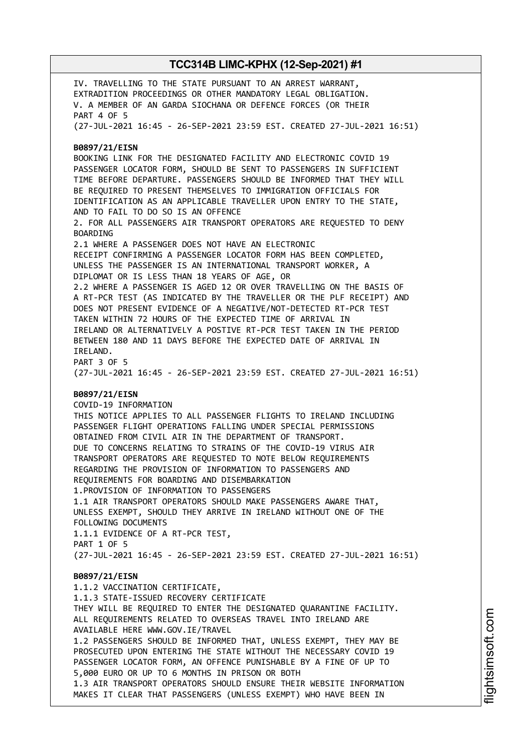IV. TRAVELLING TO THE STATE PURSUANT TO AN ARREST WARRANT, EXTRADITION PROCEEDINGS OR OTHER MANDATORY LEGAL OBLIGATION. V. A MEMBER OF AN GARDA SIOCHANA OR DEFENCE FORCES (OR THEIR PART 4 OF 5 (27-JUL-2021 16:45 - 26-SEP-2021 23:59 EST. CREATED 27-JUL-2021 16:51) **B0897/21/EISN** BOOKING LINK FOR THE DESIGNATED FACILITY AND ELECTRONIC COVID 19 PASSENGER LOCATOR FORM, SHOULD BE SENT TO PASSENGERS IN SUFFICIENT TIME BEFORE DEPARTURE. PASSENGERS SHOULD BE INFORMED THAT THEY WILL BE REQUIRED TO PRESENT THEMSELVES TO IMMIGRATION OFFICIALS FOR IDENTIFICATION AS AN APPLICABLE TRAVELLER UPON ENTRY TO THE STATE, AND TO FAIL TO DO SO IS AN OFFENCE 2. FOR ALL PASSENGERS AIR TRANSPORT OPERATORS ARE REQUESTED TO DENY BOARDING 2.1 WHERE A PASSENGER DOES NOT HAVE AN ELECTRONIC RECEIPT CONFIRMING A PASSENGER LOCATOR FORM HAS BEEN COMPLETED, UNLESS THE PASSENGER IS AN INTERNATIONAL TRANSPORT WORKER, A DIPLOMAT OR IS LESS THAN 18 YEARS OF AGE, OR 2.2 WHERE A PASSENGER IS AGED 12 OR OVER TRAVELLING ON THE BASIS OF A RT-PCR TEST (AS INDICATED BY THE TRAVELLER OR THE PLF RECEIPT) AND DOES NOT PRESENT EVIDENCE OF A NEGATIVE/NOT-DETECTED RT-PCR TEST TAKEN WITHIN 72 HOURS OF THE EXPECTED TIME OF ARRIVAL IN IRELAND OR ALTERNATIVELY A POSTIVE RT-PCR TEST TAKEN IN THE PERIOD BETWEEN 180 AND 11 DAYS BEFORE THE EXPECTED DATE OF ARRIVAL IN IRELAND. PART 3 OF 5 (27-JUL-2021 16:45 - 26-SEP-2021 23:59 EST. CREATED 27-JUL-2021 16:51) **B0897/21/EISN** COVID-19 INFORMATION THIS NOTICE APPLIES TO ALL PASSENGER FLIGHTS TO IRELAND INCLUDING PASSENGER FLIGHT OPERATIONS FALLING UNDER SPECIAL PERMISSIONS OBTAINED FROM CIVIL AIR IN THE DEPARTMENT OF TRANSPORT. DUE TO CONCERNS RELATING TO STRAINS OF THE COVID-19 VIRUS AIR TRANSPORT OPERATORS ARE REQUESTED TO NOTE BELOW REQUIREMENTS REGARDING THE PROVISION OF INFORMATION TO PASSENGERS AND REQUIREMENTS FOR BOARDING AND DISEMBARKATION 1.PROVISION OF INFORMATION TO PASSENGERS 1.1 AIR TRANSPORT OPERATORS SHOULD MAKE PASSENGERS AWARE THAT, UNLESS EXEMPT, SHOULD THEY ARRIVE IN IRELAND WITHOUT ONE OF THE FOLLOWING DOCUMENTS 1.1.1 EVIDENCE OF A RT-PCR TEST, PART 1 OF 5 (27-JUL-2021 16:45 - 26-SEP-2021 23:59 EST. CREATED 27-JUL-2021 16:51) **B0897/21/EISN** 1.1.2 VACCINATION CERTIFICATE, 1.1.3 STATE-ISSUED RECOVERY CERTIFICATE THEY WILL BE REQUIRED TO ENTER THE DESIGNATED QUARANTINE FACILITY. ALL REQUIREMENTS RELATED TO OVERSEAS TRAVEL INTO IRELAND ARE AVAILABLE HERE WWW.GOV.IE/TRAVEL 1.2 PASSENGERS SHOULD BE INFORMED THAT, UNLESS EXEMPT, THEY MAY BE PROSECUTED UPON ENTERING THE STATE WITHOUT THE NECESSARY COVID 19 PASSENGER LOCATOR FORM, AN OFFENCE PUNISHABLE BY A FINE OF UP TO 5,000 EURO OR UP TO 6 MONTHS IN PRISON OR BOTH 1.3 AIR TRANSPORT OPERATORS SHOULD ENSURE THEIR WEBSITE INFORMATION MAKES IT CLEAR THAT PASSENGERS (UNLESS EXEMPT) WHO HAVE BEEN IN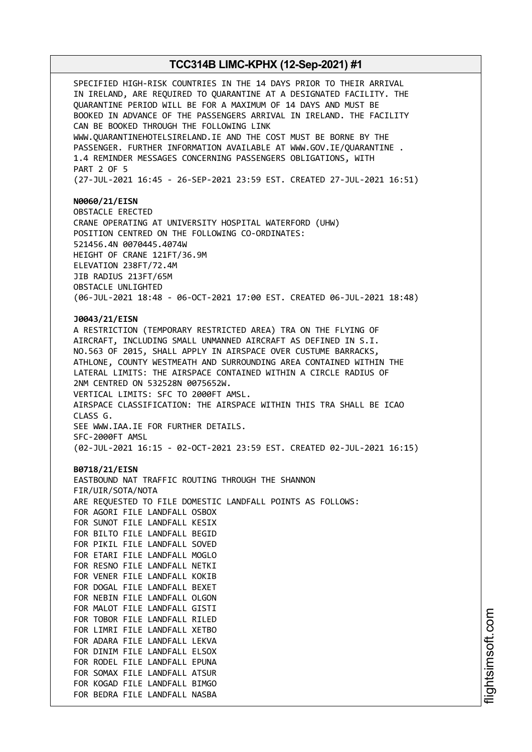SPECIFIED HIGH-RISK COUNTRIES IN THE 14 DAYS PRIOR TO THEIR ARRIVAL IN IRELAND, ARE REQUIRED TO QUARANTINE AT A DESIGNATED FACILITY. THE QUARANTINE PERIOD WILL BE FOR A MAXIMUM OF 14 DAYS AND MUST BE BOOKED IN ADVANCE OF THE PASSENGERS ARRIVAL IN IRELAND. THE FACILITY CAN BE BOOKED THROUGH THE FOLLOWING LINK WWW.QUARANTINEHOTELSIRELAND.IE AND THE COST MUST BE BORNE BY THE PASSENGER. FURTHER INFORMATION AVAILABLE AT WWW.GOV.IE/QUARANTINE . 1.4 REMINDER MESSAGES CONCERNING PASSENGERS OBLIGATIONS, WITH PART 2 OF 5 (27-JUL-2021 16:45 - 26-SEP-2021 23:59 EST. CREATED 27-JUL-2021 16:51) **N0060/21/EISN** OBSTACLE ERECTED CRANE OPERATING AT UNIVERSITY HOSPITAL WATERFORD (UHW) POSITION CENTRED ON THE FOLLOWING CO-ORDINATES: 521456.4N 0070445.4074W HEIGHT OF CRANE 121FT/36.9M ELEVATION 238FT/72.4M JIB RADIUS 213FT/65M OBSTACLE UNLIGHTED (06-JUL-2021 18:48 - 06-OCT-2021 17:00 EST. CREATED 06-JUL-2021 18:48) **J0043/21/EISN** A RESTRICTION (TEMPORARY RESTRICTED AREA) TRA ON THE FLYING OF AIRCRAFT, INCLUDING SMALL UNMANNED AIRCRAFT AS DEFINED IN S.I. NO.563 OF 2015, SHALL APPLY IN AIRSPACE OVER CUSTUME BARRACKS, ATHLONE, COUNTY WESTMEATH AND SURROUNDING AREA CONTAINED WITHIN THE LATERAL LIMITS: THE AIRSPACE CONTAINED WITHIN A CIRCLE RADIUS OF 2NM CENTRED ON 532528N 0075652W. VERTICAL LIMITS: SFC TO 2000FT AMSL. AIRSPACE CLASSIFICATION: THE AIRSPACE WITHIN THIS TRA SHALL BE ICAO CLASS G. SEE WWW.IAA.IE FOR FURTHER DETAILS. SFC-2000FT AMSL (02-JUL-2021 16:15 - 02-OCT-2021 23:59 EST. CREATED 02-JUL-2021 16:15) **B0718/21/EISN** EASTBOUND NAT TRAFFIC ROUTING THROUGH THE SHANNON FIR/UIR/SOTA/NOTA ARE REQUESTED TO FILE DOMESTIC LANDFALL POINTS AS FOLLOWS: FOR AGORI FILE LANDFALL OSBOX FOR SUNOT FILE LANDFALL KESIX FOR BILTO FILE LANDFALL BEGID FOR PIKIL FILE LANDFALL SOVED FOR ETARI FILE LANDFALL MOGLO FOR RESNO FILE LANDFALL NETKI FOR VENER FILE LANDFALL KOKIB FOR DOGAL FILE LANDFALL BEXET FOR NEBIN FILE LANDFALL OLGON FOR MALOT FILE LANDFALL GISTI FOR TOBOR FILE LANDFALL RILED FOR LIMRI FILE LANDFALL XETBO FOR ADARA FILE LANDFALL LEKVA FOR DINIM FILE LANDFALL ELSOX FOR RODEL FILE LANDFALL EPUNA FOR SOMAX FILE LANDFALL ATSUR FOR KOGAD FILE LANDFALL BIMGO FOR BEDRA FILE LANDFALL NASBA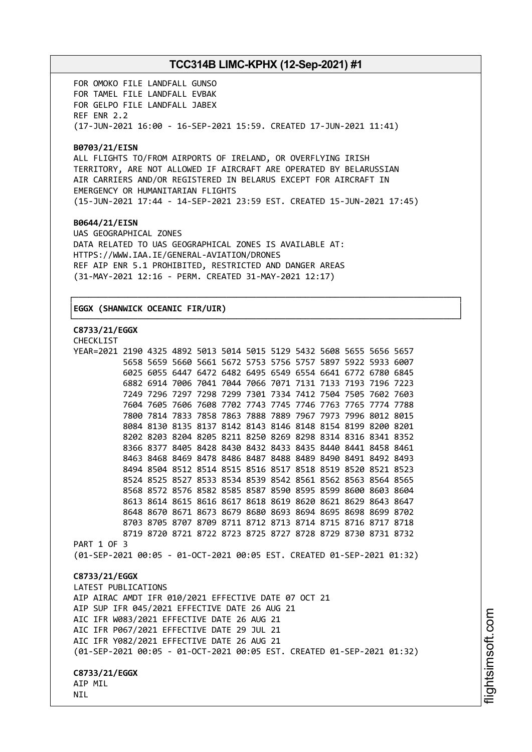FOR OMOKO FILE LANDFALL GUNSO FOR TAMEL FILE LANDFALL EVBAK FOR GELPO FILE LANDFALL JABEX REF ENR 2.2 (17-JUN-2021 16:00 - 16-SEP-2021 15:59. CREATED 17-JUN-2021 11:41)

#### **B0703/21/EISN**

ALL FLIGHTS TO/FROM AIRPORTS OF IRELAND, OR OVERFLYING IRISH TERRITORY, ARE NOT ALLOWED IF AIRCRAFT ARE OPERATED BY BELARUSSIAN AIR CARRIERS AND/OR REGISTERED IN BELARUS EXCEPT FOR AIRCRAFT IN EMERGENCY OR HUMANITARIAN FLIGHTS (15-JUN-2021 17:44 - 14-SEP-2021 23:59 EST. CREATED 15-JUN-2021 17:45)

┌──────────────────────────────────────────────────────────────────────────────┐

└──────────────────────────────────────────────────────────────────────────────┘

#### **B0644/21/EISN**

UAS GEOGRAPHICAL ZONES DATA RELATED TO UAS GEOGRAPHICAL ZONES IS AVAILABLE AT: HTTPS://WWW.IAA.IE/GENERAL-AVIATION/DRONES REF AIP ENR 5.1 PROHIBITED, RESTRICTED AND DANGER AREAS (31-MAY-2021 12:16 - PERM. CREATED 31-MAY-2021 12:17)

## │**EGGX (SHANWICK OCEANIC FIR/UIR)** │

## **C8733/21/EGGX**

CHECKL<sub>TCT</sub>

| YEAR=2021 2190 4325 4892 5013 5014 5015 5129 5432 5608 5655 5656 5657  |  |  |  |  |  |                                                             |  |
|------------------------------------------------------------------------|--|--|--|--|--|-------------------------------------------------------------|--|
|                                                                        |  |  |  |  |  | 5658 5659 5660 5661 5672 5753 5756 5757 5897 5922 5933 6007 |  |
|                                                                        |  |  |  |  |  | 6025 6055 6447 6472 6482 6495 6549 6554 6641 6772 6780 6845 |  |
|                                                                        |  |  |  |  |  | 6882 6914 7006 7041 7044 7066 7071 7131 7133 7193 7196 7223 |  |
|                                                                        |  |  |  |  |  | 7249 7296 7297 7298 7299 7301 7334 7412 7504 7505 7602 7603 |  |
|                                                                        |  |  |  |  |  | 7604 7605 7606 7608 7702 7743 7745 7746 7763 7765 7774 7788 |  |
|                                                                        |  |  |  |  |  | 7800 7814 7833 7858 7863 7888 7889 7967 7973 7996 8012 8015 |  |
|                                                                        |  |  |  |  |  | 8084 8130 8135 8137 8142 8143 8146 8148 8154 8199 8200 8201 |  |
|                                                                        |  |  |  |  |  | 8202 8203 8204 8205 8211 8250 8269 8298 8314 8316 8341 8352 |  |
|                                                                        |  |  |  |  |  | 8366 8377 8405 8428 8430 8432 8433 8435 8440 8441 8458 8461 |  |
|                                                                        |  |  |  |  |  | 8463 8468 8469 8478 8486 8487 8488 8489 8490 8491 8492 8493 |  |
|                                                                        |  |  |  |  |  | 8494 8504 8512 8514 8515 8516 8517 8518 8519 8520 8521 8523 |  |
|                                                                        |  |  |  |  |  | 8524 8525 8527 8533 8534 8539 8542 8561 8562 8563 8564 8565 |  |
|                                                                        |  |  |  |  |  | 8568 8572 8576 8582 8585 8587 8590 8595 8599 8600 8603 8604 |  |
|                                                                        |  |  |  |  |  | 8613 8614 8615 8616 8617 8618 8619 8620 8621 8629 8643 8647 |  |
|                                                                        |  |  |  |  |  | 8648 8670 8671 8673 8679 8680 8693 8694 8695 8698 8699 8702 |  |
|                                                                        |  |  |  |  |  | 8703 8705 8707 8709 8711 8712 8713 8714 8715 8716 8717 8718 |  |
|                                                                        |  |  |  |  |  | 8719 8720 8721 8722 8723 8725 8727 8728 8729 8730 8731 8732 |  |
| PART 1 OF 3                                                            |  |  |  |  |  |                                                             |  |
| (01-SEP-2021 00:05 - 01-OCT-2021 00:05 EST. CREATED 01-SEP-2021 01:32) |  |  |  |  |  |                                                             |  |
|                                                                        |  |  |  |  |  |                                                             |  |
| C8733/21/EGGX                                                          |  |  |  |  |  |                                                             |  |
| LATEST PUBLICATIONS                                                    |  |  |  |  |  |                                                             |  |
| AIP AIRAC AMDT IFR 010/2021 EFFECTIVE DATE 07 OCT 21                   |  |  |  |  |  |                                                             |  |
| AIP SUP IFR 045/2021 EFFECTIVE DATE 26 AUG 21                          |  |  |  |  |  |                                                             |  |
| AIC IFR W083/2021 EFFECTIVE DATE 26 AUG 21                             |  |  |  |  |  |                                                             |  |
| AIC IFR P067/2021 EFFECTIVE DATE 29 JUL 21                             |  |  |  |  |  |                                                             |  |
| AIC IFR Y082/2021 EFFECTIVE DATE 26 AUG 21                             |  |  |  |  |  |                                                             |  |
| (01-SEP-2021 00:05 - 01-OCT-2021 00:05 EST. CREATED 01-SEP-2021 01:32) |  |  |  |  |  |                                                             |  |
|                                                                        |  |  |  |  |  |                                                             |  |
| C8733/21/EGGX                                                          |  |  |  |  |  |                                                             |  |
| AIP MIL                                                                |  |  |  |  |  |                                                             |  |
| NIL                                                                    |  |  |  |  |  |                                                             |  |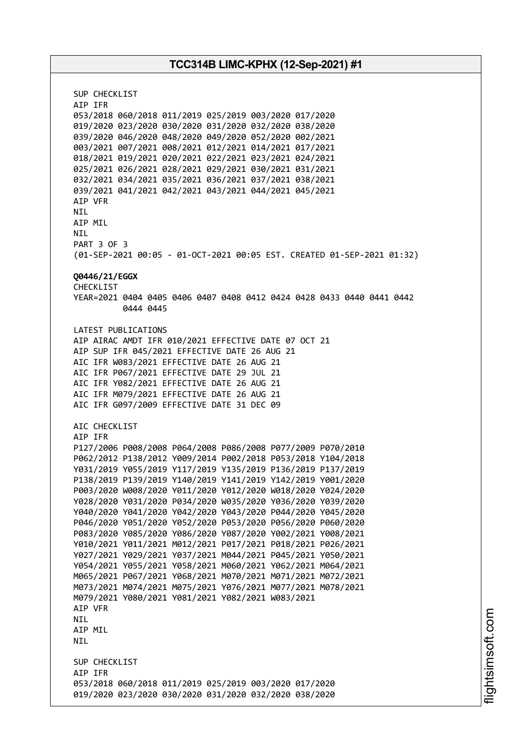SUP CHECKLIST AIP IFR 053/2018 060/2018 011/2019 025/2019 003/2020 017/2020 019/2020 023/2020 030/2020 031/2020 032/2020 038/2020 039/2020 046/2020 048/2020 049/2020 052/2020 002/2021 003/2021 007/2021 008/2021 012/2021 014/2021 017/2021 018/2021 019/2021 020/2021 022/2021 023/2021 024/2021 025/2021 026/2021 028/2021 029/2021 030/2021 031/2021 032/2021 034/2021 035/2021 036/2021 037/2021 038/2021 039/2021 041/2021 042/2021 043/2021 044/2021 045/2021 AIP VFR NIL AIP MIL NIL PART 3 OF 3 (01-SEP-2021 00:05 - 01-OCT-2021 00:05 EST. CREATED 01-SEP-2021 01:32) **Q0446/21/EGGX** CHECKLIST YEAR=2021 0404 0405 0406 0407 0408 0412 0424 0428 0433 0440 0441 0442 0444 0445 LATEST PUBLICATIONS AIP AIRAC AMDT IFR 010/2021 EFFECTIVE DATE 07 OCT 21 AIP SUP IFR 045/2021 EFFECTIVE DATE 26 AUG 21 AIC IFR W083/2021 EFFECTIVE DATE 26 AUG 21 AIC IFR P067/2021 EFFECTIVE DATE 29 JUL 21 AIC IFR Y082/2021 EFFECTIVE DATE 26 AUG 21 AIC IFR M079/2021 EFFECTIVE DATE 26 AUG 21 AIC IFR G097/2009 EFFECTIVE DATE 31 DEC 09 AIC CHECKLIST AIP IFR P127/2006 P008/2008 P064/2008 P086/2008 P077/2009 P070/2010 P062/2012 P138/2012 Y009/2014 P002/2018 P053/2018 Y104/2018 Y031/2019 Y055/2019 Y117/2019 Y135/2019 P136/2019 P137/2019 P138/2019 P139/2019 Y140/2019 Y141/2019 Y142/2019 Y001/2020 P003/2020 W008/2020 Y011/2020 Y012/2020 W018/2020 Y024/2020 Y028/2020 Y031/2020 P034/2020 W035/2020 Y036/2020 Y039/2020 Y040/2020 Y041/2020 Y042/2020 Y043/2020 P044/2020 Y045/2020 P046/2020 Y051/2020 Y052/2020 P053/2020 P056/2020 P060/2020 P083/2020 Y085/2020 Y086/2020 Y087/2020 Y002/2021 Y008/2021 Y010/2021 Y011/2021 M012/2021 P017/2021 P018/2021 P026/2021 Y027/2021 Y029/2021 Y037/2021 M044/2021 P045/2021 Y050/2021 Y054/2021 Y055/2021 Y058/2021 M060/2021 Y062/2021 M064/2021 M065/2021 P067/2021 Y068/2021 M070/2021 M071/2021 M072/2021 M073/2021 M074/2021 M075/2021 Y076/2021 M077/2021 M078/2021 M079/2021 Y080/2021 Y081/2021 Y082/2021 W083/2021 AIP VFR NIL AIP MIL NIL SUP CHECKLIST AIP IFR 053/2018 060/2018 011/2019 025/2019 003/2020 017/2020 019/2020 023/2020 030/2020 031/2020 032/2020 038/2020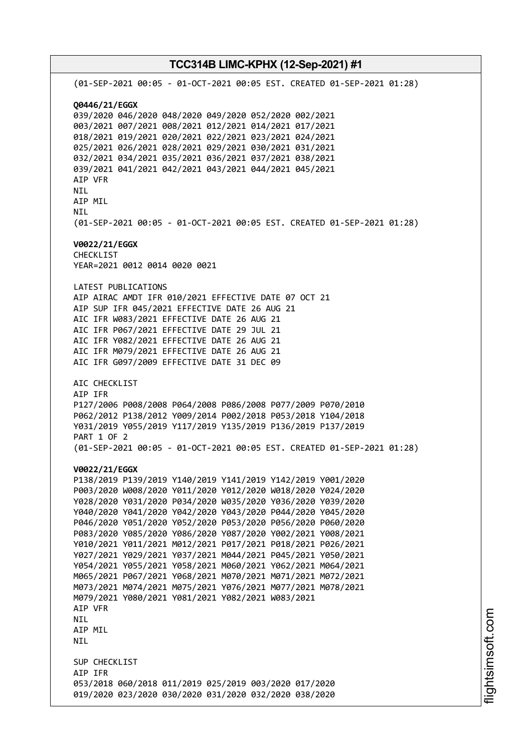# **TCC314B LIMC-KPHX (12-Sep-2021) #1** (01-SEP-2021 00:05 - 01-OCT-2021 00:05 EST. CREATED 01-SEP-2021 01:28) **Q0446/21/EGGX** 039/2020 046/2020 048/2020 049/2020 052/2020 002/2021 003/2021 007/2021 008/2021 012/2021 014/2021 017/2021 018/2021 019/2021 020/2021 022/2021 023/2021 024/2021 025/2021 026/2021 028/2021 029/2021 030/2021 031/2021 032/2021 034/2021 035/2021 036/2021 037/2021 038/2021 039/2021 041/2021 042/2021 043/2021 044/2021 045/2021 AIP VFR NIL AIP MIL NIL (01-SEP-2021 00:05 - 01-OCT-2021 00:05 EST. CREATED 01-SEP-2021 01:28) **V0022/21/EGGX** CHECKLIST YEAR=2021 0012 0014 0020 0021 LATEST PUBLICATIONS AIP AIRAC AMDT IFR 010/2021 EFFECTIVE DATE 07 OCT 21 AIP SUP IFR 045/2021 EFFECTIVE DATE 26 AUG 21 AIC IFR W083/2021 EFFECTIVE DATE 26 AUG 21 AIC IFR P067/2021 EFFECTIVE DATE 29 JUL 21 AIC IFR Y082/2021 EFFECTIVE DATE 26 AUG 21 AIC IFR M079/2021 EFFECTIVE DATE 26 AUG 21 AIC IFR G097/2009 EFFECTIVE DATE 31 DEC 09 AIC CHECKLIST AIP IFR P127/2006 P008/2008 P064/2008 P086/2008 P077/2009 P070/2010 P062/2012 P138/2012 Y009/2014 P002/2018 P053/2018 Y104/2018 Y031/2019 Y055/2019 Y117/2019 Y135/2019 P136/2019 P137/2019 PART 1 OF 2 (01-SEP-2021 00:05 - 01-OCT-2021 00:05 EST. CREATED 01-SEP-2021 01:28) **V0022/21/EGGX** P138/2019 P139/2019 Y140/2019 Y141/2019 Y142/2019 Y001/2020 P003/2020 W008/2020 Y011/2020 Y012/2020 W018/2020 Y024/2020 Y028/2020 Y031/2020 P034/2020 W035/2020 Y036/2020 Y039/2020 Y040/2020 Y041/2020 Y042/2020 Y043/2020 P044/2020 Y045/2020 P046/2020 Y051/2020 Y052/2020 P053/2020 P056/2020 P060/2020 P083/2020 Y085/2020 Y086/2020 Y087/2020 Y002/2021 Y008/2021 Y010/2021 Y011/2021 M012/2021 P017/2021 P018/2021 P026/2021 Y027/2021 Y029/2021 Y037/2021 M044/2021 P045/2021 Y050/2021 Y054/2021 Y055/2021 Y058/2021 M060/2021 Y062/2021 M064/2021 M065/2021 P067/2021 Y068/2021 M070/2021 M071/2021 M072/2021 M073/2021 M074/2021 M075/2021 Y076/2021 M077/2021 M078/2021 M079/2021 Y080/2021 Y081/2021 Y082/2021 W083/2021 AIP VFR NIL AIP MIL NIL SUP CHECKLIST AIP IFR 053/2018 060/2018 011/2019 025/2019 003/2020 017/2020 019/2020 023/2020 030/2020 031/2020 032/2020 038/2020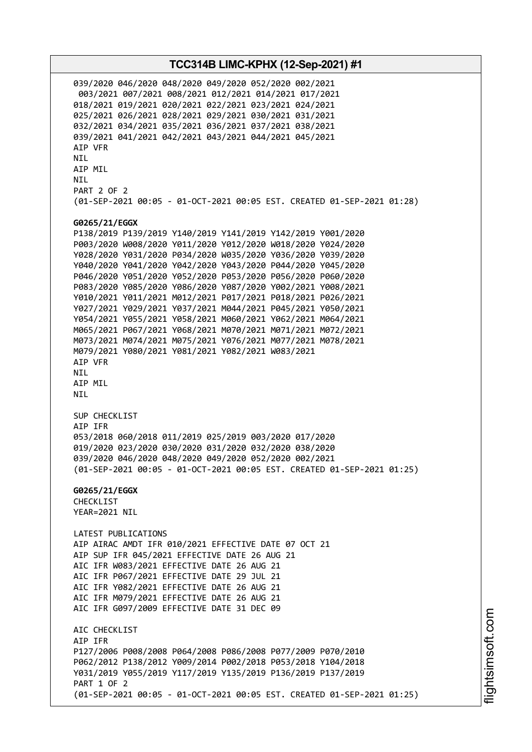039/2020 046/2020 048/2020 049/2020 052/2020 002/2021 003/2021 007/2021 008/2021 012/2021 014/2021 017/2021 018/2021 019/2021 020/2021 022/2021 023/2021 024/2021 025/2021 026/2021 028/2021 029/2021 030/2021 031/2021 032/2021 034/2021 035/2021 036/2021 037/2021 038/2021 039/2021 041/2021 042/2021 043/2021 044/2021 045/2021 AIP VFR NIL AIP MIL NIL PART 2 OF 2 (01-SEP-2021 00:05 - 01-OCT-2021 00:05 EST. CREATED 01-SEP-2021 01:28) **G0265/21/EGGX** P138/2019 P139/2019 Y140/2019 Y141/2019 Y142/2019 Y001/2020 P003/2020 W008/2020 Y011/2020 Y012/2020 W018/2020 Y024/2020 Y028/2020 Y031/2020 P034/2020 W035/2020 Y036/2020 Y039/2020 Y040/2020 Y041/2020 Y042/2020 Y043/2020 P044/2020 Y045/2020 P046/2020 Y051/2020 Y052/2020 P053/2020 P056/2020 P060/2020 P083/2020 Y085/2020 Y086/2020 Y087/2020 Y002/2021 Y008/2021 Y010/2021 Y011/2021 M012/2021 P017/2021 P018/2021 P026/2021 Y027/2021 Y029/2021 Y037/2021 M044/2021 P045/2021 Y050/2021 Y054/2021 Y055/2021 Y058/2021 M060/2021 Y062/2021 M064/2021 M065/2021 P067/2021 Y068/2021 M070/2021 M071/2021 M072/2021 M073/2021 M074/2021 M075/2021 Y076/2021 M077/2021 M078/2021 M079/2021 Y080/2021 Y081/2021 Y082/2021 W083/2021 AIP VFR NIL AIP MIL NIL SUP CHECKLIST AIP IFR 053/2018 060/2018 011/2019 025/2019 003/2020 017/2020 019/2020 023/2020 030/2020 031/2020 032/2020 038/2020 039/2020 046/2020 048/2020 049/2020 052/2020 002/2021 (01-SEP-2021 00:05 - 01-OCT-2021 00:05 EST. CREATED 01-SEP-2021 01:25) **G0265/21/EGGX** CHECKLIST YEAR=2021 NIL LATEST PUBLICATIONS AIP AIRAC AMDT IFR 010/2021 EFFECTIVE DATE 07 OCT 21 AIP SUP IFR 045/2021 EFFECTIVE DATE 26 AUG 21 AIC IFR W083/2021 EFFECTIVE DATE 26 AUG 21 AIC IFR P067/2021 EFFECTIVE DATE 29 JUL 21 AIC IFR Y082/2021 EFFECTIVE DATE 26 AUG 21 AIC IFR M079/2021 EFFECTIVE DATE 26 AUG 21 AIC IFR G097/2009 EFFECTIVE DATE 31 DEC 09 AIC CHECKLIST AIP IFR P127/2006 P008/2008 P064/2008 P086/2008 P077/2009 P070/2010 P062/2012 P138/2012 Y009/2014 P002/2018 P053/2018 Y104/2018 Y031/2019 Y055/2019 Y117/2019 Y135/2019 P136/2019 P137/2019 PART 1 OF 2 (01-SEP-2021 00:05 - 01-OCT-2021 00:05 EST. CREATED 01-SEP-2021 01:25)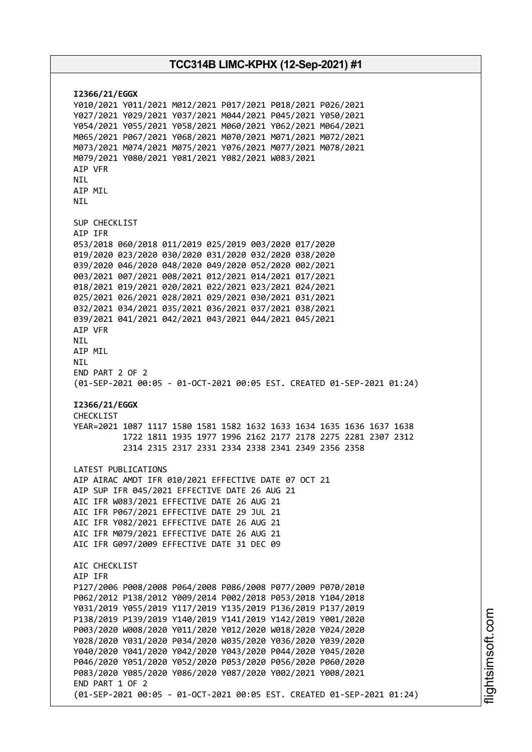**I2366/21/EGGX** Y010/2021 Y011/2021 M012/2021 P017/2021 P018/2021 P026/2021 Y027/2021 Y029/2021 Y037/2021 M044/2021 P045/2021 Y050/2021 Y054/2021 Y055/2021 Y058/2021 M060/2021 Y062/2021 M064/2021 M065/2021 P067/2021 Y068/2021 M070/2021 M071/2021 M072/2021 M073/2021 M074/2021 M075/2021 Y076/2021 M077/2021 M078/2021 M079/2021 Y080/2021 Y081/2021 Y082/2021 W083/2021 AIP VFR NIL AIP MIL **NTI** SUP CHECKLIST AIP IFR 053/2018 060/2018 011/2019 025/2019 003/2020 017/2020 019/2020 023/2020 030/2020 031/2020 032/2020 038/2020 039/2020 046/2020 048/2020 049/2020 052/2020 002/2021 003/2021 007/2021 008/2021 012/2021 014/2021 017/2021 018/2021 019/2021 020/2021 022/2021 023/2021 024/2021 025/2021 026/2021 028/2021 029/2021 030/2021 031/2021 032/2021 034/2021 035/2021 036/2021 037/2021 038/2021 039/2021 041/2021 042/2021 043/2021 044/2021 045/2021 AIP VFR NIL AIP MIL **NTI** END PART 2 OF 2 (01-SEP-2021 00:05 - 01-OCT-2021 00:05 EST. CREATED 01-SEP-2021 01:24) **I2366/21/EGGX** CHECKLIST YEAR=2021 1087 1117 1580 1581 1582 1632 1633 1634 1635 1636 1637 1638 1722 1811 1935 1977 1996 2162 2177 2178 2275 2281 2307 2312 2314 2315 2317 2331 2334 2338 2341 2349 2356 2358 LATEST PUBLICATIONS AIP AIRAC AMDT IFR 010/2021 EFFECTIVE DATE 07 OCT 21 AIP SUP IFR 045/2021 EFFECTIVE DATE 26 AUG 21 AIC IFR W083/2021 EFFECTIVE DATE 26 AUG 21 AIC IFR P067/2021 EFFECTIVE DATE 29 JUL 21 AIC IFR Y082/2021 EFFECTIVE DATE 26 AUG 21 AIC IFR M079/2021 EFFECTIVE DATE 26 AUG 21 AIC IFR G097/2009 EFFECTIVE DATE 31 DEC 09 AIC CHECKLIST AIP IFR P127/2006 P008/2008 P064/2008 P086/2008 P077/2009 P070/2010 P062/2012 P138/2012 Y009/2014 P002/2018 P053/2018 Y104/2018 Y031/2019 Y055/2019 Y117/2019 Y135/2019 P136/2019 P137/2019 P138/2019 P139/2019 Y140/2019 Y141/2019 Y142/2019 Y001/2020 P003/2020 W008/2020 Y011/2020 Y012/2020 W018/2020 Y024/2020 Y028/2020 Y031/2020 P034/2020 W035/2020 Y036/2020 Y039/2020 Y040/2020 Y041/2020 Y042/2020 Y043/2020 P044/2020 Y045/2020 P046/2020 Y051/2020 Y052/2020 P053/2020 P056/2020 P060/2020 P083/2020 Y085/2020 Y086/2020 Y087/2020 Y002/2021 Y008/2021 END PART 1 OF 2 (01-SEP-2021 00:05 - 01-OCT-2021 00:05 EST. CREATED 01-SEP-2021 01:24)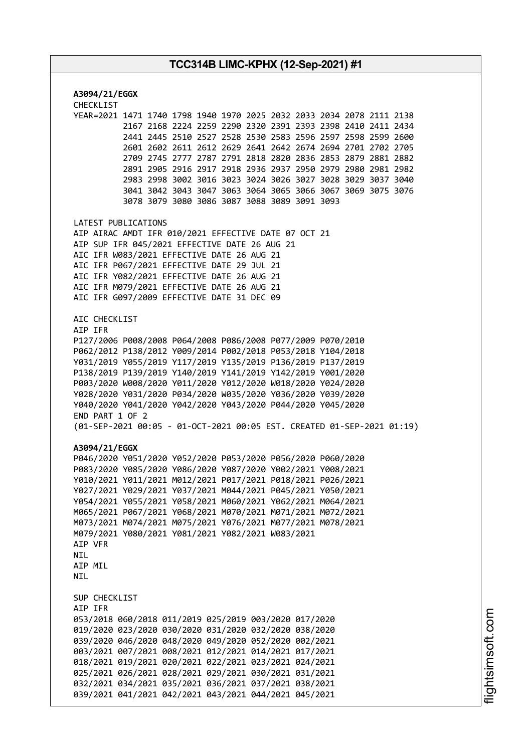| A3094/21/EGGX                                                                                                                                     |
|---------------------------------------------------------------------------------------------------------------------------------------------------|
| CHECKLIST<br>YEAR=2021 1471 1740 1798 1940 1970 2025 2032 2033 2034 2078 2111 2138<br>2167 2168 2224 2259 2290 2320 2391 2393 2398 2410 2411 2434 |
| 2441 2445 2510 2527 2528 2530 2583 2596 2597 2598 2599 2600                                                                                       |
| 2601 2602 2611 2612 2629 2641 2642 2674 2694 2701 2702 2705                                                                                       |
| 2709 2745 2777 2787 2791 2818 2820 2836 2853 2879 2881 2882                                                                                       |
| 2891 2905 2916 2917 2918 2936 2937 2950 2979 2980 2981 2982                                                                                       |
| 2983 2998 3002 3016 3023 3024 3026 3027 3028 3029 3037 3040                                                                                       |
| 3041 3042 3043 3047 3063 3064 3065 3066 3067 3069 3075 3076                                                                                       |
| 3078 3079 3080 3086 3087 3088 3089 3091 3093                                                                                                      |
| LATEST PUBLICATIONS                                                                                                                               |
| AIP AIRAC AMDT IFR 010/2021 EFFECTIVE DATE 07 OCT 21                                                                                              |
| AIP SUP IFR 045/2021 EFFECTIVE DATE 26 AUG 21                                                                                                     |
| AIC IFR W083/2021 EFFECTIVE DATE 26 AUG 21<br>AIC IFR P067/2021 EFFECTIVE DATE 29 JUL 21                                                          |
| AIC IFR Y082/2021 EFFECTIVE DATE 26 AUG 21                                                                                                        |
| AIC IFR M079/2021 EFFECTIVE DATE 26 AUG 21                                                                                                        |
| AIC IFR G097/2009 EFFECTIVE DATE 31 DEC 09                                                                                                        |
|                                                                                                                                                   |
| AIC CHECKLIST<br>AIP IFR                                                                                                                          |
| P127/2006 P008/2008 P064/2008 P086/2008 P077/2009 P070/2010                                                                                       |
| P062/2012 P138/2012 Y009/2014 P002/2018 P053/2018 Y104/2018                                                                                       |
| Y031/2019 Y055/2019 Y117/2019 Y135/2019 P136/2019 P137/2019                                                                                       |
| P138/2019 P139/2019 Y140/2019 Y141/2019 Y142/2019 Y001/2020                                                                                       |
| P003/2020 W008/2020 Y011/2020 Y012/2020 W018/2020 Y024/2020                                                                                       |
| Y028/2020 Y031/2020 P034/2020 W035/2020 Y036/2020 Y039/2020                                                                                       |
| Y040/2020 Y041/2020 Y042/2020 Y043/2020 P044/2020 Y045/2020                                                                                       |
| END PART 1 OF 2                                                                                                                                   |
| (01-SEP-2021 00:05 - 01-OCT-2021 00:05 EST. CREATED 01-SEP-2021 01:19)                                                                            |
| A3094/21/EGGX                                                                                                                                     |
| P046/2020 Y051/2020 Y052/2020 P053/2020 P056/2020 P060/2020                                                                                       |
| P083/2020 Y085/2020 Y086/2020 Y087/2020 Y002/2021 Y008/2021                                                                                       |
| Y010/2021 Y011/2021 M012/2021 P017/2021 P018/2021 P026/2021                                                                                       |
| Y027/2021 Y029/2021 Y037/2021 M044/2021 P045/2021 Y050/2021                                                                                       |
| Y054/2021 Y055/2021 Y058/2021 M060/2021 Y062/2021 M064/2021                                                                                       |
| M065/2021 P067/2021 Y068/2021 M070/2021 M071/2021 M072/2021<br>M073/2021 M074/2021 M075/2021 Y076/2021 M077/2021 M078/2021                        |
| M079/2021 Y080/2021 Y081/2021 Y082/2021 W083/2021                                                                                                 |
| AIP VFR                                                                                                                                           |
| NIL                                                                                                                                               |
| AIP MIL                                                                                                                                           |
| <b>NIL</b>                                                                                                                                        |
| SUP CHECKLIST                                                                                                                                     |
| AIP IFR                                                                                                                                           |
| 053/2018 060/2018 011/2019 025/2019 003/2020 017/2020                                                                                             |
| 019/2020 023/2020 030/2020 031/2020 032/2020 038/2020                                                                                             |
| 039/2020 046/2020 048/2020 049/2020 052/2020 002/2021                                                                                             |
| 003/2021 007/2021 008/2021 012/2021 014/2021 017/2021                                                                                             |
| 018/2021 019/2021 020/2021 022/2021 023/2021 024/2021                                                                                             |
| 025/2021 026/2021 028/2021 029/2021 030/2021 031/2021                                                                                             |
| 032/2021 034/2021 035/2021 036/2021 037/2021 038/2021                                                                                             |
| 039/2021 041/2021 042/2021 043/2021 044/2021 045/2021                                                                                             |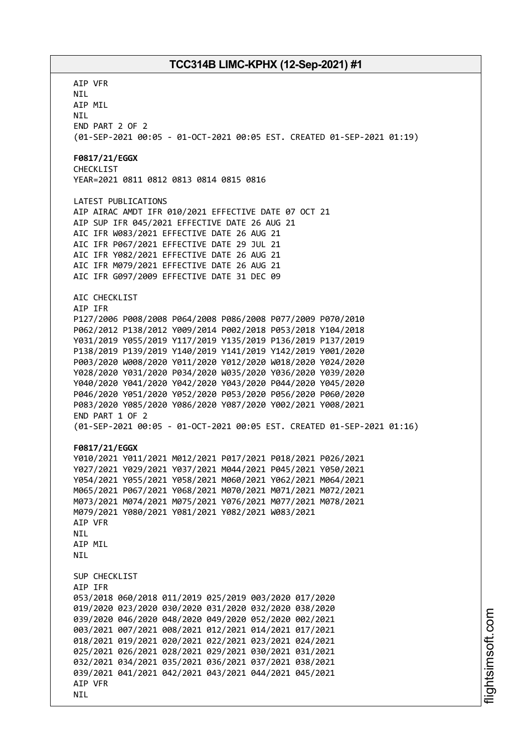AIP VFR NIL AIP MIL NIL END PART 2 OF 2 (01-SEP-2021 00:05 - 01-OCT-2021 00:05 EST. CREATED 01-SEP-2021 01:19) **F0817/21/EGGX** CHECKLIST YEAR=2021 0811 0812 0813 0814 0815 0816 LATEST PUBLICATIONS AIP AIRAC AMDT IFR 010/2021 EFFECTIVE DATE 07 OCT 21 AIP SUP IFR 045/2021 EFFECTIVE DATE 26 AUG 21 AIC IFR W083/2021 EFFECTIVE DATE 26 AUG 21 AIC IFR P067/2021 EFFECTIVE DATE 29 JUL 21 AIC IFR Y082/2021 EFFECTIVE DATE 26 AUG 21 AIC IFR M079/2021 EFFECTIVE DATE 26 AUG 21 AIC IFR G097/2009 EFFECTIVE DATE 31 DEC 09 AIC CHECKLIST AIP IFR P127/2006 P008/2008 P064/2008 P086/2008 P077/2009 P070/2010 P062/2012 P138/2012 Y009/2014 P002/2018 P053/2018 Y104/2018 Y031/2019 Y055/2019 Y117/2019 Y135/2019 P136/2019 P137/2019 P138/2019 P139/2019 Y140/2019 Y141/2019 Y142/2019 Y001/2020 P003/2020 W008/2020 Y011/2020 Y012/2020 W018/2020 Y024/2020 Y028/2020 Y031/2020 P034/2020 W035/2020 Y036/2020 Y039/2020 Y040/2020 Y041/2020 Y042/2020 Y043/2020 P044/2020 Y045/2020 P046/2020 Y051/2020 Y052/2020 P053/2020 P056/2020 P060/2020 P083/2020 Y085/2020 Y086/2020 Y087/2020 Y002/2021 Y008/2021 END PART 1 OF 2 (01-SEP-2021 00:05 - 01-OCT-2021 00:05 EST. CREATED 01-SEP-2021 01:16) **F0817/21/EGGX** Y010/2021 Y011/2021 M012/2021 P017/2021 P018/2021 P026/2021 Y027/2021 Y029/2021 Y037/2021 M044/2021 P045/2021 Y050/2021 Y054/2021 Y055/2021 Y058/2021 M060/2021 Y062/2021 M064/2021 M065/2021 P067/2021 Y068/2021 M070/2021 M071/2021 M072/2021 M073/2021 M074/2021 M075/2021 Y076/2021 M077/2021 M078/2021 M079/2021 Y080/2021 Y081/2021 Y082/2021 W083/2021 AIP VFR NIL AIP MIL **NTI** SUP CHECKLIST AIP IFR 053/2018 060/2018 011/2019 025/2019 003/2020 017/2020 019/2020 023/2020 030/2020 031/2020 032/2020 038/2020 039/2020 046/2020 048/2020 049/2020 052/2020 002/2021 003/2021 007/2021 008/2021 012/2021 014/2021 017/2021 018/2021 019/2021 020/2021 022/2021 023/2021 024/2021 025/2021 026/2021 028/2021 029/2021 030/2021 031/2021 032/2021 034/2021 035/2021 036/2021 037/2021 038/2021 039/2021 041/2021 042/2021 043/2021 044/2021 045/2021 AIP VFR NIL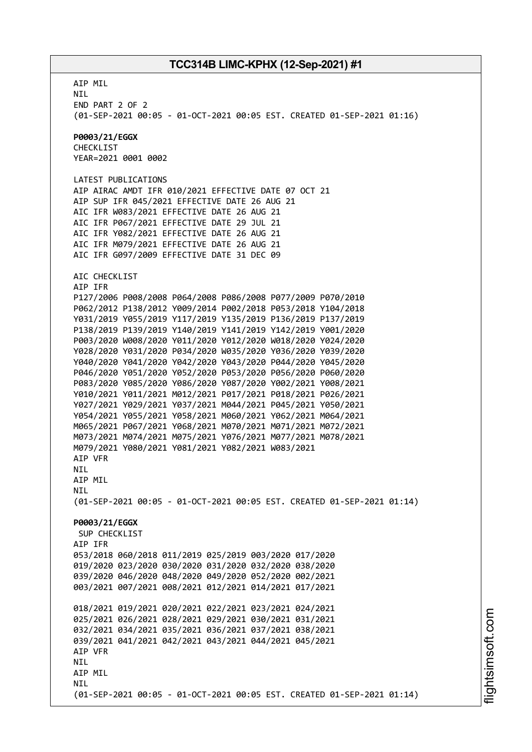AIP MIL NIL END PART 2 OF 2 (01-SEP-2021 00:05 - 01-OCT-2021 00:05 EST. CREATED 01-SEP-2021 01:16) **P0003/21/EGGX** CHECKLIST YEAR=2021 0001 0002 LATEST PUBLICATIONS AIP AIRAC AMDT IFR 010/2021 EFFECTIVE DATE 07 OCT 21 AIP SUP IFR 045/2021 EFFECTIVE DATE 26 AUG 21 AIC IFR W083/2021 EFFECTIVE DATE 26 AUG 21 AIC IFR P067/2021 EFFECTIVE DATE 29 JUL 21 AIC IFR Y082/2021 EFFECTIVE DATE 26 AUG 21 AIC IFR M079/2021 EFFECTIVE DATE 26 AUG 21 AIC IFR G097/2009 EFFECTIVE DATE 31 DEC 09 AIC CHECKLIST AIP IFR P127/2006 P008/2008 P064/2008 P086/2008 P077/2009 P070/2010 P062/2012 P138/2012 Y009/2014 P002/2018 P053/2018 Y104/2018 Y031/2019 Y055/2019 Y117/2019 Y135/2019 P136/2019 P137/2019 P138/2019 P139/2019 Y140/2019 Y141/2019 Y142/2019 Y001/2020 P003/2020 W008/2020 Y011/2020 Y012/2020 W018/2020 Y024/2020 Y028/2020 Y031/2020 P034/2020 W035/2020 Y036/2020 Y039/2020 Y040/2020 Y041/2020 Y042/2020 Y043/2020 P044/2020 Y045/2020 P046/2020 Y051/2020 Y052/2020 P053/2020 P056/2020 P060/2020 P083/2020 Y085/2020 Y086/2020 Y087/2020 Y002/2021 Y008/2021 Y010/2021 Y011/2021 M012/2021 P017/2021 P018/2021 P026/2021 Y027/2021 Y029/2021 Y037/2021 M044/2021 P045/2021 Y050/2021 Y054/2021 Y055/2021 Y058/2021 M060/2021 Y062/2021 M064/2021 M065/2021 P067/2021 Y068/2021 M070/2021 M071/2021 M072/2021 M073/2021 M074/2021 M075/2021 Y076/2021 M077/2021 M078/2021 M079/2021 Y080/2021 Y081/2021 Y082/2021 W083/2021 AIP VFR NIL AIP MIL NIL (01-SEP-2021 00:05 - 01-OCT-2021 00:05 EST. CREATED 01-SEP-2021 01:14) **P0003/21/EGGX** SUP CHECKLIST AIP IFR 053/2018 060/2018 011/2019 025/2019 003/2020 017/2020 019/2020 023/2020 030/2020 031/2020 032/2020 038/2020 039/2020 046/2020 048/2020 049/2020 052/2020 002/2021 003/2021 007/2021 008/2021 012/2021 014/2021 017/2021 018/2021 019/2021 020/2021 022/2021 023/2021 024/2021 025/2021 026/2021 028/2021 029/2021 030/2021 031/2021 032/2021 034/2021 035/2021 036/2021 037/2021 038/2021 039/2021 041/2021 042/2021 043/2021 044/2021 045/2021 AIP VFR **NTI** AIP MIL **NTI** (01-SEP-2021 00:05 - 01-OCT-2021 00:05 EST. CREATED 01-SEP-2021 01:14)

m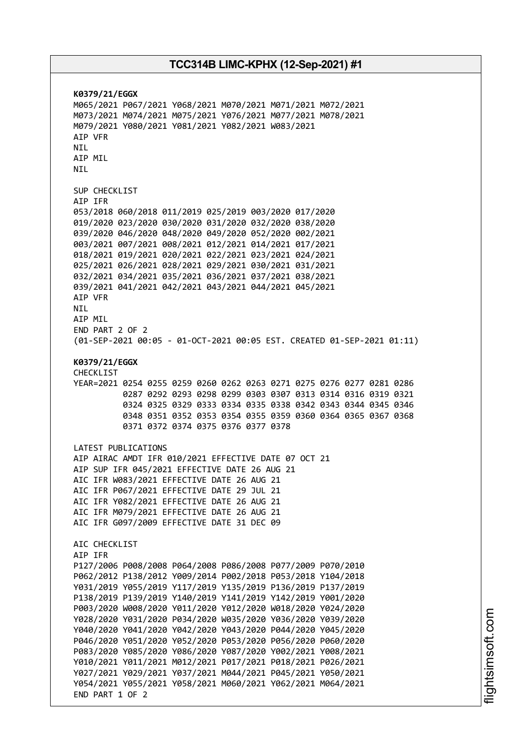**K0379/21/EGGX** M065/2021 P067/2021 Y068/2021 M070/2021 M071/2021 M072/2021 M073/2021 M074/2021 M075/2021 Y076/2021 M077/2021 M078/2021 M079/2021 Y080/2021 Y081/2021 Y082/2021 W083/2021 AIP VFR NIL AIP MIL NIL SUP CHECKLIST AIP IFR 053/2018 060/2018 011/2019 025/2019 003/2020 017/2020 019/2020 023/2020 030/2020 031/2020 032/2020 038/2020 039/2020 046/2020 048/2020 049/2020 052/2020 002/2021 003/2021 007/2021 008/2021 012/2021 014/2021 017/2021 018/2021 019/2021 020/2021 022/2021 023/2021 024/2021 025/2021 026/2021 028/2021 029/2021 030/2021 031/2021 032/2021 034/2021 035/2021 036/2021 037/2021 038/2021 039/2021 041/2021 042/2021 043/2021 044/2021 045/2021 AIP VFR NIL AIP MIL END PART 2 OF 2 (01-SEP-2021 00:05 - 01-OCT-2021 00:05 EST. CREATED 01-SEP-2021 01:11) **K0379/21/EGGX** CHECKLIST YEAR=2021 0254 0255 0259 0260 0262 0263 0271 0275 0276 0277 0281 0286 0287 0292 0293 0298 0299 0303 0307 0313 0314 0316 0319 0321 0324 0325 0329 0333 0334 0335 0338 0342 0343 0344 0345 0346 0348 0351 0352 0353 0354 0355 0359 0360 0364 0365 0367 0368 0371 0372 0374 0375 0376 0377 0378 LATEST PUBLICATIONS AIP AIRAC AMDT IFR 010/2021 EFFECTIVE DATE 07 OCT 21 AIP SUP IFR 045/2021 EFFECTIVE DATE 26 AUG 21 AIC IFR W083/2021 EFFECTIVE DATE 26 AUG 21 AIC IFR P067/2021 EFFECTIVE DATE 29 JUL 21 AIC IFR Y082/2021 EFFECTIVE DATE 26 AUG 21 AIC IFR M079/2021 EFFECTIVE DATE 26 AUG 21 AIC IFR G097/2009 EFFECTIVE DATE 31 DEC 09 AIC CHECKLIST AIP IFR P127/2006 P008/2008 P064/2008 P086/2008 P077/2009 P070/2010 P062/2012 P138/2012 Y009/2014 P002/2018 P053/2018 Y104/2018 Y031/2019 Y055/2019 Y117/2019 Y135/2019 P136/2019 P137/2019 P138/2019 P139/2019 Y140/2019 Y141/2019 Y142/2019 Y001/2020 P003/2020 W008/2020 Y011/2020 Y012/2020 W018/2020 Y024/2020 Y028/2020 Y031/2020 P034/2020 W035/2020 Y036/2020 Y039/2020 Y040/2020 Y041/2020 Y042/2020 Y043/2020 P044/2020 Y045/2020 P046/2020 Y051/2020 Y052/2020 P053/2020 P056/2020 P060/2020 P083/2020 Y085/2020 Y086/2020 Y087/2020 Y002/2021 Y008/2021 Y010/2021 Y011/2021 M012/2021 P017/2021 P018/2021 P026/2021 Y027/2021 Y029/2021 Y037/2021 M044/2021 P045/2021 Y050/2021 Y054/2021 Y055/2021 Y058/2021 M060/2021 Y062/2021 M064/2021 END PART 1 OF 2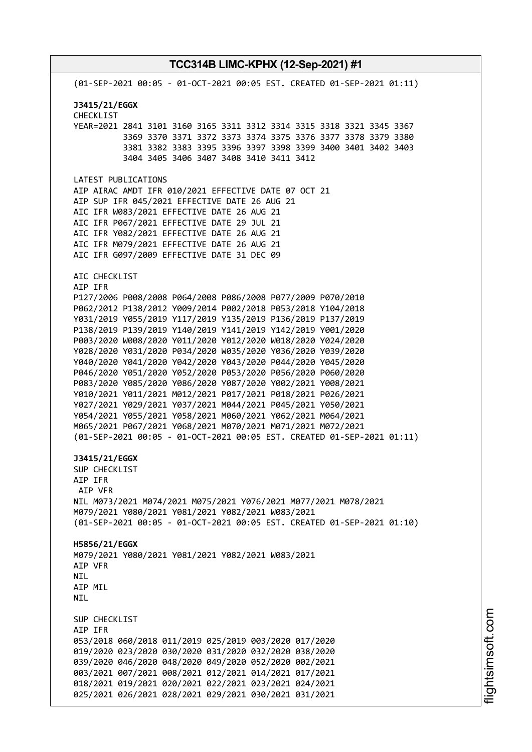(01-SEP-2021 00:05 - 01-OCT-2021 00:05 EST. CREATED 01-SEP-2021 01:11) **J3415/21/EGGX** CHECKLIST YEAR=2021 2841 3101 3160 3165 3311 3312 3314 3315 3318 3321 3345 3367 3369 3370 3371 3372 3373 3374 3375 3376 3377 3378 3379 3380 3381 3382 3383 3395 3396 3397 3398 3399 3400 3401 3402 3403 3404 3405 3406 3407 3408 3410 3411 3412 LATEST PUBLICATIONS AIP AIRAC AMDT IFR 010/2021 EFFECTIVE DATE 07 OCT 21 AIP SUP IFR 045/2021 EFFECTIVE DATE 26 AUG 21 AIC IFR W083/2021 EFFECTIVE DATE 26 AUG 21 AIC IFR P067/2021 EFFECTIVE DATE 29 JUL 21 AIC IFR Y082/2021 EFFECTIVE DATE 26 AUG 21 AIC IFR M079/2021 EFFECTIVE DATE 26 AUG 21 AIC IFR G097/2009 EFFECTIVE DATE 31 DEC 09 AIC CHECKLIST AIP IFR P127/2006 P008/2008 P064/2008 P086/2008 P077/2009 P070/2010 P062/2012 P138/2012 Y009/2014 P002/2018 P053/2018 Y104/2018 Y031/2019 Y055/2019 Y117/2019 Y135/2019 P136/2019 P137/2019 P138/2019 P139/2019 Y140/2019 Y141/2019 Y142/2019 Y001/2020 P003/2020 W008/2020 Y011/2020 Y012/2020 W018/2020 Y024/2020 Y028/2020 Y031/2020 P034/2020 W035/2020 Y036/2020 Y039/2020 Y040/2020 Y041/2020 Y042/2020 Y043/2020 P044/2020 Y045/2020 P046/2020 Y051/2020 Y052/2020 P053/2020 P056/2020 P060/2020 P083/2020 Y085/2020 Y086/2020 Y087/2020 Y002/2021 Y008/2021 Y010/2021 Y011/2021 M012/2021 P017/2021 P018/2021 P026/2021 Y027/2021 Y029/2021 Y037/2021 M044/2021 P045/2021 Y050/2021 Y054/2021 Y055/2021 Y058/2021 M060/2021 Y062/2021 M064/2021 M065/2021 P067/2021 Y068/2021 M070/2021 M071/2021 M072/2021 (01-SEP-2021 00:05 - 01-OCT-2021 00:05 EST. CREATED 01-SEP-2021 01:11) **J3415/21/EGGX** SUP CHECKLIST AIP IFR AIP VFR NIL M073/2021 M074/2021 M075/2021 Y076/2021 M077/2021 M078/2021 M079/2021 Y080/2021 Y081/2021 Y082/2021 W083/2021 (01-SEP-2021 00:05 - 01-OCT-2021 00:05 EST. CREATED 01-SEP-2021 01:10) **H5856/21/EGGX** M079/2021 Y080/2021 Y081/2021 Y082/2021 W083/2021 AIP VFR **NTL** AIP MIL **NTI** SUP CHECKLIST AIP IFR 053/2018 060/2018 011/2019 025/2019 003/2020 017/2020 019/2020 023/2020 030/2020 031/2020 032/2020 038/2020 039/2020 046/2020 048/2020 049/2020 052/2020 002/2021 003/2021 007/2021 008/2021 012/2021 014/2021 017/2021 018/2021 019/2021 020/2021 022/2021 023/2021 024/2021 025/2021 026/2021 028/2021 029/2021 030/2021 031/2021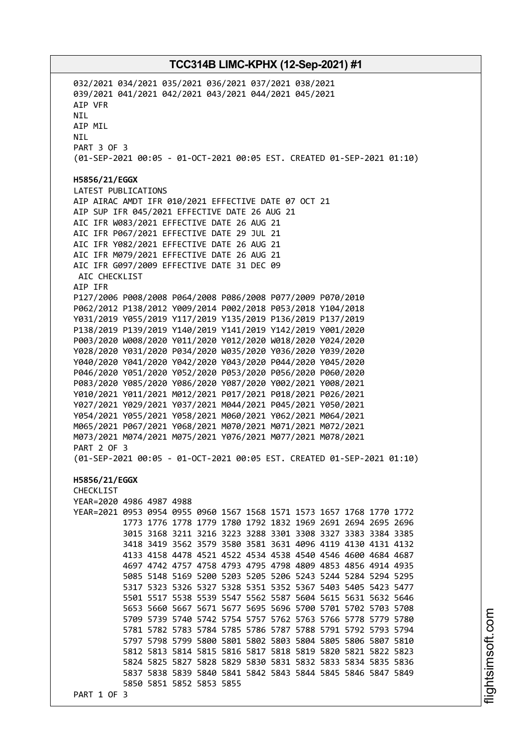032/2021 034/2021 035/2021 036/2021 037/2021 038/2021 039/2021 041/2021 042/2021 043/2021 044/2021 045/2021 AIP VFR NIL AIP MIL NIL PART 3 OF 3 (01-SEP-2021 00:05 - 01-OCT-2021 00:05 EST. CREATED 01-SEP-2021 01:10) **H5856/21/EGGX** LATEST PUBLICATIONS AIP AIRAC AMDT IFR 010/2021 EFFECTIVE DATE 07 OCT 21 AIP SUP IFR 045/2021 EFFECTIVE DATE 26 AUG 21 AIC IFR W083/2021 EFFECTIVE DATE 26 AUG 21 AIC IFR P067/2021 EFFECTIVE DATE 29 JUL 21 AIC IFR Y082/2021 EFFECTIVE DATE 26 AUG 21 AIC IFR M079/2021 EFFECTIVE DATE 26 AUG 21 AIC IFR G097/2009 EFFECTIVE DATE 31 DEC 09 AIC CHECKLIST AIP IFR P127/2006 P008/2008 P064/2008 P086/2008 P077/2009 P070/2010 P062/2012 P138/2012 Y009/2014 P002/2018 P053/2018 Y104/2018 Y031/2019 Y055/2019 Y117/2019 Y135/2019 P136/2019 P137/2019 P138/2019 P139/2019 Y140/2019 Y141/2019 Y142/2019 Y001/2020 P003/2020 W008/2020 Y011/2020 Y012/2020 W018/2020 Y024/2020 Y028/2020 Y031/2020 P034/2020 W035/2020 Y036/2020 Y039/2020 Y040/2020 Y041/2020 Y042/2020 Y043/2020 P044/2020 Y045/2020 P046/2020 Y051/2020 Y052/2020 P053/2020 P056/2020 P060/2020 P083/2020 Y085/2020 Y086/2020 Y087/2020 Y002/2021 Y008/2021 Y010/2021 Y011/2021 M012/2021 P017/2021 P018/2021 P026/2021 Y027/2021 Y029/2021 Y037/2021 M044/2021 P045/2021 Y050/2021 Y054/2021 Y055/2021 Y058/2021 M060/2021 Y062/2021 M064/2021 M065/2021 P067/2021 Y068/2021 M070/2021 M071/2021 M072/2021 M073/2021 M074/2021 M075/2021 Y076/2021 M077/2021 M078/2021 PART 2 OF 3 (01-SEP-2021 00:05 - 01-OCT-2021 00:05 EST. CREATED 01-SEP-2021 01:10) **H5856/21/EGGX** CHECKLIST YEAR=2020 4986 4987 4988 YEAR=2021 0953 0954 0955 0960 1567 1568 1571 1573 1657 1768 1770 1772 1773 1776 1778 1779 1780 1792 1832 1969 2691 2694 2695 2696 3015 3168 3211 3216 3223 3288 3301 3308 3327 3383 3384 3385 3418 3419 3562 3579 3580 3581 3631 4096 4119 4130 4131 4132 4133 4158 4478 4521 4522 4534 4538 4540 4546 4600 4684 4687 4697 4742 4757 4758 4793 4795 4798 4809 4853 4856 4914 4935 5085 5148 5169 5200 5203 5205 5206 5243 5244 5284 5294 5295 5317 5323 5326 5327 5328 5351 5352 5367 5403 5405 5423 5477 5501 5517 5538 5539 5547 5562 5587 5604 5615 5631 5632 5646 5653 5660 5667 5671 5677 5695 5696 5700 5701 5702 5703 5708 5709 5739 5740 5742 5754 5757 5762 5763 5766 5778 5779 5780 5781 5782 5783 5784 5785 5786 5787 5788 5791 5792 5793 5794 5797 5798 5799 5800 5801 5802 5803 5804 5805 5806 5807 5810 5812 5813 5814 5815 5816 5817 5818 5819 5820 5821 5822 5823 5824 5825 5827 5828 5829 5830 5831 5832 5833 5834 5835 5836 5837 5838 5839 5840 5841 5842 5843 5844 5845 5846 5847 5849 5850 5851 5852 5853 5855 PART 1 OF 3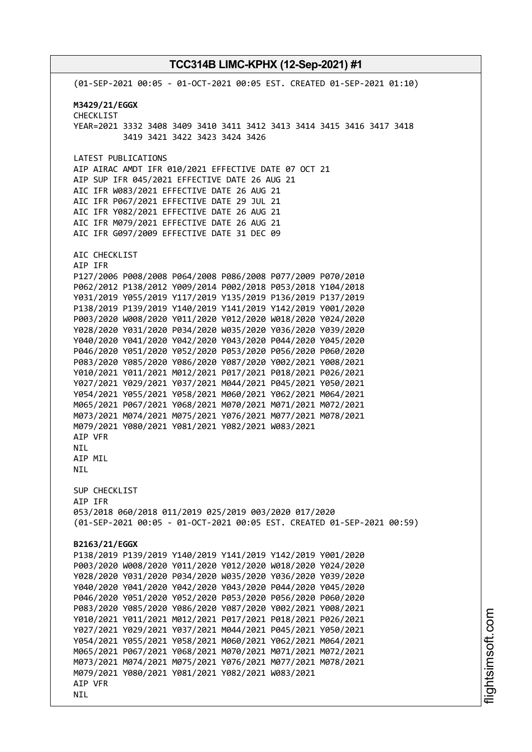(01-SEP-2021 00:05 - 01-OCT-2021 00:05 EST. CREATED 01-SEP-2021 01:10) **M3429/21/EGGX** CHECKLIST YEAR=2021 3332 3408 3409 3410 3411 3412 3413 3414 3415 3416 3417 3418 3419 3421 3422 3423 3424 3426 LATEST PUBLICATIONS AIP AIRAC AMDT IFR 010/2021 EFFECTIVE DATE 07 OCT 21 AIP SUP IFR 045/2021 EFFECTIVE DATE 26 AUG 21 AIC IFR W083/2021 EFFECTIVE DATE 26 AUG 21 AIC IFR P067/2021 EFFECTIVE DATE 29 JUL 21 AIC IFR Y082/2021 EFFECTIVE DATE 26 AUG 21 AIC IFR M079/2021 EFFECTIVE DATE 26 AUG 21 AIC IFR G097/2009 EFFECTIVE DATE 31 DEC 09 AIC CHECKLIST AIP IFR P127/2006 P008/2008 P064/2008 P086/2008 P077/2009 P070/2010 P062/2012 P138/2012 Y009/2014 P002/2018 P053/2018 Y104/2018 Y031/2019 Y055/2019 Y117/2019 Y135/2019 P136/2019 P137/2019 P138/2019 P139/2019 Y140/2019 Y141/2019 Y142/2019 Y001/2020 P003/2020 W008/2020 Y011/2020 Y012/2020 W018/2020 Y024/2020 Y028/2020 Y031/2020 P034/2020 W035/2020 Y036/2020 Y039/2020 Y040/2020 Y041/2020 Y042/2020 Y043/2020 P044/2020 Y045/2020 P046/2020 Y051/2020 Y052/2020 P053/2020 P056/2020 P060/2020 P083/2020 Y085/2020 Y086/2020 Y087/2020 Y002/2021 Y008/2021 Y010/2021 Y011/2021 M012/2021 P017/2021 P018/2021 P026/2021 Y027/2021 Y029/2021 Y037/2021 M044/2021 P045/2021 Y050/2021 Y054/2021 Y055/2021 Y058/2021 M060/2021 Y062/2021 M064/2021 M065/2021 P067/2021 Y068/2021 M070/2021 M071/2021 M072/2021 M073/2021 M074/2021 M075/2021 Y076/2021 M077/2021 M078/2021 M079/2021 Y080/2021 Y081/2021 Y082/2021 W083/2021 AIP VFR NIL AIP MIL NIL SUP CHECKLIST AIP IFR 053/2018 060/2018 011/2019 025/2019 003/2020 017/2020 (01-SEP-2021 00:05 - 01-OCT-2021 00:05 EST. CREATED 01-SEP-2021 00:59) **B2163/21/EGGX** P138/2019 P139/2019 Y140/2019 Y141/2019 Y142/2019 Y001/2020 P003/2020 W008/2020 Y011/2020 Y012/2020 W018/2020 Y024/2020 Y028/2020 Y031/2020 P034/2020 W035/2020 Y036/2020 Y039/2020 Y040/2020 Y041/2020 Y042/2020 Y043/2020 P044/2020 Y045/2020 P046/2020 Y051/2020 Y052/2020 P053/2020 P056/2020 P060/2020 P083/2020 Y085/2020 Y086/2020 Y087/2020 Y002/2021 Y008/2021 Y010/2021 Y011/2021 M012/2021 P017/2021 P018/2021 P026/2021 Y027/2021 Y029/2021 Y037/2021 M044/2021 P045/2021 Y050/2021 Y054/2021 Y055/2021 Y058/2021 M060/2021 Y062/2021 M064/2021 M065/2021 P067/2021 Y068/2021 M070/2021 M071/2021 M072/2021 M073/2021 M074/2021 M075/2021 Y076/2021 M077/2021 M078/2021 M079/2021 Y080/2021 Y081/2021 Y082/2021 W083/2021 AIP VFR NIL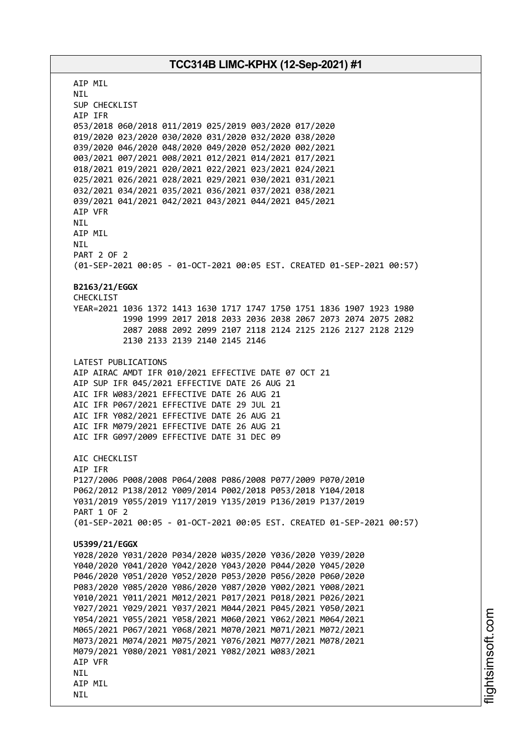AIP MIL NIL SUP CHECKLIST AIP IFR 053/2018 060/2018 011/2019 025/2019 003/2020 017/2020 019/2020 023/2020 030/2020 031/2020 032/2020 038/2020 039/2020 046/2020 048/2020 049/2020 052/2020 002/2021 003/2021 007/2021 008/2021 012/2021 014/2021 017/2021 018/2021 019/2021 020/2021 022/2021 023/2021 024/2021 025/2021 026/2021 028/2021 029/2021 030/2021 031/2021 032/2021 034/2021 035/2021 036/2021 037/2021 038/2021 039/2021 041/2021 042/2021 043/2021 044/2021 045/2021 AIP VFR NIL AIP MIL NIL PART 2 OF 2 (01-SEP-2021 00:05 - 01-OCT-2021 00:05 EST. CREATED 01-SEP-2021 00:57) **B2163/21/EGGX** CHECKLIST YEAR=2021 1036 1372 1413 1630 1717 1747 1750 1751 1836 1907 1923 1980 1990 1999 2017 2018 2033 2036 2038 2067 2073 2074 2075 2082 2087 2088 2092 2099 2107 2118 2124 2125 2126 2127 2128 2129 2130 2133 2139 2140 2145 2146 LATEST PUBLICATIONS AIP AIRAC AMDT IFR 010/2021 EFFECTIVE DATE 07 OCT 21 AIP SUP IFR 045/2021 EFFECTIVE DATE 26 AUG 21 AIC IFR W083/2021 EFFECTIVE DATE 26 AUG 21 AIC IFR P067/2021 EFFECTIVE DATE 29 JUL 21 AIC IFR Y082/2021 EFFECTIVE DATE 26 AUG 21 AIC IFR M079/2021 EFFECTIVE DATE 26 AUG 21 AIC IFR G097/2009 EFFECTIVE DATE 31 DEC 09 ATC CHECKLIST AIP IFR P127/2006 P008/2008 P064/2008 P086/2008 P077/2009 P070/2010 P062/2012 P138/2012 Y009/2014 P002/2018 P053/2018 Y104/2018 Y031/2019 Y055/2019 Y117/2019 Y135/2019 P136/2019 P137/2019 PART 1 OF 2 (01-SEP-2021 00:05 - 01-OCT-2021 00:05 EST. CREATED 01-SEP-2021 00:57) **U5399/21/EGGX** Y028/2020 Y031/2020 P034/2020 W035/2020 Y036/2020 Y039/2020 Y040/2020 Y041/2020 Y042/2020 Y043/2020 P044/2020 Y045/2020 P046/2020 Y051/2020 Y052/2020 P053/2020 P056/2020 P060/2020 P083/2020 Y085/2020 Y086/2020 Y087/2020 Y002/2021 Y008/2021 Y010/2021 Y011/2021 M012/2021 P017/2021 P018/2021 P026/2021 Y027/2021 Y029/2021 Y037/2021 M044/2021 P045/2021 Y050/2021 Y054/2021 Y055/2021 Y058/2021 M060/2021 Y062/2021 M064/2021 M065/2021 P067/2021 Y068/2021 M070/2021 M071/2021 M072/2021 M073/2021 M074/2021 M075/2021 Y076/2021 M077/2021 M078/2021 M079/2021 Y080/2021 Y081/2021 Y082/2021 W083/2021 AIP VFR **NTL** AIP MIL NIL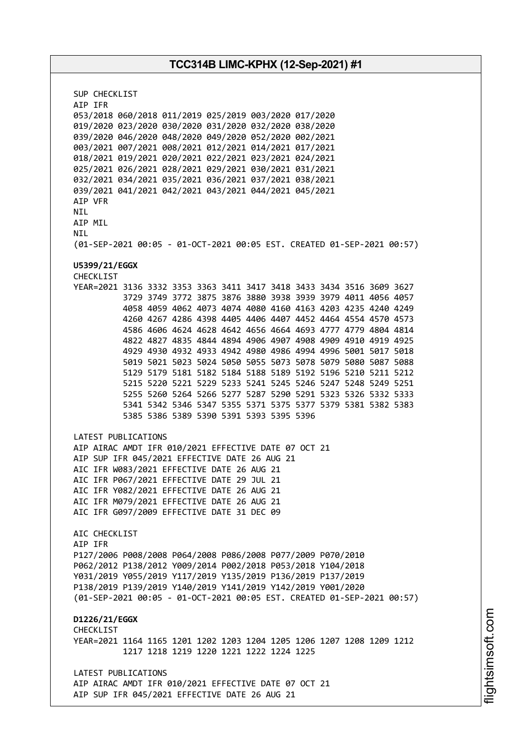SUP CHECKLIST AIP IFR 053/2018 060/2018 011/2019 025/2019 003/2020 017/2020 019/2020 023/2020 030/2020 031/2020 032/2020 038/2020 039/2020 046/2020 048/2020 049/2020 052/2020 002/2021 003/2021 007/2021 008/2021 012/2021 014/2021 017/2021 018/2021 019/2021 020/2021 022/2021 023/2021 024/2021 025/2021 026/2021 028/2021 029/2021 030/2021 031/2021 032/2021 034/2021 035/2021 036/2021 037/2021 038/2021 039/2021 041/2021 042/2021 043/2021 044/2021 045/2021 AIP VFR **NTI** AIP MIL NIL (01-SEP-2021 00:05 - 01-OCT-2021 00:05 EST. CREATED 01-SEP-2021 00:57) **U5399/21/EGGX** CHECKLIST YEAR=2021 3136 3332 3353 3363 3411 3417 3418 3433 3434 3516 3609 3627 3729 3749 3772 3875 3876 3880 3938 3939 3979 4011 4056 4057 4058 4059 4062 4073 4074 4080 4160 4163 4203 4235 4240 4249 4260 4267 4286 4398 4405 4406 4407 4452 4464 4554 4570 4573 4586 4606 4624 4628 4642 4656 4664 4693 4777 4779 4804 4814 4822 4827 4835 4844 4894 4906 4907 4908 4909 4910 4919 4925 4929 4930 4932 4933 4942 4980 4986 4994 4996 5001 5017 5018 5019 5021 5023 5024 5050 5055 5073 5078 5079 5080 5087 5088 5129 5179 5181 5182 5184 5188 5189 5192 5196 5210 5211 5212 5215 5220 5221 5229 5233 5241 5245 5246 5247 5248 5249 5251 5255 5260 5264 5266 5277 5287 5290 5291 5323 5326 5332 5333 5341 5342 5346 5347 5355 5371 5375 5377 5379 5381 5382 5383 5385 5386 5389 5390 5391 5393 5395 5396 LATEST PUBLICATIONS AIP AIRAC AMDT IFR 010/2021 EFFECTIVE DATE 07 OCT 21 AIP SUP IFR 045/2021 EFFECTIVE DATE 26 AUG 21 AIC IFR W083/2021 EFFECTIVE DATE 26 AUG 21 AIC IFR P067/2021 EFFECTIVE DATE 29 JUL 21 AIC IFR Y082/2021 EFFECTIVE DATE 26 AUG 21 AIC IFR M079/2021 EFFECTIVE DATE 26 AUG 21 AIC IFR G097/2009 EFFECTIVE DATE 31 DEC 09 AIC CHECKLIST AIP IFR P127/2006 P008/2008 P064/2008 P086/2008 P077/2009 P070/2010 P062/2012 P138/2012 Y009/2014 P002/2018 P053/2018 Y104/2018 Y031/2019 Y055/2019 Y117/2019 Y135/2019 P136/2019 P137/2019 P138/2019 P139/2019 Y140/2019 Y141/2019 Y142/2019 Y001/2020 (01-SEP-2021 00:05 - 01-OCT-2021 00:05 EST. CREATED 01-SEP-2021 00:57) **D1226/21/EGGX CHECKLIST** YEAR=2021 1164 1165 1201 1202 1203 1204 1205 1206 1207 1208 1209 1212 1217 1218 1219 1220 1221 1222 1224 1225 LATEST PUBLICATIONS AIP AIRAC AMDT IFR 010/2021 EFFECTIVE DATE 07 OCT 21 AIP SUP IFR 045/2021 EFFECTIVE DATE 26 AUG 21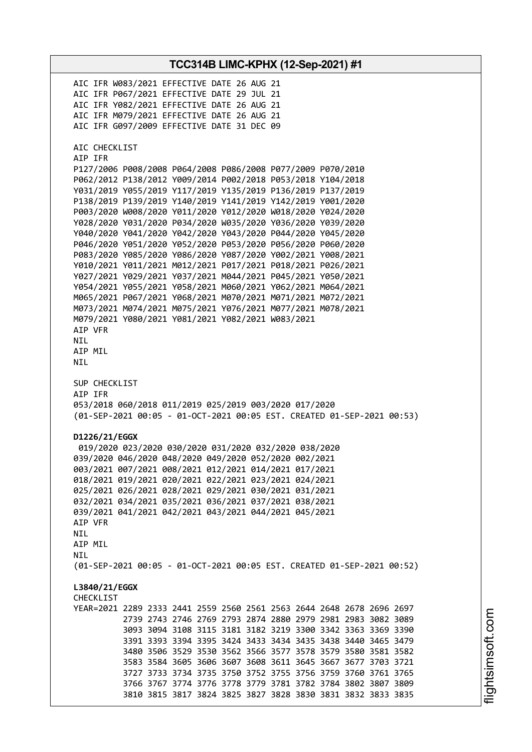**TCC314B LIMC-KPHX (12-Sep-2021) #1** AIC IFR W083/2021 EFFECTIVE DATE 26 AUG 21 AIC IFR P067/2021 EFFECTIVE DATE 29 JUL 21 AIC IFR Y082/2021 EFFECTIVE DATE 26 AUG 21 AIC IFR M079/2021 EFFECTIVE DATE 26 AUG 21 AIC IFR G097/2009 EFFECTIVE DATE 31 DEC 09 AIC CHECKLIST AIP IFR P127/2006 P008/2008 P064/2008 P086/2008 P077/2009 P070/2010 P062/2012 P138/2012 Y009/2014 P002/2018 P053/2018 Y104/2018 Y031/2019 Y055/2019 Y117/2019 Y135/2019 P136/2019 P137/2019 P138/2019 P139/2019 Y140/2019 Y141/2019 Y142/2019 Y001/2020 P003/2020 W008/2020 Y011/2020 Y012/2020 W018/2020 Y024/2020 Y028/2020 Y031/2020 P034/2020 W035/2020 Y036/2020 Y039/2020 Y040/2020 Y041/2020 Y042/2020 Y043/2020 P044/2020 Y045/2020 P046/2020 Y051/2020 Y052/2020 P053/2020 P056/2020 P060/2020 P083/2020 Y085/2020 Y086/2020 Y087/2020 Y002/2021 Y008/2021 Y010/2021 Y011/2021 M012/2021 P017/2021 P018/2021 P026/2021 Y027/2021 Y029/2021 Y037/2021 M044/2021 P045/2021 Y050/2021 Y054/2021 Y055/2021 Y058/2021 M060/2021 Y062/2021 M064/2021 M065/2021 P067/2021 Y068/2021 M070/2021 M071/2021 M072/2021 M073/2021 M074/2021 M075/2021 Y076/2021 M077/2021 M078/2021 M079/2021 Y080/2021 Y081/2021 Y082/2021 W083/2021 AIP VFR NIL AIP MIL NIL SUP CHECKLIST AIP IFR 053/2018 060/2018 011/2019 025/2019 003/2020 017/2020 (01-SEP-2021 00:05 - 01-OCT-2021 00:05 EST. CREATED 01-SEP-2021 00:53) **D1226/21/EGGX** 019/2020 023/2020 030/2020 031/2020 032/2020 038/2020 039/2020 046/2020 048/2020 049/2020 052/2020 002/2021 003/2021 007/2021 008/2021 012/2021 014/2021 017/2021 018/2021 019/2021 020/2021 022/2021 023/2021 024/2021 025/2021 026/2021 028/2021 029/2021 030/2021 031/2021 032/2021 034/2021 035/2021 036/2021 037/2021 038/2021 039/2021 041/2021 042/2021 043/2021 044/2021 045/2021 AIP VFR NIL AIP MIL **NTI** (01-SEP-2021 00:05 - 01-OCT-2021 00:05 EST. CREATED 01-SEP-2021 00:52) **L3840/21/EGGX** CHECKL<sub>TST</sub> YEAR=2021 2289 2333 2441 2559 2560 2561 2563 2644 2648 2678 2696 2697 2739 2743 2746 2769 2793 2874 2880 2979 2981 2983 3082 3089 3093 3094 3108 3115 3181 3182 3219 3300 3342 3363 3369 3390 3391 3393 3394 3395 3424 3433 3434 3435 3438 3440 3465 3479 3480 3506 3529 3530 3562 3566 3577 3578 3579 3580 3581 3582 3583 3584 3605 3606 3607 3608 3611 3645 3667 3677 3703 3721 3727 3733 3734 3735 3750 3752 3755 3756 3759 3760 3761 3765 3766 3767 3774 3776 3778 3779 3781 3782 3784 3802 3807 3809 3810 3815 3817 3824 3825 3827 3828 3830 3831 3832 3833 3835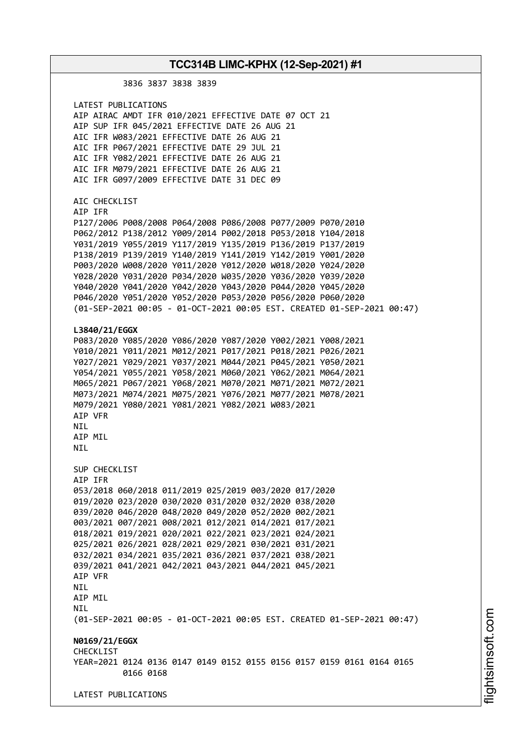3836 3837 3838 3839 LATEST PUBLICATIONS AIP AIRAC AMDT IFR 010/2021 EFFECTIVE DATE 07 OCT 21 AIP SUP IFR 045/2021 EFFECTIVE DATE 26 AUG 21 AIC IFR W083/2021 EFFECTIVE DATE 26 AUG 21 AIC IFR P067/2021 EFFECTIVE DATE 29 JUL 21 AIC IFR Y082/2021 EFFECTIVE DATE 26 AUG 21 AIC IFR M079/2021 EFFECTIVE DATE 26 AUG 21 AIC IFR G097/2009 EFFECTIVE DATE 31 DEC 09 AIC CHECKLIST AIP IFR P127/2006 P008/2008 P064/2008 P086/2008 P077/2009 P070/2010 P062/2012 P138/2012 Y009/2014 P002/2018 P053/2018 Y104/2018 Y031/2019 Y055/2019 Y117/2019 Y135/2019 P136/2019 P137/2019 P138/2019 P139/2019 Y140/2019 Y141/2019 Y142/2019 Y001/2020 P003/2020 W008/2020 Y011/2020 Y012/2020 W018/2020 Y024/2020 Y028/2020 Y031/2020 P034/2020 W035/2020 Y036/2020 Y039/2020 Y040/2020 Y041/2020 Y042/2020 Y043/2020 P044/2020 Y045/2020 P046/2020 Y051/2020 Y052/2020 P053/2020 P056/2020 P060/2020 (01-SEP-2021 00:05 - 01-OCT-2021 00:05 EST. CREATED 01-SEP-2021 00:47) **L3840/21/EGGX** P083/2020 Y085/2020 Y086/2020 Y087/2020 Y002/2021 Y008/2021 Y010/2021 Y011/2021 M012/2021 P017/2021 P018/2021 P026/2021 Y027/2021 Y029/2021 Y037/2021 M044/2021 P045/2021 Y050/2021 Y054/2021 Y055/2021 Y058/2021 M060/2021 Y062/2021 M064/2021 M065/2021 P067/2021 Y068/2021 M070/2021 M071/2021 M072/2021 M073/2021 M074/2021 M075/2021 Y076/2021 M077/2021 M078/2021 M079/2021 Y080/2021 Y081/2021 Y082/2021 W083/2021 AIP VFR NIL ATP MTL NIL SUP CHECKLIST AIP IFR 053/2018 060/2018 011/2019 025/2019 003/2020 017/2020 019/2020 023/2020 030/2020 031/2020 032/2020 038/2020 039/2020 046/2020 048/2020 049/2020 052/2020 002/2021 003/2021 007/2021 008/2021 012/2021 014/2021 017/2021 018/2021 019/2021 020/2021 022/2021 023/2021 024/2021 025/2021 026/2021 028/2021 029/2021 030/2021 031/2021 032/2021 034/2021 035/2021 036/2021 037/2021 038/2021 039/2021 041/2021 042/2021 043/2021 044/2021 045/2021 AIP VFR **NTI** AIP MIL NIL (01-SEP-2021 00:05 - 01-OCT-2021 00:05 EST. CREATED 01-SEP-2021 00:47) **N0169/21/EGGX CHECKLIST** YEAR=2021 0124 0136 0147 0149 0152 0155 0156 0157 0159 0161 0164 0165 0166 0168 LATEST PUBLICATIONS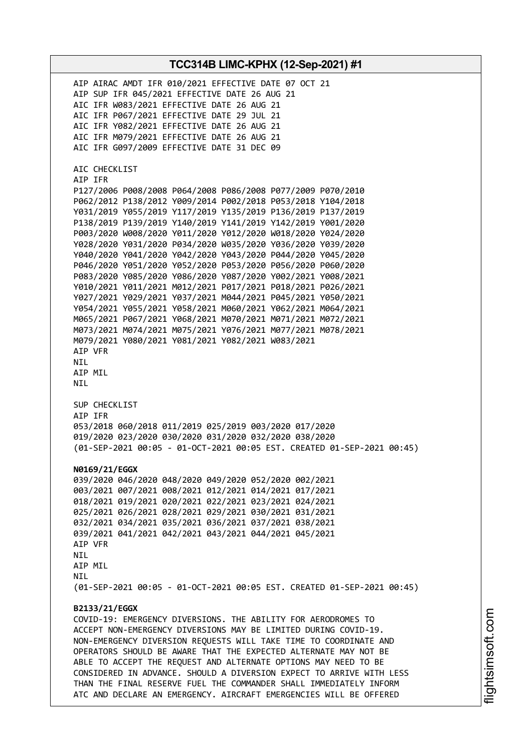AIP AIRAC AMDT IFR 010/2021 EFFECTIVE DATE 07 OCT 21 AIP SUP IFR 045/2021 EFFECTIVE DATE 26 AUG 21 AIC IFR W083/2021 EFFECTIVE DATE 26 AUG 21 AIC IFR P067/2021 EFFECTIVE DATE 29 JUL 21 AIC IFR Y082/2021 EFFECTIVE DATE 26 AUG 21 AIC IFR M079/2021 EFFECTIVE DATE 26 AUG 21 AIC IFR G097/2009 EFFECTIVE DATE 31 DEC 09 AIC CHECKLIST AIP IFR P127/2006 P008/2008 P064/2008 P086/2008 P077/2009 P070/2010 P062/2012 P138/2012 Y009/2014 P002/2018 P053/2018 Y104/2018 Y031/2019 Y055/2019 Y117/2019 Y135/2019 P136/2019 P137/2019 P138/2019 P139/2019 Y140/2019 Y141/2019 Y142/2019 Y001/2020 P003/2020 W008/2020 Y011/2020 Y012/2020 W018/2020 Y024/2020 Y028/2020 Y031/2020 P034/2020 W035/2020 Y036/2020 Y039/2020 Y040/2020 Y041/2020 Y042/2020 Y043/2020 P044/2020 Y045/2020 P046/2020 Y051/2020 Y052/2020 P053/2020 P056/2020 P060/2020 P083/2020 Y085/2020 Y086/2020 Y087/2020 Y002/2021 Y008/2021 Y010/2021 Y011/2021 M012/2021 P017/2021 P018/2021 P026/2021 Y027/2021 Y029/2021 Y037/2021 M044/2021 P045/2021 Y050/2021 Y054/2021 Y055/2021 Y058/2021 M060/2021 Y062/2021 M064/2021 M065/2021 P067/2021 Y068/2021 M070/2021 M071/2021 M072/2021 M073/2021 M074/2021 M075/2021 Y076/2021 M077/2021 M078/2021 M079/2021 Y080/2021 Y081/2021 Y082/2021 W083/2021 AIP VFR NIL AIP MIL NIL SUP CHECKLIST AIP IFR 053/2018 060/2018 011/2019 025/2019 003/2020 017/2020 019/2020 023/2020 030/2020 031/2020 032/2020 038/2020 (01-SEP-2021 00:05 - 01-OCT-2021 00:05 EST. CREATED 01-SEP-2021 00:45) **N0169/21/EGGX** 039/2020 046/2020 048/2020 049/2020 052/2020 002/2021 003/2021 007/2021 008/2021 012/2021 014/2021 017/2021 018/2021 019/2021 020/2021 022/2021 023/2021 024/2021 025/2021 026/2021 028/2021 029/2021 030/2021 031/2021 032/2021 034/2021 035/2021 036/2021 037/2021 038/2021 039/2021 041/2021 042/2021 043/2021 044/2021 045/2021 AIP VFR NIL AIP MIL **NTI** (01-SEP-2021 00:05 - 01-OCT-2021 00:05 EST. CREATED 01-SEP-2021 00:45) **B2133/21/EGGX** COVID-19: EMERGENCY DIVERSIONS. THE ABILITY FOR AERODROMES TO ACCEPT NON-EMERGENCY DIVERSIONS MAY BE LIMITED DURING COVID-19. NON-EMERGENCY DIVERSION REQUESTS WILL TAKE TIME TO COORDINATE AND OPERATORS SHOULD BE AWARE THAT THE EXPECTED ALTERNATE MAY NOT BE ABLE TO ACCEPT THE REQUEST AND ALTERNATE OPTIONS MAY NEED TO BE CONSIDERED IN ADVANCE. SHOULD A DIVERSION EXPECT TO ARRIVE WITH LESS THAN THE FINAL RESERVE FUEL THE COMMANDER SHALL IMMEDIATELY INFORM ATC AND DECLARE AN EMERGENCY. AIRCRAFT EMERGENCIES WILL BE OFFERED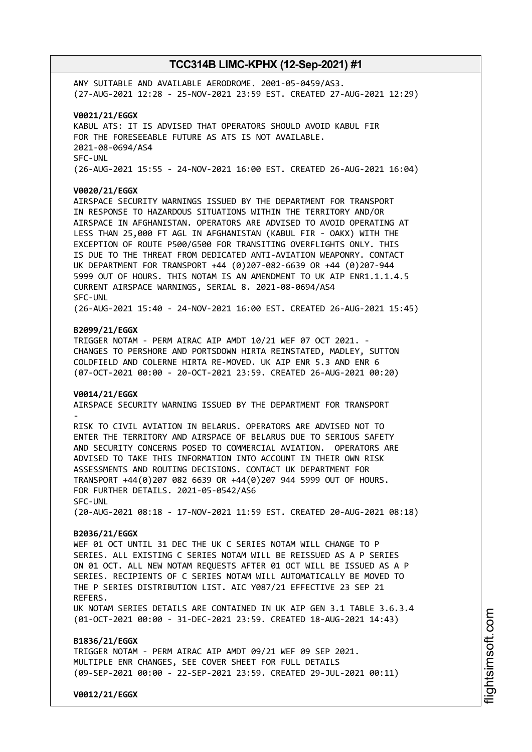ANY SUITABLE AND AVAILABLE AERODROME. 2001-05-0459/AS3. (27-AUG-2021 12:28 - 25-NOV-2021 23:59 EST. CREATED 27-AUG-2021 12:29)

**V0021/21/EGGX** KABUL ATS: IT IS ADVISED THAT OPERATORS SHOULD AVOID KABUL FIR FOR THE FORESEEABLE FUTURE AS ATS IS NOT AVAILABLE. 2021-08-0694/AS4 SFC-UNL (26-AUG-2021 15:55 - 24-NOV-2021 16:00 EST. CREATED 26-AUG-2021 16:04)

#### **V0020/21/EGGX**

AIRSPACE SECURITY WARNINGS ISSUED BY THE DEPARTMENT FOR TRANSPORT IN RESPONSE TO HAZARDOUS SITUATIONS WITHIN THE TERRITORY AND/OR AIRSPACE IN AFGHANISTAN. OPERATORS ARE ADVISED TO AVOID OPERATING AT LESS THAN 25,000 FT AGL IN AFGHANISTAN (KABUL FIR - OAKX) WITH THE EXCEPTION OF ROUTE P500/G500 FOR TRANSITING OVERFLIGHTS ONLY. THIS IS DUE TO THE THREAT FROM DEDICATED ANTI-AVIATION WEAPONRY. CONTACT UK DEPARTMENT FOR TRANSPORT +44 (0)207-082-6639 OR +44 (0)207-944 5999 OUT OF HOURS. THIS NOTAM IS AN AMENDMENT TO UK AIP ENR1.1.1.4.5 CURRENT AIRSPACE WARNINGS, SERIAL 8. 2021-08-0694/AS4 SFC-UNL

(26-AUG-2021 15:40 - 24-NOV-2021 16:00 EST. CREATED 26-AUG-2021 15:45)

#### **B2099/21/EGGX**

TRIGGER NOTAM - PERM AIRAC AIP AMDT 10/21 WEF 07 OCT 2021. CHANGES TO PERSHORE AND PORTSDOWN HIRTA REINSTATED, MADLEY, SUTTON COLDFIELD AND COLERNE HIRTA RE-MOVED. UK AIP ENR 5.3 AND ENR 6 (07-OCT-2021 00:00 - 20-OCT-2021 23:59. CREATED 26-AUG-2021 00:20)

#### **V0014/21/EGGX**

AIRSPACE SECURITY WARNING ISSUED BY THE DEPARTMENT FOR TRANSPORT -

RISK TO CIVIL AVIATION IN BELARUS. OPERATORS ARE ADVISED NOT TO ENTER THE TERRITORY AND AIRSPACE OF BELARUS DUE TO SERIOUS SAFETY AND SECURITY CONCERNS POSED TO COMMERCIAL AVIATION. OPERATORS ARE ADVISED TO TAKE THIS INFORMATION INTO ACCOUNT IN THEIR OWN RISK ASSESSMENTS AND ROUTING DECISIONS. CONTACT UK DEPARTMENT FOR TRANSPORT +44(0)207 082 6639 OR +44(0)207 944 5999 OUT OF HOURS. FOR FURTHER DETAILS. 2021-05-0542/AS6 SFC-UNL

(20-AUG-2021 08:18 - 17-NOV-2021 11:59 EST. CREATED 20-AUG-2021 08:18)

#### **B2036/21/EGGX**

WEF 01 OCT UNTIL 31 DEC THE UK C SERIES NOTAM WILL CHANGE TO P SERIES. ALL EXISTING C SERIES NOTAM WILL BE REISSUED AS A P SERIES ON 01 OCT. ALL NEW NOTAM REQUESTS AFTER 01 OCT WILL BE ISSUED AS A P SERIES. RECIPIENTS OF C SERIES NOTAM WILL AUTOMATICALLY BE MOVED TO THE P SERIES DISTRIBUTION LIST. AIC Y087/21 EFFECTIVE 23 SEP 21 REFERS. UK NOTAM SERIES DETAILS ARE CONTAINED IN UK AIP GEN 3.1 TABLE 3.6.3.4 (01-OCT-2021 00:00 - 31-DEC-2021 23:59. CREATED 18-AUG-2021 14:43)

**B1836/21/EGGX** TRIGGER NOTAM - PERM AIRAC AIP AMDT 09/21 WEF 09 SEP 2021. MULTIPLE ENR CHANGES, SEE COVER SHEET FOR FULL DETAILS (09-SEP-2021 00:00 - 22-SEP-2021 23:59. CREATED 29-JUL-2021 00:11)

**V0012/21/EGGX**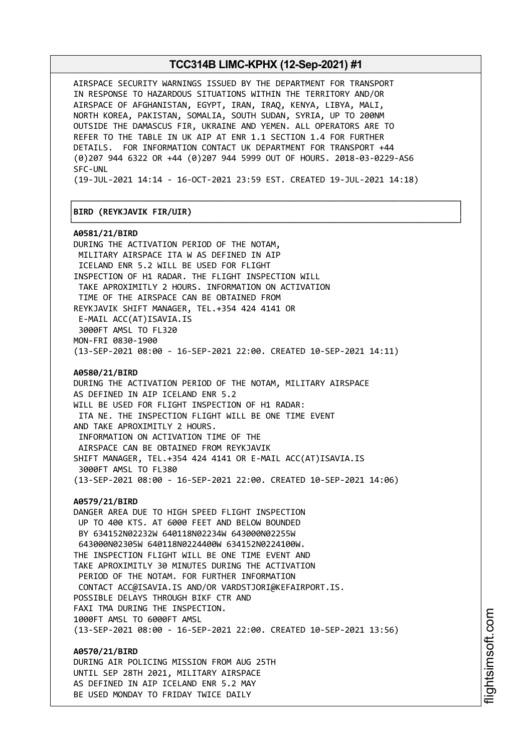AIRSPACE SECURITY WARNINGS ISSUED BY THE DEPARTMENT FOR TRANSPORT IN RESPONSE TO HAZARDOUS SITUATIONS WITHIN THE TERRITORY AND/OR AIRSPACE OF AFGHANISTAN, EGYPT, IRAN, IRAQ, KENYA, LIBYA, MALI, NORTH KOREA, PAKISTAN, SOMALIA, SOUTH SUDAN, SYRIA, UP TO 200NM OUTSIDE THE DAMASCUS FIR, UKRAINE AND YEMEN. ALL OPERATORS ARE TO REFER TO THE TABLE IN UK AIP AT ENR 1.1 SECTION 1.4 FOR FURTHER DETAILS. FOR INFORMATION CONTACT UK DEPARTMENT FOR TRANSPORT +44 (0)207 944 6322 OR +44 (0)207 944 5999 OUT OF HOURS. 2018-03-0229-AS6 SFC-UNL

(19-JUL-2021 14:14 - 16-OCT-2021 23:59 EST. CREATED 19-JUL-2021 14:18)

┌──────────────────────────────────────────────────────────────────────────────┐

└──────────────────────────────────────────────────────────────────────────────┘

#### │**BIRD (REYKJAVIK FIR/UIR)** │

**A0581/21/BIRD** DURING THE ACTIVATION PERIOD OF THE NOTAM, MILITARY AIRSPACE ITA W AS DEFINED IN AIP ICELAND ENR 5.2 WILL BE USED FOR FLIGHT INSPECTION OF H1 RADAR. THE FLIGHT INSPECTION WILL TAKE APROXIMITLY 2 HOURS. INFORMATION ON ACTIVATION TIME OF THE AIRSPACE CAN BE OBTAINED FROM REYKJAVIK SHIFT MANAGER, TEL.+354 424 4141 OR E-MAIL ACC(AT)ISAVIA.IS 3000FT AMSL TO FL320 MON-FRI 0830-1900 (13-SEP-2021 08:00 - 16-SEP-2021 22:00. CREATED 10-SEP-2021 14:11) **A0580/21/BIRD** DURING THE ACTIVATION PERIOD OF THE NOTAM, MILITARY AIRSPACE AS DEFINED IN AIP ICELAND ENR 5.2 WILL BE USED FOR FLIGHT INSPECTION OF H1 RADAR: ITA NE. THE INSPECTION FLIGHT WILL BE ONE TIME EVENT AND TAKE APROXIMITLY 2 HOURS. INFORMATION ON ACTIVATION TIME OF THE AIRSPACE CAN BE OBTAINED FROM REYKJAVIK SHIFT MANAGER, TEL.+354 424 4141 OR E-MAIL ACC(AT)ISAVIA.IS 3000FT AMSL TO FL380 (13-SEP-2021 08:00 - 16-SEP-2021 22:00. CREATED 10-SEP-2021 14:06) **A0579/21/BIRD** DANGER AREA DUE TO HIGH SPEED FLIGHT INSPECTION UP TO 400 KTS. AT 6000 FEET AND BELOW BOUNDED BY 634152N02232W 640118N02234W 643000N02255W 643000N02305W 640118N0224400W 634152N0224100W. THE INSPECTION FLIGHT WILL BE ONE TIME EVENT AND TAKE APROXIMITLY 30 MINUTES DURING THE ACTIVATION PERIOD OF THE NOTAM. FOR FURTHER INFORMATION CONTACT ACC@ISAVIA.IS AND/OR VARDSTJORI@KEFAIRPORT.IS. POSSIBLE DELAYS THROUGH BIKF CTR AND FAXI TMA DURING THE INSPECTION. 1000FT AMSL TO 6000FT AMSL (13-SEP-2021 08:00 - 16-SEP-2021 22:00. CREATED 10-SEP-2021 13:56) **A0570/21/BIRD**

DURING AIR POLICING MISSION FROM AUG 25TH UNTIL SEP 28TH 2021, MILITARY AIRSPACE AS DEFINED IN AIP ICELAND ENR 5.2 MAY BE USED MONDAY TO FRIDAY TWICE DAILY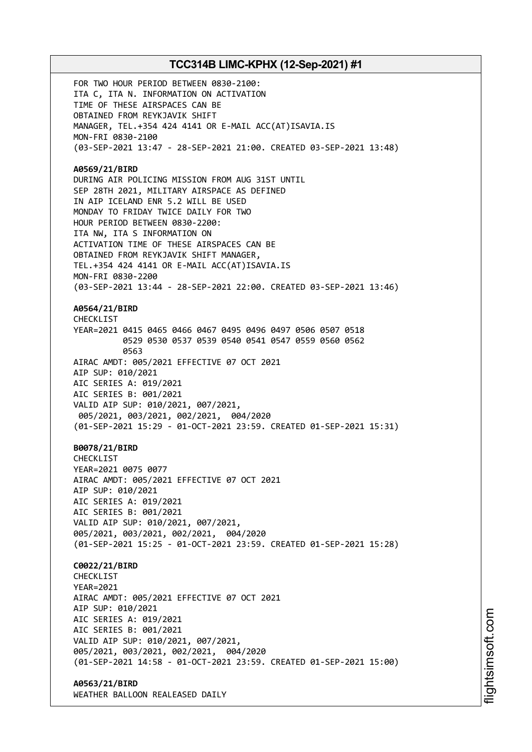FOR TWO HOUR PERIOD BETWEEN 0830-2100: ITA C, ITA N. INFORMATION ON ACTIVATION TIME OF THESE AIRSPACES CAN BE OBTAINED FROM REYKJAVIK SHIFT MANAGER, TEL.+354 424 4141 OR E-MAIL ACC(AT)ISAVIA.IS MON-FRI 0830-2100 (03-SEP-2021 13:47 - 28-SEP-2021 21:00. CREATED 03-SEP-2021 13:48) **A0569/21/BIRD** DURING AIR POLICING MISSION FROM AUG 31ST UNTIL SEP 28TH 2021, MILITARY AIRSPACE AS DEFINED IN AIP ICELAND ENR 5.2 WILL BE USED MONDAY TO FRIDAY TWICE DAILY FOR TWO HOUR PERIOD BETWEEN 0830-2200: ITA NW, ITA S INFORMATION ON ACTIVATION TIME OF THESE AIRSPACES CAN BE OBTAINED FROM REYKJAVIK SHIFT MANAGER, TEL.+354 424 4141 OR E-MAIL ACC(AT)ISAVIA.IS MON-FRI 0830-2200 (03-SEP-2021 13:44 - 28-SEP-2021 22:00. CREATED 03-SEP-2021 13:46) **A0564/21/BIRD** CHECKL<sub>IST</sub> YEAR=2021 0415 0465 0466 0467 0495 0496 0497 0506 0507 0518 0529 0530 0537 0539 0540 0541 0547 0559 0560 0562 0563 AIRAC AMDT: 005/2021 EFFECTIVE 07 OCT 2021 AIP SUP: 010/2021 AIC SERIES A: 019/2021 AIC SERIES B: 001/2021 VALID AIP SUP: 010/2021, 007/2021, 005/2021, 003/2021, 002/2021, 004/2020 (01-SEP-2021 15:29 - 01-OCT-2021 23:59. CREATED 01-SEP-2021 15:31) **B0078/21/BIRD CHECKLIST** YEAR=2021 0075 0077 AIRAC AMDT: 005/2021 EFFECTIVE 07 OCT 2021 AIP SUP: 010/2021 AIC SERIES A: 019/2021 AIC SERIES B: 001/2021 VALID AIP SUP: 010/2021, 007/2021, 005/2021, 003/2021, 002/2021, 004/2020 (01-SEP-2021 15:25 - 01-OCT-2021 23:59. CREATED 01-SEP-2021 15:28) **C0022/21/BIRD CHECKLIST** YEAR=2021 AIRAC AMDT: 005/2021 EFFECTIVE 07 OCT 2021 AIP SUP: 010/2021 AIC SERIES A: 019/2021 AIC SERIES B: 001/2021 VALID AIP SUP: 010/2021, 007/2021, 005/2021, 003/2021, 002/2021, 004/2020 (01-SEP-2021 14:58 - 01-OCT-2021 23:59. CREATED 01-SEP-2021 15:00) **A0563/21/BIRD**

WEATHER BALLOON REALEASED DAILY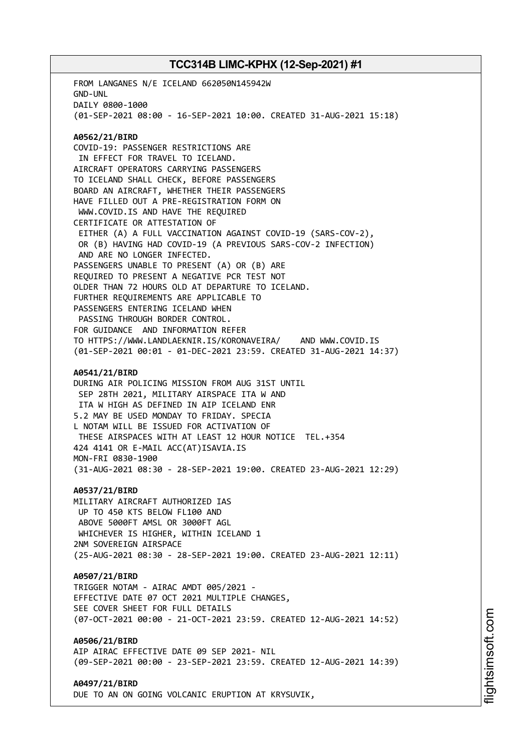FROM LANGANES N/E ICELAND 662050N145942W GND-UNL DAILY 0800-1000 (01-SEP-2021 08:00 - 16-SEP-2021 10:00. CREATED 31-AUG-2021 15:18) **A0562/21/BIRD** COVID-19: PASSENGER RESTRICTIONS ARE IN EFFECT FOR TRAVEL TO ICELAND. AIRCRAFT OPERATORS CARRYING PASSENGERS TO ICELAND SHALL CHECK, BEFORE PASSENGERS BOARD AN AIRCRAFT, WHETHER THEIR PASSENGERS HAVE FILLED OUT A PRE-REGISTRATION FORM ON WWW.COVID.IS AND HAVE THE REQUIRED CERTIFICATE OR ATTESTATION OF EITHER (A) A FULL VACCINATION AGAINST COVID-19 (SARS-COV-2), OR (B) HAVING HAD COVID-19 (A PREVIOUS SARS-COV-2 INFECTION) AND ARE NO LONGER INFECTED. PASSENGERS UNABLE TO PRESENT (A) OR (B) ARE REQUIRED TO PRESENT A NEGATIVE PCR TEST NOT OLDER THAN 72 HOURS OLD AT DEPARTURE TO ICELAND. FURTHER REQUIREMENTS ARE APPLICABLE TO PASSENGERS ENTERING ICELAND WHEN PASSING THROUGH BORDER CONTROL. FOR GUIDANCE AND INFORMATION REFER TO HTTPS://WWW.LANDLAEKNIR.IS/KORONAVEIRA/ AND WWW.COVID.IS (01-SEP-2021 00:01 - 01-DEC-2021 23:59. CREATED 31-AUG-2021 14:37) **A0541/21/BIRD** DURING AIR POLICING MISSION FROM AUG 31ST UNTIL SEP 28TH 2021, MILITARY AIRSPACE ITA W AND ITA W HIGH AS DEFINED IN AIP ICELAND ENR 5.2 MAY BE USED MONDAY TO FRIDAY. SPECIA L NOTAM WILL BE ISSUED FOR ACTIVATION OF THESE AIRSPACES WITH AT LEAST 12 HOUR NOTICE TEL.+354 424 4141 OR E-MAIL ACC(AT)ISAVIA.IS MON-FRI 0830-1900 (31-AUG-2021 08:30 - 28-SEP-2021 19:00. CREATED 23-AUG-2021 12:29) **A0537/21/BIRD** MILITARY AIRCRAFT AUTHORIZED IAS UP TO 450 KTS BELOW FL100 AND ABOVE 5000FT AMSL OR 3000FT AGL WHICHEVER IS HIGHER, WITHIN ICELAND 1 2NM SOVEREIGN AIRSPACE (25-AUG-2021 08:30 - 28-SEP-2021 19:00. CREATED 23-AUG-2021 12:11) **A0507/21/BIRD** TRIGGER NOTAM - AIRAC AMDT 005/2021 - EFFECTIVE DATE 07 OCT 2021 MULTIPLE CHANGES, SEE COVER SHEET FOR FULL DETAILS (07-OCT-2021 00:00 - 21-OCT-2021 23:59. CREATED 12-AUG-2021 14:52) **A0506/21/BIRD** AIP AIRAC EFFECTIVE DATE 09 SEP 2021- NIL (09-SEP-2021 00:00 - 23-SEP-2021 23:59. CREATED 12-AUG-2021 14:39) **A0497/21/BIRD** DUE TO AN ON GOING VOLCANIC ERUPTION AT KRYSUVIK,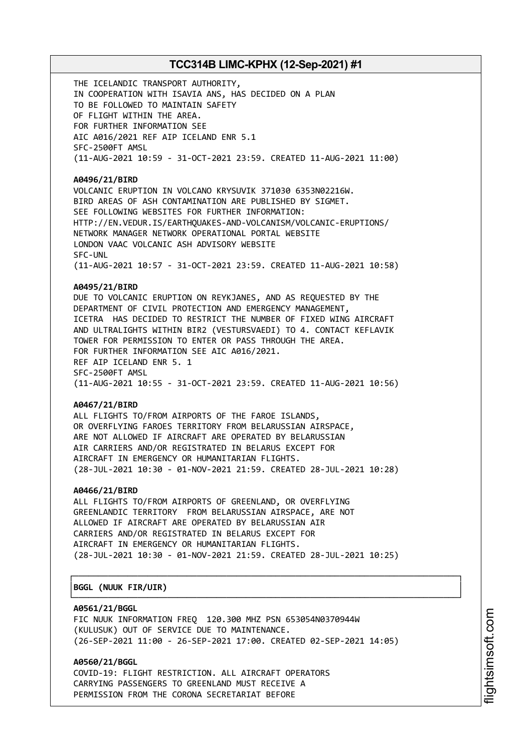THE ICELANDIC TRANSPORT AUTHORITY, IN COOPERATION WITH ISAVIA ANS, HAS DECIDED ON A PLAN TO BE FOLLOWED TO MAINTAIN SAFETY OF FLIGHT WITHIN THE AREA. FOR FURTHER INFORMATION SEE AIC A016/2021 REF AIP ICELAND ENR 5.1 SFC-2500FT AMSL (11-AUG-2021 10:59 - 31-OCT-2021 23:59. CREATED 11-AUG-2021 11:00)

#### **A0496/21/BIRD**

VOLCANIC ERUPTION IN VOLCANO KRYSUVIK 371030 6353N02216W. BIRD AREAS OF ASH CONTAMINATION ARE PUBLISHED BY SIGMET. SEE FOLLOWING WEBSITES FOR FURTHER INFORMATION: HTTP://EN.VEDUR.IS/EARTHQUAKES-AND-VOLCANISM/VOLCANIC-ERUPTIONS/ NETWORK MANAGER NETWORK OPERATIONAL PORTAL WEBSITE LONDON VAAC VOLCANIC ASH ADVISORY WEBSITE SFC-UNL (11-AUG-2021 10:57 - 31-OCT-2021 23:59. CREATED 11-AUG-2021 10:58)

#### **A0495/21/BIRD**

DUE TO VOLCANIC ERUPTION ON REYKJANES, AND AS REQUESTED BY THE DEPARTMENT OF CIVIL PROTECTION AND EMERGENCY MANAGEMENT, ICETRA HAS DECIDED TO RESTRICT THE NUMBER OF FIXED WING AIRCRAFT AND ULTRALIGHTS WITHIN BIR2 (VESTURSVAEDI) TO 4. CONTACT KEFLAVIK TOWER FOR PERMISSION TO ENTER OR PASS THROUGH THE AREA. FOR FURTHER INFORMATION SEE AIC A016/2021. REF AIP ICELAND ENR 5. 1 SFC-2500FT AMSL (11-AUG-2021 10:55 - 31-OCT-2021 23:59. CREATED 11-AUG-2021 10:56)

#### **A0467/21/BIRD**

ALL FLIGHTS TO/FROM AIRPORTS OF THE FAROE ISLANDS, OR OVERFLYING FAROES TERRITORY FROM BELARUSSIAN AIRSPACE, ARE NOT ALLOWED IF AIRCRAFT ARE OPERATED BY BELARUSSIAN AIR CARRIERS AND/OR REGISTRATED IN BELARUS EXCEPT FOR AIRCRAFT IN EMERGENCY OR HUMANITARIAN FLIGHTS. (28-JUL-2021 10:30 - 01-NOV-2021 21:59. CREATED 28-JUL-2021 10:28)

#### **A0466/21/BIRD**

ALL FLIGHTS TO/FROM AIRPORTS OF GREENLAND, OR OVERFLYING GREENLANDIC TERRITORY FROM BELARUSSIAN AIRSPACE, ARE NOT ALLOWED IF AIRCRAFT ARE OPERATED BY BELARUSSIAN AIR CARRIERS AND/OR REGISTRATED IN BELARUS EXCEPT FOR AIRCRAFT IN EMERGENCY OR HUMANITARIAN FLIGHTS. (28-JUL-2021 10:30 - 01-NOV-2021 21:59. CREATED 28-JUL-2021 10:25)

┌──────────────────────────────────────────────────────────────────────────────┐

└──────────────────────────────────────────────────────────────────────────────┘

#### │**BGGL (NUUK FIR/UIR)** │

#### **A0561/21/BGGL**

FIC NUUK INFORMATION FREQ 120.300 MHZ PSN 653054N0370944W (KULUSUK) OUT OF SERVICE DUE TO MAINTENANCE. (26-SEP-2021 11:00 - 26-SEP-2021 17:00. CREATED 02-SEP-2021 14:05)

**A0560/21/BGGL** COVID-19: FLIGHT RESTRICTION. ALL AIRCRAFT OPERATORS CARRYING PASSENGERS TO GREENLAND MUST RECEIVE A PERMISSION FROM THE CORONA SECRETARIAT BEFORE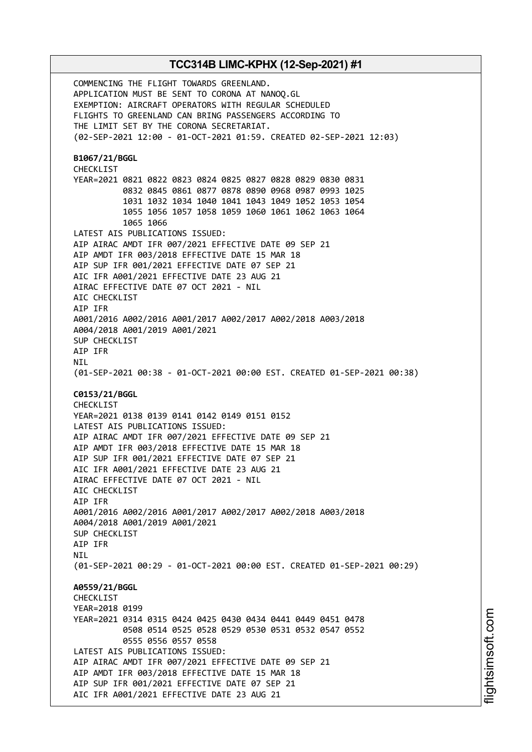COMMENCING THE FLIGHT TOWARDS GREENLAND. APPLICATION MUST BE SENT TO CORONA AT NANOQ.GL EXEMPTION: AIRCRAFT OPERATORS WITH REGULAR SCHEDULED FLIGHTS TO GREENLAND CAN BRING PASSENGERS ACCORDING TO THE LIMIT SET BY THE CORONA SECRETARIAT. (02-SEP-2021 12:00 - 01-OCT-2021 01:59. CREATED 02-SEP-2021 12:03) **B1067/21/BGGL** CHECKLIST YEAR=2021 0821 0822 0823 0824 0825 0827 0828 0829 0830 0831 0832 0845 0861 0877 0878 0890 0968 0987 0993 1025 1031 1032 1034 1040 1041 1043 1049 1052 1053 1054 1055 1056 1057 1058 1059 1060 1061 1062 1063 1064 1065 1066 LATEST AIS PUBLICATIONS ISSUED: AIP AIRAC AMDT IFR 007/2021 EFFECTIVE DATE 09 SEP 21 AIP AMDT IFR 003/2018 EFFECTIVE DATE 15 MAR 18 AIP SUP IFR 001/2021 EFFECTIVE DATE 07 SEP 21 AIC IFR A001/2021 EFFECTIVE DATE 23 AUG 21 AIRAC EFFECTIVE DATE 07 OCT 2021 - NIL AIC CHECKLIST AIP IFR A001/2016 A002/2016 A001/2017 A002/2017 A002/2018 A003/2018 A004/2018 A001/2019 A001/2021 SUP CHECKLIST AIP IFR **NTI** (01-SEP-2021 00:38 - 01-OCT-2021 00:00 EST. CREATED 01-SEP-2021 00:38) **C0153/21/BGGL** CHECKLIST YEAR=2021 0138 0139 0141 0142 0149 0151 0152 LATEST AIS PUBLICATIONS ISSUED: AIP AIRAC AMDT IFR 007/2021 EFFECTIVE DATE 09 SEP 21 AIP AMDT IFR 003/2018 EFFECTIVE DATE 15 MAR 18 AIP SUP IFR 001/2021 EFFECTIVE DATE 07 SEP 21 AIC IFR A001/2021 EFFECTIVE DATE 23 AUG 21 AIRAC EFFECTIVE DATE 07 OCT 2021 - NIL AIC CHECKLIST AIP IFR A001/2016 A002/2016 A001/2017 A002/2017 A002/2018 A003/2018 A004/2018 A001/2019 A001/2021 SUP CHECKLIST AIP IFR **NTI** (01-SEP-2021 00:29 - 01-OCT-2021 00:00 EST. CREATED 01-SEP-2021 00:29) **A0559/21/BGGL** CHECKLIST YEAR=2018 0199 YEAR=2021 0314 0315 0424 0425 0430 0434 0441 0449 0451 0478 0508 0514 0525 0528 0529 0530 0531 0532 0547 0552 0555 0556 0557 0558 LATEST AIS PUBLICATIONS ISSUED: AIP AIRAC AMDT IFR 007/2021 EFFECTIVE DATE 09 SEP 21 AIP AMDT IFR 003/2018 EFFECTIVE DATE 15 MAR 18 AIP SUP IFR 001/2021 EFFECTIVE DATE 07 SEP 21 AIC IFR A001/2021 EFFECTIVE DATE 23 AUG 21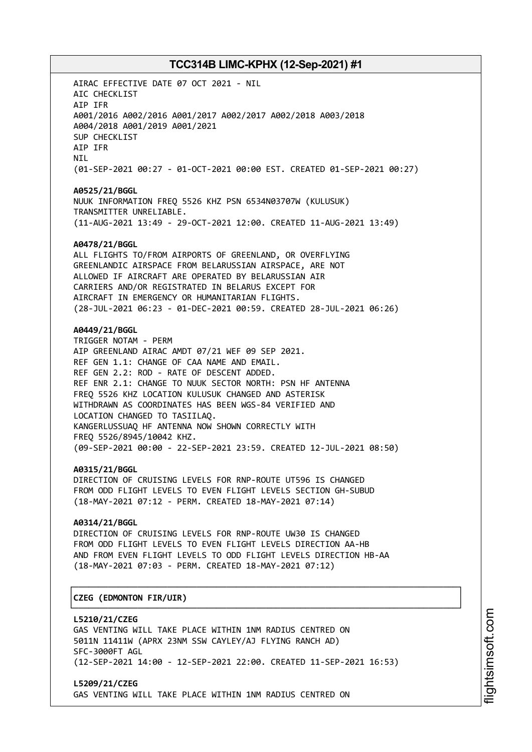AIRAC EFFECTIVE DATE 07 OCT 2021 - NIL AIC CHECKLIST AIP IFR A001/2016 A002/2016 A001/2017 A002/2017 A002/2018 A003/2018 A004/2018 A001/2019 A001/2021 SUP CHECKLIST AIP IFR NIL (01-SEP-2021 00:27 - 01-OCT-2021 00:00 EST. CREATED 01-SEP-2021 00:27) **A0525/21/BGGL** NUUK INFORMATION FREQ 5526 KHZ PSN 6534N03707W (KULUSUK) TRANSMITTER UNRELIABLE. (11-AUG-2021 13:49 - 29-OCT-2021 12:00. CREATED 11-AUG-2021 13:49) **A0478/21/BGGL** ALL FLIGHTS TO/FROM AIRPORTS OF GREENLAND, OR OVERFLYING GREENLANDIC AIRSPACE FROM BELARUSSIAN AIRSPACE, ARE NOT ALLOWED IF AIRCRAFT ARE OPERATED BY BELARUSSIAN AIR CARRIERS AND/OR REGISTRATED IN BELARUS EXCEPT FOR AIRCRAFT IN EMERGENCY OR HUMANITARIAN FLIGHTS. (28-JUL-2021 06:23 - 01-DEC-2021 00:59. CREATED 28-JUL-2021 06:26) **A0449/21/BGGL** TRIGGER NOTAM - PERM AIP GREENLAND AIRAC AMDT 07/21 WEF 09 SEP 2021. REF GEN 1.1: CHANGE OF CAA NAME AND EMAIL. REF GEN 2.2: ROD - RATE OF DESCENT ADDED. REF ENR 2.1: CHANGE TO NUUK SECTOR NORTH: PSN HF ANTENNA FREQ 5526 KHZ LOCATION KULUSUK CHANGED AND ASTERISK WITHDRAWN AS COORDINATES HAS BEEN WGS-84 VERIFIED AND LOCATION CHANGED TO TASIILAQ. KANGERLUSSUAQ HF ANTENNA NOW SHOWN CORRECTLY WITH FREQ 5526/8945/10042 KHZ. (09-SEP-2021 00:00 - 22-SEP-2021 23:59. CREATED 12-JUL-2021 08:50) **A0315/21/BGGL** DIRECTION OF CRUISING LEVELS FOR RNP-ROUTE UT596 IS CHANGED FROM ODD FLIGHT LEVELS TO EVEN FLIGHT LEVELS SECTION GH-SUBUD (18-MAY-2021 07:12 - PERM. CREATED 18-MAY-2021 07:14) **A0314/21/BGGL** DIRECTION OF CRUISING LEVELS FOR RNP-ROUTE UW30 IS CHANGED FROM ODD FLIGHT LEVELS TO EVEN FLIGHT LEVELS DIRECTION AA-HB AND FROM EVEN FLIGHT LEVELS TO ODD FLIGHT LEVELS DIRECTION HB-AA (18-MAY-2021 07:03 - PERM. CREATED 18-MAY-2021 07:12) ┌──────────────────────────────────────────────────────────────────────────────┐ │**CZEG (EDMONTON FIR/UIR)** │ └──────────────────────────────────────────────────────────────────────────────┘ **L5210/21/CZEG** GAS VENTING WILL TAKE PLACE WITHIN 1NM RADIUS CENTRED ON 5011N 11411W (APRX 23NM SSW CAYLEY/AJ FLYING RANCH AD)

SFC-3000FT AGL (12-SEP-2021 14:00 - 12-SEP-2021 22:00. CREATED 11-SEP-2021 16:53)

**L5209/21/CZEG** GAS VENTING WILL TAKE PLACE WITHIN 1NM RADIUS CENTRED ON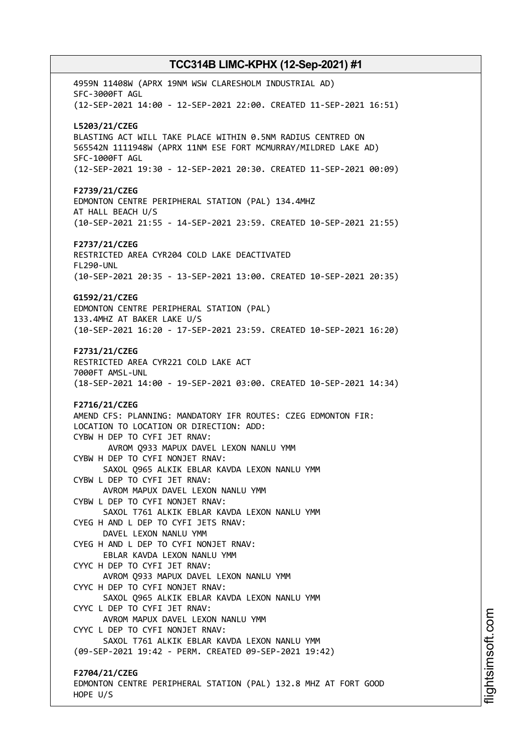4959N 11408W (APRX 19NM WSW CLARESHOLM INDUSTRIAL AD) SFC-3000FT AGL (12-SEP-2021 14:00 - 12-SEP-2021 22:00. CREATED 11-SEP-2021 16:51) **L5203/21/CZEG** BLASTING ACT WILL TAKE PLACE WITHIN 0.5NM RADIUS CENTRED ON 565542N 1111948W (APRX 11NM ESE FORT MCMURRAY/MILDRED LAKE AD) SFC-1000FT AGL (12-SEP-2021 19:30 - 12-SEP-2021 20:30. CREATED 11-SEP-2021 00:09) **F2739/21/CZEG** EDMONTON CENTRE PERIPHERAL STATION (PAL) 134.4MHZ AT HALL BEACH U/S (10-SEP-2021 21:55 - 14-SEP-2021 23:59. CREATED 10-SEP-2021 21:55) **F2737/21/CZEG** RESTRICTED AREA CYR204 COLD LAKE DEACTIVATED FL290-UNL (10-SEP-2021 20:35 - 13-SEP-2021 13:00. CREATED 10-SEP-2021 20:35) **G1592/21/CZEG** EDMONTON CENTRE PERIPHERAL STATION (PAL) 133.4MHZ AT BAKER LAKE U/S (10-SEP-2021 16:20 - 17-SEP-2021 23:59. CREATED 10-SEP-2021 16:20) **F2731/21/CZEG** RESTRICTED AREA CYR221 COLD LAKE ACT 7000FT AMSL-UNL (18-SEP-2021 14:00 - 19-SEP-2021 03:00. CREATED 10-SEP-2021 14:34) **F2716/21/CZEG** AMEND CFS: PLANNING: MANDATORY IFR ROUTES: CZEG EDMONTON FIR: LOCATION TO LOCATION OR DIRECTION: ADD: CYBW H DEP TO CYFI JET RNAV: AVROM Q933 MAPUX DAVEL LEXON NANLU YMM CYBW H DEP TO CYFI NONJET RNAV: SAXOL Q965 ALKIK EBLAR KAVDA LEXON NANLU YMM CYBW L DEP TO CYFI JET RNAV: AVROM MAPUX DAVEL LEXON NANLU YMM CYBW L DEP TO CYFI NONJET RNAV: SAXOL T761 ALKIK EBLAR KAVDA LEXON NANLU YMM CYEG H AND L DEP TO CYFI JETS RNAV: DAVEL LEXON NANLU YMM CYEG H AND L DEP TO CYFI NONJET RNAV: EBLAR KAVDA LEXON NANLU YMM CYYC H DEP TO CYFI JET RNAV: AVROM Q933 MAPUX DAVEL LEXON NANLU YMM CYYC H DEP TO CYFI NONJET RNAV: SAXOL Q965 ALKIK EBLAR KAVDA LEXON NANLU YMM CYYC L DEP TO CYFI JET RNAV: AVROM MAPUX DAVEL LEXON NANLU YMM CYYC L DEP TO CYFI NONJET RNAV: SAXOL T761 ALKIK EBLAR KAVDA LEXON NANLU YMM (09-SEP-2021 19:42 - PERM. CREATED 09-SEP-2021 19:42) **F2704/21/CZEG** EDMONTON CENTRE PERIPHERAL STATION (PAL) 132.8 MHZ AT FORT GOOD HOPE U/S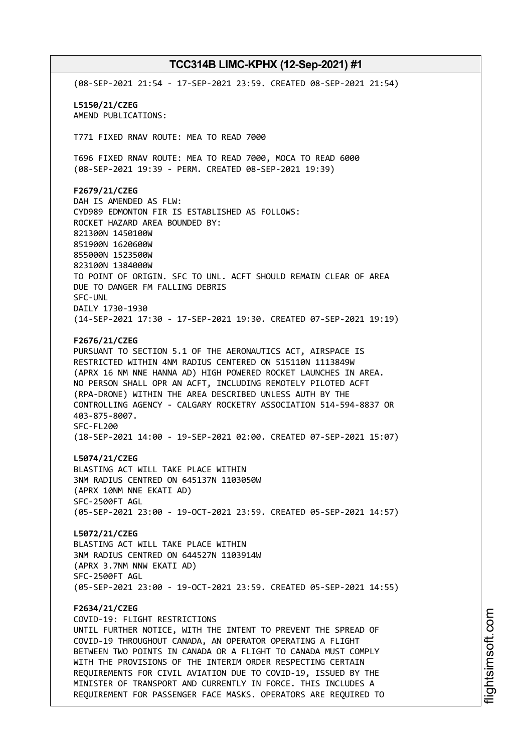(08-SEP-2021 21:54 - 17-SEP-2021 23:59. CREATED 08-SEP-2021 21:54) **L5150/21/CZEG** AMEND PUBLICATIONS: T771 FIXED RNAV ROUTE: MEA TO READ 7000 T696 FIXED RNAV ROUTE: MEA TO READ 7000, MOCA TO READ 6000 (08-SEP-2021 19:39 - PERM. CREATED 08-SEP-2021 19:39) **F2679/21/CZEG** DAH IS AMENDED AS FLW: CYD989 EDMONTON FIR IS ESTABLISHED AS FOLLOWS: ROCKET HAZARD AREA BOUNDED BY: 821300N 1450100W 851900N 1620600W 855000N 1523500W 823100N 1384000W TO POINT OF ORIGIN. SFC TO UNL. ACFT SHOULD REMAIN CLEAR OF AREA DUE TO DANGER FM FALLING DEBRIS SFC-UNL DAILY 1730-1930 (14-SEP-2021 17:30 - 17-SEP-2021 19:30. CREATED 07-SEP-2021 19:19) **F2676/21/CZEG** PURSUANT TO SECTION 5.1 OF THE AERONAUTICS ACT, AIRSPACE IS RESTRICTED WITHIN 4NM RADIUS CENTERED ON 515110N 1113849W (APRX 16 NM NNE HANNA AD) HIGH POWERED ROCKET LAUNCHES IN AREA. NO PERSON SHALL OPR AN ACFT, INCLUDING REMOTELY PILOTED ACFT (RPA-DRONE) WITHIN THE AREA DESCRIBED UNLESS AUTH BY THE CONTROLLING AGENCY - CALGARY ROCKETRY ASSOCIATION 514-594-8837 OR 403-875-8007. SFC-FL200 (18-SEP-2021 14:00 - 19-SEP-2021 02:00. CREATED 07-SEP-2021 15:07) **L5074/21/CZEG** BLASTING ACT WILL TAKE PLACE WITHIN 3NM RADIUS CENTRED ON 645137N 1103050W (APRX 10NM NNE EKATI AD) SFC-2500FT AGL (05-SEP-2021 23:00 - 19-OCT-2021 23:59. CREATED 05-SEP-2021 14:57) **L5072/21/CZEG** BLASTING ACT WILL TAKE PLACE WITHIN 3NM RADIUS CENTRED ON 644527N 1103914W (APRX 3.7NM NNW EKATI AD) SFC-2500FT AGL (05-SEP-2021 23:00 - 19-OCT-2021 23:59. CREATED 05-SEP-2021 14:55) **F2634/21/CZEG** COVID-19: FLIGHT RESTRICTIONS UNTIL FURTHER NOTICE, WITH THE INTENT TO PREVENT THE SPREAD OF COVID-19 THROUGHOUT CANADA, AN OPERATOR OPERATING A FLIGHT BETWEEN TWO POINTS IN CANADA OR A FLIGHT TO CANADA MUST COMPLY WITH THE PROVISIONS OF THE INTERIM ORDER RESPECTING CERTAIN REQUIREMENTS FOR CIVIL AVIATION DUE TO COVID-19, ISSUED BY THE MINISTER OF TRANSPORT AND CURRENTLY IN FORCE. THIS INCLUDES A REQUIREMENT FOR PASSENGER FACE MASKS. OPERATORS ARE REQUIRED TO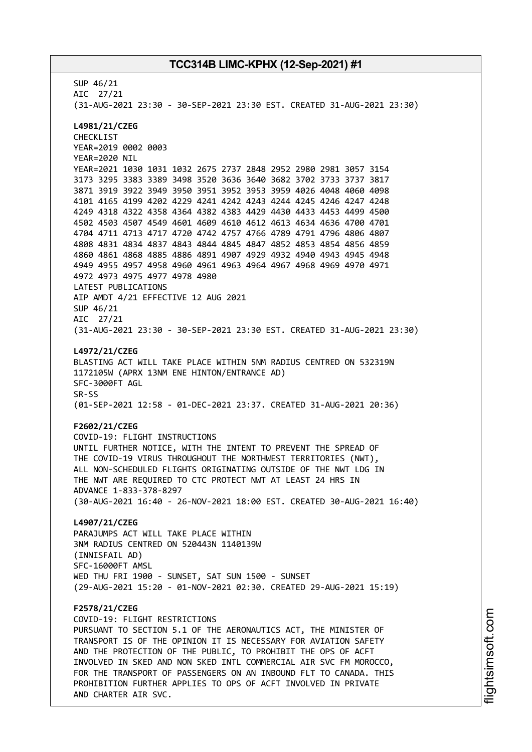SUP 46/21 AIC 27/21 (31-AUG-2021 23:30 - 30-SEP-2021 23:30 EST. CREATED 31-AUG-2021 23:30) **L4981/21/CZEG** CHECKLIST YEAR=2019 0002 0003 YEAR=2020 NIL YEAR=2021 1030 1031 1032 2675 2737 2848 2952 2980 2981 3057 3154 3173 3295 3383 3389 3498 3520 3636 3640 3682 3702 3733 3737 3817 3871 3919 3922 3949 3950 3951 3952 3953 3959 4026 4048 4060 4098 4101 4165 4199 4202 4229 4241 4242 4243 4244 4245 4246 4247 4248 4249 4318 4322 4358 4364 4382 4383 4429 4430 4433 4453 4499 4500 4502 4503 4507 4549 4601 4609 4610 4612 4613 4634 4636 4700 4701 4704 4711 4713 4717 4720 4742 4757 4766 4789 4791 4796 4806 4807 4808 4831 4834 4837 4843 4844 4845 4847 4852 4853 4854 4856 4859 4860 4861 4868 4885 4886 4891 4907 4929 4932 4940 4943 4945 4948 4949 4955 4957 4958 4960 4961 4963 4964 4967 4968 4969 4970 4971 4972 4973 4975 4977 4978 4980 LATEST PUBLICATIONS AIP AMDT 4/21 EFFECTIVE 12 AUG 2021 SUP 46/21 AIC 27/21 (31-AUG-2021 23:30 - 30-SEP-2021 23:30 EST. CREATED 31-AUG-2021 23:30) **L4972/21/CZEG** BLASTING ACT WILL TAKE PLACE WITHIN 5NM RADIUS CENTRED ON 532319N 1172105W (APRX 13NM ENE HINTON/ENTRANCE AD) SFC-3000FT AGL SR-SS (01-SEP-2021 12:58 - 01-DEC-2021 23:37. CREATED 31-AUG-2021 20:36) **F2602/21/CZEG** COVID-19: FLIGHT INSTRUCTIONS UNTIL FURTHER NOTICE, WITH THE INTENT TO PREVENT THE SPREAD OF THE COVID-19 VIRUS THROUGHOUT THE NORTHWEST TERRITORIES (NWT), ALL NON-SCHEDULED FLIGHTS ORIGINATING OUTSIDE OF THE NWT LDG IN THE NWT ARE REQUIRED TO CTC PROTECT NWT AT LEAST 24 HRS IN ADVANCE 1-833-378-8297 (30-AUG-2021 16:40 - 26-NOV-2021 18:00 EST. CREATED 30-AUG-2021 16:40) **L4907/21/CZEG** PARAJUMPS ACT WILL TAKE PLACE WITHIN 3NM RADIUS CENTRED ON 520443N 1140139W (INNISFAIL AD) SFC-16000FT AMSL WED THU FRI 1900 - SUNSET, SAT SUN 1500 - SUNSET (29-AUG-2021 15:20 - 01-NOV-2021 02:30. CREATED 29-AUG-2021 15:19) **F2578/21/CZEG** COVID-19: FLIGHT RESTRICTIONS PURSUANT TO SECTION 5.1 OF THE AERONAUTICS ACT, THE MINISTER OF TRANSPORT IS OF THE OPINION IT IS NECESSARY FOR AVIATION SAFETY AND THE PROTECTION OF THE PUBLIC, TO PROHIBIT THE OPS OF ACFT INVOLVED IN SKED AND NON SKED INTL COMMERCIAL AIR SVC FM MOROCCO, FOR THE TRANSPORT OF PASSENGERS ON AN INBOUND FLT TO CANADA. THIS PROHIBITION FURTHER APPLIES TO OPS OF ACFT INVOLVED IN PRIVATE AND CHARTER AIR SVC.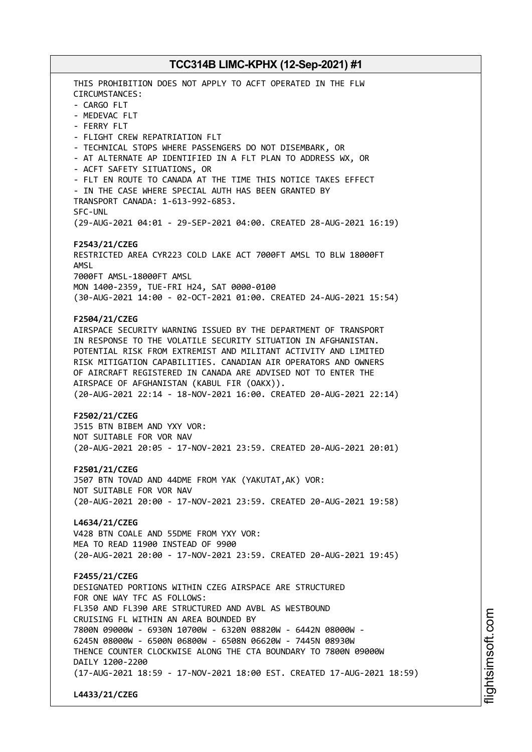THIS PROHIBITION DOES NOT APPLY TO ACFT OPERATED IN THE FLW CIRCUMSTANCES: - CARGO FLT - MEDEVAC FLT - FERRY FLT - FLIGHT CREW REPATRIATION FLT - TECHNICAL STOPS WHERE PASSENGERS DO NOT DISEMBARK, OR - AT ALTERNATE AP IDENTIFIED IN A FLT PLAN TO ADDRESS WX, OR - ACFT SAFETY SITUATIONS, OR - FLT EN ROUTE TO CANADA AT THE TIME THIS NOTICE TAKES EFFECT - IN THE CASE WHERE SPECIAL AUTH HAS BEEN GRANTED BY TRANSPORT CANADA: 1-613-992-6853. SFC-UNL (29-AUG-2021 04:01 - 29-SEP-2021 04:00. CREATED 28-AUG-2021 16:19) **F2543/21/CZEG** RESTRICTED AREA CYR223 COLD LAKE ACT 7000FT AMSL TO BLW 18000FT AMSL 7000FT AMSL-18000FT AMSL MON 1400-2359, TUE-FRI H24, SAT 0000-0100 (30-AUG-2021 14:00 - 02-OCT-2021 01:00. CREATED 24-AUG-2021 15:54) **F2504/21/CZEG** AIRSPACE SECURITY WARNING ISSUED BY THE DEPARTMENT OF TRANSPORT IN RESPONSE TO THE VOLATILE SECURITY SITUATION IN AFGHANISTAN. POTENTIAL RISK FROM EXTREMIST AND MILITANT ACTIVITY AND LIMITED RISK MITIGATION CAPABILITIES. CANADIAN AIR OPERATORS AND OWNERS OF AIRCRAFT REGISTERED IN CANADA ARE ADVISED NOT TO ENTER THE AIRSPACE OF AFGHANISTAN (KABUL FIR (OAKX)). (20-AUG-2021 22:14 - 18-NOV-2021 16:00. CREATED 20-AUG-2021 22:14) **F2502/21/CZEG** J515 BTN BIBEM AND YXY VOR: NOT SUITABLE FOR VOR NAV (20-AUG-2021 20:05 - 17-NOV-2021 23:59. CREATED 20-AUG-2021 20:01) **F2501/21/CZEG** J507 BTN TOVAD AND 44DME FROM YAK (YAKUTAT,AK) VOR: NOT SUITABLE FOR VOR NAV (20-AUG-2021 20:00 - 17-NOV-2021 23:59. CREATED 20-AUG-2021 19:58) **L4634/21/CZEG** V428 BTN COALE AND 55DME FROM YXY VOR: MEA TO READ 11900 INSTEAD OF 9900 (20-AUG-2021 20:00 - 17-NOV-2021 23:59. CREATED 20-AUG-2021 19:45) **F2455/21/CZEG** DESIGNATED PORTIONS WITHIN CZEG AIRSPACE ARE STRUCTURED FOR ONE WAY TFC AS FOLLOWS: FL350 AND FL390 ARE STRUCTURED AND AVBL AS WESTBOUND CRUISING FL WITHIN AN AREA BOUNDED BY 7800N 09000W - 6930N 10700W - 6320N 08820W - 6442N 08000W - 6245N 08000W - 6500N 06800W - 6508N 06620W - 7445N 08930W THENCE COUNTER CLOCKWISE ALONG THE CTA BOUNDARY TO 7800N 09000W DAILY 1200-2200 (17-AUG-2021 18:59 - 17-NOV-2021 18:00 EST. CREATED 17-AUG-2021 18:59) **L4433/21/CZEG**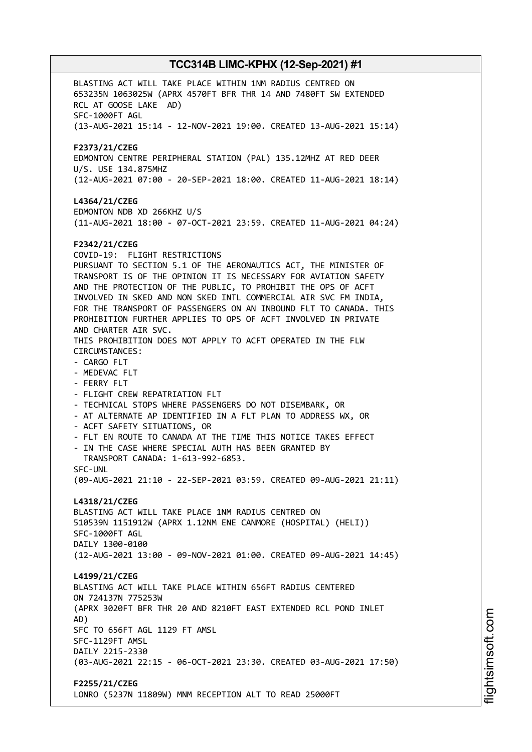BLASTING ACT WILL TAKE PLACE WITHIN 1NM RADIUS CENTRED ON 653235N 1063025W (APRX 4570FT BFR THR 14 AND 7480FT SW EXTENDED RCL AT GOOSE LAKE AD) SFC-1000FT AGL (13-AUG-2021 15:14 - 12-NOV-2021 19:00. CREATED 13-AUG-2021 15:14) **F2373/21/CZEG** EDMONTON CENTRE PERIPHERAL STATION (PAL) 135.12MHZ AT RED DEER U/S. USE 134.875MHZ (12-AUG-2021 07:00 - 20-SEP-2021 18:00. CREATED 11-AUG-2021 18:14) **L4364/21/CZEG** EDMONTON NDB XD 266KHZ U/S (11-AUG-2021 18:00 - 07-OCT-2021 23:59. CREATED 11-AUG-2021 04:24) **F2342/21/CZEG** COVID-19: FLIGHT RESTRICTIONS PURSUANT TO SECTION 5.1 OF THE AERONAUTICS ACT, THE MINISTER OF TRANSPORT IS OF THE OPINION IT IS NECESSARY FOR AVIATION SAFETY AND THE PROTECTION OF THE PUBLIC, TO PROHIBIT THE OPS OF ACFT INVOLVED IN SKED AND NON SKED INTL COMMERCIAL AIR SVC FM INDIA, FOR THE TRANSPORT OF PASSENGERS ON AN INBOUND FLT TO CANADA. THIS PROHIBITION FURTHER APPLIES TO OPS OF ACFT INVOLVED IN PRIVATE AND CHARTER AIR SVC. THIS PROHIBITION DOES NOT APPLY TO ACFT OPERATED IN THE FLW CIRCUMSTANCES: - CARGO FLT - MEDEVAC FLT - FERRY FLT - FLIGHT CREW REPATRIATION FLT - TECHNICAL STOPS WHERE PASSENGERS DO NOT DISEMBARK, OR - AT ALTERNATE AP IDENTIFIED IN A FLT PLAN TO ADDRESS WX, OR - ACFT SAFETY SITUATIONS, OR - FLT EN ROUTE TO CANADA AT THE TIME THIS NOTICE TAKES EFFECT - IN THE CASE WHERE SPECIAL AUTH HAS BEEN GRANTED BY TRANSPORT CANADA: 1-613-992-6853. SFC-UNL (09-AUG-2021 21:10 - 22-SEP-2021 03:59. CREATED 09-AUG-2021 21:11) **L4318/21/CZEG** BLASTING ACT WILL TAKE PLACE 1NM RADIUS CENTRED ON 510539N 1151912W (APRX 1.12NM ENE CANMORE (HOSPITAL) (HELI)) SFC-1000FT AGL DAILY 1300-0100 (12-AUG-2021 13:00 - 09-NOV-2021 01:00. CREATED 09-AUG-2021 14:45) **L4199/21/CZEG** BLASTING ACT WILL TAKE PLACE WITHIN 656FT RADIUS CENTERED ON 724137N 775253W (APRX 3020FT BFR THR 20 AND 8210FT EAST EXTENDED RCL POND INLET AD) SFC TO 656FT AGL 1129 FT AMSL SFC-1129FT AMSL DAILY 2215-2330 (03-AUG-2021 22:15 - 06-OCT-2021 23:30. CREATED 03-AUG-2021 17:50) **F2255/21/CZEG** LONRO (5237N 11809W) MNM RECEPTION ALT TO READ 25000FT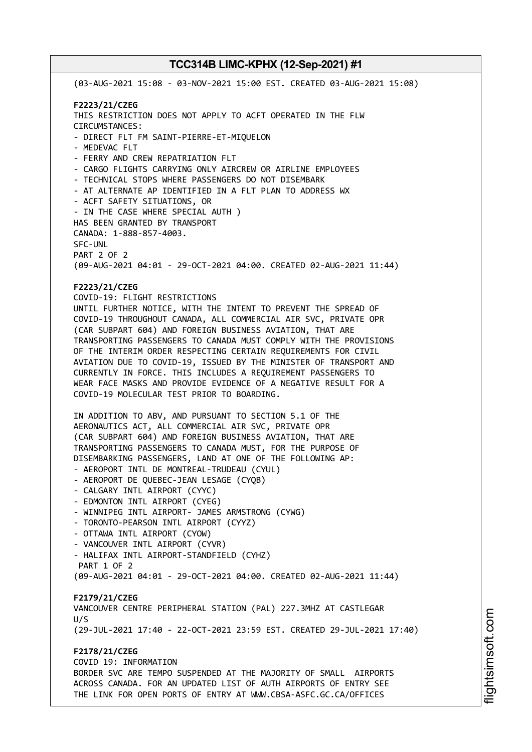(03-AUG-2021 15:08 - 03-NOV-2021 15:00 EST. CREATED 03-AUG-2021 15:08) **F2223/21/CZEG** THIS RESTRICTION DOES NOT APPLY TO ACFT OPERATED IN THE FLW CIRCUMSTANCES: - DIRECT FLT FM SAINT-PIERRE-ET-MIQUELON - MEDEVAC FLT - FERRY AND CREW REPATRIATION FLT - CARGO FLIGHTS CARRYING ONLY AIRCREW OR AIRLINE EMPLOYEES - TECHNICAL STOPS WHERE PASSENGERS DO NOT DISEMBARK - AT ALTERNATE AP IDENTIFIED IN A FLT PLAN TO ADDRESS WX - ACFT SAFETY SITUATIONS, OR - IN THE CASE WHERE SPECIAL AUTH ) HAS BEEN GRANTED BY TRANSPORT CANADA: 1-888-857-4003. SFC-UNL PART 2 OF 2 (09-AUG-2021 04:01 - 29-OCT-2021 04:00. CREATED 02-AUG-2021 11:44) **F2223/21/CZEG** COVID-19: FLIGHT RESTRICTIONS UNTIL FURTHER NOTICE, WITH THE INTENT TO PREVENT THE SPREAD OF COVID-19 THROUGHOUT CANADA, ALL COMMERCIAL AIR SVC, PRIVATE OPR (CAR SUBPART 604) AND FOREIGN BUSINESS AVIATION, THAT ARE TRANSPORTING PASSENGERS TO CANADA MUST COMPLY WITH THE PROVISIONS OF THE INTERIM ORDER RESPECTING CERTAIN REQUIREMENTS FOR CIVIL AVIATION DUE TO COVID-19, ISSUED BY THE MINISTER OF TRANSPORT AND CURRENTLY IN FORCE. THIS INCLUDES A REQUIREMENT PASSENGERS TO WEAR FACE MASKS AND PROVIDE EVIDENCE OF A NEGATIVE RESULT FOR A COVID-19 MOLECULAR TEST PRIOR TO BOARDING. IN ADDITION TO ABV, AND PURSUANT TO SECTION 5.1 OF THE AERONAUTICS ACT, ALL COMMERCIAL AIR SVC, PRIVATE OPR (CAR SUBPART 604) AND FOREIGN BUSINESS AVIATION, THAT ARE TRANSPORTING PASSENGERS TO CANADA MUST, FOR THE PURPOSE OF DISEMBARKING PASSENGERS, LAND AT ONE OF THE FOLLOWING AP: - AEROPORT INTL DE MONTREAL-TRUDEAU (CYUL) - AEROPORT DE QUEBEC-JEAN LESAGE (CYQB) - CALGARY INTL AIRPORT (CYYC) - EDMONTON INTL AIRPORT (CYEG) - WINNIPEG INTL AIRPORT- JAMES ARMSTRONG (CYWG) - TORONTO-PEARSON INTL AIRPORT (CYYZ) - OTTAWA INTL AIRPORT (CYOW) - VANCOUVER INTL AIRPORT (CYVR) - HALIFAX INTL AIRPORT-STANDFIELD (CYHZ) PART 1 OF 2 (09-AUG-2021 04:01 - 29-OCT-2021 04:00. CREATED 02-AUG-2021 11:44) **F2179/21/CZEG** VANCOUVER CENTRE PERIPHERAL STATION (PAL) 227.3MHZ AT CASTLEGAR  $11/5$ (29-JUL-2021 17:40 - 22-OCT-2021 23:59 EST. CREATED 29-JUL-2021 17:40) **F2178/21/CZEG** COVID 19: INFORMATION BORDER SVC ARE TEMPO SUSPENDED AT THE MAJORITY OF SMALL AIRPORTS ACROSS CANADA. FOR AN UPDATED LIST OF AUTH AIRPORTS OF ENTRY SEE THE LINK FOR OPEN PORTS OF ENTRY AT WWW.CBSA-ASFC.GC.CA/OFFICES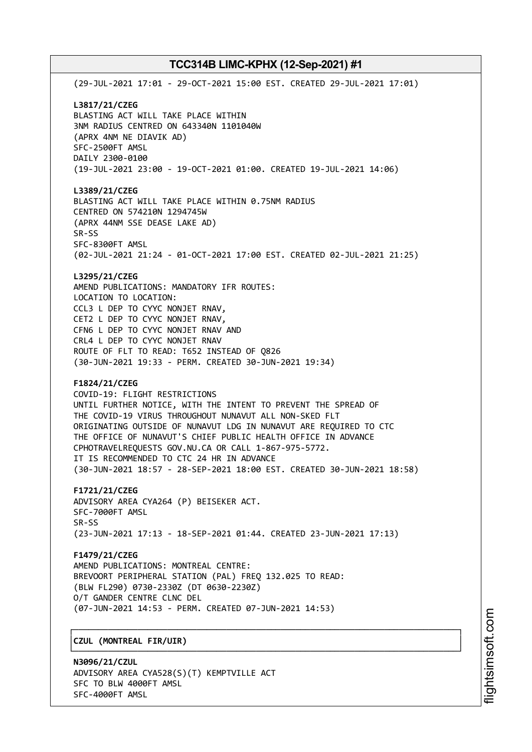(29-JUL-2021 17:01 - 29-OCT-2021 15:00 EST. CREATED 29-JUL-2021 17:01) **L3817/21/CZEG** BLASTING ACT WILL TAKE PLACE WITHIN 3NM RADIUS CENTRED ON 643340N 1101040W (APRX 4NM NE DIAVIK AD) SFC-2500FT AMSL DAILY 2300-0100 (19-JUL-2021 23:00 - 19-OCT-2021 01:00. CREATED 19-JUL-2021 14:06) **L3389/21/CZEG** BLASTING ACT WILL TAKE PLACE WITHIN 0.75NM RADIUS CENTRED ON 574210N 1294745W (APRX 44NM SSE DEASE LAKE AD) SR-SS SFC-8300FT AMSL (02-JUL-2021 21:24 - 01-OCT-2021 17:00 EST. CREATED 02-JUL-2021 21:25) **L3295/21/CZEG** AMEND PUBLICATIONS: MANDATORY IFR ROUTES: LOCATION TO LOCATION: CCL3 L DEP TO CYYC NONJET RNAV, CET2 L DEP TO CYYC NONJET RNAV, CFN6 L DEP TO CYYC NONJET RNAV AND CRL4 L DEP TO CYYC NONJET RNAV ROUTE OF FLT TO READ: T652 INSTEAD OF Q826 (30-JUN-2021 19:33 - PERM. CREATED 30-JUN-2021 19:34) **F1824/21/CZEG** COVID-19: FLIGHT RESTRICTIONS UNTIL FURTHER NOTICE, WITH THE INTENT TO PREVENT THE SPREAD OF THE COVID-19 VIRUS THROUGHOUT NUNAVUT ALL NON-SKED FLT ORIGINATING OUTSIDE OF NUNAVUT LDG IN NUNAVUT ARE REQUIRED TO CTC THE OFFICE OF NUNAVUT'S CHIEF PUBLIC HEALTH OFFICE IN ADVANCE CPHOTRAVELREQUESTS GOV.NU.CA OR CALL 1-867-975-5772. IT IS RECOMMENDED TO CTC 24 HR IN ADVANCE (30-JUN-2021 18:57 - 28-SEP-2021 18:00 EST. CREATED 30-JUN-2021 18:58) **F1721/21/CZEG** ADVISORY AREA CYA264 (P) BEISEKER ACT. SFC-7000FT AMSL SR-SS (23-JUN-2021 17:13 - 18-SEP-2021 01:44. CREATED 23-JUN-2021 17:13) **F1479/21/CZEG** AMEND PUBLICATIONS: MONTREAL CENTRE: BREVOORT PERIPHERAL STATION (PAL) FREQ 132.025 TO READ: (BLW FL290) 0730-2330Z (DT 0630-2230Z) O/T GANDER CENTRE CLNC DEL (07-JUN-2021 14:53 - PERM. CREATED 07-JUN-2021 14:53) ┌──────────────────────────────────────────────────────────────────────────────┐ │**CZUL (MONTREAL FIR/UIR)** │

└──────────────────────────────────────────────────────────────────────────────┘

**N3096/21/CZUL** ADVISORY AREA CYA528(S)(T) KEMPTVILLE ACT SFC TO BLW 4000FT AMSL SFC-4000FT AMSL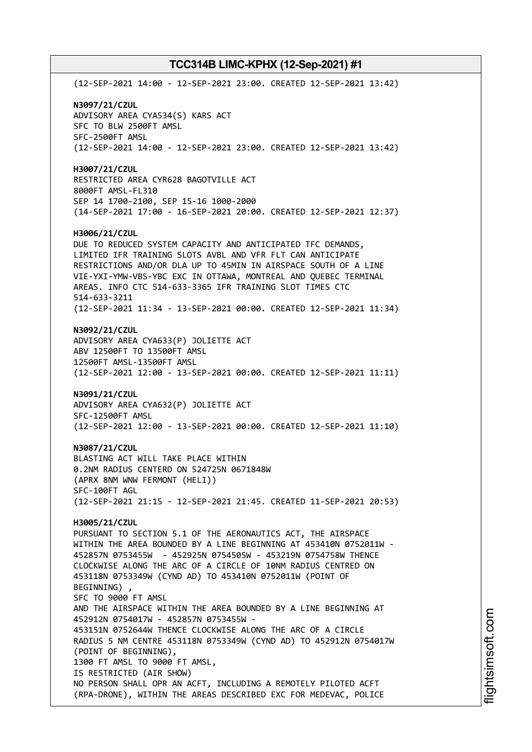(12-SEP-2021 14:00 - 12-SEP-2021 23:00. CREATED 12-SEP-2021 13:42) **N3097/21/CZUL** ADVISORY AREA CYA534(S) KARS ACT SFC TO BLW 2500FT AMSL SFC-2500FT AMSL (12-SEP-2021 14:00 - 12-SEP-2021 23:00. CREATED 12-SEP-2021 13:42) **H3007/21/CZUL** RESTRICTED AREA CYR628 BAGOTVILLE ACT 8000FT AMSL-FL310 SEP 14 1700-2100, SEP 15-16 1000-2000 (14-SEP-2021 17:00 - 16-SEP-2021 20:00. CREATED 12-SEP-2021 12:37) **H3006/21/CZUL** DUE TO REDUCED SYSTEM CAPACITY AND ANTICIPATED TFC DEMANDS, LIMITED IFR TRAINING SLOTS AVBL AND VFR FLT CAN ANTICIPATE RESTRICTIONS AND/OR DLA UP TO 45MIN IN AIRSPACE SOUTH OF A LINE VIE-YXI-YMW-VBS-YBC EXC IN OTTAWA, MONTREAL AND QUEBEC TERMINAL AREAS. INFO CTC 514-633-3365 IFR TRAINING SLOT TIMES CTC 514-633-3211 (12-SEP-2021 11:34 - 13-SEP-2021 00:00. CREATED 12-SEP-2021 11:34) **N3092/21/CZUL** ADVISORY AREA CYA633(P) JOLIETTE ACT ABV 12500FT TO 13500FT AMSL 12500FT AMSL-13500FT AMSL (12-SEP-2021 12:00 - 13-SEP-2021 00:00. CREATED 12-SEP-2021 11:11) **N3091/21/CZUL** ADVISORY AREA CYA632(P) JOLIETTE ACT SFC-12500FT AMSL (12-SEP-2021 12:00 - 13-SEP-2021 00:00. CREATED 12-SEP-2021 11:10) **N3087/21/CZUL** BLASTING ACT WILL TAKE PLACE WITHIN 0.2NM RADIUS CENTERD ON 524725N 0671848W (APRX 8NM WNW FERMONT (HELI)) SFC-100FT AGL (12-SEP-2021 21:15 - 12-SEP-2021 21:45. CREATED 11-SEP-2021 20:53) **H3005/21/CZUL** PURSUANT TO SECTION 5.1 OF THE AERONAUTICS ACT, THE AIRSPACE WITHIN THE AREA BOUNDED BY A LINE BEGINNING AT 453410N 0752011W - 452857N 0753455W - 452925N 0754505W - 453219N 0754758W THENCE CLOCKWISE ALONG THE ARC OF A CIRCLE OF 10NM RADIUS CENTRED ON 453118N 0753349W (CYND AD) TO 453410N 0752011W (POINT OF BEGINNING) , SFC TO 9000 FT AMSL AND THE AIRSPACE WITHIN THE AREA BOUNDED BY A LINE BEGINNING AT 452912N 0754017W - 452857N 0753455W - 453151N 0752644W THENCE CLOCKWISE ALONG THE ARC OF A CIRCLE RADIUS 5 NM CENTRE 453118N 0753349W (CYND AD) TO 452912N 0754017W (POINT OF BEGINNING), 1300 FT AMSL TO 9000 FT AMSL, IS RESTRICTED (AIR SHOW) NO PERSON SHALL OPR AN ACFT, INCLUDING A REMOTELY PILOTED ACFT (RPA-DRONE), WITHIN THE AREAS DESCRIBED EXC FOR MEDEVAC, POLICE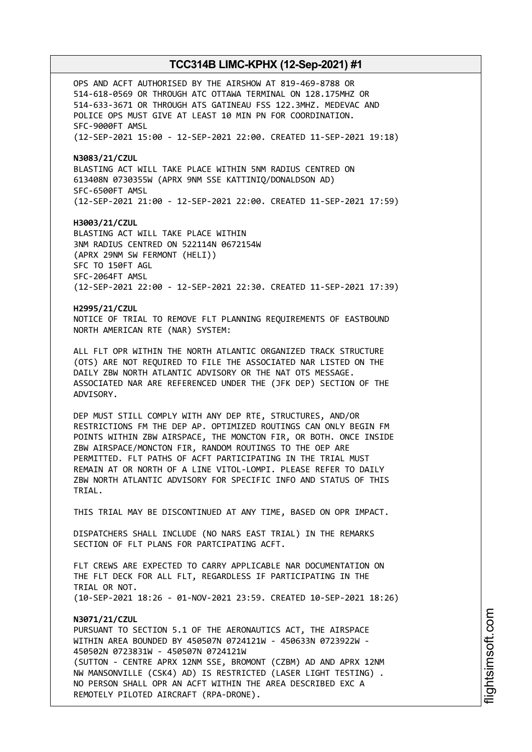OPS AND ACFT AUTHORISED BY THE AIRSHOW AT 819-469-8788 OR 514-618-0569 OR THROUGH ATC OTTAWA TERMINAL ON 128.175MHZ OR 514-633-3671 OR THROUGH ATS GATINEAU FSS 122.3MHZ. MEDEVAC AND POLICE OPS MUST GIVE AT LEAST 10 MIN PN FOR COORDINATION. SFC-9000FT AMSL (12-SEP-2021 15:00 - 12-SEP-2021 22:00. CREATED 11-SEP-2021 19:18)

**N3083/21/CZUL** BLASTING ACT WILL TAKE PLACE WITHIN 5NM RADIUS CENTRED ON 613408N 0730355W (APRX 9NM SSE KATTINIQ/DONALDSON AD) SFC-6500FT AMSL (12-SEP-2021 21:00 - 12-SEP-2021 22:00. CREATED 11-SEP-2021 17:59)

**H3003/21/CZUL** BLASTING ACT WILL TAKE PLACE WITHIN 3NM RADIUS CENTRED ON 522114N 0672154W (APRX 29NM SW FERMONT (HELI)) SFC TO 150FT AGL SFC-2064FT AMSL (12-SEP-2021 22:00 - 12-SEP-2021 22:30. CREATED 11-SEP-2021 17:39)

**H2995/21/CZUL** NOTICE OF TRIAL TO REMOVE FLT PLANNING REQUIREMENTS OF EASTBOUND NORTH AMERICAN RTE (NAR) SYSTEM:

ALL FLT OPR WITHIN THE NORTH ATLANTIC ORGANIZED TRACK STRUCTURE (OTS) ARE NOT REQUIRED TO FILE THE ASSOCIATED NAR LISTED ON THE DAILY ZBW NORTH ATLANTIC ADVISORY OR THE NAT OTS MESSAGE. ASSOCIATED NAR ARE REFERENCED UNDER THE (JFK DEP) SECTION OF THE ADVISORY.

DEP MUST STILL COMPLY WITH ANY DEP RTE, STRUCTURES, AND/OR RESTRICTIONS FM THE DEP AP. OPTIMIZED ROUTINGS CAN ONLY BEGIN FM POINTS WITHIN ZBW AIRSPACE, THE MONCTON FIR, OR BOTH. ONCE INSIDE ZBW AIRSPACE/MONCTON FIR, RANDOM ROUTINGS TO THE OEP ARE PERMITTED. FLT PATHS OF ACFT PARTICIPATING IN THE TRIAL MUST REMAIN AT OR NORTH OF A LINE VITOL-LOMPI. PLEASE REFER TO DAILY ZBW NORTH ATLANTIC ADVISORY FOR SPECIFIC INFO AND STATUS OF THIS TRIAL.

THIS TRIAL MAY BE DISCONTINUED AT ANY TIME, BASED ON OPR IMPACT.

DISPATCHERS SHALL INCLUDE (NO NARS EAST TRIAL) IN THE REMARKS SECTION OF FLT PLANS FOR PARTCIPATING ACFT.

FLT CREWS ARE EXPECTED TO CARRY APPLICABLE NAR DOCUMENTATION ON THE FLT DECK FOR ALL FLT, REGARDLESS IF PARTICIPATING IN THE TRIAL OR NOT. (10-SEP-2021 18:26 - 01-NOV-2021 23:59. CREATED 10-SEP-2021 18:26)

## **N3071/21/CZUL** PURSUANT TO SECTION 5.1 OF THE AERONAUTICS ACT, THE AIRSPACE WITHIN AREA BOUNDED BY 450507N 0724121W - 450633N 0723922W - 450502N 0723831W - 450507N 0724121W (SUTTON - CENTRE APRX 12NM SSE, BROMONT (CZBM) AD AND APRX 12NM NW MANSONVILLE (CSK4) AD) IS RESTRICTED (LASER LIGHT TESTING) . NO PERSON SHALL OPR AN ACFT WITHIN THE AREA DESCRIBED EXC A REMOTELY PILOTED AIRCRAFT (RPA-DRONE).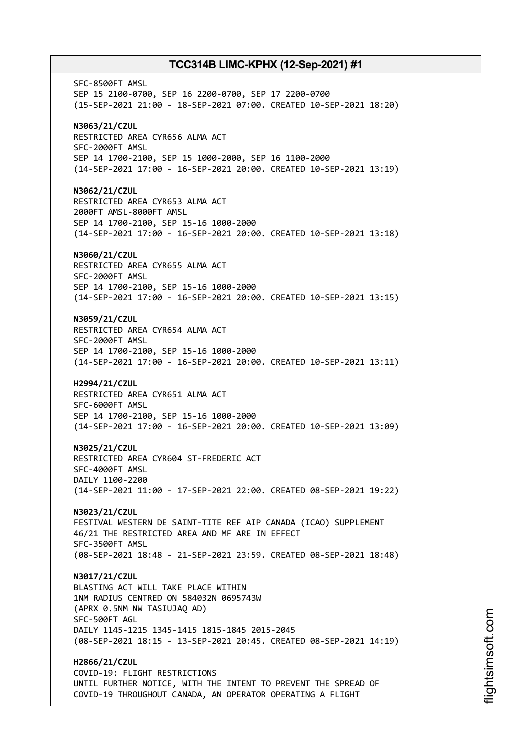SFC-8500FT AMSL SEP 15 2100-0700, SEP 16 2200-0700, SEP 17 2200-0700 (15-SEP-2021 21:00 - 18-SEP-2021 07:00. CREATED 10-SEP-2021 18:20) **N3063/21/CZUL** RESTRICTED AREA CYR656 ALMA ACT SFC-2000FT AMSL SEP 14 1700-2100, SEP 15 1000-2000, SEP 16 1100-2000 (14-SEP-2021 17:00 - 16-SEP-2021 20:00. CREATED 10-SEP-2021 13:19) **N3062/21/CZUL** RESTRICTED AREA CYR653 ALMA ACT 2000FT AMSL-8000FT AMSL SEP 14 1700-2100, SEP 15-16 1000-2000 (14-SEP-2021 17:00 - 16-SEP-2021 20:00. CREATED 10-SEP-2021 13:18) **N3060/21/CZUL** RESTRICTED AREA CYR655 ALMA ACT SFC-2000FT AMSL SEP 14 1700-2100, SEP 15-16 1000-2000 (14-SEP-2021 17:00 - 16-SEP-2021 20:00. CREATED 10-SEP-2021 13:15) **N3059/21/CZUL** RESTRICTED AREA CYR654 ALMA ACT SFC-2000FT AMSL SEP 14 1700-2100, SEP 15-16 1000-2000 (14-SEP-2021 17:00 - 16-SEP-2021 20:00. CREATED 10-SEP-2021 13:11) **H2994/21/CZUL** RESTRICTED AREA CYR651 ALMA ACT SFC-6000FT AMSL SEP 14 1700-2100, SEP 15-16 1000-2000 (14-SEP-2021 17:00 - 16-SEP-2021 20:00. CREATED 10-SEP-2021 13:09) **N3025/21/CZUL** RESTRICTED AREA CYR604 ST-FREDERIC ACT SFC-4000FT AMSL DAILY 1100-2200 (14-SEP-2021 11:00 - 17-SEP-2021 22:00. CREATED 08-SEP-2021 19:22) **N3023/21/CZUL** FESTIVAL WESTERN DE SAINT-TITE REF AIP CANADA (ICAO) SUPPLEMENT 46/21 THE RESTRICTED AREA AND MF ARE IN EFFECT SFC-3500FT AMSL (08-SEP-2021 18:48 - 21-SEP-2021 23:59. CREATED 08-SEP-2021 18:48) **N3017/21/CZUL** BLASTING ACT WILL TAKE PLACE WITHIN 1NM RADIUS CENTRED ON 584032N 0695743W (APRX 0.5NM NW TASIUJAQ AD) SFC-500FT AGL DAILY 1145-1215 1345-1415 1815-1845 2015-2045 (08-SEP-2021 18:15 - 13-SEP-2021 20:45. CREATED 08-SEP-2021 14:19) **H2866/21/CZUL** COVID-19: FLIGHT RESTRICTIONS UNTIL FURTHER NOTICE, WITH THE INTENT TO PREVENT THE SPREAD OF

COVID-19 THROUGHOUT CANADA, AN OPERATOR OPERATING A FLIGHT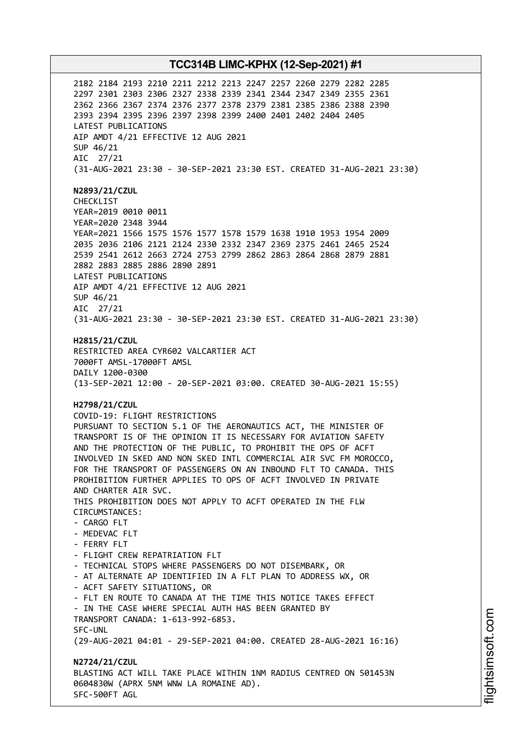2182 2184 2193 2210 2211 2212 2213 2247 2257 2260 2279 2282 2285 2297 2301 2303 2306 2327 2338 2339 2341 2344 2347 2349 2355 2361 2362 2366 2367 2374 2376 2377 2378 2379 2381 2385 2386 2388 2390 2393 2394 2395 2396 2397 2398 2399 2400 2401 2402 2404 2405 LATEST PUBLICATIONS AIP AMDT 4/21 EFFECTIVE 12 AUG 2021 SUP 46/21 AIC 27/21 (31-AUG-2021 23:30 - 30-SEP-2021 23:30 EST. CREATED 31-AUG-2021 23:30) **N2893/21/CZUL** CHECKLIST YEAR=2019 0010 0011 YEAR=2020 2348 3944 YEAR=2021 1566 1575 1576 1577 1578 1579 1638 1910 1953 1954 2009 2035 2036 2106 2121 2124 2330 2332 2347 2369 2375 2461 2465 2524 2539 2541 2612 2663 2724 2753 2799 2862 2863 2864 2868 2879 2881 2882 2883 2885 2886 2890 2891 LATEST PUBLICATIONS AIP AMDT 4/21 EFFECTIVE 12 AUG 2021 SUP 46/21 AIC 27/21 (31-AUG-2021 23:30 - 30-SEP-2021 23:30 EST. CREATED 31-AUG-2021 23:30) **H2815/21/CZUL** RESTRICTED AREA CYR602 VALCARTIER ACT 7000FT AMSL-17000FT AMSL DAILY 1200-0300 (13-SEP-2021 12:00 - 20-SEP-2021 03:00. CREATED 30-AUG-2021 15:55) **H2798/21/CZUL** COVID-19: FLIGHT RESTRICTIONS PURSUANT TO SECTION 5.1 OF THE AERONAUTICS ACT, THE MINISTER OF TRANSPORT IS OF THE OPINION IT IS NECESSARY FOR AVIATION SAFETY AND THE PROTECTION OF THE PUBLIC, TO PROHIBIT THE OPS OF ACFT INVOLVED IN SKED AND NON SKED INTL COMMERCIAL AIR SVC FM MOROCCO, FOR THE TRANSPORT OF PASSENGERS ON AN INBOUND FLT TO CANADA. THIS PROHIBITION FURTHER APPLIES TO OPS OF ACFT INVOLVED IN PRIVATE AND CHARTER AIR SVC. THIS PROHIBITION DOES NOT APPLY TO ACFT OPERATED IN THE FLW CIRCUMSTANCES: - CARGO FLT - MEDEVAC FLT - FERRY FLT - FLIGHT CREW REPATRIATION FLT - TECHNICAL STOPS WHERE PASSENGERS DO NOT DISEMBARK, OR - AT ALTERNATE AP IDENTIFIED IN A FLT PLAN TO ADDRESS WX, OR - ACFT SAFETY SITUATIONS, OR - FLT EN ROUTE TO CANADA AT THE TIME THIS NOTICE TAKES EFFECT - IN THE CASE WHERE SPECIAL AUTH HAS BEEN GRANTED BY TRANSPORT CANADA: 1-613-992-6853. SFC-UNL (29-AUG-2021 04:01 - 29-SEP-2021 04:00. CREATED 28-AUG-2021 16:16) **N2724/21/CZUL** BLASTING ACT WILL TAKE PLACE WITHIN 1NM RADIUS CENTRED ON 501453N 0604830W (APRX 5NM WNW LA ROMAINE AD). SFC-500FT AGL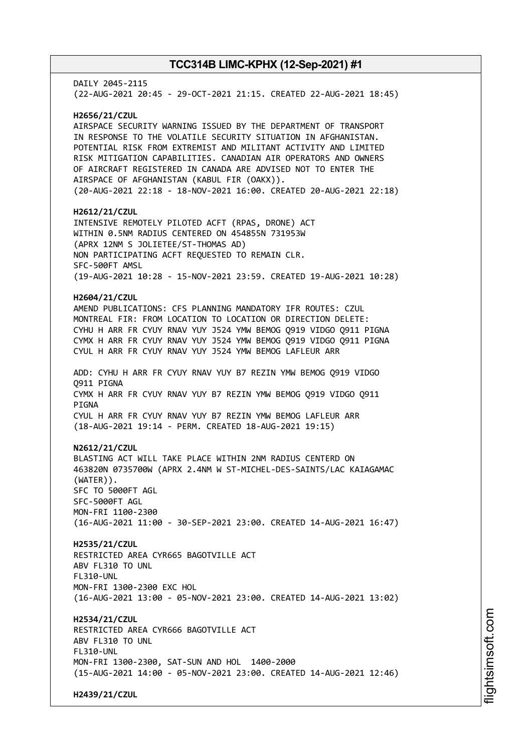DAILY 2045-2115 (22-AUG-2021 20:45 - 29-OCT-2021 21:15. CREATED 22-AUG-2021 18:45) **H2656/21/CZUL** AIRSPACE SECURITY WARNING ISSUED BY THE DEPARTMENT OF TRANSPORT IN RESPONSE TO THE VOLATILE SECURITY SITUATION IN AFGHANISTAN. POTENTIAL RISK FROM EXTREMIST AND MILITANT ACTIVITY AND LIMITED RISK MITIGATION CAPABILITIES. CANADIAN AIR OPERATORS AND OWNERS OF AIRCRAFT REGISTERED IN CANADA ARE ADVISED NOT TO ENTER THE AIRSPACE OF AFGHANISTAN (KABUL FIR (OAKX)). (20-AUG-2021 22:18 - 18-NOV-2021 16:00. CREATED 20-AUG-2021 22:18) **H2612/21/CZUL** INTENSIVE REMOTELY PILOTED ACFT (RPAS, DRONE) ACT WITHIN 0.5NM RADIUS CENTERED ON 454855N 731953W (APRX 12NM S JOLIETEE/ST-THOMAS AD) NON PARTICIPATING ACFT REQUESTED TO REMAIN CLR. SFC-500FT AMSL (19-AUG-2021 10:28 - 15-NOV-2021 23:59. CREATED 19-AUG-2021 10:28) **H2604/21/CZUL** AMEND PUBLICATIONS: CFS PLANNING MANDATORY IFR ROUTES: CZUL MONTREAL FIR: FROM LOCATION TO LOCATION OR DIRECTION DELETE: CYHU H ARR FR CYUY RNAV YUY J524 YMW BEMOG Q919 VIDGO Q911 PIGNA CYMX H ARR FR CYUY RNAV YUY J524 YMW BEMOG Q919 VIDGO Q911 PIGNA CYUL H ARR FR CYUY RNAV YUY J524 YMW BEMOG LAFLEUR ARR ADD: CYHU H ARR FR CYUY RNAV YUY B7 REZIN YMW BEMOG Q919 VIDGO Q911 PIGNA CYMX H ARR FR CYUY RNAV YUY B7 REZIN YMW BEMOG Q919 VIDGO Q911 **PTGNA** CYUL H ARR FR CYUY RNAV YUY B7 REZIN YMW BEMOG LAFLEUR ARR (18-AUG-2021 19:14 - PERM. CREATED 18-AUG-2021 19:15) **N2612/21/CZUL** BLASTING ACT WILL TAKE PLACE WITHIN 2NM RADIUS CENTERD ON 463820N 0735700W (APRX 2.4NM W ST-MICHEL-DES-SAINTS/LAC KAIAGAMAC (WATER)). SFC TO 5000FT AGL SFC-5000FT AGL MON-FRI 1100-2300 (16-AUG-2021 11:00 - 30-SEP-2021 23:00. CREATED 14-AUG-2021 16:47) **H2535/21/CZUL** RESTRICTED AREA CYR665 BAGOTVILLE ACT ABV FL310 TO UNL FL310-UNL MON-FRI 1300-2300 EXC HOL (16-AUG-2021 13:00 - 05-NOV-2021 23:00. CREATED 14-AUG-2021 13:02) **H2534/21/CZUL** RESTRICTED AREA CYR666 BAGOTVILLE ACT ABV FL310 TO UNL FL310-UNL MON-FRI 1300-2300, SAT-SUN AND HOL 1400-2000 (15-AUG-2021 14:00 - 05-NOV-2021 23:00. CREATED 14-AUG-2021 12:46) **H2439/21/CZUL**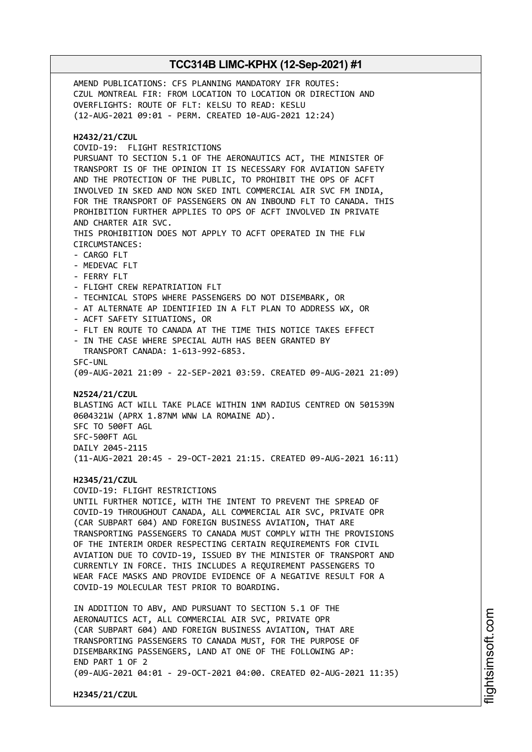AMEND PUBLICATIONS: CFS PLANNING MANDATORY IFR ROUTES: CZUL MONTREAL FIR: FROM LOCATION TO LOCATION OR DIRECTION AND OVERFLIGHTS: ROUTE OF FLT: KELSU TO READ: KESLU (12-AUG-2021 09:01 - PERM. CREATED 10-AUG-2021 12:24) **H2432/21/CZUL** COVID-19: FLIGHT RESTRICTIONS PURSUANT TO SECTION 5.1 OF THE AERONAUTICS ACT, THE MINISTER OF TRANSPORT IS OF THE OPINION IT IS NECESSARY FOR AVIATION SAFETY AND THE PROTECTION OF THE PUBLIC, TO PROHIBIT THE OPS OF ACFT INVOLVED IN SKED AND NON SKED INTL COMMERCIAL AIR SVC FM INDIA, FOR THE TRANSPORT OF PASSENGERS ON AN INBOUND FLT TO CANADA. THIS PROHIBITION FURTHER APPLIES TO OPS OF ACFT INVOLVED IN PRIVATE AND CHARTER AIR SVC. THIS PROHIBITION DOES NOT APPLY TO ACFT OPERATED IN THE FLW CIRCUMSTANCES: - CARGO FLT - MEDEVAC FLT - FERRY FLT - FLIGHT CREW REPATRIATION FLT - TECHNICAL STOPS WHERE PASSENGERS DO NOT DISEMBARK, OR - AT ALTERNATE AP IDENTIFIED IN A FLT PLAN TO ADDRESS WX, OR - ACFT SAFETY SITUATIONS, OR - FLT EN ROUTE TO CANADA AT THE TIME THIS NOTICE TAKES EFFECT IN THE CASE WHERE SPECIAL AUTH HAS BEEN GRANTED BY TRANSPORT CANADA: 1-613-992-6853. SFC-UNL (09-AUG-2021 21:09 - 22-SEP-2021 03:59. CREATED 09-AUG-2021 21:09) **N2524/21/CZUL** BLASTING ACT WILL TAKE PLACE WITHIN 1NM RADIUS CENTRED ON 501539N 0604321W (APRX 1.87NM WNW LA ROMAINE AD). SFC TO 500FT AGL SFC-500FT AGL DAILY 2045-2115 (11-AUG-2021 20:45 - 29-OCT-2021 21:15. CREATED 09-AUG-2021 16:11) **H2345/21/CZUL** COVID-19: FLIGHT RESTRICTIONS UNTIL FURTHER NOTICE, WITH THE INTENT TO PREVENT THE SPREAD OF COVID-19 THROUGHOUT CANADA, ALL COMMERCIAL AIR SVC, PRIVATE OPR (CAR SUBPART 604) AND FOREIGN BUSINESS AVIATION, THAT ARE TRANSPORTING PASSENGERS TO CANADA MUST COMPLY WITH THE PROVISIONS OF THE INTERIM ORDER RESPECTING CERTAIN REQUIREMENTS FOR CIVIL AVIATION DUE TO COVID-19, ISSUED BY THE MINISTER OF TRANSPORT AND CURRENTLY IN FORCE. THIS INCLUDES A REQUIREMENT PASSENGERS TO WEAR FACE MASKS AND PROVIDE EVIDENCE OF A NEGATIVE RESULT FOR A COVID-19 MOLECULAR TEST PRIOR TO BOARDING. IN ADDITION TO ABV, AND PURSUANT TO SECTION 5.1 OF THE AERONAUTICS ACT, ALL COMMERCIAL AIR SVC, PRIVATE OPR (CAR SUBPART 604) AND FOREIGN BUSINESS AVIATION, THAT ARE TRANSPORTING PASSENGERS TO CANADA MUST, FOR THE PURPOSE OF DISEMBARKING PASSENGERS, LAND AT ONE OF THE FOLLOWING AP: END PART 1 OF 2 (09-AUG-2021 04:01 - 29-OCT-2021 04:00. CREATED 02-AUG-2021 11:35) **H2345/21/CZUL**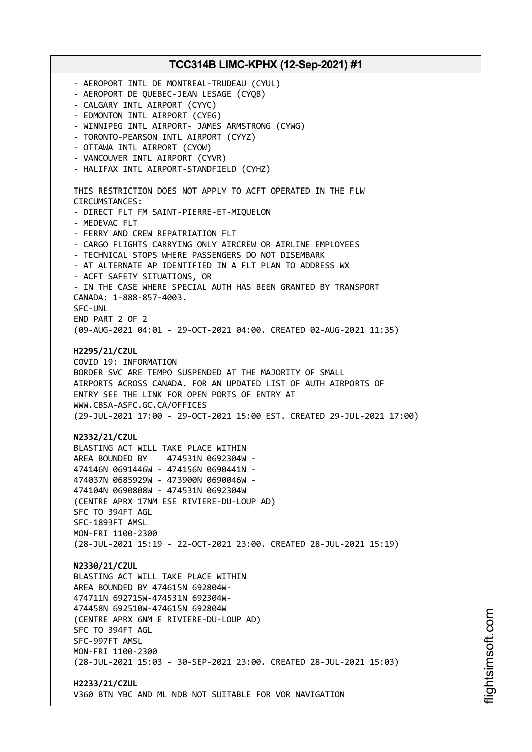**TCC314B LIMC-KPHX (12-Sep-2021) #1** - AEROPORT INTL DE MONTREAL-TRUDEAU (CYUL) - AEROPORT DE QUEBEC-JEAN LESAGE (CYQB) - CALGARY INTL AIRPORT (CYYC) - EDMONTON INTL AIRPORT (CYEG) - WINNIPEG INTL AIRPORT- JAMES ARMSTRONG (CYWG) - TORONTO-PEARSON INTL AIRPORT (CYYZ) - OTTAWA INTL AIRPORT (CYOW) - VANCOUVER INTL AIRPORT (CYVR) - HALIFAX INTL AIRPORT-STANDFIELD (CYHZ) THIS RESTRICTION DOES NOT APPLY TO ACFT OPERATED IN THE FLW CIRCUMSTANCES: - DIRECT FLT FM SAINT-PIERRE-ET-MIQUELON - MEDEVAC FLT - FERRY AND CREW REPATRIATION FLT - CARGO FLIGHTS CARRYING ONLY AIRCREW OR AIRLINE EMPLOYEES - TECHNICAL STOPS WHERE PASSENGERS DO NOT DISEMBARK - AT ALTERNATE AP IDENTIFIED IN A FLT PLAN TO ADDRESS WX - ACFT SAFETY SITUATIONS, OR - IN THE CASE WHERE SPECIAL AUTH HAS BEEN GRANTED BY TRANSPORT CANADA: 1-888-857-4003. SFC-UNL END PART 2 OF 2 (09-AUG-2021 04:01 - 29-OCT-2021 04:00. CREATED 02-AUG-2021 11:35) **H2295/21/CZUL** COVID 19: INFORMATION BORDER SVC ARE TEMPO SUSPENDED AT THE MAJORITY OF SMALL AIRPORTS ACROSS CANADA. FOR AN UPDATED LIST OF AUTH AIRPORTS OF ENTRY SEE THE LINK FOR OPEN PORTS OF ENTRY AT WWW.CBSA-ASFC.GC.CA/OFFICES (29-JUL-2021 17:00 - 29-OCT-2021 15:00 EST. CREATED 29-JUL-2021 17:00) **N2332/21/CZUL** BLASTING ACT WILL TAKE PLACE WITHIN AREA BOUNDED BY 474531N 0692304W - 474146N 0691446W - 474156N 0690441N - 474037N 0685929W - 473900N 0690046W - 474104N 0690808W - 474531N 0692304W (CENTRE APRX 17NM ESE RIVIERE-DU-LOUP AD) SFC TO 394FT AGL SFC-1893FT AMSL MON-FRI 1100-2300 (28-JUL-2021 15:19 - 22-OCT-2021 23:00. CREATED 28-JUL-2021 15:19) **N2330/21/CZUL** BLASTING ACT WILL TAKE PLACE WITHIN AREA BOUNDED BY 474615N 692804W-474711N 692715W-474531N 692304W-474458N 692510W-474615N 692804W (CENTRE APRX 6NM E RIVIERE-DU-LOUP AD) SFC TO 394FT AGL SFC-997FT AMSL MON-FRI 1100-2300 (28-JUL-2021 15:03 - 30-SEP-2021 23:00. CREATED 28-JUL-2021 15:03) **H2233/21/CZUL** V360 BTN YBC AND ML NDB NOT SUITABLE FOR VOR NAVIGATION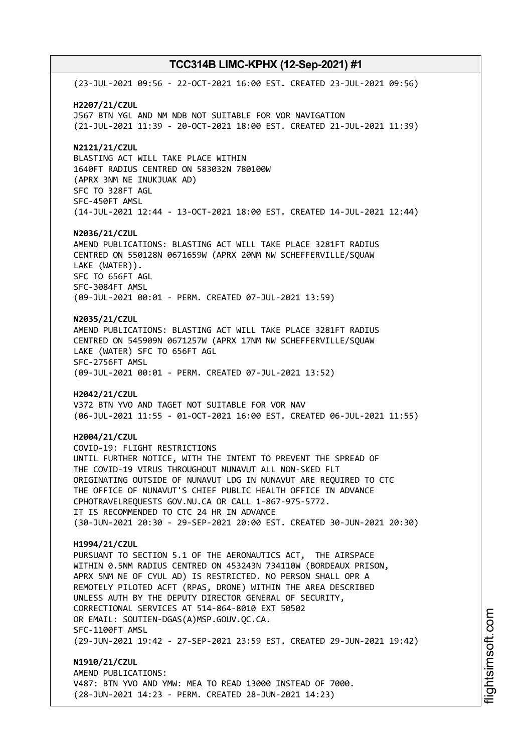(23-JUL-2021 09:56 - 22-OCT-2021 16:00 EST. CREATED 23-JUL-2021 09:56) **H2207/21/CZUL** J567 BTN YGL AND NM NDB NOT SUITABLE FOR VOR NAVIGATION (21-JUL-2021 11:39 - 20-OCT-2021 18:00 EST. CREATED 21-JUL-2021 11:39) **N2121/21/CZUL** BLASTING ACT WILL TAKE PLACE WITHIN 1640FT RADIUS CENTRED ON 583032N 780100W (APRX 3NM NE INUKJUAK AD) SFC TO 328FT AGL SFC-450FT AMSL (14-JUL-2021 12:44 - 13-OCT-2021 18:00 EST. CREATED 14-JUL-2021 12:44) **N2036/21/CZUL** AMEND PUBLICATIONS: BLASTING ACT WILL TAKE PLACE 3281FT RADIUS CENTRED ON 550128N 0671659W (APRX 20NM NW SCHEFFERVILLE/SQUAW LAKE (WATER)). SFC TO 656FT AGL SFC-3084FT AMSL (09-JUL-2021 00:01 - PERM. CREATED 07-JUL-2021 13:59) **N2035/21/CZUL** AMEND PUBLICATIONS: BLASTING ACT WILL TAKE PLACE 3281FT RADIUS CENTRED ON 545909N 0671257W (APRX 17NM NW SCHEFFERVILLE/SQUAW LAKE (WATER) SFC TO 656FT AGL SFC-2756FT AMSL (09-JUL-2021 00:01 - PERM. CREATED 07-JUL-2021 13:52) **H2042/21/CZUL** V372 BTN YVO AND TAGET NOT SUITABLE FOR VOR NAV (06-JUL-2021 11:55 - 01-OCT-2021 16:00 EST. CREATED 06-JUL-2021 11:55) **H2004/21/CZUL** COVID-19: FLIGHT RESTRICTIONS UNTIL FURTHER NOTICE, WITH THE INTENT TO PREVENT THE SPREAD OF THE COVID-19 VIRUS THROUGHOUT NUNAVUT ALL NON-SKED FLT ORIGINATING OUTSIDE OF NUNAVUT LDG IN NUNAVUT ARE REQUIRED TO CTC THE OFFICE OF NUNAVUT'S CHIEF PUBLIC HEALTH OFFICE IN ADVANCE CPHOTRAVELREQUESTS GOV.NU.CA OR CALL 1-867-975-5772. IT IS RECOMMENDED TO CTC 24 HR IN ADVANCE (30-JUN-2021 20:30 - 29-SEP-2021 20:00 EST. CREATED 30-JUN-2021 20:30) **H1994/21/CZUL** PURSUANT TO SECTION 5.1 OF THE AERONAUTICS ACT, THE AIRSPACE WITHIN 0.5NM RADIUS CENTRED ON 453243N 734110W (BORDEAUX PRISON, APRX 5NM NE OF CYUL AD) IS RESTRICTED. NO PERSON SHALL OPR A REMOTELY PILOTED ACFT (RPAS, DRONE) WITHIN THE AREA DESCRIBED UNLESS AUTH BY THE DEPUTY DIRECTOR GENERAL OF SECURITY, CORRECTIONAL SERVICES AT 514-864-8010 EXT 50502 OR EMAIL: SOUTIEN-DGAS(A)MSP.GOUV.QC.CA. SFC-1100FT AMSL (29-JUN-2021 19:42 - 27-SEP-2021 23:59 EST. CREATED 29-JUN-2021 19:42) **N1910/21/CZUL** AMEND PUBLICATIONS: V487: BTN YVO AND YMW: MEA TO READ 13000 INSTEAD OF 7000.

(28-JUN-2021 14:23 - PERM. CREATED 28-JUN-2021 14:23)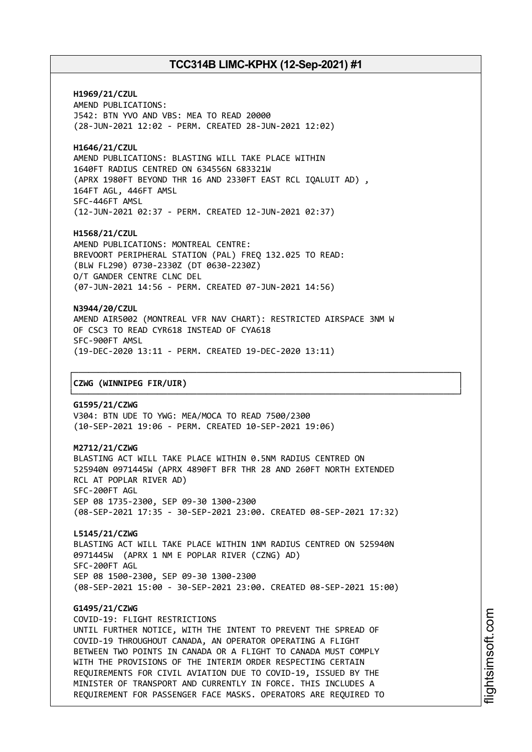**H1969/21/CZUL** AMEND PUBLICATIONS: J542: BTN YVO AND VBS: MEA TO READ 20000 (28-JUN-2021 12:02 - PERM. CREATED 28-JUN-2021 12:02)

**H1646/21/CZUL** AMEND PUBLICATIONS: BLASTING WILL TAKE PLACE WITHIN 1640FT RADIUS CENTRED ON 634556N 683321W (APRX 1980FT BEYOND THR 16 AND 2330FT EAST RCL IQALUIT AD) , 164FT AGL, 446FT AMSL SFC-446FT AMSL (12-JUN-2021 02:37 - PERM. CREATED 12-JUN-2021 02:37)

**H1568/21/CZUL** AMEND PUBLICATIONS: MONTREAL CENTRE: BREVOORT PERIPHERAL STATION (PAL) FREQ 132.025 TO READ: (BLW FL290) 0730-2330Z (DT 0630-2230Z) O/T GANDER CENTRE CLNC DEL (07-JUN-2021 14:56 - PERM. CREATED 07-JUN-2021 14:56)

**N3944/20/CZUL** AMEND AIR5002 (MONTREAL VFR NAV CHART): RESTRICTED AIRSPACE 3NM W OF CSC3 TO READ CYR618 INSTEAD OF CYA618 SFC-900FT AMSL (19-DEC-2020 13:11 - PERM. CREATED 19-DEC-2020 13:11)

┌──────────────────────────────────────────────────────────────────────────────┐

└──────────────────────────────────────────────────────────────────────────────┘

### │**CZWG (WINNIPEG FIR/UIR)** │

**G1595/21/CZWG** V304: BTN UDE TO YWG: MEA/MOCA TO READ 7500/2300 (10-SEP-2021 19:06 - PERM. CREATED 10-SEP-2021 19:06)

#### **M2712/21/CZWG**

BLASTING ACT WILL TAKE PLACE WITHIN 0.5NM RADIUS CENTRED ON 525940N 0971445W (APRX 4890FT BFR THR 28 AND 260FT NORTH EXTENDED RCL AT POPLAR RIVER AD) SFC-200FT AGL SEP 08 1735-2300, SEP 09-30 1300-2300 (08-SEP-2021 17:35 - 30-SEP-2021 23:00. CREATED 08-SEP-2021 17:32)

**L5145/21/CZWG** BLASTING ACT WILL TAKE PLACE WITHIN 1NM RADIUS CENTRED ON 525940N 0971445W (APRX 1 NM E POPLAR RIVER (CZNG) AD) SFC-200FT AGL SEP 08 1500-2300, SEP 09-30 1300-2300 (08-SEP-2021 15:00 - 30-SEP-2021 23:00. CREATED 08-SEP-2021 15:00)

### **G1495/21/CZWG**

COVID-19: FLIGHT RESTRICTIONS UNTIL FURTHER NOTICE, WITH THE INTENT TO PREVENT THE SPREAD OF COVID-19 THROUGHOUT CANADA, AN OPERATOR OPERATING A FLIGHT BETWEEN TWO POINTS IN CANADA OR A FLIGHT TO CANADA MUST COMPLY WITH THE PROVISIONS OF THE INTERIM ORDER RESPECTING CERTAIN REQUIREMENTS FOR CIVIL AVIATION DUE TO COVID-19, ISSUED BY THE MINISTER OF TRANSPORT AND CURRENTLY IN FORCE. THIS INCLUDES A REQUIREMENT FOR PASSENGER FACE MASKS. OPERATORS ARE REQUIRED TO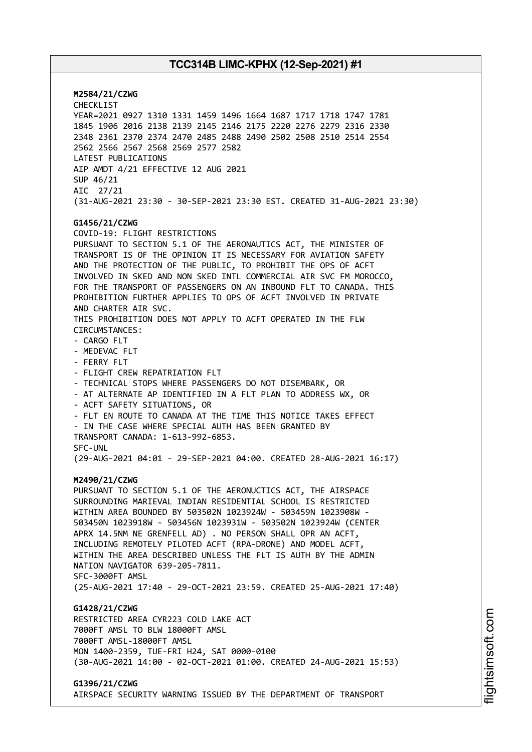**M2584/21/CZWG** CHECKLIST YEAR=2021 0927 1310 1331 1459 1496 1664 1687 1717 1718 1747 1781 1845 1906 2016 2138 2139 2145 2146 2175 2220 2276 2279 2316 2330 2348 2361 2370 2374 2470 2485 2488 2490 2502 2508 2510 2514 2554 2562 2566 2567 2568 2569 2577 2582 LATEST PUBLICATIONS AIP AMDT 4/21 EFFECTIVE 12 AUG 2021 SUP 46/21 AIC 27/21 (31-AUG-2021 23:30 - 30-SEP-2021 23:30 EST. CREATED 31-AUG-2021 23:30) **G1456/21/CZWG** COVID-19: FLIGHT RESTRICTIONS PURSUANT TO SECTION 5.1 OF THE AERONAUTICS ACT, THE MINISTER OF TRANSPORT IS OF THE OPINION IT IS NECESSARY FOR AVIATION SAFETY AND THE PROTECTION OF THE PUBLIC, TO PROHIBIT THE OPS OF ACFT INVOLVED IN SKED AND NON SKED INTL COMMERCIAL AIR SVC FM MOROCCO, FOR THE TRANSPORT OF PASSENGERS ON AN INBOUND FLT TO CANADA. THIS PROHIBITION FURTHER APPLIES TO OPS OF ACFT INVOLVED IN PRIVATE AND CHARTER AIR SVC. THIS PROHIBITION DOES NOT APPLY TO ACFT OPERATED IN THE FLW CIRCUMSTANCES: - CARGO FLT - MEDEVAC FLT - FERRY FLT - FLIGHT CREW REPATRIATION FLT - TECHNICAL STOPS WHERE PASSENGERS DO NOT DISEMBARK, OR - AT ALTERNATE AP IDENTIFIED IN A FLT PLAN TO ADDRESS WX, OR - ACFT SAFETY SITUATIONS, OR - FLT EN ROUTE TO CANADA AT THE TIME THIS NOTICE TAKES EFFECT - IN THE CASE WHERE SPECIAL AUTH HAS BEEN GRANTED BY TRANSPORT CANADA: 1-613-992-6853. SFC-UNL (29-AUG-2021 04:01 - 29-SEP-2021 04:00. CREATED 28-AUG-2021 16:17) **M2490/21/CZWG** PURSUANT TO SECTION 5.1 OF THE AERONUCTICS ACT, THE AIRSPACE SURROUNDING MARIEVAL INDIAN RESIDENTIAL SCHOOL IS RESTRICTED WITHIN AREA BOUNDED BY 503502N 1023924W - 503459N 1023908W - 503450N 1023918W - 503456N 1023931W - 503502N 1023924W (CENTER APRX 14.5NM NE GRENFELL AD) . NO PERSON SHALL OPR AN ACFT, INCLUDING REMOTELY PILOTED ACFT (RPA-DRONE) AND MODEL ACFT, WITHIN THE AREA DESCRIBED UNLESS THE FLT IS AUTH BY THE ADMIN NATION NAVIGATOR 639-205-7811. SFC-3000FT AMSL (25-AUG-2021 17:40 - 29-OCT-2021 23:59. CREATED 25-AUG-2021 17:40) **G1428/21/CZWG** RESTRICTED AREA CYR223 COLD LAKE ACT 7000FT AMSL TO BLW 18000FT AMSL 7000FT AMSL-18000FT AMSL MON 1400-2359, TUE-FRI H24, SAT 0000-0100 (30-AUG-2021 14:00 - 02-OCT-2021 01:00. CREATED 24-AUG-2021 15:53)

**G1396/21/CZWG**

AIRSPACE SECURITY WARNING ISSUED BY THE DEPARTMENT OF TRANSPORT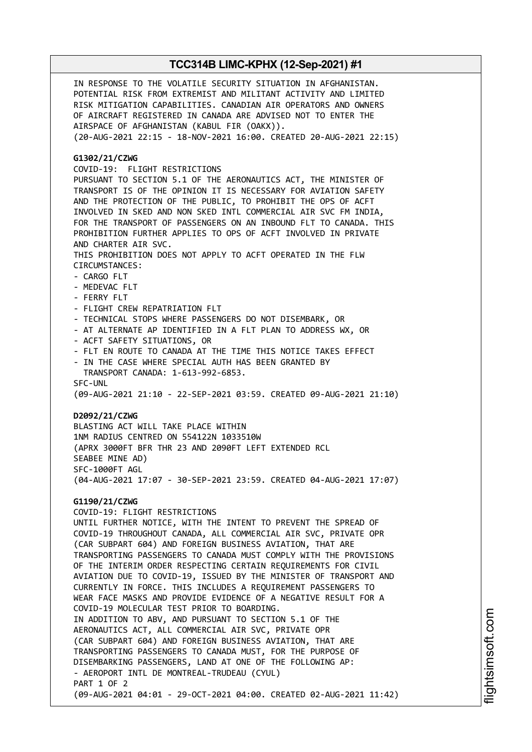IN RESPONSE TO THE VOLATILE SECURITY SITUATION IN AFGHANISTAN. POTENTIAL RISK FROM EXTREMIST AND MILITANT ACTIVITY AND LIMITED RISK MITIGATION CAPABILITIES. CANADIAN AIR OPERATORS AND OWNERS OF AIRCRAFT REGISTERED IN CANADA ARE ADVISED NOT TO ENTER THE AIRSPACE OF AFGHANISTAN (KABUL FIR (OAKX)). (20-AUG-2021 22:15 - 18-NOV-2021 16:00. CREATED 20-AUG-2021 22:15) **G1302/21/CZWG** COVID-19: FLIGHT RESTRICTIONS PURSUANT TO SECTION 5.1 OF THE AERONAUTICS ACT, THE MINISTER OF TRANSPORT IS OF THE OPINION IT IS NECESSARY FOR AVIATION SAFETY AND THE PROTECTION OF THE PUBLIC, TO PROHIBIT THE OPS OF ACFT INVOLVED IN SKED AND NON SKED INTL COMMERCIAL AIR SVC FM INDIA, FOR THE TRANSPORT OF PASSENGERS ON AN INBOUND FLT TO CANADA. THIS PROHIBITION FURTHER APPLIES TO OPS OF ACFT INVOLVED IN PRIVATE AND CHARTER AIR SVC. THIS PROHIBITION DOES NOT APPLY TO ACFT OPERATED IN THE FLW CIRCUMSTANCES: - CARGO FLT - MEDEVAC FLT - FERRY FLT - FLIGHT CREW REPATRIATION FLT - TECHNICAL STOPS WHERE PASSENGERS DO NOT DISEMBARK, OR - AT ALTERNATE AP IDENTIFIED IN A FLT PLAN TO ADDRESS WX, OR - ACFT SAFETY SITUATIONS, OR - FLT EN ROUTE TO CANADA AT THE TIME THIS NOTICE TAKES EFFECT - IN THE CASE WHERE SPECIAL AUTH HAS BEEN GRANTED BY TRANSPORT CANADA: 1-613-992-6853. SFC-UNL (09-AUG-2021 21:10 - 22-SEP-2021 03:59. CREATED 09-AUG-2021 21:10) **D2092/21/CZWG** BLASTING ACT WILL TAKE PLACE WITHIN 1NM RADIUS CENTRED ON 554122N 1033510W (APRX 3000FT BFR THR 23 AND 2090FT LEFT EXTENDED RCL SEABEE MINE AD) SFC-1000FT AGL (04-AUG-2021 17:07 - 30-SEP-2021 23:59. CREATED 04-AUG-2021 17:07) **G1190/21/CZWG** COVID-19: FLIGHT RESTRICTIONS UNTIL FURTHER NOTICE, WITH THE INTENT TO PREVENT THE SPREAD OF COVID-19 THROUGHOUT CANADA, ALL COMMERCIAL AIR SVC, PRIVATE OPR (CAR SUBPART 604) AND FOREIGN BUSINESS AVIATION, THAT ARE TRANSPORTING PASSENGERS TO CANADA MUST COMPLY WITH THE PROVISIONS OF THE INTERIM ORDER RESPECTING CERTAIN REQUIREMENTS FOR CIVIL AVIATION DUE TO COVID-19, ISSUED BY THE MINISTER OF TRANSPORT AND CURRENTLY IN FORCE. THIS INCLUDES A REQUIREMENT PASSENGERS TO WEAR FACE MASKS AND PROVIDE EVIDENCE OF A NEGATIVE RESULT FOR A COVID-19 MOLECULAR TEST PRIOR TO BOARDING. IN ADDITION TO ABV, AND PURSUANT TO SECTION 5.1 OF THE AERONAUTICS ACT, ALL COMMERCIAL AIR SVC, PRIVATE OPR (CAR SUBPART 604) AND FOREIGN BUSINESS AVIATION, THAT ARE TRANSPORTING PASSENGERS TO CANADA MUST, FOR THE PURPOSE OF DISEMBARKING PASSENGERS, LAND AT ONE OF THE FOLLOWING AP: - AEROPORT INTL DE MONTREAL-TRUDEAU (CYUL) PART 1 OF 2 (09-AUG-2021 04:01 - 29-OCT-2021 04:00. CREATED 02-AUG-2021 11:42)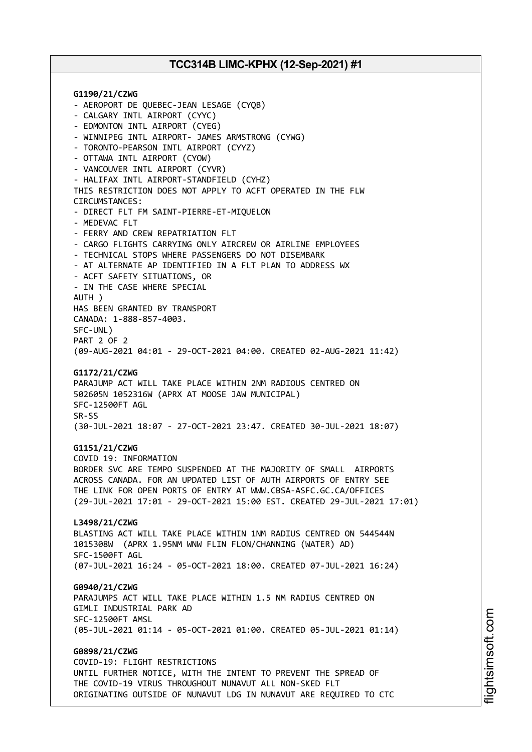**G1190/21/CZWG** - AEROPORT DE QUEBEC-JEAN LESAGE (CYQB) - CALGARY INTL AIRPORT (CYYC) - EDMONTON INTL AIRPORT (CYEG) - WINNIPEG INTL AIRPORT- JAMES ARMSTRONG (CYWG) - TORONTO-PEARSON INTL AIRPORT (CYYZ) - OTTAWA INTL AIRPORT (CYOW) - VANCOUVER INTL AIRPORT (CYVR) - HALIFAX INTL AIRPORT-STANDFIELD (CYHZ) THIS RESTRICTION DOES NOT APPLY TO ACFT OPERATED IN THE FLW CIRCUMSTANCES: - DIRECT FLT FM SAINT-PIERRE-ET-MIQUELON - MEDEVAC FLT - FERRY AND CREW REPATRIATION FLT - CARGO FLIGHTS CARRYING ONLY AIRCREW OR AIRLINE EMPLOYEES - TECHNICAL STOPS WHERE PASSENGERS DO NOT DISEMBARK - AT ALTERNATE AP IDENTIFIED IN A FLT PLAN TO ADDRESS WX - ACFT SAFETY SITUATIONS, OR - IN THE CASE WHERE SPECIAL AUTH ) HAS BEEN GRANTED BY TRANSPORT CANADA: 1-888-857-4003. SFC-UNL) PART 2 OF 2 (09-AUG-2021 04:01 - 29-OCT-2021 04:00. CREATED 02-AUG-2021 11:42) **G1172/21/CZWG** PARAJUMP ACT WILL TAKE PLACE WITHIN 2NM RADIOUS CENTRED ON 502605N 1052316W (APRX AT MOOSE JAW MUNICIPAL) SFC-12500FT AGL SR-SS (30-JUL-2021 18:07 - 27-OCT-2021 23:47. CREATED 30-JUL-2021 18:07) **G1151/21/CZWG** COVID 19: INFORMATION BORDER SVC ARE TEMPO SUSPENDED AT THE MAJORITY OF SMALL AIRPORTS ACROSS CANADA. FOR AN UPDATED LIST OF AUTH AIRPORTS OF ENTRY SEE THE LINK FOR OPEN PORTS OF ENTRY AT WWW.CBSA-ASFC.GC.CA/OFFICES (29-JUL-2021 17:01 - 29-OCT-2021 15:00 EST. CREATED 29-JUL-2021 17:01) **L3498/21/CZWG** BLASTING ACT WILL TAKE PLACE WITHIN 1NM RADIUS CENTRED ON 544544N 1015308W (APRX 1.95NM WNW FLIN FLON/CHANNING (WATER) AD) SFC-1500FT AGL (07-JUL-2021 16:24 - 05-OCT-2021 18:00. CREATED 07-JUL-2021 16:24) **G0940/21/CZWG** PARAJUMPS ACT WILL TAKE PLACE WITHIN 1.5 NM RADIUS CENTRED ON GIMLI INDUSTRIAL PARK AD SFC-12500FT AMSL (05-JUL-2021 01:14 - 05-OCT-2021 01:00. CREATED 05-JUL-2021 01:14) **G0898/21/CZWG** COVID-19: FLIGHT RESTRICTIONS UNTIL FURTHER NOTICE, WITH THE INTENT TO PREVENT THE SPREAD OF

THE COVID-19 VIRUS THROUGHOUT NUNAVUT ALL NON-SKED FLT ORIGINATING OUTSIDE OF NUNAVUT LDG IN NUNAVUT ARE REQUIRED TO CTC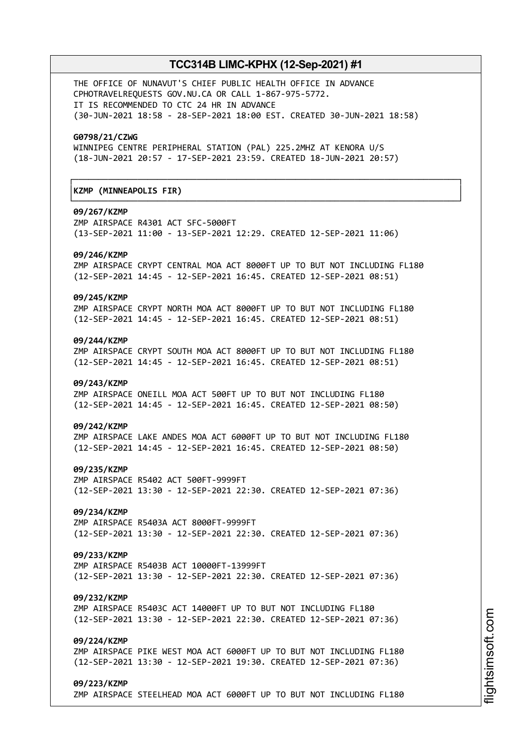┌──────────────────────────────────────────────────────────────────────────────┐

└──────────────────────────────────────────────────────────────────────────────┘

THE OFFICE OF NUNAVUT'S CHIEF PUBLIC HEALTH OFFICE IN ADVANCE CPHOTRAVELREQUESTS GOV.NU.CA OR CALL 1-867-975-5772. IT IS RECOMMENDED TO CTC 24 HR IN ADVANCE (30-JUN-2021 18:58 - 28-SEP-2021 18:00 EST. CREATED 30-JUN-2021 18:58)

#### **G0798/21/CZWG**

WINNIPEG CENTRE PERIPHERAL STATION (PAL) 225.2MHZ AT KENORA U/S (18-JUN-2021 20:57 - 17-SEP-2021 23:59. CREATED 18-JUN-2021 20:57)

### │**KZMP (MINNEAPOLIS FIR)** │

#### **09/267/KZMP**

ZMP AIRSPACE R4301 ACT SFC-5000FT (13-SEP-2021 11:00 - 13-SEP-2021 12:29. CREATED 12-SEP-2021 11:06)

#### **09/246/KZMP**

ZMP AIRSPACE CRYPT CENTRAL MOA ACT 8000FT UP TO BUT NOT INCLUDING FL180 (12-SEP-2021 14:45 - 12-SEP-2021 16:45. CREATED 12-SEP-2021 08:51)

#### **09/245/KZMP**

ZMP AIRSPACE CRYPT NORTH MOA ACT 8000FT UP TO BUT NOT INCLUDING FL180 (12-SEP-2021 14:45 - 12-SEP-2021 16:45. CREATED 12-SEP-2021 08:51)

#### **09/244/KZMP**

ZMP AIRSPACE CRYPT SOUTH MOA ACT 8000FT UP TO BUT NOT INCLUDING FL180 (12-SEP-2021 14:45 - 12-SEP-2021 16:45. CREATED 12-SEP-2021 08:51)

### **09/243/KZMP**

ZMP AIRSPACE ONEILL MOA ACT 500FT UP TO BUT NOT INCLUDING FL180 (12-SEP-2021 14:45 - 12-SEP-2021 16:45. CREATED 12-SEP-2021 08:50)

### **09/242/KZMP**

ZMP AIRSPACE LAKE ANDES MOA ACT 6000FT UP TO BUT NOT INCLUDING FL180 (12-SEP-2021 14:45 - 12-SEP-2021 16:45. CREATED 12-SEP-2021 08:50)

#### **09/235/KZMP**

ZMP AIRSPACE R5402 ACT 500FT-9999FT (12-SEP-2021 13:30 - 12-SEP-2021 22:30. CREATED 12-SEP-2021 07:36)

## **09/234/KZMP**

ZMP AIRSPACE R5403A ACT 8000FT-9999FT (12-SEP-2021 13:30 - 12-SEP-2021 22:30. CREATED 12-SEP-2021 07:36)

### **09/233/KZMP**

ZMP AIRSPACE R5403B ACT 10000FT-13999FT (12-SEP-2021 13:30 - 12-SEP-2021 22:30. CREATED 12-SEP-2021 07:36)

#### **09/232/KZMP**

ZMP AIRSPACE R5403C ACT 14000FT UP TO BUT NOT INCLUDING FL180 (12-SEP-2021 13:30 - 12-SEP-2021 22:30. CREATED 12-SEP-2021 07:36)

### **09/224/KZMP**

ZMP AIRSPACE PIKE WEST MOA ACT 6000FT UP TO BUT NOT INCLUDING FL180 (12-SEP-2021 13:30 - 12-SEP-2021 19:30. CREATED 12-SEP-2021 07:36)

#### **09/223/KZMP**

ZMP AIRSPACE STEELHEAD MOA ACT 6000FT UP TO BUT NOT INCLUDING FL180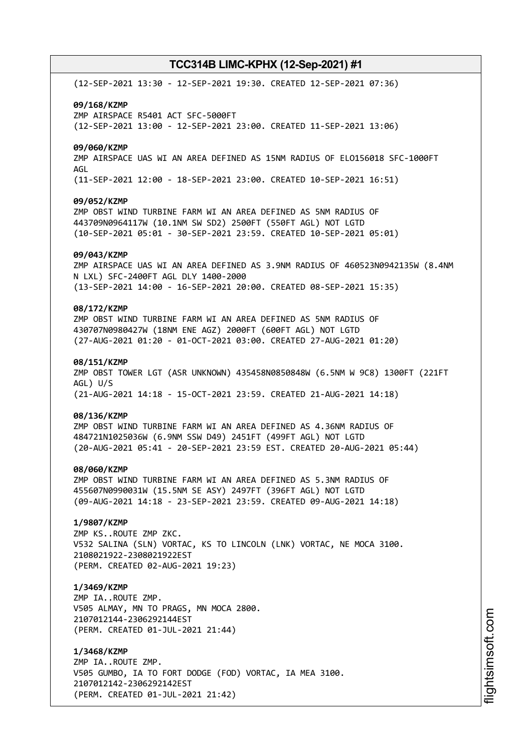(12-SEP-2021 13:30 - 12-SEP-2021 19:30. CREATED 12-SEP-2021 07:36) **09/168/KZMP** ZMP AIRSPACE R5401 ACT SFC-5000FT (12-SEP-2021 13:00 - 12-SEP-2021 23:00. CREATED 11-SEP-2021 13:06) **09/060/KZMP** ZMP AIRSPACE UAS WI AN AREA DEFINED AS 15NM RADIUS OF ELO156018 SFC-1000FT AGL (11-SEP-2021 12:00 - 18-SEP-2021 23:00. CREATED 10-SEP-2021 16:51) **09/052/KZMP** ZMP OBST WIND TURBINE FARM WI AN AREA DEFINED AS 5NM RADIUS OF 443709N0964117W (10.1NM SW SD2) 2500FT (550FT AGL) NOT LGTD (10-SEP-2021 05:01 - 30-SEP-2021 23:59. CREATED 10-SEP-2021 05:01) **09/043/KZMP** ZMP AIRSPACE UAS WI AN AREA DEFINED AS 3.9NM RADIUS OF 460523N0942135W (8.4NM N LXL) SFC-2400FT AGL DLY 1400-2000 (13-SEP-2021 14:00 - 16-SEP-2021 20:00. CREATED 08-SEP-2021 15:35) **08/172/KZMP** ZMP OBST WIND TURBINE FARM WI AN AREA DEFINED AS 5NM RADIUS OF 430707N0980427W (18NM ENE AGZ) 2000FT (600FT AGL) NOT LGTD (27-AUG-2021 01:20 - 01-OCT-2021 03:00. CREATED 27-AUG-2021 01:20) **08/151/KZMP** ZMP OBST TOWER LGT (ASR UNKNOWN) 435458N0850848W (6.5NM W 9C8) 1300FT (221FT AGL) U/S (21-AUG-2021 14:18 - 15-OCT-2021 23:59. CREATED 21-AUG-2021 14:18) **08/136/KZMP** ZMP OBST WIND TURBINE FARM WI AN AREA DEFINED AS 4.36NM RADIUS OF 484721N1025036W (6.9NM SSW D49) 2451FT (499FT AGL) NOT LGTD (20-AUG-2021 05:41 - 20-SEP-2021 23:59 EST. CREATED 20-AUG-2021 05:44) **08/060/KZMP** ZMP OBST WIND TURBINE FARM WI AN AREA DEFINED AS 5.3NM RADIUS OF 455607N0990031W (15.5NM SE ASY) 2497FT (396FT AGL) NOT LGTD (09-AUG-2021 14:18 - 23-SEP-2021 23:59. CREATED 09-AUG-2021 14:18) **1/9807/KZMP** ZMP KS..ROUTE ZMP ZKC. V532 SALINA (SLN) VORTAC, KS TO LINCOLN (LNK) VORTAC, NE MOCA 3100. 2108021922-2308021922EST (PERM. CREATED 02-AUG-2021 19:23) **1/3469/KZMP** ZMP IA..ROUTE ZMP. V505 ALMAY, MN TO PRAGS, MN MOCA 2800. 2107012144-2306292144EST (PERM. CREATED 01-JUL-2021 21:44) **1/3468/KZMP** ZMP IA..ROUTE ZMP. V505 GUMBO, IA TO FORT DODGE (FOD) VORTAC, IA MEA 3100. 2107012142-2306292142EST

(PERM. CREATED 01-JUL-2021 21:42)

m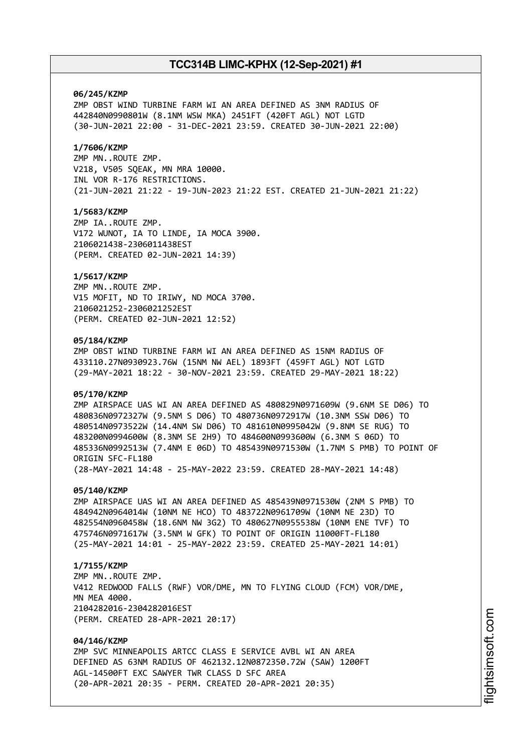### **06/245/KZMP**

ZMP OBST WIND TURBINE FARM WI AN AREA DEFINED AS 3NM RADIUS OF 442840N0990801W (8.1NM WSW MKA) 2451FT (420FT AGL) NOT LGTD (30-JUN-2021 22:00 - 31-DEC-2021 23:59. CREATED 30-JUN-2021 22:00)

## **1/7606/KZMP**

ZMP MN..ROUTE ZMP. V218, V505 SQEAK, MN MRA 10000. INL VOR R-176 RESTRICTIONS. (21-JUN-2021 21:22 - 19-JUN-2023 21:22 EST. CREATED 21-JUN-2021 21:22)

### **1/5683/KZMP**

ZMP IA..ROUTE ZMP. V172 WUNOT, IA TO LINDE, IA MOCA 3900. 2106021438-2306011438EST (PERM. CREATED 02-JUN-2021 14:39)

### **1/5617/KZMP**

ZMP MN..ROUTE ZMP. V15 MOFIT, ND TO IRIWY, ND MOCA 3700. 2106021252-2306021252EST (PERM. CREATED 02-JUN-2021 12:52)

### **05/184/KZMP**

ZMP OBST WIND TURBINE FARM WI AN AREA DEFINED AS 15NM RADIUS OF 433110.27N0930923.76W (15NM NW AEL) 1893FT (459FT AGL) NOT LGTD (29-MAY-2021 18:22 - 30-NOV-2021 23:59. CREATED 29-MAY-2021 18:22)

### **05/170/KZMP**

ZMP AIRSPACE UAS WI AN AREA DEFINED AS 480829N0971609W (9.6NM SE D06) TO 480836N0972327W (9.5NM S D06) TO 480736N0972917W (10.3NM SSW D06) TO 480514N0973522W (14.4NM SW D06) TO 481610N0995042W (9.8NM SE RUG) TO 483200N0994600W (8.3NM SE 2H9) TO 484600N0993600W (6.3NM S 06D) TO 485336N0992513W (7.4NM E 06D) TO 485439N0971530W (1.7NM S PMB) TO POINT OF ORIGIN SFC-FL180 (28-MAY-2021 14:48 - 25-MAY-2022 23:59. CREATED 28-MAY-2021 14:48)

#### **05/140/KZMP**

ZMP AIRSPACE UAS WI AN AREA DEFINED AS 485439N0971530W (2NM S PMB) TO 484942N0964014W (10NM NE HCO) TO 483722N0961709W (10NM NE 23D) TO 482554N0960458W (18.6NM NW 3G2) TO 480627N0955538W (10NM ENE TVF) TO 475746N0971617W (3.5NM W GFK) TO POINT OF ORIGIN 11000FT-FL180 (25-MAY-2021 14:01 - 25-MAY-2022 23:59. CREATED 25-MAY-2021 14:01)

### **1/7155/KZMP**

ZMP MN..ROUTE ZMP. V412 REDWOOD FALLS (RWF) VOR/DME, MN TO FLYING CLOUD (FCM) VOR/DME, MN MFA 4000 2104282016-2304282016EST (PERM. CREATED 28-APR-2021 20:17)

### **04/146/KZMP**

ZMP SVC MINNEAPOLIS ARTCC CLASS E SERVICE AVBL WI AN AREA DEFINED AS 63NM RADIUS OF 462132.12N0872350.72W (SAW) 1200FT AGL-14500FT EXC SAWYER TWR CLASS D SFC AREA (20-APR-2021 20:35 - PERM. CREATED 20-APR-2021 20:35)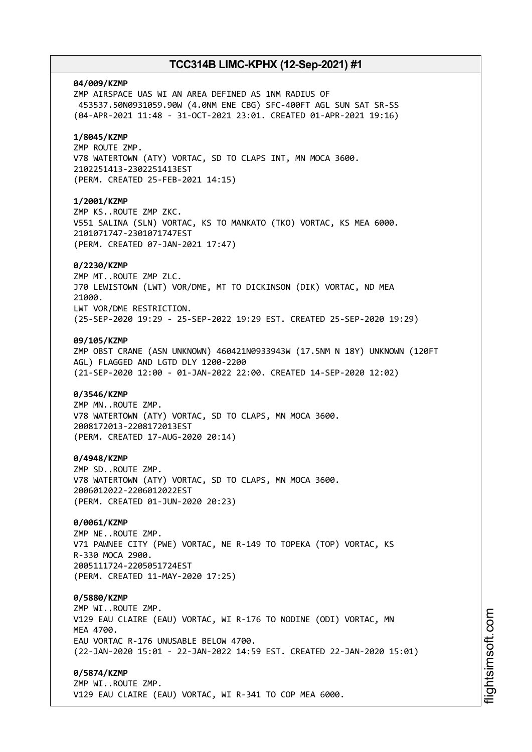# **04/009/KZMP** ZMP AIRSPACE UAS WI AN AREA DEFINED AS 1NM RADIUS OF 453537.50N0931059.90W (4.0NM ENE CBG) SFC-400FT AGL SUN SAT SR-SS (04-APR-2021 11:48 - 31-OCT-2021 23:01. CREATED 01-APR-2021 19:16) **1/8045/KZMP** ZMP ROUTE ZMP. V78 WATERTOWN (ATY) VORTAC, SD TO CLAPS INT, MN MOCA 3600. 2102251413-2302251413EST (PERM. CREATED 25-FEB-2021 14:15) **1/2001/KZMP** ZMP KS..ROUTE ZMP ZKC. V551 SALINA (SLN) VORTAC, KS TO MANKATO (TKO) VORTAC, KS MEA 6000. 2101071747-2301071747EST (PERM. CREATED 07-JAN-2021 17:47) **0/2230/KZMP** ZMP MT..ROUTE ZMP ZLC. J70 LEWISTOWN (LWT) VOR/DME, MT TO DICKINSON (DIK) VORTAC, ND MEA 21000. LWT VOR/DME RESTRICTION. (25-SEP-2020 19:29 - 25-SEP-2022 19:29 EST. CREATED 25-SEP-2020 19:29) **09/105/KZMP** ZMP OBST CRANE (ASN UNKNOWN) 460421N0933943W (17.5NM N 18Y) UNKNOWN (120FT AGL) FLAGGED AND LGTD DLY 1200-2200 (21-SEP-2020 12:00 - 01-JAN-2022 22:00. CREATED 14-SEP-2020 12:02) **0/3546/KZMP** ZMP MN..ROUTE ZMP. V78 WATERTOWN (ATY) VORTAC, SD TO CLAPS, MN MOCA 3600. 2008172013-2208172013EST (PERM. CREATED 17-AUG-2020 20:14) **0/4948/KZMP** ZMP SD..ROUTE ZMP. V78 WATERTOWN (ATY) VORTAC, SD TO CLAPS, MN MOCA 3600. 2006012022-2206012022EST (PERM. CREATED 01-JUN-2020 20:23) **0/0061/KZMP** ZMP NE..ROUTE ZMP. V71 PAWNEE CITY (PWE) VORTAC, NE R-149 TO TOPEKA (TOP) VORTAC, KS R-330 MOCA 2900. 2005111724-2205051724EST (PERM. CREATED 11-MAY-2020 17:25) **0/5880/KZMP** ZMP WI..ROUTE ZMP. V129 EAU CLAIRE (EAU) VORTAC, WI R-176 TO NODINE (ODI) VORTAC, MN **MFA 4700** EAU VORTAC R-176 UNUSABLE BELOW 4700. (22-JAN-2020 15:01 - 22-JAN-2022 14:59 EST. CREATED 22-JAN-2020 15:01) **0/5874/KZMP** ZMP WI..ROUTE ZMP. V129 EAU CLAIRE (EAU) VORTAC, WI R-341 TO COP MEA 6000.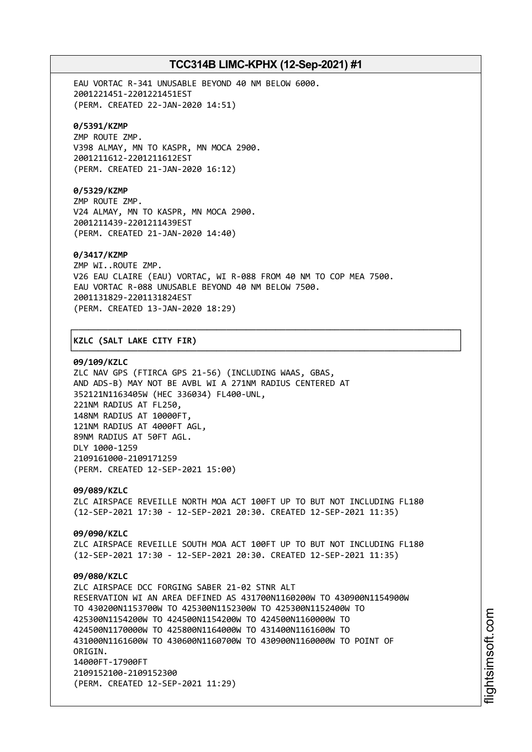EAU VORTAC R-341 UNUSABLE BEYOND 40 NM BELOW 6000. 2001221451-2201221451EST (PERM. CREATED 22-JAN-2020 14:51)

### **0/5391/KZMP**

ZMP ROUTE ZMP. V398 ALMAY, MN TO KASPR, MN MOCA 2900. 2001211612-2201211612EST (PERM. CREATED 21-JAN-2020 16:12)

## **0/5329/KZMP**

ZMP ROUTE ZMP. V24 ALMAY, MN TO KASPR, MN MOCA 2900. 2001211439-2201211439EST (PERM. CREATED 21-JAN-2020 14:40)

### **0/3417/KZMP**

ZMP WI..ROUTE ZMP. V26 EAU CLAIRE (EAU) VORTAC, WI R-088 FROM 40 NM TO COP MEA 7500. EAU VORTAC R-088 UNUSABLE BEYOND 40 NM BELOW 7500. 2001131829-2201131824EST (PERM. CREATED 13-JAN-2020 18:29)

┌──────────────────────────────────────────────────────────────────────────────┐

└──────────────────────────────────────────────────────────────────────────────┘

### │**KZLC (SALT LAKE CITY FIR)** │

#### **09/109/KZLC**

ZLC NAV GPS (FTIRCA GPS 21-56) (INCLUDING WAAS, GBAS, AND ADS-B) MAY NOT BE AVBL WI A 271NM RADIUS CENTERED AT 352121N1163405W (HEC 336034) FL400-UNL, 221NM RADIUS AT FL250, 148NM RADIUS AT 10000FT, 121NM RADIUS AT 4000FT AGL, 89NM RADIUS AT 50FT AGL. DLY 1000-1259 2109161000-2109171259 (PERM. CREATED 12-SEP-2021 15:00)

**09/089/KZLC** ZLC AIRSPACE REVEILLE NORTH MOA ACT 100FT UP TO BUT NOT INCLUDING FL180 (12-SEP-2021 17:30 - 12-SEP-2021 20:30. CREATED 12-SEP-2021 11:35)

**09/090/KZLC** ZLC AIRSPACE REVEILLE SOUTH MOA ACT 100FT UP TO BUT NOT INCLUDING FL180 (12-SEP-2021 17:30 - 12-SEP-2021 20:30. CREATED 12-SEP-2021 11:35)

## **09/080/KZLC** ZLC AIRSPACE DCC FORGING SABER 21-02 STNR ALT RESERVATION WI AN AREA DEFINED AS 431700N1160200W TO 430900N1154900W TO 430200N1153700W TO 425300N1152300W TO 425300N1152400W TO 425300N1154200W TO 424500N1154200W TO 424500N1160000W TO 424500N1170000W TO 425800N1164000W TO 431400N1161600W TO 431000N1161600W TO 430600N1160700W TO 430900N1160000W TO POINT OF ORTGIN. 14000FT-17900FT 2109152100-2109152300 (PERM. CREATED 12-SEP-2021 11:29)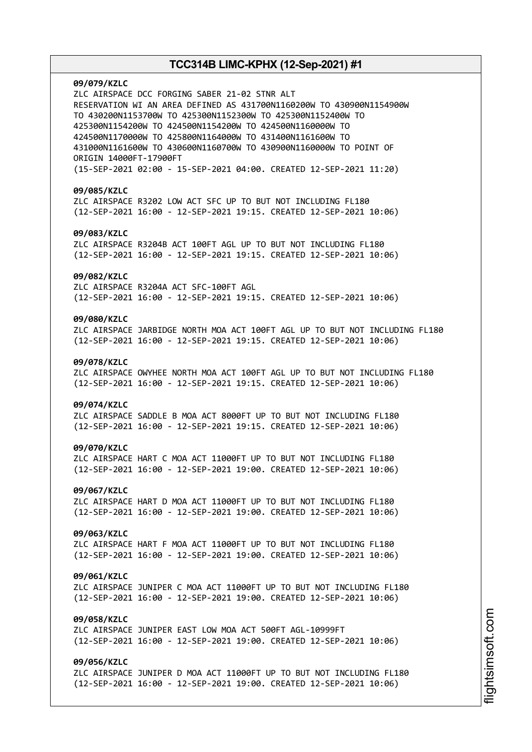**09/079/KZLC** ZLC AIRSPACE DCC FORGING SABER 21-02 STNR ALT RESERVATION WI AN AREA DEFINED AS 431700N1160200W TO 430900N1154900W TO 430200N1153700W TO 425300N1152300W TO 425300N1152400W TO 425300N1154200W TO 424500N1154200W TO 424500N1160000W TO 424500N1170000W TO 425800N1164000W TO 431400N1161600W TO 431000N1161600W TO 430600N1160700W TO 430900N1160000W TO POINT OF ORIGIN 14000FT-17900FT (15-SEP-2021 02:00 - 15-SEP-2021 04:00. CREATED 12-SEP-2021 11:20) **09/085/KZLC** ZLC AIRSPACE R3202 LOW ACT SFC UP TO BUT NOT INCLUDING FL180 (12-SEP-2021 16:00 - 12-SEP-2021 19:15. CREATED 12-SEP-2021 10:06) **09/083/KZLC** ZLC AIRSPACE R3204B ACT 100FT AGL UP TO BUT NOT INCLUDING FL180 (12-SEP-2021 16:00 - 12-SEP-2021 19:15. CREATED 12-SEP-2021 10:06) **09/082/KZLC** ZLC AIRSPACE R3204A ACT SFC-100FT AGL (12-SEP-2021 16:00 - 12-SEP-2021 19:15. CREATED 12-SEP-2021 10:06) **09/080/KZLC** ZLC AIRSPACE JARBIDGE NORTH MOA ACT 100FT AGL UP TO BUT NOT INCLUDING FL180 (12-SEP-2021 16:00 - 12-SEP-2021 19:15. CREATED 12-SEP-2021 10:06) **09/078/KZLC** ZLC AIRSPACE OWYHEE NORTH MOA ACT 100FT AGL UP TO BUT NOT INCLUDING FL180 (12-SEP-2021 16:00 - 12-SEP-2021 19:15. CREATED 12-SEP-2021 10:06) **09/074/KZLC** ZLC AIRSPACE SADDLE B MOA ACT 8000FT UP TO BUT NOT INCLUDING FL180 (12-SEP-2021 16:00 - 12-SEP-2021 19:15. CREATED 12-SEP-2021 10:06) **09/070/KZLC** ZLC AIRSPACE HART C MOA ACT 11000FT UP TO BUT NOT INCLUDING FL180 (12-SEP-2021 16:00 - 12-SEP-2021 19:00. CREATED 12-SEP-2021 10:06) **09/067/KZLC** ZLC AIRSPACE HART D MOA ACT 11000FT UP TO BUT NOT INCLUDING FL180 (12-SEP-2021 16:00 - 12-SEP-2021 19:00. CREATED 12-SEP-2021 10:06) **09/063/KZLC** ZLC AIRSPACE HART F MOA ACT 11000FT UP TO BUT NOT INCLUDING FL180 (12-SEP-2021 16:00 - 12-SEP-2021 19:00. CREATED 12-SEP-2021 10:06) **09/061/KZLC** ZLC AIRSPACE JUNIPER C MOA ACT 11000FT UP TO BUT NOT INCLUDING FL180 (12-SEP-2021 16:00 - 12-SEP-2021 19:00. CREATED 12-SEP-2021 10:06) **09/058/KZLC** ZLC AIRSPACE JUNIPER EAST LOW MOA ACT 500FT AGL-10999FT (12-SEP-2021 16:00 - 12-SEP-2021 19:00. CREATED 12-SEP-2021 10:06) **09/056/KZLC** ZLC AIRSPACE JUNIPER D MOA ACT 11000FT UP TO BUT NOT INCLUDING FL180 (12-SEP-2021 16:00 - 12-SEP-2021 19:00. CREATED 12-SEP-2021 10:06)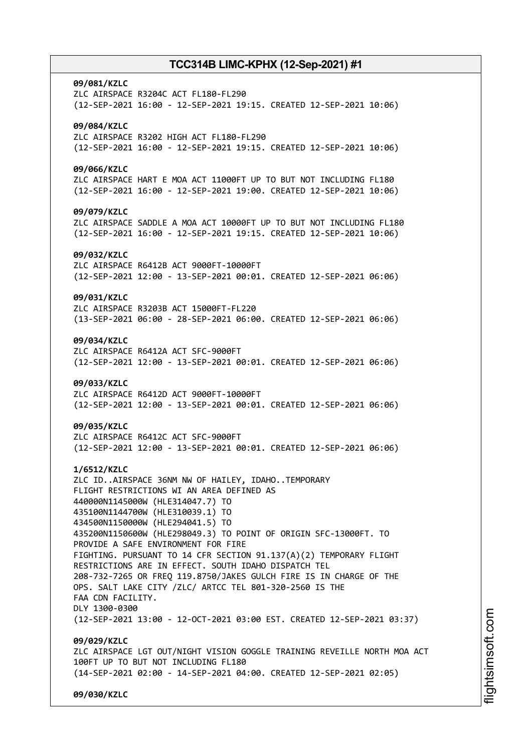# **09/081/KZLC** ZLC AIRSPACE R3204C ACT FL180-FL290 (12-SEP-2021 16:00 - 12-SEP-2021 19:15. CREATED 12-SEP-2021 10:06) **09/084/KZLC** ZLC AIRSPACE R3202 HIGH ACT FL180-FL290 (12-SEP-2021 16:00 - 12-SEP-2021 19:15. CREATED 12-SEP-2021 10:06) **09/066/KZLC** ZLC AIRSPACE HART E MOA ACT 11000FT UP TO BUT NOT INCLUDING FL180 (12-SEP-2021 16:00 - 12-SEP-2021 19:00. CREATED 12-SEP-2021 10:06) **09/079/KZLC** ZLC AIRSPACE SADDLE A MOA ACT 10000FT UP TO BUT NOT INCLUDING FL180 (12-SEP-2021 16:00 - 12-SEP-2021 19:15. CREATED 12-SEP-2021 10:06) **09/032/KZLC** ZLC AIRSPACE R6412B ACT 9000FT-10000FT (12-SEP-2021 12:00 - 13-SEP-2021 00:01. CREATED 12-SEP-2021 06:06) **09/031/KZLC** ZLC AIRSPACE R3203B ACT 15000FT-FL220 (13-SEP-2021 06:00 - 28-SEP-2021 06:00. CREATED 12-SEP-2021 06:06) **09/034/KZLC** ZLC AIRSPACE R6412A ACT SFC-9000FT (12-SEP-2021 12:00 - 13-SEP-2021 00:01. CREATED 12-SEP-2021 06:06) **09/033/KZLC** ZLC AIRSPACE R6412D ACT 9000FT-10000FT (12-SEP-2021 12:00 - 13-SEP-2021 00:01. CREATED 12-SEP-2021 06:06) **09/035/KZLC** ZLC AIRSPACE R6412C ACT SFC-9000FT (12-SEP-2021 12:00 - 13-SEP-2021 00:01. CREATED 12-SEP-2021 06:06) **1/6512/KZLC** ZLC ID..AIRSPACE 36NM NW OF HAILEY, IDAHO..TEMPORARY FLIGHT RESTRICTIONS WI AN AREA DEFINED AS 440000N1145000W (HLE314047.7) TO 435100N1144700W (HLE310039.1) TO 434500N1150000W (HLE294041.5) TO 435200N1150600W (HLE298049.3) TO POINT OF ORIGIN SFC-13000FT. TO PROVIDE A SAFE ENVIRONMENT FOR FIRE FIGHTING. PURSUANT TO 14 CFR SECTION 91.137(A)(2) TEMPORARY FLIGHT RESTRICTIONS ARE IN EFFECT. SOUTH IDAHO DISPATCH TEL 208-732-7265 OR FREQ 119.8750/JAKES GULCH FIRE IS IN CHARGE OF THE OPS. SALT LAKE CITY /ZLC/ ARTCC TEL 801-320-2560 IS THE FAA CDN FACILITY. DLY 1300-0300 (12-SEP-2021 13:00 - 12-OCT-2021 03:00 EST. CREATED 12-SEP-2021 03:37) **09/029/KZLC** ZLC AIRSPACE LGT OUT/NIGHT VISION GOGGLE TRAINING REVEILLE NORTH MOA ACT 100FT UP TO BUT NOT INCLUDING FL180 (14-SEP-2021 02:00 - 14-SEP-2021 04:00. CREATED 12-SEP-2021 02:05) **09/030/KZLC**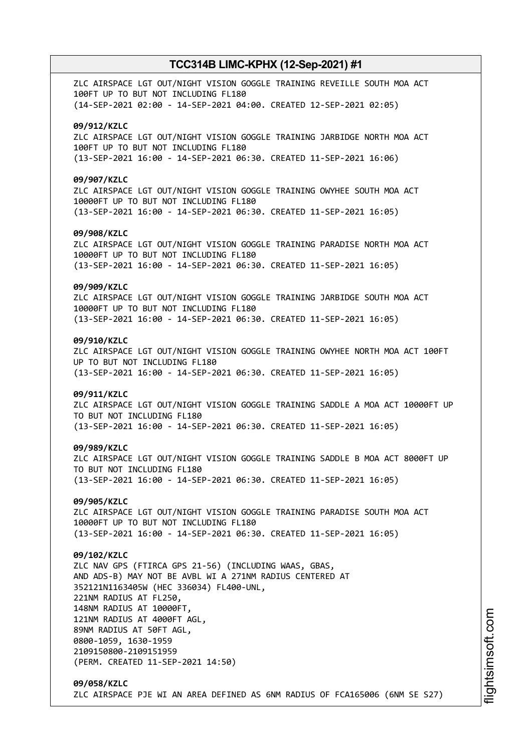ZLC AIRSPACE LGT OUT/NIGHT VISION GOGGLE TRAINING REVEILLE SOUTH MOA ACT 100FT UP TO BUT NOT INCLUDING FL180 (14-SEP-2021 02:00 - 14-SEP-2021 04:00. CREATED 12-SEP-2021 02:05) **09/912/KZLC** ZLC AIRSPACE LGT OUT/NIGHT VISION GOGGLE TRAINING JARBIDGE NORTH MOA ACT 100FT UP TO BUT NOT INCLUDING FL180 (13-SEP-2021 16:00 - 14-SEP-2021 06:30. CREATED 11-SEP-2021 16:06) **09/907/KZLC** ZLC AIRSPACE LGT OUT/NIGHT VISION GOGGLE TRAINING OWYHEE SOUTH MOA ACT 10000FT UP TO BUT NOT INCLUDING FL180 (13-SEP-2021 16:00 - 14-SEP-2021 06:30. CREATED 11-SEP-2021 16:05) **09/908/KZLC** ZLC AIRSPACE LGT OUT/NIGHT VISION GOGGLE TRAINING PARADISE NORTH MOA ACT 10000FT UP TO BUT NOT INCLUDING FL180 (13-SEP-2021 16:00 - 14-SEP-2021 06:30. CREATED 11-SEP-2021 16:05) **09/909/KZLC** ZLC AIRSPACE LGT OUT/NIGHT VISION GOGGLE TRAINING JARBIDGE SOUTH MOA ACT 10000FT UP TO BUT NOT INCLUDING FL180 (13-SEP-2021 16:00 - 14-SEP-2021 06:30. CREATED 11-SEP-2021 16:05) **09/910/KZLC** ZLC AIRSPACE LGT OUT/NIGHT VISION GOGGLE TRAINING OWYHEE NORTH MOA ACT 100FT UP TO BUT NOT INCLUDING FL180 (13-SEP-2021 16:00 - 14-SEP-2021 06:30. CREATED 11-SEP-2021 16:05) **09/911/KZLC** ZLC AIRSPACE LGT OUT/NIGHT VISION GOGGLE TRAINING SADDLE A MOA ACT 10000FT UP TO BUT NOT INCLUDING FL180 (13-SEP-2021 16:00 - 14-SEP-2021 06:30. CREATED 11-SEP-2021 16:05) **09/989/KZLC** ZLC AIRSPACE LGT OUT/NIGHT VISION GOGGLE TRAINING SADDLE B MOA ACT 8000FT UP TO BUT NOT INCLUDING FL180 (13-SEP-2021 16:00 - 14-SEP-2021 06:30. CREATED 11-SEP-2021 16:05) **09/905/KZLC** ZLC AIRSPACE LGT OUT/NIGHT VISION GOGGLE TRAINING PARADISE SOUTH MOA ACT 10000FT UP TO BUT NOT INCLUDING FL180 (13-SEP-2021 16:00 - 14-SEP-2021 06:30. CREATED 11-SEP-2021 16:05) **09/102/KZLC** ZLC NAV GPS (FTIRCA GPS 21-56) (INCLUDING WAAS, GBAS, AND ADS-B) MAY NOT BE AVBL WI A 271NM RADIUS CENTERED AT 352121N1163405W (HEC 336034) FL400-UNL, 221NM RADIUS AT FL250, 148NM RADIUS AT 10000FT, 121NM RADIUS AT 4000FT AGL, 89NM RADIUS AT 50FT AGL, 0800-1059, 1630-1959 2109150800-2109151959 (PERM. CREATED 11-SEP-2021 14:50) **09/058/KZLC** ZLC AIRSPACE PJE WI AN AREA DEFINED AS 6NM RADIUS OF FCA165006 (6NM SE S27)

m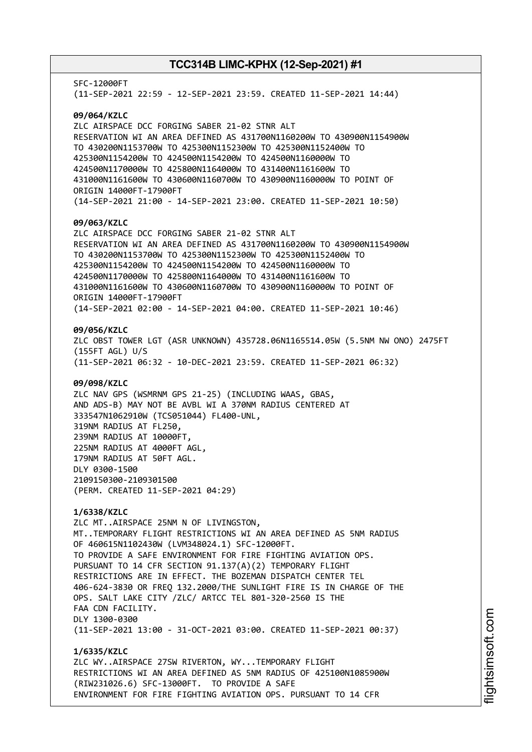SFC-12000FT (11-SEP-2021 22:59 - 12-SEP-2021 23:59. CREATED 11-SEP-2021 14:44) **09/064/KZLC** ZLC AIRSPACE DCC FORGING SABER 21-02 STNR ALT RESERVATION WI AN AREA DEFINED AS 431700N1160200W TO 430900N1154900W TO 430200N1153700W TO 425300N1152300W TO 425300N1152400W TO 425300N1154200W TO 424500N1154200W TO 424500N1160000W TO 424500N1170000W TO 425800N1164000W TO 431400N1161600W TO 431000N1161600W TO 430600N1160700W TO 430900N1160000W TO POINT OF ORIGIN 14000FT-17900FT (14-SEP-2021 21:00 - 14-SEP-2021 23:00. CREATED 11-SEP-2021 10:50) **09/063/KZLC** ZLC AIRSPACE DCC FORGING SABER 21-02 STNR ALT RESERVATION WI AN AREA DEFINED AS 431700N1160200W TO 430900N1154900W TO 430200N1153700W TO 425300N1152300W TO 425300N1152400W TO 425300N1154200W TO 424500N1154200W TO 424500N1160000W TO 424500N1170000W TO 425800N1164000W TO 431400N1161600W TO 431000N1161600W TO 430600N1160700W TO 430900N1160000W TO POINT OF ORIGIN 14000FT-17900FT (14-SEP-2021 02:00 - 14-SEP-2021 04:00. CREATED 11-SEP-2021 10:46) **09/056/KZLC** ZLC OBST TOWER LGT (ASR UNKNOWN) 435728.06N1165514.05W (5.5NM NW ONO) 2475FT (155FT AGL) U/S (11-SEP-2021 06:32 - 10-DEC-2021 23:59. CREATED 11-SEP-2021 06:32) **09/098/KZLC** ZLC NAV GPS (WSMRNM GPS 21-25) (INCLUDING WAAS, GBAS, AND ADS-B) MAY NOT BE AVBL WI A 370NM RADIUS CENTERED AT 333547N1062910W (TCS051044) FL400-UNL, 319NM RADIUS AT FL250, 239NM RADIUS AT 10000FT, 225NM RADIUS AT 4000FT AGL, 179NM RADIUS AT 50FT AGL. DLY 0300-1500 2109150300-2109301500 (PERM. CREATED 11-SEP-2021 04:29) **1/6338/KZLC** ZLC MT..AIRSPACE 25NM N OF LIVINGSTON, MT..TEMPORARY FLIGHT RESTRICTIONS WI AN AREA DEFINED AS 5NM RADIUS OF 460615N1102430W (LVM348024.1) SFC-12000FT. TO PROVIDE A SAFE ENVIRONMENT FOR FIRE FIGHTING AVIATION OPS. PURSUANT TO 14 CFR SECTION 91.137(A)(2) TEMPORARY FLIGHT RESTRICTIONS ARE IN EFFECT. THE BOZEMAN DISPATCH CENTER TEL 406-624-3830 OR FREQ 132.2000/THE SUNLIGHT FIRE IS IN CHARGE OF THE OPS. SALT LAKE CITY /ZLC/ ARTCC TEL 801-320-2560 IS THE FAA CDN FACILITY. DLY 1300-0300 (11-SEP-2021 13:00 - 31-OCT-2021 03:00. CREATED 11-SEP-2021 00:37) **1/6335/KZLC** ZLC WY..AIRSPACE 27SW RIVERTON, WY...TEMPORARY FLIGHT RESTRICTIONS WI AN AREA DEFINED AS 5NM RADIUS OF 425100N1085900W (RIW231026.6) SFC-13000FT. TO PROVIDE A SAFE ENVIRONMENT FOR FIRE FIGHTING AVIATION OPS. PURSUANT TO 14 CFR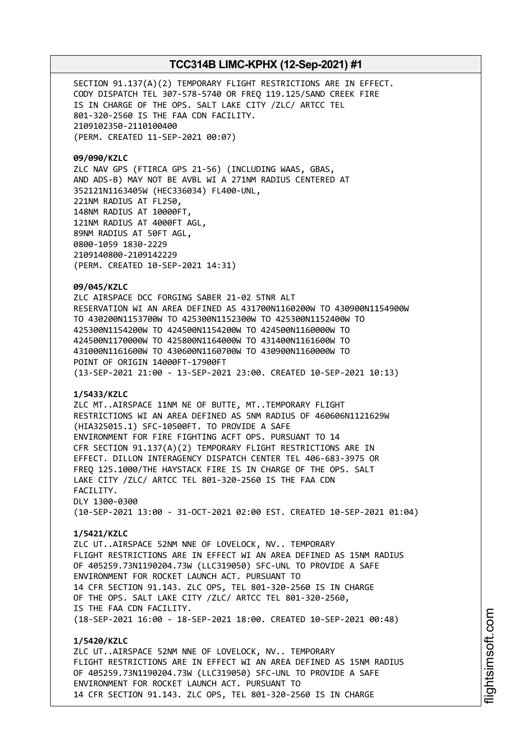SECTION 91.137(A)(2) TEMPORARY FLIGHT RESTRICTIONS ARE IN EFFECT. CODY DISPATCH TEL 307-578-5740 OR FREQ 119.125/SAND CREEK FIRE IS IN CHARGE OF THE OPS. SALT LAKE CITY /ZLC/ ARTCC TEL 801-320-2560 IS THE FAA CDN FACILITY. 2109102350-2110100400 (PERM. CREATED 11-SEP-2021 00:07)

**09/090/KZLC**

ZLC NAV GPS (FTIRCA GPS 21-56) (INCLUDING WAAS, GBAS, AND ADS-B) MAY NOT BE AVBL WI A 271NM RADIUS CENTERED AT 352121N1163405W (HEC336034) FL400-UNL, 221NM RADIUS AT FL250, 148NM RADIUS AT 10000FT, 121NM RADIUS AT 4000FT AGL, 89NM RADIUS AT 50FT AGL, 0800-1059 1830-2229 2109140800-2109142229 (PERM. CREATED 10-SEP-2021 14:31)

**09/045/KZLC**

ZLC AIRSPACE DCC FORGING SABER 21-02 STNR ALT RESERVATION WI AN AREA DEFINED AS 431700N1160200W TO 430900N1154900W TO 430200N1153700W TO 425300N1152300W TO 425300N1152400W TO 425300N1154200W TO 424500N1154200W TO 424500N1160000W TO 424500N1170000W TO 425800N1164000W TO 431400N1161600W TO 431000N1161600W TO 430600N1160700W TO 430900N1160000W TO POINT OF ORIGIN 14000FT-17900FT (13-SEP-2021 21:00 - 13-SEP-2021 23:00. CREATED 10-SEP-2021 10:13)

### **1/5433/KZLC**

ZLC MT..AIRSPACE 11NM NE OF BUTTE, MT..TEMPORARY FLIGHT RESTRICTIONS WI AN AREA DEFINED AS 5NM RADIUS OF 460606N1121629W (HIA325015.1) SFC-10500FT. TO PROVIDE A SAFE ENVIRONMENT FOR FIRE FIGHTING ACFT OPS. PURSUANT TO 14 CFR SECTION 91.137(A)(2) TEMPORARY FLIGHT RESTRICTIONS ARE IN EFFECT. DILLON INTERAGENCY DISPATCH CENTER TEL 406-683-3975 OR FREQ 125.1000/THE HAYSTACK FIRE IS IN CHARGE OF THE OPS. SALT LAKE CITY /ZLC/ ARTCC TEL 801-320-2560 IS THE FAA CDN FACILITY. DLY 1300-0300 (10-SEP-2021 13:00 - 31-OCT-2021 02:00 EST. CREATED 10-SEP-2021 01:04)

### **1/5421/KZLC**

ZLC UT..AIRSPACE 52NM NNE OF LOVELOCK, NV.. TEMPORARY FLIGHT RESTRICTIONS ARE IN EFFECT WI AN AREA DEFINED AS 15NM RADIUS OF 405259.73N1190204.73W (LLC319050) SFC-UNL TO PROVIDE A SAFE ENVIRONMENT FOR ROCKET LAUNCH ACT. PURSUANT TO 14 CFR SECTION 91.143. ZLC OPS, TEL 801-320-2560 IS IN CHARGE OF THE OPS. SALT LAKE CITY /ZLC/ ARTCC TEL 801-320-2560, IS THE FAA CDN FACILITY. (18-SEP-2021 16:00 - 18-SEP-2021 18:00. CREATED 10-SEP-2021 00:48)

**1/5420/KZLC** ZLC UT..AIRSPACE 52NM NNE OF LOVELOCK, NV.. TEMPORARY FLIGHT RESTRICTIONS ARE IN EFFECT WI AN AREA DEFINED AS 15NM RADIUS OF 405259.73N1190204.73W (LLC319050) SFC-UNL TO PROVIDE A SAFE ENVIRONMENT FOR ROCKET LAUNCH ACT. PURSUANT TO 14 CFR SECTION 91.143. ZLC OPS, TEL 801-320-2560 IS IN CHARGE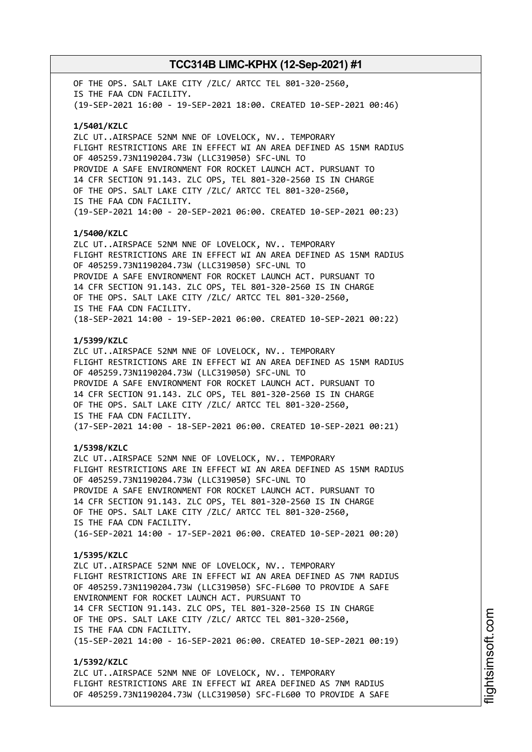OF THE OPS. SALT LAKE CITY /ZLC/ ARTCC TEL 801-320-2560, IS THE FAA CDN FACILITY. (19-SEP-2021 16:00 - 19-SEP-2021 18:00. CREATED 10-SEP-2021 00:46) **1/5401/KZLC** ZLC UT..AIRSPACE 52NM NNE OF LOVELOCK, NV.. TEMPORARY FLIGHT RESTRICTIONS ARE IN EFFECT WI AN AREA DEFINED AS 15NM RADIUS OF 405259.73N1190204.73W (LLC319050) SFC-UNL TO PROVIDE A SAFE ENVIRONMENT FOR ROCKET LAUNCH ACT. PURSUANT TO 14 CFR SECTION 91.143. ZLC OPS, TEL 801-320-2560 IS IN CHARGE OF THE OPS. SALT LAKE CITY /ZLC/ ARTCC TEL 801-320-2560, IS THE FAA CDN FACILITY. (19-SEP-2021 14:00 - 20-SEP-2021 06:00. CREATED 10-SEP-2021 00:23) **1/5400/KZLC** ZLC UT..AIRSPACE 52NM NNE OF LOVELOCK, NV.. TEMPORARY FLIGHT RESTRICTIONS ARE IN EFFECT WI AN AREA DEFINED AS 15NM RADIUS OF 405259.73N1190204.73W (LLC319050) SFC-UNL TO PROVIDE A SAFE ENVIRONMENT FOR ROCKET LAUNCH ACT. PURSUANT TO 14 CFR SECTION 91.143. ZLC OPS, TEL 801-320-2560 IS IN CHARGE OF THE OPS. SALT LAKE CITY /ZLC/ ARTCC TEL 801-320-2560, IS THE FAA CDN FACILITY. (18-SEP-2021 14:00 - 19-SEP-2021 06:00. CREATED 10-SEP-2021 00:22) **1/5399/KZLC** ZLC UT..AIRSPACE 52NM NNE OF LOVELOCK, NV.. TEMPORARY FLIGHT RESTRICTIONS ARE IN EFFECT WI AN AREA DEFINED AS 15NM RADIUS OF 405259.73N1190204.73W (LLC319050) SFC-UNL TO PROVIDE A SAFE ENVIRONMENT FOR ROCKET LAUNCH ACT. PURSUANT TO 14 CFR SECTION 91.143. ZLC OPS, TEL 801-320-2560 IS IN CHARGE OF THE OPS. SALT LAKE CITY /ZLC/ ARTCC TEL 801-320-2560, IS THE FAA CDN FACILITY. (17-SEP-2021 14:00 - 18-SEP-2021 06:00. CREATED 10-SEP-2021 00:21) **1/5398/KZLC** ZLC UT..AIRSPACE 52NM NNE OF LOVELOCK, NV.. TEMPORARY FLIGHT RESTRICTIONS ARE IN EFFECT WI AN AREA DEFINED AS 15NM RADIUS OF 405259.73N1190204.73W (LLC319050) SFC-UNL TO PROVIDE A SAFE ENVIRONMENT FOR ROCKET LAUNCH ACT. PURSUANT TO 14 CFR SECTION 91.143. ZLC OPS, TEL 801-320-2560 IS IN CHARGE OF THE OPS. SALT LAKE CITY /ZLC/ ARTCC TEL 801-320-2560, IS THE FAA CDN FACILITY. (16-SEP-2021 14:00 - 17-SEP-2021 06:00. CREATED 10-SEP-2021 00:20) **1/5395/KZLC** ZLC UT..AIRSPACE 52NM NNE OF LOVELOCK, NV.. TEMPORARY FLIGHT RESTRICTIONS ARE IN EFFECT WI AN AREA DEFINED AS 7NM RADIUS OF 405259.73N1190204.73W (LLC319050) SFC-FL600 TO PROVIDE A SAFE ENVIRONMENT FOR ROCKET LAUNCH ACT. PURSUANT TO 14 CFR SECTION 91.143. ZLC OPS, TEL 801-320-2560 IS IN CHARGE OF THE OPS. SALT LAKE CITY /ZLC/ ARTCC TEL 801-320-2560, IS THE FAA CDN FACILITY. (15-SEP-2021 14:00 - 16-SEP-2021 06:00. CREATED 10-SEP-2021 00:19) **1/5392/KZLC** ZLC UT..AIRSPACE 52NM NNE OF LOVELOCK, NV.. TEMPORARY

FLIGHT RESTRICTIONS ARE IN EFFECT WI AREA DEFINED AS 7NM RADIUS OF 405259.73N1190204.73W (LLC319050) SFC-FL600 TO PROVIDE A SAFE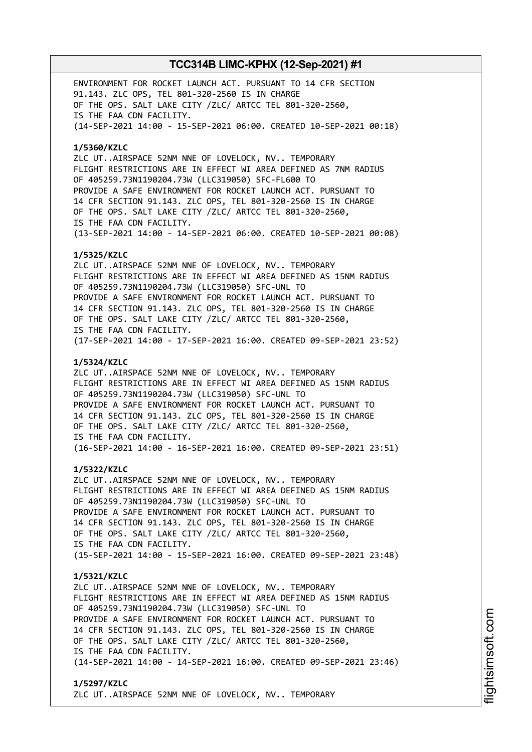ENVIRONMENT FOR ROCKET LAUNCH ACT. PURSUANT TO 14 CFR SECTION 91.143. ZLC OPS, TEL 801-320-2560 IS IN CHARGE OF THE OPS. SALT LAKE CITY /ZLC/ ARTCC TEL 801-320-2560, IS THE FAA CDN FACILITY. (14-SEP-2021 14:00 - 15-SEP-2021 06:00. CREATED 10-SEP-2021 00:18) **1/5360/KZLC** ZLC UT..AIRSPACE 52NM NNE OF LOVELOCK, NV.. TEMPORARY FLIGHT RESTRICTIONS ARE IN EFFECT WI AREA DEFINED AS 7NM RADIUS OF 405259.73N1190204.73W (LLC319050) SFC-FL600 TO PROVIDE A SAFE ENVIRONMENT FOR ROCKET LAUNCH ACT. PURSUANT TO 14 CFR SECTION 91.143. ZLC OPS, TEL 801-320-2560 IS IN CHARGE OF THE OPS. SALT LAKE CITY /ZLC/ ARTCC TEL 801-320-2560, IS THE FAA CDN FACILITY. (13-SEP-2021 14:00 - 14-SEP-2021 06:00. CREATED 10-SEP-2021 00:08) **1/5325/KZLC** ZLC UT..AIRSPACE 52NM NNE OF LOVELOCK, NV.. TEMPORARY FLIGHT RESTRICTIONS ARE IN EFFECT WI AREA DEFINED AS 15NM RADIUS OF 405259.73N1190204.73W (LLC319050) SFC-UNL TO PROVIDE A SAFE ENVIRONMENT FOR ROCKET LAUNCH ACT. PURSUANT TO 14 CFR SECTION 91.143. ZLC OPS, TEL 801-320-2560 IS IN CHARGE OF THE OPS. SALT LAKE CITY /ZLC/ ARTCC TEL 801-320-2560, IS THE FAA CDN FACILITY. (17-SEP-2021 14:00 - 17-SEP-2021 16:00. CREATED 09-SEP-2021 23:52) **1/5324/KZLC** ZLC UT..AIRSPACE 52NM NNE OF LOVELOCK, NV.. TEMPORARY FLIGHT RESTRICTIONS ARE IN EFFECT WI AREA DEFINED AS 15NM RADIUS OF 405259.73N1190204.73W (LLC319050) SFC-UNL TO PROVIDE A SAFE ENVIRONMENT FOR ROCKET LAUNCH ACT. PURSUANT TO 14 CFR SECTION 91.143. ZLC OPS, TEL 801-320-2560 IS IN CHARGE OF THE OPS. SALT LAKE CITY /ZLC/ ARTCC TEL 801-320-2560, IS THE FAA CDN FACILITY. (16-SEP-2021 14:00 - 16-SEP-2021 16:00. CREATED 09-SEP-2021 23:51) **1/5322/KZLC** ZLC UT..AIRSPACE 52NM NNE OF LOVELOCK, NV.. TEMPORARY FLIGHT RESTRICTIONS ARE IN EFFECT WI AREA DEFINED AS 15NM RADIUS OF 405259.73N1190204.73W (LLC319050) SFC-UNL TO PROVIDE A SAFE ENVIRONMENT FOR ROCKET LAUNCH ACT. PURSUANT TO 14 CFR SECTION 91.143. ZLC OPS, TEL 801-320-2560 IS IN CHARGE OF THE OPS. SALT LAKE CITY /ZLC/ ARTCC TEL 801-320-2560, IS THE FAA CDN FACILITY. (15-SEP-2021 14:00 - 15-SEP-2021 16:00. CREATED 09-SEP-2021 23:48) **1/5321/KZLC** ZLC UT..AIRSPACE 52NM NNE OF LOVELOCK, NV.. TEMPORARY FLIGHT RESTRICTIONS ARE IN EFFECT WI AREA DEFINED AS 15NM RADIUS OF 405259.73N1190204.73W (LLC319050) SFC-UNL TO PROVIDE A SAFE ENVIRONMENT FOR ROCKET LAUNCH ACT. PURSUANT TO 14 CFR SECTION 91.143. ZLC OPS, TEL 801-320-2560 IS IN CHARGE OF THE OPS. SALT LAKE CITY /ZLC/ ARTCC TEL 801-320-2560, IS THE FAA CDN FACILITY. (14-SEP-2021 14:00 - 14-SEP-2021 16:00. CREATED 09-SEP-2021 23:46) **1/5297/KZLC**

ZLC UT..AIRSPACE 52NM NNE OF LOVELOCK, NV.. TEMPORARY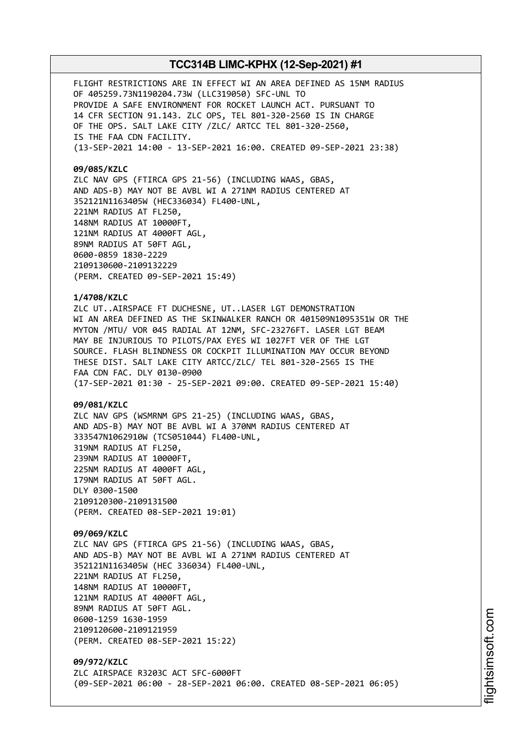FLIGHT RESTRICTIONS ARE IN EFFECT WI AN AREA DEFINED AS 15NM RADIUS OF 405259.73N1190204.73W (LLC319050) SFC-UNL TO PROVIDE A SAFE ENVIRONMENT FOR ROCKET LAUNCH ACT. PURSUANT TO 14 CFR SECTION 91.143. ZLC OPS, TEL 801-320-2560 IS IN CHARGE OF THE OPS. SALT LAKE CITY /ZLC/ ARTCC TEL 801-320-2560, IS THE FAA CDN FACILITY. (13-SEP-2021 14:00 - 13-SEP-2021 16:00. CREATED 09-SEP-2021 23:38)

### **09/085/KZLC**

ZLC NAV GPS (FTIRCA GPS 21-56) (INCLUDING WAAS, GBAS, AND ADS-B) MAY NOT BE AVBL WI A 271NM RADIUS CENTERED AT 352121N1163405W (HEC336034) FL400-UNL, 221NM RADIUS AT FL250, 148NM RADIUS AT 10000FT, 121NM RADIUS AT 4000FT AGL, 89NM RADIUS AT 50FT AGL, 0600-0859 1830-2229 2109130600-2109132229 (PERM. CREATED 09-SEP-2021 15:49)

### **1/4708/KZLC**

ZLC UT..AIRSPACE FT DUCHESNE, UT..LASER LGT DEMONSTRATION WI AN AREA DEFINED AS THE SKINWALKER RANCH OR 401509N1095351W OR THE MYTON /MTU/ VOR 045 RADIAL AT 12NM, SFC-23276FT. LASER LGT BEAM MAY BE INJURIOUS TO PILOTS/PAX EYES WI 1027FT VER OF THE LGT SOURCE. FLASH BLINDNESS OR COCKPIT ILLUMINATION MAY OCCUR BEYOND THESE DIST. SALT LAKE CITY ARTCC/ZLC/ TEL 801-320-2565 IS THE FAA CDN FAC. DLY 0130-0900 (17-SEP-2021 01:30 - 25-SEP-2021 09:00. CREATED 09-SEP-2021 15:40)

### **09/081/KZLC**

ZLC NAV GPS (WSMRNM GPS 21-25) (INCLUDING WAAS, GBAS, AND ADS-B) MAY NOT BE AVBL WI A 370NM RADIUS CENTERED AT 333547N1062910W (TCS051044) FL400-UNL, 319NM RADIUS AT FL250, 239NM RADIUS AT 10000FT, 225NM RADIUS AT 4000FT AGL, 179NM RADIUS AT 50FT AGL. DLY 0300-1500 2109120300-2109131500 (PERM. CREATED 08-SEP-2021 19:01)

**09/069/KZLC** ZLC NAV GPS (FTIRCA GPS 21-56) (INCLUDING WAAS, GBAS, AND ADS-B) MAY NOT BE AVBL WI A 271NM RADIUS CENTERED AT 352121N1163405W (HEC 336034) FL400-UNL, 221NM RADIUS AT FL250, 148NM RADIUS AT 10000FT, 121NM RADIUS AT 4000FT AGL, 89NM RADIUS AT 50FT AGL. 0600-1259 1630-1959 2109120600-2109121959 (PERM. CREATED 08-SEP-2021 15:22)

**09/972/KZLC** ZLC AIRSPACE R3203C ACT SFC-6000FT (09-SEP-2021 06:00 - 28-SEP-2021 06:00. CREATED 08-SEP-2021 06:05)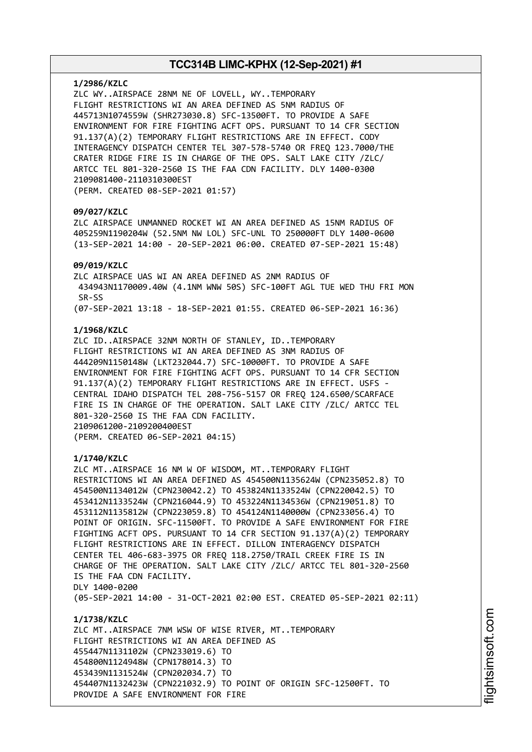#### **1/2986/KZLC**

ZLC WY..AIRSPACE 28NM NE OF LOVELL, WY..TEMPORARY FLIGHT RESTRICTIONS WI AN AREA DEFINED AS 5NM RADIUS OF 445713N1074559W (SHR273030.8) SFC-13500FT. TO PROVIDE A SAFE ENVIRONMENT FOR FIRE FIGHTING ACFT OPS. PURSUANT TO 14 CFR SECTION 91.137(A)(2) TEMPORARY FLIGHT RESTRICTIONS ARE IN EFFECT. CODY INTERAGENCY DISPATCH CENTER TEL 307-578-5740 OR FREQ 123.7000/THE CRATER RIDGE FIRE IS IN CHARGE OF THE OPS. SALT LAKE CITY /ZLC/ ARTCC TEL 801-320-2560 IS THE FAA CDN FACILITY. DLY 1400-0300 2109081400-2110310300EST (PERM. CREATED 08-SEP-2021 01:57)

### **09/027/KZLC**

ZLC AIRSPACE UNMANNED ROCKET WI AN AREA DEFINED AS 15NM RADIUS OF 405259N1190204W (52.5NM NW LOL) SFC-UNL TO 250000FT DLY 1400-0600 (13-SEP-2021 14:00 - 20-SEP-2021 06:00. CREATED 07-SEP-2021 15:48)

### **09/019/KZLC**

ZLC AIRSPACE UAS WI AN AREA DEFINED AS 2NM RADIUS OF 434943N1170009.40W (4.1NM WNW 50S) SFC-100FT AGL TUE WED THU FRI MON SR-SS (07-SEP-2021 13:18 - 18-SEP-2021 01:55. CREATED 06-SEP-2021 16:36)

#### **1/1968/KZLC**

ZLC ID..AIRSPACE 32NM NORTH OF STANLEY, ID..TEMPORARY FLIGHT RESTRICTIONS WI AN AREA DEFINED AS 3NM RADIUS OF 444209N1150148W (LKT232044.7) SFC-10000FT. TO PROVIDE A SAFE ENVIRONMENT FOR FIRE FIGHTING ACFT OPS. PURSUANT TO 14 CFR SECTION 91.137(A)(2) TEMPORARY FLIGHT RESTRICTIONS ARE IN EFFECT. USFS - CENTRAL IDAHO DISPATCH TEL 208-756-5157 OR FREQ 124.6500/SCARFACE FIRE IS IN CHARGE OF THE OPERATION. SALT LAKE CITY /ZLC/ ARTCC TEL 801-320-2560 IS THE FAA CDN FACILITY. 2109061200-2109200400EST (PERM. CREATED 06-SEP-2021 04:15)

#### **1/1740/KZLC**

ZLC MT..AIRSPACE 16 NM W OF WISDOM, MT..TEMPORARY FLIGHT RESTRICTIONS WI AN AREA DEFINED AS 454500N1135624W (CPN235052.8) TO 454500N1134012W (CPN230042.2) TO 453824N1133524W (CPN220042.5) TO 453412N1133524W (CPN216044.9) TO 453224N1134536W (CPN219051.8) TO 453112N1135812W (CPN223059.8) TO 454124N1140000W (CPN233056.4) TO POINT OF ORIGIN. SFC-11500FT. TO PROVIDE A SAFE ENVIRONMENT FOR FIRE FIGHTING ACFT OPS. PURSUANT TO 14 CFR SECTION 91.137(A)(2) TEMPORARY FLIGHT RESTRICTIONS ARE IN EFFECT. DILLON INTERAGENCY DISPATCH CENTER TEL 406-683-3975 OR FREQ 118.2750/TRAIL CREEK FIRE IS IN CHARGE OF THE OPERATION. SALT LAKE CITY /ZLC/ ARTCC TEL 801-320-2560 IS THE FAA CDN FACILITY. DLY 1400-0200 (05-SEP-2021 14:00 - 31-OCT-2021 02:00 EST. CREATED 05-SEP-2021 02:11)

**1/1738/KZLC** ZLC MT..AIRSPACE 7NM WSW OF WISE RIVER, MT..TEMPORARY FLIGHT RESTRICTIONS WI AN AREA DEFINED AS 455447N1131102W (CPN233019.6) TO 454800N1124948W (CPN178014.3) TO 453439N1131524W (CPN202034.7) TO 454407N1132423W (CPN221032.9) TO POINT OF ORIGIN SFC-12500FT. TO PROVIDE A SAFE ENVIRONMENT FOR FIRE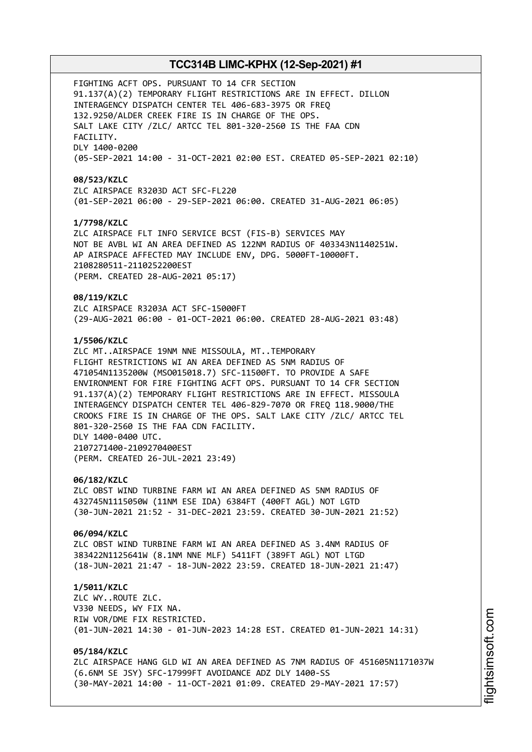FIGHTING ACFT OPS. PURSUANT TO 14 CFR SECTION 91.137(A)(2) TEMPORARY FLIGHT RESTRICTIONS ARE IN EFFECT. DILLON INTERAGENCY DISPATCH CENTER TEL 406-683-3975 OR FREQ 132.9250/ALDER CREEK FIRE IS IN CHARGE OF THE OPS. SALT LAKE CITY /ZLC/ ARTCC TEL 801-320-2560 IS THE FAA CDN FACILITY. DLY 1400-0200 (05-SEP-2021 14:00 - 31-OCT-2021 02:00 EST. CREATED 05-SEP-2021 02:10) **08/523/KZLC** ZLC AIRSPACE R3203D ACT SFC-FL220 (01-SEP-2021 06:00 - 29-SEP-2021 06:00. CREATED 31-AUG-2021 06:05) **1/7798/KZLC** ZLC AIRSPACE FLT INFO SERVICE BCST (FIS-B) SERVICES MAY NOT BE AVBL WI AN AREA DEFINED AS 122NM RADIUS OF 403343N1140251W. AP AIRSPACE AFFECTED MAY INCLUDE ENV, DPG. 5000FT-10000FT. 2108280511-2110252200EST (PERM. CREATED 28-AUG-2021 05:17) **08/119/KZLC** ZLC AIRSPACE R3203A ACT SFC-15000FT (29-AUG-2021 06:00 - 01-OCT-2021 06:00. CREATED 28-AUG-2021 03:48) **1/5506/KZLC** ZLC MT..AIRSPACE 19NM NNE MISSOULA, MT..TEMPORARY FLIGHT RESTRICTIONS WI AN AREA DEFINED AS 5NM RADIUS OF 471054N1135200W (MSO015018.7) SFC-11500FT. TO PROVIDE A SAFE ENVIRONMENT FOR FIRE FIGHTING ACFT OPS. PURSUANT TO 14 CFR SECTION 91.137(A)(2) TEMPORARY FLIGHT RESTRICTIONS ARE IN EFFECT. MISSOULA INTERAGENCY DISPATCH CENTER TEL 406-829-7070 OR FREQ 118.9000/THE CROOKS FIRE IS IN CHARGE OF THE OPS. SALT LAKE CITY /ZLC/ ARTCC TEL 801-320-2560 IS THE FAA CDN FACILITY. DLY 1400-0400 UTC. 2107271400-2109270400EST (PERM. CREATED 26-JUL-2021 23:49) **06/182/KZLC** ZLC OBST WIND TURBINE FARM WI AN AREA DEFINED AS 5NM RADIUS OF 432745N1115050W (11NM ESE IDA) 6384FT (400FT AGL) NOT LGTD (30-JUN-2021 21:52 - 31-DEC-2021 23:59. CREATED 30-JUN-2021 21:52) **06/094/KZLC** ZLC OBST WIND TURBINE FARM WI AN AREA DEFINED AS 3.4NM RADIUS OF 383422N1125641W (8.1NM NNE MLF) 5411FT (389FT AGL) NOT LTGD (18-JUN-2021 21:47 - 18-JUN-2022 23:59. CREATED 18-JUN-2021 21:47) **1/5011/KZLC** ZLC WY..ROUTE ZLC. V330 NEEDS, WY FIX NA. RIW VOR/DME FIX RESTRICTED. (01-JUN-2021 14:30 - 01-JUN-2023 14:28 EST. CREATED 01-JUN-2021 14:31) **05/184/KZLC** ZLC AIRSPACE HANG GLD WI AN AREA DEFINED AS 7NM RADIUS OF 451605N1171037W (6.6NM SE JSY) SFC-17999FT AVOIDANCE ADZ DLY 1400-SS

(30-MAY-2021 14:00 - 11-OCT-2021 01:09. CREATED 29-MAY-2021 17:57)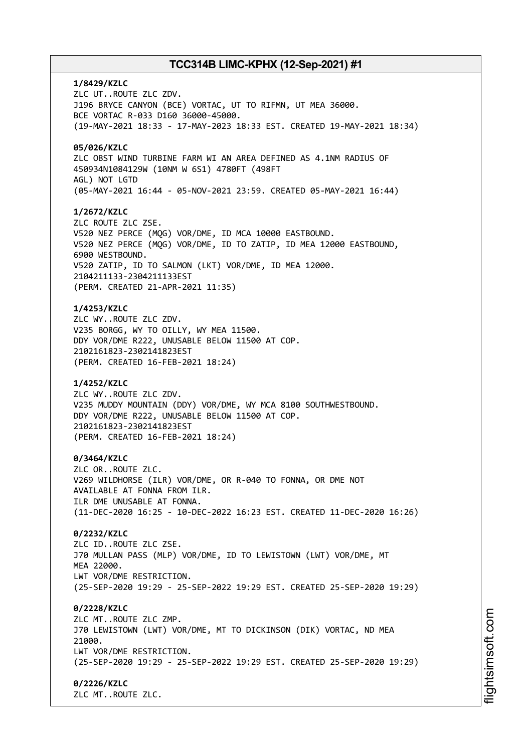**1/8429/KZLC** ZLC UT..ROUTE ZLC ZDV. J196 BRYCE CANYON (BCE) VORTAC, UT TO RIFMN, UT MEA 36000. BCE VORTAC R-033 D160 36000-45000. (19-MAY-2021 18:33 - 17-MAY-2023 18:33 EST. CREATED 19-MAY-2021 18:34) **05/026/KZLC** ZLC OBST WIND TURBINE FARM WI AN AREA DEFINED AS 4.1NM RADIUS OF 450934N1084129W (10NM W 6S1) 4780FT (498FT AGL) NOT LGTD (05-MAY-2021 16:44 - 05-NOV-2021 23:59. CREATED 05-MAY-2021 16:44) **1/2672/KZLC** ZLC ROUTE ZLC ZSE. V520 NEZ PERCE (MQG) VOR/DME, ID MCA 10000 EASTBOUND. V520 NEZ PERCE (MQG) VOR/DME, ID TO ZATIP, ID MEA 12000 EASTBOUND, 6900 WESTBOUND. V520 ZATIP, ID TO SALMON (LKT) VOR/DME, ID MEA 12000. 2104211133-2304211133EST (PERM. CREATED 21-APR-2021 11:35) **1/4253/KZLC** ZLC WY..ROUTE ZLC ZDV. V235 BORGG, WY TO OILLY, WY MEA 11500. DDY VOR/DME R222, UNUSABLE BELOW 11500 AT COP. 2102161823-2302141823EST (PERM. CREATED 16-FEB-2021 18:24) **1/4252/KZLC** ZLC WY..ROUTE ZLC ZDV. V235 MUDDY MOUNTAIN (DDY) VOR/DME, WY MCA 8100 SOUTHWESTBOUND. DDY VOR/DME R222, UNUSABLE BELOW 11500 AT COP. 2102161823-2302141823EST (PERM. CREATED 16-FEB-2021 18:24) **0/3464/KZLC** ZLC OR..ROUTE ZLC. V269 WILDHORSE (ILR) VOR/DME, OR R-040 TO FONNA, OR DME NOT AVAILABLE AT FONNA FROM ILR. ILR DME UNUSABLE AT FONNA. (11-DEC-2020 16:25 - 10-DEC-2022 16:23 EST. CREATED 11-DEC-2020 16:26) **0/2232/KZLC** ZLC ID..ROUTE ZLC ZSE. J70 MULLAN PASS (MLP) VOR/DME, ID TO LEWISTOWN (LWT) VOR/DME, MT MEA 22000. LWT VOR/DME RESTRICTION. (25-SEP-2020 19:29 - 25-SEP-2022 19:29 EST. CREATED 25-SEP-2020 19:29) **0/2228/KZLC** ZLC MT..ROUTE ZLC ZMP. J70 LEWISTOWN (LWT) VOR/DME, MT TO DICKINSON (DIK) VORTAC, ND MEA 21000. LWT VOR/DME RESTRICTION. (25-SEP-2020 19:29 - 25-SEP-2022 19:29 EST. CREATED 25-SEP-2020 19:29) **0/2226/KZLC** ZLC MT..ROUTE ZLC.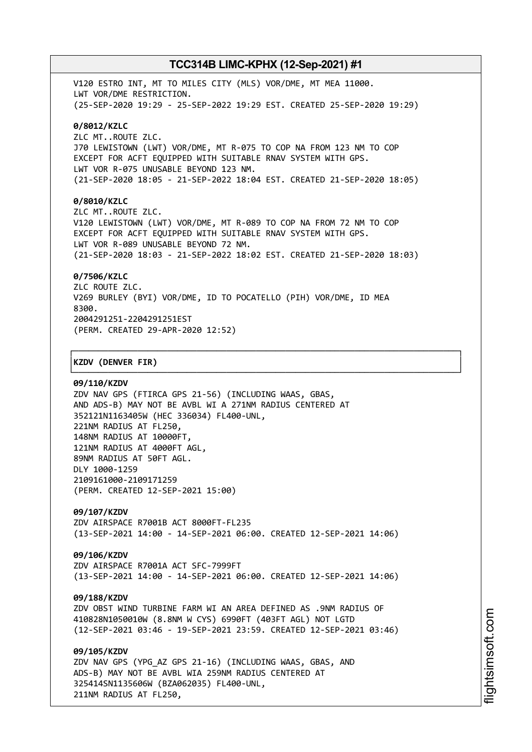V120 ESTRO INT, MT TO MILES CITY (MLS) VOR/DME, MT MEA 11000. LWT VOR/DME RESTRICTION. (25-SEP-2020 19:29 - 25-SEP-2022 19:29 EST. CREATED 25-SEP-2020 19:29) **0/8012/KZLC** ZLC MT..ROUTE ZLC. J70 LEWISTOWN (LWT) VOR/DME, MT R-075 TO COP NA FROM 123 NM TO COP EXCEPT FOR ACFT EQUIPPED WITH SUITABLE RNAV SYSTEM WITH GPS. LWT VOR R-075 UNUSABLE BEYOND 123 NM. (21-SEP-2020 18:05 - 21-SEP-2022 18:04 EST. CREATED 21-SEP-2020 18:05) **0/8010/KZLC** ZLC MT..ROUTE ZLC.

V120 LEWISTOWN (LWT) VOR/DME, MT R-089 TO COP NA FROM 72 NM TO COP EXCEPT FOR ACFT EQUIPPED WITH SUITABLE RNAV SYSTEM WITH GPS. LWT VOR R-089 UNUSABLE BEYOND 72 NM. (21-SEP-2020 18:03 - 21-SEP-2022 18:02 EST. CREATED 21-SEP-2020 18:03)

### **0/7506/KZLC**

ZLC ROUTE ZLC. V269 BURLEY (BYI) VOR/DME, ID TO POCATELLO (PIH) VOR/DME, ID MEA 8300. 2004291251-2204291251EST (PERM. CREATED 29-APR-2020 12:52)

┌──────────────────────────────────────────────────────────────────────────────┐

└──────────────────────────────────────────────────────────────────────────────┘

### │**KZDV (DENVER FIR)** │

#### **09/110/KZDV**

ZDV NAV GPS (FTIRCA GPS 21-56) (INCLUDING WAAS, GBAS, AND ADS-B) MAY NOT BE AVBL WI A 271NM RADIUS CENTERED AT 352121N1163405W (HEC 336034) FL400-UNL, 221NM RADIUS AT FL250, 148NM RADIUS AT 10000FT, 121NM RADIUS AT 4000FT AGL, 89NM RADIUS AT 50FT AGL. DLY 1000-1259 2109161000-2109171259 (PERM. CREATED 12-SEP-2021 15:00)

## **09/107/KZDV**

ZDV AIRSPACE R7001B ACT 8000FT-FL235 (13-SEP-2021 14:00 - 14-SEP-2021 06:00. CREATED 12-SEP-2021 14:06)

### **09/106/KZDV**

ZDV AIRSPACE R7001A ACT SFC-7999FT (13-SEP-2021 14:00 - 14-SEP-2021 06:00. CREATED 12-SEP-2021 14:06)

#### **09/188/KZDV**

ZDV OBST WIND TURBINE FARM WI AN AREA DEFINED AS .9NM RADIUS OF 410828N1050010W (8.8NM W CYS) 6990FT (403FT AGL) NOT LGTD (12-SEP-2021 03:46 - 19-SEP-2021 23:59. CREATED 12-SEP-2021 03:46)

**09/105/KZDV** ZDV NAV GPS (YPG\_AZ GPS 21-16) (INCLUDING WAAS, GBAS, AND ADS-B) MAY NOT BE AVBL WIA 259NM RADIUS CENTERED AT 325414SN1135606W (BZA062035) FL400-UNL,

211NM RADIUS AT FL250,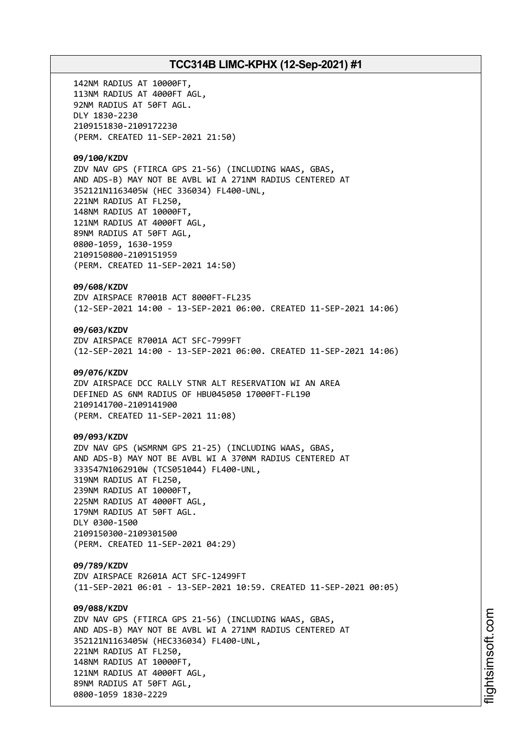142NM RADIUS AT 10000FT, 113NM RADIUS AT 4000FT AGL, 92NM RADIUS AT 50FT AGL. DLY 1830-2230 2109151830-2109172230 (PERM. CREATED 11-SEP-2021 21:50) **09/100/KZDV** ZDV NAV GPS (FTIRCA GPS 21-56) (INCLUDING WAAS, GBAS, AND ADS-B) MAY NOT BE AVBL WI A 271NM RADIUS CENTERED AT 352121N1163405W (HEC 336034) FL400-UNL, 221NM RADIUS AT FL250, 148NM RADIUS AT 10000FT, 121NM RADIUS AT 4000FT AGL, 89NM RADIUS AT 50FT AGL, 0800-1059, 1630-1959 2109150800-2109151959 (PERM. CREATED 11-SEP-2021 14:50) **09/608/KZDV** ZDV AIRSPACE R7001B ACT 8000FT-FL235 (12-SEP-2021 14:00 - 13-SEP-2021 06:00. CREATED 11-SEP-2021 14:06) **09/603/KZDV** ZDV AIRSPACE R7001A ACT SFC-7999FT (12-SEP-2021 14:00 - 13-SEP-2021 06:00. CREATED 11-SEP-2021 14:06) **09/076/KZDV** ZDV AIRSPACE DCC RALLY STNR ALT RESERVATION WI AN AREA DEFINED AS 6NM RADIUS OF HBU045050 17000FT-FL190 2109141700-2109141900 (PERM. CREATED 11-SEP-2021 11:08) **09/093/KZDV** ZDV NAV GPS (WSMRNM GPS 21-25) (INCLUDING WAAS, GBAS, AND ADS-B) MAY NOT BE AVBL WI A 370NM RADIUS CENTERED AT 333547N1062910W (TCS051044) FL400-UNL, 319NM RADIUS AT FL250, 239NM RADIUS AT 10000FT, 225NM RADIUS AT 4000FT AGL, 179NM RADIUS AT 50FT AGL. DLY 0300-1500 2109150300-2109301500 (PERM. CREATED 11-SEP-2021 04:29) **09/789/KZDV** ZDV AIRSPACE R2601A ACT SFC-12499FT (11-SEP-2021 06:01 - 13-SEP-2021 10:59. CREATED 11-SEP-2021 00:05) **09/088/KZDV** ZDV NAV GPS (FTIRCA GPS 21-56) (INCLUDING WAAS, GBAS, AND ADS-B) MAY NOT BE AVBL WI A 271NM RADIUS CENTERED AT 352121N1163405W (HEC336034) FL400-UNL, 221NM RADIUS AT FL250, 148NM RADIUS AT 10000FT, 121NM RADIUS AT 4000FT AGL, 89NM RADIUS AT 50FT AGL, 0800-1059 1830-2229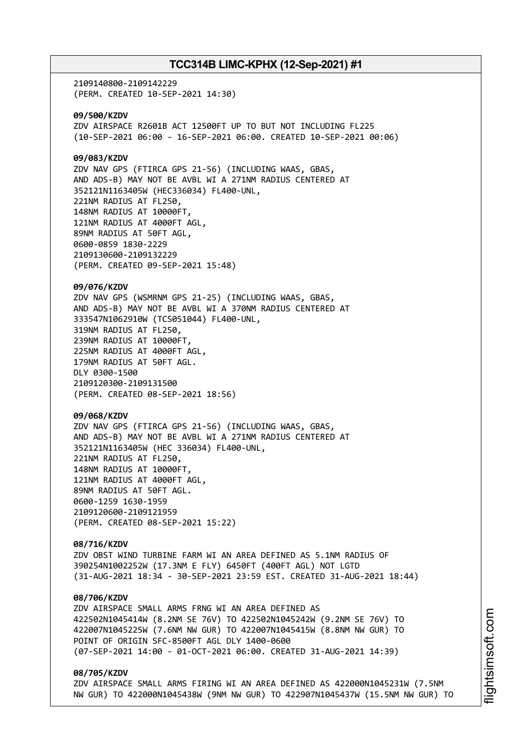2109140800-2109142229 (PERM. CREATED 10-SEP-2021 14:30)

**09/500/KZDV** ZDV AIRSPACE R2601B ACT 12500FT UP TO BUT NOT INCLUDING FL225 (10-SEP-2021 06:00 - 16-SEP-2021 06:00. CREATED 10-SEP-2021 00:06)

## **09/083/KZDV**

ZDV NAV GPS (FTIRCA GPS 21-56) (INCLUDING WAAS, GBAS, AND ADS-B) MAY NOT BE AVBL WI A 271NM RADIUS CENTERED AT 352121N1163405W (HEC336034) FL400-UNL, 221NM RADIUS AT FL250, 148NM RADIUS AT 10000FT, 121NM RADIUS AT 4000FT AGL, 89NM RADIUS AT 50FT AGL, 0600-0859 1830-2229 2109130600-2109132229 (PERM. CREATED 09-SEP-2021 15:48)

**09/076/KZDV**

ZDV NAV GPS (WSMRNM GPS 21-25) (INCLUDING WAAS, GBAS, AND ADS-B) MAY NOT BE AVBL WI A 370NM RADIUS CENTERED AT 333547N1062910W (TCS051044) FL400-UNL, 319NM RADIUS AT FL250, 239NM RADIUS AT 10000FT, 225NM RADIUS AT 4000FT AGL, 179NM RADIUS AT 50FT AGL. DLY 0300-1500 2109120300-2109131500 (PERM. CREATED 08-SEP-2021 18:56)

## **09/068/KZDV**

ZDV NAV GPS (FTIRCA GPS 21-56) (INCLUDING WAAS, GBAS, AND ADS-B) MAY NOT BE AVBL WI A 271NM RADIUS CENTERED AT 352121N1163405W (HEC 336034) FL400-UNL, 221NM RADIUS AT FL250, 148NM RADIUS AT 10000FT, 121NM RADIUS AT 4000FT AGL, 89NM RADIUS AT 50FT AGL. 0600-1259 1630-1959 2109120600-2109121959 (PERM. CREATED 08-SEP-2021 15:22)

**08/716/KZDV** ZDV OBST WIND TURBINE FARM WI AN AREA DEFINED AS 5.1NM RADIUS OF 390254N1002252W (17.3NM E FLY) 6450FT (400FT AGL) NOT LGTD (31-AUG-2021 18:34 - 30-SEP-2021 23:59 EST. CREATED 31-AUG-2021 18:44)

### **08/706/KZDV**

ZDV AIRSPACE SMALL ARMS FRNG WI AN AREA DEFINED AS 422502N1045414W (8.2NM SE 76V) TO 422502N1045242W (9.2NM SE 76V) TO 422007N1045225W (7.6NM NW GUR) TO 422007N1045415W (8.8NM NW GUR) TO POINT OF ORIGIN SFC-8500FT AGL DLY 1400-0600 (07-SEP-2021 14:00 - 01-OCT-2021 06:00. CREATED 31-AUG-2021 14:39)

## **08/705/KZDV**

ZDV AIRSPACE SMALL ARMS FIRING WI AN AREA DEFINED AS 422000N1045231W (7.5NM NW GUR) TO 422000N1045438W (9NM NW GUR) TO 422907N1045437W (15.5NM NW GUR) TO i⊒<br>⊫ htsim s oft.c om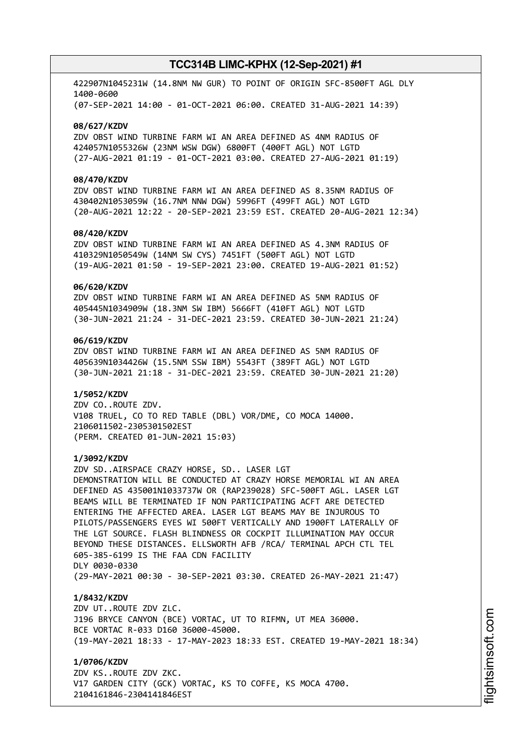422907N1045231W (14.8NM NW GUR) TO POINT OF ORIGIN SFC-8500FT AGL DLY 1400-0600 (07-SEP-2021 14:00 - 01-OCT-2021 06:00. CREATED 31-AUG-2021 14:39)

#### **08/627/KZDV**

ZDV OBST WIND TURBINE FARM WI AN AREA DEFINED AS 4NM RADIUS OF 424057N1055326W (23NM WSW DGW) 6800FT (400FT AGL) NOT LGTD (27-AUG-2021 01:19 - 01-OCT-2021 03:00. CREATED 27-AUG-2021 01:19)

### **08/470/KZDV**

ZDV OBST WIND TURBINE FARM WI AN AREA DEFINED AS 8.35NM RADIUS OF 430402N1053059W (16.7NM NNW DGW) 5996FT (499FT AGL) NOT LGTD (20-AUG-2021 12:22 - 20-SEP-2021 23:59 EST. CREATED 20-AUG-2021 12:34)

## **08/420/KZDV**

ZDV OBST WIND TURBINE FARM WI AN AREA DEFINED AS 4.3NM RADIUS OF 410329N1050549W (14NM SW CYS) 7451FT (500FT AGL) NOT LGTD (19-AUG-2021 01:50 - 19-SEP-2021 23:00. CREATED 19-AUG-2021 01:52)

## **06/620/KZDV**

ZDV OBST WIND TURBINE FARM WI AN AREA DEFINED AS 5NM RADIUS OF 405445N1034909W (18.3NM SW IBM) 5666FT (410FT AGL) NOT LGTD (30-JUN-2021 21:24 - 31-DEC-2021 23:59. CREATED 30-JUN-2021 21:24)

### **06/619/KZDV**

ZDV OBST WIND TURBINE FARM WI AN AREA DEFINED AS 5NM RADIUS OF 405639N1034426W (15.5NM SSW IBM) 5543FT (389FT AGL) NOT LGTD (30-JUN-2021 21:18 - 31-DEC-2021 23:59. CREATED 30-JUN-2021 21:20)

#### **1/5052/KZDV**

ZDV CO..ROUTE ZDV. V108 TRUEL, CO TO RED TABLE (DBL) VOR/DME, CO MOCA 14000. 2106011502-2305301502EST (PERM. CREATED 01-JUN-2021 15:03)

#### **1/3092/KZDV**

ZDV SD..AIRSPACE CRAZY HORSE, SD.. LASER LGT DEMONSTRATION WILL BE CONDUCTED AT CRAZY HORSE MEMORIAL WI AN AREA DEFINED AS 435001N1033737W OR (RAP239028) SFC-500FT AGL. LASER LGT BEAMS WILL BE TERMINATED IF NON PARTICIPATING ACFT ARE DETECTED ENTERING THE AFFECTED AREA. LASER LGT BEAMS MAY BE INJUROUS TO PILOTS/PASSENGERS EYES WI 500FT VERTICALLY AND 1900FT LATERALLY OF THE LGT SOURCE. FLASH BLINDNESS OR COCKPIT ILLUMINATION MAY OCCUR BEYOND THESE DISTANCES. ELLSWORTH AFB /RCA/ TERMINAL APCH CTL TEL 605-385-6199 IS THE FAA CDN FACILITY DLY 0030-0330 (29-MAY-2021 00:30 - 30-SEP-2021 03:30. CREATED 26-MAY-2021 21:47)

**1/8432/KZDV**

ZDV UT..ROUTE ZDV ZLC. J196 BRYCE CANYON (BCE) VORTAC, UT TO RIFMN, UT MEA 36000. BCE VORTAC R-033 D160 36000-45000. (19-MAY-2021 18:33 - 17-MAY-2023 18:33 EST. CREATED 19-MAY-2021 18:34)

**1/0706/KZDV**

ZDV KS..ROUTE ZDV ZKC. V17 GARDEN CITY (GCK) VORTAC, KS TO COFFE, KS MOCA 4700. 2104161846-2304141846EST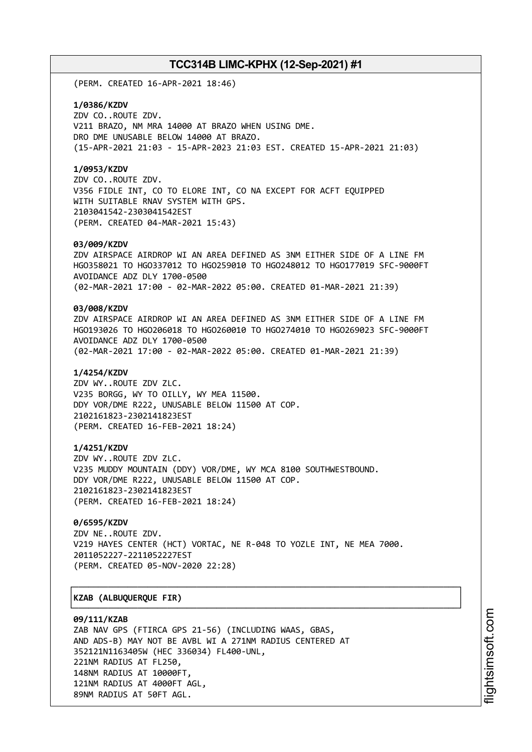(PERM. CREATED 16-APR-2021 18:46)

### **1/0386/KZDV**

ZDV CO..ROUTE ZDV. V211 BRAZO, NM MRA 14000 AT BRAZO WHEN USING DME. DRO DME UNUSABLE BELOW 14000 AT BRAZO. (15-APR-2021 21:03 - 15-APR-2023 21:03 EST. CREATED 15-APR-2021 21:03)

### **1/0953/KZDV**

ZDV CO..ROUTE ZDV. V356 FIDLE INT, CO TO ELORE INT, CO NA EXCEPT FOR ACFT EQUIPPED WITH SUITABLE RNAV SYSTEM WITH GPS. 2103041542-2303041542EST (PERM. CREATED 04-MAR-2021 15:43)

### **03/009/KZDV**

ZDV AIRSPACE AIRDROP WI AN AREA DEFINED AS 3NM EITHER SIDE OF A LINE FM HGO358021 TO HGO337012 TO HGO259010 TO HGO248012 TO HGO177019 SFC-9000FT AVOIDANCE ADZ DLY 1700-0500 (02-MAR-2021 17:00 - 02-MAR-2022 05:00. CREATED 01-MAR-2021 21:39)

## **03/008/KZDV**

ZDV AIRSPACE AIRDROP WI AN AREA DEFINED AS 3NM EITHER SIDE OF A LINE FM HGO193026 TO HGO206018 TO HGO260010 TO HGO274010 TO HGO269023 SFC-9000FT AVOIDANCE ADZ DLY 1700-0500 (02-MAR-2021 17:00 - 02-MAR-2022 05:00. CREATED 01-MAR-2021 21:39)

### **1/4254/KZDV**

ZDV WY..ROUTE ZDV ZLC. V235 BORGG, WY TO OILLY, WY MEA 11500. DDY VOR/DME R222, UNUSABLE BELOW 11500 AT COP. 2102161823-2302141823EST (PERM. CREATED 16-FEB-2021 18:24)

### **1/4251/KZDV**

ZDV WY..ROUTE ZDV ZLC. V235 MUDDY MOUNTAIN (DDY) VOR/DME, WY MCA 8100 SOUTHWESTBOUND. DDY VOR/DME R222, UNUSABLE BELOW 11500 AT COP. 2102161823-2302141823EST (PERM. CREATED 16-FEB-2021 18:24)

## **0/6595/KZDV**

ZDV NE..ROUTE ZDV. V219 HAYES CENTER (HCT) VORTAC, NE R-048 TO YOZLE INT, NE MEA 7000. 2011052227-2211052227EST (PERM. CREATED 05-NOV-2020 22:28)

┌──────────────────────────────────────────────────────────────────────────────┐

└──────────────────────────────────────────────────────────────────────────────┘

## │**KZAB (ALBUQUERQUE FIR)** │

#### **09/111/KZAB**

ZAB NAV GPS (FTIRCA GPS 21-56) (INCLUDING WAAS, GBAS, AND ADS-B) MAY NOT BE AVBL WI A 271NM RADIUS CENTERED AT 352121N1163405W (HEC 336034) FL400-UNL, 221NM RADIUS AT FL250, 148NM RADIUS AT 10000FT, 121NM RADIUS AT 4000FT AGL, 89NM RADIUS AT 50FT AGL.

i⊒<br>⊫ htsim soft.c om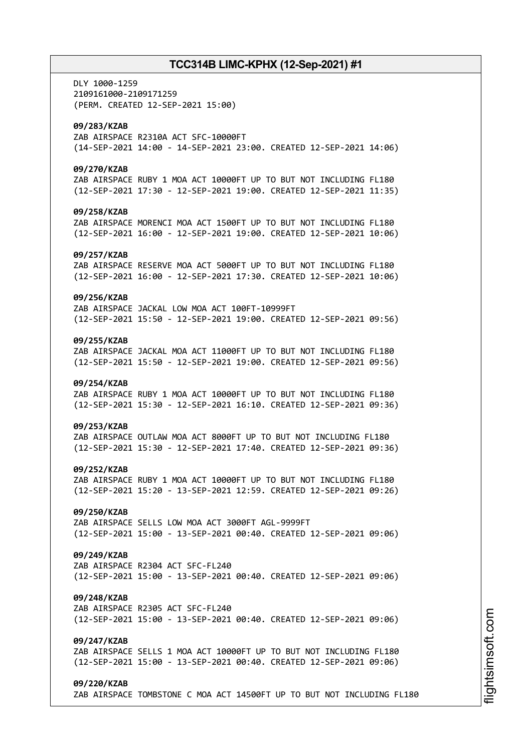DLY 1000-1259 2109161000-2109171259 (PERM. CREATED 12-SEP-2021 15:00) **09/283/KZAB** ZAB AIRSPACE R2310A ACT SFC-10000FT (14-SEP-2021 14:00 - 14-SEP-2021 23:00. CREATED 12-SEP-2021 14:06) **09/270/KZAB** ZAB AIRSPACE RUBY 1 MOA ACT 10000FT UP TO BUT NOT INCLUDING FL180 (12-SEP-2021 17:30 - 12-SEP-2021 19:00. CREATED 12-SEP-2021 11:35) **09/258/KZAB** ZAB AIRSPACE MORENCI MOA ACT 1500FT UP TO BUT NOT INCLUDING FL180 (12-SEP-2021 16:00 - 12-SEP-2021 19:00. CREATED 12-SEP-2021 10:06) **09/257/KZAB** ZAB AIRSPACE RESERVE MOA ACT 5000FT UP TO BUT NOT INCLUDING FL180 (12-SEP-2021 16:00 - 12-SEP-2021 17:30. CREATED 12-SEP-2021 10:06) **09/256/KZAB** ZAB AIRSPACE JACKAL LOW MOA ACT 100FT-10999FT (12-SEP-2021 15:50 - 12-SEP-2021 19:00. CREATED 12-SEP-2021 09:56) **09/255/KZAB** ZAB AIRSPACE JACKAL MOA ACT 11000FT UP TO BUT NOT INCLUDING FL180 (12-SEP-2021 15:50 - 12-SEP-2021 19:00. CREATED 12-SEP-2021 09:56) **09/254/KZAB** ZAB AIRSPACE RUBY 1 MOA ACT 10000FT UP TO BUT NOT INCLUDING FL180 (12-SEP-2021 15:30 - 12-SEP-2021 16:10. CREATED 12-SEP-2021 09:36) **09/253/KZAB** ZAB AIRSPACE OUTLAW MOA ACT 8000FT UP TO BUT NOT INCLUDING FL180 (12-SEP-2021 15:30 - 12-SEP-2021 17:40. CREATED 12-SEP-2021 09:36) **09/252/KZAB** ZAB AIRSPACE RUBY 1 MOA ACT 10000FT UP TO BUT NOT INCLUDING FL180 (12-SEP-2021 15:20 - 13-SEP-2021 12:59. CREATED 12-SEP-2021 09:26) **09/250/KZAB** ZAB AIRSPACE SELLS LOW MOA ACT 3000FT AGL-9999FT (12-SEP-2021 15:00 - 13-SEP-2021 00:40. CREATED 12-SEP-2021 09:06) **09/249/KZAB** ZAB AIRSPACE R2304 ACT SFC-FL240 (12-SEP-2021 15:00 - 13-SEP-2021 00:40. CREATED 12-SEP-2021 09:06) **09/248/KZAB** ZAB AIRSPACE R2305 ACT SFC-FL240 (12-SEP-2021 15:00 - 13-SEP-2021 00:40. CREATED 12-SEP-2021 09:06) **09/247/KZAB** ZAB AIRSPACE SELLS 1 MOA ACT 10000FT UP TO BUT NOT INCLUDING FL180 (12-SEP-2021 15:00 - 13-SEP-2021 00:40. CREATED 12-SEP-2021 09:06) **09/220/KZAB** ZAB AIRSPACE TOMBSTONE C MOA ACT 14500FT UP TO BUT NOT INCLUDING FL180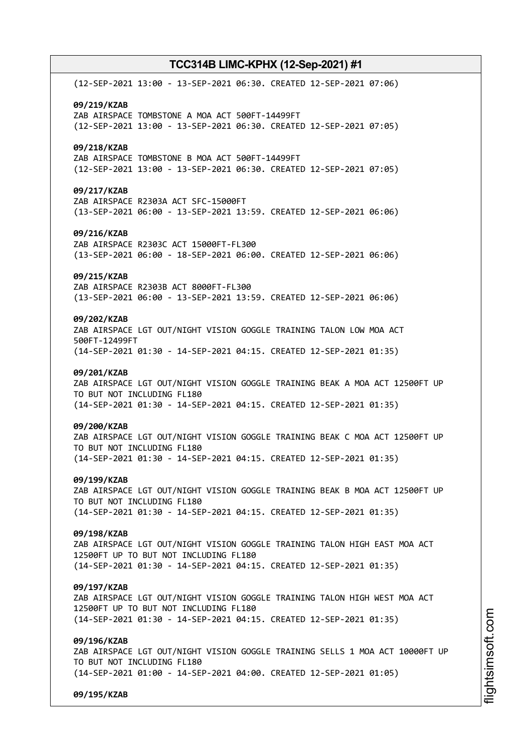(12-SEP-2021 13:00 - 13-SEP-2021 06:30. CREATED 12-SEP-2021 07:06) **09/219/KZAB** ZAB AIRSPACE TOMBSTONE A MOA ACT 500FT-14499FT (12-SEP-2021 13:00 - 13-SEP-2021 06:30. CREATED 12-SEP-2021 07:05) **09/218/KZAB** ZAB AIRSPACE TOMBSTONE B MOA ACT 500FT-14499FT (12-SEP-2021 13:00 - 13-SEP-2021 06:30. CREATED 12-SEP-2021 07:05) **09/217/KZAB** ZAB AIRSPACE R2303A ACT SFC-15000FT (13-SEP-2021 06:00 - 13-SEP-2021 13:59. CREATED 12-SEP-2021 06:06) **09/216/KZAB** ZAB AIRSPACE R2303C ACT 15000FT-FL300 (13-SEP-2021 06:00 - 18-SEP-2021 06:00. CREATED 12-SEP-2021 06:06) **09/215/KZAB** ZAB AIRSPACE R2303B ACT 8000FT-FL300 (13-SEP-2021 06:00 - 13-SEP-2021 13:59. CREATED 12-SEP-2021 06:06) **09/202/KZAB** ZAB AIRSPACE LGT OUT/NIGHT VISION GOGGLE TRAINING TALON LOW MOA ACT 500FT-12499FT (14-SEP-2021 01:30 - 14-SEP-2021 04:15. CREATED 12-SEP-2021 01:35) **09/201/KZAB** ZAB AIRSPACE LGT OUT/NIGHT VISION GOGGLE TRAINING BEAK A MOA ACT 12500FT UP TO BUT NOT INCLUDING FL180 (14-SEP-2021 01:30 - 14-SEP-2021 04:15. CREATED 12-SEP-2021 01:35) **09/200/KZAB** ZAB AIRSPACE LGT OUT/NIGHT VISION GOGGLE TRAINING BEAK C MOA ACT 12500FT UP TO BUT NOT INCLUDING FL180 (14-SEP-2021 01:30 - 14-SEP-2021 04:15. CREATED 12-SEP-2021 01:35) **09/199/KZAB** ZAB AIRSPACE LGT OUT/NIGHT VISION GOGGLE TRAINING BEAK B MOA ACT 12500FT UP TO BUT NOT INCLUDING FL180 (14-SEP-2021 01:30 - 14-SEP-2021 04:15. CREATED 12-SEP-2021 01:35) **09/198/KZAB** ZAB AIRSPACE LGT OUT/NIGHT VISION GOGGLE TRAINING TALON HIGH EAST MOA ACT 12500FT UP TO BUT NOT INCLUDING FL180 (14-SEP-2021 01:30 - 14-SEP-2021 04:15. CREATED 12-SEP-2021 01:35) **09/197/KZAB** ZAB AIRSPACE LGT OUT/NIGHT VISION GOGGLE TRAINING TALON HIGH WEST MOA ACT 12500FT UP TO BUT NOT INCLUDING FL180 (14-SEP-2021 01:30 - 14-SEP-2021 04:15. CREATED 12-SEP-2021 01:35) **09/196/KZAB** ZAB AIRSPACE LGT OUT/NIGHT VISION GOGGLE TRAINING SELLS 1 MOA ACT 10000FT UP TO BUT NOT INCLUDING FL180 (14-SEP-2021 01:00 - 14-SEP-2021 04:00. CREATED 12-SEP-2021 01:05)

**09/195/KZAB**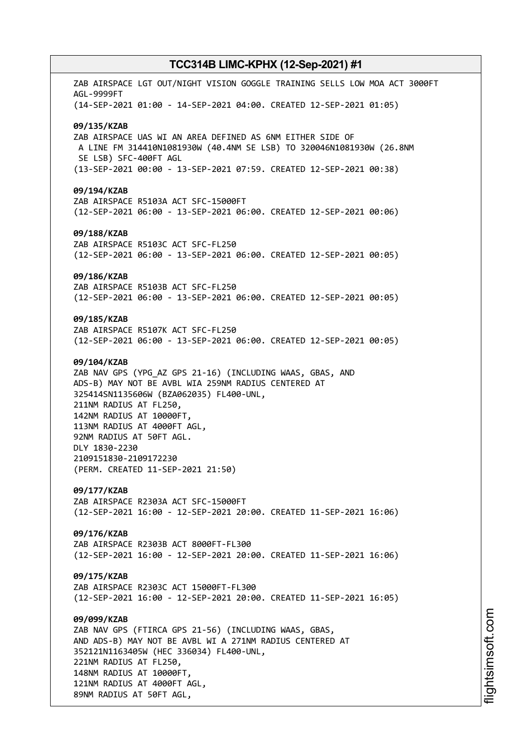ZAB AIRSPACE LGT OUT/NIGHT VISION GOGGLE TRAINING SELLS LOW MOA ACT 3000FT AGL-9999FT (14-SEP-2021 01:00 - 14-SEP-2021 04:00. CREATED 12-SEP-2021 01:05) **09/135/KZAB** ZAB AIRSPACE UAS WI AN AREA DEFINED AS 6NM EITHER SIDE OF A LINE FM 314410N1081930W (40.4NM SE LSB) TO 320046N1081930W (26.8NM SE LSB) SFC-400FT AGL (13-SEP-2021 00:00 - 13-SEP-2021 07:59. CREATED 12-SEP-2021 00:38) **09/194/KZAB** ZAB AIRSPACE R5103A ACT SFC-15000FT (12-SEP-2021 06:00 - 13-SEP-2021 06:00. CREATED 12-SEP-2021 00:06) **09/188/KZAB** ZAB AIRSPACE R5103C ACT SFC-FL250 (12-SEP-2021 06:00 - 13-SEP-2021 06:00. CREATED 12-SEP-2021 00:05) **09/186/KZAB** ZAB AIRSPACE R5103B ACT SFC-FL250 (12-SEP-2021 06:00 - 13-SEP-2021 06:00. CREATED 12-SEP-2021 00:05) **09/185/KZAB** ZAB AIRSPACE R5107K ACT SFC-FL250 (12-SEP-2021 06:00 - 13-SEP-2021 06:00. CREATED 12-SEP-2021 00:05) **09/104/KZAB** ZAB NAV GPS (YPG\_AZ GPS 21-16) (INCLUDING WAAS, GBAS, AND ADS-B) MAY NOT BE AVBL WIA 259NM RADIUS CENTERED AT 325414SN1135606W (BZA062035) FL400-UNL, 211NM RADIUS AT FL250, 142NM RADIUS AT 10000FT, 113NM RADIUS AT 4000FT AGL, 92NM RADIUS AT 50FT AGL. DLY 1830-2230 2109151830-2109172230 (PERM. CREATED 11-SEP-2021 21:50) **09/177/KZAB** ZAB AIRSPACE R2303A ACT SFC-15000FT (12-SEP-2021 16:00 - 12-SEP-2021 20:00. CREATED 11-SEP-2021 16:06) **09/176/KZAB** ZAB AIRSPACE R2303B ACT 8000FT-FL300 (12-SEP-2021 16:00 - 12-SEP-2021 20:00. CREATED 11-SEP-2021 16:06) **09/175/KZAB** ZAB AIRSPACE R2303C ACT 15000FT-FL300 (12-SEP-2021 16:00 - 12-SEP-2021 20:00. CREATED 11-SEP-2021 16:05) **09/099/KZAB** ZAB NAV GPS (FTIRCA GPS 21-56) (INCLUDING WAAS, GBAS, AND ADS-B) MAY NOT BE AVBL WI A 271NM RADIUS CENTERED AT 352121N1163405W (HEC 336034) FL400-UNL, 221NM RADIUS AT FL250, 148NM RADIUS AT 10000FT, 121NM RADIUS AT 4000FT AGL, 89NM RADIUS AT 50FT AGL,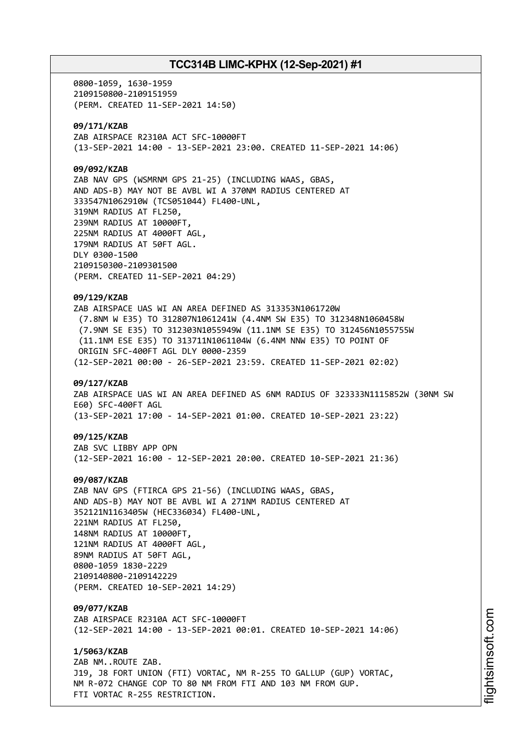0800-1059, 1630-1959 2109150800-2109151959 (PERM. CREATED 11-SEP-2021 14:50) **09/171/KZAB** ZAB AIRSPACE R2310A ACT SFC-10000FT (13-SEP-2021 14:00 - 13-SEP-2021 23:00. CREATED 11-SEP-2021 14:06) **09/092/KZAB** ZAB NAV GPS (WSMRNM GPS 21-25) (INCLUDING WAAS, GBAS, AND ADS-B) MAY NOT BE AVBL WI A 370NM RADIUS CENTERED AT 333547N1062910W (TCS051044) FL400-UNL, 319NM RADIUS AT FL250, 239NM RADIUS AT 10000FT, 225NM RADIUS AT 4000FT AGL, 179NM RADIUS AT 50FT AGL. DLY 0300-1500 2109150300-2109301500 (PERM. CREATED 11-SEP-2021 04:29) **09/129/KZAB** ZAB AIRSPACE UAS WI AN AREA DEFINED AS 313353N1061720W (7.8NM W E35) TO 312807N1061241W (4.4NM SW E35) TO 312348N1060458W (7.9NM SE E35) TO 312303N1055949W (11.1NM SE E35) TO 312456N1055755W (11.1NM ESE E35) TO 313711N1061104W (6.4NM NNW E35) TO POINT OF ORIGIN SFC-400FT AGL DLY 0000-2359 (12-SEP-2021 00:00 - 26-SEP-2021 23:59. CREATED 11-SEP-2021 02:02) **09/127/KZAB** ZAB AIRSPACE UAS WI AN AREA DEFINED AS 6NM RADIUS OF 323333N1115852W (30NM SW E60) SFC-400FT AGL (13-SEP-2021 17:00 - 14-SEP-2021 01:00. CREATED 10-SEP-2021 23:22) **09/125/KZAB** ZAB SVC LIBBY APP OPN (12-SEP-2021 16:00 - 12-SEP-2021 20:00. CREATED 10-SEP-2021 21:36) **09/087/KZAB** ZAB NAV GPS (FTIRCA GPS 21-56) (INCLUDING WAAS, GBAS, AND ADS-B) MAY NOT BE AVBL WI A 271NM RADIUS CENTERED AT 352121N1163405W (HEC336034) FL400-UNL, 221NM RADIUS AT FL250, 148NM RADIUS AT 10000FT, 121NM RADIUS AT 4000FT AGL, 89NM RADIUS AT 50FT AGL, 0800-1059 1830-2229 2109140800-2109142229 (PERM. CREATED 10-SEP-2021 14:29) **09/077/KZAB** ZAB AIRSPACE R2310A ACT SFC-10000FT (12-SEP-2021 14:00 - 13-SEP-2021 00:01. CREATED 10-SEP-2021 14:06) **1/5063/KZAB** ZAB NM..ROUTE ZAB. J19, J8 FORT UNION (FTI) VORTAC, NM R-255 TO GALLUP (GUP) VORTAC, NM R-072 CHANGE COP TO 80 NM FROM FTI AND 103 NM FROM GUP. FTI VORTAC R-255 RESTRICTION.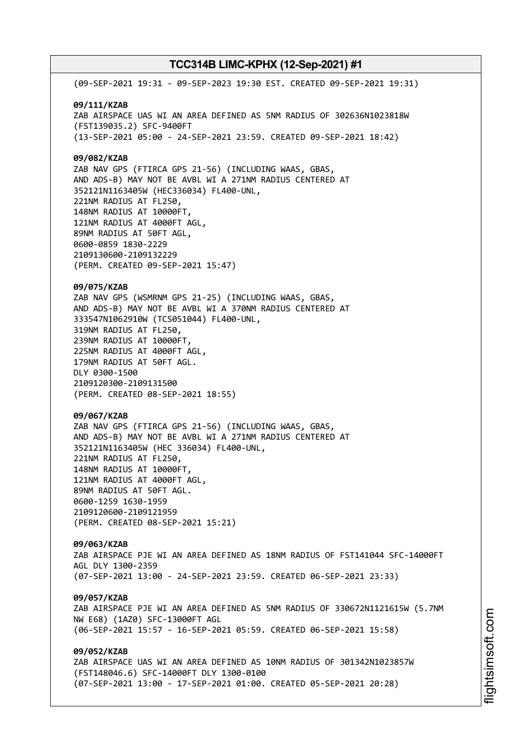(09-SEP-2021 19:31 - 09-SEP-2023 19:30 EST. CREATED 09-SEP-2021 19:31) **09/111/KZAB** ZAB AIRSPACE UAS WI AN AREA DEFINED AS 5NM RADIUS OF 302636N1023818W (FST139035.2) SFC-9400FT (13-SEP-2021 05:00 - 24-SEP-2021 23:59. CREATED 09-SEP-2021 18:42) **09/082/KZAB** ZAB NAV GPS (FTIRCA GPS 21-56) (INCLUDING WAAS, GBAS, AND ADS-B) MAY NOT BE AVBL WI A 271NM RADIUS CENTERED AT 352121N1163405W (HEC336034) FL400-UNL, 221NM RADIUS AT FL250, 148NM RADIUS AT 10000FT, 121NM RADIUS AT 4000FT AGL, 89NM RADIUS AT 50FT AGL, 0600-0859 1830-2229 2109130600-2109132229 (PERM. CREATED 09-SEP-2021 15:47) **09/075/KZAB** ZAB NAV GPS (WSMRNM GPS 21-25) (INCLUDING WAAS, GBAS, AND ADS-B) MAY NOT BE AVBL WI A 370NM RADIUS CENTERED AT 333547N1062910W (TCS051044) FL400-UNL, 319NM RADIUS AT FL250, 239NM RADIUS AT 10000FT, 225NM RADIUS AT 4000FT AGL, 179NM RADIUS AT 50FT AGL. DLY 0300-1500 2109120300-2109131500 (PERM. CREATED 08-SEP-2021 18:55) **09/067/KZAB** ZAB NAV GPS (FTIRCA GPS 21-56) (INCLUDING WAAS, GBAS, AND ADS-B) MAY NOT BE AVBL WI A 271NM RADIUS CENTERED AT 352121N1163405W (HEC 336034) FL400-UNL, 221NM RADIUS AT FL250, 148NM RADIUS AT 10000FT, 121NM RADIUS AT 4000FT AGL, 89NM RADIUS AT 50FT AGL. 0600-1259 1630-1959 2109120600-2109121959 (PERM. CREATED 08-SEP-2021 15:21) **09/063/KZAB** ZAB AIRSPACE PJE WI AN AREA DEFINED AS 18NM RADIUS OF FST141044 SFC-14000FT AGL DLY 1300-2359 (07-SEP-2021 13:00 - 24-SEP-2021 23:59. CREATED 06-SEP-2021 23:33) **09/057/KZAB** ZAB AIRSPACE PJE WI AN AREA DEFINED AS 5NM RADIUS OF 330672N1121615W (5.7NM NW E68) (1AZ0) SFC-13000FT AGL (06-SEP-2021 15:57 - 16-SEP-2021 05:59. CREATED 06-SEP-2021 15:58) **09/052/KZAB** ZAB AIRSPACE UAS WI AN AREA DEFINED AS 10NM RADIUS OF 301342N1023857W (FST148046.6) SFC-14000FT DLY 1300-0100 (07-SEP-2021 13:00 - 17-SEP-2021 01:00. CREATED 05-SEP-2021 20:28)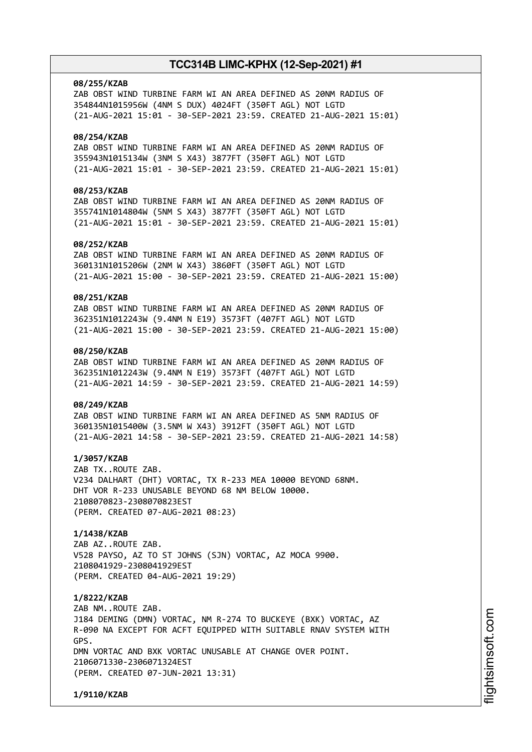### **08/255/KZAB**

ZAB OBST WIND TURBINE FARM WI AN AREA DEFINED AS 20NM RADIUS OF 354844N1015956W (4NM S DUX) 4024FT (350FT AGL) NOT LGTD (21-AUG-2021 15:01 - 30-SEP-2021 23:59. CREATED 21-AUG-2021 15:01)

### **08/254/KZAB**

ZAB OBST WIND TURBINE FARM WI AN AREA DEFINED AS 20NM RADIUS OF 355943N1015134W (3NM S X43) 3877FT (350FT AGL) NOT LGTD (21-AUG-2021 15:01 - 30-SEP-2021 23:59. CREATED 21-AUG-2021 15:01)

## **08/253/KZAB**

ZAB OBST WIND TURBINE FARM WI AN AREA DEFINED AS 20NM RADIUS OF 355741N1014804W (5NM S X43) 3877FT (350FT AGL) NOT LGTD (21-AUG-2021 15:01 - 30-SEP-2021 23:59. CREATED 21-AUG-2021 15:01)

### **08/252/KZAB**

ZAB OBST WIND TURBINE FARM WI AN AREA DEFINED AS 20NM RADIUS OF 360131N1015206W (2NM W X43) 3860FT (350FT AGL) NOT LGTD (21-AUG-2021 15:00 - 30-SEP-2021 23:59. CREATED 21-AUG-2021 15:00)

## **08/251/KZAB**

ZAB OBST WIND TURBINE FARM WI AN AREA DEFINED AS 20NM RADIUS OF 362351N1012243W (9.4NM N E19) 3573FT (407FT AGL) NOT LGTD (21-AUG-2021 15:00 - 30-SEP-2021 23:59. CREATED 21-AUG-2021 15:00)

## **08/250/KZAB**

ZAB OBST WIND TURBINE FARM WI AN AREA DEFINED AS 20NM RADIUS OF 362351N1012243W (9.4NM N E19) 3573FT (407FT AGL) NOT LGTD (21-AUG-2021 14:59 - 30-SEP-2021 23:59. CREATED 21-AUG-2021 14:59)

## **08/249/KZAB**

ZAB OBST WIND TURBINE FARM WI AN AREA DEFINED AS 5NM RADIUS OF 360135N1015400W (3.5NM W X43) 3912FT (350FT AGL) NOT LGTD (21-AUG-2021 14:58 - 30-SEP-2021 23:59. CREATED 21-AUG-2021 14:58)

## **1/3057/KZAB**

ZAB TX..ROUTE ZAB. V234 DALHART (DHT) VORTAC, TX R-233 MEA 10000 BEYOND 68NM. DHT VOR R-233 UNUSABLE BEYOND 68 NM BELOW 10000. 2108070823-2308070823EST (PERM. CREATED 07-AUG-2021 08:23)

## **1/1438/KZAB**

ZAB AZ..ROUTE ZAB. V528 PAYSO, AZ TO ST JOHNS (SJN) VORTAC, AZ MOCA 9900. 2108041929-2308041929EST (PERM. CREATED 04-AUG-2021 19:29)

## **1/8222/KZAB**

ZAB NM..ROUTE ZAB. J184 DEMING (DMN) VORTAC, NM R-274 TO BUCKEYE (BXK) VORTAC, AZ R-090 NA EXCEPT FOR ACFT EQUIPPED WITH SUITABLE RNAV SYSTEM WITH GPS. DMN VORTAC AND BXK VORTAC UNUSABLE AT CHANGE OVER POINT. 2106071330-2306071324EST (PERM. CREATED 07-JUN-2021 13:31)

**1/9110/KZAB**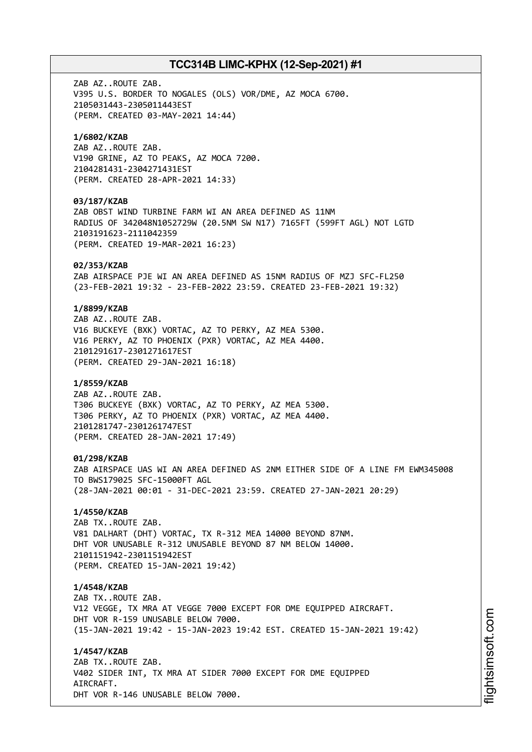ZAB AZ..ROUTE ZAB. V395 U.S. BORDER TO NOGALES (OLS) VOR/DME, AZ MOCA 6700. 2105031443-2305011443EST (PERM. CREATED 03-MAY-2021 14:44) **1/6802/KZAB** ZAB AZ..ROUTE ZAB. V190 GRINE, AZ TO PEAKS, AZ MOCA 7200. 2104281431-2304271431EST (PERM. CREATED 28-APR-2021 14:33) **03/187/KZAB** ZAB OBST WIND TURBINE FARM WI AN AREA DEFINED AS 11NM RADIUS OF 342048N1052729W (20.5NM SW N17) 7165FT (599FT AGL) NOT LGTD 2103191623-2111042359 (PERM. CREATED 19-MAR-2021 16:23) **02/353/KZAB** ZAB AIRSPACE PJE WI AN AREA DEFINED AS 15NM RADIUS OF MZJ SFC-FL250 (23-FEB-2021 19:32 - 23-FEB-2022 23:59. CREATED 23-FEB-2021 19:32) **1/8899/KZAB** ZAB AZ..ROUTE ZAB. V16 BUCKEYE (BXK) VORTAC, AZ TO PERKY, AZ MEA 5300. V16 PERKY, AZ TO PHOENIX (PXR) VORTAC, AZ MEA 4400. 2101291617-2301271617EST (PERM. CREATED 29-JAN-2021 16:18) **1/8559/KZAB** ZAB AZ..ROUTE ZAB. T306 BUCKEYE (BXK) VORTAC, AZ TO PERKY, AZ MEA 5300. T306 PERKY, AZ TO PHOENIX (PXR) VORTAC, AZ MEA 4400. 2101281747-2301261747EST (PERM. CREATED 28-JAN-2021 17:49) **01/298/KZAB** ZAB AIRSPACE UAS WI AN AREA DEFINED AS 2NM EITHER SIDE OF A LINE FM EWM345008 TO BWS179025 SFC-15000FT AGL (28-JAN-2021 00:01 - 31-DEC-2021 23:59. CREATED 27-JAN-2021 20:29) **1/4550/KZAB** ZAB TX..ROUTE ZAB. V81 DALHART (DHT) VORTAC, TX R-312 MEA 14000 BEYOND 87NM. DHT VOR UNUSABLE R-312 UNUSABLE BEYOND 87 NM BELOW 14000. 2101151942-2301151942EST (PERM. CREATED 15-JAN-2021 19:42) **1/4548/KZAB** ZAB TX..ROUTE ZAB. V12 VEGGE, TX MRA AT VEGGE 7000 EXCEPT FOR DME EQUIPPED AIRCRAFT. DHT VOR R-159 UNUSABLE BELOW 7000. (15-JAN-2021 19:42 - 15-JAN-2023 19:42 EST. CREATED 15-JAN-2021 19:42) **1/4547/KZAB** ZAB TX..ROUTE ZAB. V402 SIDER INT, TX MRA AT SIDER 7000 EXCEPT FOR DME EQUIPPED AIRCRAFT.

DHT VOR R-146 UNUSABLE BELOW 7000.